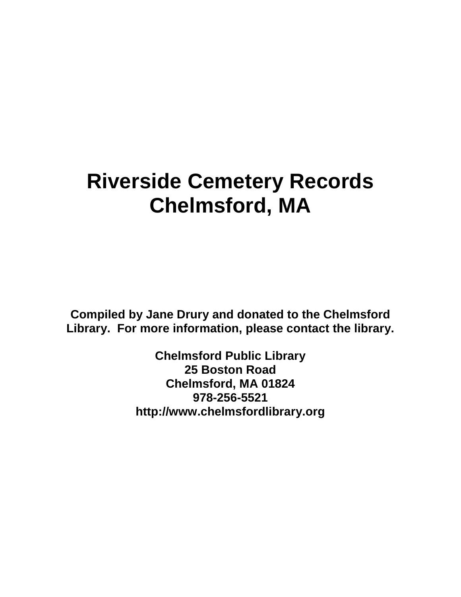## **Riverside Cemetery Records Chelmsford, MA**

**Compiled by Jane Drury and donated to the Chelmsford Library. For more information, please contact the library.** 

> **Chelmsford Public Library 25 Boston Road Chelmsford, MA 01824 978-256-5521 http://www.chelmsfordlibrary.org**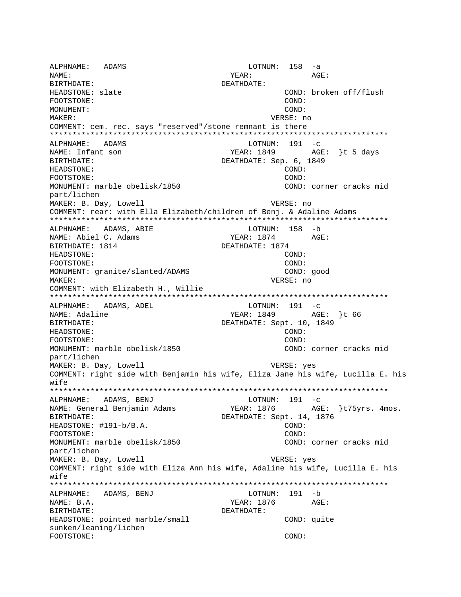ALPHNAME: ADAMS  $LOTNUM: 158 -a$ NAME: YEAR:  $AGE:$ BIRTHDATE: DEATHDATE: COND: broken off/flush HEADSTONE: slate FOOTSTONE: COND: MONIJMENT: COND: MAKER: VERSE: no COMMENT: cem. rec. says "reserved"/stone remnant is there ALPHNAME: ADAMS LOTNUM:  $191 - c$ YEAR: 1849 NAME: Infant son AGE: }t 5 days BIRTHDATE: DEATHDATE: Sep. 6, 1849 HEADSTONE: COND:  $COMD:$ FOOTSTONE: MONUMENT: marble obelisk/1850 COND: corner cracks mid part/lichen MAKER: B. Day, Lowell VERSE: no COMMENT: rear: with Ella Elizabeth/children of Benj. & Adaline Adams ALPHNAME: ADAMS, ABIE LOTNUM: 158 -b NAME: Abiel C. Adams YEAR: 1874 AGE: BIRTHDATE: 1814 DEATHDATE: 1874 COND: HEADSTONE: FOOTSTONE: COND: MONUMENT: granite/slanted/ADAMS COND: good MAKER: VERSE: no COMMENT: with Elizabeth H., Willie \*\*\*\*\*\*\*\*\*\*\*\*\*\*\*\*\*\* ALPHNAME: ADAMS, ADEL  $LOTNUM: 191 -c$ YEAR: 1849 AGE: }t 66 NAME: Adaline DEATHDATE: Sept. 10, 1849 BIRTHDATE: COND: HEADSTONE: COND: FOOTSTONE: MONUMENT: marble obelisk/1850 COND: corner cracks mid part/lichen MAKER: B. Day, Lowell VERSE: yes COMMENT: right side with Benjamin his wife, Eliza Jane his wife, Lucilla E. his  $w$ ife ALPHNAME: ADAMS, BENJ LOTNUM: 191 -c YEAR: 1876 AGE: }t75yrs. 4mos. NAME: General Benjamin Adams DEATHDATE: Sept. 14, 1876 BIRTHDATE: HEADSTONE: #191-b/B.A. COND: FOOTSTONE: COND: MONUMENT: marble obelisk/1850 COND: corner cracks mid part/lichen MAKER: B. Day, Lowell VERSE: yes COMMENT: right side with Eliza Ann his wife, Adaline his wife, Lucilla E. his wife ALPHNAME: ADAMS, BENJ LOTNUM: 191 -b AGE: NAME: B.A. YEAR: 1876 BIRTHDATE: DEATHDATE: HEADSTONE: pointed marble/small COND: quite sunken/leaning/lichen FOOTSTONE: COND: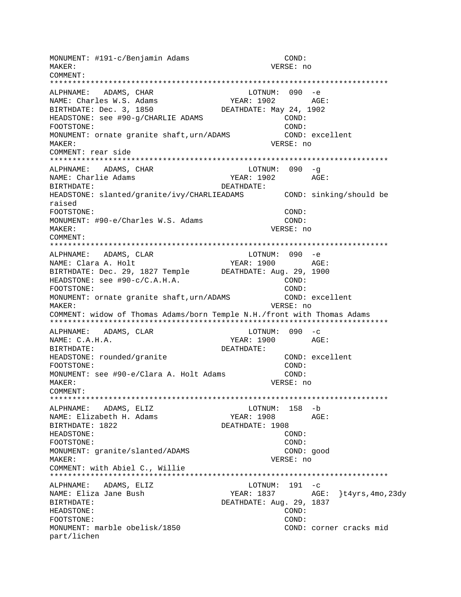MONUMENT: #191-c/Benjamin Adams COND: VERSE: no MAKER: COMMENT: LOTNUM: 090 -e ALPHNAME: ADAMS, CHAR YEAR: 1902 AGE: NAME: Charles W.S. Adams BIRTHDATE: Dec. 3, 1850 DEATHDATE: May 24, 1902 HEADSTONE: see #90-g/CHARLIE ADAMS COND:  $COND:$ FOOTSTONE: MONUMENT: ornate granite shaft, urn/ADAMS COND: excellent MAKER: VERSE: no COMMENT: rear side ALPHNAME: ADAMS, CHAR LOTNUM: 090 -q NAME: Charlie Adams YEAR: 1902 AGE: BIRTHDATE: DEATHDATE: HEADSTONE: slanted/granite/ivy/CHARLIEADAMS COND: sinking/should be raised FOOTSTONE: COND: MONUMENT: #90-e/Charles W.S. Adams COND: VERSE: no MAKER: COMMENT: LOTNUM: 090 -e ALPHNAME: ADAMS, CLAR AGE: NAME: Clara A. Holt YEAR: 1900 BIRTHDATE: Dec. 29, 1827 Temple DEATHDATE: Aug. 29, 1900 HEADSTONE: see #90-c/C.A.H.A. COND: FOOTSTONE: COND: MONUMENT: ornate granite shaft, urn/ADAMS COND: excellent MAKER: VERSE: no COMMENT: widow of Thomas Adams/born Temple N.H./front with Thomas Adams LOTNUM:  $090 -c$ ALPHNAME: ADAMS, CLAR NAME: C.A.H.A. YEAR: 1900 AGE: BIRTHDATE: DEATHDATE: HEADSTONE: rounded/granite COND: excellent FOOTSTONE: COND: MONUMENT: see #90-e/Clara A. Holt Adams COND: VERSE: no MAKER: COMMENT: LOTNUM: 158 -b ALPHNAME: ADAMS, ELIZ NAME: Elizabeth H. Adams YEAR: 1908 AGE: BIRTHDATE: 1822 DEATHDATE: 1908 HEADSTONE: COND: COND: FOOTSTONE: COND: good MONUMENT: granite/slanted/ADAMS MAKER: VERSE: no COMMENT: with Abiel C., Willie LOTNUM:  $191 - c$ ALPHNAME: ADAMS, ELIZ NAME: Eliza Jane Bush YEAR:  $1837$  AGE:  $\}$ t4yrs,4mo,23dy DEATHDATE: Aug. 29, 1837 BIRTHDATE: HEADSTONE: COND: FOOTSTONE: COND: MONUMENT: marble obelisk/1850 COND: corner cracks mid part/lichen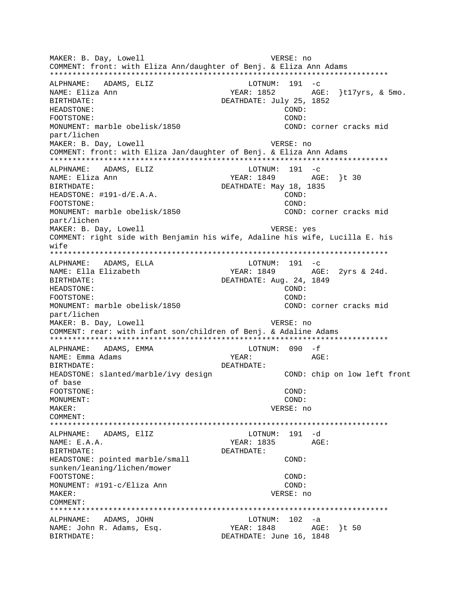MAKER: B. Day, Lowell VERSE: no COMMENT: front: with Eliza Ann/daughter of Benj. & Eliza Ann Adams ALPHNAME: ADAMS, ELIZ LOTNUM:  $191 - c$ NAME: Eliza Ann YEAR: 1852 AGE: }t17yrs, & 5mo. BIRTHDATE: DEATHDATE: July 25, 1852 HEADSTONE: COND: FOOTSTONE: COND: COND: corner cracks mid MONUMENT: marble obelisk/1850 part/lichen MAKER: B. Day, Lowell VERSE: no COMMENT: front: with Eliza Jan/daughter of Benj. & Eliza Ann Adams ALPHNAME: ADAMS, ELIZ  $LOTNUM: 191 -c$ YEAR: 1849 AGE: }t 30 NAME: Eliza Ann DEATHDATE: May 18, 1835 BIRTHDATE: HEADSTONE: #191-d/E.A.A. COND: FOOTSTONE: COND: MONUMENT: marble obelisk/1850 COND: corner cracks mid part/lichen MAKER: B. Day, Lowell VERSE: yes COMMENT: right side with Benjamin his wife, Adaline his wife, Lucilla E. his wife  $LOTNUM: 191 -c$ ALPHNAME: ADAMS, ELLA NAME: Ella Elizabeth YEAR: 1849 AGE: 2yrs & 24d. BIRTHDATE: DEATHDATE: Aug. 24, 1849 HEADSTONE: COND: FOOTSTONE:  $COMD:$ MONUMENT: marble obelisk/1850 COND: corner cracks mid part/lichen MAKER: B. Day, Lowell VERSE: no COMMENT: rear: with infant son/children of Benj. & Adaline Adams LOTNUM:  $090 - f$ ALPHNAME: ADAMS, EMMA NAME: Emma Adams YEAR: AGE: **BIRTHDATE:** DEATHDATE: HEADSTONE: slanted/marble/ivy design COND: chip on low left front of base COND: FOOTSTONE: MONUMENT: COND: MAKER: VERSE: no COMMENT: ALPHNAME: ADAMS, ElIZ LOTNUM: 191 -d YEAR: 1835 AGE:  $NAME: E.A.A.$ DEATHDATE: BIRTHDATE: HEADSTONE: pointed marble/small COND: sunken/leaning/lichen/mower FOOTSTONE: COND: MONUMENT: #191-c/Eliza Ann COND: MAKER: VERSE: no COMMENT: ALPHNAME: ADAMS, JOHN LOTNUM: 102 -a NAME: John R. Adams, Esq. YEAR: 1848 AGE: }t 50 DEATHDATE: June 16, 1848 **BIRTHDATE:**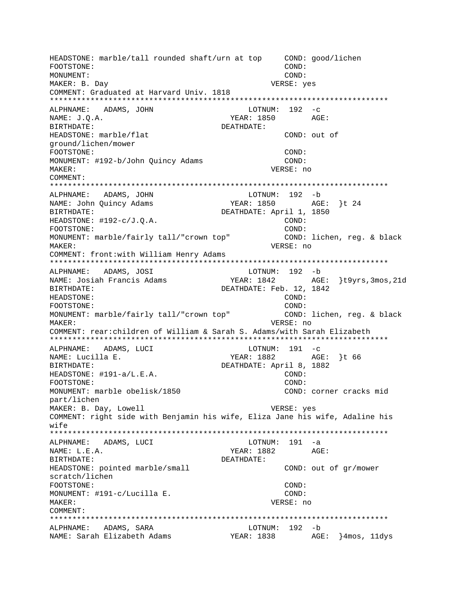HEADSTONE: marble/tall rounded shaft/urn at top COND: good/lichen FOOTSTONE:  $COMD$ : MONUMENT: COND: MAKER: B. Day VERSE: yes COMMENT: Graduated at Harvard Univ. 1818 ALPHNAME: ADAMS, JOHN  $LOTNUM: 192 -c$ NAME:  $J.Q.A.$ YEAR: 1850 AGE: BIRTHDATE: DEATHDATE: HEADSTONE: marble/flat COND: out of qround/lichen/mower COND: FOOTSTONE: MONUMENT: #192-b/John Quincy Adams COND: VERSE: no MAKER: COMMENT: ALPHNAME: ADAMS, JOHN LOTNUM: 192 -b NAME: John Quincy Adams YEAR: 1850 AGE: }t 24 DEATHDATE: April 1, 1850 BIRTHDATE: HEADSTONE:  $\#192-c/J.Q.A.$  $COND:$ COND: FOOTSTONE: MONUMENT: marble/fairly tall/"crown top" COND: lichen, reg. & black VERSE: no MAKER: COMMENT: front: with William Henry Adams LOTNUM: 192 -b ALPHNAME: ADAMS, JOSI NAME: Josiah Francis Adams YEAR: 1842 AGE: \t9yrs,3mos,21d BIRTHDATE: DEATHDATE: Feb. 12, 1842 HEADSTONE:  $COMD:$ FOOTSTONE:  $COMD:$ MONUMENT: marble/fairly tall/"crown top" COND: lichen, req. & black MAKER: VERSE: no COMMENT: rear: children of William & Sarah S. Adams/with Sarah Elizabeth ALPHNAME: ADAMS, LUCI  $LOTNUM: 191 -c$ YEAR: 1882 AGE: }t 66 NAME: Lucilla E. DEATHDATE: April 8, 1882 BIRTHDATE: HEADSTONE: #191-a/L.E.A. COND: COND: FOOTSTONE: MONUMENT: marble obelisk/1850 COND: corner cracks mid part/lichen MAKER: B. Day, Lowell VERSE: yes COMMENT: right side with Benjamin his wife, Eliza Jane his wife, Adaline his wife ALPHNAME: ADAMS, LUCI  $LOTNUM: 191 -a$ NAME: L.E.A. DEATHDATE: RIRTHDATE: HEADSTONE: pointed marble/small COND: out of gr/mower scratch/lichen FOOTSTONE: COND: MONUMENT: #191-c/Lucilla E. COND: MAKER: VERSE: no COMMENT: ALPHNAME: ADAMS, SARA LOTNUM: 192 -b NAME: Sarah Elizabeth Adams MEAR: 1838 AGE: }4mos, 11dys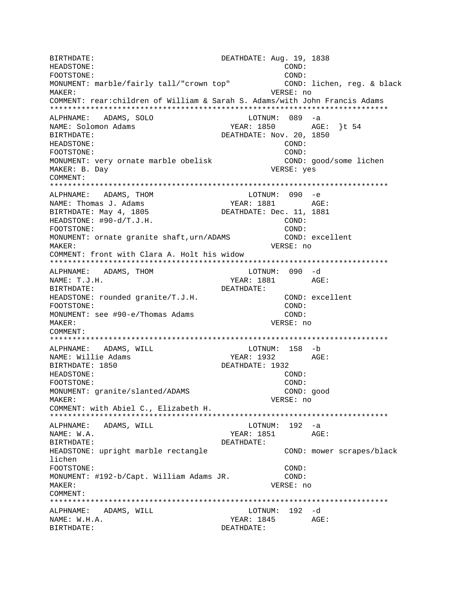BIRTHDATE: DEATHDATE: Aug. 19, 1838 HEADSTONE:  $COND:$ FOOTSTONE: COND: MONUMENT: marble/fairly tall/"crown top" COND: lichen, reg. & black VERSE: no MAKER: COMMENT: rear:children of William & Sarah S. Adams/with John Francis Adams ALPHNAME: ADAMS, SOLO LOTNUM: 089 -a YEAR: 1850 AGE: }t 54 NAME: Solomon Adams DEATHDATE: Nov. 20, 1850 BIRTHDATE: HEADSTONE: COND: FOOTSTONE: COND: MONUMENT: very ornate marble obelisk COND: good/some lichen VERSE: yes MAKER: B. Day  $COMM$  $FNT$ : ALPHNAME: ADAMS, THOM LOTNUM: 090 -e YEAR: 1881 AGE: NAME: Thomas J. Adams BIRTHDATE: May 4, 1805 DEATHDATE: Dec. 11, 1881 HEADSTONE: #90-d/T.J.H.  $\texttt{COND}:$ COND: FOOTSTONE: MONUMENT: ornate granite shaft, urn/ADAMS COND: excellent MAKER: VERSE: no COMMENT: front with Clara A. Holt his widow LOTNUM: 090 -d ALPHNAME: ADAMS, THOM NAME: T.J.H. BIRTHDATE: DEATHDATE: HEADSTONE: rounded granite/T.J.H. COND: excellent  $COND$ : FOOTSTONE: MONUMENT: see #90-e/Thomas Adams COND: MAKER: VERSE: no COMMENT: LOTNUM: 158 -b ALPHNAME: ADAMS, WILL YEAR: 1932 AGE: NAME: Willie Adams DEATHDATE: 1932 BIRTHDATE: 1850 HEADSTONE:  $COND:$ FOOTSTONE: COND: MONUMENT: granite/slanted/ADAMS COND: good **MAKER:** VERSE: no COMMENT: with Abiel C., Elizabeth H.  $LOTNUM: 192 -a$ ADAMS, WILL ALPHNAME: NAME: W.A. YEAR: 1851 AGE: BIRTHDATE: DEATHDATE: HEADSTONE: upright marble rectangle COND: mower scrapes/black lichen FOOTSTONE: COND: MONUMENT: #192-b/Capt. William Adams JR. COND: MAKER: VERSE: no COMMENT: ALPHNAME: ADAMS, WILL LOTNUM: 192 -d NAME: W.H.A.  $YEAR: 1845$   $AGE:$ BIRTHDATE: DEATHDATE: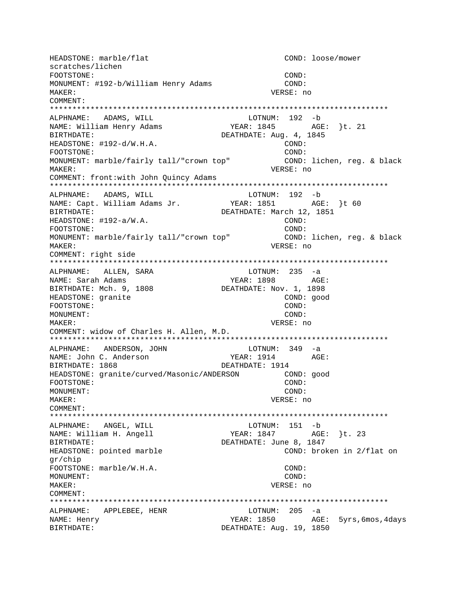HEADSTONE: marble/flat COND: loose/mower scratches/lichen FOOTSTONE: COND: MONUMENT: #192-b/William Henry Adams COND: MAKER: VERSE: no COMMENT: \*\*\*\*\*\*\*\*\*\*\*\*\*\*\*\*\*\*\*\*\*\*\*\*\*\*\*\*\*\*\*\*\*\*\*\*\*\*\*\*\*\*\*\*\*\*\*\*\*\*\*\*\*\*\*\*\*\*\*\*\*\*\*\*\*\*\*\*\*\*\*\*\*\*\* ALPHNAME: ADAMS, WILL **LOTNUM:** 192 -b NAME: William Henry Adams YEAR: 1845 AGE: }t. 21 BIRTHDATE: DEATHDATE: Aug. 4, 1845 HEADSTONE: #192-d/W.H.A. COND: FOOTSTONE: COND: MONUMENT: marble/fairly tall/"crown top" COND: lichen, reg. & black MAKER: VERSE: no COMMENT: front:with John Quincy Adams \*\*\*\*\*\*\*\*\*\*\*\*\*\*\*\*\*\*\*\*\*\*\*\*\*\*\*\*\*\*\*\*\*\*\*\*\*\*\*\*\*\*\*\*\*\*\*\*\*\*\*\*\*\*\*\*\*\*\*\*\*\*\*\*\*\*\*\*\*\*\*\*\*\*\* ALPHNAME: ADAMS, WILL<br>NAME: Capt. William Adams Jr. YEAR: 1851 AGE: }t 60 BIRTHDATE: DEATHDATE: March 12, 1851 HEADSTONE: #192-a/W.A. COND: FOOTSTONE: COND: MONUMENT: marble/fairly tall/"crown top" COND: lichen, reg. & black MAKER: VERSE: no COMMENT: right side \*\*\*\*\*\*\*\*\*\*\*\*\*\*\*\*\*\*\*\*\*\*\*\*\*\*\*\*\*\*\*\*\*\*\*\*\*\*\*\*\*\*\*\*\*\*\*\*\*\*\*\*\*\*\*\*\*\*\*\*\*\*\*\*\*\*\*\*\*\*\*\*\*\*\* ALPHNAME: ALLEN, SARA NAME: Sarah Adams YEAR: 1898 AGE: BIRTHDATE: Mch. 9, 1808 DEATHDATE: Nov. 1, 1898 HEADSTONE: granite COND: good FOOTSTONE: COND: MONUMENT: COND: MAKER: VERSE: no COMMENT: widow of Charles H. Allen, M.D. \*\*\*\*\*\*\*\*\*\*\*\*\*\*\*\*\*\*\*\*\*\*\*\*\*\*\*\*\*\*\*\*\*\*\*\*\*\*\*\*\*\*\*\*\*\*\*\*\*\*\*\*\*\*\*\*\*\*\*\*\*\*\*\*\*\*\*\*\*\*\*\*\*\*\* ALPHNAME: ANDERSON, JOHN LOTNUM: 349 -a NAME: John C. Anderson YEAR: 1914 AGE: BIRTHDATE: 1868 DEATHDATE: 1914 HEADSTONE: granite/curved/Masonic/ANDERSON COND: good FOOTSTONE: COND: MONUMENT: COND: MAKER: VERSE: no COMMENT: \*\*\*\*\*\*\*\*\*\*\*\*\*\*\*\*\*\*\*\*\*\*\*\*\*\*\*\*\*\*\*\*\*\*\*\*\*\*\*\*\*\*\*\*\*\*\*\*\*\*\*\*\*\*\*\*\*\*\*\*\*\*\*\*\*\*\*\*\*\*\*\*\*\*\* ALPHNAME: ANGEL, WILL CONNECTED MANAGEMENT AND LOTNUM: 151 -b NAME: William H. Angell YEAR: 1847 AGE: }t. 23 BIRTHDATE: DEATHDATE: June 8, 1847 HEADSTONE: pointed marble COND: broken in 2/flat on gr/chip FOOTSTONE: marble/W.H.A. COND: MONUMENT: COND: MAKER: VERSE: no COMMENT: \*\*\*\*\*\*\*\*\*\*\*\*\*\*\*\*\*\*\*\*\*\*\*\*\*\*\*\*\*\*\*\*\*\*\*\*\*\*\*\*\*\*\*\*\*\*\*\*\*\*\*\*\*\*\*\*\*\*\*\*\*\*\*\*\*\*\*\*\*\*\*\*\*\*\* ALPHNAME: APPLEBEE, HENR LOTNUM: 205 -a NAME: Henry **WEAR: 1850** AGE: 5yrs,6mos,4days BIRTHDATE: DEATHDATE: Aug. 19, 1850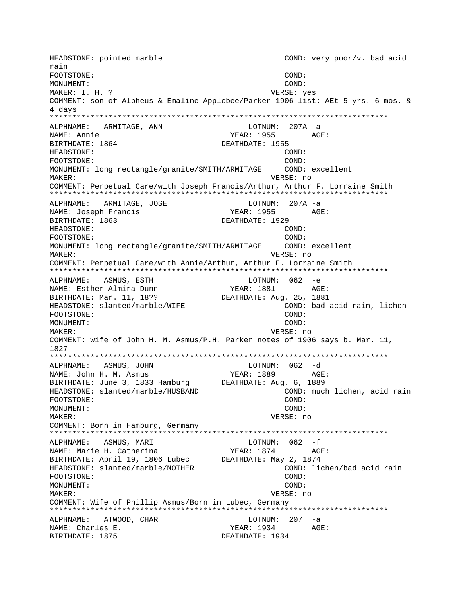HEADSTONE: pointed marble COND: very poor/v. bad acid rain FOOTSTONE: COND: MONUMENT: COND: MAKER: I. H. ? VERSE: yes COMMENT: son of Alpheus & Emaline Applebee/Parker 1906 list: AEt 5 yrs. 6 mos. & 4 davs ALPHNAME: ARMITAGE, ANN LOTNUM: 207A -a NAME: Annie YEAR: 1955 AGE: BIRTHDATE: 1864 DEATHDATE: 1955 HEADSTONE: COND: COND: FOOTSTONE: MONUMENT: long rectangle/granite/SMITH/ARMITAGE COND: excellent VERSE: no MAKER: COMMENT: Perpetual Care/with Joseph Francis/Arthur, Arthur F. Lorraine Smith ALPHNAME: ARMITAGE, JOSE LOTNUM: 207A -a YEAR: 1955 AGE: NAME: Joseph Francis BIRTHDATE: 1863 DEATHDATE: 1929 HEADSTONE:  $COMD:$ FOOTSTONE:  $COMD$ : MONUMENT: long rectangle/granite/SMITH/ARMITAGE COND: excellent MAKER: VERSE: no COMMENT: Perpetual Care/with Annie/Arthur, Arthur F. Lorraine Smith ALPHNAME: ASMUS, ESTH LOTNUM: 062 -e AGE: NAME: Esther Almira Dunn YEAR: 1881 BIRTHDATE: Mar. 11, 18?? DEATHDATE: Aug. 25, 1881 HEADSTONE: slanted/marble/WIFE COND: bad acid rain, lichen COND: FOOTSTONE: COND: MONUMENT: MAKER: VERSE: no COMMENT: wife of John H. M. Asmus/P.H. Parker notes of 1906 says b. Mar. 11, 1827 LOTNUM:  $062 - d$ ALPHNAME: ASMUS, JOHN NAME: John H. M. Asmus YEAR: 1889 AGE: BIRTHDATE: June 3, 1833 Hamburg DEATHDATE: Aug. 6, 1889 HEADSTONE: slanted/marble/HUSBAND COND: much lichen, acid rain FOOTSTONE: COND: MONUMENT: COND: MAKER: VERSE: no COMMENT: Born in Hamburg, Germany ALPHNAME: ASMUS, MARI LOTNUM:  $062 - f$ NAME: Marie H. Catherina YEAR: 1874 AGE: BIRTHDATE: April 19, 1806 Lubec DEATHDATE: May 2, 1874 HEADSTONE: slanted/marble/MOTHER COND: lichen/bad acid rain FOOTSTONE: COND: MONUMENT: COND: MAKER: VERSE: no COMMENT: Wife of Phillip Asmus/Born in Lubec, Germany ALPHNAME: ATWOOD, CHAR LOTNUM: 207 -a YEAR: 1934 NAME: Charles E. AGE: BIRTHDATE: 1875 DEATHDATE: 1934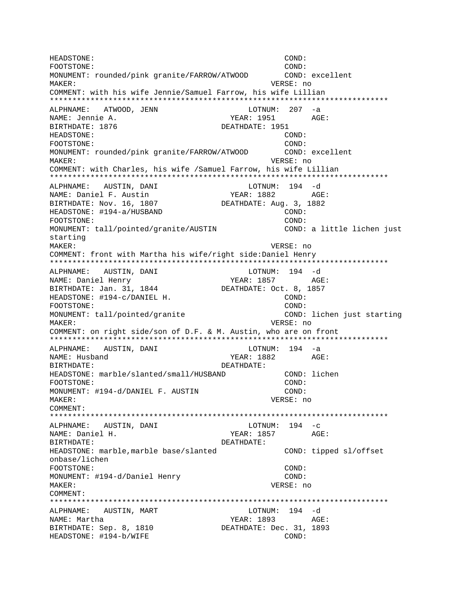HEADSTONE: COND: FOOTSTONE: COND: MONUMENT: rounded/pink granite/FARROW/ATWOOD COND: excellent MAKER: VERSE: no COMMENT: with his wife Jennie/Samuel Farrow, his wife Lillian \*\*\*\*\*\*\*\*\*\*\*\*\*\*\*\*\*\*\*\*\*\*\*\*\*\*\*\*\*\*\*\*\*\*\*\*\*\*\*\*\*\*\*\*\*\*\*\*\*\*\*\*\*\*\*\*\*\*\*\*\*\*\*\*\*\*\*\*\*\*\*\*\*\*\* ALPHNAME: ATWOOD, JENN LOTNUM: 207 -a NAME: Jennie A. YEAR: 1951 AGE: BIRTHDATE: 1876 DEATHDATE: 1951 HEADSTONE: COND: FOOTSTONE: COND: MONUMENT: rounded/pink granite/FARROW/ATWOOD COND: excellent MAKER: VERSE: no COMMENT: with Charles, his wife /Samuel Farrow, his wife Lillian \*\*\*\*\*\*\*\*\*\*\*\*\*\*\*\*\*\*\*\*\*\*\*\*\*\*\*\*\*\*\*\*\*\*\*\*\*\*\*\*\*\*\*\*\*\*\*\*\*\*\*\*\*\*\*\*\*\*\*\*\*\*\*\*\*\*\*\*\*\*\*\*\*\*\* ALPHNAME: AUSTIN, DANI NAME: Daniel F. Austin YEAR: 1882 AGE: BIRTHDATE: Nov. 16, 1807 DEATHDATE: Aug. 3, 1882 HEADSTONE: #194-a/HUSBAND COND: FOOTSTONE: COND: MONUMENT: tall/pointed/granite/AUSTIN COND: a little lichen just starting MAKER: VERSE: no COMMENT: front with Martha his wife/right side:Daniel Henry \*\*\*\*\*\*\*\*\*\*\*\*\*\*\*\*\*\*\*\*\*\*\*\*\*\*\*\*\*\*\*\*\*\*\*\*\*\*\*\*\*\*\*\*\*\*\*\*\*\*\*\*\*\*\*\*\*\*\*\*\*\*\*\*\*\*\*\*\*\*\*\*\*\*\* ALPHNAME: AUSTIN, DANI LOTNUM: 194 -d NAME: Daniel Henry Tear: 1857 AGE: BIRTHDATE: Jan. 31, 1844 DEATHDATE: Oct. 8, 1857 HEADSTONE: #194-c/DANIEL H. COND: FOOTSTONE: COND: MONUMENT: tall/pointed/granite COND: lichen just starting MAKER: VERSE: no COMMENT: on right side/son of D.F. & M. Austin, who are on front \*\*\*\*\*\*\*\*\*\*\*\*\*\*\*\*\*\*\*\*\*\*\*\*\*\*\*\*\*\*\*\*\*\*\*\*\*\*\*\*\*\*\*\*\*\*\*\*\*\*\*\*\*\*\*\*\*\*\*\*\*\*\*\*\*\*\*\*\*\*\*\*\*\*\* ALPHNAME: AUSTIN, DANI LOTNUM: 194 -a NAME: Husband YEAR: 1882 AGE: BIRTHDATE: DEATHDATE: HEADSTONE: marble/slanted/small/HUSBAND COND: lichen FOOTSTONE: COND: MONUMENT: #194-d/DANIEL F. AUSTIN COND: MAKER: VERSE: no COMMENT: \*\*\*\*\*\*\*\*\*\*\*\*\*\*\*\*\*\*\*\*\*\*\*\*\*\*\*\*\*\*\*\*\*\*\*\*\*\*\*\*\*\*\*\*\*\*\*\*\*\*\*\*\*\*\*\*\*\*\*\*\*\*\*\*\*\*\*\*\*\*\*\*\*\*\* ALPHNAME: AUSTIN, DANI LOTNUM: 194 -c NAME: Daniel H. Same Communications of the Magnus Media of the YEAR: 1857 AGE: BIRTHDATE: DEATHDATE: HEADSTONE: marble,marble base/slanted COND: tipped sl/offset onbase/lichen FOOTSTONE: COND: MONUMENT: #194-d/Daniel Henry COND: MAKER: VERSE: no COMMENT: \*\*\*\*\*\*\*\*\*\*\*\*\*\*\*\*\*\*\*\*\*\*\*\*\*\*\*\*\*\*\*\*\*\*\*\*\*\*\*\*\*\*\*\*\*\*\*\*\*\*\*\*\*\*\*\*\*\*\*\*\*\*\*\*\*\*\*\*\*\*\*\*\*\*\* ALPHNAME: AUSTIN, MART LOTNUM: 194 -d NAME: Martha YEAR: 1893 AGE: BIRTHDATE: Sep. 8, 1810 DEATHDATE: Dec. 31, 1893 HEADSTONE: #194-b/WIFE COND: COND: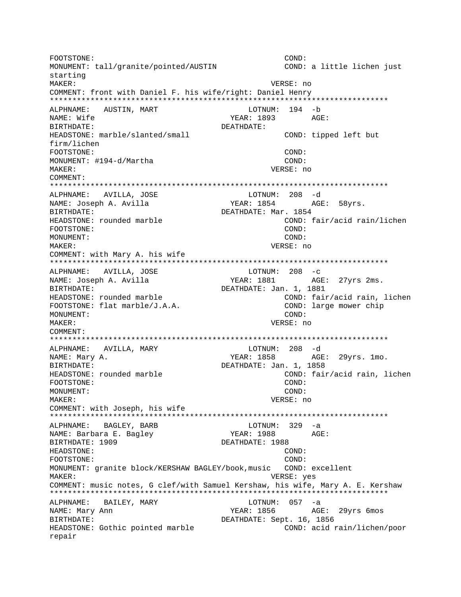FOOTSTONE: COND: MONUMENT: tall/granite/pointed/AUSTIN COND: a little lichen just starting MAKER: VERSE: no COMMENT: front with Daniel F. his wife/right: Daniel Henry ALPHNAME: AUSTIN, MART LOTNUM: 194 -b NAME: Wife YEAR: 1893 AGE: BIRTHDATE: DEATHDATE: HEADSTONE: marble/slanted/small COND: tipped left but firm/lichen  $COND:$ FOOTSTONE: MONUMENT: #194-d/Martha COND: VERSE: no MAKER: COMMENT: ALPHNAME: AVILLA, JOSE  $LOTNUM: 208 -d$ YEAR: 1854 AGE: 58yrs. NAME: Joseph A. Avilla BIRTHDATE: DEATHDATE: Mar. 1854 COND: fair/acid rain/lichen HEADSTONE: rounded marble FOOTSTONE:  $COMD:$ MONUMENT: COND: MAKER: VERSE: no COMMENT: with Mary A. his wife ALPHNAME: AVILLA, JOSE  $LOTNUM: 208 -c$ NAME: Joseph A. Avilla YEAR: 1881 AGE: 27yrs 2ms. DEATHDATE: Jan. 1, 1881 BIRTHDATE: COND: fair/acid rain, lichen HEADSTONE: rounded marble FOOTSTONE: flat marble/J.A.A. COND: large mower chip MONUMENT:  $COND:$ VERSE: no MAKER: COMMENT: LOTNUM: 208 -d ALPHNAME: AVILLA, MARY YEAR: 1858 AGE: 29yrs. 1mo. NAME: Mary A. DEATHDATE: Jan. 1, 1858 BIRTHDATE: HEADSTONE: rounded marble COND: fair/acid rain, lichen FOOTSTONE: COND: MONUMENT:  $COMD:$ MAKER: VERSE: no COMMENT: with Joseph, his wife  $LOTNUM: 329 -a$ BAGLEY, BARB ALPHNAME: NAME: Barbara E. Bagley YEAR: 1988  $\triangle G$ F: BIRTHDATE: 1909 DEATHDATE: 1988 HEADSTONE: COND: COND: FOOTSTONE: MONUMENT: granite block/KERSHAW BAGLEY/book, music COND: excellent MAKER: VERSE: yes COMMENT: music notes, G clef/with Samuel Kershaw, his wife, Mary A. E. Kershaw ALPHNAME: BAILEY, MARY LOTNUM: 057 -a NAME: Mary Ann YEAR: 1856 AGE: 29yrs 6mos BIRTHDATE: DEATHDATE: Sept. 16, 1856 HEADSTONE: Gothic pointed marble COND: acid rain/lichen/poor repair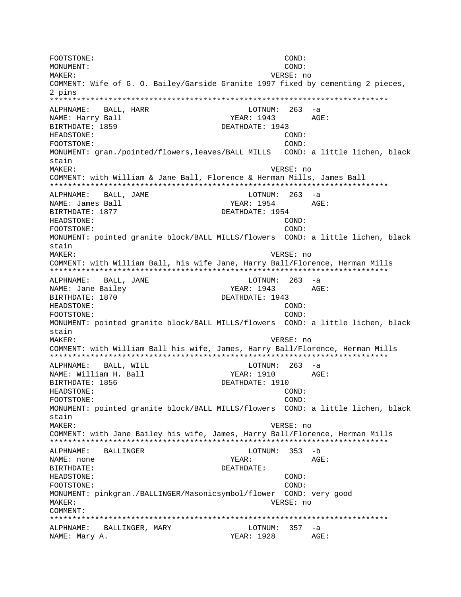FOOTSTONE: COND: MONUMENT: COND: MAKER: VERSE: no COMMENT: Wife of G. O. Bailey/Garside Granite 1997 fixed by cementing 2 pieces, 2 pins \*\*\*\*\*\*\*\*\*\*\*\*\*\*\*\*\*\*\*\*\*\*\*\*\*\*\*\*\*\*\*\*\*\*\*\*\*\*\*\*\*\*\*\*\*\*\*\*\*\*\*\*\*\*\*\*\*\*\*\*\*\*\*\*\*\*\*\*\*\*\*\*\*\*\* ALPHNAME: BALL, HARR LOTNUM: 263 -a NAME: Harry Ball **XEAR: 1943** AGE: BIRTHDATE: 1859 DEATHDATE: 1943 HEADSTONE: COND: FOOTSTONE: COND: MONUMENT: gran./pointed/flowers,leaves/BALL MILLS COND: a little lichen, black stain MAKER: VERSE: no COMMENT: with William & Jane Ball, Florence & Herman Mills, James Ball \*\*\*\*\*\*\*\*\*\*\*\*\*\*\*\*\*\*\*\*\*\*\*\*\*\*\*\*\*\*\*\*\*\*\*\*\*\*\*\*\*\*\*\*\*\*\*\*\*\*\*\*\*\*\*\*\*\*\*\*\*\*\*\*\*\*\*\*\*\*\*\*\*\*\* ALPHNAME: BALL, JAME LOTNUM: 263 -a NAME: James Ball YEAR: 1954 AGE: BIRTHDATE: 1877 DEATHDATE: 1954 HEADSTONE: COND: FOOTSTONE: COND: MONUMENT: pointed granite block/BALL MILLS/flowers COND: a little lichen, black stain MAKER: VERSE: no COMMENT: with William Ball, his wife Jane, Harry Ball/Florence, Herman Mills \*\*\*\*\*\*\*\*\*\*\*\*\*\*\*\*\*\*\*\*\*\*\*\*\*\*\*\*\*\*\*\*\*\*\*\*\*\*\*\*\*\*\*\*\*\*\*\*\*\*\*\*\*\*\*\*\*\*\*\*\*\*\*\*\*\*\*\*\*\*\*\*\*\*\* ALPHNAME: BALL, JANE LOTNUM: 263 -a NAME: Jane Bailey Name (1943 AGE: BIRTHDATE: 1870 DEATHDATE: 1943 HEADSTONE: COND: FOOTSTONE: COND: MONUMENT: pointed granite block/BALL MILLS/flowers COND: a little lichen, black stain MAKER: VERSE: no COMMENT: with William Ball his wife, James, Harry Ball/Florence, Herman Mills \*\*\*\*\*\*\*\*\*\*\*\*\*\*\*\*\*\*\*\*\*\*\*\*\*\*\*\*\*\*\*\*\*\*\*\*\*\*\*\*\*\*\*\*\*\*\*\*\*\*\*\*\*\*\*\*\*\*\*\*\*\*\*\*\*\*\*\*\*\*\*\*\*\*\* ALPHNAME: BALL, WILL **LOTNUM:** 263 -a NAME: William H. Ball YEAR: 1910 AGE: BIRTHDATE: 1856 DEATHDATE: 1910 HEADSTONE: COND: FOOTSTONE: COND: MONUMENT: pointed granite block/BALL MILLS/flowers COND: a little lichen, black stain MAKER: VERSE: no COMMENT: with Jane Bailey his wife, James, Harry Ball/Florence, Herman Mills \*\*\*\*\*\*\*\*\*\*\*\*\*\*\*\*\*\*\*\*\*\*\*\*\*\*\*\*\*\*\*\*\*\*\*\*\*\*\*\*\*\*\*\*\*\*\*\*\*\*\*\*\*\*\*\*\*\*\*\*\*\*\*\*\*\*\*\*\*\*\*\*\*\*\* ALPHNAME: BALLINGER LOTNUM: 353 -b NAME: none YEAR: AGE: BIRTHDATE: DEATHDATE: HEADSTONE: COND: FOOTSTONE: COND: MONUMENT: pinkgran./BALLINGER/Masonicsymbol/flower COND: very good MAKER: VERSE: no COMMENT: \*\*\*\*\*\*\*\*\*\*\*\*\*\*\*\*\*\*\*\*\*\*\*\*\*\*\*\*\*\*\*\*\*\*\*\*\*\*\*\*\*\*\*\*\*\*\*\*\*\*\*\*\*\*\*\*\*\*\*\*\*\*\*\*\*\*\*\*\*\*\*\*\*\*\* ALPHNAME: BALLINGER, MARY LOTNUM: 357 -a NAME: Mary A. Same Communications of the MEAR: 1928 AGE: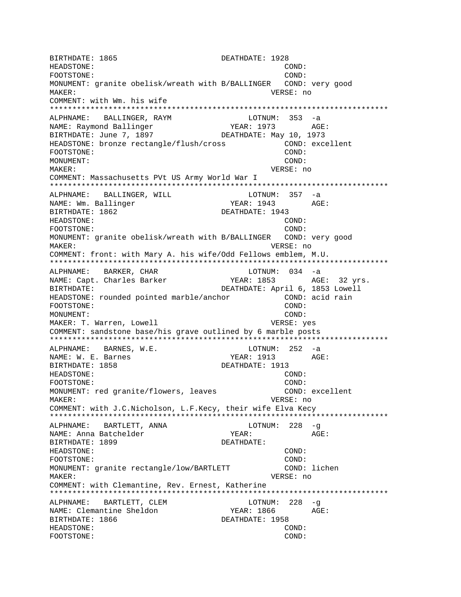BIRTHDATE: 1865 DEATHDATE: 1928 HEADSTONE: COND: FOOTSTONE: COND: MONUMENT: granite obelisk/wreath with B/BALLINGER COND: very good MAKER: VERSE: no COMMENT: with Wm. his wife \*\*\*\*\*\*\*\*\*\*\*\*\*\*\*\*\*\*\*\*\*\*\*\*\*\*\*\*\*\*\*\*\*\*\*\*\*\*\*\*\*\*\*\*\*\*\*\*\*\*\*\*\*\*\*\*\*\*\*\*\*\*\*\*\*\*\*\*\*\*\*\*\*\*\* ALPHNAME: BALLINGER, RAYM LOTNUM: 353 -a NAME: Raymond Ballinger Tear: 1973 AGE: BIRTHDATE: June 7, 1897 DEATHDATE: May 10, 1973 HEADSTONE: bronze rectangle/flush/cross COND: excellent FOOTSTONE: MONUMENT: COND: MAKER: VERSE: no COMMENT: Massachusetts PVt US Army World War I \*\*\*\*\*\*\*\*\*\*\*\*\*\*\*\*\*\*\*\*\*\*\*\*\*\*\*\*\*\*\*\*\*\*\*\*\*\*\*\*\*\*\*\*\*\*\*\*\*\*\*\*\*\*\*\*\*\*\*\*\*\*\*\*\*\*\*\*\*\*\*\*\*\*\* ALPHNAME: BALLINGER, WILL NAME: Wm. Ballinger The YEAR: 1943 AGE: BIRTHDATE: 1862 DEATHDATE: 1943 HEADSTONE: COND: FOOTSTONE: COND: MONUMENT: granite obelisk/wreath with B/BALLINGER COND: very good MAKER: VERSE: no COMMENT: front: with Mary A. his wife/Odd Fellows emblem, M.U. \*\*\*\*\*\*\*\*\*\*\*\*\*\*\*\*\*\*\*\*\*\*\*\*\*\*\*\*\*\*\*\*\*\*\*\*\*\*\*\*\*\*\*\*\*\*\*\*\*\*\*\*\*\*\*\*\*\*\*\*\*\*\*\*\*\*\*\*\*\*\*\*\*\*\* ALPHNAME: BARKER, CHAR LOTNUM: 034 -a NAME: Capt. Charles Barker YEAR: 1853 AGE: 32 yrs. BIRTHDATE: DEATHDATE: April 6, 1853 Lowell HEADSTONE: rounded pointed marble/anchor COND: acid rain<br>FOOTSTONE: COND: FOOTSTONE: MONUMENT: COND: MAKER: T. Warren, Lowell VERSE: yes COMMENT: sandstone base/his grave outlined by 6 marble posts \*\*\*\*\*\*\*\*\*\*\*\*\*\*\*\*\*\*\*\*\*\*\*\*\*\*\*\*\*\*\*\*\*\*\*\*\*\*\*\*\*\*\*\*\*\*\*\*\*\*\*\*\*\*\*\*\*\*\*\*\*\*\*\*\*\*\*\*\*\*\*\*\*\*\* ALPHNAME: BARNES, W.E. LOTNUM: 252 -a NAME: W. E. Barnes The Month of MEAR: 1913 AGE: BIRTHDATE: 1858 DEATHDATE: 1913 HEADSTONE: COND: FOOTSTONE: COND: MONUMENT: red granite/flowers, leaves The COND: excellent MAKER: VERSE: no COMMENT: with J.C.Nicholson, L.F.Kecy, their wife Elva Kecy \*\*\*\*\*\*\*\*\*\*\*\*\*\*\*\*\*\*\*\*\*\*\*\*\*\*\*\*\*\*\*\*\*\*\*\*\*\*\*\*\*\*\*\*\*\*\*\*\*\*\*\*\*\*\*\*\*\*\*\*\*\*\*\*\*\*\*\*\*\*\*\*\*\*\* ALPHNAME: BARTLETT, ANNA LOTNUM: 228 -g NAME: Anna Batchelder YEAR: AGE: BIRTHDATE: 1899 DEATHDATE: HEADSTONE: COND: FOOTSTONE: COND: MONUMENT: granite rectangle/low/BARTLETT COND: lichen MAKER: VERSE: no COMMENT: with Clemantine, Rev. Ernest, Katherine \*\*\*\*\*\*\*\*\*\*\*\*\*\*\*\*\*\*\*\*\*\*\*\*\*\*\*\*\*\*\*\*\*\*\*\*\*\*\*\*\*\*\*\*\*\*\*\*\*\*\*\*\*\*\*\*\*\*\*\*\*\*\*\*\*\*\*\*\*\*\*\*\*\*\* ALPHNAME: BARTLETT, CLEM LOTNUM: 228 -q NAME: Clemantine Sheldon YEAR: 1866 AGE: BIRTHDATE: 1866 DEATHDATE: 1958 HEADSTONE: COND: FOOTSTONE: COND: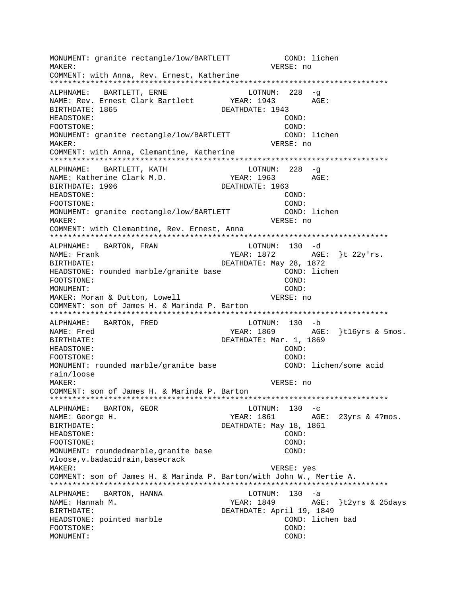MONUMENT: granite rectangle/low/BARTLETT COND: lichen MAKER: VERSE: no COMMENT: with Anna, Rev. Ernest, Katherine \*\*\*\*\*\*\*\*\*\*\*\*\*\*\*\*\*\*\*\*\*\*\*\*\*\*\*\*\*\*\*\*\*\*\*\*\*\*\*\*\*\*\*\*\*\*\*\*\*\*\*\*\*\*\*\*\*\*\*\*\*\*\*\*\*\*\*\*\*\*\*\*\*\*\* ALPHNAME: BARTLETT, ERNE LOTNUM: 228 -g NAME: Rev. Ernest Clark Bartlett BIRTHDATE: 1865 DEATHDATE: 1943 HEADSTONE: COND: FOOTSTONE: COND: MONUMENT: granite rectangle/low/BARTLETT COND: lichen MAKER: VERSE: no COMMENT: with Anna, Clemantine, Katherine \*\*\*\*\*\*\*\*\*\*\*\*\*\*\*\*\*\*\*\*\*\*\*\*\*\*\*\*\*\*\*\*\*\*\*\*\*\*\*\*\*\*\*\*\*\*\*\*\*\*\*\*\*\*\*\*\*\*\*\*\*\*\*\*\*\*\*\*\*\*\*\*\*\*\* ALPHNAME: BARTLETT, KATH LOTNUM: 228 -g NAME: Katherine Clark M.D. YEAR: 1963 AGE: BIRTHDATE: 1906 DEATHDATE: 1963 HEADSTONE: COND: FOOTSTONE: COND: MONUMENT: granite rectangle/low/BARTLETT COND: lichen MAKER: VERSE: no COMMENT: with Clemantine, Rev. Ernest, Anna \*\*\*\*\*\*\*\*\*\*\*\*\*\*\*\*\*\*\*\*\*\*\*\*\*\*\*\*\*\*\*\*\*\*\*\*\*\*\*\*\*\*\*\*\*\*\*\*\*\*\*\*\*\*\*\*\*\*\*\*\*\*\*\*\*\*\*\*\*\*\*\*\*\*\* ALPHNAME: BARTON, FRAN LOTNUM: 130 -d NAME: Frank TEAR: 1872 AGE: {t 22y'rs. BIRTHDATE: Nay 28, 1872 HEADSTONE: rounded marble/granite base COND: lichen FOOTSTONE: COND: MONUMENT: COND: MAKER: Moran & Dutton, Lowell VERSE: no COMMENT: son of James H. & Marinda P. Barton \*\*\*\*\*\*\*\*\*\*\*\*\*\*\*\*\*\*\*\*\*\*\*\*\*\*\*\*\*\*\*\*\*\*\*\*\*\*\*\*\*\*\*\*\*\*\*\*\*\*\*\*\*\*\*\*\*\*\*\*\*\*\*\*\*\*\*\*\*\*\*\*\*\*\* ALPHNAME: BARTON, FRED LOTNUM: 130 -b NAME: Fred YEAR: 1869 AGE: }t16yrs & 5mos. BIRTHDATE: DEATHDATE: Mar. 1, 1869 HEADSTONE: COND: FOOTSTONE: COND: MONUMENT: rounded marble/granite base The COND: lichen/some acid rain/loose MAKER: VERSE: no COMMENT: son of James H. & Marinda P. Barton \*\*\*\*\*\*\*\*\*\*\*\*\*\*\*\*\*\*\*\*\*\*\*\*\*\*\*\*\*\*\*\*\*\*\*\*\*\*\*\*\*\*\*\*\*\*\*\*\*\*\*\*\*\*\*\*\*\*\*\*\*\*\*\*\*\*\*\*\*\*\*\*\*\*\* ALPHNAME: BARTON, GEOR LOTNUM: 130 -c NAME: George H. The South Communication of the Magnus YEAR: 1861 AGE: 23yrs & 4?mos. BIRTHDATE: DEATHDATE: May 18, 1861 HEADSTONE: COND: FOOTSTONE: COND: MONUMENT: roundedmarble, granite base COND: vloose,v.badacidrain,basecrack MAKER: VERSE: yes COMMENT: son of James H. & Marinda P. Barton/with John W., Mertie A. \*\*\*\*\*\*\*\*\*\*\*\*\*\*\*\*\*\*\*\*\*\*\*\*\*\*\*\*\*\*\*\*\*\*\*\*\*\*\*\*\*\*\*\*\*\*\*\*\*\*\*\*\*\*\*\*\*\*\*\*\*\*\*\*\*\*\*\*\*\*\*\*\*\*\* ALPHNAME: BARTON, HANNA LOTNUM: 130 -a NAME: Hannah M. YEAR: 1849 AGE: }t2yrs & 25days BIRTHDATE: DEATHDATE: April 19, 1849 HEADSTONE: pointed marble COND: lichen bad FOOTSTONE: COND: MONUMENT: COND: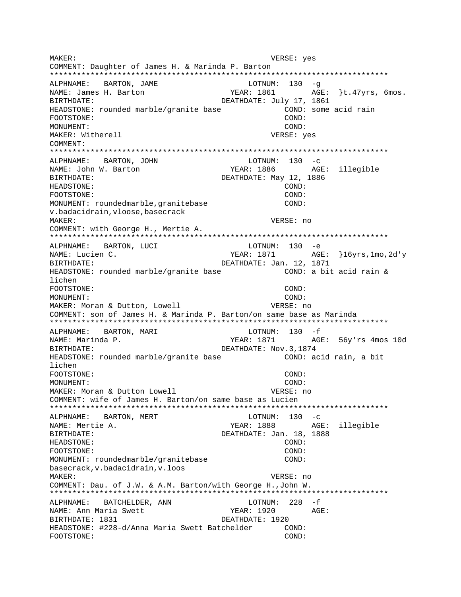VERSE: yes MAKER: COMMENT: Daughter of James H. & Marinda P. Barton ALPHNAME: BARTON, JAME LOTNUM:  $130 - g$ NAME: James H. Barton YEAR: 1861 AGE: }t.47yrs, 6mos. BIRTHDATE: DEATHDATE: July 17, 1861 HEADSTONE: rounded marble/granite base COND: some acid rain FOOTSTONE: COND: COND: MONIJMENT: MAKER: Witherell VERSE: yes COMMENT: ALPHNAME: BARTON, JOHN  $LOTNUM: 130 -c$ NAME: John W. Barton YEAR: 1886 AGE: illegible BIRTHDATE: DEATHDATE: May 12, 1886 HEADSTONE: COND: FOOTSTONE: COND: MONUMENT: roundedmarble, granitebase COND: v.badacidrain, vloose, basecrack MAKER: VERSE: no COMMENT: with George H., Mertie A. ALPHNAME: BARTON, LUCI LOTNUM: 130 -e AGE: }16yrs,1mo,2d'y NAME: Lucien C. YEAR: 1871 BIRTHDATE: DEATHDATE: Jan. 12, 1871 HEADSTONE: rounded marble/granite base COND: a bit acid rain & lichen FOOTSTONE: COND:  $M$  $\bigcap$  $N$  $T$  $I$  $M$  $F$  $N$  $T$  $\colon$  $COMD:$ MAKER: Moran & Dutton, Lowell VERSE: no COMMENT: son of James H. & Marinda P. Barton/on same base as Marinda LOTNUM:  $130 - f$ BARTON, MARI ALPHNAME: YEAR: 1871 AGE: 56y'rs 4mos 10d NAME: Marinda P. DEATHDATE: Nov.3,1874 BIRTHDATE: COND: acid rain, a bit HEADSTONE: rounded marble/granite base lichen FOOTSTONE: COND: MONUMENT:  $COMD:$ MAKER: Moran & Dutton Lowell VERSE: no COMMENT: wife of James H. Barton/on same base as Lucien \*\*\*\*\*\*\*\*\*\*\*\*\*\*\*\*\*\*\*\*\*\*\*\*\*\*\*\*\*\*\*\*\*\* \*\*\*\*\*\*\*\*\*\*\*\*\* ALPHNAME: BARTON, MERT  $LOTNUM: 130 -c$ AGE: illegible NAME: Mertie A. YEAR: 1888 DEATHDATE: Jan. 18, 1888 **BIRTHDATE:** HEADSTONE: COND: FOOTSTONE: COND: MONUMENT: roundedmarble/granitebase COND: basecrack, v.badacidrain, v.loos MAKER: VERSE: no COMMENT: Dau. of J.W. & A.M. Barton/with George H., John W. ALPHNAME: BATCHELDER, ANN LOTNUM: 228 -f NAME: Ann Maria Swett YEAR: 1920 AGE: BIRTHDATE: 1831 DEATHDATE: 1920 HEADSTONE: #228-d/Anna Maria Swett Batchelder COND: COND: FOOTSTONE: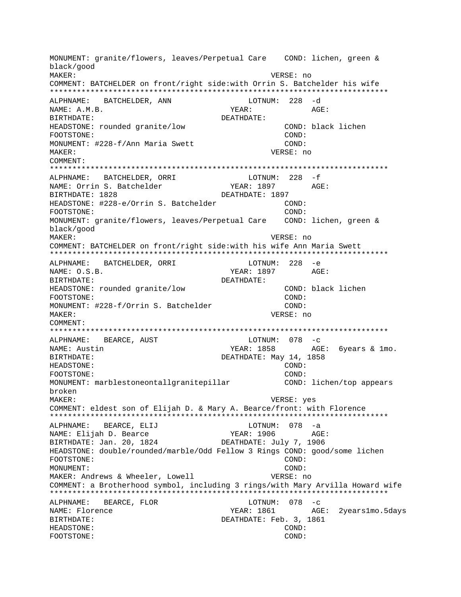MONUMENT: granite/flowers, leaves/Perpetual Care COND: lichen, green & black/good MAKER: VERSE: no COMMENT: BATCHELDER on front/right side:with Orrin S. Batchelder his wife ALPHNAME: BATCHELDER, ANN  $LOTNUM: 228 - d$ NAME: A.M.B. YEAR: AGE: BIRTHDATE: DEATHDATE: HEADSTONE: rounded granite/low COND: black lichen FOOTSTONE: COND: MONUMENT: #228-f/Ann Maria Swett COND: MAKER: VERSE: no COMMENT: ALPHNAME: BATCHELDER, ORRI  $LOTNUM: 228 - f$ YEAR: 1897 AGE: NAME: Orrin S. Batchelder BIRTHDATE: 1828 DEATHDATE: 1897 HEADSTONE: #228-e/Orrin S. Batchelder COND: FOOTSTONE: COND: MONUMENT: granite/flowers, leaves/Perpetual Care COND: lichen, green & black/good MAKER: VERSE: no COMMENT: BATCHELDER on front/right side: with his wife Ann Maria Swett ALPHNAME: BATCHELDER, ORRI LOTNUM: 228 -e AGE: NAME: O.S.B. YEAR: 1897 BIRTHDATE: DEATHDATE: COND: black lichen HEADSTONE: rounded granite/low  $COMD:$ FOOTSTONE: MONUMENT: #228-f/Orrin S. Batchelder COND: VERSE: no MAKER: COMMENT: ALPHNAME: BEARCE, AUST LOTNUM:  $078 - c$ AGE: 6years & 1mo. NAME: Austin YEAR: 1858 DEATHDATE: May 14, 1858 BIRTHDATE: HEADSTONE: COND: FOOTSTONE: COND: MONUMENT: marblestoneontallgranitepillar COND: lichen/top appears broken MAKER: VERSE: yes COMMENT: eldest son of Elijah D. & Mary A. Bearce/front: with Florence BEARCE, ELIJ LOTNUM: 078 -a ALPHNAME: NAME: Elijah D. Bearce YEAR: 1906  $AGE:$ BIRTHDATE: Jan. 20, 1824 DEATHDATE: July 7, 1906 HEADSTONE: double/rounded/marble/Odd Fellow 3 Rings COND: good/some lichen FOOTSTONE: COND: MONUMENT: COND: MAKER: Andrews & Wheeler, Lowell VERSE: no COMMENT: a Brotherhood symbol, including 3 rings/with Mary Arvilla Howard wife ALPHNAME: BEARCE, FLOR  $LOTNUM: 078 -c$ NAME: Florence YEAR: 1861 AGE: 2years1mo.5days **BIRTHDATE:** DEATHDATE: Feb. 3, 1861 HEADSTONE: COND: FOOTSTONE:  $COMD:$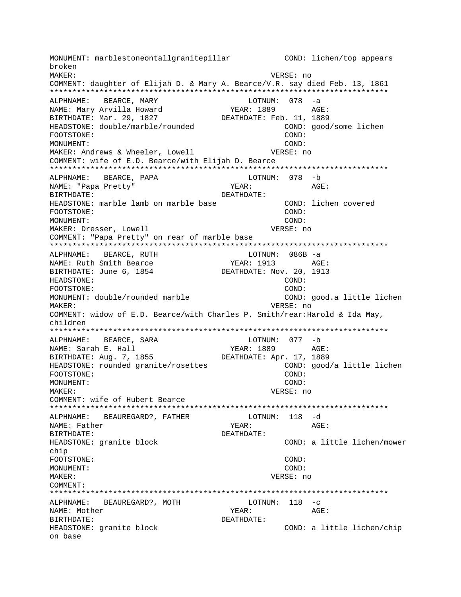MONUMENT: marblestoneontallgranitepillar COND: lichen/top appears broken MAKER: VERSE: no COMMENT: daughter of Elijah D. & Mary A. Bearce/V.R. say died Feb. 13, 1861 \*\*\*\*\*\*\*\*\*\*\*\*\*\*\*\*\*\*\*\*\*\*\*\*\*\*\*\*\*\*\*\*\*\*\*\*\*\*\*\*\*\*\*\*\*\*\*\*\*\*\*\*\*\*\*\*\*\*\*\*\*\*\*\*\*\*\*\*\*\*\*\*\*\*\* ALPHNAME: BEARCE, MARY LOTNUM: 078 -a NAME: Mary Arvilla Howard YEAR: 1889 AGE: BIRTHDATE: Mar. 29, 1827 DEATHDATE: Feb. 11, 1889 HEADSTONE: double/marble/rounded COND: good/some lichen FOOTSTONE: COND: MONUMENT: COND: MAKER: Andrews & Wheeler, Lowell **VERSE:** no COMMENT: wife of E.D. Bearce/with Elijah D. Bearce \*\*\*\*\*\*\*\*\*\*\*\*\*\*\*\*\*\*\*\*\*\*\*\*\*\*\*\*\*\*\*\*\*\*\*\*\*\*\*\*\*\*\*\*\*\*\*\*\*\*\*\*\*\*\*\*\*\*\*\*\*\*\*\*\*\*\*\*\*\*\*\*\*\*\* ALPHNAME: BEARCE, PAPA LOTNUM: 078 -b NAME: "Papa Pretty" YEAR: AGE: BIRTHDATE: DEATHDATE: HEADSTONE: marble lamb on marble base COND: lichen covered FOOTSTONE: COND: MONUMENT: COND: MAKER: Dresser, Lowell VERSE: no COMMENT: "Papa Pretty" on rear of marble base \*\*\*\*\*\*\*\*\*\*\*\*\*\*\*\*\*\*\*\*\*\*\*\*\*\*\*\*\*\*\*\*\*\*\*\*\*\*\*\*\*\*\*\*\*\*\*\*\*\*\*\*\*\*\*\*\*\*\*\*\*\*\*\*\*\*\*\*\*\*\*\*\*\*\* ALPHNAME: BEARCE, RUTH LOTNUM: 086B -a NAME: Ruth Smith Bearce The YEAR: 1913 AGE: BIRTHDATE: June 6, 1854 DEATHDATE: Nov. 20, 1913 HEADSTONE: COND: FOOTSTONE: COND: MONUMENT: double/rounded marble COND: good.a little lichen MAKER: VERSE: no COMMENT: widow of E.D. Bearce/with Charles P. Smith/rear:Harold & Ida May, children \*\*\*\*\*\*\*\*\*\*\*\*\*\*\*\*\*\*\*\*\*\*\*\*\*\*\*\*\*\*\*\*\*\*\*\*\*\*\*\*\*\*\*\*\*\*\*\*\*\*\*\*\*\*\*\*\*\*\*\*\*\*\*\*\*\*\*\*\*\*\*\*\*\*\* ALPHNAME: BEARCE, SARA LOTNUM: 077 -b NAME: Sarah E. Hall YEAR: 1889 AGE: BIRTHDATE: Aug. 7, 1855 DEATHDATE: Apr. 17, 1889 HEADSTONE: rounded granite/rosettes COND: good/a little lichen FOOTSTONE: COND: MONUMENT: COND: MAKER: VERSE: no COMMENT: wife of Hubert Bearce \*\*\*\*\*\*\*\*\*\*\*\*\*\*\*\*\*\*\*\*\*\*\*\*\*\*\*\*\*\*\*\*\*\*\*\*\*\*\*\*\*\*\*\*\*\*\*\*\*\*\*\*\*\*\*\*\*\*\*\*\*\*\*\*\*\*\*\*\*\*\*\*\*\*\* ALPHNAME: BEAUREGARD?, FATHER LOTNUM: 118 -d NAME: Father YEAR: YEAR: AGE: BIRTHDATE: DEATHDATE: HEADSTONE: granite block COND: a little lichen/mower chip FOOTSTONE: COND: MONUMENT: COND: MAKER: VERSE: no COMMENT: \*\*\*\*\*\*\*\*\*\*\*\*\*\*\*\*\*\*\*\*\*\*\*\*\*\*\*\*\*\*\*\*\*\*\*\*\*\*\*\*\*\*\*\*\*\*\*\*\*\*\*\*\*\*\*\*\*\*\*\*\*\*\*\*\*\*\*\*\*\*\*\*\*\*\* ALPHNAME: BEAUREGARD?, MOTH LOTNUM: 118 -c NAME: Mother Text Controller and MEAR: AGE: BIRTHDATE: DEATHDATE: HEADSTONE: granite block COND: a little lichen/chip on base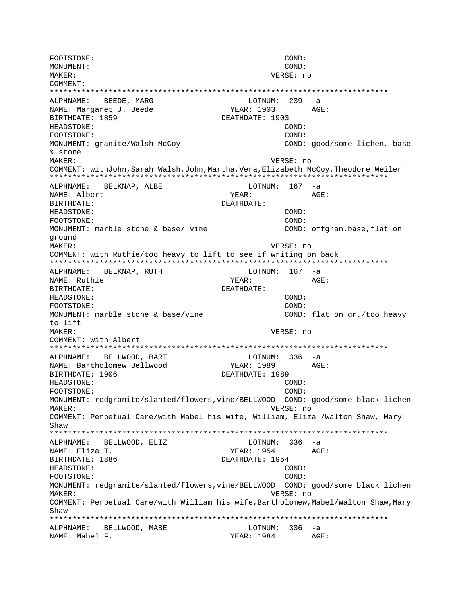FOOTSTONE: COND: MONUMENT: COND: MAKER: VERSE: no COMMENT: LOTNUM.<br>
YEAR: 1903<br>
---- 1903 ALPHNAME: BEEDE, MARG LOTNUM: 239 -a NAME: Margaret J. Beede AGE: BIRTHDATE: 1859 DEATHDATE: 1903 HEADSTONE: COND: FOOTSTONE:  $COND:$ MONUMENT: granite/Walsh-McCoy COND: good/some lichen, base & stone **MAKER:** VERSE: no COMMENT: withJohn, Sarah Walsh, John, Martha, Vera, Elizabeth McCoy, Theodore Weiler LOTNUM:  $167 - a$ ALPHNAME: BELKNAP, ALBE NAME: Albert YEAR: AGE: BIRTHDATE: DEATHDATE: HEADSTONE: COND: FOOTSTONE: COND: MONUMENT: marble stone & base/ vine COND: offgran.base, flat on ground MAKER: VERSE: no COMMENT: with Ruthie/too heavy to lift to see if writing on back ALPHNAME: BELKNAP, RUTH LOTNUM: 167 -a NAME: Ruthie YEAR: AGE: DEATHDATE: BIRTHDATE: HEADSTONE:  $COMD:$ FOOTSTONE:  $COMD:$ MONUMENT: marble stone & base/vine COND: flat on qr./too heavy to lift MAKER: VERSE: no COMMENT: with Albert ALPHNAME: BELLWOOD, BART  $LOTNUM: 336 -a$ YEAR: 1989 NAME: Bartholomew Bellwood AGE: BIRTHDATE: 1906 DEATHDATE: 1989 HEADSTONE: COND: FOOTSTONE: COND: MONUMENT: redgranite/slanted/flowers, vine/BELLWOOD COND: good/some black lichen MAKER: VERSE: no COMMENT: Perpetual Care/with Mabel his wife, William, Eliza /Walton Shaw, Mary Shaw ALPHNAME: BELLWOOD, ELIZ LOTNUM:  $336 - a$ YEAR: 1954 AGE: NAME: Eliza T. BIRTHDATE: 1886 DEATHDATE: 1954 HEADSTONE: COND: FOOTSTONE: COND: MONUMENT: redgranite/slanted/flowers, vine/BELLWOOD COND: good/some black lichen MAKER: VERSE: no COMMENT: Perpetual Care/with William his wife, Bartholomew, Mabel/Walton Shaw, Mary Shaw ALPHNAME: BELLWOOD, MABE LOTNUM: 336 -a NAME: Mabel F. YEAR: 1984 AGE: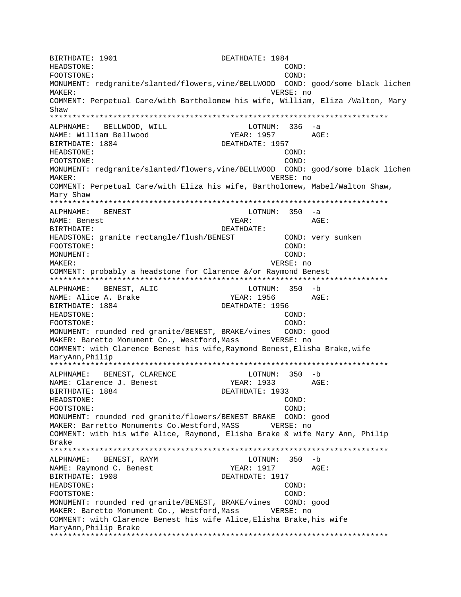BIRTHDATE: 1901 DEATHDATE: 1984 COND: HEADSTONE: FOOTSTONE: COND: MONUMENT: redgranite/slanted/flowers, vine/BELLWOOD COND: good/some black lichen MAKER: VERSE: no COMMENT: Perpetual Care/with Bartholomew his wife, William, Eliza /Walton, Mary Shaw ALPHNAME: BELLWOOD, WILL LOTNUM:  $336 - a$ NAME: William Bellwood YEAR: 1957 AGE: BIRTHDATE: 1884 DEATHDATE: 1957 HEADSTONE: COND: COND: FOOTSTONE: MONUMENT: redgranite/slanted/flowers, vine/BELLWOOD COND: good/some black lichen MAKER: VERSE: no COMMENT: Perpetual Care/with Eliza his wife, Bartholomew, Mabel/Walton Shaw, Mary Shaw ALPHNAME: BENEST LOTNUM:  $350 - a$ NAME: Benest YEAR: AGE: DEATHDATE: BIRTHDATE: COND: very sunken HEADSTONE: granite rectangle/flush/BENEST FOOTSTONE: COND: MONUMENT: COND: MAKER: VERSE: no COMMENT: probably a headstone for Clarence &/or Raymond Benest LOTNUM: 350 -b ALPHNAME: BENEST, ALIC YEAR: 1956 NAME: Alice A. Brake  $\triangle G$ F: BIRTHDATE: 1884 DEATHDATE: 1956 HEADSTONE: COND: FOOTSTONE: COND: MONUMENT: rounded red granite/BENEST, BRAKE/vines COND: good MAKER: Baretto Monument Co., Westford, Mass WERSE: no COMMENT: with Clarence Benest his wife, Raymond Benest, Elisha Brake, wife MaryAnn, Philip LOTNUM: 350 -b BENEST, CLARENCE ALPHNAME: NAME: Clarence J. Benest YEAR: 1933 AGE: BIRTHDATE: 1884 DEATHDATE: 1933 HEADSTONE: COND: FOOTSTONE: COND: MONUMENT: rounded red granite/flowers/BENEST BRAKE COND: good MAKER: Barretto Monuments Co. Westford, MASS VERSE: no COMMENT: with his wife Alice, Raymond, Elisha Brake & wife Mary Ann, Philip Brake LOTNUM: 350 -b ALPHNAME: BENEST, RAYM NAME: Raymond C. Benest YEAR: 1917 AGE: BIRTHDATE: 1908 DEATHDATE: 1917 HEADSTONE: COND: FOOTSTONE: COND: MONUMENT: rounded red granite/BENEST, BRAKE/vines COND: good MAKER: Baretto Monument Co., Westford, Mass WERSE: no COMMENT: with Clarence Benest his wife Alice, Elisha Brake, his wife MaryAnn, Philip Brake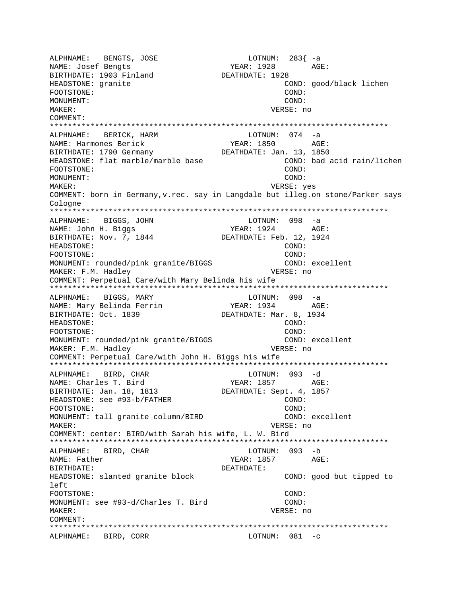ALPHNAME: BENGTS, JOSE LOTNUM: 283{ -a NAME: Josef Bengts BIRTHDATE: 1903 Finland DEATHDATE: 1928 HEADSTONE: granite COND: good/black lichen FOOTSTONE: COND: MONUMENT: COND: MAKER: VERSE: no COMMENT: \*\*\*\*\*\*\*\*\*\*\*\*\*\*\*\*\*\*\*\*\*\*\*\*\*\*\*\*\*\*\*\*\*\*\*\*\*\*\*\*\*\*\*\*\*\*\*\*\*\*\*\*\*\*\*\*\*\*\*\*\*\*\*\*\*\*\*\*\*\*\*\*\*\*\* ALPHNAME: BERICK, HARM LOTNUM: 074 -a NAME: Harmones Berick YEAR: 1850 BIRTHDATE: 1790 Germany DEATHDATE: Jan. 13, 1850 HEADSTONE: flat marble/marble base COND: bad acid rain/lichen FOOTSTONE: COND: MONUMENT: COND: MAKER: VERSE: yes COMMENT: born in Germany,v.rec. say in Langdale but illeg.on stone/Parker says Cologne \*\*\*\*\*\*\*\*\*\*\*\*\*\*\*\*\*\*\*\*\*\*\*\*\*\*\*\*\*\*\*\*\*\*\*\*\*\*\*\*\*\*\*\*\*\*\*\*\*\*\*\*\*\*\*\*\*\*\*\*\*\*\*\*\*\*\*\*\*\*\*\*\*\*\* ALPHNAME: BIGGS, JOHN LOTNUM: 098 -a NAME: John H. Biggs BIRTHDATE: Nov. 7, 1844 DEATHDATE: Feb. 12, 1924 HEADSTONE: COND: FOOTSTONE: COND: MONUMENT: rounded/pink granite/BIGGS COND: excellent MAKER: F.M. Hadley **VERSE:** no COMMENT: Perpetual Care/with Mary Belinda his wife \*\*\*\*\*\*\*\*\*\*\*\*\*\*\*\*\*\*\*\*\*\*\*\*\*\*\*\*\*\*\*\*\*\*\*\*\*\*\*\*\*\*\*\*\*\*\*\*\*\*\*\*\*\*\*\*\*\*\*\*\*\*\*\*\*\*\*\*\*\*\*\*\*\*\* ALPHNAME: BIGGS, MARY LOTNUM: 098 -a NAME: Mary Belinda Ferrin BIRTHDATE: Oct. 1839 DEATHDATE: Mar. 8, 1934 HEADSTONE: COND: FOOTSTONE: COND: MONUMENT: rounded/pink granite/BIGGS COND: excellent MAKER: F.M. Hadley **VERSE: 10** COMMENT: Perpetual Care/with John H. Biggs his wife \*\*\*\*\*\*\*\*\*\*\*\*\*\*\*\*\*\*\*\*\*\*\*\*\*\*\*\*\*\*\*\*\*\*\*\*\*\*\*\*\*\*\*\*\*\*\*\*\*\*\*\*\*\*\*\*\*\*\*\*\*\*\*\*\*\*\*\*\*\*\*\*\*\*\* ALPHNAME: BIRD, CHAR LOTNUM: 093 -d NAME: Charles T. Bird YEAR: 1857 AGE: BIRTHDATE: Jan. 18, 1813 DEATHDATE: Sept. 4, 1857 HEADSTONE: see #93-b/FATHER COND: FOOTSTONE: COND: MONUMENT: tall granite column/BIRD COND: excellent MAKER: VERSE: no COMMENT: center: BIRD/with Sarah his wife, L. W. Bird \*\*\*\*\*\*\*\*\*\*\*\*\*\*\*\*\*\*\*\*\*\*\*\*\*\*\*\*\*\*\*\*\*\*\*\*\*\*\*\*\*\*\*\*\*\*\*\*\*\*\*\*\*\*\*\*\*\*\*\*\*\*\*\*\*\*\*\*\*\*\*\*\*\*\* ALPHNAME: BIRD, CHAR NAME: Father  $YEAR: 1857$  AGE: BIRTHDATE: DEATHDATE: HEADSTONE: slanted granite block COND: good but tipped to left FOOTSTONE: COND: MONUMENT: see #93-d/Charles T. Bird COND: MAKER: VERSE: no COMMENT: \*\*\*\*\*\*\*\*\*\*\*\*\*\*\*\*\*\*\*\*\*\*\*\*\*\*\*\*\*\*\*\*\*\*\*\*\*\*\*\*\*\*\*\*\*\*\*\*\*\*\*\*\*\*\*\*\*\*\*\*\*\*\*\*\*\*\*\*\*\*\*\*\*\*\* ALPHNAME: BIRD, CORR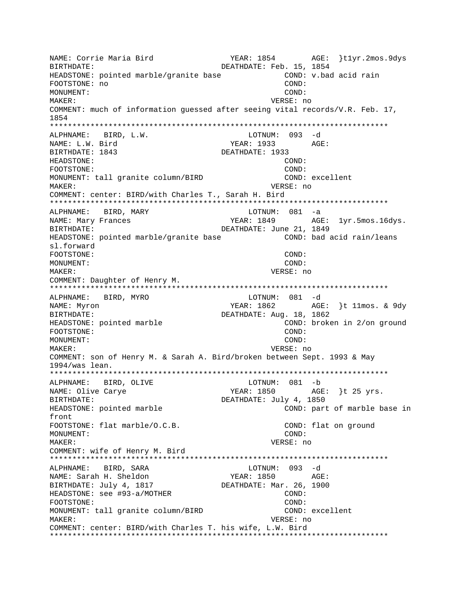NAME: Corrie Maria Bird YEAR: 1854 AGE: }t1yr.2mos.9dys BIRTHDATE:  $DEATHDATE: Feb. 15, 1854$ HEADSTONE: pointed marble/granite base COND: v.bad acid rain FOOTSTONE: no COND: MONUMENT: COND: MAKER: VERSE: no COMMENT: much of information guessed after seeing vital records/V.R. Feb. 17, 1854 \*\*\*\*\*\*\*\*\*\*\*\*\*\*\*\*\*\*\*\*\*\*\*\*\*\*\*\*\*\*\*\*\*\*\*\*\*\*\*\*\*\*\*\*\*\*\*\*\*\*\*\*\*\*\*\*\*\*\*\*\*\*\*\*\*\*\*\*\*\*\*\*\*\*\* ALPHNAME: BIRD, L.W. NAME: L.W. Bird YEAR: 1933 AGE: BIRTHDATE: 1843 DEATHDATE: 1933 HEADSTONE: COND: FOOTSTONE: COND: MONUMENT: tall granite column/BIRD COND: excellent MAKER: VERSE: no COMMENT: center: BIRD/with Charles T., Sarah H. Bird \*\*\*\*\*\*\*\*\*\*\*\*\*\*\*\*\*\*\*\*\*\*\*\*\*\*\*\*\*\*\*\*\*\*\*\*\*\*\*\*\*\*\*\*\*\*\*\*\*\*\*\*\*\*\*\*\*\*\*\*\*\*\*\*\*\*\*\*\*\*\*\*\*\*\* ALPHNAME: BIRD, MARY NAME: Mary Frances TEAR: 1849 AGE: 1yr.5mos.16dys. BIRTHDATE: DEATHDATE: June 21, 1849 HEADSTONE: pointed marble/granite base COND: bad acid rain/leans sl.forward FOOTSTONE: COND: MONUMENT: COND: MAKER: VERSE: no COMMENT: Daughter of Henry M. \*\*\*\*\*\*\*\*\*\*\*\*\*\*\*\*\*\*\*\*\*\*\*\*\*\*\*\*\*\*\*\*\*\*\*\*\*\*\*\*\*\*\*\*\*\*\*\*\*\*\*\*\*\*\*\*\*\*\*\*\*\*\*\*\*\*\*\*\*\*\*\*\*\*\* ALPHNAME: BIRD, MYRO LOTNUM: 081 -d NAME: Myron  $YEAR: 1862$  AGE: }t 11mos. & 9dy BIRTHDATE:  $DEATHDATE: Aug. 18, 1862$ HEADSTONE: pointed marble COND: broken in 2/on ground FOOTSTONE: COND: MONUMENT: COND: MAKER: VERSE: no COMMENT: son of Henry M. & Sarah A. Bird/broken between Sept. 1993 & May 1994/was lean. \*\*\*\*\*\*\*\*\*\*\*\*\*\*\*\*\*\*\*\*\*\*\*\*\*\*\*\*\*\*\*\*\*\*\*\*\*\*\*\*\*\*\*\*\*\*\*\*\*\*\*\*\*\*\*\*\*\*\*\*\*\*\*\*\*\*\*\*\*\*\*\*\*\*\* ALPHNAME: BIRD, OLIVE NAME: Olive Carye The Manuscullum Carye AGE: 1850 AGE: 125 yrs. BIRTHDATE: DEATHDATE: July 4, 1850 HEADSTONE: pointed marble COND: part of marble base in front FOOTSTONE: flat marble/O.C.B. COND: flat on ground MONUMENT: COND: MAKER: VERSE: no COMMENT: wife of Henry M. Bird \*\*\*\*\*\*\*\*\*\*\*\*\*\*\*\*\*\*\*\*\*\*\*\*\*\*\*\*\*\*\*\*\*\*\*\*\*\*\*\*\*\*\*\*\*\*\*\*\*\*\*\*\*\*\*\*\*\*\*\*\*\*\*\*\*\*\*\*\*\*\*\*\*\*\* ALPHNAME: BIRD, SARA NAME: Sarah H. Sheldon YEAR: 1850 AGE: BIRTHDATE: July 4, 1817 DEATHDATE: Mar. 26, 1900 HEADSTONE: see #93-a/MOTHER COND: FOOTSTONE: COND: MONUMENT: tall granite column/BIRD COND: excellent MAKER: VERSE: no COMMENT: center: BIRD/with Charles T. his wife, L.W. Bird \*\*\*\*\*\*\*\*\*\*\*\*\*\*\*\*\*\*\*\*\*\*\*\*\*\*\*\*\*\*\*\*\*\*\*\*\*\*\*\*\*\*\*\*\*\*\*\*\*\*\*\*\*\*\*\*\*\*\*\*\*\*\*\*\*\*\*\*\*\*\*\*\*\*\*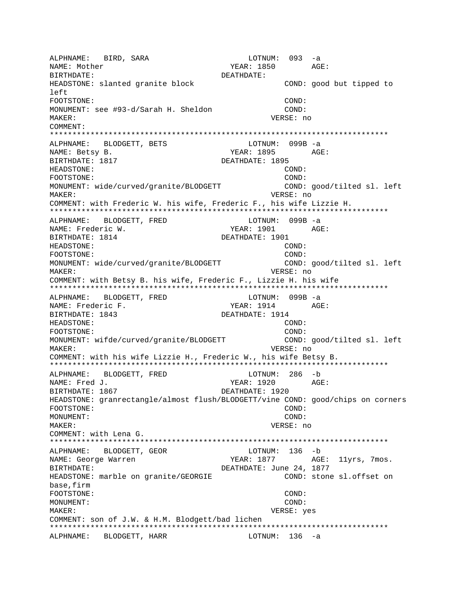ALPHNAME: BIRD, SARA LOTNUM: 093 -a NAME: Mother  $YEAR: 1850$  AGE: BIRTHDATE: DEATHDATE: HEADSTONE: slanted granite block COND: good but tipped to left FOOTSTONE: COND: MONUMENT: see #93-d/Sarah H. Sheldon COND: MAKER: VERSE: no COMMENT: \*\*\*\*\*\*\*\*\*\*\*\*\*\*\*\*\*\*\*\*\*\*\*\*\*\*\*\*\*\*\*\*\*\*\*\*\*\*\*\*\*\*\*\*\*\*\*\*\*\*\*\*\*\*\*\*\*\*\*\*\*\*\*\*\*\*\*\*\*\*\*\*\*\*\* ALPHNAME: BLODGETT, BETS LOTNUM: 099B -a NAME: Betsy B. The Magnus of the MEAR: 1895 AGE: BIRTHDATE: 1817 **DEATHDATE: 1895** HEADSTONE: COND: FOOTSTONE: COND: MONUMENT: wide/curved/granite/BLODGETT COND: good/tilted sl. left MAKER: VERSE: no COMMENT: with Frederic W. his wife, Frederic F., his wife Lizzie H. \*\*\*\*\*\*\*\*\*\*\*\*\*\*\*\*\*\*\*\*\*\*\*\*\*\*\*\*\*\*\*\*\*\*\*\*\*\*\*\*\*\*\*\*\*\*\*\*\*\*\*\*\*\*\*\*\*\*\*\*\*\*\*\*\*\*\*\*\*\*\*\*\*\*\* ALPHNAME: BLODGETT, FRED LOTNUM: 099B -a NAME: Frederic W. The Magnus of the Magnus of the Magnus of the Magnus AGE: BIRTHDATE: 1814 DEATHDATE: 1901 HEADSTONE: COND: FOOTSTONE: COND: MONUMENT: wide/curved/granite/BLODGETT COND: good/tilted sl. left MAKER: VERSE: no COMMENT: with Betsy B. his wife, Frederic F., Lizzie H. his wife \*\*\*\*\*\*\*\*\*\*\*\*\*\*\*\*\*\*\*\*\*\*\*\*\*\*\*\*\*\*\*\*\*\*\*\*\*\*\*\*\*\*\*\*\*\*\*\*\*\*\*\*\*\*\*\*\*\*\*\*\*\*\*\*\*\*\*\*\*\*\*\*\*\*\* ALPHNAME: BLODGETT, FRED LOTNUM: 099B -a NAME: Frederic F. The Contract of the South School of the Mondon Age: BIRTHDATE: 1843 DEATHDATE: 1914 HEADSTONE: COND: FOOTSTONE: COND: MONUMENT: wifde/curved/granite/BLODGETT COND: good/tilted sl. left MAKER: VERSE: no COMMENT: with his wife Lizzie H., Frederic W., his wife Betsy B. \*\*\*\*\*\*\*\*\*\*\*\*\*\*\*\*\*\*\*\*\*\*\*\*\*\*\*\*\*\*\*\*\*\*\*\*\*\*\*\*\*\*\*\*\*\*\*\*\*\*\*\*\*\*\*\*\*\*\*\*\*\*\*\*\*\*\*\*\*\*\*\*\*\*\* ALPHNAME: BLODGETT, FRED LOTNUM: 286 -b NAME: Fred J. YEAR: 1920 BIRTHDATE: 1867 **DEATHDATE: 1920** HEADSTONE: granrectangle/almost flush/BLODGETT/vine COND: good/chips on corners FOOTSTONE: COND: MONUMENT: COND: MAKER: VERSE: no COMMENT: with Lena G. \*\*\*\*\*\*\*\*\*\*\*\*\*\*\*\*\*\*\*\*\*\*\*\*\*\*\*\*\*\*\*\*\*\*\*\*\*\*\*\*\*\*\*\*\*\*\*\*\*\*\*\*\*\*\*\*\*\*\*\*\*\*\*\*\*\*\*\*\*\*\*\*\*\*\* ALPHNAME: BLODGETT, GEOR NAME: George Warren The State of the YEAR: 1877 AGE: 11yrs, 7mos. BIRTHDATE: UNITE: June 24, 1877 HEADSTONE: marble on granite/GEORGIE COND: stone sl.offset on base,firm FOOTSTONE: COND: MONUMENT: COND: MAKER: VERSE: yes COMMENT: son of J.W. & H.M. Blodgett/bad lichen \*\*\*\*\*\*\*\*\*\*\*\*\*\*\*\*\*\*\*\*\*\*\*\*\*\*\*\*\*\*\*\*\*\*\*\*\*\*\*\*\*\*\*\*\*\*\*\*\*\*\*\*\*\*\*\*\*\*\*\*\*\*\*\*\*\*\*\*\*\*\*\*\*\*\* ALPHNAME: BLODGETT, HARR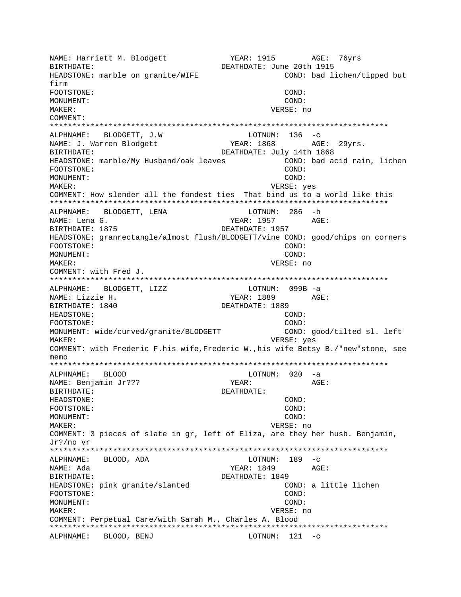NAME: Harriett M. Blodgett YEAR: 1915 AGE: 76yrs DEATHDATE: June 20th 1915 RIRTHDATE: HEADSTONE: marble on granite/WIFE COND: bad lichen/tipped but firm FOOTSTONE: COND: MONUMENT: COND: MAKER: VERSE: no COMMENT: ALPHNAME: BLODGETT, J.W LOTNUM:  $136 -c$ NAME: J. Warren Blodgett YEAR: 1868 AGE: 29vrs. BIRTHDATE: DEATHDATE: July 14th 1868 HEADSTONE: marble/My Husband/oak leaves COND: bad acid rain, lichen FOOTSTONE: COND: MONUMENT: COND: MAKER: VERSE: yes COMMENT: How slender all the fondest ties That bind us to a world like this ALPHNAME: BLODGETT, LENA LOTNUM: 286 -b NAME: Lena G. YEAR: 1957 AGE: BIRTHDATE: 1875 DEATHDATE: 1957 HEADSTONE: granrectangle/almost flush/BLODGETT/vine COND: good/chips on corners FOOTSTONE: COND: MONUMENT: COND: MAKER: VERSE: no COMMENT: with Fred J. ALPHNAME: BLODGETT, LIZZ LOTNUM: 099B -a NAME: Lizzie H. YEAR: 1889 AGE: BIRTHDATE: 1840 DEATHDATE: 1889 HEADSTONE: COND: COND: FOOTSTONE: MONUMENT: wide/curved/granite/BLODGETT COND: good/tilted sl. left MAKER: VERSE: yes COMMENT: with Frederic F.his wife, Frederic W., his wife Betsy B./"new"stone, see memo ALPHNAME: **BLOOD** LOTNUM: 020 -a NAME: Benjamin Jr??? YEAR: AGE: BIRTHDATE: DEATHDATE: HEADSTONE:  $COND:$ FOOTSTONE: COND: MONIJMENT: COND: MAKER: VERSE: no COMMENT: 3 pieces of slate in gr, left of Eliza, are they her husb. Benjamin, Jr?/no vr LOTNUM:  $189 - c$ ALPHNAME: BLOOD, ADA NAME: Ada YEAR: 1849 AGE: BIRTHDATE: DEATHDATE: 1849 HEADSTONE: pink granite/slanted COND: a little lichen FOOTSTONE: COND: MONUMENT: COND: VERSE: no MAKER: COMMENT: Perpetual Care/with Sarah M., Charles A. Blood ALPHNAME: BLOOD, BENJ  $LOTNUM: 121 -c$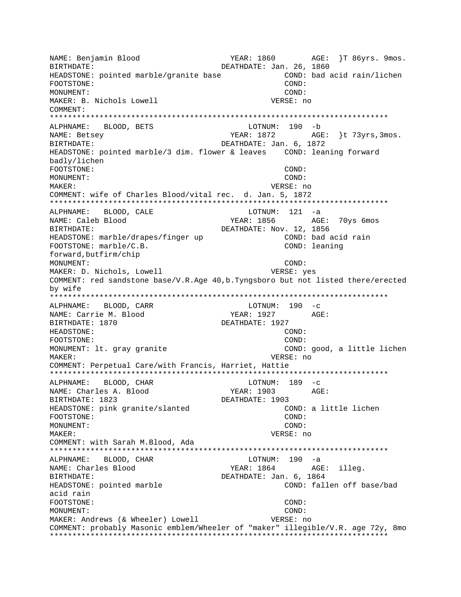NAME: Benjamin Blood YEAR: 1860 AGE: }T 86yrs. 9mos. DEATHDATE: Jan. 26, 1860 BIRTHDATE: HEADSTONE: pointed marble/granite base COND: bad acid rain/lichen FOOTSTONE: COND: MONIJMENT: COND: MAKER: B. Nichols Lowell VERSE: no COMMENT: ALPHNAME: BLOOD, BETS LOTNUM: 190 -b AGE: }t 73yrs, 3mos. NAME: Betsey YEAR: 1872 BIRTHDATE: DEATHDATE: Jan. 6, 1872 HEADSTONE: pointed marble/3 dim. flower & leaves COND: leaning forward badly/lichen FOOTSTONE: COND:  $M$  $\bigcap$  $N$  $T$  $I$  $M$  $F$  $N$  $T$  $\colon$  $COMD:$ MAKER: VERSE: no COMMENT: wife of Charles Blood/vital rec. d. Jan. 5, 1872 ALPHNAME: BLOOD, CALE  $LOTNUM: 121 -a$ NAME: Caleb Blood YEAR: 1856 AGE: 70ys 6mos BIRTHDATE: DEATHDATE: Nov. 12, 1856 HEADSTONE: marble/drapes/finger up COND: bad acid rain COND: leaning FOOTSTONE: marble/C.B. forward, butfirm/chip MONUMENT: COND: MAKER: D. Nichols, Lowell VERSE: yes COMMENT: red sandstone base/V.R.Age 40, b.Tyngsboro but not listed there/erected by wife ALPHNAME: BLOOD, CARR LOTNUM: 190 -c NAME: Carrie M. Blood YEAR: 1927 AGE: DEATHDATE: 1927 BIRTHDATE: 1870 HEADSTONE: COND: COND: FOOTSTONE: MONUMENT: lt. gray granite COND: good, a little lichen MAKER: VERSE: no COMMENT: Perpetual Care/with Francis, Harriet, Hattie ALPHNAME: BLOOD, CHAR LOTNUM: 189 -c NAME: Charles A. Blood AGE: YEAR: 1903 BIRTHDATE: 1823 DEATHDATE: 1903 HEADSTONE: pink granite/slanted COND: a little lichen FOOTSTONE:  $COMD:$ MONUMENT: COND: MAKER: VERSE: no COMMENT: with Sarah M.Blood, Ada  $LOTNUM: 190 -a$ ALPHNAME: BLOOD, CHAR NAME: Charles Blood YEAR: 1864 AGE: illeg. DEATHDATE: Jan. 6, 1864 BIRTHDATE: HEADSTONE: pointed marble COND: fallen off base/bad acid rain FOOTSTONE: COND: MONUMENT: COND: MAKER: Andrews (& Wheeler) Lowell VERSE: no COMMENT: probably Masonic emblem/Wheeler of "maker" illegible/V.R. age 72y, 8mo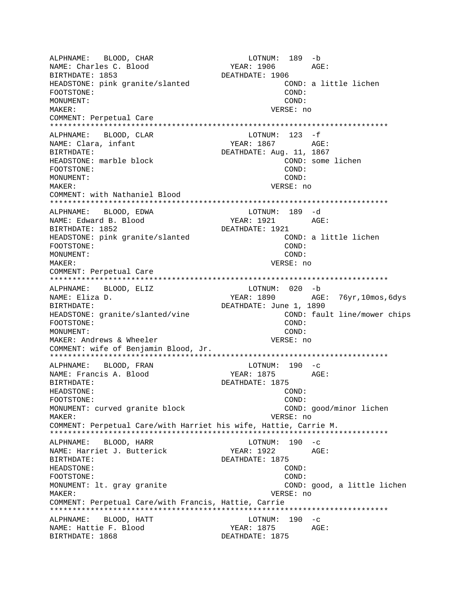ALPHNAME: BLOOD, CHAR LOTNUM: 189 -b YEAR: 1906 AGE: NAME: Charles C. Blood BIRTHDATE: 1853 DEATHDATE: 1906 HEADSTONE: pink granite/slanted COND: a little lichen FOOTSTONE: COND: MONUMENT: COND: MAKER: VERSE: no COMMENT: Perpetual Care LOTNUM:  $123 - f$ ALPHNAME: BLOOD, CLAR AGE: NAME: Clara, infant YEAR: 1867 BIRTHDATE: DEATHDATE: Aug. 11, 1867 HEADSTONE: marble block COND: some lichen FOOTSTONE: COND: MONUMENT:  $COMD:$ VERSE: no MAKER: COMMENT: with Nathaniel Blood ALPHNAME: BLOOD, EDWA LOTNUM: 189 -d NAME: Edward B. Blood YEAR: 1921 AGE: BIRTHDATE: 1852 DEATHDATE: 1921 HEADSTONE: pink granite/slanted COND: a little lichen FOOTSTONE: COND: MONUMENT: COND: MAKER: VERSE: no COMMENT: Perpetual Care ALPHNAME: BLOOD, ELIZ LOTNUM: 020 -b YEAR: 1890 AGE: 76yr, 10mos, 6dys NAME: Eliza D. DEATHDATE: June 1, 1890 BIRTHDATE: HEADSTONE: granite/slanted/vine COND: fault line/mower chips FOOTSTONE: COND: MONUMENT: COND: MAKER: Andrews & Wheeler VERSE: no COMMENT: wife of Benjamin Blood, Jr.  $LOTNUM: 190 -c$ ALPHNAME: BLOOD, FRAN NAME: Francis A. Blood YEAR: 1875 AGE: BIRTHDATE: DEATHDATE: 1875 HEADSTONE: COND: FOOTSTONE: COND: MONUMENT: curved granite block COND: good/minor lichen MAKER: VERSE: no COMMENT: Perpetual Care/with Harriet his wife, Hattie, Carrie M. ALPHNAME: BLOOD, HARR LOTNUM:  $190 -c$ NAME: Harriet J. Butterick YEAR: 1922 AGE: BIRTHDATE: DEATHDATE: 1875 HEADSTONE: COND: FOOTSTONE: COND: MONUMENT: lt. gray granite COND: good, a little lichen MAKER: VERSE: no COMMENT: Perpetual Care/with Francis, Hattie, Carrie ALPHNAME: BLOOD, HATT LOTNUM: 190 -c YEAR: 1875 NAME: Hattie F. Blood AGE: BIRTHDATE: 1868 DEATHDATE: 1875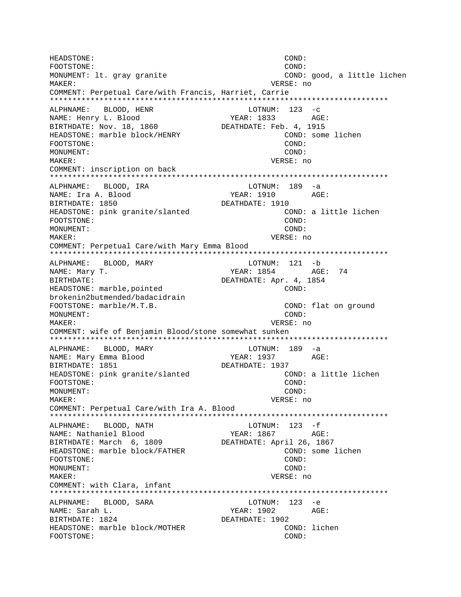HEADSTONE: COND: FOOTSTONE:  $COMD:$ MONUMENT: lt. gray granite COND: good, a little lichen MAKER: VERSE: no COMMENT: Perpetual Care/with Francis, Harriet, Carrie ALPHNAME: BLOOD, HENR  $LOTNUM: 123 -c$ NAME: Henry L. Blood YEAR: 1833 AGE: BIRTHDATE: Nov. 18, 1860 DEATHDATE: Feb. 4, 1915 HEADSTONE: marble block/HENRY COND: some lichen FOOTSTONE: COND: MONUMENT:  $COMD:$ VERSE: no **MAKER:** COMMENT: inscription on back ALPHNAME: BLOOD, IRA LOTNUM: 189 -a NAME: Ira A. Blood YEAR: 1910 AGE: BIRTHDATE: 1850 DEATHDATE: 1910 HEADSTONE: pink granite/slanted COND: a little lichen FOOTSTONE: COND: MONUMENT: COND: VERSE: no MAKER: COMMENT: Perpetual Care/with Mary Emma Blood LOTNUM: 121 -b ALPHNAME: BLOOD, MARY AGE: 74 NAME: Mary T. YEAR: 1854 **BIRTHDATE:** DEATHDATE: Apr. 4, 1854 COND: HEADSTONE: marble, pointed brokenin2butmended/badacidrain FOOTSTONE: marble/M.T.B. COND: flat on ground MONUMENT:  $COMD$ : MAKER: VERSE: no COMMENT: wife of Benjamin Blood/stone somewhat sunken ALPHNAME: BLOOD, MARY LOTNUM: 189 -a NAME: Mary Emma Blood YEAR: 1937 AGE: BIRTHDATE: 1851 DEATHDATE: 1937 HEADSTONE: pink granite/slanted COND: a little lichen FOOTSTONE: COND: MONUMENT: COND: MAKER: VERSE: no COMMENT: Perpetual Care/with Ira A. Blood LOTNUM:  $123 - f$ ALPHNAME: BLOOD, NATH YEAR: 1867 AGE: NAME: Nathaniel Blood BIRTHDATE: March 6, 1809 DEATHDATE: April 26, 1867 HEADSTONE: marble block/FATHER COND: some lichen FOOTSTONE: COND: MONUMENT: COND: **MAKER:** VERSE: no COMMENT: with Clara, infant ALPHNAME: BLOOD, SARA  $LOTNUM: 123 -e$ NAME: Sarah L. YEAR: 1902 AGE: BIRTHDATE: 1824 DEATHDATE: 1902 HEADSTONE: marble block/MOTHER COND: lichen FOOTSTONE: COND: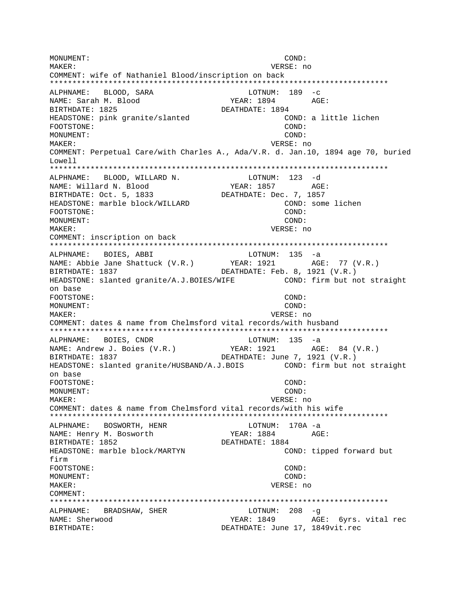MONUMENT:  $COND:$ MAKER: VERSE: no COMMENT: wife of Nathaniel Blood/inscription on back ALPHNAME: BLOOD, SARA LOTNUM:  $189 - c$ NAME: Sarah M. Blood YEAR: 1894 AGE: BIRTHDATE: 1825 DEATHDATE: 1894 HEADSTONE: pink granite/slanted COND: a little lichen COND: FOOTSTONE: MONUMENT:  $COND:$ MAKER: VERSE: no COMMENT: Perpetual Care/with Charles A., Ada/V.R. d. Jan.10, 1894 age 70, buried Lowell ALPHNAME: BLOOD, WILLARD N. LOTNUM: 123 -d NAME: Willard N. Blood YEAR: 1857 AGE: BIRTHDATE: Oct. 5, 1833 DEATHDATE: Dec. 7, 1857 HEADSTONE: marble block/WILLARD COND: some lichen FOOTSTONE:  $COND:$ MONUMENT:  $COMD:$ VERSE: no MAKER: COMMENT: inscription on back BOIES, ABBI LOTNUM: 135 -a ALPHNAME: NAME: Abbie Jane Shattuck (V.R.) YEAR: 1921 AGE: 77 (V.R.) BIRTHDATE: 1837 DEATHDATE: Feb. 8, 1921 (V.R.) HEADSTONE: slanted granite/A.J.BOIES/WIFE COND: firm but not straight on base FOOTSTONE: COND: MONUMENT:  $COMD$ : MAKER: VERSE: no COMMENT: dates & name from Chelmsford vital records/with husband ALPHNAME: BOIES, CNDR  $LOTNUM: 135 -a$ NAME: Andrew J. Boies (V.R.) YEAR: 1921 AGE: 84 (V.R.) DEATHDATE: June 7, 1921 (V.R.) BIRTHDATE: 1837 COND: firm but not straight HEADSTONE: slanted granite/HUSBAND/A.J.BOIS on base FOOTSTONE: COND: MONUMENT:  $COMD:$ **MAKER:** VERSE: no COMMENT: dates & name from Chelmsford vital records/with his wife ALPHNAME: BOSWORTH, HENR LOTNUM: 170A -a NAME: Henry M. Bosworth YEAR: 1884 AGE: BIRTHDATE: 1852 DEATHDATE: 1884 HEADSTONE: marble block/MARTYN COND: tipped forward but  $fim$ FOOTSTONE: COND: MONUMENT: COND: VERSE: no MAKER: COMMENT: ALPHNAME: BRADSHAW, SHER  $LOTNUM: 208 -q$ YEAR: 1849 AGE: 6yrs. vital rec NAME: Sherwood DEATHDATE: June 17, 1849vit.rec BIRTHDATE: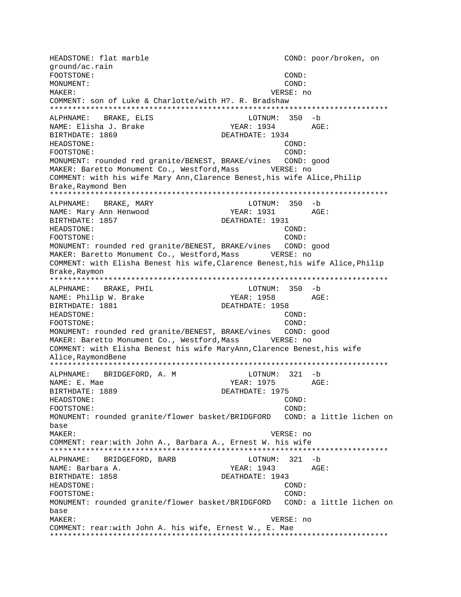HEADSTONE: flat marble  $\text{COMD: } \text{poor}/\text{broken}$ , on ground/ac.rain FOOTSTONE: COND: MONUMENT: COND: MAKER: VERSE: no COMMENT: son of Luke & Charlotte/with H?. R. Bradshaw \*\*\*\*\*\*\*\*\*\*\*\*\*\*\*\*\*\*\*\*\*\*\*\*\*\*\*\*\*\*\*\*\*\*\*\*\*\*\*\*\*\*\*\*\*\*\*\*\*\*\*\*\*\*\*\*\*\*\*\*\*\*\*\*\*\*\*\*\*\*\*\*\*\*\* ALPHNAME: BRAKE, ELIS LOTNUM: 350 -b NAME: Elisha J. Brake YEAR: 1934 AGE: BIRTHDATE: 1869 DEATHDATE: 1934 HEADSTONE: COND: FOOTSTONE: COND: MONUMENT: rounded red granite/BENEST, BRAKE/vines COND: good MAKER: Baretto Monument Co., Westford,Mass VERSE: no COMMENT: with his wife Mary Ann,Clarence Benest,his wife Alice,Philip Brake,Raymond Ben \*\*\*\*\*\*\*\*\*\*\*\*\*\*\*\*\*\*\*\*\*\*\*\*\*\*\*\*\*\*\*\*\*\*\*\*\*\*\*\*\*\*\*\*\*\*\*\*\*\*\*\*\*\*\*\*\*\*\*\*\*\*\*\*\*\*\*\*\*\*\*\*\*\*\* ALPHNAME: BRAKE, MARY LOTNUM: 350 -b NAME: Mary Ann Henwood YEAR: 1931 AGE: BIRTHDATE: 1857 DEATHDATE: 1931 HEADSTONE: COND: FOOTSTONE: COND: MONUMENT: rounded red granite/BENEST, BRAKE/vines COND: good MAKER: Baretto Monument Co., Westford,Mass VERSE: no COMMENT: with Elisha Benest his wife,Clarence Benest,his wife Alice,Philip Brake, Raymon \*\*\*\*\*\*\*\*\*\*\*\*\*\*\*\*\*\*\*\*\*\*\*\*\*\*\*\*\*\*\*\*\*\*\*\*\*\*\*\*\*\*\*\*\*\*\*\*\*\*\*\*\*\*\*\*\*\*\*\*\*\*\*\*\*\*\*\*\*\*\*\*\*\*\* ALPHNAME: BRAKE, PHIL LOTNUM: 350 -b NAME: Philip W. Brake YEAR: 1958 AGE: BIRTHDATE: 1881 **DEATHDATE: 1958** HEADSTONE: COND: FOOTSTONE: COND: COND: MONUMENT: rounded red granite/BENEST, BRAKE/vines COND: good MAKER: Baretto Monument Co., Westford, Mass VERSE: no COMMENT: with Elisha Benest his wife MaryAnn,Clarence Benest,his wife Alice,RaymondBene \*\*\*\*\*\*\*\*\*\*\*\*\*\*\*\*\*\*\*\*\*\*\*\*\*\*\*\*\*\*\*\*\*\*\*\*\*\*\*\*\*\*\*\*\*\*\*\*\*\*\*\*\*\*\*\*\*\*\*\*\*\*\*\*\*\*\*\*\*\*\*\*\*\*\* ALPHNAME: BRIDGEFORD, A. M LOTNUM: 321 -b NAME: E. Mae YEAR: 1975 BIRTHDATE: 1889 DEATHDATE: 1975 HEADSTONE: COND: FOOTSTONE: COND: MONUMENT: rounded granite/flower basket/BRIDGFORD COND: a little lichen on base MAKER: VERSE: no COMMENT: rear:with John A., Barbara A., Ernest W. his wife \*\*\*\*\*\*\*\*\*\*\*\*\*\*\*\*\*\*\*\*\*\*\*\*\*\*\*\*\*\*\*\*\*\*\*\*\*\*\*\*\*\*\*\*\*\*\*\*\*\*\*\*\*\*\*\*\*\*\*\*\*\*\*\*\*\*\*\*\*\*\*\*\*\*\* ALPHNAME: BRIDGEFORD, BARB LOTNUM: 321 -b NAME: Barbara A. YEAR: 1943 AGE: BIRTHDATE: 1858 DEATHDATE: 1943 HEADSTONE: COND: FOOTSTONE: COND: MONUMENT: rounded granite/flower basket/BRIDGFORD COND: a little lichen on base MAKER: VERSE: no COMMENT: rear:with John A. his wife, Ernest W., E. Mae \*\*\*\*\*\*\*\*\*\*\*\*\*\*\*\*\*\*\*\*\*\*\*\*\*\*\*\*\*\*\*\*\*\*\*\*\*\*\*\*\*\*\*\*\*\*\*\*\*\*\*\*\*\*\*\*\*\*\*\*\*\*\*\*\*\*\*\*\*\*\*\*\*\*\*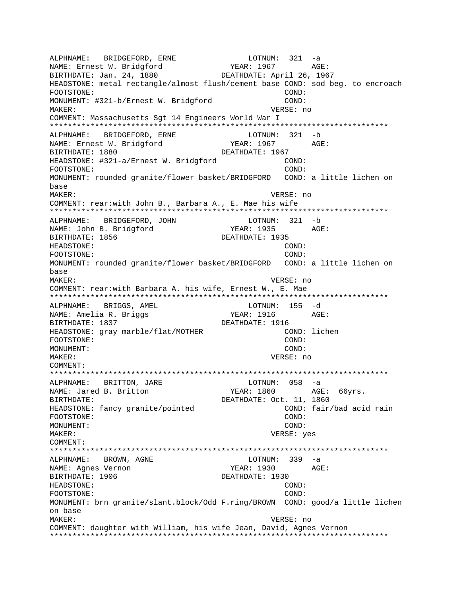ALPHNAME: BRIDGEFORD, ERNE ALPHNAME: BRIDGERVAL,<br>NAME: Ernest W. Bridgford LOTNUM: 321 -a EXERP : 1967<br>
YEAR: 1967 AGE: DEATHDATE: April 26, 1967 HEADSTONE: metal rectangle/almost flush/cement base COND: sod beg. to encroach FOOTSTONE: COND: MONUMENT: #321-b/Ernest W. Bridgford COND: MAKER: VERSE: no COMMENT: Massachusetts Sqt 14 Engineers World War I LOTNUM: 321 -b ALPHNAME: BRIDGEFORD, ERNE NAME: Ernest W. Bridgford YEAR: 1967 AGF: BIRTHDATE: 1880 DEATHDATE: 1967 HEADSTONE: #321-a/Ernest W. Bridgford  $COND:$ COND: FOOTSTONE: MONUMENT: rounded granite/flower basket/BRIDGFORD COND: a little lichen on base MAKER: VERSE: no COMMENT: rear:with John B., Barbara A., E. Mae his wife LOTNUM: 321 -b ALPHNAME: BRIDGEFORD, JOHN NAME: John B. Bridgford YEAR: 1935 AGE: BIRTHDATE: 1856 DEATHDATE: 1935 HEADSTONE: COND: FOOTSTONE: COND: MONUMENT: rounded granite/flower basket/BRIDGFORD COND: a little lichen on base MAKER: VERSE: no COMMENT: rear:with Barbara A. his wife, Ernest W., E. Mae \*\*\*\*\*\*\*\*\*\*\*\*\*\*\*\*\*\*\*\*\*\*\*\*\*\*\*\* LOTNUM: 155 -d ALPHNAME: BRIGGS, AMEL **YEAR: 1916** NAME: Amelia R. Briggs AGE: BIRTHDATE: 1837 DEATHDATE: 1916 COND: lichen HEADSTONE: gray marble/flat/MOTHER COND: FOOTSTONE: MONUMENT: COND: MAKER: VERSE: no COMMENT: BRITTON, JARE LOTNUM: 058 -a ALPHNAME: NAME: Jared B. Britton YEAR: 1860 AGE: 66yrs. DEATHDATE: Oct. 11, 1860 BIRTHDATE: HEADSTONE: fancy granite/pointed COND: fair/bad acid rain FOOTSTONE: COND: MONUMENT: COND: MAKER: VERSE: yes COMMENT: LOTNUM:  $339 - a$ ALPHNAME: BROWN, AGNE NAME: Agnes Vernon YEAR: 1930 AGE: BIRTHDATE: 1906 DEATHDATE: 1930 HEADSTONE: COND: FOOTSTONE: COND: MONUMENT: brn granite/slant.block/Odd F.ring/BROWN COND: good/a little lichen on base MAKER: VERSE: no COMMENT: daughter with William, his wife Jean, David, Agnes Vernon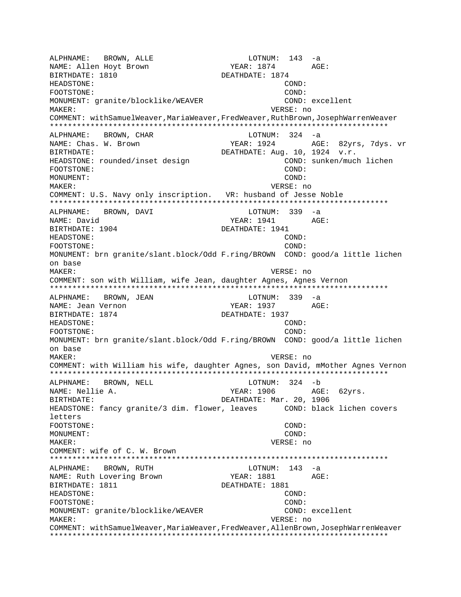ALPHNAME: BROWN, ALLE LOTNUM: 143 -a NAME: Allen Hoyt Brown YEAR: 1874 AGE: BIRTHDATE: 1810 DEATHDATE: 1874 HEADSTONE: COND: FOOTSTONE: COND: MONUMENT: qranite/blocklike/WEAVER COND: excellent MAKER: VERSE: no COMMENT: withSamuelWeaver,MariaWeaver,FredWeaver,RuthBrown,JosephWarrenWeaver \*\*\*\*\*\*\*\*\*\*\*\*\*\*\*\*\*\*\*\*\*\*\*\*\*\*\*\*\*\*\*\*\*\*\*\*\*\*\*\*\*\*\*\*\*\*\*\*\*\*\*\*\*\*\*\*\*\*\*\*\*\*\*\*\*\*\*\*\*\*\*\*\*\*\* ALPHNAME: BROWN, CHAR NAME: Chas. W. Brown YEAR: 1924 AGE: 82yrs, 7dys. vr BIRTHDATE:  $DEATHDATE: Aug. 10, 1924 y.r.$ HEADSTONE: rounded/inset design COND: sunken/much lichen FOOTSTONE: COND: MONUMENT: COND: MAKER: VERSE: no COMMENT: U.S. Navy only inscription. VR: husband of Jesse Noble \*\*\*\*\*\*\*\*\*\*\*\*\*\*\*\*\*\*\*\*\*\*\*\*\*\*\*\*\*\*\*\*\*\*\*\*\*\*\*\*\*\*\*\*\*\*\*\*\*\*\*\*\*\*\*\*\*\*\*\*\*\*\*\*\*\*\*\*\*\*\*\*\*\*\* ALPHNAME: BROWN, DAVI NAME: David YEAR: 1941 AGE: BIRTHDATE: 1904 DEATHDATE: 1941 HEADSTONE: COND: FOOTSTONE: COND: MONUMENT: brn granite/slant.block/Odd F.ring/BROWN COND: good/a little lichen on base MAKER: VERSE: no COMMENT: son with William, wife Jean, daughter Agnes, Agnes Vernon \*\*\*\*\*\*\*\*\*\*\*\*\*\*\*\*\*\*\*\*\*\*\*\*\*\*\*\*\*\*\*\*\*\*\*\*\*\*\*\*\*\*\*\*\*\*\*\*\*\*\*\*\*\*\*\*\*\*\*\*\*\*\*\*\*\*\*\*\*\*\*\*\*\*\* ALPHNAME: BROWN, JEAN CHARA LOTNUM: 339 -a NAME: Jean Vernon Teath (1937 - 2015) AGE: BIRTHDATE: 1874 DEATHDATE: 1937 HEADSTONE: COND: FOOTSTONE: COND: MONUMENT: brn granite/slant.block/Odd F.ring/BROWN COND: good/a little lichen on base MAKER: VERSE: no COMMENT: with William his wife, daughter Agnes, son David, mMother Agnes Vernon \*\*\*\*\*\*\*\*\*\*\*\*\*\*\*\*\*\*\*\*\*\*\*\*\*\*\*\*\*\*\*\*\*\*\*\*\*\*\*\*\*\*\*\*\*\*\*\*\*\*\*\*\*\*\*\*\*\*\*\*\*\*\*\*\*\*\*\*\*\*\*\*\*\*\* ALPHNAME: BROWN, NELL LOTNUM: 324 -b NAME: Nellie A. 300 MB YEAR: 1906 AGE: 62yrs. BIRTHDATE: DEATHDATE: Mar. 20, 1906 HEADSTONE: fancy granite/3 dim. flower, leaves COND: black lichen covers letters FOOTSTONE: COND: MONUMENT: COND: MAKER: VERSE: no COMMENT: wife of C. W. Brown \*\*\*\*\*\*\*\*\*\*\*\*\*\*\*\*\*\*\*\*\*\*\*\*\*\*\*\*\*\*\*\*\*\*\*\*\*\*\*\*\*\*\*\*\*\*\*\*\*\*\*\*\*\*\*\*\*\*\*\*\*\*\*\*\*\*\*\*\*\*\*\*\*\*\* ALPHNAME: BROWN, RUTH LOTNUM: 143 -a NAME: Ruth Lovering Brown YEAR: 1881 AGE: BIRTHDATE: 1811 DEATHDATE: 1881 HEADSTONE: COND: FOOTSTONE: COND: MONUMENT: qranite/blocklike/WEAVER COND: excellent MAKER: VERSE: no COMMENT: withSamuelWeaver,MariaWeaver,FredWeaver,AllenBrown,JosephWarrenWeaver \*\*\*\*\*\*\*\*\*\*\*\*\*\*\*\*\*\*\*\*\*\*\*\*\*\*\*\*\*\*\*\*\*\*\*\*\*\*\*\*\*\*\*\*\*\*\*\*\*\*\*\*\*\*\*\*\*\*\*\*\*\*\*\*\*\*\*\*\*\*\*\*\*\*\*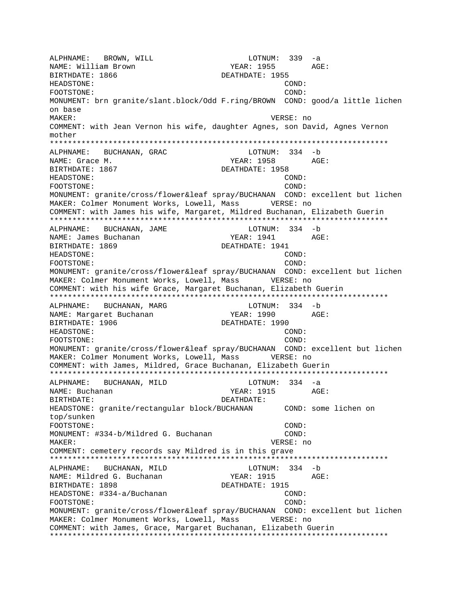ALPHNAME: BROWN, WILL LOTNUM: 339 -a NAME: William Brown TEAR: 1955 AGE: BIRTHDATE: 1866 DEATHDATE: 1955 HEADSTONE: COND: FOOTSTONE: COND: MONUMENT: brn granite/slant.block/Odd F.ring/BROWN COND: good/a little lichen on base MAKER: VERSE: no COMMENT: with Jean Vernon his wife, daughter Agnes, son David, Agnes Vernon mother \*\*\*\*\*\*\*\*\*\*\*\*\*\*\*\*\*\*\*\*\*\*\*\*\*\*\*\*\*\*\*\*\*\*\*\*\*\*\*\*\*\*\*\*\*\*\*\*\*\*\*\*\*\*\*\*\*\*\*\*\*\*\*\*\*\*\*\*\*\*\*\*\*\*\* ALPHNAME: BUCHANAN, GRAC LOTNUM: 334 -b NAME: Grace M. Same Communications of the Magnus of the YEAR: 1958 AGE: BIRTHDATE: 1867 DEATHDATE: 1958 HEADSTONE: COND: FOOTSTONE: COND: MONUMENT: granite/cross/flower&leaf spray/BUCHANAN COND: excellent but lichen MAKER: Colmer Monument Works, Lowell, Mass VERSE: no COMMENT: with James his wife, Margaret, Mildred Buchanan, Elizabeth Guerin \*\*\*\*\*\*\*\*\*\*\*\*\*\*\*\*\*\*\*\*\*\*\*\*\*\*\*\*\*\*\*\*\*\*\*\*\*\*\*\*\*\*\*\*\*\*\*\*\*\*\*\*\*\*\*\*\*\*\*\*\*\*\*\*\*\*\*\*\*\*\*\*\*\*\* ALPHNAME: BUCHANAN, JAME NAME: James Buchanan 1988 (YEAR: 1941 AGE: BIRTHDATE: 1869 DEATHDATE: 1941 HEADSTONE: COND: FOOTSTONE: COND: MONUMENT: granite/cross/flower&leaf spray/BUCHANAN COND: excellent but lichen MAKER: Colmer Monument Works, Lowell, Mass VERSE: no COMMENT: with his wife Grace, Margaret Buchanan, Elizabeth Guerin \*\*\*\*\*\*\*\*\*\*\*\*\*\*\*\*\*\*\*\*\*\*\*\*\*\*\*\*\*\*\*\*\*\*\*\*\*\*\*\*\*\*\*\*\*\*\*\*\*\*\*\*\*\*\*\*\*\*\*\*\*\*\*\*\*\*\*\*\*\*\*\*\*\*\* ALPHNAME: BUCHANAN, MARG LOTNUM: 334 -b NAME: Margaret Buchanan YEAR: 1990 AGE: BIRTHDATE: 1906 DEATHDATE: 1990 HEADSTONE: COND: FOOTSTONE: COND: MONUMENT: granite/cross/flower&leaf spray/BUCHANAN COND: excellent but lichen MAKER: Colmer Monument Works, Lowell, Mass VERSE: no COMMENT: with James, Mildred, Grace Buchanan, Elizabeth Guerin \*\*\*\*\*\*\*\*\*\*\*\*\*\*\*\*\*\*\*\*\*\*\*\*\*\*\*\*\*\*\*\*\*\*\*\*\*\*\*\*\*\*\*\*\*\*\*\*\*\*\*\*\*\*\*\*\*\*\*\*\*\*\*\*\*\*\*\*\*\*\*\*\*\*\* ALPHNAME: BUCHANAN, MILD LOTNUM: 334 -a NAME: Buchanan YEAR: 1915 AGE: BIRTHDATE: DEATHDATE: HEADSTONE: granite/rectangular block/BUCHANAN COND: some lichen on top/sunken FOOTSTONE: COND: MONUMENT: #334-b/Mildred G. Buchanan COND: MAKER: VERSE: no COMMENT: cemetery records say Mildred is in this grave \*\*\*\*\*\*\*\*\*\*\*\*\*\*\*\*\*\*\*\*\*\*\*\*\*\*\*\*\*\*\*\*\*\*\*\*\*\*\*\*\*\*\*\*\*\*\*\*\*\*\*\*\*\*\*\*\*\*\*\*\*\*\*\*\*\*\*\*\*\*\*\*\*\*\* ALPHNAME: BUCHANAN, MILD LOTNUM: 334 -b NAME: Mildred G. Buchanan YEAR: 1915 AGE: BIRTHDATE: 1898 DEATHDATE: 1915 HEADSTONE: #334-a/Buchanan COND: COND: FOOTSTONE: COND: MONUMENT: granite/cross/flower&leaf spray/BUCHANAN COND: excellent but lichen MAKER: Colmer Monument Works, Lowell, Mass VERSE: no COMMENT: with James, Grace, Margaret Buchanan, Elizabeth Guerin \*\*\*\*\*\*\*\*\*\*\*\*\*\*\*\*\*\*\*\*\*\*\*\*\*\*\*\*\*\*\*\*\*\*\*\*\*\*\*\*\*\*\*\*\*\*\*\*\*\*\*\*\*\*\*\*\*\*\*\*\*\*\*\*\*\*\*\*\*\*\*\*\*\*\*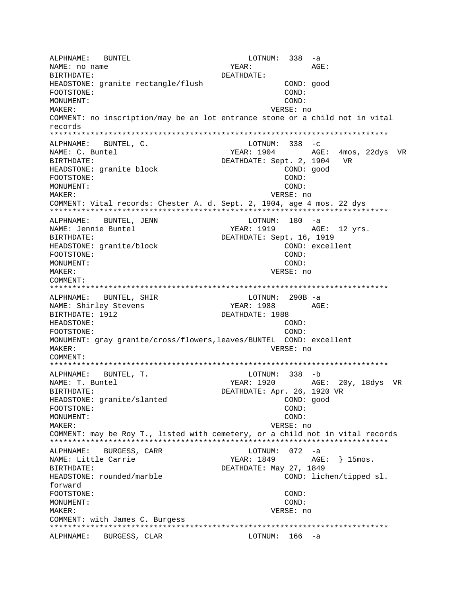ALPHNAME: BUNTEL  $LOTNUM: 338 -a$ NAME: no name YEAR:  $\Delta C$ F: BIRTHDATE: DEATHDATE: HEADSTONE: granite rectangle/flush COND: good FOOTSTONE:  $COND:$ MONUMENT: COND: MAKER: VERSE: no COMMENT: no inscription/may be an lot entrance stone or a child not in vital records ALPHNAME: BUNTEL, C. LOTNUM:  $338 - c$ NAME: C. Buntel YEAR: 1904 AGE: 4mos, 22dys VR BIRTHDATE: DEATHDATE: Sept. 2, 1904 VR HEADSTONE: granite block COND: good COND: FOOTSTONE: MONUMENT: COND: MAKER: VERSE: no COMMENT: Vital records: Chester A. d. Sept. 2, 1904, age 4 mos. 22 dys BUNTEL, JENN LOTNUM: 180 -a ALPHNAME: NAME: Jennie Buntel YEAR: 1919 AGE: 12 yrs. BIRTHDATE: DEATHDATE: Sept. 16, 1919 HEADSTONE: granite/block COND: excellent COND: FOOTSTONE: MONIJMENT: COND: MAKER: VERSE: no COMMENT: ALPHNAME: BUNTEL, SHIR LOTNUM: 290B -a YEAR: 1988 AGE: NAME: Shirley Stevens BIRTHDATE: 1912 DEATHDATE: 1988 HEADSTONE: COND: FOOTSTONE:  $\texttt{COND}:$ MONUMENT: gray granite/cross/flowers, leaves/BUNTEL COND: excellent VERSE: no MAKER: COMMENT: ALPHNAME: BUNTEL, T. LOTNUM: 338 -b NAME: T. Buntel YEAR: 1920 AGE: 20y, 18dys VR DEATHDATE: Apr. 26, 1920 VR BIRTHDATE: HEADSTONE: granite/slanted COND: good COND: FOOTSTONE: MONUMENT:  $COMD:$ MAKER: VERSE: no COMMENT: may be Roy T., listed with cemetery, or a child not in vital records ALPHNAME: BURGESS, CARR LOTNUM:  $072 - a$ NAME: Little Carrie YEAR: 1849 AGE: } 15mos. DEATHDATE: May 27, 1849 BIRTHDATE: HEADSTONE: rounded/marble COND: lichen/tipped sl. forward FOOTSTONE: COND: MONIJMENT:  $COND:$ VERSE: no MAKER: COMMENT: with James C. Burgess ALPHNAME: BURGESS, CLAR LOTNUM: 166 -a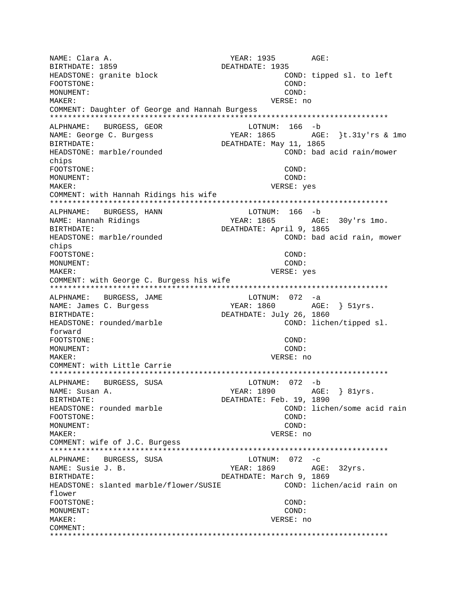NAME: Clara A. YEAR: 1935 AGE: BIRTHDATE: 1859 DEATHDATE: 1935 HEADSTONE: granite block COND: tipped sl. to left FOOTSTONE: COND: MONIJMENT: COND: MAKER: VERSE: no COMMENT: Daughter of George and Hannah Burgess LOTNUM: 166 -b ALPHNAME: BURGESS, GEOR YEAR: 1865 AGE: }t.31y'rs & 1mo NAME: George C. Burgess DEATHDATE: May 11, 1865 BIRTHDATE: HEADSTONE: marble/rounded COND: bad acid rain/mower chips FOOTSTONE: COND: MONITMENT: COND: VERSE: yes MAKER: COMMENT: with Hannah Ridings his wife ALPHNAME: BURGESS, HANN LOTNUM: 166 -b YEAR: 1865 AGE: 30y'rs 1mo. NAME: Hannah Ridings DEATHDATE: April 9, 1865 BIRTHDATE: HEADSTONE: marble/rounded COND: bad acid rain, mower chips FOOTSTONE: COND: MONIJMENT:  $CONF:$ MAKER: VERSE: yes COMMENT: with George C. Burgess his wife ALPHNAME: BURGESS, JAME LOTNUM: 072 -a NAME: James C. Burgess YEAR: 1860 AGE: } 51yrs. DEATHDATE: July 26, 1860 BIRTHDATE: HEADSTONE: rounded/marble COND: lichen/tipped sl. forward FOOTSTONE: COND: MONUMENT: COND: MAKER: VERSE: no COMMENT: with Little Carrie LOTNUM: 072 -b ALPHNAME: BURGESS, SUSA NAME: Susan A. YEAR: 1890 AGE: } 81yrs. DEATHDATE: Feb. 19, 1890 BIRTHDATE: HEADSTONE: rounded marble COND: lichen/some acid rain FOOTSTONE:  $COMD:$ MONUMENT: COND: MAKER: VERSE: no COMMENT: wife of J.C. Burgess LOTNUM:  $072 - c$ ALPHNAME: BURGESS, SUSA AGE: 32yrs. NAME: Susie J. B. YEAR: 1869 DEATHDATE: March 9, 1869 BIRTHDATE: HEADSTONE: slanted marble/flower/SUSIE COND: lichen/acid rain on flower FOOTSTONE: COND: MONUMENT: COND: MAKER: VERSE: no COMMENT: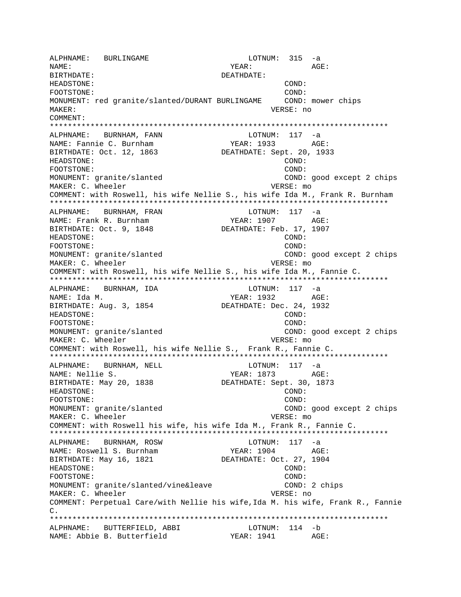ALPHNAME: BURLINGAME **LOTNUM:** 315 -a NAME: YEAR: AGE: BIRTHDATE: DEATHDATE: HEADSTONE: COND: FOOTSTONE: COND: MONUMENT: red granite/slanted/DURANT BURLINGAME COND: mower chips MAKER: VERSE: no COMMENT: \*\*\*\*\*\*\*\*\*\*\*\*\*\*\*\*\*\*\*\*\*\*\*\*\*\*\*\*\*\*\*\*\*\*\*\*\*\*\*\*\*\*\*\*\*\*\*\*\*\*\*\*\*\*\*\*\*\*\*\*\*\*\*\*\*\*\*\*\*\*\*\*\*\*\* ALPHNAME: BURNHAM, FANN NAME: Fannie C. Burnham YEAR: 1933 AGE: BIRTHDATE: Oct. 12, 1863 DEATHDATE: Sept. 20, 1933 HEADSTONE: COND: FOOTSTONE: COND: MONUMENT: granite/slanted COND: good except 2 chips MAKER: C. Wheeler **VERSE:** mo COMMENT: with Roswell, his wife Nellie S., his wife Ida M., Frank R. Burnham \*\*\*\*\*\*\*\*\*\*\*\*\*\*\*\*\*\*\*\*\*\*\*\*\*\*\*\*\*\*\*\*\*\*\*\*\*\*\*\*\*\*\*\*\*\*\*\*\*\*\*\*\*\*\*\*\*\*\*\*\*\*\*\*\*\*\*\*\*\*\*\*\*\*\* ALPHNAME: BURNHAM, FRAN LOTNUM: 117 -a NAME: Frank R. Burnham YEAR: 1907 AGE: BIRTHDATE: Oct. 9, 1848 DEATHDATE: Feb. 17, 1907 HEADSTONE: COND: FOOTSTONE: COND: MONUMENT: granite/slanted COND: good except 2 chips MAKER: C. Wheeler **VERSE:** mo COMMENT: with Roswell, his wife Nellie S., his wife Ida M., Fannie C. \*\*\*\*\*\*\*\*\*\*\*\*\*\*\*\*\*\*\*\*\*\*\*\*\*\*\*\*\*\*\*\*\*\*\*\*\*\*\*\*\*\*\*\*\*\*\*\*\*\*\*\*\*\*\*\*\*\*\*\*\*\*\*\*\*\*\*\*\*\*\*\*\*\*\* ALPHNAME: BURNHAM, IDA LOTNUM: 117 -a NAME: Ida M. YEAR: 1932 AGE: BIRTHDATE: Aug. 3, 1854 DEATHDATE: Dec. 24, 1932 HEADSTONE: COND: FOOTSTONE: COND: MONUMENT: granite/slanted COND: good except 2 chips MAKER: C. Wheeler **VERSE:** mo COMMENT: with Roswell, his wife Nellie S., Frank R., Fannie C. \*\*\*\*\*\*\*\*\*\*\*\*\*\*\*\*\*\*\*\*\*\*\*\*\*\*\*\*\*\*\*\*\*\*\*\*\*\*\*\*\*\*\*\*\*\*\*\*\*\*\*\*\*\*\*\*\*\*\*\*\*\*\*\*\*\*\*\*\*\*\*\*\*\*\* ALPHNAME: BURNHAM, NELL COTNUM: 117 -a NAME: Nellie S. YEAR: 1873 AGE: DEATHDATE: Sept. 30, 1873 HEADSTONE: COND: FOOTSTONE: COND: MONUMENT: granite/slanted COND: good except 2 chips MAKER: C. Wheeler versions of the VERSE: mo COMMENT: with Roswell his wife, his wife Ida M., Frank R., Fannie C. \*\*\*\*\*\*\*\*\*\*\*\*\*\*\*\*\*\*\*\*\*\*\*\*\*\*\*\*\*\*\*\*\*\*\*\*\*\*\*\*\*\*\*\*\*\*\*\*\*\*\*\*\*\*\*\*\*\*\*\*\*\*\*\*\*\*\*\*\*\*\*\*\*\*\* ALPHNAME: BURNHAM, ROSW LOTNUM: 117 -a NAME: Roswell S. Burnham YEAR: 1904 AGE: BIRTHDATE: May 16, 1821 DEATHDATE: Oct. 27, 1904 HEADSTONE: COND: FOOTSTONE: COND: MONUMENT: granite/slanted/vine&leave COND: 2 chips MAKER: C. Wheeler **VERSE:** no COMMENT: Perpetual Care/with Nellie his wife,Ida M. his wife, Frank R., Fannie C. \*\*\*\*\*\*\*\*\*\*\*\*\*\*\*\*\*\*\*\*\*\*\*\*\*\*\*\*\*\*\*\*\*\*\*\*\*\*\*\*\*\*\*\*\*\*\*\*\*\*\*\*\*\*\*\*\*\*\*\*\*\*\*\*\*\*\*\*\*\*\*\*\*\*\* ALPHNAME: BUTTERFIELD, ABBI LOTNUM: 114 -b NAME: Abbie B. Butterfield YEAR: 1941 AGE: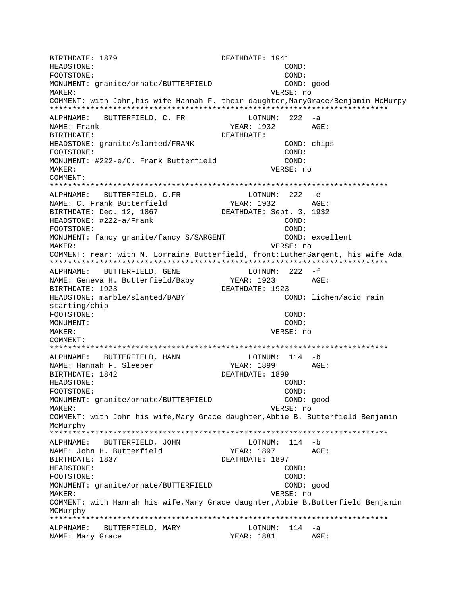BIRTHDATE: 1879 DEATHDATE: 1941 HEADSTONE: COND: FOOTSTONE: COND: MONUMENT: granite/ornate/BUTTERFIELD COND: good MAKER: VERSE: no COMMENT: with John, his wife Hannah F. their daughter, MaryGrace/Benjamin McMurpy \*\*\*\*\*\*\*\*\*\*\*\*\*\*\*\*\*\*\*\*\*\*\*\*\*\*\*\*\*\*\*\*\*\*\*\*\*\*\*\*\*\*\*\*\*\*\*\*\*\*\*\*\*\*\*\*\*\*\*\*\*\*\*\*\*\*\*\*\*\*\*\*\*\*\* ALPHNAME: BUTTERFIELD, C. FR LOTNUM: 222 -a NAME: Frank 1932 AGE: BIRTHDATE: DEATHDATE: HEADSTONE: granite/slanted/FRANK COND: chips FOOTSTONE: COND: MONUMENT: #222-e/C. Frank Butterfield COND: MAKER: VERSE: no COMMENT: \*\*\*\*\*\*\*\*\*\*\*\*\*\*\*\*\*\*\*\*\*\*\*\*\*\*\*\*\*\*\*\*\*\*\*\*\*\*\*\*\*\*\*\*\*\*\*\*\*\*\*\*\*\*\*\*\*\*\*\*\*\*\*\*\*\*\*\*\*\*\*\*\*\*\* ALPHNAME: BUTTERFIELD, C.FR<br>
NAME: C. Frank Butterfield<br>
2008 NAME: C. Frank Butterfield BIRTHDATE: Dec. 12, 1867 DEATHDATE: Sept. 3, 1932 HEADSTONE: #222-a/Frank COND: FOOTSTONE: COND: MONUMENT: fancy granite/fancy S/SARGENT (COND: excellent MAKER: VERSE: no COMMENT: rear: with N. Lorraine Butterfield, front:LutherSargent, his wife Ada \*\*\*\*\*\*\*\*\*\*\*\*\*\*\*\*\*\*\*\*\*\*\*\*\*\*\*\*\*\*\*\*\*\*\*\*\*\*\*\*\*\*\*\*\*\*\*\*\*\*\*\*\*\*\*\*\*\*\*\*\*\*\*\*\*\*\*\*\*\*\*\*\*\*\* ALPHNAME: BUTTERFIELD, GENE LOTNUM: 222 -f NAME: Geneva H. Butterfield/Baby BIRTHDATE: 1923 DEATHDATE: 1923 HEADSTONE: marble/slanted/BABY COND: lichen/acid rain starting/chip FOOTSTONE: COND: MONUMENT: COND: MAKER: VERSE: no COMMENT: \*\*\*\*\*\*\*\*\*\*\*\*\*\*\*\*\*\*\*\*\*\*\*\*\*\*\*\*\*\*\*\*\*\*\*\*\*\*\*\*\*\*\*\*\*\*\*\*\*\*\*\*\*\*\*\*\*\*\*\*\*\*\*\*\*\*\*\*\*\*\*\*\*\*\* ALPHNAME: BUTTERFIELD, HANN LOTNUM: 114 -b NAME: Hannah F. Sleeper YEAR: 1899 BIRTHDATE: 1842 DEATHDATE: 1899 HEADSTONE: COND: FOOTSTONE: COND: MONUMENT: granite/ornate/BUTTERFIELD COND: good MAKER: VERSE: no COMMENT: with John his wife,Mary Grace daughter,Abbie B. Butterfield Benjamin McMurphy \*\*\*\*\*\*\*\*\*\*\*\*\*\*\*\*\*\*\*\*\*\*\*\*\*\*\*\*\*\*\*\*\*\*\*\*\*\*\*\*\*\*\*\*\*\*\*\*\*\*\*\*\*\*\*\*\*\*\*\*\*\*\*\*\*\*\*\*\*\*\*\*\*\*\* ALPHNAME: BUTTERFIELD, JOHN NAME: John H. Butterfield YEAR: 1897 AGE: BIRTHDATE: 1837 DEATHDATE: 1897 HEADSTONE: COND: FOOTSTONE: COND: MONUMENT: granite/ornate/BUTTERFIELD COND: good MAKER: VERSE: no COMMENT: with Hannah his wife,Mary Grace daughter,Abbie B.Butterfield Benjamin MCMurphy \*\*\*\*\*\*\*\*\*\*\*\*\*\*\*\*\*\*\*\*\*\*\*\*\*\*\*\*\*\*\*\*\*\*\*\*\*\*\*\*\*\*\*\*\*\*\*\*\*\*\*\*\*\*\*\*\*\*\*\*\*\*\*\*\*\*\*\*\*\*\*\*\*\*\* ALPHNAME: BUTTERFIELD, MARY NAME: Mary Grace The Mass of the YEAR: 1881 AGE: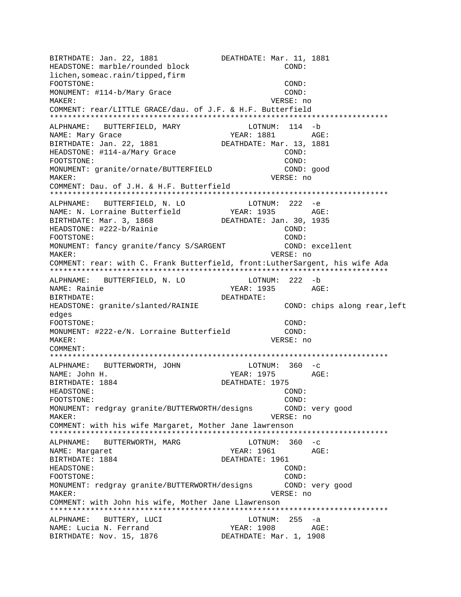BIRTHDATE: Jan. 22, 1881 DEATHDATE: Mar. 11, 1881 HEADSTONE: marble/rounded block COND: lichen,someac.rain/tipped,firm FOOTSTONE: COND: MONUMENT:  $\#114-b/Mary$  Grace COND: MAKER: VERSE: no COMMENT: rear/LITTLE GRACE/dau. of J.F. & H.F. Butterfield \*\*\*\*\*\*\*\*\*\*\*\*\*\*\*\*\*\*\*\*\*\*\*\*\*\*\*\*\*\*\*\*\*\*\*\*\*\*\*\*\*\*\*\*\*\*\*\*\*\*\*\*\*\*\*\*\*\*\*\*\*\*\*\*\*\*\*\*\*\*\*\*\*\*\* ALPHNAME: BUTTERFIELD, MARY NAME: Mary Grace The Mass of the YEAR: 1881 AGE: BIRTHDATE: Jan. 22, 1881 DEATHDATE: Mar. 13, 1881 HEADSTONE: #114-a/Mary Grace COND: FOOTSTONE: COND: MONUMENT: granite/ornate/BUTTERFIELD COND: good MAKER: VERSE: no COMMENT: Dau. of J.H. & H.F. Butterfield \*\*\*\*\*\*\*\*\*\*\*\*\*\*\*\*\*\*\*\*\*\*\*\*\*\*\*\*\*\*\*\*\*\*\*\*\*\*\*\*\*\*\*\*\*\*\*\*\*\*\*\*\*\*\*\*\*\*\*\*\*\*\*\*\*\*\*\*\*\*\*\*\*\*\* ALPHNAME: BUTTERFIELD, N. LO<br>
NAME: N. Lorraine Butterfield<br>
YEAR: 1935 AGE: NAME: N. Lorraine Butterfield BIRTHDATE: Mar. 3, 1868 DEATHDATE: Jan. 30, 1935 HEADSTONE: #222-b/Rainie COND: FOOTSTONE: COND: MONUMENT: fancy granite/fancy S/SARGENT COND: excellent MAKER: VERSE: no COMMENT: rear: with C. Frank Butterfield, front:LutherSargent, his wife Ada \*\*\*\*\*\*\*\*\*\*\*\*\*\*\*\*\*\*\*\*\*\*\*\*\*\*\*\*\*\*\*\*\*\*\*\*\*\*\*\*\*\*\*\*\*\*\*\*\*\*\*\*\*\*\*\*\*\*\*\*\*\*\*\*\*\*\*\*\*\*\*\*\*\*\* ALPHNAME: BUTTERFIELD, N. LO LOTNUM: 222 -b NAME: Rainie YEAR: 1935 AGE: BIRTHDATE: DEATHDATE: HEADSTONE: granite/slanted/RAINIE COND: chips along rear,left edges FOOTSTONE: COND: MONUMENT: #222-e/N. Lorraine Butterfield COND: MAKER: VERSE: no COMMENT: \*\*\*\*\*\*\*\*\*\*\*\*\*\*\*\*\*\*\*\*\*\*\*\*\*\*\*\*\*\*\*\*\*\*\*\*\*\*\*\*\*\*\*\*\*\*\*\*\*\*\*\*\*\*\*\*\*\*\*\*\*\*\*\*\*\*\*\*\*\*\*\*\*\*\* ALPHNAME: BUTTERWORTH, JOHN NAME: John H. YEAR: 1975 AGE: BIRTHDATE: 1884 DEATHDATE: 1975 HEADSTONE: COND: FOOTSTONE: COND: MONUMENT: redgray granite/BUTTERWORTH/designs COND: very good MAKER: VERSE: no COMMENT: with his wife Margaret, Mother Jane lawrenson \*\*\*\*\*\*\*\*\*\*\*\*\*\*\*\*\*\*\*\*\*\*\*\*\*\*\*\*\*\*\*\*\*\*\*\*\*\*\*\*\*\*\*\*\*\*\*\*\*\*\*\*\*\*\*\*\*\*\*\*\*\*\*\*\*\*\*\*\*\*\*\*\*\*\* ALPHNAME: BUTTERWORTH, MARG NAME: Margaret The Machinese YEAR: 1961 AGE: BIRTHDATE: 1884 DEATHDATE: 1961 HEADSTONE: COND: FOOTSTONE: COND: MONUMENT: redgray granite/BUTTERWORTH/designs COND: very good MAKER: VERSE: no COMMENT: with John his wife, Mother Jane Llawrenson \*\*\*\*\*\*\*\*\*\*\*\*\*\*\*\*\*\*\*\*\*\*\*\*\*\*\*\*\*\*\*\*\*\*\*\*\*\*\*\*\*\*\*\*\*\*\*\*\*\*\*\*\*\*\*\*\*\*\*\*\*\*\*\*\*\*\*\*\*\*\*\*\*\*\* ALPHNAME: BUTTERY, LUCI LOTNUM: 255 -a NAME: Lucia N. Ferrand YEAR: 1908 AGE<br>BIRTHDATE: Nov. 15, 1876 DEATHDATE: Mar. 1, 1908 BIRTHDATE: Nov. 15, 1876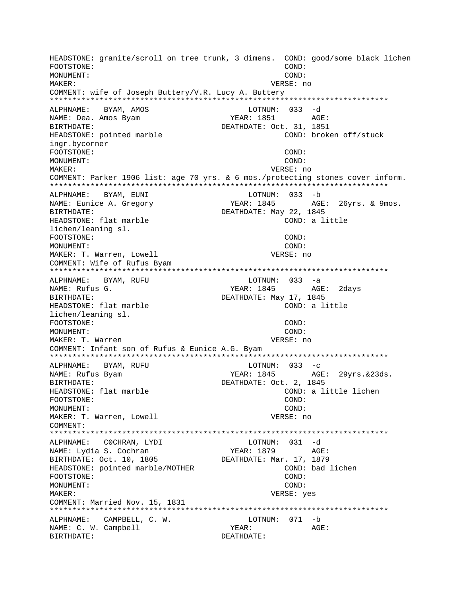HEADSTONE: granite/scroll on tree trunk, 3 dimens. COND: good/some black lichen FOOTSTONE:  $COMD:$ MONUMENT: COND: MAKER: VERSE: no COMMENT: wife of Joseph Buttery/V.R. Lucy A. Buttery ALPHNAME: BYAM, AMOS LOTNUM: 033 -d YEAR: 1851 NAME: Dea. Amos Byam AGE: DEATHDATE: Oct. 31, 1851 BIRTHDATE: HEADSTONE: pointed marble COND: broken off/stuck ingr.bycorner FOOTSTONE:  $COND:$ MONUMENT: COND: MAKER: VERSE: no COMMENT: Parker 1906 list: age 70 yrs. & 6 mos./protecting stones cover inform. ALPHNAME: BYAM, EUNI LOTNUM: 033 -b YEAR: 1845 NAME: Eunice A. Gregory AGE: 26yrs. & 9mos. DEATHDATE: May 22, 1845 BIRTHDATE: HEADSTONE: flat marble COND: a little lichen/leaning sl. FOOTSTONE: COND: MONUMENT: COND: MAKER: T. Warren, Lowell VERSE: no COMMENT: Wife of Rufus Byam ALPHNAME: BYAM, RUFU  $LOTNUM: 033 -a$ NAME: Rufus G. YEAR: 1845 AGE: 2davs DEATHDATE: May 17, 1845 BIRTHDATE: HEADSTONE: flat marble COND: a little lichen/leaning sl. FOOTSTONE: COND: MONUMENT: COND: MAKER: T. Warren VERSE: no COMMENT: Infant son of Rufus & Eunice A.G. Byam ALPHNAME: BYAM, RUFU LOTNUM:  $033 - c$ NAME: Rufus Byam YEAR: 1845 AGE: 29yrs.&23ds. BIRTHDATE: DEATHDATE: Oct. 2, 1845 HEADSTONE: flat marble COND: a little lichen FOOTSTONE: COND: MONUMENT: COND: MAKER: T. Warren, Lowell VERSE: no COMMENT: ALPHNAME: COCHRAN, LYDI LOTNUM: 031 -d NAME: Lydia S. Cochran YEAR: 1879 AGE: BIRTHDATE: Oct. 10, 1805 DEATHDATE: Mar. 17, 1879 HEADSTONE: pointed marble/MOTHER COND: bad lichen FOOTSTONE: COND: MONUMENT: COND: MAKER: VERSE: yes COMMENT: Married Nov. 15, 1831 ALPHNAME: CAMPBELL, C. W. LOTNUM: 071 -b NAME: C. W. Campbell YEAR: AGE: BIRTHDATE: DEATHDATE: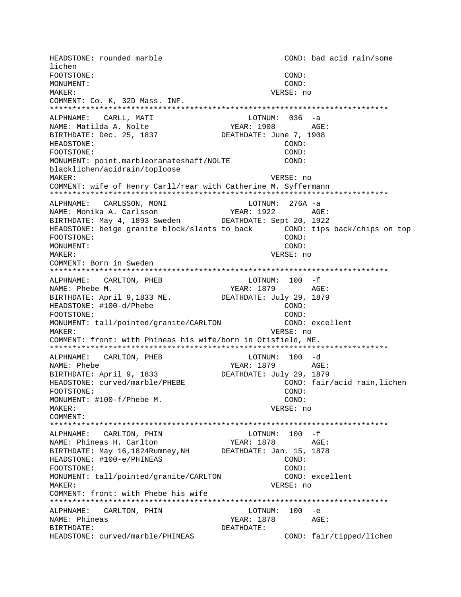HEADSTONE: rounded marble COND: bad acid rain/some lichen FOOTSTONE: COND: MONUMENT: COND: MAKER: VERSE: no COMMENT: Co. K, 32D Mass. INF. \*\*\*\*\*\*\*\*\*\*\*\*\*\*\*\*\*\*\*\*\*\*\*\*\*\*\*\*\*\*\*\*\*\*\*\*\*\*\*\*\*\*\*\*\*\*\*\*\*\*\*\*\*\*\*\*\*\*\*\*\*\*\*\*\*\*\*\*\*\*\*\*\*\*\* ALPHNAME: CARLL, MATI LOTNUM: 036 -a NAME: Matilda A. Nolte  $YEAR: 1908$  AGE: BIRTHDATE: Dec. 25, 1837 DEATHDATE: June 7, 1908 HEADSTONE: COND: FOOTSTONE: COND: MONUMENT: point.marbleoranateshaft/NOLTE COND: blacklichen/acidrain/toploose MAKER: VERSE: no COMMENT: wife of Henry Carll/rear with Catherine M. Syffermann \*\*\*\*\*\*\*\*\*\*\*\*\*\*\*\*\*\*\*\*\*\*\*\*\*\*\*\*\*\*\*\*\*\*\*\*\*\*\*\*\*\*\*\*\*\*\*\*\*\*\*\*\*\*\*\*\*\*\*\*\*\*\*\*\*\*\*\*\*\*\*\*\*\*\* ALPHNAME: CARLSSON, MONI LOTNUM: 276A -a NAME: Monika A. Carlsson YEAR: 1922 AGE: BIRTHDATE: May 4, 1893 Sweden DEATHDATE: Sept 20, 1922 HEADSTONE: beige granite block/slants to back COND: tips back/chips on top FOOTSTONE: COND: MONUMENT: COND: MAKER: VERSE: no COMMENT: Born in Sweden \*\*\*\*\*\*\*\*\*\*\*\*\*\*\*\*\*\*\*\*\*\*\*\*\*\*\*\*\*\*\*\*\*\*\*\*\*\*\*\*\*\*\*\*\*\*\*\*\*\*\*\*\*\*\*\*\*\*\*\*\*\*\*\*\*\*\*\*\*\*\*\*\*\*\* ALPHNAME: CARLTON, PHEB LOTNUM: 100 -f NAME: Phebe M. (2018)<br>BIRTHDATE: April 9,1833 ME. (2018) DEATHDATE: July 29, 1879 BIRTHDATE: April 9,1833 ME. HEADSTONE: #100-d/Phebe COND: FOOTSTONE: COND: MONUMENT: tall/pointed/granite/CARLTON COND: excellent MAKER: VERSE: no COMMENT: front: with Phineas his wife/born in Otisfield, ME. \*\*\*\*\*\*\*\*\*\*\*\*\*\*\*\*\*\*\*\*\*\*\*\*\*\*\*\*\*\*\*\*\*\*\*\*\*\*\*\*\*\*\*\*\*\*\*\*\*\*\*\*\*\*\*\*\*\*\*\*\*\*\*\*\*\*\*\*\*\*\*\*\*\*\* ALPHNAME: CARLTON, PHEB LOTNUM: 100 -d<br>NAME: Phebe 2011 NAME: Phebe YEAR: 1879 AGE: BIRTHDATE: April 9, 1833 HEADSTONE: curved/marble/PHEBE COND: fair/acid rain,lichen FOOTSTONE: COND: MONUMENT: #100-f/Phebe M. COND: MAKER: VERSE: no COMMENT: \*\*\*\*\*\*\*\*\*\*\*\*\*\*\*\*\*\*\*\*\*\*\*\*\*\*\*\*\*\*\*\*\*\*\*\*\*\*\*\*\*\*\*\*\*\*\*\*\*\*\*\*\*\*\*\*\*\*\*\*\*\*\*\*\*\*\*\*\*\*\*\*\*\*\* ALPHNAME: CARLTON, PHIN LOTNUM: 100 -f NAME: Phineas H. Carlton YEAR: 1878 AGE: BIRTHDATE: May 16,1824Rumney,NH DEATHDATE: Jan. 15, 1878 HEADSTONE: #100-e/PHINEAS COND: FOOTSTONE: COND: MONUMENT: tall/pointed/granite/CARLTON COND: excellent MAKER: VERSE: no COMMENT: front: with Phebe his wife \*\*\*\*\*\*\*\*\*\*\*\*\*\*\*\*\*\*\*\*\*\*\*\*\*\*\*\*\*\*\*\*\*\*\*\*\*\*\*\*\*\*\*\*\*\*\*\*\*\*\*\*\*\*\*\*\*\*\*\*\*\*\*\*\*\*\*\*\*\*\*\*\*\*\* ALPHNAME: CARLTON, PHIN LOTNUM: 100 -e NAME: Phineas YEAR: 1878 AGE: BIRTHDATE: DEATHDATE: HEADSTONE: curved/marble/PHINEAS COND: fair/tipped/lichen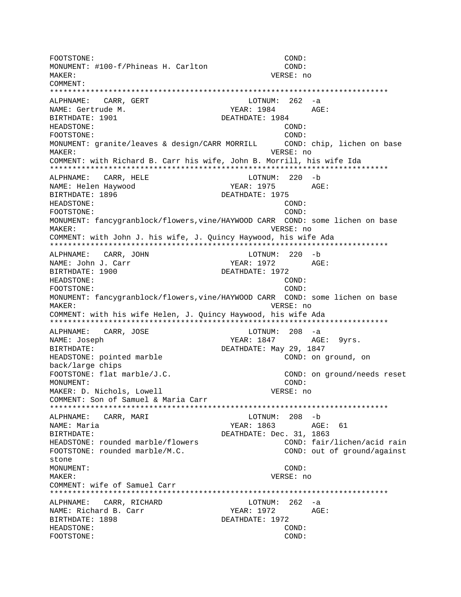FOOTSTONE: COND: MONUMENT: #100-f/Phineas H. Carlton COND: MAKER: VERSE: no COMMENT: ALPHNAME: CARR, GERT LOTNUM: 262 -a NAME: Gertrude M. YEAR: 1984 AGE: BIRTHDATE: 1901 DEATHDATE: 1984 HEADSTONE: COND: FOOTSTONE:  $CONF:$ MONUMENT: granite/leaves & design/CARR MORRILL COND: chip, lichen on base MAKER: VERSE: no COMMENT: with Richard B. Carr his wife, John B. Morrill, his wife Ida ALPHNAME: CARR, HELE LOTNUM: 220 -b NAME: Helen Haywood YEAR: 1975  $AGE:$ BIRTHDATE: 1896 DEATHDATE: 1975 **HEADSTONE:** COND: COND: FOOTSTONE: MONUMENT: fancygranblock/flowers, vine/HAYWOOD CARR COND: some lichen on base MAKER: VERSE: no COMMENT: with John J. his wife, J. Quincy Haywood, his wife Ada ALPHNAME: CARR, JOHN LOTNUM: 220 -b AGE: YEAR: 1972 NAME: John J. Carr BIRTHDATE: 1900 DEATHDATE: 1972 HEADSTONE: COND: FOOTSTONE: COND: MONUMENT: fancygranblock/flowers, vine/HAYWOOD CARR COND: some lichen on base MAKER: VERSE: no COMMENT: with his wife Helen, J. Quincy Haywood, his wife Ada ALPHNAME: CARR, JOSE LOTNUM:  $208 - a$ NAME: Joseph YEAR: 1847 AGE: 9yrs. DEATHDATE: May 29, 1847 BIRTHDATE: COND: on ground, on HEADSTONE: pointed marble back/large chips FOOTSTONE: flat marble/J.C. COND: on ground/needs reset MONUMENT: COND: VERSE: no MAKER: D. Nichols, Lowell COMMENT: Son of Samuel & Maria Carr ALPHNAME: CARR, MARI LOTNUM: 208 -b YEAR: 1863 AGE: 61 NAME: Maria **BIRTHDATE:** DEATHDATE: Dec. 31, 1863 HEADSTONE: rounded marble/flowers COND: fair/lichen/acid rain FOOTSTONE: rounded marble/M.C. COND: out of ground/against  $stone$ MONUMENT: COND: MAKER: VERSE: no COMMENT: wife of Samuel Carr LOTNUM:  $262 - a$ ALPHNAME: CARR, RICHARD NAME: Richard B. Carr YEAR: 1972 AGE: BIRTHDATE: 1898 DEATHDATE: 1972 HEADSTONE: COND: FOOTSTONE: COND: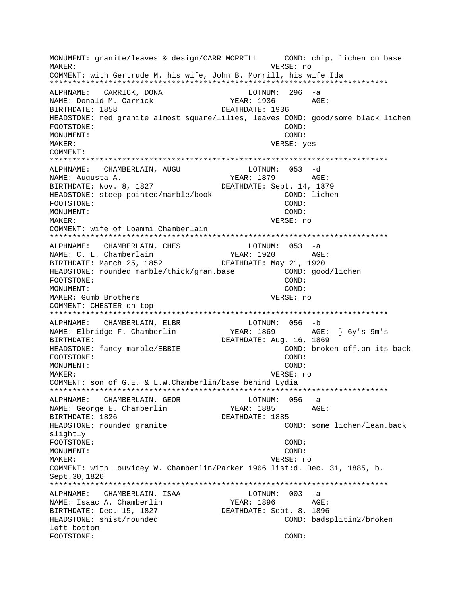MONUMENT: granite/leaves & design/CARR MORRILL COND: chip, lichen on base VERSE: no MAKER: COMMENT: with Gertrude M. his wife, John B. Morrill, his wife Ida ALPHNAME: CARRICK, DONA LOTNUM:  $296 - a$ NAME: Donald M. Carrick YEAR: 1936 AGE: BIRTHDATE: 1858 DEATHDATE: 1936 HEADSTONE: red granite almost square/lilies, leaves COND: good/some black lichen FOOTSTONE: COND: MONUMENT:  $COND:$ MAKER: VERSE: yes COMMENT: ALPHNAME: CHAMBERLAIN, AUGU LOTNUM: 053 -d YEAR: 1879 AGE: NAME: Augusta A. BIRTHDATE: Nov. 8, 1827 DEATHDATE: Sept. 14, 1879 HEADSTONE: steep pointed/marble/book COND: lichen FOOTSTONE: COND: MONUMENT: COND: MAKER: VERSE: no COMMENT: wife of Loammi Chamberlain ALPHNAME:  $LOTNUM: 053 -a$ CHAMBERLAIN, CHES NAME: C. L. Chamberlain AGE: YEAR: 1920 BIRTHDATE: March 25, 1852 DEATHDATE: May 21, 1920 HEADSTONE: rounded marble/thick/gran.base COND: good/lichen FOOTSTONE: COND: MONUMENT: COND: MAKER: Gumb Brothers VERSE: no COMMENT: CHESTER on top ALPHNAME: CHAMBERLAIN, ELBR LOTNUM: 056 -b YEAR: 1869 AGE: } 6y's 9m's NAME: Elbridge F. Chamberlin DEATHDATE: Aug. 16, 1869 BIRTHDATE: HEADSTONE: fancy marble/EBBIE COND: broken off, on its back FOOTSTONE: COND: MONUMENT: COND: MAKER: VERSE: no COMMENT: son of G.E. & L.W. Chamberlin/base behind Lydia ALPHNAME: CHAMBERLAIN, GEOR LOTNUM: 056 -a NAME: George E. Chamberlin YEAR: 1885 AGE: DEATHDATE: 1885 BIRTHDATE: 1826 HEADSTONE: rounded granite COND: some lichen/lean.back slightly FOOTSTONE: COND: COND: MONIJMENT: VERSE: no MAKER: COMMENT: with Louvicey W. Chamberlin/Parker 1906 list:d. Dec. 31, 1885, b. Sept.30,1826 ALPHNAME: CHAMBERLAIN, ISAA LOTNUM: 003 -a NAME: Isaac A. Chamberlin YEAR: 1896 AGE: BIRTHDATE: Dec. 15, 1827 DEATHDATE: Sept. 8, 1896 HEADSTONE: shist/rounded COND: badsplitin2/broken left bottom FOOTSTONE: COND: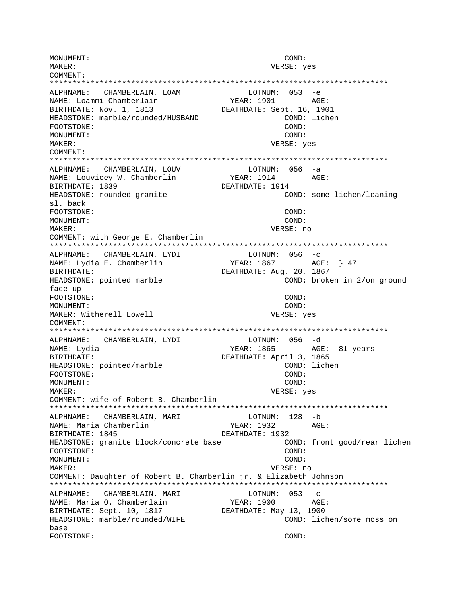MONUMENT: COND: MAKER: VERSE: yes COMMENT: LOTNUM: 053 -e ALPHNAME: CHAMBERLAIN, LOAM NAME: Loammi Chamberlain YEAR: 1901 AGE: DEATHDATE: Sept. 16, 1901 BIRTHDATE: Nov. 1, 1813 HEADSTONE: marble/rounded/HUSBAND COND: lichen COND: FOOTSTONE: MONUMENT: COND: MAKER: VERSE: yes COMMENT: ALPHNAME: CHAMBERLAIN, LOUV LOTNUM: 056 -a NAME: Louvicey W. Chamberlin **YEAR: 1914** AGE: BIRTHDATE: 1839 DEATHDATE: 1914 HEADSTONE: rounded granite COND: some lichen/leaning sl. back FOOTSTONE: COND: MONUMENT: COND: VERSE: no MAKER: COMMENT: with George E. Chamberlin LOTNUM:  $056 -c$ ALPHNAME: CHAMBERLAIN, LYDI NAME: Lydia E. Chamberlin BIRTHDATE: DEATHDATE: Aug. 20, 1867 HEADSTONE: pointed marble COND: broken in 2/on ground face up FOOTSTONE: COND:  $COND:$ MONITMENT: MAKER: Witherell Lowell VERSE: yes COMMENT: ALPHNAME: CHAMBERLAIN, LYDI LOTNUM: 056 -d NAME: Lydia YEAR: 1865 AGE: 81 years DEATHDATE: April 3, 1865 BIRTHDATE: COND: lichen HEADSTONE: pointed/marble FOOTSTONE: COND: MONUMENT: COND: MAKER: VERSE: yes COMMENT: wife of Robert B. Chamberlin ALPHNAME: CHAMBERLAIN, MARI LOTNUM: 128 -b NAME: Maria Chamberlin YEAR: 1932 AGE: BIRTHDATE: 1845 DEATHDATE: 1932 COND: front good/rear lichen HEADSTONE: granite block/concrete base FOOTSTONE: COND: MONUMENT: COND: MAKER: VERSE: no COMMENT: Daughter of Robert B. Chamberlin jr. & Elizabeth Johnson ALPHNAME: CHAMBERLAIN, MARI LOTNUM:  $053 - c$ NAME: Maria O. Chamberlain YEAR: 1900  $AGE:$ BIRTHDATE: Sept. 10, 1817 DEATHDATE: May 13, 1900 HEADSTONE: marble/rounded/WIFE COND: lichen/some moss on base FOOTSTONE:  $COMD:$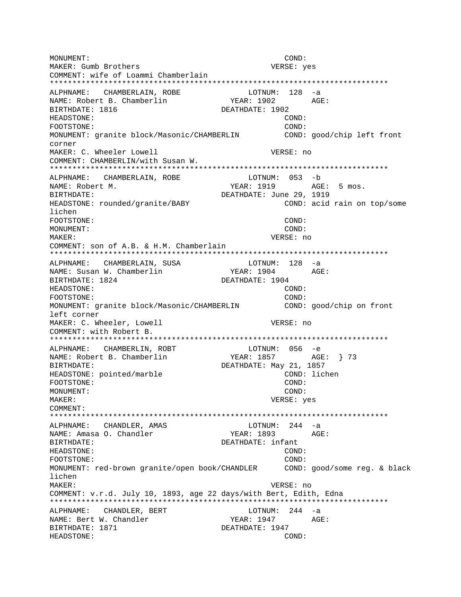MONUMENT: COND: MAKER: Gumb Brothers and the USA of the VERSE: yes COMMENT: wife of Loammi Chamberlain \*\*\*\*\*\*\*\*\*\*\*\*\*\*\*\*\*\*\*\*\*\*\*\*\*\*\*\*\*\*\*\*\*\*\*\*\*\*\*\*\*\*\*\*\*\*\*\*\*\*\*\*\*\*\*\*\*\*\*\*\*\*\*\*\*\*\*\*\*\*\*\*\*\*\* ALPHNAME: CHAMBERLAIN, ROBE LOTNUM: 128 -a NAME: Robert B. Chamberlin YEAR: 1902 AGE: BIRTHDATE: 1816 DEATHDATE: 1902 HEADSTONE: COND: FOOTSTONE: COND: MONUMENT: granite block/Masonic/CHAMBERLIN COND: good/chip left front corner MAKER: C. Wheeler Lowell **VERSE:** no COMMENT: CHAMBERLIN/with Susan W. \*\*\*\*\*\*\*\*\*\*\*\*\*\*\*\*\*\*\*\*\*\*\*\*\*\*\*\*\*\*\*\*\*\*\*\*\*\*\*\*\*\*\*\*\*\*\*\*\*\*\*\*\*\*\*\*\*\*\*\*\*\*\*\*\*\*\*\*\*\*\*\*\*\*\* ALPHNAME: CHAMBERLAIN, ROBE LOTNUM: 053 -b NAME: Robert M. The Magnus of the Magnus of the YEAR: 1919 MAGE: 5 mos. BIRTHDATE: DEATHDATE: June 29, 1919 HEADSTONE: rounded/granite/BABY COND: acid rain on top/some lichen FOOTSTONE: COND: MONUMENT: COND: MAKER: VERSE: no COMMENT: son of A.B. & H.M. Chamberlain \*\*\*\*\*\*\*\*\*\*\*\*\*\*\*\*\*\*\*\*\*\*\*\*\*\*\*\*\*\*\*\*\*\*\*\*\*\*\*\*\*\*\*\*\*\*\*\*\*\*\*\*\*\*\*\*\*\*\*\*\*\*\*\*\*\*\*\*\*\*\*\*\*\*\* ALPHNAME: CHAMBERLAIN, SUSA LOTNUM: 128 -a NAME: Susan W. Chamberlin YEAR: 1904 AGE: BIRTHDATE: 1824 DEATHDATE: 1904 HEADSTONE: COND: FOOTSTONE: COND: MONUMENT: granite block/Masonic/CHAMBERLIN COND: good/chip on front left corner MAKER: C. Wheeler, Lowell **VERSE:** no COMMENT: with Robert B. \*\*\*\*\*\*\*\*\*\*\*\*\*\*\*\*\*\*\*\*\*\*\*\*\*\*\*\*\*\*\*\*\*\*\*\*\*\*\*\*\*\*\*\*\*\*\*\*\*\*\*\*\*\*\*\*\*\*\*\*\*\*\*\*\*\*\*\*\*\*\*\*\*\*\* ALPHNAME: CHAMBERLIN, ROBT NAME: Robert B. Chamberlin YEAR: 1857 AGE: } 73 BIRTHDATE: DEATHDATE: May 21, 1857 HEADSTONE: pointed/marble COND: lichen FOOTSTONE: COND: MONUMENT: COND: MAKER: VERSE: yes COMMENT: \*\*\*\*\*\*\*\*\*\*\*\*\*\*\*\*\*\*\*\*\*\*\*\*\*\*\*\*\*\*\*\*\*\*\*\*\*\*\*\*\*\*\*\*\*\*\*\*\*\*\*\*\*\*\*\*\*\*\*\*\*\*\*\*\*\*\*\*\*\*\*\*\*\*\* ALPHNAME: CHANDLER, AMAS LOTNUM: 244 -a NAME: Amasa O. Chandler YEAR: 1893 AGE: BIRTHDATE: DEATHDATE: infant HEADSTONE: COND: FOOTSTONE: COND: MONUMENT: red-brown granite/open book/CHANDLER COND: good/some reg. & black lichen MAKER: VERSE: no COMMENT: v.r.d. July 10, 1893, age 22 days/with Bert, Edith, Edna \*\*\*\*\*\*\*\*\*\*\*\*\*\*\*\*\*\*\*\*\*\*\*\*\*\*\*\*\*\*\*\*\*\*\*\*\*\*\*\*\*\*\*\*\*\*\*\*\*\*\*\*\*\*\*\*\*\*\*\*\*\*\*\*\*\*\*\*\*\*\*\*\*\*\* ALPHNAME: CHANDLER, BERT LOTNUM: 244 -a NAME: Bert W. Chandler The YEAR: 1947 AGE: BIRTHDATE: 1871 DEATHDATE: 1947 HEADSTONE: COND: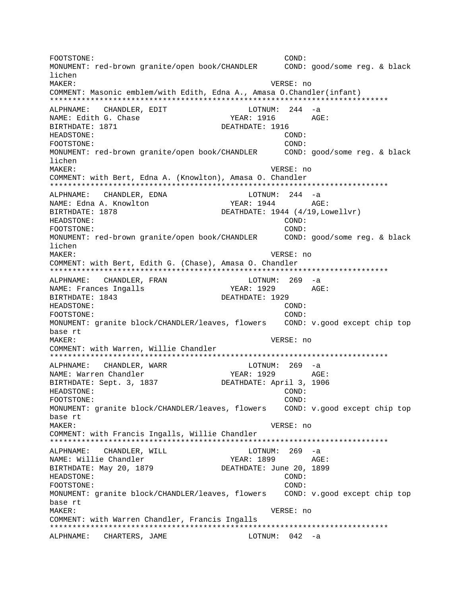FOOTSTONE: COND: MONUMENT: red-brown granite/open book/CHANDLER COND: good/some reg. & black lichen MAKER: VERSE: no COMMENT: Masonic emblem/with Edith, Edna A., Amasa O.Chandler(infant) \*\*\*\*\*\*\*\*\*\*\*\*\*\*\*\*\*\*\*\*\*\*\*\*\*\*\*\*\*\*\*\*\*\*\*\*\*\*\*\*\*\*\*\*\*\*\*\*\*\*\*\*\*\*\*\*\*\*\*\*\*\*\*\*\*\*\*\*\*\*\*\*\*\*\* ALPHNAME: CHANDLER, EDIT LOTNUM: 244 -a NAME: Edith G. Chase  $YERR: 1916$  AGE: BIRTHDATE: 1871 DEATHDATE: 1916 HEADSTONE: COND: FOOTSTONE: COND: MONUMENT: red-brown granite/open book/CHANDLER COND: good/some reg. & black lichen MAKER: VERSE: no COMMENT: with Bert, Edna A. (Knowlton), Amasa O. Chandler \*\*\*\*\*\*\*\*\*\*\*\*\*\*\*\*\*\*\*\*\*\*\*\*\*\*\*\*\*\*\*\*\*\*\*\*\*\*\*\*\*\*\*\*\*\*\*\*\*\*\*\*\*\*\*\*\*\*\*\*\*\*\*\*\*\*\*\*\*\*\*\*\*\*\* ALPHNAME: CHANDLER, EDNA 10 LOTNUM: 244 -a NAME: Edna A. Knowlton YEAR: 1944 AGE: BIRTHDATE: 1878 DEATHDATE: 1944 (4/19, Lowellvr) HEADSTONE: COND: FOOTSTONE: COND: MONUMENT: red-brown granite/open book/CHANDLER COND: good/some reg. & black lichen MAKER: VERSE: no COMMENT: with Bert, Edith G. (Chase), Amasa O. Chandler \*\*\*\*\*\*\*\*\*\*\*\*\*\*\*\*\*\*\*\*\*\*\*\*\*\*\*\*\*\*\*\*\*\*\*\*\*\*\*\*\*\*\*\*\*\*\*\*\*\*\*\*\*\*\*\*\*\*\*\*\*\*\*\*\*\*\*\*\*\*\*\*\*\*\* ALPHNAME: CHANDLER, FRAN LOTNUM: 269 -a NAME: Frances Ingalls The YEAR: 1929 AGE: BIRTHDATE: 1843 DEATHDATE: 1929 HEADSTONE: COND: FOOTSTONE: COND: MONUMENT: granite block/CHANDLER/leaves, flowers COND: v.good except chip top base rt MAKER: VERSE: no COMMENT: with Warren, Willie Chandler \*\*\*\*\*\*\*\*\*\*\*\*\*\*\*\*\*\*\*\*\*\*\*\*\*\*\*\*\*\*\*\*\*\*\*\*\*\*\*\*\*\*\*\*\*\*\*\*\*\*\*\*\*\*\*\*\*\*\*\*\*\*\*\*\*\*\*\*\*\*\*\*\*\*\* ALPHNAME: CHANDLER, WARR NAME: Warren Chandler YEAR: 1929 AGE: BIRTHDATE: Sept. 3, 1837 DEATHDATE: April 3, 1906 HEADSTONE: COND: FOOTSTONE: COND: MONUMENT: granite block/CHANDLER/leaves, flowers COND: v.good except chip top base rt MAKER: VERSE: no COMMENT: with Francis Ingalls, Willie Chandler \*\*\*\*\*\*\*\*\*\*\*\*\*\*\*\*\*\*\*\*\*\*\*\*\*\*\*\*\*\*\*\*\*\*\*\*\*\*\*\*\*\*\*\*\*\*\*\*\*\*\*\*\*\*\*\*\*\*\*\*\*\*\*\*\*\*\*\*\*\*\*\*\*\*\* ALPHNAME: CHANDLER, WILL CONNECTED MOTH LOTNUM: 269 -a NAME: Willie Chandler YEAR: 1899 AGE: BIRTHDATE: May 20, 1879 DEATHDATE: June 20, 1899 HEADSTONE: COND: FOOTSTONE: COND: MONUMENT: granite block/CHANDLER/leaves, flowers COND: v.good except chip top base rt MAKER: VERSE: no COMMENT: with Warren Chandler, Francis Ingalls \*\*\*\*\*\*\*\*\*\*\*\*\*\*\*\*\*\*\*\*\*\*\*\*\*\*\*\*\*\*\*\*\*\*\*\*\*\*\*\*\*\*\*\*\*\*\*\*\*\*\*\*\*\*\*\*\*\*\*\*\*\*\*\*\*\*\*\*\*\*\*\*\*\*\* ALPHNAME: CHARTERS, JAME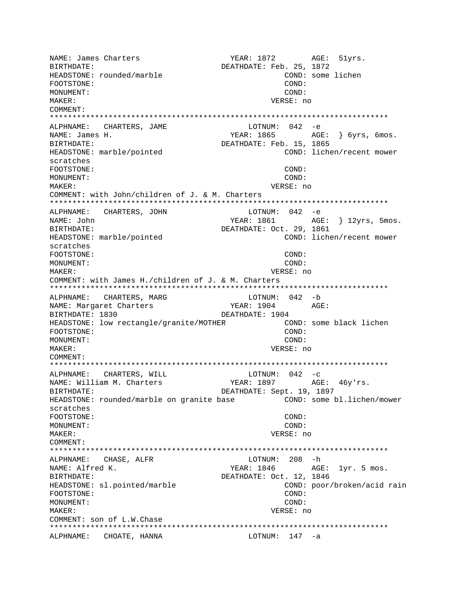NAME: James Charters The YEAR: 1872 AGE: 51yrs. BIRTHDATE:  $DEATHDATE: Feb. 25, 1872$ HEADSTONE: rounded/marble COND: some lichen FOOTSTONE: COND: MONUMENT: COND: MAKER: VERSE: no COMMENT: \*\*\*\*\*\*\*\*\*\*\*\*\*\*\*\*\*\*\*\*\*\*\*\*\*\*\*\*\*\*\*\*\*\*\*\*\*\*\*\*\*\*\*\*\*\*\*\*\*\*\*\*\*\*\*\*\*\*\*\*\*\*\*\*\*\*\*\*\*\*\*\*\*\*\* ALPHNAME: CHARTERS, JAME NAME: James H. YEAR: 1865 AGE: } 6yrs, 6mos. BIRTHDATE: DEATHDATE: Feb. 15, 1865 HEADSTONE: marble/pointed COND: lichen/recent mower scratches FOOTSTONE: COND: MONUMENT: COND: MAKER: VERSE: no COMMENT: with John/children of J. & M. Charters \*\*\*\*\*\*\*\*\*\*\*\*\*\*\*\*\*\*\*\*\*\*\*\*\*\*\*\*\*\*\*\*\*\*\*\*\*\*\*\*\*\*\*\*\*\*\*\*\*\*\*\*\*\*\*\*\*\*\*\*\*\*\*\*\*\*\*\*\*\*\*\*\*\*\* ALPHNAME: CHARTERS, JOHN NAME: John YEAR: 1861 AGE: } 12yrs, 5mos. BIRTHDATE: DEATHDATE: Oct. 29, 1861 HEADSTONE: marble/pointed COND: lichen/recent mower scratches FOOTSTONE: COND: MONUMENT: COND: MAKER: VERSE: no COMMENT: with James H./children of J. & M. Charters \*\*\*\*\*\*\*\*\*\*\*\*\*\*\*\*\*\*\*\*\*\*\*\*\*\*\*\*\*\*\*\*\*\*\*\*\*\*\*\*\*\*\*\*\*\*\*\*\*\*\*\*\*\*\*\*\*\*\*\*\*\*\*\*\*\*\*\*\*\*\*\*\*\*\* ALPHNAME: CHARTERS, MARG LOTNUM: 042 -b NAME: Margaret Charters TEAR: 1904 AGE: BIRTHDATE: 1830 DEATHDATE: 1904 HEADSTONE: low rectangle/granite/MOTHER COND: some black lichen FOOTSTONE: COND: MONUMENT: COND: MAKER: VERSE: no COMMENT: \*\*\*\*\*\*\*\*\*\*\*\*\*\*\*\*\*\*\*\*\*\*\*\*\*\*\*\*\*\*\*\*\*\*\*\*\*\*\*\*\*\*\*\*\*\*\*\*\*\*\*\*\*\*\*\*\*\*\*\*\*\*\*\*\*\*\*\*\*\*\*\*\*\*\* ALPHNAME: CHARTERS, WILL LOTNUM: 042 -c NAME: William M. Charters YEAR: 1897 AGE: 46y'rs. BIRTHDATE: DEATHDATE: Sept. 19, 1897 HEADSTONE: rounded/marble on granite base COND: some bl.lichen/mower scratches FOOTSTONE: COND: MONUMENT: COND: MAKER: VERSE: no COMMENT: \*\*\*\*\*\*\*\*\*\*\*\*\*\*\*\*\*\*\*\*\*\*\*\*\*\*\*\*\*\*\*\*\*\*\*\*\*\*\*\*\*\*\*\*\*\*\*\*\*\*\*\*\*\*\*\*\*\*\*\*\*\*\*\*\*\*\*\*\*\*\*\*\*\*\* ALPHNAME: CHASE, ALFR NAME: Alfred K. The Mass of the MEAR: 1846 AGE: 1yr. 5 mos. BIRTHDATE: 0ct. 12, 1846 HEADSTONE: sl.pointed/marble COND: poor/broken/acid rain FOOTSTONE: COND: MONUMENT: COND: MAKER: VERSE: no COMMENT: son of L.W.Chase \*\*\*\*\*\*\*\*\*\*\*\*\*\*\*\*\*\*\*\*\*\*\*\*\*\*\*\*\*\*\*\*\*\*\*\*\*\*\*\*\*\*\*\*\*\*\*\*\*\*\*\*\*\*\*\*\*\*\*\*\*\*\*\*\*\*\*\*\*\*\*\*\*\*\* ALPHNAME: CHOATE, HANNA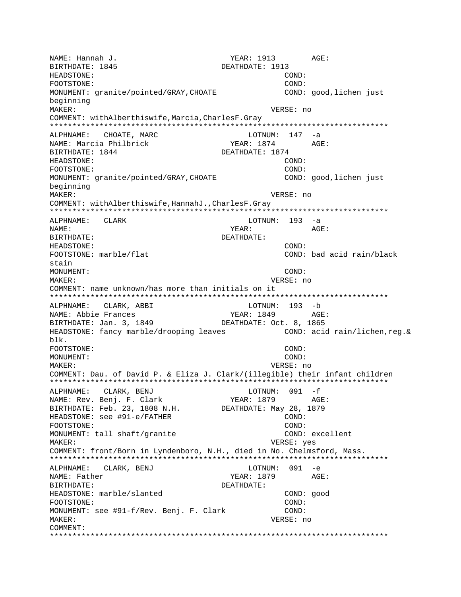NAME: Hannah J. YEAR: 1913 AGE: BIRTHDATE: 1845 DEATHDATE: 1913 HEADSTONE: COND: FOOTSTONE: COND: MONUMENT: granite/pointed/GRAY,CHOATE COND: good,lichen just beginning MAKER: VERSE: no COMMENT: withAlberthiswife,Marcia,CharlesF.Gray \*\*\*\*\*\*\*\*\*\*\*\*\*\*\*\*\*\*\*\*\*\*\*\*\*\*\*\*\*\*\*\*\*\*\*\*\*\*\*\*\*\*\*\*\*\*\*\*\*\*\*\*\*\*\*\*\*\*\*\*\*\*\*\*\*\*\*\*\*\*\*\*\*\*\* ALPHNAME: CHOATE, MARC CHOATE, MARC LOTNUM: 147 -a NAME: Marcia Philbrick (YEAR: 1874 AGE: 1874)<br>BIRTHDATE: 1844 (DEATHDATE: 1874 DEATHDATE: 1874 HEADSTONE: COND: FOOTSTONE: COND: MONUMENT: granite/pointed/GRAY,CHOATE COND: good,lichen just beginning MAKER: VERSE: no COMMENT: withAlberthiswife,HannahJ.,CharlesF.Gray \*\*\*\*\*\*\*\*\*\*\*\*\*\*\*\*\*\*\*\*\*\*\*\*\*\*\*\*\*\*\*\*\*\*\*\*\*\*\*\*\*\*\*\*\*\*\*\*\*\*\*\*\*\*\*\*\*\*\*\*\*\*\*\*\*\*\*\*\*\*\*\*\*\*\* ALPHNAME: CLARK LOTNUM: 193 -a NAME: YEAR: AGE: BIRTHDATE: DEATHDATE: HEADSTONE: COND: FOOTSTONE: marble/flat COND: bad acid rain/black stain MONUMENT: COND: MAKER: VERSE: no COMMENT: name unknown/has more than initials on it \*\*\*\*\*\*\*\*\*\*\*\*\*\*\*\*\*\*\*\*\*\*\*\*\*\*\*\*\*\*\*\*\*\*\*\*\*\*\*\*\*\*\*\*\*\*\*\*\*\*\*\*\*\*\*\*\*\*\*\*\*\*\*\*\*\*\*\*\*\*\*\*\*\*\* ALPHNAME: CLARK, ABBI NAME: Abbie Frances YEAR: 1849 AGE: BIRTHDATE: Jan. 3, 1849 DEATHDATE: Oct. 8, 1865 HEADSTONE: fancy marble/drooping leaves COND: acid rain/lichen, reg. & blk. FOOTSTONE: COND: MONUMENT: COND: MAKER: VERSE: no COMMENT: Dau. of David P. & Eliza J. Clark/(illegible) their infant children \*\*\*\*\*\*\*\*\*\*\*\*\*\*\*\*\*\*\*\*\*\*\*\*\*\*\*\*\*\*\*\*\*\*\*\*\*\*\*\*\*\*\*\*\*\*\*\*\*\*\*\*\*\*\*\*\*\*\*\*\*\*\*\*\*\*\*\*\*\*\*\*\*\*\* ALPHNAME: CLARK, BENJ LOTNUM: 091 -f NAME: Rev. Benj. F. Clark YEAR: 1879 AGE: BIRTHDATE: Feb. 23, 1808 N.H. DEATHDATE: May 28, 1879 HEADSTONE: see #91-e/FATHER COND: FOOTSTONE: COND: MONUMENT: tall shaft/granite COND: excellent MAKER: VERSE: yes COMMENT: front/Born in Lyndenboro, N.H., died in No. Chelmsford, Mass. \*\*\*\*\*\*\*\*\*\*\*\*\*\*\*\*\*\*\*\*\*\*\*\*\*\*\*\*\*\*\*\*\*\*\*\*\*\*\*\*\*\*\*\*\*\*\*\*\*\*\*\*\*\*\*\*\*\*\*\*\*\*\*\*\*\*\*\*\*\*\*\*\*\*\* ALPHNAME: CLARK, BENJ LOTNUM: 091 -e NAME: Father  $YEAR: 1879$  AGE: BIRTHDATE: DEATHDATE: HEADSTONE: marble/slanted COND: good FOOTSTONE: COND: MONUMENT: see #91-f/Rev. Benj. F. Clark COND: MAKER: VERSE: no COMMENT: \*\*\*\*\*\*\*\*\*\*\*\*\*\*\*\*\*\*\*\*\*\*\*\*\*\*\*\*\*\*\*\*\*\*\*\*\*\*\*\*\*\*\*\*\*\*\*\*\*\*\*\*\*\*\*\*\*\*\*\*\*\*\*\*\*\*\*\*\*\*\*\*\*\*\*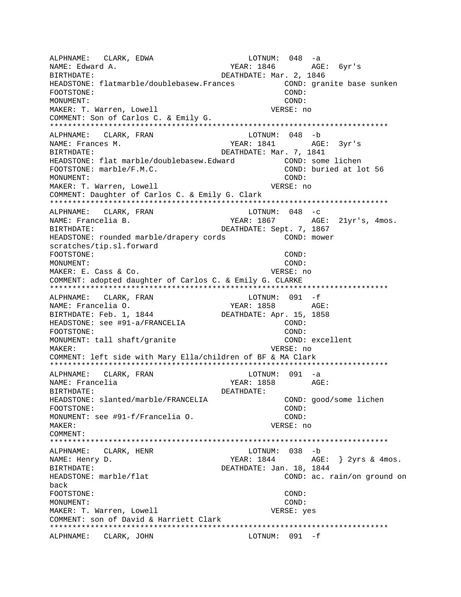ALPHNAME: CLARK, EDWA 10TNUM: 048 -a NAME: Edward A. The Contract of the Second Manus of the YEAR: 1846 AGE: 6yr's BIRTHDATE: Nar. 2, 1846 HEADSTONE: flatmarble/doublebasew.Frances <a></a> COND: granite base sunken FOOTSTONE: COND: MONUMENT: COND: MAKER: T. Warren, Lowell VERSE: no COMMENT: Son of Carlos C. & Emily G. \*\*\*\*\*\*\*\*\*\*\*\*\*\*\*\*\*\*\*\*\*\*\*\*\*\*\*\*\*\*\*\*\*\*\*\*\*\*\*\*\*\*\*\*\*\*\*\*\*\*\*\*\*\*\*\*\*\*\*\*\*\*\*\*\*\*\*\*\*\*\*\*\*\*\* ALPHNAME: CLARK, FRAN NAME: Frances M. YEAR: 1841 AGE: 3yr's DEATHDATE: Mar. 7, 1841 HEADSTONE: flat marble/doublebasew.Edward COND: some lichen FOOTSTONE: marble/F.M.C. COND: buried at lot 56 MONUMENT: COND: MAKER: T. Warren, Lowell **VERSE: No. 1996** VERSE: no. COMMENT: Daughter of Carlos C. & Emily G. Clark \*\*\*\*\*\*\*\*\*\*\*\*\*\*\*\*\*\*\*\*\*\*\*\*\*\*\*\*\*\*\*\*\*\*\*\*\*\*\*\*\*\*\*\*\*\*\*\*\*\*\*\*\*\*\*\*\*\*\*\*\*\*\*\*\*\*\*\*\*\*\*\*\*\*\* ALPHNAME: CLARK, FRAN NAME: Francelia B. (2008) AGE: 21yr's, 4mos. BIRTHDATE: DEATHDATE: Sept. 7, 1867 HEADSTONE: rounded marble/drapery cords COND: mower scratches/tip.sl.forward FOOTSTONE: COND: MONUMENT: COND: MAKER: E. Cass & Co. The Contract of the Contract of the VERSE: no COMMENT: adopted daughter of Carlos C. & Emily G. CLARKE \*\*\*\*\*\*\*\*\*\*\*\*\*\*\*\*\*\*\*\*\*\*\*\*\*\*\*\*\*\*\*\*\*\*\*\*\*\*\*\*\*\*\*\*\*\*\*\*\*\*\*\*\*\*\*\*\*\*\*\*\*\*\*\*\*\*\*\*\*\*\*\*\*\*\* ALPHNAME: CLARK, FRAN LOTNUM: 091 -f NAME: Francelia O. YEAR: 1858 AGE: BIRTHDATE: Feb. 1, 1844 HEADSTONE: see #91-a/FRANCELIA COND: FOOTSTONE: COND: MONUMENT: tall shaft/granite COND: excellent MAKER: VERSE: no COMMENT: left side with Mary Ella/children of BF & MA Clark \*\*\*\*\*\*\*\*\*\*\*\*\*\*\*\*\*\*\*\*\*\*\*\*\*\*\*\*\*\*\*\*\*\*\*\*\*\*\*\*\*\*\*\*\*\*\*\*\*\*\*\*\*\*\*\*\*\*\*\*\*\*\*\*\*\*\*\*\*\*\*\*\*\*\* ALPHNAME: CLARK, FRAN LOTNUM: 091 -a NAME: Francelia YEAR: 1858 AGE: BIRTHDATE: DEATHDATE: HEADSTONE: slanted/marble/FRANCELIA COND: good/some lichen FOOTSTONE: COND: MONUMENT: see #91-f/Francelia O. COND: MAKER: VERSE: no COMMENT: \*\*\*\*\*\*\*\*\*\*\*\*\*\*\*\*\*\*\*\*\*\*\*\*\*\*\*\*\*\*\*\*\*\*\*\*\*\*\*\*\*\*\*\*\*\*\*\*\*\*\*\*\*\*\*\*\*\*\*\*\*\*\*\*\*\*\*\*\*\*\*\*\*\*\* ALPHNAME: CLARK, HENR<br>NAME: Henry D.  $YEAR: 1844$   $AGE: \frac{1844}{1845}$ BIRTHDATE: SAN DEATHDATE: Jan. 18, 1844 HEADSTONE: marble/flat COND: ac. rain/on ground on back FOOTSTONE: COND: MONUMENT: COND: MAKER: T. Warren, Lowell VERSE: yes COMMENT: son of David & Harriett Clark \*\*\*\*\*\*\*\*\*\*\*\*\*\*\*\*\*\*\*\*\*\*\*\*\*\*\*\*\*\*\*\*\*\*\*\*\*\*\*\*\*\*\*\*\*\*\*\*\*\*\*\*\*\*\*\*\*\*\*\*\*\*\*\*\*\*\*\*\*\*\*\*\*\*\* ALPHNAME: CLARK, JOHN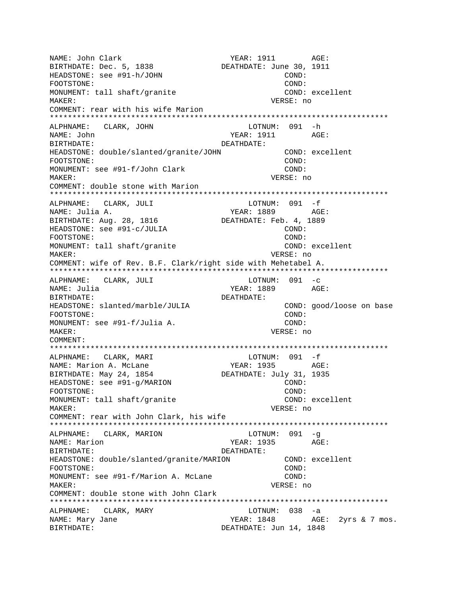NAME: John Clark YEAR: 1911 AGE:<br>BIRTHDATE: Dec. 5, 1838 DEATHDATE: June 30, 1911 BIRTHDATE: Dec. 5, 1838 HEADSTONE: see #91-h/JOHN COND: FOOTSTONE: COND: MONUMENT: tall shaft/granite COND: excellent MAKER: VERSE: no COMMENT: rear with his wife Marion \*\*\*\*\*\*\*\*\*\*\*\*\*\*\*\*\*\*\*\*\*\*\*\*\*\*\*\*\*\*\*\*\*\*\*\*\*\*\*\*\*\*\*\*\*\*\*\*\*\*\*\*\*\*\*\*\*\*\*\*\*\*\*\*\*\*\*\*\*\*\*\*\*\*\* ALPHNAME: CLARK, JOHN NAME: John AGE: BIRTHDATE: DEATHDATE: HEADSTONE: double/slanted/granite/JOHN COND: excellent FOOTSTONE: COND: MONUMENT: see #91-f/John Clark COND: COND: MAKER: VERSE: no COMMENT: double stone with Marion \*\*\*\*\*\*\*\*\*\*\*\*\*\*\*\*\*\*\*\*\*\*\*\*\*\*\*\*\*\*\*\*\*\*\*\*\*\*\*\*\*\*\*\*\*\*\*\*\*\*\*\*\*\*\*\*\*\*\*\*\*\*\*\*\*\*\*\*\*\*\*\*\*\*\* ALPHNAME: CLARK, JULI NAME: Julia A. YEAR: 1889 AGE: BIRTHDATE: Aug. 28, 1816 DEATHDATE: Feb. 4, 1889 HEADSTONE: see #91-c/JULIA COND: FOOTSTONE: COND: MONUMENT: tall shaft/granite COND: excellent MAKER: VERSE: no COMMENT: wife of Rev. B.F. Clark/right side with Mehetabel A. \*\*\*\*\*\*\*\*\*\*\*\*\*\*\*\*\*\*\*\*\*\*\*\*\*\*\*\*\*\*\*\*\*\*\*\*\*\*\*\*\*\*\*\*\*\*\*\*\*\*\*\*\*\*\*\*\*\*\*\*\*\*\*\*\*\*\*\*\*\*\*\*\*\*\* ALPHNAME: CLARK, JULI LOTNUM: 091 -c NAME: Julia YEAR: 1889 AGE: BIRTHDATE: DEATHDATE: HEADSTONE: slanted/marble/JULIA COND: good/loose on base FOOTSTONE: COND: MONUMENT: see #91-f/Julia A. COND: MAKER: VERSE: no COMMENT: \*\*\*\*\*\*\*\*\*\*\*\*\*\*\*\*\*\*\*\*\*\*\*\*\*\*\*\*\*\*\*\*\*\*\*\*\*\*\*\*\*\*\*\*\*\*\*\*\*\*\*\*\*\*\*\*\*\*\*\*\*\*\*\*\*\*\*\*\*\*\*\*\*\*\* ALPHNAME: CLARK, MARI LOTNUM: 091 -f NAME: Marion A. McLane YEAR: 1935 AGE:<br>BIRTHDATE: May 24, 1854 DEATHDATE: July 31, 1935 BIRTHDATE: May 24, 1854 HEADSTONE: see #91-g/MARION COND: COND: COND: COND: FOOTSTONE: MONUMENT: tall shaft/granite COND: excellent MAKER: VERSE: no COMMENT: rear with John Clark, his wife \*\*\*\*\*\*\*\*\*\*\*\*\*\*\*\*\*\*\*\*\*\*\*\*\*\*\*\*\*\*\*\*\*\*\*\*\*\*\*\*\*\*\*\*\*\*\*\*\*\*\*\*\*\*\*\*\*\*\*\*\*\*\*\*\*\*\*\*\*\*\*\*\*\*\* ALPHNAME: CLARK, MARION LOTNUM: 091 -g NAME: Marion  $YEAR: 1935$  AGE: BIRTHDATE: DEATHDATE: HEADSTONE: double/slanted/granite/MARION COND: excellent FOOTSTONE: COND: MONUMENT: see #91-f/Marion A. McLane COND: MAKER: VERSE: no COMMENT: double stone with John Clark \*\*\*\*\*\*\*\*\*\*\*\*\*\*\*\*\*\*\*\*\*\*\*\*\*\*\*\*\*\*\*\*\*\*\*\*\*\*\*\*\*\*\*\*\*\*\*\*\*\*\*\*\*\*\*\*\*\*\*\*\*\*\*\*\*\*\*\*\*\*\*\*\*\*\* ALPHNAME: CLARK, MARY LOTNUM: 038 -a NAME: Mary Jane The Matter of the YEAR: 1848 AGE: 2yrs & 7 mos. BIRTHDATE: **DEATHDATE:** Jun 14, 1848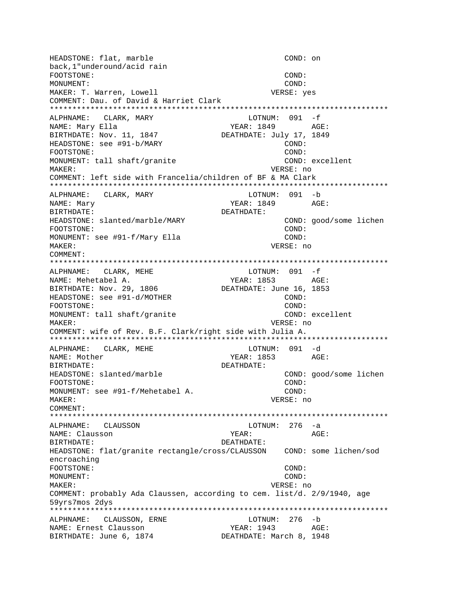HEADSTONE: flat, marble COND: on back, 1"underound/acid rain FOOTSTONE: COND: MONUMENT: COND: MAKER: T. Warren, Lowell VERSE: yes COMMENT: Dau. of David & Harriet Clark ALPHNAME: CLARK, MARY LOTNUM: 091 -f NAME: Mary Ella YEAR: 1849 AGE: BIRTHDATE: Nov. 11, 1847 DEATHDATE: July 17, 1849 HEADSTONE: see #91-b/MARY COND: FOOTSTONE: COND: MONUMENT: tall shaft/granite COND: excellent VERSE: no **MAKER:** COMMENT: left side with Francelia/children of BF & MA Clark ALPHNAME: CLARK, MARY LOTNUM: 091 -b NAME: Mary YEAR: 1849 AGE: BIRTHDATE: DEATHDATE: COND: good/some lichen HEADSTONE: slanted/marble/MARY COND: FOOTSTONE: MONUMENT: see #91-f/Mary Ella COND: MAKER: VERSE: no COMMENT: LOTNUM: 091 -f ALPHNAME: CLARK, MEHE NAME: Mehetabel A. YEAR: 1853 AGE: DEATHDATE: June 16, 1853 BIRTHDATE: Nov. 29, 1806 HEADSTONE: see #91-d/MOTHER  $COMD:$ FOOTSTONE:  $COMD:$ MONUMENT: tall shaft/granite COND: excellent VERSE: no MAKER: COMMENT: wife of Rev. B.F. Clark/right side with Julia A. ALPHNAME: CLARK, MEHE LOTNUM: 091 -d **YEAR: 1853** NAME: Mother AGE: BIRTHDATE: DEATHDATE: HEADSTONE: slanted/marble COND: good/some lichen FOOTSTONE: COND: COND: MONUMENT: see #91-f/Mehetabel A. MAKER: VERSE: no COMMENT: ALPHNAME: CLAUSSON  $LOTNUM: 276 -a$ NAME: Clausson YEAR: AGE: DEATHDATE: BIRTHDATE: encroaching FOOTSTONE: COND: MONUMENT: COND: MAKER: VERSE: no COMMENT: probably Ada Claussen, according to cem. list/d. 2/9/1940, age 59yrs7mos 2dys ALPHNAME: CLAUSSON, ERNE LOTNUM: 276 -b YEAR: 1943 AGE: NAME: Ernest Clausson BIRTHDATE: June 6, 1874 DEATHDATE: March 8, 1948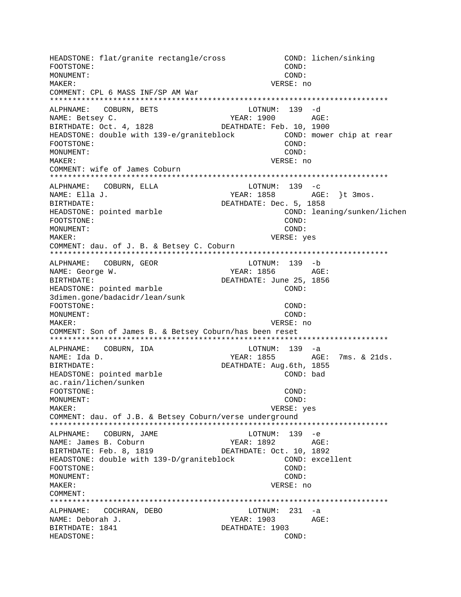HEADSTONE: flat/granite rectangle/cross COND: lichen/sinking FOOTSTONE:  $COMD$ : MONUMENT: COND: MAKER: VERSE: no COMMENT: CPL 6 MASS INF/SP AM War ALPHNAME: COBURN, BETS LOTNUM: 139 -d **YEAR: 1900** NAME: Betsey C. AGE: DEATHDATE: Feb. 10, 1900 BIRTHDATE: Oct. 4, 1828 HEADSTONE: double with 139-e/graniteblock COND: mower chip at rear FOOTSTONE: COND: MONUMENT:  $COMD:$ VERSE: no MAKER: COMMENT: wife of James Coburn ALPHNAME: COBURN, ELLA LOTNUM:  $139 - c$ NAME: Ella J. YEAR: 1858 AGE: }t 3mos. BIRTHDATE: DEATHDATE: Dec. 5, 1858 HEADSTONE: pointed marble COND: leaning/sunken/lichen FOOTSTONE: COND: MONUMENT: COND: VERSE: yes MAKER: COMMENT: dau. of J. B. & Betsey C. Coburn LOTNUM: 139 -b ALPHNAME: COBURN, GEOR NAME: George W. YEAR: 1856 AGE: **BIRTHDATE:** DEATHDATE: June 25, 1856 HEADSTONE: pointed marble COND: 3dimen.gone/badacidr/lean/sunk FOOTSTONE: COND: MONUMENT:  $COMD$ : MAKER: VERSE: no COMMENT: Son of James B. & Betsey Coburn/has been reset ALPHNAME: COBURN, IDA LOTNUM: 139 -a YEAR: 1855 AGE: 7ms. & 21ds. NAME: Ida D. DEATHDATE: Aug.6th, 1855 BIRTHDATE: HEADSTONE: pointed marble COND: bad ac.rain/lichen/sunken COND: FOOTSTONE: MONUMENT: COND: MAKER: VERSE: yes COMMENT: dau. of J.B. & Betsey Coburn/verse underground ALPHNAME: COBURN, JAME LOTNUM: 139 -e NAME: James B. Coburn BIRTHDATE: Feb. 8, 1819 DEATHDATE: Oct. 10, 1892 HEADSTONE: double with 139-D/graniteblock COND: excellent FOOTSTONE: COND: MONUMENT: COND: MAKER: VERSE: no COMMENT: ALPHNAME: COCHRAN, DEBO LOTNUM: 231 -a NAME: Deborah J. YEAR: 1903 AGE: BIRTHDATE: 1841 DEATHDATE: 1903 HEADSTONE: COND: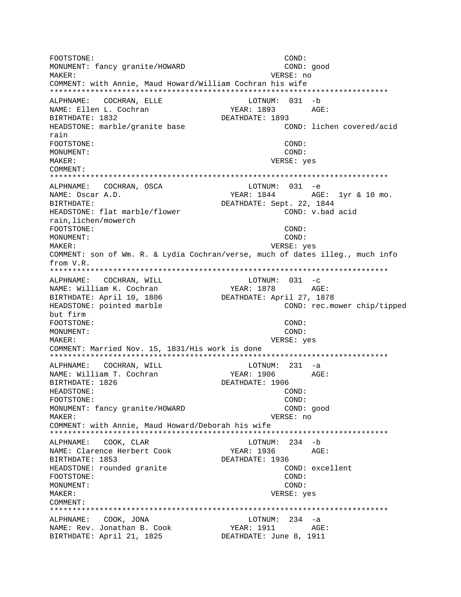FOOTSTONE: COND: MONUMENT: fancy granite/HOWARD COND: good MAKER: VERSE: no COMMENT: with Annie, Maud Howard/William Cochran his wife \*\*\*\*\*\*\*\*\*\*\*\*\*\*\*\*\*\*\*\*\*\*\*\*\*\*\*\*\*\*\*\*\*\*\*\*\*\*\*\*\*\*\*\*\*\*\*\*\*\*\*\*\*\*\*\*\*\*\*\*\*\*\*\*\*\*\*\*\*\*\*\*\*\*\* ALPHNAME: COCHRAN, ELLE LOTNUM: 031 -b NAME: Ellen L. Cochran YEAR: 1893 AGE: BIRTHDATE: 1832 DEATHDATE: 1893 HEADSTONE: marble/granite base rain FOOTSTONE: COND: MONUMENT: COND: MAKER: VERSE: yes COMMENT: \*\*\*\*\*\*\*\*\*\*\*\*\*\*\*\*\*\*\*\*\*\*\*\*\*\*\*\*\*\*\*\*\*\*\*\*\*\*\*\*\*\*\*\*\*\*\*\*\*\*\*\*\*\*\*\*\*\*\*\*\*\*\*\*\*\*\*\*\*\*\*\*\*\*\* ALPHNAME: COCHRAN, OSCA NAME: Oscar A.D. TEAR: 1844 AGE: 1yr & 10 mo. BIRTHDATE:<br>HEADSTONE: flat marble/flower beatHDATE: Sept. 22, 1844<br>COND: v.bad acid HEADSTONE: flat marble/flower rain,lichen/mowerch FOOTSTONE: COND: MONUMENT: COND: MAKER: VERSE: yes COMMENT: son of Wm. R. & Lydia Cochran/verse, much of dates illeg., much info from V.R. \*\*\*\*\*\*\*\*\*\*\*\*\*\*\*\*\*\*\*\*\*\*\*\*\*\*\*\*\*\*\*\*\*\*\*\*\*\*\*\*\*\*\*\*\*\*\*\*\*\*\*\*\*\*\*\*\*\*\*\*\*\*\*\*\*\*\*\*\*\*\*\*\*\*\* ALPHNAME: COCHRAN, WILL LOTNUM: 031 -c NAME: William K. Cochran (YEAR: 1878 AGE: BIRTHDATE: April 10, 1806 DEATHDATE: April 27, 1878 HEADSTONE: pointed marble  $\sim$  COND: rec.mower chip/tipped but firm FOOTSTONE: COND: MONUMENT: COND: MAKER: VERSE: yes COMMENT: Married Nov. 15, 1831/His work is done \*\*\*\*\*\*\*\*\*\*\*\*\*\*\*\*\*\*\*\*\*\*\*\*\*\*\*\*\*\*\*\*\*\*\*\*\*\*\*\*\*\*\*\*\*\*\*\*\*\*\*\*\*\*\*\*\*\*\*\*\*\*\*\*\*\*\*\*\*\*\*\*\*\*\* ALPHNAME: COCHRAN, WILL LOTNUM: 231 -a NAME: William T. Cochran YEAR: 1906 AGE: BIRTHDATE: 1826 **DEATHDATE: 1906** HEADSTONE: COND: FOOTSTONE: COND: MONUMENT: fancy granite/HOWARD COND: good MAKER: VERSE: no COMMENT: with Annie, Maud Howard/Deborah his wife \*\*\*\*\*\*\*\*\*\*\*\*\*\*\*\*\*\*\*\*\*\*\*\*\*\*\*\*\*\*\*\*\*\*\*\*\*\*\*\*\*\*\*\*\*\*\*\*\*\*\*\*\*\*\*\*\*\*\*\*\*\*\*\*\*\*\*\*\*\*\*\*\*\*\* ALPHNAME: COOK, CLAR LOTNUM: 234 -b NAME: Clarence Herbert Cook YEAR: 1936 AGE: BIRTHDATE: 1853 DEATHDATE: 1936 HEADSTONE: rounded granite COND: excellent FOOTSTONE: COND: MONUMENT: COND: MAKER: VERSE: yes COMMENT: \*\*\*\*\*\*\*\*\*\*\*\*\*\*\*\*\*\*\*\*\*\*\*\*\*\*\*\*\*\*\*\*\*\*\*\*\*\*\*\*\*\*\*\*\*\*\*\*\*\*\*\*\*\*\*\*\*\*\*\*\*\*\*\*\*\*\*\*\*\*\*\*\*\*\* ALPHNAME: COOK, JONA LOTNUM: 234 -a NAME: Rev. Jonathan B. Cook BIRTHDATE: April 21, 1825<br>BIRTHDATE: April 21, 1825 DEATHDATE: June 8, 1911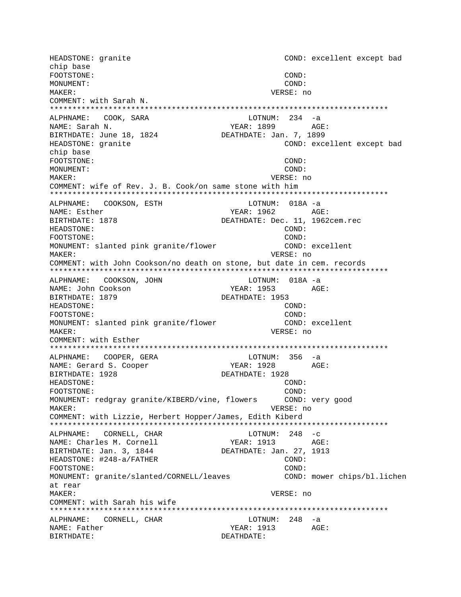HEADSTONE: granite COND: excellent except bad chip base FOOTSTONE: COND: MONUMENT: COND: MAKER: VERSE: no COMMENT: with Sarah N. ALPHNAME: COOK, SARA  $LOTNUM: 234 -a$ NAME: Sarah N. YEAR: 1899 AGE: BIRTHDATE: June 18, 1824 DEATHDATE: Jan. 7, 1899 COND: excellent except bad HEADSTONE: granite chip base FOOTSTONE: COND: MONUMENT: COND:  $M\Delta KFR$ : VERSE: no COMMENT: wife of Rev. J. B. Cook/on same stone with him ALPHNAME: COOKSON, ESTH LOTNUM: 018A -a NAME: Esther DEATHDATE: Dec. 11, 1962cem.rec BIRTHDATE: 1878 COND: HEADSTONE: FOOTSTONE: COND: MONUMENT: slanted pink granite/flower COND: excellent MAKER: VERSE: no COMMENT: with John Cookson/no death on stone, but date in cem. records ALPHNAME: COOKSON, JOHN LOTNUM: 018A -a NAME: John Cookson YEAR: 1953  $\triangle G$ F: BIRTHDATE: 1879 DEATHDATE: 1953 HEADSTONE:  $COMD:$ COND: FOOTSTONE: COND: excellent MONUMENT: slanted pink granite/flower MAKER: VERSE: no COMMENT: with Esther ALPHNAME: COOPER, GERA  $LOTNUM: 356 -a$ NAME: Gerard S. Cooper YEAR: 1928 AGE: BIRTHDATE: 1928 DEATHDATE: 1928 HEADSTONE: COND: FOOTSTONE: COND: MONUMENT: redgray granite/KIBERD/vine, flowers COND: very good MAKER: VERSE: no COMMENT: with Lizzie, Herbert Hopper/James, Edith Kiberd ALPHNAME: CORNELL, CHAR LOTNUM:  $248 - c$ YEAR: 1913 AGE: NAME: Charles M. Cornell DEATHDATE: Jan. 27, 1913 BIRTHDATE: Jan. 3, 1844 HEADSTONE: #248-a/FATHER COND: FOOTSTONE: COND: MONUMENT: granite/slanted/CORNELL/leaves COND: mower chips/bl.lichen at rear MAKER: VERSE: no COMMENT: with Sarah his wife ALPHNAME: CORNELL, CHAR LOTNUM: 248 -a NAME: Father YEAR: 1913 AGE: BIRTHDATE: DEATHDATE: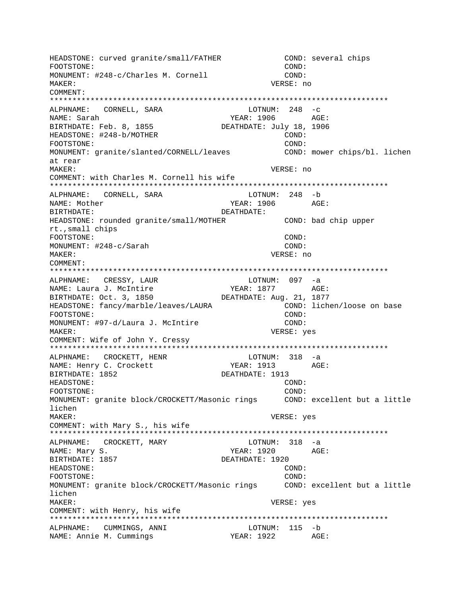HEADSTONE: curved granite/small/FATHER COND: several chips COND: FOOTSTONE: MONUMENT: #248-c/Charles M. Cornell COND: MAKER: VERSE: no COMMENT: ALPHNAME: CORNELL, SARA  $LOTNUM: 248 -c$ NAME: Sarah YEAR: 1906 AGE: DEATHDATE: July 18, 1906 BIRTHDATE: Feb. 8, 1855 HEADSTONE: #248-b/MOTHER COND: FOOTSTONE: COND: MONUMENT: granite/slanted/CORNELL/leaves COND: mower chips/bl. lichen at rear MAKER: VERSE: no COMMENT: with Charles M. Cornell his wife ALPHNAME: CORNELL, SARA  $LOTNUM: 248 - b$ NAME: Mother YEAR: 1906 AGE: DEATHDATE: BIRTHDATE: COND: bad chip upper HEADSTONE: rounded granite/small/MOTHER rt., small chips FOOTSTONE: COND: COND: MONUMENT: #248-c/Sarah MAKER: VERSE: no COMMENT: ALPHNAME: CRESSY, LAUR LOTNUM: 097 -a NAME: Laura J. McIntire<br>BIRTHDATE: Oct. 3, 1850 YEAR: 1877 AGE: DEATHDATE: Aug. 21, 1877 COND: lichen/loose on base HEADSTONE: fancy/marble/leaves/LAURA COND: FOOTSTONE: MONUMENT: #97-d/Laura J. McIntire COND: MAKER: VERSE: yes COMMENT: Wife of John Y. Cressy ALPHNAME: CROCKETT, HENR  $LOTNUM: 318 -a$ YEAR: 1913 NAME: Henry C. Crockett AGE: BIRTHDATE: 1852 DEATHDATE: 1913 HEADSTONE: COND: FOOTSTONE: COND: MONUMENT: granite block/CROCKETT/Masonic rings COND: excellent but a little lichen  $M\Delta KFR$ : VERSE: yes COMMENT: with Mary S., his wife ALPHNAME: CROCKETT, MARY  $LOTNUM: 318 -a$ NAME: Mary S. YEAR: 1920 AGE: BIRTHDATE: 1857 DEATHDATE: 1920 HEADSTONE: COND: FOOTSTONE: COND: MONUMENT: granite block/CROCKETT/Masonic rings COND: excellent but a little lichen MAKER: VERSE: yes COMMENT: with Henry, his wife ALPHNAME: CUMMINGS, ANNI LOTNUM: 115 -b YEAR: 1922 AGE: NAME: Annie M. Cummings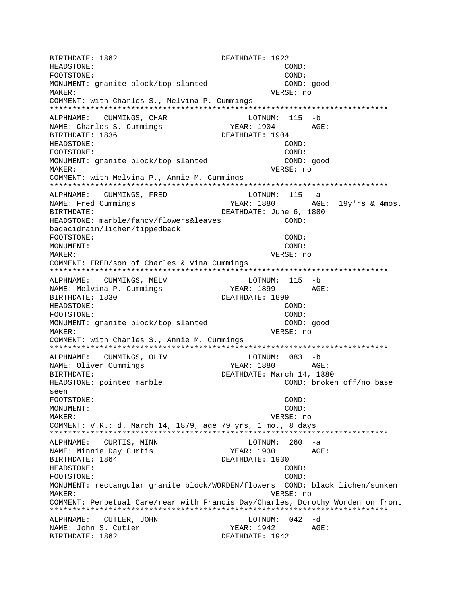BIRTHDATE: 1862 DEATHDATE: 1922 HEADSTONE:  $COMD:$ FOOTSTONE: COND: MONUMENT: granite block/top slanted COND: good VERSE: no MAKER: COMMENT: with Charles S., Melvina P. Cummings ALPHNAME: CUMMINGS, CHAR LOTNUM: 115 -b YEAR: 1904 NAME: Charles S. Cummings AGE: BIRTHDATE: 1836 DEATHDATE: 1904 HEADSTONE: COND: FOOTSTONE: COND: MONUMENT: granite block/top slanted COND: good VERSE: no **MAKER:** COMMENT: with Melvina P., Annie M. Cummings ALPHNAME: CUMMINGS, FRED  $LOTNUM: 115 -a$ YEAR: 1880 NAME: Fred Cummings AGE: 19y'rs & 4mos. DEATHDATE: June 6, 1880 BIRTHDATE: HEADSTONE: marble/fancy/flowers&leaves  $COND:$ badacidrain/lichen/tippedback FOOTSTONE: COND: MONUMENT: COND: MAKER: VERSE: no COMMENT: FRED/son of Charles & Vina Cummings LOTNUM: 115 -b ALPHNAME: CUMMINGS, MELV NAME: Melvina P. Cummings YEAR: 1899 AGE: BIRTHDATE: 1830 DEATHDATE: 1899 HEADSTONE:  $COMD:$ FOOTSTONE: COND: MONUMENT: granite block/top slanted COND: good MAKER: VERSE: no COMMENT: with Charles S., Annie M. Cummings ALPHNAME: CUMMINGS, OLIV LOTNUM: 083 -b YEAR: 1880 AGE: NAME: Oliver Cummings DEATHDATE: March 14, 1880 BIRTHDATE: HEADSTONE: pointed marble COND: broken off/no base seen FOOTSTONE: COND: MONUMENT: COND: VERSE: no MAKER: COMMENT: V.R.: d. March 14, 1879, age 79 yrs, 1 mo., 8 days ALPHNAME: CURTIS, MINN LOTNUM:  $260 -a$ YEAR: 1930 AGE: NAME: Minnie Day Curtis BIRTHDATE: 1864 DEATHDATE: 1930 HEADSTONE: COND: FOOTSTONE: COND: MONUMENT: rectangular granite block/WORDEN/flowers COND: black lichen/sunken VERSE: no MAKER: COMMENT: Perpetual Care/rear with Francis Day/Charles, Dorothy Worden on front ALPHNAME: CUTLER, JOHN LOTNUM: 042 -d NAME: John S. Cutler  $YEAR: 1942$   $AGE:$ BIRTHDATE: 1862 DEATHDATE: 1942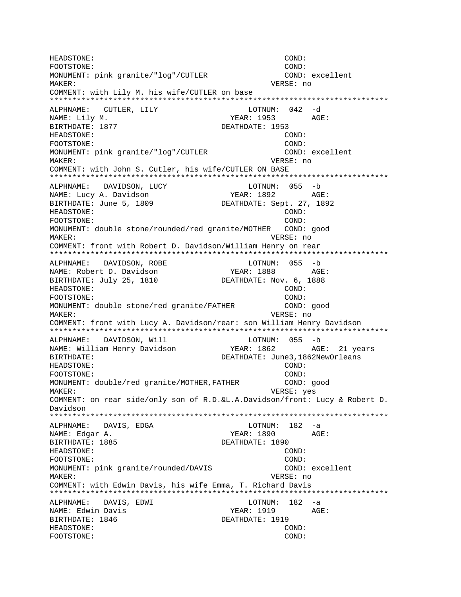HEADSTONE: COND: FOOTSTONE: COND: MONUMENT: pink granite/"log"/CUTLER COND: excellent MAKER: VERSE: no COMMENT: with Lily M. his wife/CUTLER on base \*\*\*\*\*\*\*\*\*\*\*\*\*\*\*\*\*\*\*\*\*\*\*\*\*\*\*\*\*\*\*\*\*\*\*\*\*\*\*\*\*\*\*\*\*\*\*\*\*\*\*\*\*\*\*\*\*\*\*\*\*\*\*\*\*\*\*\*\*\*\*\*\*\*\* ALPHNAME: CUTLER, LILY LOTNUM: 042 -d NAME: Lily M. Same Manuscript (1953 AGE: BIRTHDATE: 1877 DEATHDATE: 1953 HEADSTONE: COND: FOOTSTONE: COND: MONUMENT: pink granite/"log"/CUTLER COND: excellent MAKER: VERSE: no COMMENT: with John S. Cutler, his wife/CUTLER ON BASE \*\*\*\*\*\*\*\*\*\*\*\*\*\*\*\*\*\*\*\*\*\*\*\*\*\*\*\*\*\*\*\*\*\*\*\*\*\*\*\*\*\*\*\*\*\*\*\*\*\*\*\*\*\*\*\*\*\*\*\*\*\*\*\*\*\*\*\*\*\*\*\*\*\*\* ALPHNAME: DAVIDSON, LUCY NAME: Lucy A. Davidson YEAR: 1892 AGE: BIRTHDATE: June 5, 1809 DEATHDATE: Sept. 27, 1892 HEADSTONE: COND: FOOTSTONE: COND: MONUMENT: double stone/rounded/red granite/MOTHER COND: good MAKER: VERSE: no COMMENT: front with Robert D. Davidson/William Henry on rear \*\*\*\*\*\*\*\*\*\*\*\*\*\*\*\*\*\*\*\*\*\*\*\*\*\*\*\*\*\*\*\*\*\*\*\*\*\*\*\*\*\*\*\*\*\*\*\*\*\*\*\*\*\*\*\*\*\*\*\*\*\*\*\*\*\*\*\*\*\*\*\*\*\*\* ALPHNAME: DAVIDSON, ROBE LOTNUM: 055 -b NAME: Robert D. Davidson YEAR: 1888 AGE: BIRTHDATE: July 25, 1810 DEATHDATE: Nov. 6, 1888 HEADSTONE: COND: FOOTSTONE: COND: MONUMENT: double stone/red granite/FATHER COND: good MAKER: VERSE: no COMMENT: front with Lucy A. Davidson/rear: son William Henry Davidson \*\*\*\*\*\*\*\*\*\*\*\*\*\*\*\*\*\*\*\*\*\*\*\*\*\*\*\*\*\*\*\*\*\*\*\*\*\*\*\*\*\*\*\*\*\*\*\*\*\*\*\*\*\*\*\*\*\*\*\*\*\*\*\*\*\*\*\*\*\*\*\*\*\*\* ALPHNAME: DAVIDSON, Will Manager (1995 - 1996) NAME: William Henry Davidson YEAR: 1862 AGE: 21 years BIRTHDATE: DEATHDATE: June3,1862NewOrleans HEADSTONE: COND: FOOTSTONE: COND: MONUMENT: double/red granite/MOTHER,FATHER COND: good MAKER: VERSE: yes COMMENT: on rear side/only son of R.D.&L.A.Davidson/front: Lucy & Robert D. Davidson \*\*\*\*\*\*\*\*\*\*\*\*\*\*\*\*\*\*\*\*\*\*\*\*\*\*\*\*\*\*\*\*\*\*\*\*\*\*\*\*\*\*\*\*\*\*\*\*\*\*\*\*\*\*\*\*\*\*\*\*\*\*\*\*\*\*\*\*\*\*\*\*\*\*\* ALPHNAME: DAVIS, EDGA LOTNUM: 182 -a NAME: Edgar A. YEAR: 1890 AGE: BIRTHDATE: 1885 DEATHDATE: 1890 HEADSTONE: COND: FOOTSTONE: COND: MONUMENT: pink granite/rounded/DAVIS COND: excellent MAKER: VERSE: no COMMENT: with Edwin Davis, his wife Emma, T. Richard Davis \*\*\*\*\*\*\*\*\*\*\*\*\*\*\*\*\*\*\*\*\*\*\*\*\*\*\*\*\*\*\*\*\*\*\*\*\*\*\*\*\*\*\*\*\*\*\*\*\*\*\*\*\*\*\*\*\*\*\*\*\*\*\*\*\*\*\*\*\*\*\*\*\*\*\* ALPHNAME: DAVIS, EDWI LOTNUM: 182 -a NAME: Edwin Davis YEAR: 1919 AGE: BIRTHDATE: 1846 DEATHDATE: 1919 HEADSTONE: COND: FOOTSTONE: COND: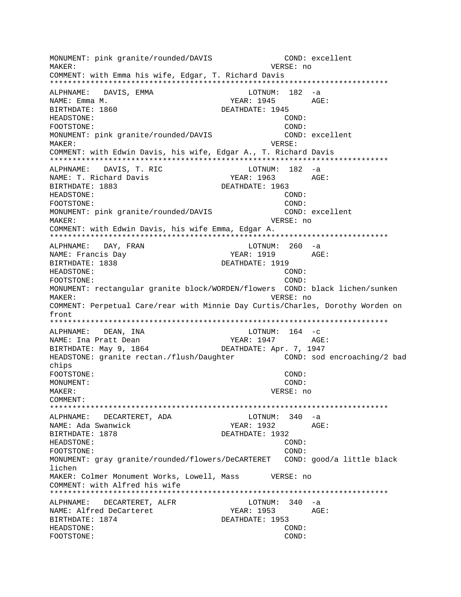MONUMENT: pink granite/rounded/DAVIS COND: excellent MAKER: VERSE: no COMMENT: with Emma his wife, Edgar, T. Richard Davis \*\*\*\*\*\*\*\*\*\*\*\*\*\*\*\*\*\*\*\*\*\*\*\*\*\*\*\*\*\*\*\*\*\*\*\*\*\*\*\*\*\*\*\*\*\*\*\*\*\*\*\*\*\*\*\*\*\*\*\*\*\*\*\*\*\*\*\*\*\*\*\*\*\*\* ALPHNAME: DAVIS, EMMA LOTNUM: 182 -a NAME: Emma M. YEAR: 1945 AGE: BIRTHDATE: 1860 DEATHDATE: 1945 HEADSTONE: COND: FOOTSTONE: COND: MONUMENT: pink granite/rounded/DAVIS COND: excellent MAKER: VERSE: COMMENT: with Edwin Davis, his wife, Edgar A., T. Richard Davis \*\*\*\*\*\*\*\*\*\*\*\*\*\*\*\*\*\*\*\*\*\*\*\*\*\*\*\*\*\*\*\*\*\*\*\*\*\*\*\*\*\*\*\*\*\*\*\*\*\*\*\*\*\*\*\*\*\*\*\*\*\*\*\*\*\*\*\*\*\*\*\*\*\*\* ALPHNAME: DAVIS, T. RIC CONTROL LOTNUM: 182 -a NAME: T. Richard Davis T. The Magnus YEAR: 1963 AGE: BIRTHDATE: 1883 DEATHDATE: 1963 HEADSTONE: COND: FOOTSTONE: COND: MONUMENT: pink granite/rounded/DAVIS COND: excellent MAKER: VERSE: no COMMENT: with Edwin Davis, his wife Emma, Edgar A. \*\*\*\*\*\*\*\*\*\*\*\*\*\*\*\*\*\*\*\*\*\*\*\*\*\*\*\*\*\*\*\*\*\*\*\*\*\*\*\*\*\*\*\*\*\*\*\*\*\*\*\*\*\*\*\*\*\*\*\*\*\*\*\*\*\*\*\*\*\*\*\*\*\*\* ALPHNAME: DAY, FRAN LOTNUM: 260 -a NAME: Francis Day 7EAR: 1919 AGE: BIRTHDATE: 1838 DEATHDATE: 1919 HEADSTONE: COND: FOOTSTONE: COND: MONUMENT: rectangular granite block/WORDEN/flowers COND: black lichen/sunken MAKER: VERSE: no COMMENT: Perpetual Care/rear with Minnie Day Curtis/Charles, Dorothy Worden on front \*\*\*\*\*\*\*\*\*\*\*\*\*\*\*\*\*\*\*\*\*\*\*\*\*\*\*\*\*\*\*\*\*\*\*\*\*\*\*\*\*\*\*\*\*\*\*\*\*\*\*\*\*\*\*\*\*\*\*\*\*\*\*\*\*\*\*\*\*\*\*\*\*\*\* ALPHNAME: DEAN, INA  $L$ PHNAME: DEAN, INA NAME: Ina Pratt Dean YEAR: 1947 AGE: BIRTHDATE: May 9, 1864 DEATHDATE: Apr. 7, 1947 HEADSTONE: granite rectan./flush/Daughter COND: sod encroaching/2 bad chips FOOTSTONE: COND: MONUMENT: COND: MAKER: VERSE: no COMMENT: \*\*\*\*\*\*\*\*\*\*\*\*\*\*\*\*\*\*\*\*\*\*\*\*\*\*\*\*\*\*\*\*\*\*\*\*\*\*\*\*\*\*\*\*\*\*\*\*\*\*\*\*\*\*\*\*\*\*\*\*\*\*\*\*\*\*\*\*\*\*\*\*\*\*\* ALPHNAME: DECARTERET, ADA NAME: Ada Swanwick YEAR: 1932 AGE: BIRTHDATE: 1878 **DEATHDATE: 1932** HEADSTONE: COND: FOOTSTONE: COND: MONUMENT: gray granite/rounded/flowers/DeCARTERET COND: good/a little black lichen MAKER: Colmer Monument Works, Lowell, Mass VERSE: no COMMENT: with Alfred his wife \*\*\*\*\*\*\*\*\*\*\*\*\*\*\*\*\*\*\*\*\*\*\*\*\*\*\*\*\*\*\*\*\*\*\*\*\*\*\*\*\*\*\*\*\*\*\*\*\*\*\*\*\*\*\*\*\*\*\*\*\*\*\*\*\*\*\*\*\*\*\*\*\*\*\* ALPHNAME: DECARTERET, ALFR LOTNUM: 340 -a NAME: Alfred DeCarteret Team YEAR: 1953 AGE: BIRTHDATE: 1874 DEATHDATE: 1953 HEADSTONE: COND: FOOTSTONE: COND: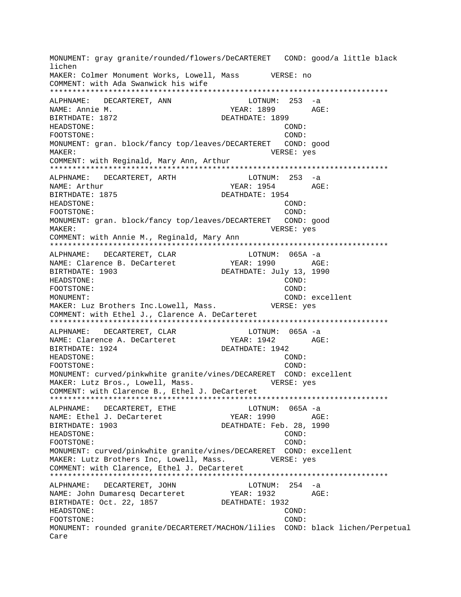MONUMENT: gray granite/rounded/flowers/DeCARTERET COND: good/a little black lichen MAKER: Colmer Monument Works, Lowell, Mass WERSE: no COMMENT: with Ada Swanwick his wife ALPHNAME: DECARTERET, ANN  $LOTNUM: 253 -a$ NAME: Annie M. YEAR: 1899 AGE: BIRTHDATE: 1872 DEATHDATE: 1899 HEADSTONE: COND: FOOTSTONE: COND: MONUMENT: gran. block/fancy top/leaves/DECARTERET COND: good MAKER: VERSE: yes COMMENT: with Reginald, Mary Ann, Arthur ALPHNAME: DECARTERET, ARTH LOTNUM: 253 -a YEAR: 1954 NAME: Arthur AGE: BIRTHDATE: 1875 DEATHDATE: 1954 HEADSTONE: COND: COND: FOOTSTONE: MONUMENT: gran. block/fancy top/leaves/DECARTERET COND: good MAKER: VERSE: yes COMMENT: with Annie M., Reginald, Mary Ann LOTNUM: 065A -a ALPHNAME: DECARTERET, CLAR YEAR: 1990 AGE: NAME: Clarence B. DeCarteret BIRTHDATE: 1903 DEATHDATE: July 13, 1990 HEADSTONE: COND: FOOTSTONE: COND: MONUMENT: COND: excellent MAKER: Luz Brothers Inc. Lowell, Mass. VERSE: yes COMMENT: with Ethel J., Clarence A. DeCarteret DECARTERET, CLAR LOTNUM: 065A -a ALPHNAME: NAME: Clarence A. DeCarteret BIRTHDATE: 1924 DEATHDATE: 1942 HEADSTONE: COND: FOOTSTONE: COND: MONUMENT: curved/pinkwhite granite/vines/DECARERET COND: excellent MAKER: Lutz Bros., Lowell, Mass. VERSE: yes COMMENT: with Clarence B., Ethel J. DeCarteret ALPHNAME: DECARTERET, ETHE LOTNUM: 065A -a NAME: Ethel J. DeCarteret YEAR: 1990 AGE: DEATHDATE: Feb. 28, 1990 BIRTHDATE: 1903 HEADSTONE: COND: COND: FOOTSTONE: MONUMENT: curved/pinkwhite granite/vines/DECARERET COND: excellent MAKER: Lutz Brothers Inc, Lowell, Mass. WERSE: yes COMMENT: with Clarence, Ethel J. DeCarteret ALPHNAME: DECARTERET, JOHN LOTNUM:  $254 - a$ YEAR: 1932 AGE: NAME: John Dumaresq Decarteret BIRTHDATE: Oct. 22, 1857 DEATHDATE: 1932 HEADSTONE: COND: FOOTSTONE: COND: MONUMENT: rounded granite/DECARTERET/MACHON/lilies COND: black lichen/Perpetual Care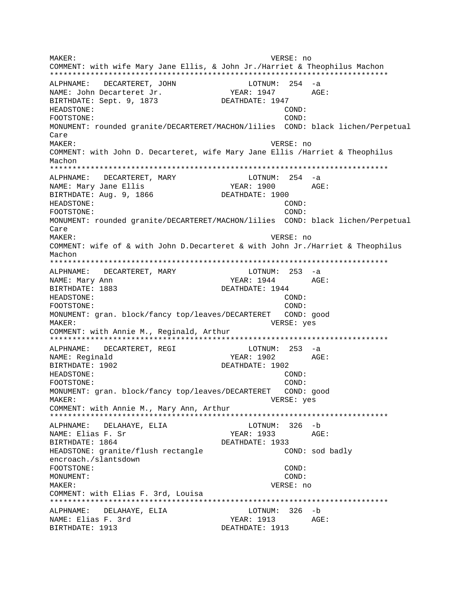MAKER: VERSE: no COMMENT: with wife Mary Jane Ellis, & John Jr./Harriet & Theophilus Machon ALPHNAME: DECARTERET, JOHN LOTNUM: 254 -a YEAR: 1947 NAME: John Decarteret Jr. AGE: BIRTHDATE: Sept. 9, 1873 DEATHDATE: 1947 HEADSTONE: COND: FOOTSTONE: COND: MONUMENT: rounded granite/DECARTERET/MACHON/lilies COND: black lichen/Perpetual Care MAKER: VERSE: no COMMENT: with John D. Decarteret, wife Mary Jane Ellis / Harriet & Theophilus Machon ALPHNAME: DECARTERET, MARY LOTNUM: 254 -a NAME: Mary Jane Ellis YEAR: 1900 AGE: BIRTHDATE: Aug. 9, 1866 DEATHDATE: 1900 HEADSTONE: COND: COND: FOOTSTONE: MONUMENT: rounded granite/DECARTERET/MACHON/lilies COND: black lichen/Perpetual  $C$ are MAKER: VERSE: no COMMENT: wife of & with John D.Decarteret & with John Jr./Harriet & Theophilus Machon  $LOTNUM: 253 -a$ ALPHNAME: DECARTERET, MARY NAME: Mary Ann  $YEAR: 1944$   $AGE:$ BIRTHDATE: 1883 DEATHDATE: 1944 HEADSTONE:  $COND$ : FOOTSTONE:  $COMD:$ MONUMENT: gran. block/fancy top/leaves/DECARTERET COND: good MAKER: VERSE: yes COMMENT: with Annie M., Reginald, Arthur  $LOTNUM: 253 -a$ ALPHNAME: DECARTERET, REGI YEAR: 1902 NAME: Reginald  $AGF$ : DEATHDATE: 1902 BIRTHDATE: 1902  $COND:$ HEADSTONE: FOOTSTONE:  $COMD:$ MONUMENT: gran. block/fancy top/leaves/DECARTERET COND: good VERSE: yes MAKER: COMMENT: with Annie M., Mary Ann, Arthur ALPHNAME: DELAHAYE, ELIA  $LOTNUM: 326 - b$ NAME: Elias F. Sr YEAR: 1933  $AGE:$ BIRTHDATE: 1864 DEATHDATE: 1933 HEADSTONE: granite/flush rectangle COND: sod badly encroach./slantsdown FOOTSTONE: COND: MONUMENT: COND: MAKER: VERSE: no COMMENT: with Elias F. 3rd, Louisa LOTNUM: 326 -b ALPHNAME: DELAHAYE, ELIA NAME: Elias F. 3rd YEAR: 1913 AGE: BIRTHDATE: 1913 DEATHDATE: 1913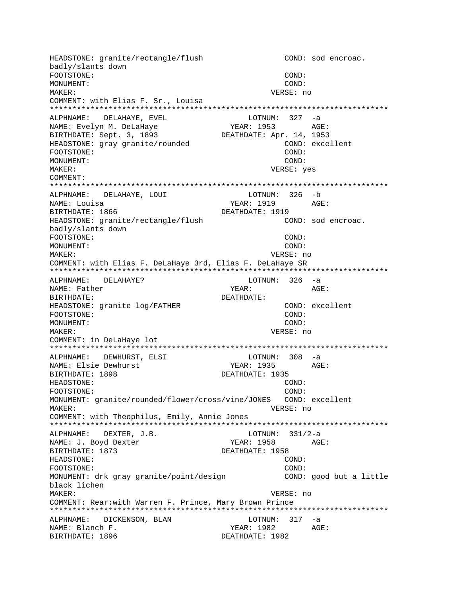HEADSTONE: granite/rectangle/flush COND: sod encroac. badly/slants down FOOTSTONE: COND: MONUMENT: COND: MAKER: VERSE: no COMMENT: with Elias F. Sr., Louisa ALPHNAME: DELAHAYE, EVEL LOTNUM: 327 -a NAME: Evelyn M. DeLaHaye YEAR: 1953 AGE: DEATHDATE: Apr. 14, 1953 BIRTHDATE: Sept. 3, 1893 HEADSTONE: gray granite/rounded COND: excellent COND: FOOTSTONE: MONUMENT: COND: MAKER: VERSE: yes COMMENT: ALPHNAME: DELAHAYE, LOUI LOTNUM: 326 -b NAME: Louisa YEAR: 1919 AGE: BIRTHDATE: 1866 DEATHDATE: 1919 COND: sod encroac. HEADSTONE: granite/rectangle/flush badly/slants down FOOTSTONE: COND: MONUMENT: COND: MAKER: VERSE: no COMMENT: with Elias F. DeLaHaye 3rd, Elias F. DeLaHaye SR ALPHNAME: DELAHAYE? LOTNUM: 326 -a NAME: Father YEAR: AGE: BIRTHDATE: DEATHDATE: COND: excellent HEADSTONE: granite log/FATHER COND: FOOTSTONE: MONUMENT: COND: VERSE: no MAKER: COMMENT: in DeLaHaye lot ALPHNAME: DEWHURST, ELSI  $LOTNUM: 308 -a$ NAME: Elsie Dewhurst YEAR: 1935 AGE: BIRTHDATE: 1898 DEATHDATE: 1935 HEADSTONE: COND: FOOTSTONE: COND: MONUMENT: granite/rounded/flower/cross/vine/JONES COND: excellent MAKER: VERSE: no COMMENT: with Theophilus, Emily, Annie Jones ALPHNAME: DEXTER, J.B. LOTNUM:  $331/2-a$ YEAR: 1958 AGE: NAME: J. Boyd Dexter BIRTHDATE: 1873 DEATHDATE: 1958 HEADSTONE: COND: FOOTSTONE: COND: MONUMENT: drk gray granite/point/design COND: good but a little black lichen MAKER: VERSE: no COMMENT: Rear:with Warren F. Prince, Mary Brown Prince ALPHNAME: DICKENSON, BLAN LOTNUM: 317 -a NAME: Blanch F. YEAR: 1982 AGE: BIRTHDATE: 1896 DEATHDATE: 1982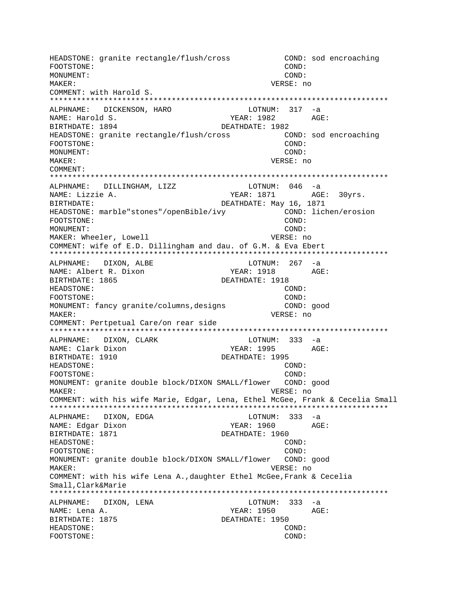HEADSTONE: granite rectangle/flush/cross COND: sod encroaching FOOTSTONE: COND: MONUMENT: COND: MAKER: VERSE: no COMMENT: with Harold S. \*\*\*\*\*\*\*\*\*\*\*\*\*\*\*\*\*\*\*\*\*\*\*\*\*\*\*\*\*\*\*\*\*\*\*\*\*\*\*\*\*\*\*\*\*\*\*\*\*\*\*\*\*\*\*\*\*\*\*\*\*\*\*\*\*\*\*\*\*\*\*\*\*\*\* ALPHNAME: DICKENSON, HARO LOTNUM: 317 -a NAME: Harold S. YEAR: 1982 AGE: BIRTHDATE: 1894 DEATHDATE: 1982 HEADSTONE: granite rectangle/flush/cross COND: sod encroaching FOOTSTONE: COND: MONUMENT: COND: MAKER: VERSE: no COMMENT: \*\*\*\*\*\*\*\*\*\*\*\*\*\*\*\*\*\*\*\*\*\*\*\*\*\*\*\*\*\*\*\*\*\*\*\*\*\*\*\*\*\*\*\*\*\*\*\*\*\*\*\*\*\*\*\*\*\*\*\*\*\*\*\*\*\*\*\*\*\*\*\*\*\*\* ALPHNAME: DILLINGHAM, LIZZ NAME: Lizzie A.  $YEAR: 1871$  AGE: 30yrs. BIRTHDATE:  $DEATHDATE: May 16, 1871$ HEADSTONE: marble"stones"/openBible/ivy COND: lichen/erosion FOOTSTONE: COND: MONUMENT: COND: MAKER: Wheeler, Lowell **VERSE: 1998** VERSE: no COMMENT: wife of E.D. Dillingham and dau. of G.M. & Eva Ebert \*\*\*\*\*\*\*\*\*\*\*\*\*\*\*\*\*\*\*\*\*\*\*\*\*\*\*\*\*\*\*\*\*\*\*\*\*\*\*\*\*\*\*\*\*\*\*\*\*\*\*\*\*\*\*\*\*\*\*\*\*\*\*\*\*\*\*\*\*\*\*\*\*\*\* ALPHNAME: DIXON, ALBE LOTNUM: 267 -a NAME: Albert R. Dixon YEAR: 1918 AGE: BIRTHDATE: 1865 DEATHDATE: 1918 HEADSTONE: COND: FOOTSTONE: COND: MONUMENT: fancy granite/columns,designs COND: good MAKER: VERSE: no COMMENT: Pertpetual Care/on rear side \*\*\*\*\*\*\*\*\*\*\*\*\*\*\*\*\*\*\*\*\*\*\*\*\*\*\*\*\*\*\*\*\*\*\*\*\*\*\*\*\*\*\*\*\*\*\*\*\*\*\*\*\*\*\*\*\*\*\*\*\*\*\*\*\*\*\*\*\*\*\*\*\*\*\* ALPHNAME: DIXON, CLARK LOTNUM: 333 -a NAME: Clark Dixon The South Control of the YEAR: 1995 AGE: BIRTHDATE: 1910 DEATHDATE: 1995 HEADSTONE: COND: FOOTSTONE: COND: MONUMENT: granite double block/DIXON SMALL/flower COND: good MAKER: VERSE: no COMMENT: with his wife Marie, Edgar, Lena, Ethel McGee, Frank & Cecelia Small \*\*\*\*\*\*\*\*\*\*\*\*\*\*\*\*\*\*\*\*\*\*\*\*\*\*\*\*\*\*\*\*\*\*\*\*\*\*\*\*\*\*\*\*\*\*\*\*\*\*\*\*\*\*\*\*\*\*\*\*\*\*\*\*\*\*\*\*\*\*\*\*\*\*\* ALPHNAME: DIXON, EDGA LOTNUM: 333 -a NAME: Edgar Dixon NAME: 1960 AGE: BIRTHDATE: 1871 DEATHDATE: 1960 HEADSTONE: COND: FOOTSTONE: COND: MONUMENT: granite double block/DIXON SMALL/flower COND: good MAKER: VERSE: no COMMENT: with his wife Lena A.,daughter Ethel McGee,Frank & Cecelia Small,Clark&Marie \*\*\*\*\*\*\*\*\*\*\*\*\*\*\*\*\*\*\*\*\*\*\*\*\*\*\*\*\*\*\*\*\*\*\*\*\*\*\*\*\*\*\*\*\*\*\*\*\*\*\*\*\*\*\*\*\*\*\*\*\*\*\*\*\*\*\*\*\*\*\*\*\*\*\* ALPHNAME: DIXON, LENA LOTNUM: 333 -a NAME: Lena A. YEAR: 1950 AGE: BIRTHDATE: 1875 **DEATHDATE: 1950** HEADSTONE: COND: FOOTSTONE: COND: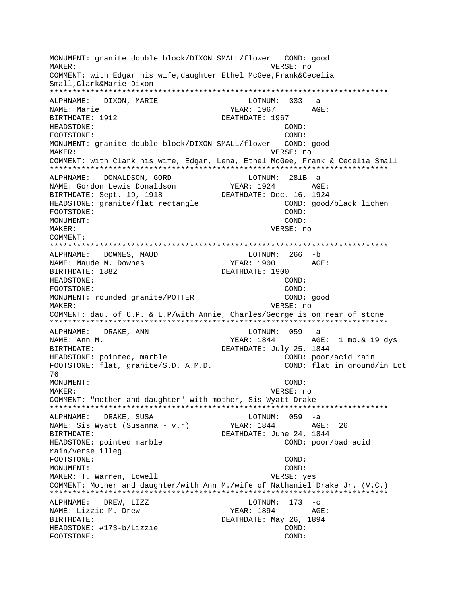MONUMENT: granite double block/DIXON SMALL/flower COND: good MAKER: VERSE: no COMMENT: with Edgar his wife,daughter Ethel McGee,Frank&Cecelia Small,Clark&Marie Dixon \*\*\*\*\*\*\*\*\*\*\*\*\*\*\*\*\*\*\*\*\*\*\*\*\*\*\*\*\*\*\*\*\*\*\*\*\*\*\*\*\*\*\*\*\*\*\*\*\*\*\*\*\*\*\*\*\*\*\*\*\*\*\*\*\*\*\*\*\*\*\*\*\*\*\* ALPHNAME: DIXON, MARIE LOTNUM: 333 -a NAME: Marie YEAR: 1967 AGE: BIRTHDATE: 1912 DEATHDATE: 1967 HEADSTONE: COND: FOOTSTONE: COND: MONUMENT: granite double block/DIXON SMALL/flower COND: good MAKER: VERSE: no COMMENT: with Clark his wife, Edgar, Lena, Ethel McGee, Frank & Cecelia Small \*\*\*\*\*\*\*\*\*\*\*\*\*\*\*\*\*\*\*\*\*\*\*\*\*\*\*\*\*\*\*\*\*\*\*\*\*\*\*\*\*\*\*\*\*\*\*\*\*\*\*\*\*\*\*\*\*\*\*\*\*\*\*\*\*\*\*\*\*\*\*\*\*\*\* ALPHNAME: DONALDSON, GORD LOTNUM: 281B -a NAME: Gordon Lewis Donaldson YEAR: 1924 AGE: BIRTHDATE: Sept. 19, 1918 DEATHDATE: Dec. 16, 1924 HEADSTONE: granite/flat rectangle  $\begin{array}{ccc}\n & \text{COMD: good/black lichen} \\
\text{FOOTSTONE:} & \text{COMD:} & \text{COMD:} \\
\end{array}$ FOOTSTONE: MONUMENT: COND: MAKER: VERSE: no COMMENT: \*\*\*\*\*\*\*\*\*\*\*\*\*\*\*\*\*\*\*\*\*\*\*\*\*\*\*\*\*\*\*\*\*\*\*\*\*\*\*\*\*\*\*\*\*\*\*\*\*\*\*\*\*\*\*\*\*\*\*\*\*\*\*\*\*\*\*\*\*\*\*\*\*\*\* ALPHNAME: DOWNES, MAUD LOTNUM: 266 -b NAME: Maude M. Downes YEAR: 1900 AGE: BIRTHDATE: 1882 DEATHDATE: 1900 HEADSTONE: COND: FOOTSTONE: COND: MONUMENT: rounded granite/POTTER MAKER: VERSE: no COMMENT: dau. of C.P. & L.P/with Annie, Charles/George is on rear of stone \*\*\*\*\*\*\*\*\*\*\*\*\*\*\*\*\*\*\*\*\*\*\*\*\*\*\*\*\*\*\*\*\*\*\*\*\*\*\*\*\*\*\*\*\*\*\*\*\*\*\*\*\*\*\*\*\*\*\*\*\*\*\*\*\*\*\*\*\*\*\*\*\*\*\* ALPHNAME: DRAKE, ANN LOTNUM: 059 -a NAME: Ann M. Sand Communication of the MEAR: 1844 AGE: 1 mo. & 19 dys BIRTHDATE: DEATHDATE: July 25, 1844 HEADSTONE: pointed, marble COND: poor/acid rain FOOTSTONE: flat, granite/S.D. A.M.D. COND: flat in ground/in Lot 76 MONUMENT: COND: MAKER: VERSE: no COMMENT: "mother and daughter" with mother, Sis Wyatt Drake \*\*\*\*\*\*\*\*\*\*\*\*\*\*\*\*\*\*\*\*\*\*\*\*\*\*\*\*\*\*\*\*\*\*\*\*\*\*\*\*\*\*\*\*\*\*\*\*\*\*\*\*\*\*\*\*\*\*\*\*\*\*\*\*\*\*\*\*\*\*\*\*\*\*\* ALPHNAME: DRAKE, SUSA LOTNUM: 059 -a NAME: Sis Wyatt (Susanna - v.r) YEAR: 1844 AGE: 26 BIRTHDATE: SURFERING THE SERIES OF DEATHDATE: June 24, 1844 HEADSTONE: pointed marble COND: poor/bad acid rain/verse illeg FOOTSTONE: COND: MONUMENT: COND: MAKER: T. Warren, Lowell verse: yes COMMENT: Mother and daughter/with Ann M./wife of Nathaniel Drake Jr. (V.C.) \*\*\*\*\*\*\*\*\*\*\*\*\*\*\*\*\*\*\*\*\*\*\*\*\*\*\*\*\*\*\*\*\*\*\*\*\*\*\*\*\*\*\*\*\*\*\*\*\*\*\*\*\*\*\*\*\*\*\*\*\*\*\*\*\*\*\*\*\*\*\*\*\*\*\* ALPHNAME: DREW, LIZZ LOTNUM: 173 -c NAME: Lizzie M. Drew  $YEAR: 1894$  AGE: BIRTHDATE: DEATHDATE: May 26, 1894 HEADSTONE: #173-b/Lizzie COND: FOOTSTONE: COND: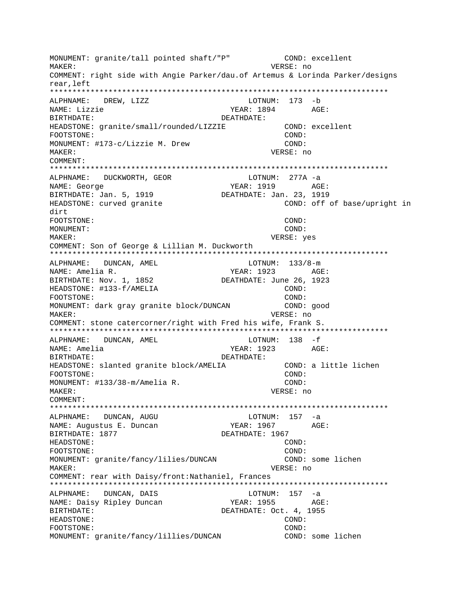MONUMENT: granite/tall pointed shaft/"P" COND: excellent VERSE: no MAKER: COMMENT: right side with Angie Parker/dau.of Artemus & Lorinda Parker/designs rear.left ALPHNAME: DREW, LIZZ LOTNUM: 173 -b NAME: Lizzie YEAR: 1894 AGE: RIRTHDATE: DEATHDATE: HEADSTONE: granite/small/rounded/LIZZIE COND: excellent FOOTSTONE: COND: MONUMENT: #173-c/Lizzie M. Drew COND: MAKER: VERSE: no COMMENT: ALPHNAME: DUCKWORTH, GEOR LOTNUM: 277A -a YEAR: 1919 AGE: NAME: George BIRTHDATE: Jan. 5, 1919 DEATHDATE: Jan. 23, 1919 HEADSTONE: curved granite COND: off of base/upright in dirt FOOTSTONE: COND: MONUMENT:  $COND:$ VERSE: yes MAKER: COMMENT: Son of George & Lillian M. Duckworth ALPHNAME: DUNCAN, AMEL LOTNUM:  $133/8-m$ NAME: Amelia R. YEAR: 1923 AGE: BIRTHDATE: Nov. 1, 1852 DEATHDATE: June 26, 1923 HEADSTONE: #133-f/AMELIA COND: FOOTSTONE:  $COND:$ MONUMENT: dark gray granite block/DUNCAN COND: good MAKER: VERSE: no COMMENT: stone catercorner/right with Fred his wife, Frank S. ALPHNAME: DUNCAN, AMEL LOTNUM: 138 -f NAME: Amelia YEAR: 1923 AGE: BIRTHDATE: DEATHDATE: HEADSTONE: slanted granite block/AMELIA COND: a little lichen COND: FOOTSTONE: MONUMENT: #133/38-m/Amelia R. COND: MAKER: VERSE: no COMMENT:  $LOTNUM: 157 -a$ ALPHNAME: DUNCAN, AUGU YEAR: 1967 AGE: NAME: Augustus E. Duncan BIRTHDATE: 1877 DEATHDATE: 1967 HEADSTONE: COND: FOOTSTONE:  $COMD:$ MONUMENT: granite/fancy/lilies/DUNCAN COND: some lichen VERSE: no MAKER: COMMENT: rear with Daisy/front: Nathaniel, Frances ALPHNAME: DUNCAN, DAIS LOTNUM: 157 -a NAME: Daisy Ripley Duncan YEAR: 1955 AGE: BIRTHDATE: DEATHDATE: Oct. 4, 1955 HEADSTONE: COND: FOOTSTONE: COND: MONUMENT: granite/fancy/lillies/DUNCAN COND: some lichen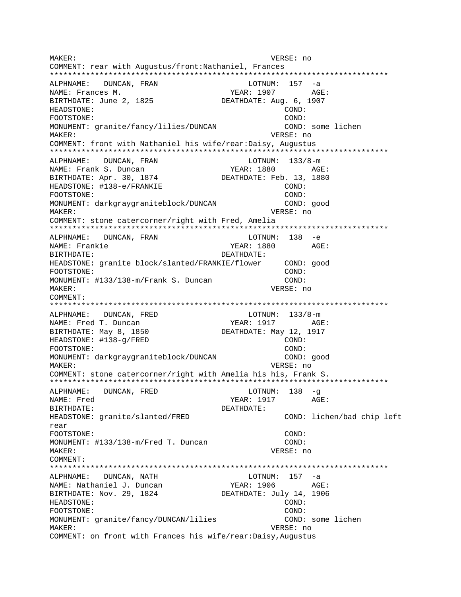MAKER: VERSE: no COMMENT: rear with Augustus/front:Nathaniel, Frances \*\*\*\*\*\*\*\*\*\*\*\*\*\*\*\*\*\*\*\*\*\*\*\*\*\*\*\*\*\*\*\*\*\*\*\*\*\*\*\*\*\*\*\*\*\*\*\*\*\*\*\*\*\*\*\*\*\*\*\*\*\*\*\*\*\*\*\*\*\*\*\*\*\*\* ALPHNAME: DUNCAN, FRAN LOTNUM: 157 -a NAME: Frances M. Same Communications of the MEAR: 1907 AGE: BIRTHDATE: June 2, 1825 DEATHDATE: Aug. 6, 1907 HEADSTONE: COND: FOOTSTONE: COND: MONUMENT: granite/fancy/lilies/DUNCAN COND: some lichen MAKER: VERSE: no COMMENT: front with Nathaniel his wife/rear:Daisy, Augustus \*\*\*\*\*\*\*\*\*\*\*\*\*\*\*\*\*\*\*\*\*\*\*\*\*\*\*\*\*\*\*\*\*\*\*\*\*\*\*\*\*\*\*\*\*\*\*\*\*\*\*\*\*\*\*\*\*\*\*\*\*\*\*\*\*\*\*\*\*\*\*\*\*\*\* ALPHNAME: DUNCAN, FRAN LOTNUM: 133/8-m NAME: Frank S. Duncan Next YEAR: 1880 AGE: BIRTHDATE: Apr. 30, 1874 DEATHDATE: Feb. 13, 1880 HEADSTONE: #138-e/FRANKIE COND: FOOTSTONE: COND: MONUMENT: darkgraygraniteblock/DUNCAN COND: good MAKER: VERSE: no COMMENT: stone catercorner/right with Fred, Amelia \*\*\*\*\*\*\*\*\*\*\*\*\*\*\*\*\*\*\*\*\*\*\*\*\*\*\*\*\*\*\*\*\*\*\*\*\*\*\*\*\*\*\*\*\*\*\*\*\*\*\*\*\*\*\*\*\*\*\*\*\*\*\*\*\*\*\*\*\*\*\*\*\*\*\* ALPHNAME: DUNCAN, FRAN LOTNUM: 138 -e NAME: Frankie YEAR: 1880 AGE: BIRTHDATE: DEATHDATE: HEADSTONE: granite block/slanted/FRANKIE/flower COND: good FOOTSTONE: COND: MONUMENT: #133/138-m/Frank S. Duncan COND: MAKER: VERSE: no COMMENT: \*\*\*\*\*\*\*\*\*\*\*\*\*\*\*\*\*\*\*\*\*\*\*\*\*\*\*\*\*\*\*\*\*\*\*\*\*\*\*\*\*\*\*\*\*\*\*\*\*\*\*\*\*\*\*\*\*\*\*\*\*\*\*\*\*\*\*\*\*\*\*\*\*\*\* ALPHNAME: DUNCAN, FRED LOTNUM:  $133/8$ -m NAME: Fred T. Duncan YEAR: 1917 AGE: BIRTHDATE: May 8, 1850 DEATHDATE: May 12, 1917 HEADSTONE: #138-q/FRED COND: FOOTSTONE: COND: MONUMENT: darkgraygraniteblock/DUNCAN COND: good MAKER: VERSE: no COMMENT: stone catercorner/right with Amelia his his, Frank S. \*\*\*\*\*\*\*\*\*\*\*\*\*\*\*\*\*\*\*\*\*\*\*\*\*\*\*\*\*\*\*\*\*\*\*\*\*\*\*\*\*\*\*\*\*\*\*\*\*\*\*\*\*\*\*\*\*\*\*\*\*\*\*\*\*\*\*\*\*\*\*\*\*\*\* ALPHNAME: DUNCAN, FRED LOTNUM: 138 -q NAME: Fred YEAR: 1917 AGE: BIRTHDATE: DEATHDATE: HEADSTONE: granite/slanted/FRED COND: lichen/bad chip left rear FOOTSTONE: COND: MONUMENT: #133/138-m/Fred T. Duncan COND: MAKER: VERSE: no COMMENT: \*\*\*\*\*\*\*\*\*\*\*\*\*\*\*\*\*\*\*\*\*\*\*\*\*\*\*\*\*\*\*\*\*\*\*\*\*\*\*\*\*\*\*\*\*\*\*\*\*\*\*\*\*\*\*\*\*\*\*\*\*\*\*\*\*\*\*\*\*\*\*\*\*\*\* ALPHNAME: DUNCAN, NATH LOTNUM: 157 -a NAME: Nathaniel J. Duncan YEAR: 1906 AGE: BIRTHDATE: Nov. 29, 1824 DEATHDATE: July 14, 1906 HEADSTONE: COND: FOOTSTONE: COND: MONUMENT: granite/fancy/DUNCAN/lilies COND: some lichen MAKER: VERSE: no COMMENT: on front with Frances his wife/rear:Daisy,Augustus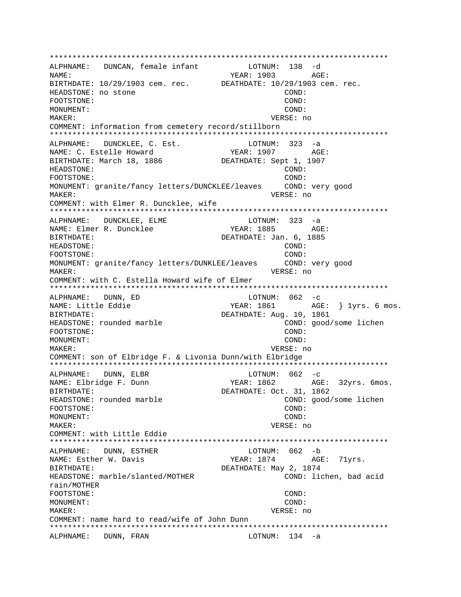\*\*\*\*\*\*\*\*\*\*\*\*\*\*\*\*\*\*\*\*\*\*\*\*\*\*\*\*\*\*\*\*\*\*\*\*\*\*\*\*\*\*\*\*\*\*\*\*\*\*\*\*\*\*\*\*\*\*\*\*\*\*\*\*\*\*\*\*\*\*\*\*\*\*\* ALPHNAME: DUNCAN, female infant NAME:  $YEAR: 1903$  AGE: BIRTHDATE: 10/29/1903 cem. rec. DEATHDATE: 10/29/1903 cem. rec. HEADSTONE: no stone COND: FOOTSTONE: COND: MONUMENT: COND: MAKER: VERSE: no COMMENT: information from cemetery record/stillborn \*\*\*\*\*\*\*\*\*\*\*\*\*\*\*\*\*\*\*\*\*\*\*\*\*\*\*\*\*\*\*\*\*\*\*\*\*\*\*\*\*\*\*\*\*\*\*\*\*\*\*\*\*\*\*\*\*\*\*\*\*\*\*\*\*\*\*\*\*\*\*\*\*\*\* ALPHNAME: DUNCKLEE, C. Est. LOTNUM: 323 -a NAME: C. Estelle Howard YEAR: 1907 AGE: BIRTHDATE: March 18, 1886 DEATHDATE: Sept 1, 1907 HEADSTONE: COND: FOOTSTONE: (2001)<br>MONUMENT: granite/fancy letters/DUNCKLEE/leaves (2000): very good MONUMENT: granite/fancy letters/DUNCKLEE/leaves MAKER: VERSE: no COMMENT: with Elmer R. Duncklee, wife \*\*\*\*\*\*\*\*\*\*\*\*\*\*\*\*\*\*\*\*\*\*\*\*\*\*\*\*\*\*\*\*\*\*\*\*\*\*\*\*\*\*\*\*\*\*\*\*\*\*\*\*\*\*\*\*\*\*\*\*\*\*\*\*\*\*\*\*\*\*\*\*\*\*\* ALPHNAME: DUNCKLEE, ELME NAME: Elmer R. Duncklee  $YER: 1885$  AGE: BIRTHDATE: DEATHDATE: Jan. 6, 1885 HEADSTONE: COND: FOOTSTONE: COND: MONUMENT: granite/fancy letters/DUNKLEE/leaves COND: very good MAKER: VERSE: no COMMENT: with C. Estella Howard wife of Elmer \*\*\*\*\*\*\*\*\*\*\*\*\*\*\*\*\*\*\*\*\*\*\*\*\*\*\*\*\*\*\*\*\*\*\*\*\*\*\*\*\*\*\*\*\*\*\*\*\*\*\*\*\*\*\*\*\*\*\*\*\*\*\*\*\*\*\*\*\*\*\*\*\*\*\* ALPHNAME: DUNN, ED LOTNUM: 062 -c NAME: Little Eddie  $YEAR: 1861$  AGE: } 1yrs. 6 mos. BIRTHDATE: Aug. 10, 1861<br>HEADSTONE: rounded marble **Example 1999** DEATHDATE: Aug. 10, 1861<br>COND: good/some lichen HEADSTONE: rounded marble FOOTSTONE: COND: MONUMENT: COND: MAKER: VERSE: no COMMENT: son of Elbridge F. & Livonia Dunn/with Elbridge \*\*\*\*\*\*\*\*\*\*\*\*\*\*\*\*\*\*\*\*\*\*\*\*\*\*\*\*\*\*\*\*\*\*\*\*\*\*\*\*\*\*\*\*\*\*\*\*\*\*\*\*\*\*\*\*\*\*\*\*\*\*\*\*\*\*\*\*\*\*\*\*\*\*\* ALPHNAME: DUNN, ELBR LOTNUM: 062 -c NAME: Elbridge F. Dunn YEAR: 1862 AGE: 32yrs. 6mos. BIRTHDATE: DEATHDATE: Oct. 31, 1862 HEADSTONE: rounded marble COND: good/some lichen FOOTSTONE: COND: MONUMENT: COND: MAKER: VERSE: no COMMENT: with Little Eddie \*\*\*\*\*\*\*\*\*\*\*\*\*\*\*\*\*\*\*\*\*\*\*\*\*\*\*\*\*\*\*\*\*\*\*\*\*\*\*\*\*\*\*\*\*\*\*\*\*\*\*\*\*\*\*\*\*\*\*\*\*\*\*\*\*\*\*\*\*\*\*\*\*\*\* ALPHNAME: DUNN, ESTHER NAME: Esther W. Davis The Music Charles of Managers and Managers AGE: 71yrs. BIRTHDATE: DEATHDATE: May 2, 1874 HEADSTONE: marble/slanted/MOTHER COND: lichen, bad acid rain/MOTHER FOOTSTONE: COND: MONUMENT: COND: MAKER: VERSE: no COMMENT: name hard to read/wife of John Dunn \*\*\*\*\*\*\*\*\*\*\*\*\*\*\*\*\*\*\*\*\*\*\*\*\*\*\*\*\*\*\*\*\*\*\*\*\*\*\*\*\*\*\*\*\*\*\*\*\*\*\*\*\*\*\*\*\*\*\*\*\*\*\*\*\*\*\*\*\*\*\*\*\*\*\* ALPHNAME: DUNN, FRAN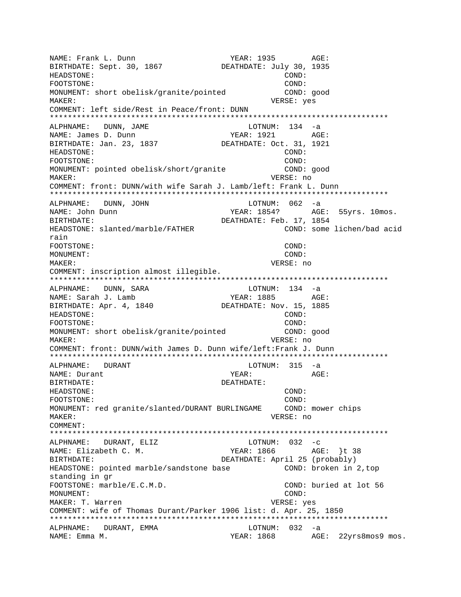NAME: Frank L. Dunn Names (1935 AGE: 1935 AGE: 1935 AGE: 1935 AGE: 1935 AGE: 1935 AGE: 1935 AGE: 1935 AGE: 1935 AGE: 1935 AGE: 1935 AGE: 1935 AGE: 1939 AGE: 1939 AGE: 1939 AGE: 1939 AGE: 1939 AGE: 1939 AGE: 1939 AGE: 1939 BIRTHDATE: Sept. 30, 1867 DEATHDATE: July 30, 1935 HEADSTONE: COND: FOOTSTONE: COND: COND: MONUMENT: short obelisk/granite/pointed COND: good MAKER: VERSE: yes COMMENT: left side/Rest in Peace/front: DUNN \*\*\*\*\*\*\*\*\*\*\*\*\*\*\*\*\*\*\*\*\*\*\*\*\*\*\*\*\*\*\*\*\*\*\*\*\*\*\*\*\*\*\*\*\*\*\*\*\*\*\*\*\*\*\*\*\*\*\*\*\*\*\*\*\*\*\*\*\*\*\*\*\*\*\* ALPHNAME: DUNN, JAME NAME: James D. Dunn YEAR: 1921 AGE: BIRTHDATE: Jan. 23, 1837 DEATHDATE: Oct. 31, 1921 HEADSTONE: COND: FOOTSTONE: COND: MONUMENT: pointed obelisk/short/granite COND: good MAKER: VERSE: no COMMENT: front: DUNN/with wife Sarah J. Lamb/left: Frank L. Dunn \*\*\*\*\*\*\*\*\*\*\*\*\*\*\*\*\*\*\*\*\*\*\*\*\*\*\*\*\*\*\*\*\*\*\*\*\*\*\*\*\*\*\*\*\*\*\*\*\*\*\*\*\*\*\*\*\*\*\*\*\*\*\*\*\*\*\*\*\*\*\*\*\*\*\* ALPHNAME: DUNN, JOHN CONNEXECT DUNN: 062 -a NAME: John Dunn Name (1954? AGE: 55yrs. 10mos. BIRTHDATE:  $DEATHDATE: Feb. 17, 1854$ HEADSTONE: slanted/marble/FATHER COND: some lichen/bad acid rain FOOTSTONE: COND: MONUMENT: COND: MAKER: VERSE: no COMMENT: inscription almost illegible. \*\*\*\*\*\*\*\*\*\*\*\*\*\*\*\*\*\*\*\*\*\*\*\*\*\*\*\*\*\*\*\*\*\*\*\*\*\*\*\*\*\*\*\*\*\*\*\*\*\*\*\*\*\*\*\*\*\*\*\*\*\*\*\*\*\*\*\*\*\*\*\*\*\*\* ALPHNAME: DUNN, SARA LOTNUM: 134 -a NAME: Sarah J. Lamb  $YEAR: 1885$  AGE: BIRTHDATE: Apr. 4, 1840 DEATHDATE: Nov. 15, 1885 HEADSTONE: COND: FOOTSTONE: COND: MONUMENT: short obelisk/granite/pointed COND: good MAKER: VERSE: no COMMENT: front: DUNN/with James D. Dunn wife/left:Frank J. Dunn \*\*\*\*\*\*\*\*\*\*\*\*\*\*\*\*\*\*\*\*\*\*\*\*\*\*\*\*\*\*\*\*\*\*\*\*\*\*\*\*\*\*\*\*\*\*\*\*\*\*\*\*\*\*\*\*\*\*\*\*\*\*\*\*\*\*\*\*\*\*\*\*\*\*\* ALPHNAME: DURANT LOTNUM: 315 -a NAME: Durant  $YEAR:$  AGE: BIRTHDATE: DEATHDATE: HEADSTONE: COND: FOOTSTONE: COND: MONUMENT: red granite/slanted/DURANT BURLINGAME COND: mower chips MAKER: VERSE: no COMMENT: \*\*\*\*\*\*\*\*\*\*\*\*\*\*\*\*\*\*\*\*\*\*\*\*\*\*\*\*\*\*\*\*\*\*\*\*\*\*\*\*\*\*\*\*\*\*\*\*\*\*\*\*\*\*\*\*\*\*\*\*\*\*\*\*\*\*\*\*\*\*\*\*\*\*\* ALPHNAME: DURANT, ELIZ LOTNUM: 032 -c NAME: Elizabeth C. M. YEAR: 1866 AGE: }t 38 BIRTHDATE: DEATHDATE: April 25 (probably) HEADSTONE: pointed marble/sandstone base COND: broken in 2, top standing in gr FOOTSTONE: marble/E.C.M.D. COND: buried at lot 56 MONUMENT: COND: MAKER: T. Warren  $VERSE: yes$ COMMENT: wife of Thomas Durant/Parker 1906 list: d. Apr. 25, 1850 \*\*\*\*\*\*\*\*\*\*\*\*\*\*\*\*\*\*\*\*\*\*\*\*\*\*\*\*\*\*\*\*\*\*\*\*\*\*\*\*\*\*\*\*\*\*\*\*\*\*\*\*\*\*\*\*\*\*\*\*\*\*\*\*\*\*\*\*\*\*\*\*\*\*\* ALPHNAME: DURANT, EMMA LOTNUM: 032 -a NAME: Emma M. Charles Agency Media and MEAR: 1868 AGE: 22yrs8mos9 mos.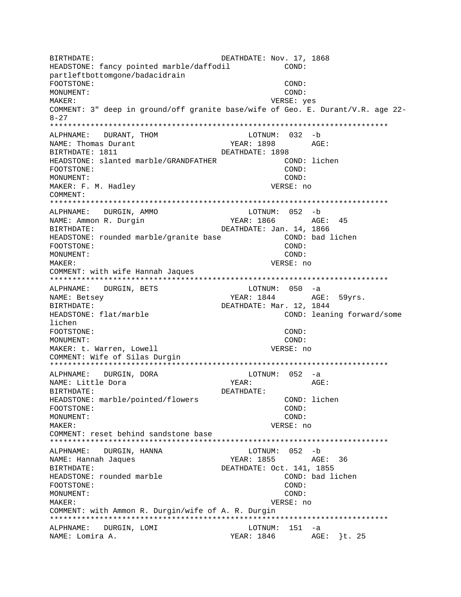BIRTHDATE:  $DEATHDATE:$  DEATHDATE: Nov. 17, 1868 HEADSTONE: fancy pointed marble/daffodil COND: partleftbottomgone/badacidrain FOOTSTONE: COND: MONUMENT: COND: MAKER: VERSE: yes COMMENT: 3" deep in ground/off granite base/wife of Geo. E. Durant/V.R. age 22- 8-27 \*\*\*\*\*\*\*\*\*\*\*\*\*\*\*\*\*\*\*\*\*\*\*\*\*\*\*\*\*\*\*\*\*\*\*\*\*\*\*\*\*\*\*\*\*\*\*\*\*\*\*\*\*\*\*\*\*\*\*\*\*\*\*\*\*\*\*\*\*\*\*\*\*\*\* ALPHNAME: DURANT, THOM NAME: Thomas Durant The YEAR: 1898 AGE: BIRTHDATE: 1811 DEATHDATE: 1898 HEADSTONE: slanted marble/GRANDFATHER COND: lichen FOOTSTONE: COND: MONUMENT: COND: MAKER: F. M. Hadley VERSE: no COMMENT: \*\*\*\*\*\*\*\*\*\*\*\*\*\*\*\*\*\*\*\*\*\*\*\*\*\*\*\*\*\*\*\*\*\*\*\*\*\*\*\*\*\*\*\*\*\*\*\*\*\*\*\*\*\*\*\*\*\*\*\*\*\*\*\*\*\*\*\*\*\*\*\*\*\*\* ALPHNAME: DURGIN, AMMO NAME: Ammon R. Durgin YEAR: 1866 AGE: 45 BIRTHDATE: DEATHDATE: Jan. 14, 1866 HEADSTONE: rounded marble/granite base The COND: bad lichen FOOTSTONE: COND: MONUMENT: COND: MAKER: VERSE: no COMMENT: with wife Hannah Jaques \*\*\*\*\*\*\*\*\*\*\*\*\*\*\*\*\*\*\*\*\*\*\*\*\*\*\*\*\*\*\*\*\*\*\*\*\*\*\*\*\*\*\*\*\*\*\*\*\*\*\*\*\*\*\*\*\*\*\*\*\*\*\*\*\*\*\*\*\*\*\*\*\*\*\* ALPHNAME: DURGIN, BETS LOTNUM: 050 -a NAME: Betsey TEAR: 1844 AGE: 59yrs. BIRTHDATE: DEATHDATE: Mar. 12, 1844 HEADSTONE: flat/marble COND: leaning forward/some lichen FOOTSTONE: COND: MONUMENT: COND: MAKER: t. Warren, Lowell **VERSE: 1998** VERSE: no COMMENT: Wife of Silas Durgin \*\*\*\*\*\*\*\*\*\*\*\*\*\*\*\*\*\*\*\*\*\*\*\*\*\*\*\*\*\*\*\*\*\*\*\*\*\*\*\*\*\*\*\*\*\*\*\*\*\*\*\*\*\*\*\*\*\*\*\*\*\*\*\*\*\*\*\*\*\*\*\*\*\*\* ALPHNAME: DURGIN, DORA LOTNUM: 052 -a NAME: Little Dora BIRTHDATE: DEATHDATE: HEADSTONE: marble/pointed/flowers COND: lichen FOOTSTONE: COND: MONUMENT: COND: MAKER: VERSE: no COMMENT: reset behind sandstone base \*\*\*\*\*\*\*\*\*\*\*\*\*\*\*\*\*\*\*\*\*\*\*\*\*\*\*\*\*\*\*\*\*\*\*\*\*\*\*\*\*\*\*\*\*\*\*\*\*\*\*\*\*\*\*\*\*\*\*\*\*\*\*\*\*\*\*\*\*\*\*\*\*\*\* ALPHNAME: DURGIN, HANNA NAME: Hannah Jaques YEAR: 1855 AGE: 36 BIRTHDATE: DEATHDATE: Oct. 141, 1855 HEADSTONE: rounded marble COND: bad lichen FOOTSTONE: COND: MONUMENT: COND: MAKER: VERSE: no COMMENT: with Ammon R. Durgin/wife of A. R. Durgin \*\*\*\*\*\*\*\*\*\*\*\*\*\*\*\*\*\*\*\*\*\*\*\*\*\*\*\*\*\*\*\*\*\*\*\*\*\*\*\*\*\*\*\*\*\*\*\*\*\*\*\*\*\*\*\*\*\*\*\*\*\*\*\*\*\*\*\*\*\*\*\*\*\*\* ALPHNAME: DURGIN, LOMI LOTNUM: 151 -a NAME: Lomira A. (25) 25 (26) 25 MAME: Lomira A. (25)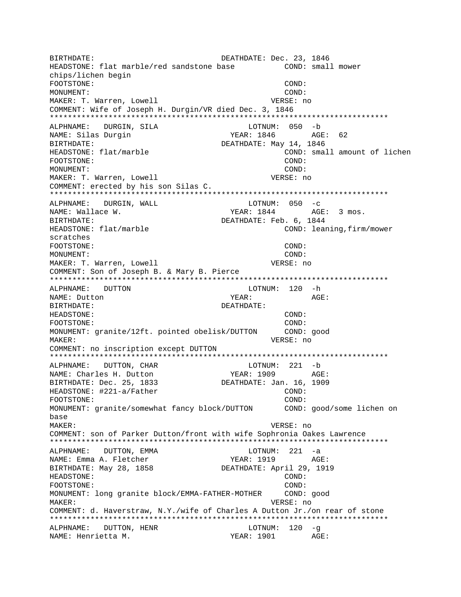BIRTHDATE:<br>HEADSTONE: flat marble/red sandstone base (COND: small mower HEADSTONE: flat marble/red sandstone base chips/lichen begin FOOTSTONE: COND: MONUMENT: COND: MAKER: T. Warren, Lowell **VERSE:** no COMMENT: Wife of Joseph H. Durgin/VR died Dec. 3, 1846 \*\*\*\*\*\*\*\*\*\*\*\*\*\*\*\*\*\*\*\*\*\*\*\*\*\*\*\*\*\*\*\*\*\*\*\*\*\*\*\*\*\*\*\*\*\*\*\*\*\*\*\*\*\*\*\*\*\*\*\*\*\*\*\*\*\*\*\*\*\*\*\*\*\*\* ALPHNAME: DURGIN, SILA NAME: Silas Durqin YEAR: 1846 AGE: 62 BIRTHDATE:  $DEATHDATE:$   $DEATHDATE:$   $May$  14, 1846 HEADSTONE: flat/marble COND: small amount of lichen FOOTSTONE: COND: MONUMENT: COND: MAKER: T. Warren, Lowell **VERSE:** no COMMENT: erected by his son Silas C. \*\*\*\*\*\*\*\*\*\*\*\*\*\*\*\*\*\*\*\*\*\*\*\*\*\*\*\*\*\*\*\*\*\*\*\*\*\*\*\*\*\*\*\*\*\*\*\*\*\*\*\*\*\*\*\*\*\*\*\*\*\*\*\*\*\*\*\*\*\*\*\*\*\*\* ALPHNAME: DURGIN, WALL LOTNUM: 050 -c NAME: Wallace W. TEAR: 1844 AGE: 3 mos. BIRTHDATE:  $DEATHDATE:$  Feb. 6, 1844 HEADSTONE: flat/marble COND: leaning,firm/mower scratches FOOTSTONE: COND: MONUMENT: COND: MAKER: T. Warren, Lowell **VERSE:** no COMMENT: Son of Joseph B. & Mary B. Pierce \*\*\*\*\*\*\*\*\*\*\*\*\*\*\*\*\*\*\*\*\*\*\*\*\*\*\*\*\*\*\*\*\*\*\*\*\*\*\*\*\*\*\*\*\*\*\*\*\*\*\*\*\*\*\*\*\*\*\*\*\*\*\*\*\*\*\*\*\*\*\*\*\*\*\* ALPHNAME: DUTTON LOTNUM: 120 -h NAME: Dutton AGE: BIRTHDATE: DEATHDATE: HEADSTONE: COND: FOOTSTONE: COND: MONUMENT: granite/12ft. pointed obelisk/DUTTON COND: good MAKER: VERSE: no COMMENT: no inscription except DUTTON \*\*\*\*\*\*\*\*\*\*\*\*\*\*\*\*\*\*\*\*\*\*\*\*\*\*\*\*\*\*\*\*\*\*\*\*\*\*\*\*\*\*\*\*\*\*\*\*\*\*\*\*\*\*\*\*\*\*\*\*\*\*\*\*\*\*\*\*\*\*\*\*\*\*\* ALPHNAME: DUTTON, CHAR NAME: Charles H. Dutton YEAR: 1909 AGE: BIRTHDATE: Dec. 25, 1833 DEATHDATE: Jan. 16, 1909 HEADSTONE: #221-a/Father COND: FOOTSTONE: COND: MONUMENT: granite/somewhat fancy block/DUTTON COND: good/some lichen on base MAKER: VERSE: no COMMENT: son of Parker Dutton/front with wife Sophronia Oakes Lawrence \*\*\*\*\*\*\*\*\*\*\*\*\*\*\*\*\*\*\*\*\*\*\*\*\*\*\*\*\*\*\*\*\*\*\*\*\*\*\*\*\*\*\*\*\*\*\*\*\*\*\*\*\*\*\*\*\*\*\*\*\*\*\*\*\*\*\*\*\*\*\*\*\*\*\* ALPHNAME: DUTTON, EMMA LOTNUM: 221 -a NAME: Emma A. Fletcher YEAR: 1919 AGE: BIRTHDATE: May 28, 1858 DEATHDATE: April 29, 1919 HEADSTONE: COND: FOOTSTONE: COND: MONUMENT: long granite block/EMMA-FATHER-MOTHER COND: good MAKER: VERSE: no COMMENT: d. Haverstraw, N.Y./wife of Charles A Dutton Jr./on rear of stone \*\*\*\*\*\*\*\*\*\*\*\*\*\*\*\*\*\*\*\*\*\*\*\*\*\*\*\*\*\*\*\*\*\*\*\*\*\*\*\*\*\*\*\*\*\*\*\*\*\*\*\*\*\*\*\*\*\*\*\*\*\*\*\*\*\*\*\*\*\*\*\*\*\*\* ALPHNAME: DUTTON, HENR LOTNUM: 120 -g NAME: Henrietta M. YEAR: 1901 AGE: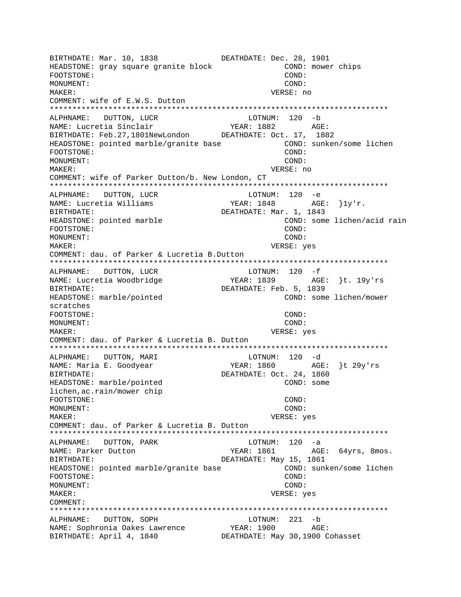BIRTHDATE: Mar. 10, 1838 DEATHDATE: Dec. 28, 1901 HEADSTONE: gray square granite block COND: mower chips FOOTSTONE: COND: MONUMENT: COND: MAKER: VERSE: no COMMENT: wife of E.W.S. Dutton ALPHNAME: DUTTON, LUCR LOTNUM: 120 -b YEAR: 1882 AGE: NAME: Lucretia Sinclair BIRTHDATE: Feb. 27, 1801NewLondon DEATHDATE: Oct. 17, 1882 HEADSTONE: pointed marble/granite base COND: sunken/some lichen FOOTSTONE: COND: MONUMENT: COND: MAKER: VERSE: no COMMENT: wife of Parker Dutton/b. New London, CT ALPHNAME: DUTTON, LUCR  $LOTNUM: 120 -e$ YEAR:  $1848$  AGE:  $\}1y'r$ . NAME: Lucretia Williams DEATHDATE: Mar. 1, 1843 BIRTHDATE: HEADSTONE: pointed marble COND: some lichen/acid rain FOOTSTONE:  $COMD:$ MONUMENT: COND: MAKER: VERSE: yes COMMENT: dau. of Parker & Lucretia B.Dutton  $LOTNUM: 120 - f$ ALPHNAME: DUTTON, LUCR NAME: Lucretia Woodbridge DEATHDATE: Feb. 5, 1839 BIRTHDATE: HEADSTONE: marble/pointed COND: some lichen/mower scratches FOOTSTONE: COND: MONUMENT: COND: MAKER: VERSE: yes COMMENT: dau. of Parker & Lucretia B. Dutton ALPHNAME: DUTTON, MARI LOTNUM: 120 -d YEAR: 1860 <br>DEATHDATE: Oct. 24, 1860 NAME: Maria E. Goodyear BIRTHDATE: HEADSTONE: marble/pointed COND: some lichen, ac. rain/mower chip FOOTSTONE: COND: MONUMENT: COND:  $M\Delta KFR$ : VERSE: yes COMMENT: dau. of Parker & Lucretia B. Dutton ALPHNAME: DUTTON, PARK LOTNUM:  $120 -a$ NAME: Parker Dutton YEAR: 1861 AGE: 64yrs, 8mos. DEATHDATE: May 15, 1861 RIRTHDATE: HEADSTONE: pointed marble/granite base COND: sunken/some lichen FOOTSTONE: COND: MONUMENT: COND: MAKER: VERSE: yes COMMENT: ALPHNAME: DUTTON, SOPH LOTNUM: 221 -b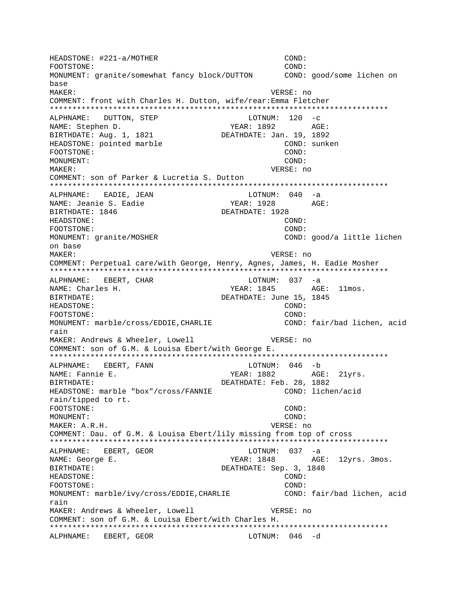HEADSTONE: #221-a/MOTHER COND: FOOTSTONE:  $COMD:$ MONUMENT: granite/somewhat fancy block/DUTTON COND: good/some lichen on base MAKER: VERSE: no COMMENT: front with Charles H. Dutton, wife/rear: Emma Fletcher ALPHNAME: DUTTON, STEP  $LOTNUM: 120 -c$ AGE: NAME: Stephen D. YEAR: 1892 DEATHDATE: Jan. 19, 1892 BIRTHDATE: Aug. 1, 1821 HEADSTONE: pointed marble COND: sunken FOOTSTONE: COND: MONUMENT: COND: MAKER: VERSE: no COMMENT: son of Parker & Lucretia S. Dutton ALPHNAME: EADIE, JEAN  $LOTNUM: 040 -a$ NAME: Jeanie S. Eadie YEAR: 1928 AGE: BIRTHDATE: 1846 DEATHDATE: 1928 HEADSTONE:  $COND:$ COND: FOOTSTONE: MONUMENT: granite/MOSHER COND: good/a little lichen on base MAKER: VERSE: no COMMENT: Perpetual care/with George, Henry, Agnes, James, H. Eadie Mosher ALPHNAME: EBERT, CHAR LOTNUM: 037 -a NAME: Charles H. DEATHDATE: June 15, 1845 BIRTHDATE: HEADSTONE:  $CONID:$ FOOTSTONE:  $COMD:$ MONUMENT: marble/cross/EDDIE, CHARLIE COND: fair/bad lichen, acid rain MAKER: Andrews & Wheeler, Lowell VERSE: no COMMENT: son of G.M. & Louisa Ebert/with George E. ALPHNAME: EBERT, FANN LOTNUM:  $046 - b$ AGE: 21yrs. NAME: Fannie E. YEAR: 1882 BIRTHDATE: DEATHDATE: Feb. 28, 1882 HEADSTONE: marble "box"/cross/FANNIE COND: lichen/acid rain/tipped to rt. FOOTSTONE: COND: MONUMENT: COND: MAKER: A.R.H. VERSE: no COMMENT: Dau. of G.M. & Louisa Ebert/lily missing from top of cross ALPHNAME: EBERT, GEOR LOTNUM:  $037 - a$ YEAR: 1848 AGE: 12yrs. 3mos. NAME: George E. DEATHDATE: Sep. 3, 1848 **BIRTHDATE:** HEADSTONE: COND: FOOTSTONE: COND: MONUMENT: marble/ivy/cross/EDDIE, CHARLIE COND: fair/bad lichen, acid rain MAKER: Andrews & Wheeler, Lowell VERSE: no COMMENT: son of G.M. & Louisa Ebert/with Charles H. ALPHNAME: EBERT, GEOR LOTNUM: 046 -d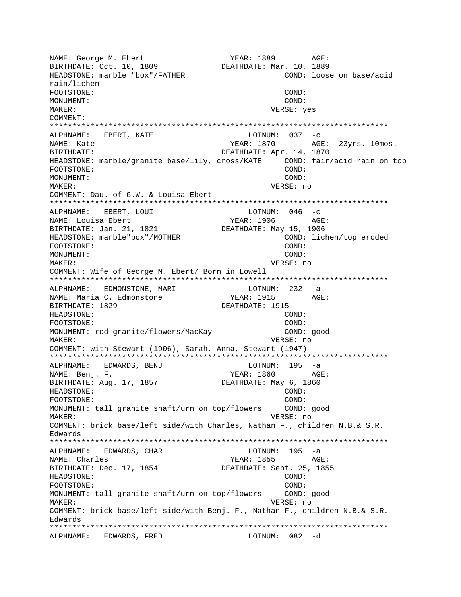NAME: George M. Ebert YEAR: 1889 AGE: BIRTHDATE: Oct. 10, 1809 DEATHDATE: Mar. 10, 1889 HEADSTONE: marble "box"/FATHER COND: loose on base/acid rain/lichen FOOTSTONE: COND: MONUMENT: COND: MAKER: VERSE: yes COMMENT: \*\*\*\*\*\*\*\*\*\*\*\*\*\*\*\*\*\*\*\*\*\*\*\*\*\*\*\*\*\*\*\*\*\*\*\*\*\*\*\*\*\*\*\*\*\*\*\*\*\*\*\*\*\*\*\*\*\*\*\*\*\*\*\*\*\*\*\*\*\*\*\*\*\*\* ALPHNAME: EBERT, KATE NAME: Kate YEAR: 1870 AGE: 23yrs. 10mos. BIRTHDATE:  $DEATHDATE:$   $DEATHDATE:$   $APr. 14, 1870$ HEADSTONE: marble/granite base/lily, cross/KATE COND: fair/acid rain on top FOOTSTONE: COND: MONUMENT: COND: MAKER: VERSE: no COMMENT: Dau. of G.W. & Louisa Ebert \*\*\*\*\*\*\*\*\*\*\*\*\*\*\*\*\*\*\*\*\*\*\*\*\*\*\*\*\*\*\*\*\*\*\*\*\*\*\*\*\*\*\*\*\*\*\*\*\*\*\*\*\*\*\*\*\*\*\*\*\*\*\*\*\*\*\*\*\*\*\*\*\*\*\* ALPHNAME: EBERT, LOUI NAME: Louisa Ebert  $YEAR: 1906$  AGE: BIRTHDATE: Jan. 21, 1821 DEATHDATE: May 15, 1906 HEADSTONE: marble"box"/MOTHER COND: lichen/top eroded FOOTSTONE: COND: MONUMENT: COND: MAKER: VERSE: no COMMENT: Wife of George M. Ebert/ Born in Lowell \*\*\*\*\*\*\*\*\*\*\*\*\*\*\*\*\*\*\*\*\*\*\*\*\*\*\*\*\*\*\*\*\*\*\*\*\*\*\*\*\*\*\*\*\*\*\*\*\*\*\*\*\*\*\*\*\*\*\*\*\*\*\*\*\*\*\*\*\*\*\*\*\*\*\* ALPHNAME: EDMONSTONE, MARI LOTNUM: 232 -a NAME: Maria C. Edmonstone TEAR: 1915 AGE: BIRTHDATE: 1829 DEATHDATE: 1915 HEADSTONE: COND: FOOTSTONE: COND: MONUMENT: red granite/flowers/MacKay COND: good MAKER: VERSE: no COMMENT: with Stewart (1906), Sarah, Anna, Stewart (1947) \*\*\*\*\*\*\*\*\*\*\*\*\*\*\*\*\*\*\*\*\*\*\*\*\*\*\*\*\*\*\*\*\*\*\*\*\*\*\*\*\*\*\*\*\*\*\*\*\*\*\*\*\*\*\*\*\*\*\*\*\*\*\*\*\*\*\*\*\*\*\*\*\*\*\* ALPHNAME: EDWARDS, BENJ LOTNUM: 195 -a NAME: Benj. F. Same Communication of the Magnus of the YEAR: 1860 AGE: BIRTHDATE: Aug. 17, 1857 DEATHDATE: May 6, 1860 HEADSTONE: COND: FOOTSTONE: COND: MONUMENT: tall granite shaft/urn on top/flowers COND: good MAKER: VERSE: no COMMENT: brick base/left side/with Charles, Nathan F., children N.B.& S.R. Edwards \*\*\*\*\*\*\*\*\*\*\*\*\*\*\*\*\*\*\*\*\*\*\*\*\*\*\*\*\*\*\*\*\*\*\*\*\*\*\*\*\*\*\*\*\*\*\*\*\*\*\*\*\*\*\*\*\*\*\*\*\*\*\*\*\*\*\*\*\*\*\*\*\*\*\* ALPHNAME: EDWARDS, CHAR LOTNUM: 195 -a NAME: Charles The Magnus of the Magnus of the Magnus of the Magnus of the Magnus of the Magnus of the Magnus of the Magnus of the Magnus of the Magnus of the Magnus of the Magnus of the Magnus of the Magnus of the Magnus o BIRTHDATE: Dec. 17, 1854 DEATHDATE: Sept. 25, 1855 HEADSTONE: COND: FOOTSTONE: COND: MONUMENT: tall granite shaft/urn on top/flowers COND: good MAKER: VERSE: no COMMENT: brick base/left side/with Benj. F., Nathan F., children N.B.& S.R. Edwards \*\*\*\*\*\*\*\*\*\*\*\*\*\*\*\*\*\*\*\*\*\*\*\*\*\*\*\*\*\*\*\*\*\*\*\*\*\*\*\*\*\*\*\*\*\*\*\*\*\*\*\*\*\*\*\*\*\*\*\*\*\*\*\*\*\*\*\*\*\*\*\*\*\*\* ALPHNAME: EDWARDS, FRED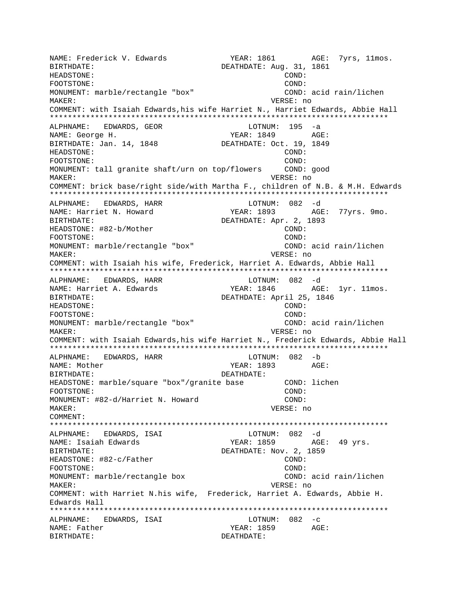NAME: Frederick V. Edwards YEAR: 1861 AGE: 7yrs, 11mos. BIRTHDATE: DEATHDATE: Aug. 31, 1861 HEADSTONE: COND: FOOTSTONE: COND: MONUMENT: marble/rectangle "box" COND: acid rain/lichen MAKER: VERSE: no COMMENT: with Isaiah Edwards,his wife Harriet N., Harriet Edwards, Abbie Hall \*\*\*\*\*\*\*\*\*\*\*\*\*\*\*\*\*\*\*\*\*\*\*\*\*\*\*\*\*\*\*\*\*\*\*\*\*\*\*\*\*\*\*\*\*\*\*\*\*\*\*\*\*\*\*\*\*\*\*\*\*\*\*\*\*\*\*\*\*\*\*\*\*\*\* ALPHNAME: EDWARDS, GEOR NAME: George H. Same Communications of the MEAR: 1849 AGE: BIRTHDATE: Jan. 14, 1848 DEATHDATE: Oct. 19, 1849 HEADSTONE: COND: FOOTSTONE: COND: MONUMENT: tall granite shaft/urn on top/flowers COND: good MAKER: VERSE: no COMMENT: brick base/right side/with Martha F., children of N.B. & M.H. Edwards \*\*\*\*\*\*\*\*\*\*\*\*\*\*\*\*\*\*\*\*\*\*\*\*\*\*\*\*\*\*\*\*\*\*\*\*\*\*\*\*\*\*\*\*\*\*\*\*\*\*\*\*\*\*\*\*\*\*\*\*\*\*\*\*\*\*\*\*\*\*\*\*\*\*\* ALPHNAME: EDWARDS, HARR LOTNUM: 082 -d NAME: Harriet N. Howard YEAR: 1893 AGE: 77yrs. 9mo. BIRTHDATE: DEATHDATE: Apr. 2, 1893 HEADSTONE: #82-b/Mother COND: COND: FOOTSTONE: COND: MONUMENT: marble/rectangle "box" COND: acid rain/lichen MAKER: VERSE: no COMMENT: with Isaiah his wife, Frederick, Harriet A. Edwards, Abbie Hall \*\*\*\*\*\*\*\*\*\*\*\*\*\*\*\*\*\*\*\*\*\*\*\*\*\*\*\*\*\*\*\*\*\*\*\*\*\*\*\*\*\*\*\*\*\*\*\*\*\*\*\*\*\*\*\*\*\*\*\*\*\*\*\*\*\*\*\*\*\*\*\*\*\*\* ALPHNAME: EDWARDS, HARR LOTNUM: 082 -d NAME: Harriet A. Edwards Team YEAR: 1846 AGE: 1yr. 11mos. BIRTHDATE:  $DEATHDATE:$  April 25, 1846 HEADSTONE: COND: FOOTSTONE: COND: MONUMENT: marble/rectangle "box" COND: acid rain/lichen MAKER: VERSE: no COMMENT: with Isaiah Edwards,his wife Harriet N., Frederick Edwards, Abbie Hall \*\*\*\*\*\*\*\*\*\*\*\*\*\*\*\*\*\*\*\*\*\*\*\*\*\*\*\*\*\*\*\*\*\*\*\*\*\*\*\*\*\*\*\*\*\*\*\*\*\*\*\*\*\*\*\*\*\*\*\*\*\*\*\*\*\*\*\*\*\*\*\*\*\*\* ALPHNAME: EDWARDS, HARR NAME: Mother The South of the YEAR: 1893 AGE: BIRTHDATE: DEATHDATE: HEADSTONE: marble/square "box"/granite base COND: lichen FOOTSTONE: COND: MONUMENT: #82-d/Harriet N. Howard COND: MAKER: VERSE: no COMMENT: \*\*\*\*\*\*\*\*\*\*\*\*\*\*\*\*\*\*\*\*\*\*\*\*\*\*\*\*\*\*\*\*\*\*\*\*\*\*\*\*\*\*\*\*\*\*\*\*\*\*\*\*\*\*\*\*\*\*\*\*\*\*\*\*\*\*\*\*\*\*\*\*\*\*\* ALPHNAME: EDWARDS, ISAI LOTNUM: 082 -d YEAR: 1859 AGE: 49 yrs. BIRTHDATE: DEATHDATE: Nov. 2, 1859 HEADSTONE: #82-c/Father COND: FOOTSTONE: COND: MONUMENT: marble/rectangle box COND: acid rain/lichen MAKER: VERSE: no COMMENT: with Harriet N.his wife, Frederick, Harriet A. Edwards, Abbie H. Edwards Hall \*\*\*\*\*\*\*\*\*\*\*\*\*\*\*\*\*\*\*\*\*\*\*\*\*\*\*\*\*\*\*\*\*\*\*\*\*\*\*\*\*\*\*\*\*\*\*\*\*\*\*\*\*\*\*\*\*\*\*\*\*\*\*\*\*\*\*\*\*\*\*\*\*\*\* ALPHNAME: EDWARDS, ISAI CHART LOTNUM: 082 -c NAME: Father YEAR: 1859 AGE: BIRTHDATE: DEATHDATE: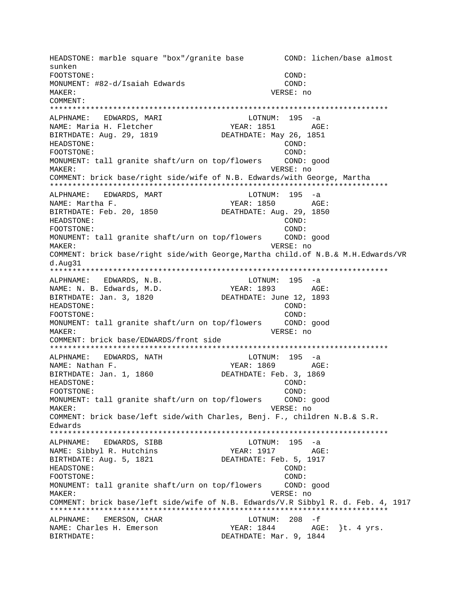HEADSTONE: marble square "box"/granite base COND: lichen/base almost sunken FOOTSTONE: COND: MONUMENT: #82-d/Isaiah Edwards COND: MAKER: VERSE: no COMMENT: \*\*\*\*\*\*\*\*\*\*\*\*\*\*\*\*\*\*\*\*\*\*\*\*\*\*\*\*\*\*\*\*\*\*\*\*\*\*\*\*\*\*\*\*\*\*\*\*\*\*\*\*\*\*\*\*\*\*\*\*\*\*\*\*\*\*\*\*\*\*\*\*\*\*\* ALPHNAME: EDWARDS, MARI LOTNUM: 195 -a NAME: Maria H. Fletcher YEAR: 1851 AGE: BIRTHDATE: Aug. 29, 1819 DEATHDATE: May 26, 1851 HEADSTONE: COND: FOOTSTONE: COND: MONUMENT: tall granite shaft/urn on top/flowers COND: good MAKER: VERSE: no COMMENT: brick base/right side/wife of N.B. Edwards/with George, Martha \*\*\*\*\*\*\*\*\*\*\*\*\*\*\*\*\*\*\*\*\*\*\*\*\*\*\*\*\*\*\*\*\*\*\*\*\*\*\*\*\*\*\*\*\*\*\*\*\*\*\*\*\*\*\*\*\*\*\*\*\*\*\*\*\*\*\*\*\*\*\*\*\*\*\* ALPHNAME: EDWARDS, MART LOTNUM: 195 -a NAME: Martha F. (2008) AGE: YEAR: 1850 AGE: BIRTHDATE: Feb. 20, 1850 DEATHDATE: Aug. 29, 1850 HEADSTONE: COND: FOOTSTONE: COND: MONUMENT: tall granite shaft/urn on top/flowers COND: good MAKER: VERSE: no COMMENT: brick base/right side/with George,Martha child.of N.B.& M.H.Edwards/VR d.Aug31 \*\*\*\*\*\*\*\*\*\*\*\*\*\*\*\*\*\*\*\*\*\*\*\*\*\*\*\*\*\*\*\*\*\*\*\*\*\*\*\*\*\*\*\*\*\*\*\*\*\*\*\*\*\*\*\*\*\*\*\*\*\*\*\*\*\*\*\*\*\*\*\*\*\*\* ALPHNAME: EDWARDS, N.B. LOTNUM: 195 -a NAME: N. B. Edwards, M.D. YEAR: 1893 AGE: BIRTHDATE: Jan. 3, 1820 DEATHDATE: June 12, 1893 HEADSTONE: COND: FOOTSTONE: COND: MONUMENT: tall granite shaft/urn on top/flowers COND: good MAKER: VERSE: no COMMENT: brick base/EDWARDS/front side \*\*\*\*\*\*\*\*\*\*\*\*\*\*\*\*\*\*\*\*\*\*\*\*\*\*\*\*\*\*\*\*\*\*\*\*\*\*\*\*\*\*\*\*\*\*\*\*\*\*\*\*\*\*\*\*\*\*\*\*\*\*\*\*\*\*\*\*\*\*\*\*\*\*\* ALPHNAME: EDWARDS, NATH LOTNUM:<br>NAME: Nathan F. (1869) NAME: Nathan F. YEAR: 1869 AGE: BIRTHDATE: Jan. 1, 1860 DEATHDATE: Feb. 3, 1869 HEADSTONE: COND: FOOTSTONE: COND: MONUMENT: tall granite shaft/urn on top/flowers COND: good MAKER: VERSE: no COMMENT: brick base/left side/with Charles, Benj. F., children N.B.& S.R. Edwards \*\*\*\*\*\*\*\*\*\*\*\*\*\*\*\*\*\*\*\*\*\*\*\*\*\*\*\*\*\*\*\*\*\*\*\*\*\*\*\*\*\*\*\*\*\*\*\*\*\*\*\*\*\*\*\*\*\*\*\*\*\*\*\*\*\*\*\*\*\*\*\*\*\*\* ALPHNAME: EDWARDS, SIBB LOTNUM: 195 -a NAME: Sibbyl R. Hutchins YEAR: 1917 AGE: BIRTHDATE: Aug. 5, 1821 DEATHDATE: Feb. 5, 1917 HEADSTONE: COND: FOOTSTONE: COND: MONUMENT: tall granite shaft/urn on top/flowers COND: good MAKER: VERSE: no COMMENT: brick base/left side/wife of N.B. Edwards/V.R Sibbyl R. d. Feb. 4, 1917 \*\*\*\*\*\*\*\*\*\*\*\*\*\*\*\*\*\*\*\*\*\*\*\*\*\*\*\*\*\*\*\*\*\*\*\*\*\*\*\*\*\*\*\*\*\*\*\*\*\*\*\*\*\*\*\*\*\*\*\*\*\*\*\*\*\*\*\*\*\*\*\*\*\*\* ALPHNAME: EMERSON, CHAR LOTNUM: 208 -f NAME: Charles H. Emerson YEAR: 1844 AGE: }t. 4 yrs. BIRTHDATE: Nar. 9, 1844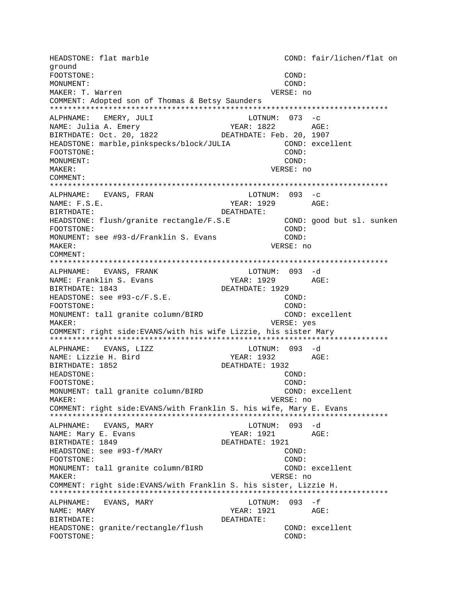HEADSTONE: flat marble COND: fair/lichen/flat on ground FOOTSTONE: COND: MONUMENT: COND: MAKER: T. Warren VERSE: no COMMENT: Adopted son of Thomas & Betsy Saunders ALPHNAME: EMERY, JULI  $LOTNUM: 073 -c$ NAME: Julia A. Emery YEAR: 1822 AGE: BIRTHDATE: Oct. 20, 1822 DEATHDATE: Feb. 20, 1907 HEADSTONE: marble, pinkspecks/block/JULIA COND: excellent FOOTSTONE: COND: MONUMENT: COND: MAKER: VERSE: no COMMENT: ALPHNAME: EVANS, FRAN LOTNUM:  $093 - c$  $NAME: F.S.E.$ YEAR: 1929 AGE: BIRTHDATE: DEATHDATE: COND: good but sl. sunken HEADSTONE: flush/granite rectangle/F.S.E COND: FOOTSTONE: MONUMENT: see #93-d/Franklin S. Evans COND: MAKER: VERSE: no COMMENT: LOTNUM: 093 -d ALPHNAME: EVANS, FRANK NAME: Franklin S. Evans YEAR: 1929 AGE: BIRTHDATE: 1843 DEATHDATE: 1929 HEADSTONE: see #93-c/F.S.E.  $COND:$ FOOTSTONE:  $COMD:$ MONUMENT: tall granite column/BIRD COND: excellent VERSE: yes MAKER: COMMENT: right side: EVANS/with his wife Lizzie, his sister Mary LOTNUM: 093 -d ALPHNAME: EVANS, LIZZ YEAR: 1932 AGE: NAME: Lizzie H. Bird DEATHDATE: 1932 BIRTHDATE: 1852 HEADSTONE: COND: COND: FOOTSTONE: MONUMENT: tall granite column/BIRD COND: excellent MAKER: VERSE: no COMMENT: right side: EVANS/with Franklin S. his wife, Mary E. Evans ALPHNAME: EVANS, MARY LOTNUM: 093 -d NAME: Mary E. Evans YEAR: 1921  $\Delta G$ F: BIRTHDATE: 1849 DEATHDATE: 1921 HEADSTONE: see #93-f/MARY COND: COND: FOOTSTONE: MONUMENT: tall granite column/BIRD COND: excellent MAKER: VERSE: no COMMENT: right side: EVANS/with Franklin S. his sister, Lizzie H. ALPHNAME: EVANS, MARY LOTNUM: 093 -f NAME: MARY YEAR: 1921 AGE: BIRTHDATE: DEATHDATE: HEADSTONE: granite/rectangle/flush COND: excellent FOOTSTONE: COND: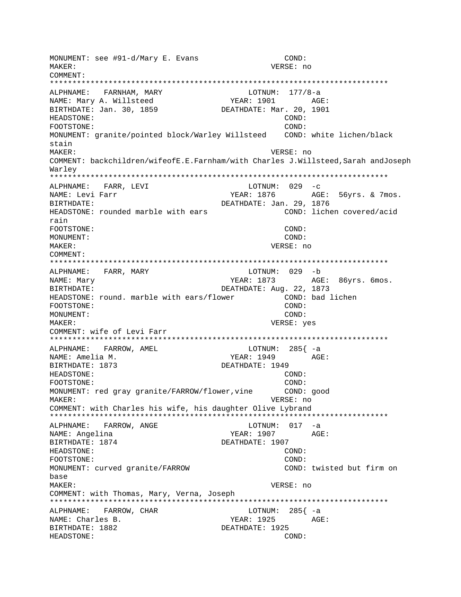MONUMENT: see #91-d/Mary E. Evans COND: MAKER: VERSE: no COMMENT: LOTNUM:  $177/8-a$ ALPHNAME: FARNHAM, MARY NAME: Mary A. Willsteed YEAR: 1901 AGE: BIRTHDATE: Jan. 30, 1859 DEATHDATE: Mar. 20, 1901 HEADSTONE: COND: COND: FOOTSTONE: MONUMENT: granite/pointed block/Warley Willsteed COND: white lichen/black stain  $M\Delta KFR$ : VERSE: no COMMENT: backchildren/wifeofE.E.Farnham/with Charles J.Willsteed, Sarah andJoseph Warlev ALPHNAME: FARR, LEVI LOTNUM:  $029 - c$ YEAR: 1876 <br>DEATHDATE: Jan. 29, 1876 NAME: Levi Farr BIRTHDATE: HEADSTONE: rounded marble with ears COND: lichen covered/acid rain FOOTSTONE: COND: MONUMENT: COND: MAKER: VERSE: no COMMENT: LOTNUM: 029 -b ALPHNAME: FARR, MARY NAME: Mary YEAR: 1873 AGE: 86yrs. 6mos. DEATHDATE: Aug. 22, 1873 BIRTHDATE: HEADSTONE: round. marble with ears/flower COND: bad lichen FOOTSTONE:  $COMD:$ MONUMENT:  $COND:$ VERSE: yes MAKER: COMMENT: wife of Levi Farr LOTNUM:  $285$   $- a$ ALPHNAME: FARROW, AMEL YEAR: 1949 AGE: NAME: Amelia M. DEATHDATE: 1949 BIRTHDATE: 1873 HEADSTONE:  $COND:$ FOOTSTONE:  $COMD:$ MONUMENT: red gray granite/FARROW/flower, vine COND: qood VERSE: no MAKER: COMMENT: with Charles his wife, his daughter Olive Lybrand ALPHNAME: FARROW, ANGE LOTNUM:  $017 - a$ NAME: Angelina YEAR: 1907 AGE: BIRTHDATE: 1874 DEATHDATE: 1907 HEADSTONE: COND: FOOTSTONE:  $COMD:$ MONUMENT: curved granite/FARROW COND: twisted but firm on base MAKER: VERSE: no COMMENT: with Thomas, Mary, Verna, Joseph LOTNUM:  $285$ { -a ALPHNAME: FARROW, CHAR NAME: Charles B. YEAR: 1925 AGE: BIRTHDATE: 1882 DEATHDATE: 1925 HEADSTONE: COND: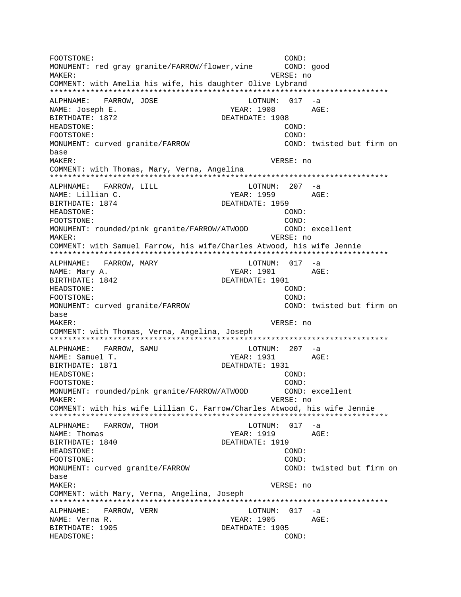FOOTSTONE: COND: MONUMENT: red gray granite/FARROW/flower, vine COND: good MAKER: VERSE: no COMMENT: with Amelia his wife, his daughter Olive Lybrand ALPHNAME: FARROW, JOSE LOTNUM: 017 -a NAME: Joseph E. YEAR: 1908 AGE: BIRTHDATE: 1872 DEATHDATE: 1908 HEADSTONE: COND: FOOTSTONE:  $COND:$ MONUMENT: curved granite/FARROW COND: twisted but firm on base VERSE: no **MAKER:** COMMENT: with Thomas, Mary, Verna, Angelina ALPHNAME: FARROW, LILL LOTNUM: 207 -a NAME: Lillian C. YEAR: 1959 AGE: BIRTHDATE: 1874 DEATHDATE: 1959 HEADSTONE: COND: FOOTSTONE:  $COND:$ MONUMENT: rounded/pink granite/FARROW/ATWOOD COND: excellent VERSE: no MAKER: COMMENT: with Samuel Farrow, his wife/Charles Atwood, his wife Jennie LOTNUM: 017 -a ALPHNAME: FARROW, MARY AGE: NAME: Mary A. YEAR: 1901 BIRTHDATE: 1842 DEATHDATE: 1901 HEADSTONE: COND: FOOTSTONE:  $COMD:$ COND: twisted but firm on MONUMENT: curved granite/FARROW base MAKER: VERSE: no COMMENT: with Thomas, Verna, Angelina, Joseph  $LOTNUM: 207 -a$ ALPHNAME: FARROW, SAMU NAME: Samuel T. YEAR: 1931 AGE: DEATHDATE: 1931 BIRTHDATE: 1871 HEADSTONE: COND: COND: FOOTSTONE: MONUMENT: rounded/pink granite/FARROW/ATWOOD COND: excellent MAKER: VERSE: no COMMENT: with his wife Lillian C. Farrow/Charles Atwood, his wife Jennie ALPHNAME: FARROW, THOM LOTNUM:  $017 - a$ NAME: Thomas YEAR: 1919  $AGE:$ BIRTHDATE: 1840 DEATHDATE: 1919 HEADSTONE: COND: COND: FOOTSTONE: MONUMENT: curved granite/FARROW COND: twisted but firm on base MAKER: VERSE: no COMMENT: with Mary, Verna, Angelina, Joseph ALPHNAME: FARROW, VERN LOTNUM: 017 -a NAME: Verna R. YEAR: 1905 AGE: BIRTHDATE: 1905 DEATHDATE: 1905 HEADSTONE: COND: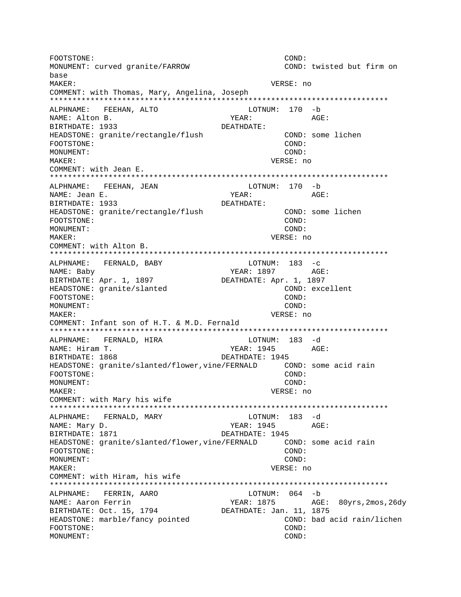FOOTSTONE: COND: MONUMENT: curved granite/FARROW COND: twisted but firm on base MAKER: VERSE: no COMMENT: with Thomas, Mary, Angelina, Joseph ALPHNAME: FEEHAN, ALTO LOTNUM: 170 -b NAME: Alton B. YEAR: AGE: BIRTHDATE: 1933 DEATHDATE: HEADSTONE: granite/rectangle/flush COND: some lichen FOOTSTONE: COND: MONUMENT:  $COMD:$ VERSE: no MAKER: COMMENT: with Jean E. ALPHNAME: FEEHAN, JEAN LOTNUM: 170 -b NAME: Jean E. AGE: YEAR: BIRTHDATE: 1933 DEATHDATE: COND: some lichen HEADSTONE: granite/rectangle/flush FOOTSTONE:  $COND:$ MONUMENT: COND: MAKER: VERSE: no COMMENT: with Alton B. LOTNUM:  $183 - c$ ALPHNAME: FERNALD, BABY NAME: Baby YEAR: 1897 AGE: BIRTHDATE: Apr. 1, 1897 DEATHDATE: Apr. 1, 1897 COND: excellent HEADSTONE: granite/slanted FOOTSTONE:  $COMD:$ MONUMENT: COND: VERSE: no MAKER: COMMENT: Infant son of H.T. & M.D. Fernald LOTNUM: 183 -d ALPHNAME: FERNALD, HIRA NAME: Hiram T. YEAR: 1945 AGE: BIRTHDATE: 1868 DEATHDATE: 1945 COND: some acid rain HEADSTONE: granite/slanted/flower, vine/FERNALD COND: FOOTSTONE: MONUMENT: COND: MAKER: VERSE: no COMMENT: with Mary his wife ALPHNAME: FERNALD, MARY LOTNUM: 183 -d NAME: Mary D. YEAR: 1945 AGE: BIRTHDATE: 1871 DEATHDATE: 1945 HEADSTONE: granite/slanted/flower, vine/FERNALD COND: some acid rain  $COND:$ FOOTSTONE: MONUMENT: COND: MAKER: VERSE: no COMMENT: with Hiram, his wife FERRIN, AARO LOTNUM: 064 -b ALPHNAME: NAME: Aaron Ferrin YEAR: 1875 AGE: 80yrs, 2mos, 26dy BIRTHDATE: Oct. 15, 1794 DEATHDATE: Jan. 11, 1875 HEADSTONE: marble/fancy pointed COND: bad acid rain/lichen FOOTSTONE: COND: MONUMENT: COND: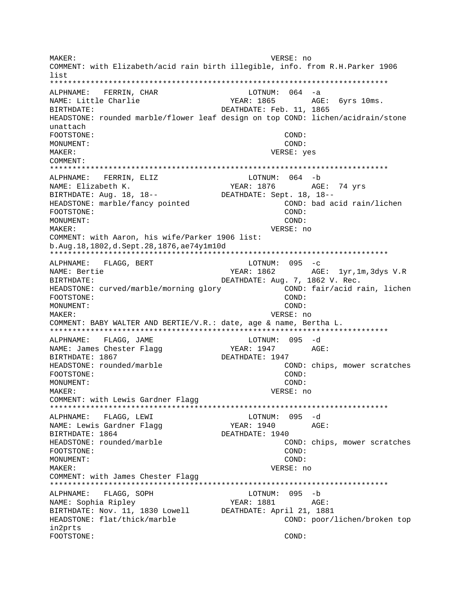MAKER: VERSE: no COMMENT: with Elizabeth/acid rain birth illegible, info. from R.H.Parker 1906 list LOTNUM:  $064 - a$ ALPHNAME: FERRIN, CHAR NAME: Little Charlie YEAR: 1865 AGE: 6yrs 10ms. BIRTHDATE: DEATHDATE: Feb. 11, 1865 HEADSTONE: rounded marble/flower leaf design on top COND: lichen/acidrain/stone unattach FOOTSTONE: COND: MONUMENT: COND:  $M\Delta KFR$ : VERSE: yes COMMENT: ALPHNAME: FERRIN, ELIZ LOTNUM: 064 -b YEAR: 1876 AGE: 74 yrs NAME: Elizabeth K. BIRTHDATE: Aug. 18, 18--DEATHDATE: Sept. 18, 18--HEADSTONE: marble/fancy pointed COND: bad acid rain/lichen COND: FOOTSTONE: MONUMENT:  $COMD:$ MAKER: VERSE: no COMMENT: with Aaron, his wife/Parker 1906 list: b.Aug.18,1802,d.Sept.28,1876,ae74y1m10d ALPHNAME: FLAGG, BERT LOTNUM:  $095 -c$ NAME: Bertie YEAR: 1862 AGE: 1yr,1m,3dys V.R **BIRTHDATE:** DEATHDATE: Aug. 7, 1862 V. Rec. HEADSTONE: curved/marble/morning glory COND: fair/acid rain, lichen  $COMD:$ FOOTSTONE: COND: MONITMENT: VERSE: no MAKER: COMMENT: BABY WALTER AND BERTIE/V.R.: date, age & name, Bertha L. ALPHNAME: FLAGG, JAME LOTNUM: 095 -d NAME: James Chester Flagg YEAR: 1947 AGE: BIRTHDATE: 1867 DEATHDATE: 1947 HEADSTONE: rounded/marble COND: chips, mower scratches FOOTSTONE: COND: MONUMENT: COND: MAKER: VERSE: no COMMENT: with Lewis Gardner Flagg ALPHNAME: FLAGG, LEWI LOTNUM: 095 -d YEAR: 1940 NAME: Lewis Gardner Flagg AGE: BIRTHDATE: 1864 DEATHDATE: 1940 COND: chips, mower scratches HEADSTONE: rounded/marble FOOTSTONE: COND: MONUMENT: COND: MAKER: VERSE: no COMMENT: with James Chester Flagg ALPHNAME: FLAGG, SOPH LOTNUM: 095 -b NAME: Sophia Ripley YEAR: 1881 AGE: BIRTHDATE: Nov. 11, 1830 Lowell DEATHDATE: April 21, 1881 HEADSTONE: flat/thick/marble COND: poor/lichen/broken top in2prts FOOTSTONE: COND: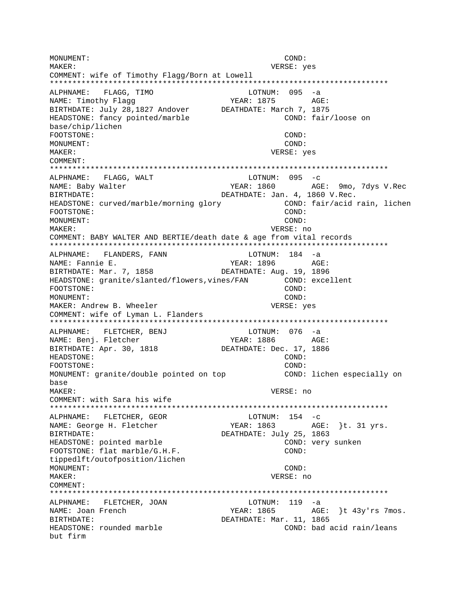MONUMENT: COND: MAKER: VERSE: yes COMMENT: wife of Timothy Flagg/Born at Lowell ALPHNAME: FLAGG, TIMO LOTNUM:  $095 -a$ NAME: Timothy Flaqq YEAR: 1875 AGE: BIRTHDATE: July 28,1827 Andover DEATHDATE: March 7, 1875 HEADSTONE: fancy pointed/marble COND: fair/loose on base/chip/lichen FOOTSTONE:  $COND:$ MONUMENT:  $COND:$  $M\Delta K$ <sub>FP</sub>: VERSE: yes COMMENT: ALPHNAME: FLAGG, WALT  $LOTNUM: 095 -c$ YEAR: 1860 AGE: 9mo, 7dys V.Rec NAME: Baby Walter DEATHDATE: Jan. 4, 1860 V.Rec. BIRTHDATE: HEADSTONE: curved/marble/morning glory COND: fair/acid rain, lichen COND: FOOTSTONE: MONUMENT:  $COMD:$ MAKER: VERSE: no COMMENT: BABY WALTER AND BERTIE/death date & age from vital records ALPHNAME: FLANDERS, FANN LOTNUM: 184 -a NAME: Fannie E. YEAR: 1896 AGE: BIRTHDATE: Mar. 7, 1858 DEATHDATE: Aug. 19, 1896 HEADSTONE: granite/slanted/flowers.vines/FAN COND: excellent FOOTSTONE: COND: MONITMENT:  $COMD:$ MAKER: Andrew B. Wheeler VERSE: yes COMMENT: wife of Lyman L. Flanders LOTNUM:  $076 -a$ ALPHNAME: FLETCHER, BENJ NAME: Benj. Fletcher YEAR: 1886 AGE: BIRTHDATE: Apr. 30, 1818 DEATHDATE: Dec. 17, 1886 HEADSTONE: COND: FOOTSTONE: COND: MONUMENT: granite/double pointed on top COND: lichen especially on hase MAKER: VERSE: no COMMENT: with Sara his wife ALPHNAME: FLETCHER, GEOR  $LOTNUM: 154 -c$ YEAR: 1863 AGE: }t. 31 yrs. NAME: George H. Fletcher **BIRTHDATE:** DEATHDATE: July 25, 1863 HEADSTONE: pointed marble COND: very sunken FOOTSTONE: flat marble/G.H.F. COND: tippedlft/outofposition/lichen MONUMENT: COND: MAKER: VERSE: no COMMENT:  $LOTNUM: 119 -a$ ALPHNAME: FLETCHER, JOAN NAME: Joan French YEAR: 1865 AGE: }t 43y'rs 7mos. BIRTHDATE: DEATHDATE: Mar. 11, 1865 HEADSTONE: rounded marble COND: bad acid rain/leans but firm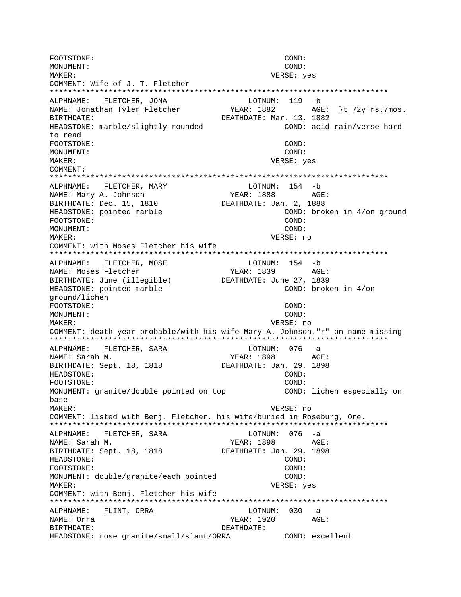FOOTSTONE: COND:  $COND:$ MONITMENT: MAKER: VERSE: yes COMMENT: Wife of J. T. Fletcher ALPHNAME: FLETCHER, JONA LOTNUM: 119 -b  $YEAR: 1882$   $AGE: \frac{1}{2}Yrs.7mos.$ NAME: Jonathan Tyler Fletcher DEATHDATE: Mar. 13, 1882 BIRTHDATE: COND: acid rain/verse hard HEADSTONE: marble/slightly rounded to read FOOTSTONE:  $CONF:$ MONIJMENT:  $COND:$ **MAKER:** VERSE: yes COMMENT: ALPHNAME: FLETCHER, MARY LOTNUM: 154 -b NAME: Mary A. Johnson YEAR: 1888 AGE: BIRTHDATE: Dec. 15, 1810 DEATHDATE: Jan. 2, 1888 COND: broken in 4/on ground HEADSTONE: pointed marble FOOTSTONE: COND: MONUMENT: COND: VERSE: no MAKER: COMMENT: with Moses Fletcher his wife ALPHNAME: FLETCHER, MOSE LOTNUM: 154 -b NAME: Moses Fletcher YEAR: 1839 AGE: BIRTHDATE: June (illegible) DEATHDATE: June 27, 1839 COND: broken in 4/on HEADSTONE: pointed marble qround/lichen FOOTSTONE: COND: MONUMENT:  $COND:$ MAKER: VERSE: no COMMENT: death year probable/with his wife Mary A. Johnson."r" on name missing ALPHNAME: FLETCHER, SARA LOTNUM: 076 -a YEAR: 1898 AGE: NAME: Sarah M. DEATHDATE: Jan. 29, 1898 BIRTHDATE: Sept. 18, 1818 HEADSTONE: COND: COND: FOOTSTONE: MONUMENT: granite/double pointed on top COND: lichen especially on base MAKER: VERSE: no COMMENT: listed with Benj. Fletcher, his wife/buried in Roseburg, Ore. ALPHNAME: FLETCHER, SARA LOTNUM: 076 -a YEAR: 1898 AGE: NAME: Sarah M. BIRTHDATE: Sept. 18, 1818 DEATHDATE: Jan. 29, 1898 COND: HEADSTONE: FOOTSTONE: COND: MONUMENT: double/granite/each pointed  $COND:$ MAKER: VERSE: yes COMMENT: with Benj. Fletcher his wife ALPHNAME: FLINT, ORRA LOTNUM: 030 -a NAME: Orra YEAR: 1920 AGE: DEATHDATE: BIRTHDATE: HEADSTONE: rose granite/small/slant/ORRA COND: excellent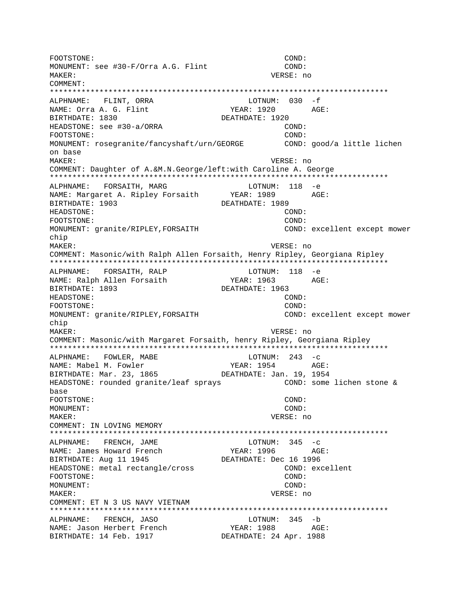FOOTSTONE: COND: MONUMENT: see #30-F/Orra A.G. Flint COND: MAKER: VERSE: no COMMENT: \*\*\*\*\*\*\*\*\*\*\*\*\*\*\*\*\*\*\*\*\*\*\*\*\*\*\*\*\*\*\*\*\*\*\*\*\*\*\*\*\*\*\*\*\*\*\*\*\*\*\*\*\*\*\*\*\*\*\*\*\*\*\*\*\*\*\*\*\*\*\*\*\*\*\* ALPHNAME: FLINT, ORRA<br>
NAME: Orra A. G. Flint<br>
NAME: Orra A. G. Flint<br>
CHAME: 1920<br>
AG: NAME: Orra A. G. Flint The YEAR: 1920 AGE: BIRTHDATE: 1830 DEATHDATE: 1920 HEADSTONE: see #30-a/ORRA COND: FOOTSTONE: COND: MONUMENT: rosegranite/fancyshaft/urn/GEORGE COND: good/a little lichen on base MAKER: VERSE: no COMMENT: Daughter of A.&M.N.George/left:with Caroline A. George \*\*\*\*\*\*\*\*\*\*\*\*\*\*\*\*\*\*\*\*\*\*\*\*\*\*\*\*\*\*\*\*\*\*\*\*\*\*\*\*\*\*\*\*\*\*\*\*\*\*\*\*\*\*\*\*\*\*\*\*\*\*\*\*\*\*\*\*\*\*\*\*\*\*\* ALPHNAME: FORSAITH, MARG LOTNUM: 118 -e NAME: Margaret A. Ripley Forsaith YEAR: 1989 AGE: BIRTHDATE: 1903 DEATHDATE: 1989 HEADSTONE: COND: FOOTSTONE: COND: MONUMENT: granite/RIPLEY,FORSAITH COND: excellent except mower chip MAKER: VERSE: no COMMENT: Masonic/with Ralph Allen Forsaith, Henry Ripley, Georgiana Ripley \*\*\*\*\*\*\*\*\*\*\*\*\*\*\*\*\*\*\*\*\*\*\*\*\*\*\*\*\*\*\*\*\*\*\*\*\*\*\*\*\*\*\*\*\*\*\*\*\*\*\*\*\*\*\*\*\*\*\*\*\*\*\*\*\*\*\*\*\*\*\*\*\*\*\* ALPHNAME: FORSAITH, RALP MEDIC LOTNUM: 118 -e NAME: Ralph Allen Forsaith YEAR: 1963 AGE: BIRTHDATE: 1893 DEATHDATE: 1963 HEADSTONE: COND: FOOTSTONE: COND: MONUMENT: granite/RIPLEY, FORSAITH COND: excellent except mower chip MAKER: VERSE: no COMMENT: Masonic/with Margaret Forsaith, henry Ripley, Georgiana Ripley \*\*\*\*\*\*\*\*\*\*\*\*\*\*\*\*\*\*\*\*\*\*\*\*\*\*\*\*\*\*\*\*\*\*\*\*\*\*\*\*\*\*\*\*\*\*\*\*\*\*\*\*\*\*\*\*\*\*\*\*\*\*\*\*\*\*\*\*\*\*\*\*\*\*\* ALPHNAME: FOWLER, MABE LOTNUM: 243 -C<br>NAME: Mabel M. Fowler Same Steak: 1954 AGE: NAME: Mabel M. Fowler BIRTHDATE: Mar. 23, 1865 DEATHDATE: Jan. 19, 1954 HEADSTONE: rounded granite/leaf sprays COND: some lichen stone & base FOOTSTONE: COND: MONUMENT: COND: MAKER: VERSE: no COMMENT: IN LOVING MEMORY \*\*\*\*\*\*\*\*\*\*\*\*\*\*\*\*\*\*\*\*\*\*\*\*\*\*\*\*\*\*\*\*\*\*\*\*\*\*\*\*\*\*\*\*\*\*\*\*\*\*\*\*\*\*\*\*\*\*\*\*\*\*\*\*\*\*\*\*\*\*\*\*\*\*\* ALPHNAME: FRENCH, JAME LOTNUM: 345 -c NAME: James Howard French YEAR: 1996 AGE: BIRTHDATE: Aug 11 1945 DEATHDATE: Dec 16 1996 HEADSTONE: metal rectangle/cross COND: excellent FOOTSTONE: COND: MONUMENT: COND: MAKER: VERSE: no COMMENT: ET N 3 US NAVY VIETNAM \*\*\*\*\*\*\*\*\*\*\*\*\*\*\*\*\*\*\*\*\*\*\*\*\*\*\*\*\*\*\*\*\*\*\*\*\*\*\*\*\*\*\*\*\*\*\*\*\*\*\*\*\*\*\*\*\*\*\*\*\*\*\*\*\*\*\*\*\*\*\*\*\*\*\* ALPHNAME: FRENCH, JASO LOTNUM: 345 -b NAME: Jason Herbert French YEAR: 1988 AGE: BIRTHDATE: 14 Feb. 1917 DEATHDATE: 24 Apr. 1988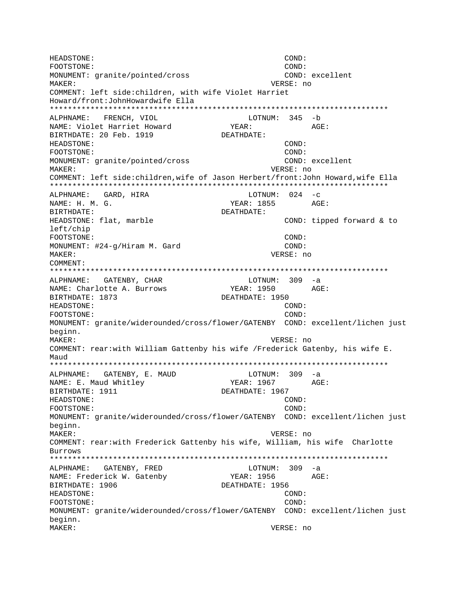HEADSTONE: COND: FOOTSTONE:  $COMD:$ MONUMENT: granite/pointed/cross COND: excellent MAKER: VERSE: no COMMENT: left side: children, with wife Violet Harriet Howard/front: John Howardwife Ella ALPHNAME: FRENCH, VIOL LOTNUM: 345 -b NAME: Violet Harriet Howard YEAR: AGE: BIRTHDATE: 20 Feb. 1919 DEATHDATE: HEADSTONE: COND: FOOTSTONE: COND: MONUMENT: granite/pointed/cross COND: excellent VERSE: no **MAKER:** COMMENT: left side: children, wife of Jason Herbert/front: John Howard, wife Ella ALPHNAME: GARD, HIRA LOTNUM:  $024 -c$ NAME: H. M. G. YEAR: 1855 AGE: DEATHDATE: BIRTHDATE: COND: tipped forward & to HEADSTONE: flat, marble left/chip FOOTSTONE: COND: COND: MONUMENT: #24-g/Hiram M. Gard MAKER: VERSE: no COMMENT: LOTNUM: 309 -a ALPHNAME: GATENBY, CHAR NAME: Charlotte A. Burrows YEAR: 1950 AGE: BIRTHDATE: 1873 DEATHDATE: 1950 HEADSTONE:  $COMD:$ COND: FOOTSTONE: MONUMENT: granite/widerounded/cross/flower/GATENBY COND: excellent/lichen just beginn. MAKER: VERSE: no COMMENT: rear:with William Gattenby his wife /Frederick Gatenby, his wife E. Maud ALPHNAME: GATENBY, E. MAUD LOTNUM: 309 -a NAME: E. Maud Whitley AGE: YEAR: 1967 BIRTHDATE: 1911 DEATHDATE: 1967 HEADSTONE: COND: FOOTSTONE: COND: MONUMENT: granite/widerounded/cross/flower/GATENBY COND: excellent/lichen just beginn. MAKER: VERSE: no COMMENT: rear:with Frederick Gattenby his wife, William, his wife Charlotte Burrows  $LOTNUM: 309 -a$ ALPHNAME: GATENBY, FRED AGE: NAME: Frederick W. Gatenby YEAR: 1956 BIRTHDATE: 1906 DEATHDATE: 1956 HEADSTONE: COND: FOOTSTONE: COND: MONUMENT: granite/widerounded/cross/flower/GATENBY COND: excellent/lichen just beginn. VERSE: no MAKER: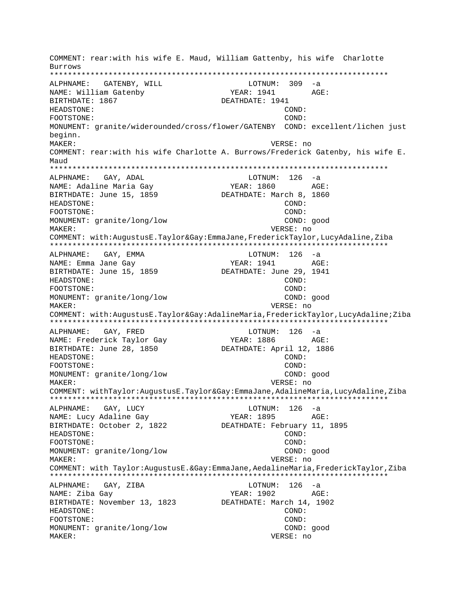COMMENT: rear:with his wife E. Maud, William Gattenby, his wife Charlotte **Burrows** LOTNUM: 309 -a ALPHNAME: GATENBY, WILL NAME: William Gatenby YEAR: 1941 AGE: BIRTHDATE: 1867 DEATHDATE: 1941 **HEADSTONE:** COND: FOOTSTONE:  $COMD:$ MONUMENT: granite/widerounded/cross/flower/GATENBY COND: excellent/lichen just beginn. MAKER: VERSE: no COMMENT: rear: with his wife Charlotte A. Burrows/Frederick Gatenby, his wife E. Maud ALPHNAME: GAY, ADAL  $LOTNUM: 126 -a$ YEAR: 1860 NAME: Adaline Maria Gay AGE: BIRTHDATE: June 15, 1859 DEATHDATE: March 8, 1860 **HEADSTONE:** COND: COND: FOOTSTONE: MONUMENT: granite/long/low COND: good MAKER: VERSE: no COMMENT: with:AugustusE.Taylor&Gay:EmmaJane,FrederickTaylor,LucyAdaline,Ziba LOTNUM: 126 -a ALPHNAME: GAY, EMMA AGE: NAME: Emma Jane Gay YEAR: 1941 BIRTHDATE: June 15, 1859 DEATHDATE: June 29, 1941 HEADSTONE: COND: FOOTSTONE: COND: MONUMENT: granite/long/low COND: good MAKER: VERSE: no COMMENT: with:AugustusE.Taylor&Gay:AdalineMaria,FrederickTaylor,LucyAdaline;Ziba  $LOTNUM: 126 -a$ ALPHNAME: GAY, FRED NAME: Frederick Taylor Gay YEAR: 1886 AGE: BIRTHDATE: June 28, 1850 DEATHDATE: April 12, 1886 HEADSTONE:  $COND:$ FOOTSTONE: COND: MONUMENT: granite/long/low COND: good MAKER: VERSE: no COMMENT: withTaylor:AugustusE.Taylor&Gay:EmmaJane,AdalineMaria,LucyAdaline,Ziba ALPHNAME: GAY, LUCY  $LOTNUM: 126 -a$ NAME: Lucy Adaline Gay YEAR: 1895 AGE: BIRTHDATE: October 2, 1822 DEATHDATE: February 11, 1895 **HEADSTONE:** COND: COND: FOOTSTONE: MONUMENT: granite/long/low COND: good VERSE: no MAKER: COMMENT: with Taylor:AugustusE.&Gay:EmmaJane,AedalineMaria,FrederickTaylor,Ziba ALPHNAME: GAY, ZIBA LOTNUM:  $126 - a$ NAME: Ziba Gay YEAR: 1902 AGE: BIRTHDATE: November 13, 1823 DEATHDATE: March 14, 1902 HEADSTONE: COND: FOOTSTONE: COND: MONUMENT: granite/long/low COND: good MAKER: VERSE: no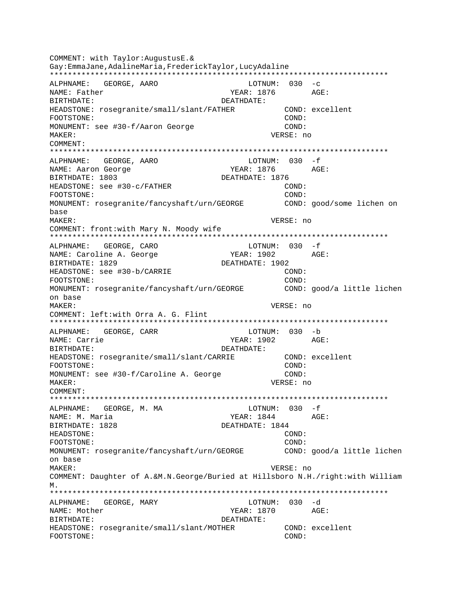COMMENT: with Taylor: AugustusE. & Gay:EmmaJane, AdalineMaria, FrederickTaylor, LucyAdaline ALPHNAME: GEORGE, AARO LOTNUM:  $030 -c$ NAME: Father BIRTHDATE: DEATHDATE: HEADSTONE: rosegranite/small/slant/FATHER COND: excellent COND: FOOTSTONE: MONUMENT: see #30-f/Aaron George COND: MAKER: VERSE: no  $COMM$  $FNT$ : ALPHNAME: GEORGE, AARO LOTNUM: 030 -f NAME: Aaron George YEAR: 1876 AGE: BIRTHDATE: 1803 DEATHDATE: 1876 HEADSTONE: see #30-c/FATHER  $\texttt{COND}:$ COND: FOOTSTONE: MONUMENT: rosegranite/fancyshaft/urn/GEORGE COND: good/some lichen on base MAKER: VERSE: no COMMENT: front: with Mary N. Moody wife  $LOTNUM: 030 -f$ ALPHNAME: GEORGE, CARO YEAR: 1902 AGE: NAME: Caroline A. George BIRTHDATE: 1829 DEATHDATE: 1902 HEADSTONE: see #30-b/CARRIE COND: FOOTSTONE: COND: MONUMENT: rosegranite/fancyshaft/urn/GEORGE COND: good/a little lichen on base  $M\Delta KFR$ : VERSE: no COMMENT: left:with Orra A. G. Flint LOTNUM: 030 -b ALPHNAME: GEORGE, CARR NAME: Carrie YEAR: 1902 AGE: BIRTHDATE: DEATHDATE: COND: excellent HEADSTONE: rosegranite/small/slant/CARRIE FOOTSTONE:  $\texttt{COND}:$ MONUMENT: see #30-f/Caroline A. George COND: MAKER: VERSE: no COMMENT: ALPHNAME: GEORGE, M. MA LOTNUM: 030 -f  $YEAR: 1844$   $AGE:$ NAME: M. Maria BIRTHDATE: 1828 DEATHDATE: 1844 HEADSTONE: COND: COND: FOOTSTONE: MONUMENT: rosegranite/fancyshaft/urn/GEORGE COND: good/a little lichen on base MAKER: VERSE: no COMMENT: Daughter of A.&M.N.George/Buried at Hillsboro N.H./right:with William М. LOTNUM: 030 -d ALPHNAME: GEORGE, MARY NAME: Mother YEAR: 1870 AGE: BIRTHDATE: DEATHDATE: HEADSTONE: rosegranite/small/slant/MOTHER COND: excellent COND: FOOTSTONE: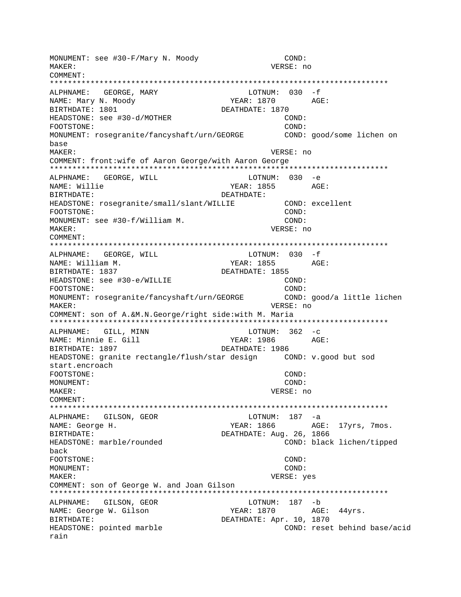MONUMENT: see #30-F/Mary N. Moody COND: MAKER: VERSE: no COMMENT: LOTNUM:  $030 - f$ ALPHNAME: GEORGE, MARY NAME: Mary N. Moody YEAR: 1870 AGE: BIRTHDATE: 1801 DEATHDATE: 1870 HEADSTONE: see #30-d/MOTHER COND: COND: FOOTSTONE: MONUMENT: rosegranite/fancyshaft/urn/GEORGE COND: good/some lichen on base MAKER: VERSE: no COMMENT: front:wife of Aaron George/with Aaron George ALPHNAME: GEORGE, WILL LOTNUM: 030 -e YEAR: 1855 AGE: NAME: Willie BIRTHDATE: DEATHDATE: HEADSTONE: rosegranite/small/slant/WILLIE COND: excellent  $COND:$ FOOTSTONE: MONUMENT: see #30-f/William M.  $COMD:$ VERSE: no MAKER: COMMENT: LOTNUM: 030 -f ALPHNAME: GEORGE, WILL AGE: YEAR: 1855 NAME: William M. BIRTHDATE: 1837 DEATHDATE: 1855 HEADSTONE: see #30-e/WILLIE COND: COND: FOOTSTONE: MONUMENT: rosegranite/fancyshaft/urn/GEORGE COND: good/a little lichen MAKER: VERSE: no COMMENT: son of A.&M.N.George/right side:with M. Maria ALPHNAME: GILL, MINN LOTNUM:  $362 - c$ NAME: Minnie E. Gill YEAR: 1986 AGE: BIRTHDATE: 1897 DEATHDATE: 1986 COND: v.good but sod HEADSTONE: granite rectangle/flush/star design start.encroach COND: FOOTSTONE: MONUMENT: COND: MAKER: VERSE: no COMMENT: ALPHNAME: GILSON, GEOR LOTNUM: 187 -a NAME: George H. YEAR: 1866 AGE: 17yrs, 7mos. BIRTHDATE: DEATHDATE: Aug. 26, 1866 HEADSTONE: marble/rounded COND: black lichen/tipped back FOOTSTONE: COND: MONUMENT: COND: MAKER: VERSE: yes COMMENT: son of George W. and Joan Gilson LOTNUM: 187 -b ALPHNAME: GILSON, GEOR NAME: George W. Gilson YEAR: 1870 AGE: 44yrs. BIRTHDATE: DEATHDATE: Apr. 10, 1870 HEADSTONE: pointed marble COND: reset behind base/acid rain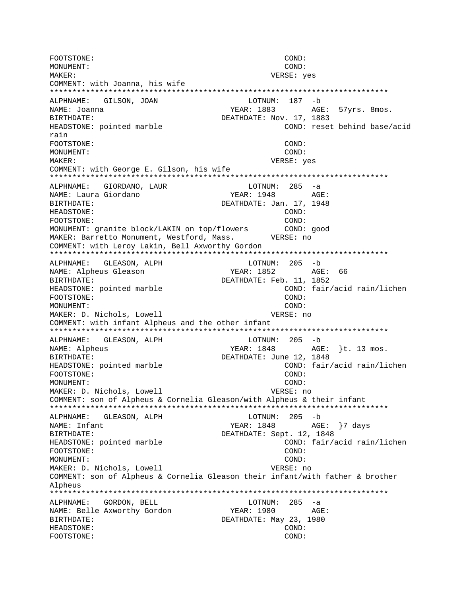FOOTSTONE: COND: MONUMENT:  $COND:$ MAKER: VERSE: yes COMMENT: with Joanna, his wife LOTNUM: 187 -b ALPHNAME: GILSON, JOAN NAME: Joanna YEAR: 1883 AGE: 57yrs. 8mos. DEATHDATE: Nov. 17, 1883 **RIRTHDATE:** COND: reset behind base/acid HEADSTONE: pointed marble rain FOOTSTONE: COND: MONITMENT:  $COND:$ MAKER: VERSE: yes COMMENT: with George E. Gilson, his wife ALPHNAME: GIORDANO, LAUR  $LOTNUM: 285 -a$ NAME: Laura Giordano YEAR: 1948 AGE: BIRTHDATE: DEATHDATE: Jan. 17, 1948 HEADSTONE: COND: FOOTSTONE: COND: MONUMENT: granite block/LAKIN on top/flowers COND: good MAKER: Barretto Monument, Westford, Mass. VERSE: no COMMENT: with Leroy Lakin, Bell Axworthy Gordon LOTNUM: 205 -b ALPHNAME: GLEASON, ALPH NAME: Alpheus Gleason BIRTHDATE: DEATHDATE: Feb. 11, 1852 HEADSTONE: pointed marble COND: fair/acid rain/lichen FOOTSTONE:  $COMD:$ COND: MONITMENT: MAKER: D. Nichols, Lowell VERSE: no COMMENT: with infant Alpheus and the other infant ALPHNAME: GLEASON, ALPH LOTNUM: 205 -b NAME: Alpheus YEAR: 1848 AGE: }t. 13 mos. DEATHDATE: June 12, 1848 BIRTHDATE: HEADSTONE: pointed marble COND: fair/acid rain/lichen FOOTSTONE: COND: MONUMENT: COND: MAKER: D. Nichols, Lowell VERSE: no COMMENT: son of Alpheus & Cornelia Gleason/with Alpheus & their infant ALPHNAME: GLEASON, ALPH LOTNUM: 205 -b YEAR: 1848 AGE: }7 days NAME: Infant **BIRTHDATE:** DEATHDATE: Sept. 12, 1848 COND: fair/acid rain/lichen HEADSTONE: pointed marble FOOTSTONE: COND: COND: MONITMENT: MAKER: D. Nichols, Lowell VERSE: no COMMENT: son of Alpheus & Cornelia Gleason their infant/with father & brother Alpheus GORDON, BELL LOTNUM:  $285 - a$ ALPHNAME: NAME: Belle Axworthy Gordon YEAR: 1980 AGE: BIRTHDATE: DEATHDATE: May 23, 1980 HEADSTONE: COND: FOOTSTONE: COND: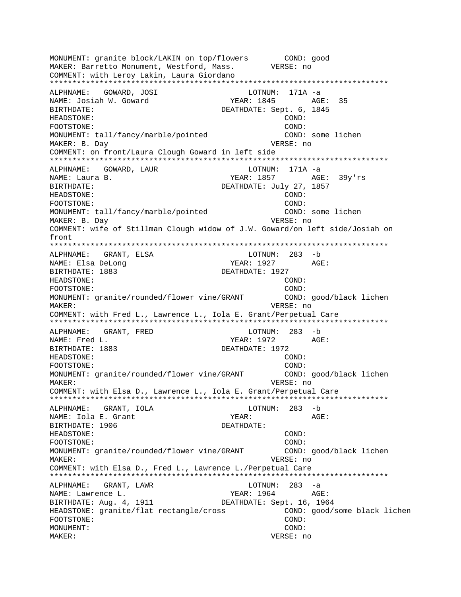MONUMENT: granite block/LAKIN on top/flowers COND: good MAKER: Barretto Monument, Westford, Mass. VERSE: no COMMENT: with Leroy Lakin, Laura Giordano \*\*\*\*\*\*\*\*\*\*\*\*\*\*\*\*\*\*\*\*\*\*\*\*\*\*\*\*\*\*\*\*\*\*\*\*\*\*\*\*\*\*\*\*\*\*\*\*\*\*\*\*\*\*\*\*\*\*\*\*\*\*\*\*\*\*\*\*\*\*\*\*\*\*\* ALPHNAME: GOWARD, JOSI LOTNUM: 171A -a NAME: Josiah W. Goward YEAR: 1845 AGE: 35 BIRTHDATE: DEATHDATE: Sept. 6, 1845 HEADSTONE: COND: FOOTSTONE: COND: MONUMENT: tall/fancy/marble/pointed COND: some lichen MAKER: B. Day VERSE: no COMMENT: on front/Laura Clough Goward in left side \*\*\*\*\*\*\*\*\*\*\*\*\*\*\*\*\*\*\*\*\*\*\*\*\*\*\*\*\*\*\*\*\*\*\*\*\*\*\*\*\*\*\*\*\*\*\*\*\*\*\*\*\*\*\*\*\*\*\*\*\*\*\*\*\*\*\*\*\*\*\*\*\*\*\* ALPHNAME: GOWARD, LAUR LOTNUM: 171A -a NAME: Laura B. (2012) STAR: 1857 AGE: 39y'rs BIRTHDATE: DEATHDATE: July 27, 1857 HEADSTONE: COND: FOOTSTONE: COND: MONUMENT: tall/fancy/marble/pointed COND: some lichen MAKER: B. Day **VERSE: 10** COMMENT: wife of Stillman Clough widow of J.W. Goward/on left side/Josiah on front \*\*\*\*\*\*\*\*\*\*\*\*\*\*\*\*\*\*\*\*\*\*\*\*\*\*\*\*\*\*\*\*\*\*\*\*\*\*\*\*\*\*\*\*\*\*\*\*\*\*\*\*\*\*\*\*\*\*\*\*\*\*\*\*\*\*\*\*\*\*\*\*\*\*\* ALPHNAME: GRANT, ELSA and the control of the control of the control of the control of the control of the control of the control of the control of the control of the control of the control of the control of the control of t NAME: Elsa DeLong (X) and the YEAR: 1927 AGE: BIRTHDATE: 1883 DEATHDATE: 1927 HEADSTONE: COND: FOOTSTONE: COND: MONUMENT: granite/rounded/flower vine/GRANT COND: good/black lichen MAKER: VERSE: no COMMENT: with Fred L., Lawrence L., Iola E. Grant/Perpetual Care \*\*\*\*\*\*\*\*\*\*\*\*\*\*\*\*\*\*\*\*\*\*\*\*\*\*\*\*\*\*\*\*\*\*\*\*\*\*\*\*\*\*\*\*\*\*\*\*\*\*\*\*\*\*\*\*\*\*\*\*\*\*\*\*\*\*\*\*\*\*\*\*\*\*\* ALPHNAME: GRANT, FRED LOTNUM: 283 -b NAME: Fred L. Same Communications of the MEAR: 1972 AGE: BIRTHDATE: 1883 DEATHDATE: 1972 HEADSTONE: COND: FOOTSTONE: COND: MONUMENT: granite/rounded/flower vine/GRANT COND: good/black lichen MAKER: VERSE: no COMMENT: with Elsa D., Lawrence L., Iola E. Grant/Perpetual Care \*\*\*\*\*\*\*\*\*\*\*\*\*\*\*\*\*\*\*\*\*\*\*\*\*\*\*\*\*\*\*\*\*\*\*\*\*\*\*\*\*\*\*\*\*\*\*\*\*\*\*\*\*\*\*\*\*\*\*\*\*\*\*\*\*\*\*\*\*\*\*\*\*\*\* ALPHNAME: GRANT, IOLA LOTNUM: 283 -b NAME: Iola E. Grant The YEAR: The Magnus AGE: BIRTHDATE: 1906 DEATHDATE: HEADSTONE: COND: FOOTSTONE: COND: MONUMENT: granite/rounded/flower vine/GRANT COND: good/black lichen MAKER: VERSE: no COMMENT: with Elsa D., Fred L., Lawrence L./Perpetual Care \*\*\*\*\*\*\*\*\*\*\*\*\*\*\*\*\*\*\*\*\*\*\*\*\*\*\*\*\*\*\*\*\*\*\*\*\*\*\*\*\*\*\*\*\*\*\*\*\*\*\*\*\*\*\*\*\*\*\*\*\*\*\*\*\*\*\*\*\*\*\*\*\*\*\* ALPHNAME: GRANT, LAWR LOTNUM: 283 -a NAME: Lawrence L. The Contract of the Contract of the YEAR: 1964 AGE: BIRTHDATE: Aug. 4, 1911 DEATHDATE: Sept. 16, 1964 HEADSTONE: granite/flat rectangle/cross COND: good/some black lichen FOOTSTONE: COND: MONUMENT: COND: MAKER: VERSE: no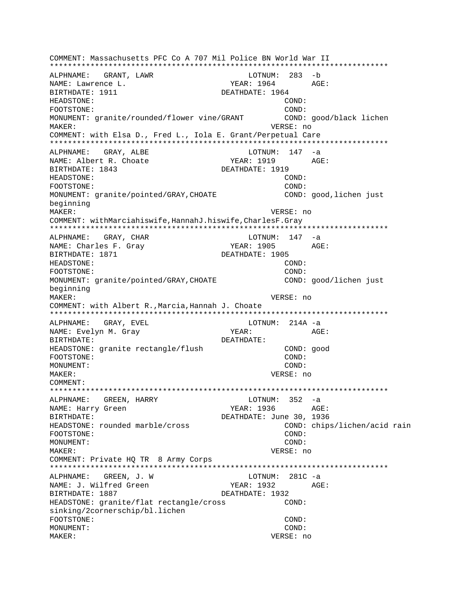COMMENT: Massachusetts PFC Co A 707 Mil Police BN World War II ALPHNAME: GRANT, LAWR LOTNUM: 283 -b AGE: NAME: Lawrence L. YEAR: 1964 BIRTHDATE: 1911 DEATHDATE: 1964 HEADSTONE: COND: FOOTSTONE: COND: MONUMENT: granite/rounded/flower vine/GRANT COND: good/black lichen MAKER: VERSE: no COMMENT: with Elsa D., Fred L., Iola E. Grant/Perpetual Care ALPHNAME: GRAY, ALBE  $LOTNUM: 147 -a$ NAME: Albert R. Choate YEAR: 1919 AGE: BIRTHDATE: 1843 DEATHDATE: 1919 HEADSTONE: COND: FOOTSTONE:  $COMD:$ MONUMENT: granite/pointed/GRAY, CHOATE COND: good, lichen just beginning MAKER: VERSE: no COMMENT: withMarciahiswife, HannahJ.hiswife, CharlesF.Gray ALPHNAME: GRAY, CHAR  $LOTNUM: 147 -a$ AGE: NAME: Charles F. Gray YEAR: 1905 BIRTHDATE: 1871 DEATHDATE: 1905 HEADSTONE: COND: FOOTSTONE: COND: MONUMENT: granite/pointed/GRAY, CHOATE COND: good/lichen just beginning MAKER: VERSE: no COMMENT: with Albert R., Marcia, Hannah J. Choate ALPHNAME: GRAY, EVEL LOTNUM:  $214A -a$ NAME: Evelyn M. Gray YEAR: AGE: DEATHDATE: BIRTHDATE: HEADSTONE: granite rectangle/flush COND: good FOOTSTONE: COND: MONUMENT: COND: VERSE: no MAKER: COMMENT: LOTNUM: 352 -a ALPHNAME: GREEN, HARRY NAME: Harry Green YEAR: 1936 AGE: DEATHDATE: June 30, 1936 BIRTHDATE: HEADSTONE: rounded marble/cross COND: chips/lichen/acid rain FOOTSTONE: COND: MONITMENT:  $COMD:$ MAKER: VERSE: no COMMENT: Private HO TR 8 Army Corps LOTNUM:  $281C - a$ ALPHNAME: GREEN, J. W NAME: J. Wilfred Green YEAR: 1932 AGE: BIRTHDATE: 1887 DEATHDATE: 1932  $COND:$ HEADSTONE: granite/flat rectangle/cross sinking/2cornerschip/bl.lichen FOOTSTONE: COND: MONUMENT:  $COND:$ MAKER: VERSE: no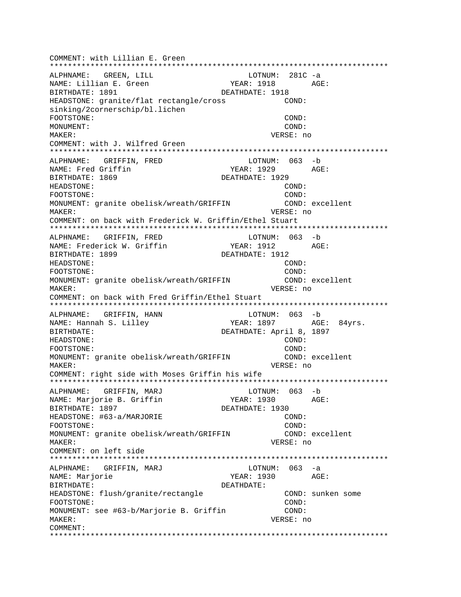COMMENT: with Lillian E. Green \*\*\*\*\*\*\*\*\*\*\*\*\*\*\*\*\*\*\*\*\*\*\*\*\*\*\*\*\*\*\*\*\*\*\*\*\*\*\*\*\*\*\*\*\*\*\*\*\*\*\*\*\*\*\*\*\*\*\*\*\*\*\*\*\*\*\*\*\*\*\*\*\*\*\* ALPHNAME: GREEN, LILL COTNUM: 281C -a NAME: Lillian E. Green YEAR: 1918 AGE: BIRTHDATE: 1891 DEATHDATE: 1918 HEADSTONE: granite/flat rectangle/cross COND: sinking/2cornerschip/bl.lichen FOOTSTONE: COND: MONUMENT: COND: MAKER: VERSE: no COMMENT: with J. Wilfred Green \*\*\*\*\*\*\*\*\*\*\*\*\*\*\*\*\*\*\*\*\*\*\*\*\*\*\*\*\*\*\*\*\*\*\*\*\*\*\*\*\*\*\*\*\*\*\*\*\*\*\*\*\*\*\*\*\*\*\*\*\*\*\*\*\*\*\*\*\*\*\*\*\*\*\* ALPHNAME: GRIFFIN, FRED LOTNUM: 063 -b NAME: Fred Griffin The South of the YEAR: 1929 AGE: BIRTHDATE: 1869 DEATHDATE: 1929 HEADSTONE: COND: FOOTSTONE: COND: MONUMENT: granite obelisk/wreath/GRIFFIN COND: excellent MAKER: VERSE: no COMMENT: on back with Frederick W. Griffin/Ethel Stuart \*\*\*\*\*\*\*\*\*\*\*\*\*\*\*\*\*\*\*\*\*\*\*\*\*\*\*\*\*\*\*\*\*\*\*\*\*\*\*\*\*\*\*\*\*\*\*\*\*\*\*\*\*\*\*\*\*\*\*\*\*\*\*\*\*\*\*\*\*\*\*\*\*\*\* ALPHNAME: GRIFFIN, FRED LOTNUM: 063 -b NAME: Frederick W. Griffin Tear: 1912 AGE: BIRTHDATE: 1899 DEATHDATE: 1912 HEADSTONE: COND: FOOTSTONE: COND: MONUMENT: granite obelisk/wreath/GRIFFIN COND: excellent MAKER: VERSE: no COMMENT: on back with Fred Griffin/Ethel Stuart \*\*\*\*\*\*\*\*\*\*\*\*\*\*\*\*\*\*\*\*\*\*\*\*\*\*\*\*\*\*\*\*\*\*\*\*\*\*\*\*\*\*\*\*\*\*\*\*\*\*\*\*\*\*\*\*\*\*\*\*\*\*\*\*\*\*\*\*\*\*\*\*\*\*\* ALPHNAME: GRIFFIN, HANN NAME: Hannah S. Lilley YEAR: 1897 AGE: 84yrs. BIRTHDATE: DEATHDATE: April 8, 1897 HEADSTONE: COND: FOOTSTONE: COND: MONUMENT: granite obelisk/wreath/GRIFFIN COND: excellent MAKER: VERSE: no COMMENT: right side with Moses Griffin his wife \*\*\*\*\*\*\*\*\*\*\*\*\*\*\*\*\*\*\*\*\*\*\*\*\*\*\*\*\*\*\*\*\*\*\*\*\*\*\*\*\*\*\*\*\*\*\*\*\*\*\*\*\*\*\*\*\*\*\*\*\*\*\*\*\*\*\*\*\*\*\*\*\*\*\* ALPHNAME: GRIFFIN, MARJ LOTNUM: 063 -b NAME: Marjorie B. Griffin YEAR: 1930 AGE: BIRTHDATE: 1897 DEATHDATE: 1930 HEADSTONE: #63-a/MARJORIE COND: COND: FOOTSTONE: COND: MONUMENT: granite obelisk/wreath/GRIFFIN COND: excellent MAKER: VERSE: no COMMENT: on left side \*\*\*\*\*\*\*\*\*\*\*\*\*\*\*\*\*\*\*\*\*\*\*\*\*\*\*\*\*\*\*\*\*\*\*\*\*\*\*\*\*\*\*\*\*\*\*\*\*\*\*\*\*\*\*\*\*\*\*\*\*\*\*\*\*\*\*\*\*\*\*\*\*\*\* ALPHNAME: GRIFFIN, MARJ LOTNUM: 063 -a NAME: Marjorie YEAR: 1930 AGE: BIRTHDATE: DEATHDATE: HEADSTONE: flush/granite/rectangle COND: sunken some FOOTSTONE: COND: MONUMENT: see #63-b/Marjorie B. Griffin COND: MAKER: VERSE: no COMMENT: \*\*\*\*\*\*\*\*\*\*\*\*\*\*\*\*\*\*\*\*\*\*\*\*\*\*\*\*\*\*\*\*\*\*\*\*\*\*\*\*\*\*\*\*\*\*\*\*\*\*\*\*\*\*\*\*\*\*\*\*\*\*\*\*\*\*\*\*\*\*\*\*\*\*\*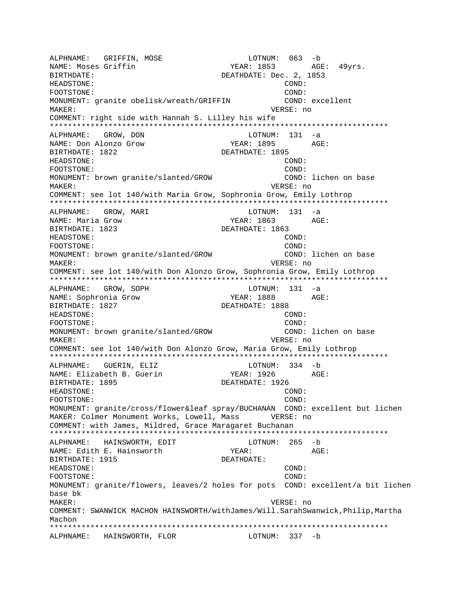ALPHNAME: GRIFFIN, MOSE LOTNUM: 063 -b NAME: Moses Griffin BIRTHDATE: DEATHDATE: Dec. 2, 1853 HEADSTONE: COND: FOOTSTONE: COND: MONUMENT: granite obelisk/wreath/GRIFFIN COND: excellent MAKER: VERSE: no COMMENT: right side with Hannah S. Lilley his wife \*\*\*\*\*\*\*\*\*\*\*\*\*\*\*\*\*\*\*\*\*\*\*\*\*\*\*\*\*\*\*\*\*\*\*\*\*\*\*\*\*\*\*\*\*\*\*\*\*\*\*\*\*\*\*\*\*\*\*\*\*\*\*\*\*\*\*\*\*\*\*\*\*\*\* ALPHNAME: GROW, DON LOTNUM: 131 -a NAME: Don Alonzo Grow YEAR: 1895 AGE: BIRTHDATE: 1822 DEATHDATE: 1895 HEADSTONE: COND: FOOTSTONE: COND: MONUMENT: brown granite/slanted/GROW COND: lichen on base MAKER: VERSE: no COMMENT: see lot 140/with Maria Grow, Sophronia Grow, Emily Lothrop \*\*\*\*\*\*\*\*\*\*\*\*\*\*\*\*\*\*\*\*\*\*\*\*\*\*\*\*\*\*\*\*\*\*\*\*\*\*\*\*\*\*\*\*\*\*\*\*\*\*\*\*\*\*\*\*\*\*\*\*\*\*\*\*\*\*\*\*\*\*\*\*\*\*\* ALPHNAME: GROW, MARI NAME: Maria Grow YEAR: 1863 AGE: BIRTHDATE: 1823 DEATHDATE: 1863 HEADSTONE: COND: FOOTSTONE: COND: MONUMENT: brown granite/slanted/GROW COND: lichen on base MAKER: VERSE: no COMMENT: see lot 140/with Don Alonzo Grow, Sophronia Grow, Emily Lothrop \*\*\*\*\*\*\*\*\*\*\*\*\*\*\*\*\*\*\*\*\*\*\*\*\*\*\*\*\*\*\*\*\*\*\*\*\*\*\*\*\*\*\*\*\*\*\*\*\*\*\*\*\*\*\*\*\*\*\*\*\*\*\*\*\*\*\*\*\*\*\*\*\*\*\* ALPHNAME: GROW, SOPH LOTNUM: 131 -a NAME: Sophronia Grow TEAR: 1888 AGE: BIRTHDATE: 1827 **DEATHDATE: 1888** HEADSTONE: COND: FOOTSTONE: COND: MONUMENT: brown granite/slanted/GROW COND: lichen on base MAKER: VERSE: no COMMENT: see lot 140/with Don Alonzo Grow, Maria Grow, Emily Lothrop \*\*\*\*\*\*\*\*\*\*\*\*\*\*\*\*\*\*\*\*\*\*\*\*\*\*\*\*\*\*\*\*\*\*\*\*\*\*\*\*\*\*\*\*\*\*\*\*\*\*\*\*\*\*\*\*\*\*\*\*\*\*\*\*\*\*\*\*\*\*\*\*\*\*\* ALPHNAME: GUERIN, ELIZ LOTNUM: 334 -b NAME: Elizabeth B. Guerin YEAR: 1926 AGE: BIRTHDATE: 1895 DEATHDATE: 1926 HEADSTONE: COND: FOOTSTONE: COND: MONUMENT: granite/cross/flower&leaf spray/BUCHANAN COND: excellent but lichen MAKER: Colmer Monument Works, Lowell, Mass VERSE: no COMMENT: with James, Mildred, Grace Maragaret Buchanan \*\*\*\*\*\*\*\*\*\*\*\*\*\*\*\*\*\*\*\*\*\*\*\*\*\*\*\*\*\*\*\*\*\*\*\*\*\*\*\*\*\*\*\*\*\*\*\*\*\*\*\*\*\*\*\*\*\*\*\*\*\*\*\*\*\*\*\*\*\*\*\*\*\*\* ALPHNAME: HAINSWORTH, EDIT LOTNUM: 265 -b NAME: Edith E. Hainsworth YEAR: AGE: BIRTHDATE: 1915 DEATHDATE: HEADSTONE: COND: FOOTSTONE: COND: MONUMENT: granite/flowers, leaves/2 holes for pots COND: excellent/a bit lichen base bk MAKER: VERSE: no COMMENT: SWANWICK MACHON HAINSWORTH/withJames/Will.SarahSwanwick,Philip,Martha Machon \*\*\*\*\*\*\*\*\*\*\*\*\*\*\*\*\*\*\*\*\*\*\*\*\*\*\*\*\*\*\*\*\*\*\*\*\*\*\*\*\*\*\*\*\*\*\*\*\*\*\*\*\*\*\*\*\*\*\*\*\*\*\*\*\*\*\*\*\*\*\*\*\*\*\* ALPHNAME: HAINSWORTH, FLOR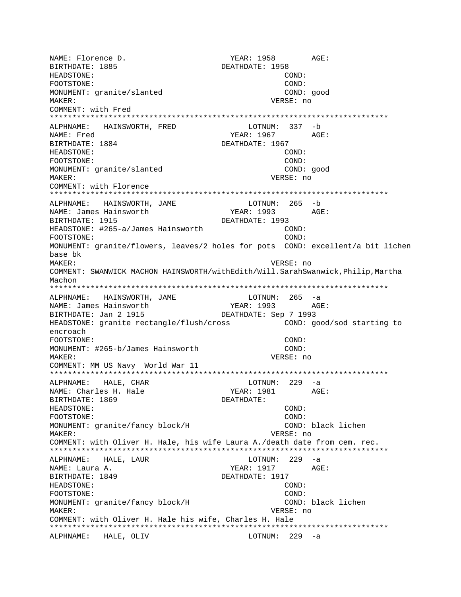NAME: Florence D. THE YEAR: 1958 AGE: BIRTHDATE: 1885 DEATHDATE: 1958 HEADSTONE: COND: FOOTSTONE: COND: MONUMENT: granite/slanted COND: good MAKER: VERSE: no COMMENT: with Fred \*\*\*\*\*\*\*\*\*\*\*\*\*\*\*\*\*\*\*\*\*\*\*\*\*\*\*\*\*\*\*\*\*\*\*\*\*\*\*\*\*\*\*\*\*\*\*\*\*\*\*\*\*\*\*\*\*\*\*\*\*\*\*\*\*\*\*\*\*\*\*\*\*\*\* ALPHNAME: HAINSWORTH, FRED NAME: Fred 2008 AGE: 2009 MAME: Fred 2009 MAME: 2009 MAGE: 2009 MAGE: 2009 MAGE: 2009 MAGE: 2009 MAGE: 2009 MAGE: 2009 MAGE: 2009 MAGE: 2009 MAGE: 2009 MAGE: 2009 MAGE: 2009 MAGE: 2009 MAGE: 2009 MAGE: 2009 MAGE: 2009 MAGE BIRTHDATE: 1884 DEATHDATE: 1967 HEADSTONE: COND: FOOTSTONE: COND: MONUMENT: granite/slanted COND: good MAKER: VERSE: no COMMENT: with Florence \*\*\*\*\*\*\*\*\*\*\*\*\*\*\*\*\*\*\*\*\*\*\*\*\*\*\*\*\*\*\*\*\*\*\*\*\*\*\*\*\*\*\*\*\*\*\*\*\*\*\*\*\*\*\*\*\*\*\*\*\*\*\*\*\*\*\*\*\*\*\*\*\*\*\* ALPHNAME: HAINSWORTH, JAME NAME: James Hainsworth YEAR: 1993 AGE: BIRTHDATE: 1915 DEATHDATE: 1993 HEADSTONE: #265-a/James Hainsworth COND: FOOTSTONE: COND: MONUMENT: granite/flowers, leaves/2 holes for pots COND: excellent/a bit lichen base bk MAKER: VERSE: no COMMENT: SWANWICK MACHON HAINSWORTH/withEdith/Will.SarahSwanwick,Philip,Martha Machon \*\*\*\*\*\*\*\*\*\*\*\*\*\*\*\*\*\*\*\*\*\*\*\*\*\*\*\*\*\*\*\*\*\*\*\*\*\*\*\*\*\*\*\*\*\*\*\*\*\*\*\*\*\*\*\*\*\*\*\*\*\*\*\*\*\*\*\*\*\*\*\*\*\*\* ALPHNAME: HAINSWORTH, JAME LOTNUM: 265 -a NAME: James Hainsworth YEAR: 1993 AGE: BIRTHDATE: Jan 2 1915 DEATHDATE: Sep 7 1993 HEADSTONE: granite rectangle/flush/cross COND: good/sod starting to encroach FOOTSTONE: COND: MONUMENT: #265-b/James Hainsworth COND: MAKER: VERSE: no COMMENT: MM US Navy World War 11 \*\*\*\*\*\*\*\*\*\*\*\*\*\*\*\*\*\*\*\*\*\*\*\*\*\*\*\*\*\*\*\*\*\*\*\*\*\*\*\*\*\*\*\*\*\*\*\*\*\*\*\*\*\*\*\*\*\*\*\*\*\*\*\*\*\*\*\*\*\*\*\*\*\*\* ALPHNAME: HALE, CHAR LOTNUM: 229 -a NAME: Charles H. Hale YEAR: 1981 AGE: BIRTHDATE: 1869 DEATHDATE: HEADSTONE: COND: FOOTSTONE: COND: MONUMENT: granite/fancy block/H COND: black lichen MAKER: VERSE: no COMMENT: with Oliver H. Hale, his wife Laura A./death date from cem. rec. \*\*\*\*\*\*\*\*\*\*\*\*\*\*\*\*\*\*\*\*\*\*\*\*\*\*\*\*\*\*\*\*\*\*\*\*\*\*\*\*\*\*\*\*\*\*\*\*\*\*\*\*\*\*\*\*\*\*\*\*\*\*\*\*\*\*\*\*\*\*\*\*\*\*\* ALPHNAME: HALE, LAUR LOTNUM: 229 -a NAME: Laura A. (2008) AGE: (2018) AGE: (2018) AGE: (2019) AGE: (2019) AGE: (2019) AGE: (2019) AGE: (2019) AGE: (2019) AGE: (2019) AGE: (2019) AGE: (2019) AGE: (2019) AGE: (2019) AGE: (2019) AGE: (2019) AGE: (2019) AGE: (20 BIRTHDATE: 1849 DEATHDATE: 1917 HEADSTONE: COND: FOOTSTONE: COND: MONUMENT: granite/fancy block/H COND: black lichen MAKER: VERSE: no COMMENT: with Oliver H. Hale his wife, Charles H. Hale \*\*\*\*\*\*\*\*\*\*\*\*\*\*\*\*\*\*\*\*\*\*\*\*\*\*\*\*\*\*\*\*\*\*\*\*\*\*\*\*\*\*\*\*\*\*\*\*\*\*\*\*\*\*\*\*\*\*\*\*\*\*\*\*\*\*\*\*\*\*\*\*\*\*\* ALPHNAME: HALE, OLIV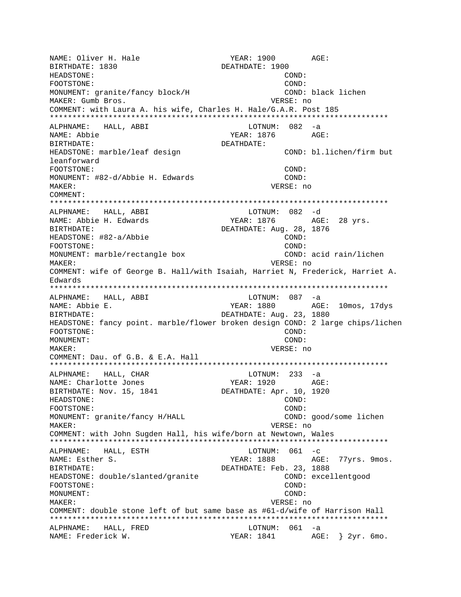NAME: Oliver H. Hale YEAR: 1900 AGE: BIRTHDATE: 1830 DEATHDATE: 1900 HEADSTONE: COND: FOOTSTONE: COND: MONUMENT: granite/fancy block/H COND: black lichen MAKER: Gumb Bros. VERSE: no COMMENT: with Laura A. his wife, Charles H. Hale/G.A.R. Post 185 \*\*\*\*\*\*\*\*\*\*\*\*\*\*\*\*\*\*\*\*\*\*\*\*\*\*\*\*\*\*\*\*\*\*\*\*\*\*\*\*\*\*\*\*\*\*\*\*\*\*\*\*\*\*\*\*\*\*\*\*\*\*\*\*\*\*\*\*\*\*\*\*\*\*\* ALPHNAME: HALL, ABBI NAME: Abbie YEAR: 1876 AGE: BIRTHDATE: DEATHDATE: HEADSTONE: marble/leaf design entitled and the COND: bl.lichen/firm but leanforward FOOTSTONE: COND: MONUMENT: #82-d/Abbie H. Edwards COND: MAKER: VERSE: no COMMENT: \*\*\*\*\*\*\*\*\*\*\*\*\*\*\*\*\*\*\*\*\*\*\*\*\*\*\*\*\*\*\*\*\*\*\*\*\*\*\*\*\*\*\*\*\*\*\*\*\*\*\*\*\*\*\*\*\*\*\*\*\*\*\*\*\*\*\*\*\*\*\*\*\*\*\* ALPHNAME: HALL, ABBI NAME: Abbie H. Edwards YEAR: 1876 AGE: 28 yrs. BIRTHDATE: DEATHDATE: Aug. 28, 1876 HEADSTONE: #82-a/Abbie COND: FOOTSTONE: COND: MONUMENT: marble/rectangle box COND: acid rain/lichen MAKER: VERSE: no COMMENT: wife of George B. Hall/with Isaiah, Harriet N, Frederick, Harriet A. Edwards \*\*\*\*\*\*\*\*\*\*\*\*\*\*\*\*\*\*\*\*\*\*\*\*\*\*\*\*\*\*\*\*\*\*\*\*\*\*\*\*\*\*\*\*\*\*\*\*\*\*\*\*\*\*\*\*\*\*\*\*\*\*\*\*\*\*\*\*\*\*\*\*\*\*\* ALPHNAME: HALL, ABBI LOTNUM: 087 -a NAME: Abbie E. YEAR: 1880 AGE: 10mos, 17dys BIRTHDATE:  $DEATHDATE: Aug. 23, 1880$ HEADSTONE: fancy point. marble/flower broken design COND: 2 large chips/lichen FOOTSTONE: COND: MONUMENT: COND: MAKER: VERSE: no COMMENT: Dau. of G.B. & E.A. Hall \*\*\*\*\*\*\*\*\*\*\*\*\*\*\*\*\*\*\*\*\*\*\*\*\*\*\*\*\*\*\*\*\*\*\*\*\*\*\*\*\*\*\*\*\*\*\*\*\*\*\*\*\*\*\*\*\*\*\*\*\*\*\*\*\*\*\*\*\*\*\*\*\*\*\* ALPHNAME: HALL, CHAR LOTNUM: 233 -a NAME: Charlotte Jones BIRTHDATE: Nov. 15, 1841 DEATHDATE: Apr. 10, 1920 HEADSTONE: COND: FOOTSTONE: COND: MONUMENT: granite/fancy H/HALL COND: good/some lichen MAKER: VERSE: no COMMENT: with John Sugden Hall, his wife/born at Newtown, Wales \*\*\*\*\*\*\*\*\*\*\*\*\*\*\*\*\*\*\*\*\*\*\*\*\*\*\*\*\*\*\*\*\*\*\*\*\*\*\*\*\*\*\*\*\*\*\*\*\*\*\*\*\*\*\*\*\*\*\*\*\*\*\*\*\*\*\*\*\*\*\*\*\*\*\* ALPHNAME: HALL, ESTH NAME: Esther S. The Subset of the MEAR: 1888 AGE: 77yrs. 9mos. BIRTHDATE:  $DEATHDATE: Feb. 23, 1888$ HEADSTONE: double/slanted/granite COND: excellentgood FOOTSTONE: COND: COND: MONUMENT: COND: MAKER: VERSE: no COMMENT: double stone left of but same base as #61-d/wife of Harrison Hall \*\*\*\*\*\*\*\*\*\*\*\*\*\*\*\*\*\*\*\*\*\*\*\*\*\*\*\*\*\*\*\*\*\*\*\*\*\*\*\*\*\*\*\*\*\*\*\*\*\*\*\*\*\*\*\*\*\*\*\*\*\*\*\*\*\*\*\*\*\*\*\*\*\*\* ALPHNAME: HALL, FRED LOTNUM: 061 -a NAME: Frederick W.  $YEAR: 1841$  AGE: } 2yr. 6mo.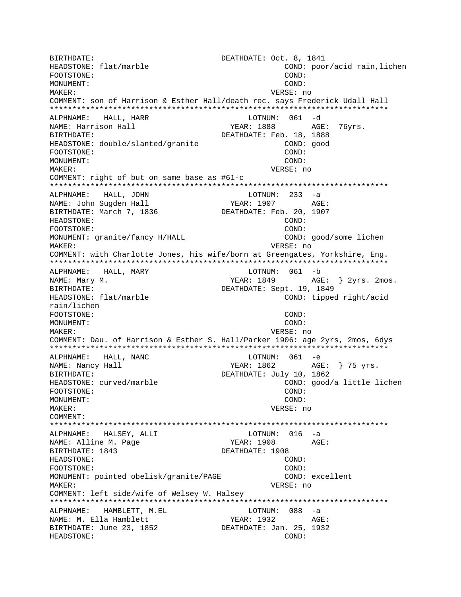BIRTHDATE: COL. 8, 1841<br>HEADSTONE: flat/marble cond: poo COND: poor/acid rain,lichen FOOTSTONE: COND: MONUMENT: COND: MAKER: VERSE: no COMMENT: son of Harrison & Esther Hall/death rec. says Frederick Udall Hall \*\*\*\*\*\*\*\*\*\*\*\*\*\*\*\*\*\*\*\*\*\*\*\*\*\*\*\*\*\*\*\*\*\*\*\*\*\*\*\*\*\*\*\*\*\*\*\*\*\*\*\*\*\*\*\*\*\*\*\*\*\*\*\*\*\*\*\*\*\*\*\*\*\*\* ALPHNAME: HALL, HARR LOTNUM: 061 -d NAME: Harrison Hall YEAR: 1888 BIRTHDATE:  $DEATHDATE: Feb. 18, 1888$ HEADSTONE: double/slanted/granite COND: good FOOTSTONE: COND: MONUMENT: COND: MAKER: VERSE: no COMMENT: right of but on same base as #61-c \*\*\*\*\*\*\*\*\*\*\*\*\*\*\*\*\*\*\*\*\*\*\*\*\*\*\*\*\*\*\*\*\*\*\*\*\*\*\*\*\*\*\*\*\*\*\*\*\*\*\*\*\*\*\*\*\*\*\*\*\*\*\*\*\*\*\*\*\*\*\*\*\*\*\* ALPHNAME: HALL, JOHN NAME: John Sugden Hall YEAR: 1907 AGE:<br>BIRTHDATE: March 7, 1836 DEATHDATE: Feb. 20, 1907 BIRTHDATE: March 7, 1836 HEADSTONE: COND: FOOTSTONE: COND: MONUMENT: granite/fancy H/HALL COND: good/some lichen MAKER: VERSE: no COMMENT: with Charlotte Jones, his wife/born at Greengates, Yorkshire, Eng. \*\*\*\*\*\*\*\*\*\*\*\*\*\*\*\*\*\*\*\*\*\*\*\*\*\*\*\*\*\*\*\*\*\*\*\*\*\*\*\*\*\*\*\*\*\*\*\*\*\*\*\*\*\*\*\*\*\*\*\*\*\*\*\*\*\*\*\*\*\*\*\*\*\*\* ALPHNAME: HALL, MARY LOTNUM: 061 -b NAME: Mary M. The Matter of the Marian State of Teams. The YEAR: 1849 AGE: 3 2yrs. 2mos. BIRTHDATE: DEATHDATE: Sept. 19, 1849 HEADSTONE: flat/marble COND: tipped right/acid rain/lichen  $\begin{array}{cccc}\n\text{FOOTSTONE}: & & & \\
\text{MONUMENT}: & & & \\
\end{array}$ MONUMENT: MAKER: VERSE: no COMMENT: Dau. of Harrison & Esther S. Hall/Parker 1906: age 2yrs, 2mos, 6dys \*\*\*\*\*\*\*\*\*\*\*\*\*\*\*\*\*\*\*\*\*\*\*\*\*\*\*\*\*\*\*\*\*\*\*\*\*\*\*\*\*\*\*\*\*\*\*\*\*\*\*\*\*\*\*\*\*\*\*\*\*\*\*\*\*\*\*\*\*\*\*\*\*\*\* ALPHNAME: HALL, NANC NAME: Nancy Hall  $YEAR: 1862$  AGE: } 75 yrs. BIRTHDATE: DEATHDATE: July 10, 1862 HEADSTONE: curved/marble COND: cond/a little lichen<br>FOOTSTONE: COND: COND: COND: FOOTSTONE: MONUMENT: COND: MAKER: VERSE: no COMMENT: \*\*\*\*\*\*\*\*\*\*\*\*\*\*\*\*\*\*\*\*\*\*\*\*\*\*\*\*\*\*\*\*\*\*\*\*\*\*\*\*\*\*\*\*\*\*\*\*\*\*\*\*\*\*\*\*\*\*\*\*\*\*\*\*\*\*\*\*\*\*\*\*\*\*\* ALPHNAME: HALSEY, ALLI LOTNUM: 016 -a NAME: Alline M. Page BIRTHDATE: 1843 DEATHDATE: 1908 HEADSTONE: COND: FOOTSTONE: COND: MONUMENT: pointed obelisk/granite/PAGE COND: excellent MAKER: VERSE: no COMMENT: left side/wife of Welsey W. Halsey \*\*\*\*\*\*\*\*\*\*\*\*\*\*\*\*\*\*\*\*\*\*\*\*\*\*\*\*\*\*\*\*\*\*\*\*\*\*\*\*\*\*\*\*\*\*\*\*\*\*\*\*\*\*\*\*\*\*\*\*\*\*\*\*\*\*\*\*\*\*\*\*\*\*\* ALPHNAME: HAMBLETT, M.EL LOTNUM: 088 -a NAME: M. Ella Hamblett YEAR: 1932 AGE: BIRTHDATE: June 23, 1852 DEATHDATE: Jan. 25, 1932 HEADSTONE: COND: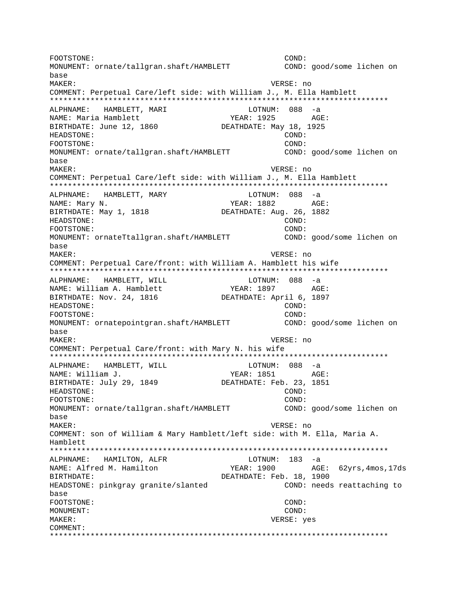FOOTSTONE: COND: MONUMENT: ornate/tallgran.shaft/HAMBLETT COND: good/some lichen on base MAKER: VERSE: no COMMENT: Perpetual Care/left side: with William J., M. Ella Hamblett \*\*\*\*\*\*\*\*\*\*\*\*\*\*\*\*\*\*\*\*\*\*\*\*\*\*\*\*\*\*\*\*\*\*\*\*\*\*\*\*\*\*\*\*\*\*\*\*\*\*\*\*\*\*\*\*\*\*\*\*\*\*\*\*\*\*\*\*\*\*\*\*\*\*\* ALPHNAME: HAMBLETT, MARI LOTNUM: 088 -a NAME: Maria Hamblett (1925 RGE: 1925 AGE: 1925 AGE: 1925 AGE: 1925 AGE: 1925 AGE: 1925 AGE: 1925 AGE: 1925 AGE: 1925 AGE: 1925 AGE: 1925 AGE: 1925 AGE: 1925 AGE: 1925 AGE: 1925 AGE: 1926 AGE: 1926 AGE: 1926 AGE: 1926 AGE: BIRTHDATE: June 12, 1860 HEADSTONE: COND: FOOTSTONE: COND: MONUMENT: ornate/tallgran.shaft/HAMBLETT COND: good/some lichen on base MAKER: VERSE: no COMMENT: Perpetual Care/left side: with William J., M. Ella Hamblett \*\*\*\*\*\*\*\*\*\*\*\*\*\*\*\*\*\*\*\*\*\*\*\*\*\*\*\*\*\*\*\*\*\*\*\*\*\*\*\*\*\*\*\*\*\*\*\*\*\*\*\*\*\*\*\*\*\*\*\*\*\*\*\*\*\*\*\*\*\*\*\*\*\*\* ALPHNAME: HAMBLETT, MARY LOTNUM: 088 -a NAME: Mary N. Same Communications of the MEAR: 1882 AGE: BIRTHDATE: May 1, 1818 DEATHDATE: Aug. 26, 1882 HEADSTONE: COND: FOOTSTONE: COND: MONUMENT: ornateTtallgran.shaft/HAMBLETT COND: good/some lichen on base MAKER: VERSE: no COMMENT: Perpetual Care/front: with William A. Hamblett his wife \*\*\*\*\*\*\*\*\*\*\*\*\*\*\*\*\*\*\*\*\*\*\*\*\*\*\*\*\*\*\*\*\*\*\*\*\*\*\*\*\*\*\*\*\*\*\*\*\*\*\*\*\*\*\*\*\*\*\*\*\*\*\*\*\*\*\*\*\*\*\*\*\*\*\* ALPHNAME: HAMBLETT, WILL **LOTNUM:** 088 -a NAME: William A. Hamblett YEAR: 1897 AGE: BIRTHDATE: Nov. 24, 1816 DEATHDATE: April 6, 1897 HEADSTONE: COND: FOOTSTONE: COND: MONUMENT: ornatepointgran.shaft/HAMBLETT COND: good/some lichen on base MAKER: VERSE: no COMMENT: Perpetual Care/front: with Mary N. his wife \*\*\*\*\*\*\*\*\*\*\*\*\*\*\*\*\*\*\*\*\*\*\*\*\*\*\*\*\*\*\*\*\*\*\*\*\*\*\*\*\*\*\*\*\*\*\*\*\*\*\*\*\*\*\*\*\*\*\*\*\*\*\*\*\*\*\*\*\*\*\*\*\*\*\* ALPHNAME: HAMBLETT, WILL CONNUM: 088 -a NAME: William J. YEAR: 1851 AGE: BIRTHDATE: July 29, 1849 DEATHDATE: Feb. 23, 1851 HEADSTONE: COND: FOOTSTONE: COND: MONUMENT: ornate/tallgran.shaft/HAMBLETT COND: good/some lichen on base MAKER: VERSE: no COMMENT: son of William & Mary Hamblett/left side: with M. Ella, Maria A. Hamblett \*\*\*\*\*\*\*\*\*\*\*\*\*\*\*\*\*\*\*\*\*\*\*\*\*\*\*\*\*\*\*\*\*\*\*\*\*\*\*\*\*\*\*\*\*\*\*\*\*\*\*\*\*\*\*\*\*\*\*\*\*\*\*\*\*\*\*\*\*\*\*\*\*\*\* ALPHNAME: HAMILTON, ALFR LOTNUM: 183 -a NAME: Alfred M. Hamilton YEAR: 1900 AGE: 62yrs,4mos,17ds BIRTHDATE:  $DEATHDATE: Feb. 18, 1900$ HEADSTONE: pinkgray granite/slanted COND: needs reattaching to base FOOTSTONE: COND: MONUMENT: COND: MAKER: VERSE: yes COMMENT: \*\*\*\*\*\*\*\*\*\*\*\*\*\*\*\*\*\*\*\*\*\*\*\*\*\*\*\*\*\*\*\*\*\*\*\*\*\*\*\*\*\*\*\*\*\*\*\*\*\*\*\*\*\*\*\*\*\*\*\*\*\*\*\*\*\*\*\*\*\*\*\*\*\*\*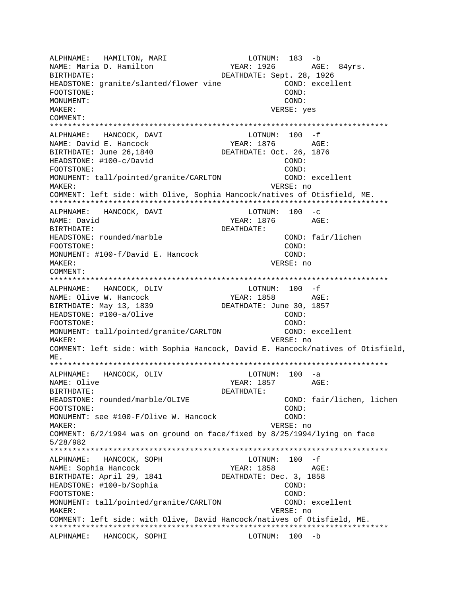ALPHNAME: HAMILTON, MARI LOTNUM: 183 -b NAME: Maria D. Hamilton YEAR: 1926 AGE: 84yrs. BIRTHDATE: Sept. 28, 1926 HEADSTONE: granite/slanted/flower vine COND: excellent FOOTSTONE: COND: MONUMENT: COND: MAKER: VERSE: yes COMMENT: \*\*\*\*\*\*\*\*\*\*\*\*\*\*\*\*\*\*\*\*\*\*\*\*\*\*\*\*\*\*\*\*\*\*\*\*\*\*\*\*\*\*\*\*\*\*\*\*\*\*\*\*\*\*\*\*\*\*\*\*\*\*\*\*\*\*\*\*\*\*\*\*\*\*\* ALPHNAME: HANCOCK, DAVI LOTNUM: 100 -f NAME: David E. Hancock YEAR: 1876 BIRTHDATE: June 26,1840 DEATHDATE: Oct. 26, 1876 HEADSTONE: #100-c/David COND: FOOTSTONE: COND: MONUMENT: tall/pointed/granite/CARLTON COND: excellent MAKER: VERSE: no COMMENT: left side: with Olive, Sophia Hancock/natives of Otisfield, ME. \*\*\*\*\*\*\*\*\*\*\*\*\*\*\*\*\*\*\*\*\*\*\*\*\*\*\*\*\*\*\*\*\*\*\*\*\*\*\*\*\*\*\*\*\*\*\*\*\*\*\*\*\*\*\*\*\*\*\*\*\*\*\*\*\*\*\*\*\*\*\*\*\*\*\* ALPHNAME: HANCOCK, DAVI NAME: David <a>
NAME: David <a>
NAME: David <a>
NAME: David <a>
NAME: David <a>
NAME: David <a>
NAME: David <a>
NAME: David <a>
NAME: David <a>
NAME: David <a>
NAME: David <a>
NAME: David <a>
NAME: David <a>
NAME: David <a BIRTHDATE: DEATHDATE: HEADSTONE: rounded/marble COND: fair/lichen FOOTSTONE: COND: MONUMENT: #100-f/David E. Hancock COND: MAKER: VERSE: no COMMENT: \*\*\*\*\*\*\*\*\*\*\*\*\*\*\*\*\*\*\*\*\*\*\*\*\*\*\*\*\*\*\*\*\*\*\*\*\*\*\*\*\*\*\*\*\*\*\*\*\*\*\*\*\*\*\*\*\*\*\*\*\*\*\*\*\*\*\*\*\*\*\*\*\*\*\* ALPHNAME: HANCOCK, OLIV LOTNUM: 100 -f NAME: Olive W. Hancock  $YEAR: 1858$  AGE:<br>BIRTHDATE: May 13, 1839 DEATHDATE: June 30, 1857 BIRTHDATE: May 13, 1839 HEADSTONE: #100-a/Olive COND: COND: FOOTSTONE: COND: MONUMENT: tall/pointed/granite/CARLTON COND: excellent MAKER: VERSE: no COMMENT: left side: with Sophia Hancock, David E. Hancock/natives of Otisfield, ME. \*\*\*\*\*\*\*\*\*\*\*\*\*\*\*\*\*\*\*\*\*\*\*\*\*\*\*\*\*\*\*\*\*\*\*\*\*\*\*\*\*\*\*\*\*\*\*\*\*\*\*\*\*\*\*\*\*\*\*\*\*\*\*\*\*\*\*\*\*\*\*\*\*\*\* ALPHNAME: HANCOCK, OLIV NAME: Olive  $YEAR: 1857$  AGE: BIRTHDATE: DEATHDATE: HEADSTONE: rounded/marble/OLIVE COND: fair/lichen, lichen FOOTSTONE: COND: MONUMENT: see #100-F/Olive W. Hancock COND: MAKER: VERSE: no COMMENT: 6/2/1994 was on ground on face/fixed by 8/25/1994/lying on face 5/28/982 \*\*\*\*\*\*\*\*\*\*\*\*\*\*\*\*\*\*\*\*\*\*\*\*\*\*\*\*\*\*\*\*\*\*\*\*\*\*\*\*\*\*\*\*\*\*\*\*\*\*\*\*\*\*\*\*\*\*\*\*\*\*\*\*\*\*\*\*\*\*\*\*\*\*\* ALPHNAME: HANCOCK, SOPH NAME: Sophia Hancock  $YEAR: 1858$  AGE: BIRTHDATE: April 29, 1841 DEATHDATE: Dec. 3, 1858 HEADSTONE: #100-b/Sophia COND: FOOTSTONE: COND: MONUMENT: tall/pointed/granite/CARLTON COND: excellent MAKER: VERSE: no COMMENT: left side: with Olive, David Hancock/natives of Otisfield, ME. \*\*\*\*\*\*\*\*\*\*\*\*\*\*\*\*\*\*\*\*\*\*\*\*\*\*\*\*\*\*\*\*\*\*\*\*\*\*\*\*\*\*\*\*\*\*\*\*\*\*\*\*\*\*\*\*\*\*\*\*\*\*\*\*\*\*\*\*\*\*\*\*\*\*\* ALPHNAME: HANCOCK, SOPHI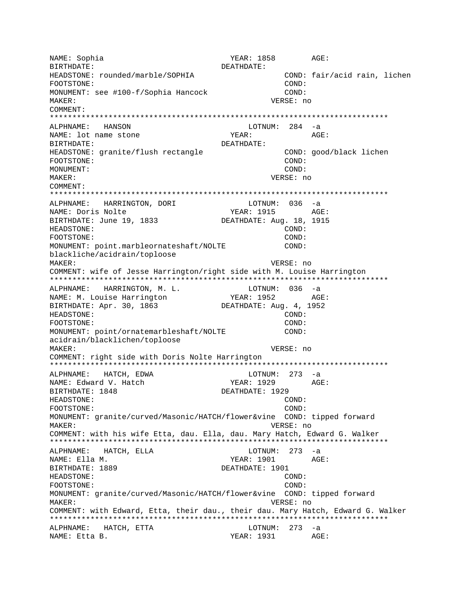NAME: Sophia YEAR: 1858 AGE: BIRTHDATE: DEATHDATE: HEADSTONE: rounded/marble/SOPHIA COND: fair/acid rain, lichen FOOTSTONE: COND: MONUMENT: see #100-f/Sophia Hancock COND: MAKER: VERSE: no COMMENT: \*\*\*\*\*\*\*\*\*\*\*\*\*\*\*\*\*\*\*\*\*\*\*\*\*\*\*\*\*\*\*\*\*\*\*\*\*\*\*\*\*\*\*\*\*\*\*\*\*\*\*\*\*\*\*\*\*\*\*\*\*\*\*\*\*\*\*\*\*\*\*\*\*\*\* LOTNUM: 284 -a<br>YEAR: AGI NAME: lot name stone  $YEAR:$  AGE: BIRTHDATE: DEATHDATE: HEADSTONE: granite/flush rectangle COND: good/black lichen FOOTSTONE: COND: MONUMENT: COND: MAKER: VERSE: no COMMENT: \*\*\*\*\*\*\*\*\*\*\*\*\*\*\*\*\*\*\*\*\*\*\*\*\*\*\*\*\*\*\*\*\*\*\*\*\*\*\*\*\*\*\*\*\*\*\*\*\*\*\*\*\*\*\*\*\*\*\*\*\*\*\*\*\*\*\*\*\*\*\*\*\*\*\* ALPHNAME: HARRINGTON, DORI LOTNUM: 036 -a NAME: Doris Nolte  $YEAR: 1915$  AGE: BIRTHDATE: June 19, 1833 DEATHDATE: Aug. 18, 1915 HEADSTONE: COND: FOOTSTONE: COND: MONUMENT: point.marbleornateshaft/NOLTE COND: blackliche/acidrain/toploose MAKER: VERSE: no COMMENT: wife of Jesse Harrington/right side with M. Louise Harrington \*\*\*\*\*\*\*\*\*\*\*\*\*\*\*\*\*\*\*\*\*\*\*\*\*\*\*\*\*\*\*\*\*\*\*\*\*\*\*\*\*\*\*\*\*\*\*\*\*\*\*\*\*\*\*\*\*\*\*\*\*\*\*\*\*\*\*\*\*\*\*\*\*\*\* ALPHNAME: HARRINGTON, M. L.<br>NAME: M. Louise Harrington (PEAR: 1952 AG) NAME: M. Louise Harrington TEAR: 1952 AGE: BIRTHDATE: Apr. 30, 1863 DEATHDATE: Aug. 4, 1952 HEADSTONE: COND: FOOTSTONE: COND: MONUMENT: point/ornatemarbleshaft/NOLTE COND: acidrain/blacklichen/toploose MAKER: VERSE: no COMMENT: right side with Doris Nolte Harrington \*\*\*\*\*\*\*\*\*\*\*\*\*\*\*\*\*\*\*\*\*\*\*\*\*\*\*\*\*\*\*\*\*\*\*\*\*\*\*\*\*\*\*\*\*\*\*\*\*\*\*\*\*\*\*\*\*\*\*\*\*\*\*\*\*\*\*\*\*\*\*\*\*\*\* ALPHNAME: HATCH, EDWA LOTNUM: 273 -a NAME: Edward V. Hatch YEAR: 1929 BIRTHDATE: 1848 DEATHDATE: 1929 HEADSTONE: COND: FOOTSTONE: COND: MONUMENT: granite/curved/Masonic/HATCH/flower&vine COND: tipped forward MAKER: VERSE: no COMMENT: with his wife Etta, dau. Ella, dau. Mary Hatch, Edward G. Walker \*\*\*\*\*\*\*\*\*\*\*\*\*\*\*\*\*\*\*\*\*\*\*\*\*\*\*\*\*\*\*\*\*\*\*\*\*\*\*\*\*\*\*\*\*\*\*\*\*\*\*\*\*\*\*\*\*\*\*\*\*\*\*\*\*\*\*\*\*\*\*\*\*\*\* ALPHNAME: HATCH, ELLA and LOTNUM: 273 -a NAME: Ella M. YEAR: 1901 AGE: BIRTHDATE: 1889 DEATHDATE: 1901 HEADSTONE: COND: FOOTSTONE: COND: MONUMENT: granite/curved/Masonic/HATCH/flower&vine COND: tipped forward MAKER: VERSE: no COMMENT: with Edward, Etta, their dau., their dau. Mary Hatch, Edward G. Walker \*\*\*\*\*\*\*\*\*\*\*\*\*\*\*\*\*\*\*\*\*\*\*\*\*\*\*\*\*\*\*\*\*\*\*\*\*\*\*\*\*\*\*\*\*\*\*\*\*\*\*\*\*\*\*\*\*\*\*\*\*\*\*\*\*\*\*\*\*\*\*\*\*\*\* ALPHNAME: HATCH, ETTA COTNUM: 273 -a NAME: Etta B. YEAR: 1931 AGE: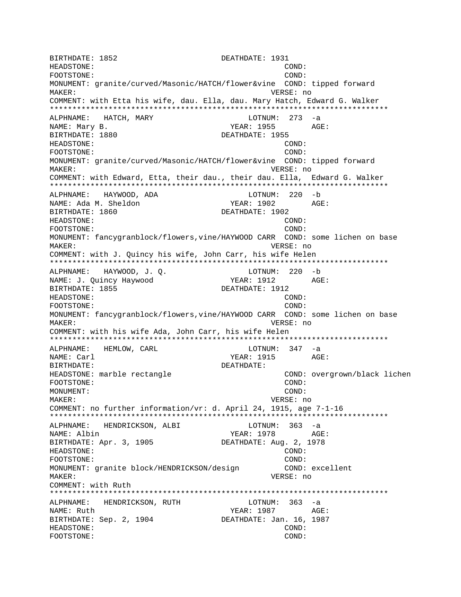BIRTHDATE: 1852 **DEATHDATE: 1931** HEADSTONE: COND: FOOTSTONE: COND: MONUMENT: granite/curved/Masonic/HATCH/flower&vine COND: tipped forward MAKER: VERSE: no COMMENT: with Etta his wife, dau. Ella, dau. Mary Hatch, Edward G. Walker \*\*\*\*\*\*\*\*\*\*\*\*\*\*\*\*\*\*\*\*\*\*\*\*\*\*\*\*\*\*\*\*\*\*\*\*\*\*\*\*\*\*\*\*\*\*\*\*\*\*\*\*\*\*\*\*\*\*\*\*\*\*\*\*\*\*\*\*\*\*\*\*\*\*\* ALPHNAME: HATCH, MARY LOTNUM: 273 -a NAME: Mary B. The Manuscript of the Manuscript of the Manuscript of the Manuscript of the Manuscript of the Ma BIRTHDATE: 1880 DEATHDATE: 1955 HEADSTONE: COND: FOOTSTONE: COND: MONUMENT: granite/curved/Masonic/HATCH/flower&vine COND: tipped forward MAKER: VERSE: no COMMENT: with Edward, Etta, their dau., their dau. Ella, Edward G. Walker \*\*\*\*\*\*\*\*\*\*\*\*\*\*\*\*\*\*\*\*\*\*\*\*\*\*\*\*\*\*\*\*\*\*\*\*\*\*\*\*\*\*\*\*\*\*\*\*\*\*\*\*\*\*\*\*\*\*\*\*\*\*\*\*\*\*\*\*\*\*\*\*\*\*\* ALPHNAME: HAYWOOD, ADA LOTNUM: 220 -b NAME: Ada M. Sheldon YEAR: 1902 BIRTHDATE: 1860 DEATHDATE: 1902 HEADSTONE: COND: FOOTSTONE: COND: MONUMENT: fancygranblock/flowers,vine/HAYWOOD CARR COND: some lichen on base MAKER: VERSE: no COMMENT: with J. Quincy his wife, John Carr, his wife Helen \*\*\*\*\*\*\*\*\*\*\*\*\*\*\*\*\*\*\*\*\*\*\*\*\*\*\*\*\*\*\*\*\*\*\*\*\*\*\*\*\*\*\*\*\*\*\*\*\*\*\*\*\*\*\*\*\*\*\*\*\*\*\*\*\*\*\*\*\*\*\*\*\*\*\* ALPHNAME: HAYWOOD, J.Q. LOTNUM: 220 -b NAME: J. Quincy Haywood YEAR: 1912 AGE: BIRTHDATE: 1855 DEATHDATE: 1912 HEADSTONE: COND: FOOTSTONE: COND: MONUMENT: fancygranblock/flowers,vine/HAYWOOD CARR COND: some lichen on base MAKER: VERSE: no COMMENT: with his wife Ada, John Carr, his wife Helen \*\*\*\*\*\*\*\*\*\*\*\*\*\*\*\*\*\*\*\*\*\*\*\*\*\*\*\*\*\*\*\*\*\*\*\*\*\*\*\*\*\*\*\*\*\*\*\*\*\*\*\*\*\*\*\*\*\*\*\*\*\*\*\*\*\*\*\*\*\*\*\*\*\*\* ALPHNAME: HEMLOW, CARL LOTNUM: 347 -a NAME: Carl YEAR: 1915 AGE: BIRTHDATE: DEATHDATE: HEADSTONE: marble rectangle COND: overgrown/black lichen FOOTSTONE: COND: MONUMENT: COND: MAKER: VERSE: no COMMENT: no further information/vr: d. April 24, 1915, age 7-1-16 \*\*\*\*\*\*\*\*\*\*\*\*\*\*\*\*\*\*\*\*\*\*\*\*\*\*\*\*\*\*\*\*\*\*\*\*\*\*\*\*\*\*\*\*\*\*\*\*\*\*\*\*\*\*\*\*\*\*\*\*\*\*\*\*\*\*\*\*\*\*\*\*\*\*\* ALPHNAME: HENDRICKSON, ALBI LOTNUM: 363 -a NAME: Albin  $YEAR: 1978$  AGE: BIRTHDATE: Apr. 3, 1905 DEATHDATE: Aug. 2, 1978 HEADSTONE: COND: FOOTSTONE: COND: MONUMENT: granite block/HENDRICKSON/design COND: excellent MAKER: VERSE: no COMMENT: with Ruth \*\*\*\*\*\*\*\*\*\*\*\*\*\*\*\*\*\*\*\*\*\*\*\*\*\*\*\*\*\*\*\*\*\*\*\*\*\*\*\*\*\*\*\*\*\*\*\*\*\*\*\*\*\*\*\*\*\*\*\*\*\*\*\*\*\*\*\*\*\*\*\*\*\*\* ALPHNAME: HENDRICKSON, RUTH LOTNUM: 363 -a NAME: Ruth  $YEAR: 1987$  AGE: BIRTHDATE: Sep. 2, 1904 DEATHDATE: Jan. 16, 1987 HEADSTONE: COND: FOOTSTONE: COND: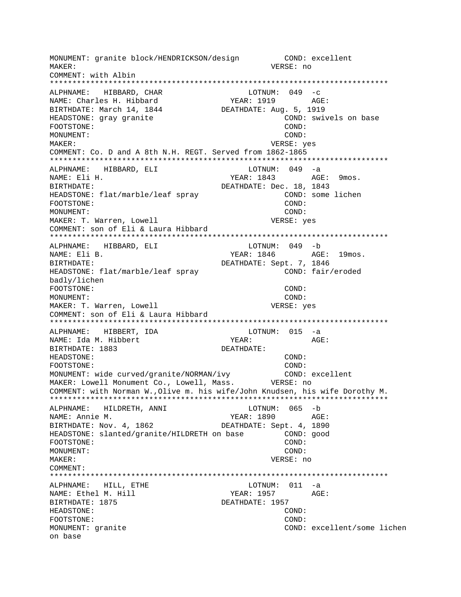MONUMENT: granite block/HENDRICKSON/design COND: excellent VERSE: no MAKER: COMMENT: with Albin ALPHNAME: HIBBARD, CHAR LOTNUM:  $049 - c$ YEAR: 1919 AGE: NAME: Charles H. Hibbard BIRTHDATE: March 14, 1844 DEATHDATE: Aug. 5, 1919 HEADSTONE: gray granite COND: swivels on base FOOTSTONE: COND: MONUMENT: COND: MAKER: VERSE: yes COMMENT: Co. D and A 8th N.H. REGT. Served from 1862-1865 ALPHNAME: HIBBARD, ELI LOTNUM: 049 -a NAME: Eli H. YEAR: 1843 AGE: 9mos. DEATHDATE: Dec. 18, 1843 BIRTHDATE: HEADSTONE: flat/marble/leaf spray COND: some lichen FOOTSTONE:  $COND:$ MONUMENT:  $COND:$ MAKER: T. Warren, Lowell VERSE: yes COMMENT: son of Eli & Laura Hibbard ALPHNAME: HIBBARD, ELI LOTNUM: 049 -b AGE: 19mos. NAME: Eli B. YEAR: 1846 BIRTHDATE: DEATHDATE: Sept. 7, 1846 HEADSTONE: flat/marble/leaf spray COND: fair/eroded badly/lichen FOOTSTONE: COND: MONITMENT:  $COMD:$ MAKER: T. Warren, Lowell VERSE: yes COMMENT: son of Eli & Laura Hibbard  $LOTNUM: 015 -a$ ALPHNAME: HIBBERT, IDA NAME: Ida M. Hibbert YEAR: AGE: BIRTHDATE: 1883 DEATHDATE: HEADSTONE: COND: FOOTSTONE:  $COND:$ MONUMENT: wide curved/granite/NORMAN/ivy COND: excellent MAKER: Lowell Monument Co., Lowell, Mass. VERSE: no COMMENT: with Norman W., Olive m. his wife/John Knudsen, his wife Dorothy M. ALPHNAME: HILDRETH, ANNI LOTNUM: 065 -b NAME: Annie M. YEAR: 1890  $\triangle$  GE: DEATHDATE: Sept. 4, 1890 BIRTHDATE: Nov. 4, 1862 HEADSTONE: slanted/granite/HILDRETH on base COND: good COND: FOOTSTONE:  $COND:$ MONUMENT: VERSE: no MAKER: COMMENT: ALPHNAME: HILL, ETHE  $LOTNUM: 011 -a$ AGE: NAME: Ethel M. Hill YEAR: 1957 BIRTHDATE: 1875 DEATHDATE: 1957 HEADSTONE: COND: FOOTSTONE: COND: MONUMENT: granite COND: excellent/some lichen on base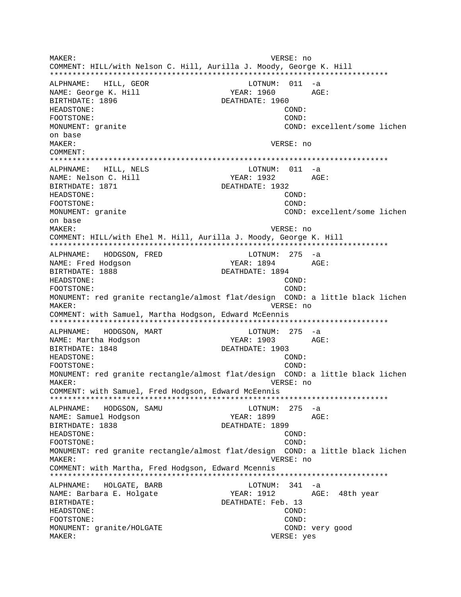MAKER: VERSE: no COMMENT: HILL/with Nelson C. Hill, Aurilla J. Moody, George K. Hill ALPHNAME: HILL, GEOR  $LOTNUM: 011 -a$ NAME: George K. Hill YEAR: 1960 AGE: BIRTHDATE: 1896 DEATHDATE: 1960 HEADSTONE: COND: FOOTSTONE:  $COMD:$ MONUMENT: granite COND: excellent/some lichen on base MAKER: VERSE: no COMMENT: ALPHNAME: HILL, NELS LOTNUM: 011 -a NAME: Nelson C. Hill YEAR: 1932 AGE: DEATHDATE: 1932 BIRTHDATE: 1871 HEADSTONE: COND: FOOTSTONE: COND: MONUMENT: granite COND: excellent/some lichen on base MAKER: VERSE: no COMMENT: HILL/with Ehel M. Hill, Aurilla J. Moody, George K. Hill HODGSON, FRED LOTNUM: 275 -a ALPHNAME: AGE: NAME: Fred Hodgson YEAR: 1894 DEATHDATE: 1894 BIRTHDATE: 1888 HEADSTONE: COND: COND: FOOTSTONE: MONUMENT: red granite rectangle/almost flat/design COND: a little black lichen VERSE: no MAKER: COMMENT: with Samuel, Martha Hodgson, Edward McEennis LOTNUM:  $275 - a$ ALPHNAME: HODGSON, MART NAME: Martha Hodgson YEAR: 1903 AGE: BIRTHDATE: 1848 DEATHDATE: 1903 HEADSTONE: COND: FOOTSTONE: COND: MONUMENT: red granite rectangle/almost flat/design COND: a little black lichen MAKER: VERSE: no COMMENT: with Samuel, Fred Hodgson, Edward McEennis LOTNUM: 275 -a ALPHNAME: HODGSON, SAMU NAME: Samuel Hodgson YEAR: 1899 AGE: BIRTHDATE: 1838 DEATHDATE: 1899 HEADSTONE: COND: FOOTSTONE: COND: MONUMENT: red granite rectangle/almost flat/design COND: a little black lichen VERSE: no MAKER: COMMENT: with Martha, Fred Hodgson, Edward Mcennis ALPHNAME: HOLGATE, BARB  $LOTNUM: 341 -a$ NAME: Barbara E. Holgate YEAR: 1912 AGE: 48th year BIRTHDATE: DEATHDATE: Feb. 13 HEADSTONE: COND: FOOTSTONE: COND: COND: very good MONUMENT: granite/HOLGATE MAKER: VERSE: yes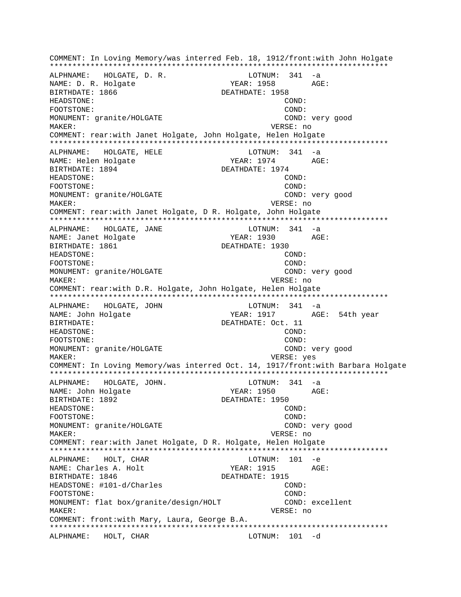COMMENT: In Loving Memory/was interred Feb. 18, 1912/front:with John Holgate \*\*\*\*\*\*\*\*\*\*\*\*\*\*\*\*\*\*\*\*\*\*\*\*\*\*\*\*\*\*\*\*\*\*\*\*\*\*\*\*\*\*\*\*\*\*\*\*\*\*\*\*\*\*\*\*\*\*\*\*\*\*\*\*\*\*\*\*\*\*\*\*\*\*\* ALPHNAME: HOLGATE, D. R. NAME: D. R. Holgate  $YERR: 1958$  AGE: BIRTHDATE: 1866 DEATHDATE: 1958 HEADSTONE: COND: FOOTSTONE: COND: MONUMENT: granite/HOLGATE COND: very good MAKER: VERSE: no COMMENT: rear:with Janet Holgate, John Holgate, Helen Holgate \*\*\*\*\*\*\*\*\*\*\*\*\*\*\*\*\*\*\*\*\*\*\*\*\*\*\*\*\*\*\*\*\*\*\*\*\*\*\*\*\*\*\*\*\*\*\*\*\*\*\*\*\*\*\*\*\*\*\*\*\*\*\*\*\*\*\*\*\*\*\*\*\*\*\* ALPHNAME: HOLGATE, HELE LOTNUM: 341 -a NAME: Helen Holgate The YEAR: 1974 AGE: BIRTHDATE: 1894 DEATHDATE: 1974 HEADSTONE: COND: FOOTSTONE: COND: MONUMENT: granite/HOLGATE COND: very good MAKER: VERSE: no COMMENT: rear:with Janet Holgate, D R. Holgate, John Holgate \*\*\*\*\*\*\*\*\*\*\*\*\*\*\*\*\*\*\*\*\*\*\*\*\*\*\*\*\*\*\*\*\*\*\*\*\*\*\*\*\*\*\*\*\*\*\*\*\*\*\*\*\*\*\*\*\*\*\*\*\*\*\*\*\*\*\*\*\*\*\*\*\*\*\* ALPHNAME: HOLGATE, JANE LOTNUM: 341 -a NAME: Janet Holgate YEAR: 1930 AGE: BIRTHDATE: 1861 DEATHDATE: 1930 HEADSTONE: COND: FOOTSTONE: COND: MONUMENT: granite/HOLGATE COND: very good MAKER: VERSE: no COMMENT: rear:with D.R. Holgate, John Holgate, Helen Holgate \*\*\*\*\*\*\*\*\*\*\*\*\*\*\*\*\*\*\*\*\*\*\*\*\*\*\*\*\*\*\*\*\*\*\*\*\*\*\*\*\*\*\*\*\*\*\*\*\*\*\*\*\*\*\*\*\*\*\*\*\*\*\*\*\*\*\*\*\*\*\*\*\*\*\* ALPHNAME: HOLGATE, JOHN NAME: John Holgate YEAR: 1917 AGE: 54th year BIRTHDATE: 0ct. 11 HEADSTONE: COND: FOOTSTONE: COND: MONUMENT: granite/HOLGATE COND: very good MAKER: VERSE: yes COMMENT: In Loving Memory/was interred Oct. 14, 1917/front:with Barbara Holgate \*\*\*\*\*\*\*\*\*\*\*\*\*\*\*\*\*\*\*\*\*\*\*\*\*\*\*\*\*\*\*\*\*\*\*\*\*\*\*\*\*\*\*\*\*\*\*\*\*\*\*\*\*\*\*\*\*\*\*\*\*\*\*\*\*\*\*\*\*\*\*\*\*\*\* ALPHNAME: HOLGATE, JOHN. LOTNUM: 341 -a NAME: John Holgate YEAR: 1950 BIRTHDATE: 1892 DEATHDATE: 1950 HEADSTONE: COND: FOOTSTONE: COND: MONUMENT: granite/HOLGATE COND: very good MAKER: VERSE: no COMMENT: rear:with Janet Holgate, D R. Holgate, Helen Holgate \*\*\*\*\*\*\*\*\*\*\*\*\*\*\*\*\*\*\*\*\*\*\*\*\*\*\*\*\*\*\*\*\*\*\*\*\*\*\*\*\*\*\*\*\*\*\*\*\*\*\*\*\*\*\*\*\*\*\*\*\*\*\*\*\*\*\*\*\*\*\*\*\*\*\* ALPHNAME: HOLT, CHAR NAME: Charles A. Holt The YEAR: 1915 AGE: BIRTHDATE: 1846 DEATHDATE: 1915 HEADSTONE: #101-d/Charles COND: FOOTSTONE: COND: MONUMENT: flat box/granite/design/HOLT COND: excellent MAKER: VERSE: no COMMENT: front:with Mary, Laura, George B.A. \*\*\*\*\*\*\*\*\*\*\*\*\*\*\*\*\*\*\*\*\*\*\*\*\*\*\*\*\*\*\*\*\*\*\*\*\*\*\*\*\*\*\*\*\*\*\*\*\*\*\*\*\*\*\*\*\*\*\*\*\*\*\*\*\*\*\*\*\*\*\*\*\*\*\* ALPHNAME: HOLT, CHAR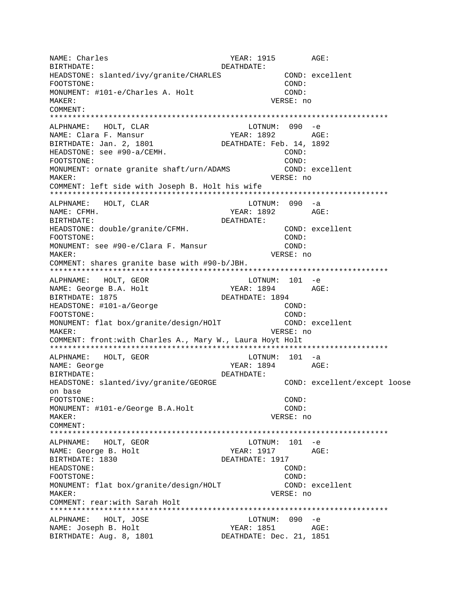NAME: Charles YEAR: 1915 AGE: BIRTHDATE: DEATHDATE: HEADSTONE: slanted/ivy/granite/CHARLES COND: excellent FOOTSTONE: COND: MONUMENT: #101-e/Charles A. Holt COND: MAKER: VERSE: no COMMENT: \*\*\*\*\*\*\*\*\*\*\*\*\*\*\*\*\*\*\*\*\*\*\*\*\*\*\*\*\*\*\*\*\*\*\*\*\*\*\*\*\*\*\*\*\*\*\*\*\*\*\*\*\*\*\*\*\*\*\*\*\*\*\*\*\*\*\*\*\*\*\*\*\*\*\* ALPHNAME: HOLT, CLAR LOTNUM: 090 -e NAME: Clara F. Mansur Texasset Manuel (1892 AGE: BIRTHDATE: Jan. 2, 1801 DEATHDATE: Feb. 14, 1892 HEADSTONE: see #90-a/CEMH. COND: FOOTSTONE: COND: MONUMENT: ornate granite shaft/urn/ADAMS COND: excellent MAKER: VERSE: no COMMENT: left side with Joseph B. Holt his wife \*\*\*\*\*\*\*\*\*\*\*\*\*\*\*\*\*\*\*\*\*\*\*\*\*\*\*\*\*\*\*\*\*\*\*\*\*\*\*\*\*\*\*\*\*\*\*\*\*\*\*\*\*\*\*\*\*\*\*\*\*\*\*\*\*\*\*\*\*\*\*\*\*\*\* ALPHNAME: HOLT, CLAR LOTNUM: 090 -a NAME: CFMH. YEAR: 1892 AGE: BIRTHDATE: DEATHDATE: HEADSTONE: double/granite/CFMH. COND: excellent FOOTSTONE: COND: MONUMENT: see #90-e/Clara F. Mansur COND: MAKER: VERSE: no COMMENT: shares granite base with #90-b/JBH. \*\*\*\*\*\*\*\*\*\*\*\*\*\*\*\*\*\*\*\*\*\*\*\*\*\*\*\*\*\*\*\*\*\*\*\*\*\*\*\*\*\*\*\*\*\*\*\*\*\*\*\*\*\*\*\*\*\*\*\*\*\*\*\*\*\*\*\*\*\*\*\*\*\*\* ALPHNAME: HOLT, GEOR LOTNUM: 101 -e NAME: George B.A. Holt YEAR: 1894 AGE: BIRTHDATE: 1875 **DEATHDATE: 1894** HEADSTONE: #101-a/George COND: FOOTSTONE: COND: MONUMENT: flat box/granite/design/HOlT COND: excellent MAKER: VERSE: no COMMENT: front:with Charles A., Mary W., Laura Hoyt Holt \*\*\*\*\*\*\*\*\*\*\*\*\*\*\*\*\*\*\*\*\*\*\*\*\*\*\*\*\*\*\*\*\*\*\*\*\*\*\*\*\*\*\*\*\*\*\*\*\*\*\*\*\*\*\*\*\*\*\*\*\*\*\*\*\*\*\*\*\*\*\*\*\*\*\* ALPHNAME: HOLT, GEOR NAME: George Text Constants and MEAR: 1894 AGE: BIRTHDATE: DEATHDATE: HEADSTONE: slanted/ivy/granite/GEORGE COND: excellent/except loose on base FOOTSTONE: COND: MONUMENT: #101-e/George B.A.Holt COND: MAKER: VERSE: no COMMENT: \*\*\*\*\*\*\*\*\*\*\*\*\*\*\*\*\*\*\*\*\*\*\*\*\*\*\*\*\*\*\*\*\*\*\*\*\*\*\*\*\*\*\*\*\*\*\*\*\*\*\*\*\*\*\*\*\*\*\*\*\*\*\*\*\*\*\*\*\*\*\*\*\*\*\* ALPHNAME: HOLT, GEOR LOTNUM: 101 -e NAME: George B. Holt YEAR: 1917 AGE: BIRTHDATE: 1830 DEATHDATE: 1917 HEADSTONE: COND: FOOTSTONE: COND: MONUMENT: flat box/granite/design/HOLT COND: excellent MAKER: VERSE: no COMMENT: rear:with Sarah Holt \*\*\*\*\*\*\*\*\*\*\*\*\*\*\*\*\*\*\*\*\*\*\*\*\*\*\*\*\*\*\*\*\*\*\*\*\*\*\*\*\*\*\*\*\*\*\*\*\*\*\*\*\*\*\*\*\*\*\*\*\*\*\*\*\*\*\*\*\*\*\*\*\*\*\* ALPHNAME: HOLT, JOSE LOTNUM: 090 -e NAME: Joseph B. Holt YEAR: 1851 AGE: BIRTHDATE: Aug. 8, 1801 DEATHDATE: Dec. 21, 1851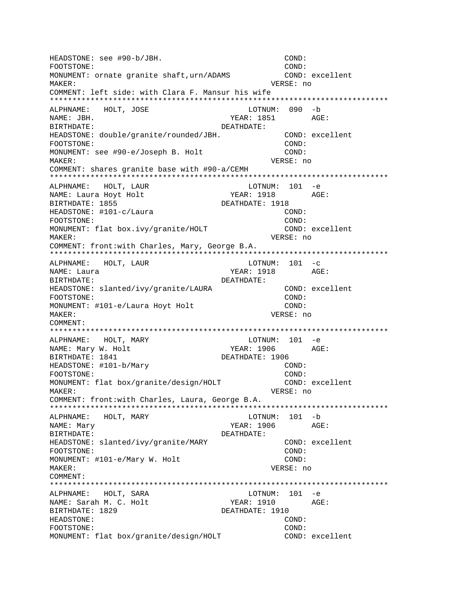HEADSTONE: see #90-b/JBH. COND: FOOTSTONE: COND: MONUMENT: ornate granite shaft,urn/ADAMS COND: excellent MAKER: VERSE: no COMMENT: left side: with Clara F. Mansur his wife \*\*\*\*\*\*\*\*\*\*\*\*\*\*\*\*\*\*\*\*\*\*\*\*\*\*\*\*\*\*\*\*\*\*\*\*\*\*\*\*\*\*\*\*\*\*\*\*\*\*\*\*\*\*\*\*\*\*\*\*\*\*\*\*\*\*\*\*\*\*\*\*\*\*\* ALPHNAME: HOLT, JOSE LOTNUM: 090 -b NAME: JBH. AGE: BIRTHDATE: DEATHDATE: HEADSTONE: double/granite/rounded/JBH. COND: excellent FOOTSTONE: COND: MONUMENT: see #90-e/Joseph B. Holt COND: MAKER: VERSE: no COMMENT: shares granite base with #90-a/CEMH \*\*\*\*\*\*\*\*\*\*\*\*\*\*\*\*\*\*\*\*\*\*\*\*\*\*\*\*\*\*\*\*\*\*\*\*\*\*\*\*\*\*\*\*\*\*\*\*\*\*\*\*\*\*\*\*\*\*\*\*\*\*\*\*\*\*\*\*\*\*\*\*\*\*\* ALPHNAME: HOLT, LAUR NAME: Laura Hoyt Holt YEAR: 1918 AGE: BIRTHDATE: 1855 DEATHDATE: 1918 HEADSTONE: #101-c/Laura COND: FOOTSTONE: COND: MONUMENT: flat box.ivy/granite/HOLT COND: excellent MAKER: VERSE: no COMMENT: front:with Charles, Mary, George B.A. \*\*\*\*\*\*\*\*\*\*\*\*\*\*\*\*\*\*\*\*\*\*\*\*\*\*\*\*\*\*\*\*\*\*\*\*\*\*\*\*\*\*\*\*\*\*\*\*\*\*\*\*\*\*\*\*\*\*\*\*\*\*\*\*\*\*\*\*\*\*\*\*\*\*\* ALPHNAME: HOLT, LAUR LOTNUM: 101 -c NAME: Laura YEAR: 1918 AGE: BIRTHDATE: DEATHDATE: HEADSTONE: slanted/ivy/granite/LAURA COND: excellent FOOTSTONE: COND: MONUMENT: #101-e/Laura Hoyt Holt COND: MAKER: VERSE: no COMMENT: \*\*\*\*\*\*\*\*\*\*\*\*\*\*\*\*\*\*\*\*\*\*\*\*\*\*\*\*\*\*\*\*\*\*\*\*\*\*\*\*\*\*\*\*\*\*\*\*\*\*\*\*\*\*\*\*\*\*\*\*\*\*\*\*\*\*\*\*\*\*\*\*\*\*\* ALPHNAME: HOLT, MARY **LOTNUM:** 101 -e NAME: Mary W. Holt YEAR: 1906 AGE:<br>BIRTHDATE: 1841 DEATHDATE: 1906 DEATHDATE: 1906 HEADSTONE: #101-b/Mary COND: FOOTSTONE: COND: MONUMENT: flat box/granite/design/HOLT COND: excellent MAKER: VERSE: no COMMENT: front:with Charles, Laura, George B.A. \*\*\*\*\*\*\*\*\*\*\*\*\*\*\*\*\*\*\*\*\*\*\*\*\*\*\*\*\*\*\*\*\*\*\*\*\*\*\*\*\*\*\*\*\*\*\*\*\*\*\*\*\*\*\*\*\*\*\*\*\*\*\*\*\*\*\*\*\*\*\*\*\*\*\* ALPHNAME: HOLT, MARY LOTNUM: 101 -b NAME: Mary 30 NAME: Mary 2006 AGE: BIRTHDATE: DEATHDATE: HEADSTONE: slanted/ivy/granite/MARY COND: excellent FOOTSTONE: COND: MONUMENT: #101-e/Mary W. Holt COND: MAKER: VERSE: no COMMENT: \*\*\*\*\*\*\*\*\*\*\*\*\*\*\*\*\*\*\*\*\*\*\*\*\*\*\*\*\*\*\*\*\*\*\*\*\*\*\*\*\*\*\*\*\*\*\*\*\*\*\*\*\*\*\*\*\*\*\*\*\*\*\*\*\*\*\*\*\*\*\*\*\*\*\* ALPHNAME: HOLT, SARA LOTNUM: 101 -e NAME: Sarah M. C. Holt YEAR: 1910 AGE: BIRTHDATE: 1829 DEATHDATE: 1910 HEADSTONE: COND: FOOTSTONE: COND: MONUMENT: flat box/granite/design/HOLT COND: excellent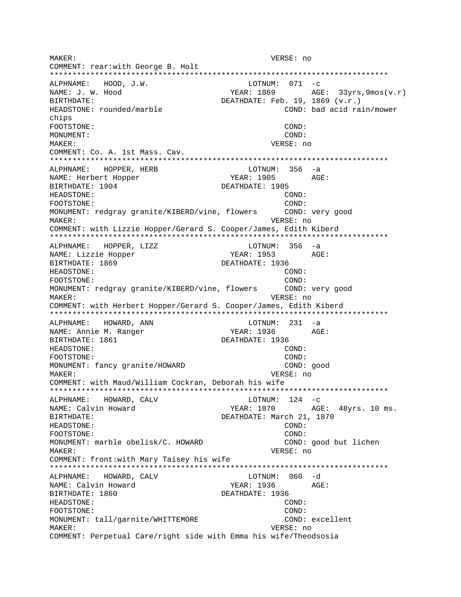MAKER: VERSE: no COMMENT: rear:with George B. Holt \*\*\*\*\*\*\*\*\*\*\*\*\*\*\*\*\*\*\*\*\*\*\*\*\*\*\*\*\*\*\*\*\*\*\*\*\*\*\*\*\*\*\*\*\*\*\*\*\*\*\*\*\*\*\*\*\*\*\*\*\*\*\*\*\*\*\*\*\*\*\*\*\*\*\* ALPHNAME: HOOD, J.W. LOTNUM: 071 -c NAME: J. W. Hood  $YEAR: 1869$  AGE: 33yrs, 9mos(v.r) BIRTHDATE:  $DEATHDATE: Feb. 19, 1869 (v.r.)$ HEADSTONE: rounded/marble COND: bad acid rain/mower chips FOOTSTONE: COND: MONUMENT: COND: MAKER: VERSE: no COMMENT: Co. A. 1st Mass. Cav. \*\*\*\*\*\*\*\*\*\*\*\*\*\*\*\*\*\*\*\*\*\*\*\*\*\*\*\*\*\*\*\*\*\*\*\*\*\*\*\*\*\*\*\*\*\*\*\*\*\*\*\*\*\*\*\*\*\*\*\*\*\*\*\*\*\*\*\*\*\*\*\*\*\*\* ALPHNAME: HOPPER, HERB LOTNUM: 356 -a NAME: Herbert Hopper YEAR: 1905 AGE: BIRTHDATE: 1904 DEATHDATE: 1905 HEADSTONE: COND: FOOTSTONE: (COND: FOOTSTONE: comp: COND: conditionally granite/KIBERD/vine, flowers (COND: very good MONUMENT: redgray granite/KIBERD/vine, flowers MAKER: VERSE: no COMMENT: with Lizzie Hopper/Gerard S. Cooper/James, Edith Kiberd \*\*\*\*\*\*\*\*\*\*\*\*\*\*\*\*\*\*\*\*\*\*\*\*\*\*\*\*\*\*\*\*\*\*\*\*\*\*\*\*\*\*\*\*\*\*\*\*\*\*\*\*\*\*\*\*\*\*\*\*\*\*\*\*\*\*\*\*\*\*\*\*\*\*\* ALPHNAME: HOPPER, LIZZ LOTNUM: 356 -a NAME: Lizzie Hopper YEAR: 1953 AGE: BIRTHDATE: 1869 DEATHDATE: 1936 HEADSTONE: COND: FOOTSTONE: COND: MONUMENT: redgray granite/KIBERD/vine, flowers COND: very good MAKER: VERSE: no COMMENT: with Herbert Hopper/Gerard S. Cooper/James, Edith Kiberd \*\*\*\*\*\*\*\*\*\*\*\*\*\*\*\*\*\*\*\*\*\*\*\*\*\*\*\*\*\*\*\*\*\*\*\*\*\*\*\*\*\*\*\*\*\*\*\*\*\*\*\*\*\*\*\*\*\*\*\*\*\*\*\*\*\*\*\*\*\*\*\*\*\*\* ALPHNAME: HOWARD, ANN CHARD HOTNUM: 231 -a NAME: Annie M. Ranger YEAR: 1936 AGE: BIRTHDATE: 1861 DEATHDATE: 1936 HEADSTONE: COND: FOOTSTONE: COND: MONUMENT: fancy granite/HOWARD COND: good MAKER: VERSE: no COMMENT: with Maud/William Cockran, Deborah his wife \*\*\*\*\*\*\*\*\*\*\*\*\*\*\*\*\*\*\*\*\*\*\*\*\*\*\*\*\*\*\*\*\*\*\*\*\*\*\*\*\*\*\*\*\*\*\*\*\*\*\*\*\*\*\*\*\*\*\*\*\*\*\*\*\*\*\*\*\*\*\*\*\*\*\* ALPHNAME: HOWARD, CALV CONTROL CONTROL LOTNUM: 124 -C NAME: Calvin Howard TEAR: 1870 AGE: 48yrs. 10 ms. BIRTHDATE: DEATHDATE: March 21, 1870 HEADSTONE: COND: FOOTSTONE: COND: MONUMENT: marble obelisk/C. HOWARD COND: good but lichen MAKER: VERSE: no COMMENT: front:with Mary Taisey his wife \*\*\*\*\*\*\*\*\*\*\*\*\*\*\*\*\*\*\*\*\*\*\*\*\*\*\*\*\*\*\*\*\*\*\*\*\*\*\*\*\*\*\*\*\*\*\*\*\*\*\*\*\*\*\*\*\*\*\*\*\*\*\*\*\*\*\*\*\*\*\*\*\*\*\* ALPHNAME: HOWARD, CALV NAME: Calvin Howard TEAR: 1936 AGE: BIRTHDATE: 1860 DEATHDATE: 1936 HEADSTONE: COND: FOOTSTONE: COND: MONUMENT: tall/garnite/WHITTEMORE COND: excellent MAKER: VERSE: no COMMENT: Perpetual Care/right side with Emma his wife/Theodsosia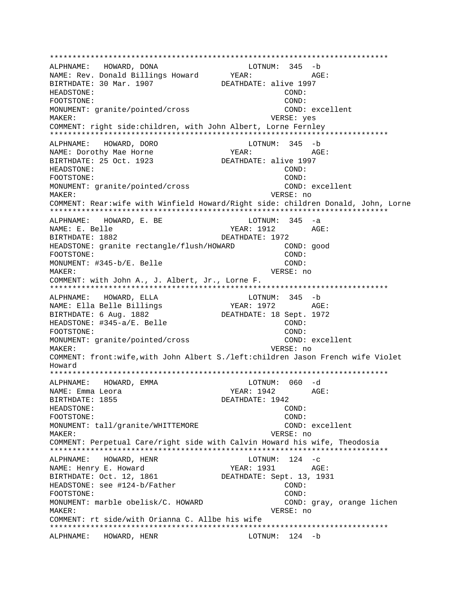\*\*\*\*\*\*\*\*\*\*\*\*\*\*\*\*\*\*\*\*\*\*\*\*\*\*\*\*\*\*\*\*\*\*\*\*\*\*\*\*\*\*\*\*\*\*\*\*\*\*\*\*\*\*\*\*\*\*\*\*\*\*\*\*\*\*\*\*\*\*\*\*\*\*\* ALPHNAME: HOWARD, DONA LOTNUM: 345 -b NAME: Rev. Donald Billings Howard YEAR: AGE: BIRTHDATE: 30 Mar. 1907 DEATHDATE: alive 1997 HEADSTONE: COND: FOOTSTONE: COND: MONUMENT: granite/pointed/cross COND: excellent MAKER: VERSE: yes COMMENT: right side:children, with John Albert, Lorne Fernley \*\*\*\*\*\*\*\*\*\*\*\*\*\*\*\*\*\*\*\*\*\*\*\*\*\*\*\*\*\*\*\*\*\*\*\*\*\*\*\*\*\*\*\*\*\*\*\*\*\*\*\*\*\*\*\*\*\*\*\*\*\*\*\*\*\*\*\*\*\*\*\*\*\*\* ALPHNAME: HOWARD, DORO LOTNUM: 345 -b NAME: Dorothy Mae Horne  $YEAR:$  AGE: BIRTHDATE: 25 Oct. 1923 DEATHDATE: alive 1997 HEADSTONE: COND: FOOTSTONE: COND: MONUMENT: granite/pointed/cross COND: excellent MAKER: VERSE: no COMMENT: Rear:wife with Winfield Howard/Right side: children Donald, John, Lorne \*\*\*\*\*\*\*\*\*\*\*\*\*\*\*\*\*\*\*\*\*\*\*\*\*\*\*\*\*\*\*\*\*\*\*\*\*\*\*\*\*\*\*\*\*\*\*\*\*\*\*\*\*\*\*\*\*\*\*\*\*\*\*\*\*\*\*\*\*\*\*\*\*\*\* ALPHNAME: HOWARD, E. BE LOTNUM: 345 -a NAME: E. Belle TEAR: 1912 AGE: BIRTHDATE: 1882 DEATHDATE: 1972 HEADSTONE: granite rectangle/flush/HOWARD COND: good FOOTSTONE: COND: MONUMENT: #345-b/E. Belle COND: MAKER: VERSE: no COMMENT: with John A., J. Albert, Jr., Lorne F. \*\*\*\*\*\*\*\*\*\*\*\*\*\*\*\*\*\*\*\*\*\*\*\*\*\*\*\*\*\*\*\*\*\*\*\*\*\*\*\*\*\*\*\*\*\*\*\*\*\*\*\*\*\*\*\*\*\*\*\*\*\*\*\*\*\*\*\*\*\*\*\*\*\*\* ALPHNAME: HOWARD, ELLA LOTNUM: 345 -b NAME: Ella Belle Billings (YEAR: 1972 AGE: BIRTHDATE: 6 Aug. 1882 DEATHDATE: 18 Sept. 1972 HEADSTONE: #345-a/E. Belle COND: FOOTSTONE: COND: MONUMENT: qranite/pointed/cross COND: excellent MAKER: VERSE: no COMMENT: front:wife,with John Albert S./left:children Jason French wife Violet Howard \*\*\*\*\*\*\*\*\*\*\*\*\*\*\*\*\*\*\*\*\*\*\*\*\*\*\*\*\*\*\*\*\*\*\*\*\*\*\*\*\*\*\*\*\*\*\*\*\*\*\*\*\*\*\*\*\*\*\*\*\*\*\*\*\*\*\*\*\*\*\*\*\*\*\* ALPHNAME: HOWARD, EMMA CONNECTED BLOTNUM: 060 -d NAME: Emma Leora YEAR: 1942 AGE: BIRTHDATE: 1855 DEATHDATE: 1942 HEADSTONE: COND: FOOTSTONE: COND: MONUMENT: tall/granite/WHITTEMORE COND: excellent MAKER: VERSE: no COMMENT: Perpetual Care/right side with Calvin Howard his wife, Theodosia \*\*\*\*\*\*\*\*\*\*\*\*\*\*\*\*\*\*\*\*\*\*\*\*\*\*\*\*\*\*\*\*\*\*\*\*\*\*\*\*\*\*\*\*\*\*\*\*\*\*\*\*\*\*\*\*\*\*\*\*\*\*\*\*\*\*\*\*\*\*\*\*\*\*\* ALPHNAME: HOWARD, HENR LOTNUM: 124 -c NAME: Henry E. Howard YEAR: 1931 AGE: BIRTHDATE: Oct. 12, 1861 DEATHDATE: Sept. 13, 1931 HEADSTONE: see #124-b/Father COND: COND: FOOTSTONE: COND: MONUMENT: marble obelisk/C. HOWARD COND: gray, orange lichen MAKER: VERSE: no COMMENT: rt side/with Orianna C. Allbe his wife \*\*\*\*\*\*\*\*\*\*\*\*\*\*\*\*\*\*\*\*\*\*\*\*\*\*\*\*\*\*\*\*\*\*\*\*\*\*\*\*\*\*\*\*\*\*\*\*\*\*\*\*\*\*\*\*\*\*\*\*\*\*\*\*\*\*\*\*\*\*\*\*\*\*\* ALPHNAME: HOWARD, HENR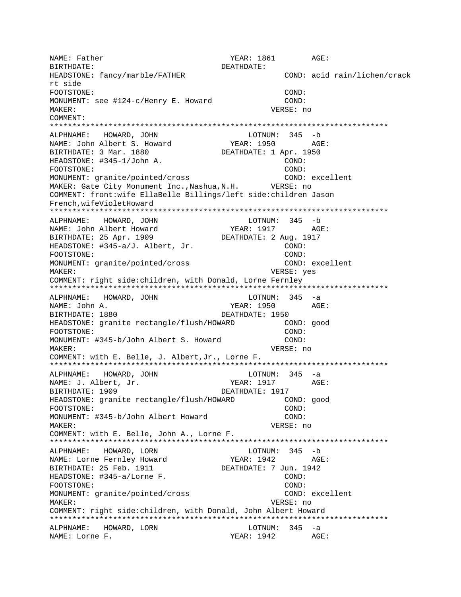NAME: Father  $YEAR: 1861$  AGE: BIRTHDATE: DEATHDATE: HEADSTONE: fancy/marble/FATHER COND: acid rain/lichen/crack rt side FOOTSTONE: COND: MONUMENT: see #124-c/Henry E. Howard COND: MAKER: VERSE: no COMMENT: \*\*\*\*\*\*\*\*\*\*\*\*\*\*\*\*\*\*\*\*\*\*\*\*\*\*\*\*\*\*\*\*\*\*\*\*\*\*\*\*\*\*\*\*\*\*\*\*\*\*\*\*\*\*\*\*\*\*\*\*\*\*\*\*\*\*\*\*\*\*\*\*\*\*\* ALPHNAME: HOWARD, JOHN LOTNUM:<br>NAME: John Albert S. Howard YEAR: 1950 NAME: John Albert S. Howard YEAR: 1950 AGE: BIRTHDATE: 3 Mar. 1880 DEATHDATE: 1 Apr. 1950 HEADSTONE: #345-1/John A. COND: FOOTSTONE: COND: MONUMENT: granite/pointed/cross COND: excellent MAKER: Gate City Monument Inc.,Nashua,N.H. VERSE: no COMMENT: front:wife EllaBelle Billings/left side:children Jason French,wifeVioletHoward \*\*\*\*\*\*\*\*\*\*\*\*\*\*\*\*\*\*\*\*\*\*\*\*\*\*\*\*\*\*\*\*\*\*\*\*\*\*\*\*\*\*\*\*\*\*\*\*\*\*\*\*\*\*\*\*\*\*\*\*\*\*\*\*\*\*\*\*\*\*\*\*\*\*\* ALPHNAME: HOWARD, JOHN LOTNUM: 345 -b NAME: John Albert Howard YEAR: 1917 AGE: BIRTHDATE: 25 Apr. 1909 DEATHDATE: 2 Aug. 1917 HEADSTONE: #345-a/J. Albert, Jr. (COND: FOOTSTONE: COND: MONUMENT: granite/pointed/cross COND: excellent MAKER: VERSE: yes COMMENT: right side:children, with Donald, Lorne Fernley \*\*\*\*\*\*\*\*\*\*\*\*\*\*\*\*\*\*\*\*\*\*\*\*\*\*\*\*\*\*\*\*\*\*\*\*\*\*\*\*\*\*\*\*\*\*\*\*\*\*\*\*\*\*\*\*\*\*\*\*\*\*\*\*\*\*\*\*\*\*\*\*\*\*\* ALPHNAME: HOWARD, JOHN CONNECTED BOTNUM: 345 -a NAME: John A. YEAR: 1950 AGE: BIRTHDATE: 1880 DEATHDATE: 1950 HEADSTONE: granite rectangle/flush/HOWARD COND: good FOOTSTONE: COND: MONUMENT: #345-b/John Albert S. Howard COND: MAKER: VERSE: no COMMENT: with E. Belle, J. Albert,Jr., Lorne F. \*\*\*\*\*\*\*\*\*\*\*\*\*\*\*\*\*\*\*\*\*\*\*\*\*\*\*\*\*\*\*\*\*\*\*\*\*\*\*\*\*\*\*\*\*\*\*\*\*\*\*\*\*\*\*\*\*\*\*\*\*\*\*\*\*\*\*\*\*\*\*\*\*\*\* ALPHNAME: HOWARD, JOHN LOTNUM: 345 -a<br>NAME: J. Albert, Jr. (1992) MAME: 1917 MARE: 1917 NAME: J. Albert, Jr. YEAR: 1917 BIRTHDATE: 1909 DEATHDATE: 1917 HEADSTONE: granite rectangle/flush/HOWARD COND: good FOOTSTONE: COND: MONUMENT: #345-b/John Albert Howard COND: MAKER: VERSE: no COMMENT: with E. Belle, John A., Lorne F. \*\*\*\*\*\*\*\*\*\*\*\*\*\*\*\*\*\*\*\*\*\*\*\*\*\*\*\*\*\*\*\*\*\*\*\*\*\*\*\*\*\*\*\*\*\*\*\*\*\*\*\*\*\*\*\*\*\*\*\*\*\*\*\*\*\*\*\*\*\*\*\*\*\*\* ALPHNAME: HOWARD, LORN NAME: Lorne Fernley Howard YEAR: 1942 AGE: BIRTHDATE: 25 Feb. 1911 HEADSTONE: #345-a/Lorne F. COND: FOOTSTONE: COND: COND: MONUMENT: granite/pointed/cross COND: excellent MAKER: VERSE: no COMMENT: right side:children, with Donald, John Albert Howard \*\*\*\*\*\*\*\*\*\*\*\*\*\*\*\*\*\*\*\*\*\*\*\*\*\*\*\*\*\*\*\*\*\*\*\*\*\*\*\*\*\*\*\*\*\*\*\*\*\*\*\*\*\*\*\*\*\*\*\*\*\*\*\*\*\*\*\*\*\*\*\*\*\*\* ALPHNAME: HOWARD, LORN LOTNUM: 345 -a NAME: Lorne F.  $$\tt YEAR: 1942$$  AGE: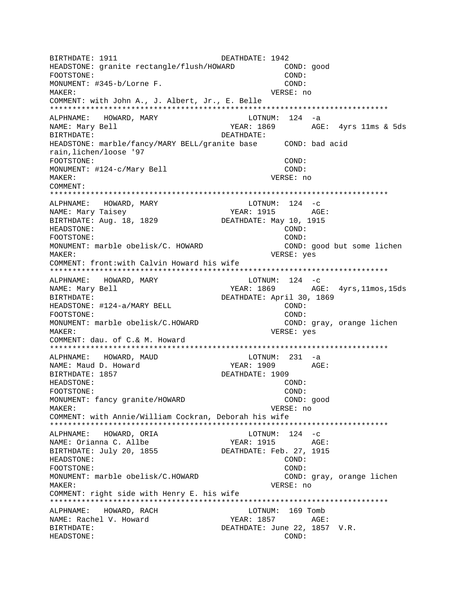BIRTHDATE: 1911 **DEATHDATE: 1942** HEADSTONE: granite rectangle/flush/HOWARD COND: good FOOTSTONE: COND: MONUMENT: #345-b/Lorne F. COND: MAKER: VERSE: no COMMENT: with John A., J. Albert, Jr., E. Belle \*\*\*\*\*\*\*\*\*\*\*\*\*\*\*\*\*\*\*\*\*\*\*\*\*\*\*\*\*\*\*\*\*\*\*\*\*\*\*\*\*\*\*\*\*\*\*\*\*\*\*\*\*\*\*\*\*\*\*\*\*\*\*\*\*\*\*\*\*\*\*\*\*\*\* ALPHNAME: HOWARD, MARY NAME: Mary Bell YEAR: 1869 AGE: 4yrs 11ms & 5ds BIRTHDATE: DEATHDATE: HEADSTONE: marble/fancy/MARY BELL/granite base COND: bad acid rain,lichen/loose '97 FOOTSTONE: COND: MONUMENT:  $\#124-c/Mary$  Bell COND: MAKER: VERSE: no COMMENT: \*\*\*\*\*\*\*\*\*\*\*\*\*\*\*\*\*\*\*\*\*\*\*\*\*\*\*\*\*\*\*\*\*\*\*\*\*\*\*\*\*\*\*\*\*\*\*\*\*\*\*\*\*\*\*\*\*\*\*\*\*\*\*\*\*\*\*\*\*\*\*\*\*\*\* ALPHNAME: HOWARD, MARY NAME: Mary Taisey NAME: 1915 AGE: BIRTHDATE: Aug. 18, 1829 DEATHDATE: May 10, 1915 HEADSTONE: COND: FOOTSTONE: COND: MONUMENT: marble obelisk/C. HOWARD COND: good but some lichen MAKER: VERSE: yes COMMENT: front:with Calvin Howard his wife \*\*\*\*\*\*\*\*\*\*\*\*\*\*\*\*\*\*\*\*\*\*\*\*\*\*\*\*\*\*\*\*\*\*\*\*\*\*\*\*\*\*\*\*\*\*\*\*\*\*\*\*\*\*\*\*\*\*\*\*\*\*\*\*\*\*\*\*\*\*\*\*\*\*\* ALPHNAME: HOWARD, MARY LOTNUM: 124 -c NAME: Mary Bell YEAR: 1869 AGE: 4yrs,11mos,15ds BIRTHDATE:  $DEATHDATE:$  April 30, 1869 HEADSTONE: #124-a/MARY BELL COND: COND: FOOTSTONE: COND: MONUMENT: marble obelisk/C.HOWARD COND: gray, orange lichen MAKER: VERSE: yes COMMENT: dau. of C.& M. Howard \*\*\*\*\*\*\*\*\*\*\*\*\*\*\*\*\*\*\*\*\*\*\*\*\*\*\*\*\*\*\*\*\*\*\*\*\*\*\*\*\*\*\*\*\*\*\*\*\*\*\*\*\*\*\*\*\*\*\*\*\*\*\*\*\*\*\*\*\*\*\*\*\*\*\* ALPHNAME: HOWARD, MAUD NAME: Maud D. Howard The YEAR: 1909 AGE: BIRTHDATE: 1857 DEATHDATE: 1909 HEADSTONE: COND: FOOTSTONE: COND: MONUMENT: fancy granite/HOWARD COND: good MAKER: VERSE: no COMMENT: with Annie/William Cockran, Deborah his wife \*\*\*\*\*\*\*\*\*\*\*\*\*\*\*\*\*\*\*\*\*\*\*\*\*\*\*\*\*\*\*\*\*\*\*\*\*\*\*\*\*\*\*\*\*\*\*\*\*\*\*\*\*\*\*\*\*\*\*\*\*\*\*\*\*\*\*\*\*\*\*\*\*\*\* ALPHNAME: HOWARD, ORIA CONNECTED MOTH LOTNUM: 124 -C NAME: Orianna C. Allbe YEAR: 1915 AGE: BIRTHDATE: July 20, 1855 DEATHDATE: Feb. 27, 1915 HEADSTONE: COND: FOOTSTONE: COND: MONUMENT: marble obelisk/C.HOWARD COND: gray, orange lichen MAKER: VERSE: no COMMENT: right side with Henry E. his wife \*\*\*\*\*\*\*\*\*\*\*\*\*\*\*\*\*\*\*\*\*\*\*\*\*\*\*\*\*\*\*\*\*\*\*\*\*\*\*\*\*\*\*\*\*\*\*\*\*\*\*\*\*\*\*\*\*\*\*\*\*\*\*\*\*\*\*\*\*\*\*\*\*\*\* ALPHNAME: HOWARD, RACH LOTNUM: 169 Tomb NAME: Rachel V. Howard YEAR: 1857 AGE: BIRTHDATE: DEATHDATE: June 22, 1857 V.R. HEADSTONE: COND: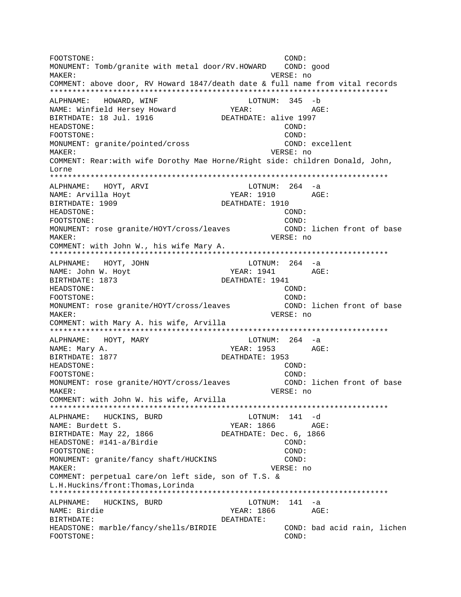FOOTSTONE: COND: MONUMENT: Tomb/granite with metal door/RV.HOWARD COND: good MAKER: VERSE: no COMMENT: above door, RV Howard 1847/death date & full name from vital records \*\*\*\*\*\*\*\*\*\*\*\*\*\*\*\*\*\*\*\*\*\*\*\*\*\*\*\*\*\*\*\*\*\*\*\*\*\*\*\*\*\*\*\*\*\*\*\*\*\*\*\*\*\*\*\*\*\*\*\*\*\*\*\*\*\*\*\*\*\*\*\*\*\*\* ALPHNAME: HOWARD, WINF LOTNUM: 345 -b NAME: Winfield Hersey Howard YEAR: YEAR: AGE: BIRTHDATE: 18 Jul. 1916 DEATHDATE: alive 1997 HEADSTONE: COND: FOOTSTONE: COND: MONUMENT: granite/pointed/cross COND: excellent MAKER: VERSE: no COMMENT: Rear:with wife Dorothy Mae Horne/Right side: children Donald, John, Lorne \*\*\*\*\*\*\*\*\*\*\*\*\*\*\*\*\*\*\*\*\*\*\*\*\*\*\*\*\*\*\*\*\*\*\*\*\*\*\*\*\*\*\*\*\*\*\*\*\*\*\*\*\*\*\*\*\*\*\*\*\*\*\*\*\*\*\*\*\*\*\*\*\*\*\* ALPHNAME: HOYT, ARVI NAME: Arvilla Hoyt  $YEAR: 1910$  AGE: BIRTHDATE: 1909 DEATHDATE: 1910 HEADSTONE: COND: FOOTSTONE: COND: MONUMENT: rose granite/HOYT/cross/leaves COND: lichen front of base MAKER: VERSE: no COMMENT: with John W., his wife Mary A. \*\*\*\*\*\*\*\*\*\*\*\*\*\*\*\*\*\*\*\*\*\*\*\*\*\*\*\*\*\*\*\*\*\*\*\*\*\*\*\*\*\*\*\*\*\*\*\*\*\*\*\*\*\*\*\*\*\*\*\*\*\*\*\*\*\*\*\*\*\*\*\*\*\*\* ALPHNAME: HOYT, JOHN CONNECTED BOTNUM: 264 -a NAME: John W. Hoyt **YEAR: 1941** AGE: BIRTHDATE: 1873 DEATHDATE: 1941 HEADSTONE: COND: FOOTSTONE: COND: MONUMENT: rose granite/HOYT/cross/leaves (COND: lichen front of base MAKER: VERSE: no COMMENT: with Mary A. his wife, Arvilla \*\*\*\*\*\*\*\*\*\*\*\*\*\*\*\*\*\*\*\*\*\*\*\*\*\*\*\*\*\*\*\*\*\*\*\*\*\*\*\*\*\*\*\*\*\*\*\*\*\*\*\*\*\*\*\*\*\*\*\*\*\*\*\*\*\*\*\*\*\*\*\*\*\*\* ALPHNAME: HOYT, MARY **LOTNUM: 264** -a NAME: Mary A. (2008) AGE: THE MANUS AGE: THE MANUS AGE: THE MANUS AGE: THE MANUS AGE: THE MANUS AGE: THE MANUS AGE: THE MANUS AGE: THE MANUS AGE: THE MANUS AGE: THE MANUS AGE OF MANUS AGE OF MANUS AGE OF MANUS AGE OF MANUS BIRTHDATE: 1877 DEATHDATE: 1953 HEADSTONE: COND: FOOTSTONE: COND: MONUMENT: rose granite/HOYT/cross/leaves COND: lichen front of base MAKER: VERSE: no COMMENT: with John W. his wife, Arvilla \*\*\*\*\*\*\*\*\*\*\*\*\*\*\*\*\*\*\*\*\*\*\*\*\*\*\*\*\*\*\*\*\*\*\*\*\*\*\*\*\*\*\*\*\*\*\*\*\*\*\*\*\*\*\*\*\*\*\*\*\*\*\*\*\*\*\*\*\*\*\*\*\*\*\* ALPHNAME: HUCKINS, BURD LOTNUM: 141 -d NAME: Burdett S. YEAR: 1866 AGE: BIRTHDATE: May 22, 1866 DEATHDATE: Dec. 6, 1866 HEADSTONE: #141-a/Birdie COND: FOOTSTONE: COND: MONUMENT: granite/fancy shaft/HUCKINS COND: MAKER: VERSE: no COMMENT: perpetual care/on left side, son of T.S. & L.H.Huckins/front:Thomas,Lorinda \*\*\*\*\*\*\*\*\*\*\*\*\*\*\*\*\*\*\*\*\*\*\*\*\*\*\*\*\*\*\*\*\*\*\*\*\*\*\*\*\*\*\*\*\*\*\*\*\*\*\*\*\*\*\*\*\*\*\*\*\*\*\*\*\*\*\*\*\*\*\*\*\*\*\* ALPHNAME: HUCKINS, BURD LOTNUM: 141 -a NAME: Birdie YEAR: 1866 AGE: BIRTHDATE: DEATHDATE: HEADSTONE: marble/fancy/shells/BIRDIE COND: bad acid rain, lichen FOOTSTONE: COND: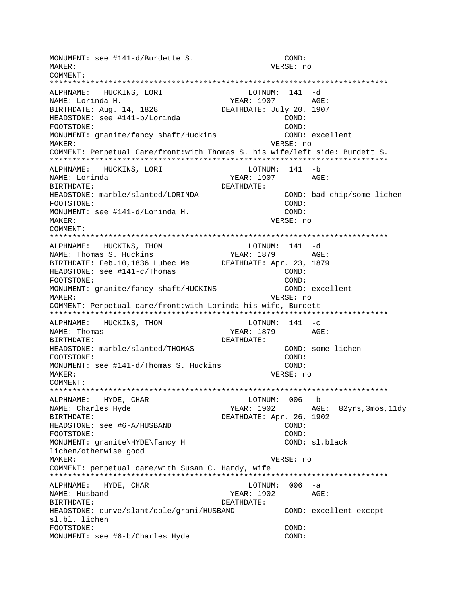MONUMENT: see #141-d/Burdette S. COND: MAKER: VERSE: no COMMENT: LOTNUM: 141 -d ALPHNAME: HUCKINS, LORI NAME: Lorinda H. YEAR: 1907 AGE: BIRTHDATE: Aug. 14, 1828 DEATHDATE: July 20, 1907 HEADSTONE: see #141-b/Lorinda COND: COND: FOOTSTONE: MONUMENT: granite/fancy shaft/Huckins COND: excellent MAKER: VERSE: no COMMENT: Perpetual Care/front:with Thomas S. his wife/left side: Burdett S. ALPHNAME: HUCKINS, LORI LOTNUM: 141 -b NAME: Lorinda YEAR: 1907 AGE: BIRTHDATE: DEATHDATE: HEADSTONE: marble/slanted/LORINDA COND: bad chip/some lichen FOOTSTONE: COND: MONUMENT: see #141-d/Lorinda H. COND: MAKER: VERSE: no COMMENT: ALPHNAME: HUCKINS, THOM LOTNUM: 141 -d YEAR: 1879 AGE: NAME: Thomas S. Huckins BIRTHDATE: Feb.10,1836 Lubec Me DEATHDATE: Apr. 23, 1879 HEADSTONE: see #141-c/Thomas COND: FOOTSTONE: COND: MONUMENT: granite/fancy shaft/HUCKINS COND: excellent VERSE: no MAKER: COMMENT: Perpetual care/front:with Lorinda his wife, Burdett ALPHNAME: HUCKINS, THOM LOTNUM:  $141 - c$ NAME: Thomas YEAR: 1879 AGE: DEATHDATE: BIRTHDATE: HEADSTONE: marble/slanted/THOMAS COND: some lichen  $COND:$ FOOTSTONE: MONUMENT: see #141-d/Thomas S. Huckins COND: VERSE: no MAKER: COMMENT: ALPHNAME: HYDE, CHAR LOTNUM: 006 -b YEAR: 1902 AGE: 82yrs, 3mos, 11dy NAME: Charles Hyde DEATHDATE: Apr. 26, 1902 BIRTHDATE: HEADSTONE: see #6-A/HUSBAND COND: FOOTSTONE: COND: MONUMENT: granite\HYDE\fancy H COND: sl.black lichen/otherwise good MAKER: VERSE: no COMMENT: perpetual care/with Susan C. Hardy, wife ALPHNAME: HYDE, CHAR LOTNUM: 006 -a NAME: Husband YEAR: 1902 AGE: DEATHDATE: BIRTHDATE: HEADSTONE: curve/slant/dble/grani/HUSBAND COND: excellent except sl.bl. lichen FOOTSTONE:  $COND:$ MONUMENT: see #6-b/Charles Hyde COND: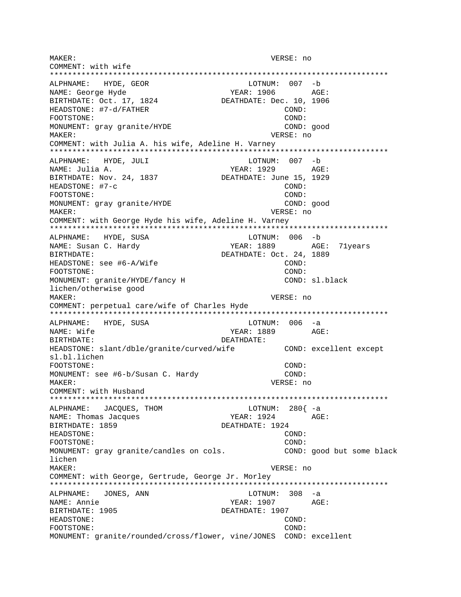MAKER: VERSE: no COMMENT: with wife \*\*\*\*\*\*\*\*\*\*\*\*\*\*\*\*\*\*\*\*\*\*\*\*\*\*\*\*\*\*\*\*\*\*\*\*\*\*\*\*\*\*\*\*\*\*\*\*\*\*\*\*\*\*\*\*\*\*\*\*\*\*\*\*\*\*\*\*\*\*\*\*\*\*\* ALPHNAME: HYDE, GEOR LOTNUM: 007 -b NAME: George Hyde  $YEAR: 1906$  AGE: BIRTHDATE: Oct. 17, 1824 DEATHDATE: Dec. 10, 1906 HEADSTONE: #7-d/FATHER COND: FOOTSTONE: COND: MONUMENT: gray granite/HYDE COND: good MAKER: VERSE: no COMMENT: with Julia A. his wife, Adeline H. Varney \*\*\*\*\*\*\*\*\*\*\*\*\*\*\*\*\*\*\*\*\*\*\*\*\*\*\*\*\*\*\*\*\*\*\*\*\*\*\*\*\*\*\*\*\*\*\*\*\*\*\*\*\*\*\*\*\*\*\*\*\*\*\*\*\*\*\*\*\*\*\*\*\*\*\* ALPHNAME: HYDE, JULI LOTNUM: 007 -b NAME: Julia A.  $YEAR: 1929$  AGE: BIRTHDATE: Nov. 24, 1837 DEATHDATE: June 15, 1929 HEADSTONE: #7-c COND: FOOTSTONE: COND: MONUMENT: gray granite/HYDE COND: good MAKER: VERSE: no COMMENT: with George Hyde his wife, Adeline H. Varney \*\*\*\*\*\*\*\*\*\*\*\*\*\*\*\*\*\*\*\*\*\*\*\*\*\*\*\*\*\*\*\*\*\*\*\*\*\*\*\*\*\*\*\*\*\*\*\*\*\*\*\*\*\*\*\*\*\*\*\*\*\*\*\*\*\*\*\*\*\*\*\*\*\*\* ALPHNAME: HYDE, SUSA NAME: Susan C. Hardy The Most C. YEAR: 1889 AGE: 71years BIRTHDATE: 0ct. 24, 1889 HEADSTONE: see #6-A/Wife COND: FOOTSTONE: COND: MONUMENT: granite/HYDE/fancy H COND: sl.black lichen/otherwise good MAKER: VERSE: no COMMENT: perpetual care/wife of Charles Hyde \*\*\*\*\*\*\*\*\*\*\*\*\*\*\*\*\*\*\*\*\*\*\*\*\*\*\*\*\*\*\*\*\*\*\*\*\*\*\*\*\*\*\*\*\*\*\*\*\*\*\*\*\*\*\*\*\*\*\*\*\*\*\*\*\*\*\*\*\*\*\*\*\*\*\* ALPHNAME: HYDE, SUSA NAME: Wife  $YER: 1889$  AGE: BIRTHDATE: DEATHDATE: HEADSTONE: slant/dble/granite/curved/wife COND: excellent except sl.bl.lichen FOOTSTONE: COND: MONUMENT: see #6-b/Susan C. Hardy COND: COND: MAKER: VERSE: no COMMENT: with Husband \*\*\*\*\*\*\*\*\*\*\*\*\*\*\*\*\*\*\*\*\*\*\*\*\*\*\*\*\*\*\*\*\*\*\*\*\*\*\*\*\*\*\*\*\*\*\*\*\*\*\*\*\*\*\*\*\*\*\*\*\*\*\*\*\*\*\*\*\*\*\*\*\*\*\* ALPHNAME: JACQUES, THOM NAME: Thomas Jacques YEAR: 1924 AGE: BIRTHDATE: 1859 DEATHDATE: 1924 HEADSTONE: COND: FOOTSTONE: COND: MONUMENT: gray granite/candles on cols. COND: good but some black lichen MAKER: VERSE: no COMMENT: with George, Gertrude, George Jr. Morley \*\*\*\*\*\*\*\*\*\*\*\*\*\*\*\*\*\*\*\*\*\*\*\*\*\*\*\*\*\*\*\*\*\*\*\*\*\*\*\*\*\*\*\*\*\*\*\*\*\*\*\*\*\*\*\*\*\*\*\*\*\*\*\*\*\*\*\*\*\*\*\*\*\*\* ALPHNAME: JONES, ANN LOTNUM: 308 -a NAME: Annie YEAR: 1907 AGE: BIRTHDATE: 1905 DEATHDATE: 1907 HEADSTONE: COND: FOOTSTONE: COND: MONUMENT: granite/rounded/cross/flower, vine/JONES COND: excellent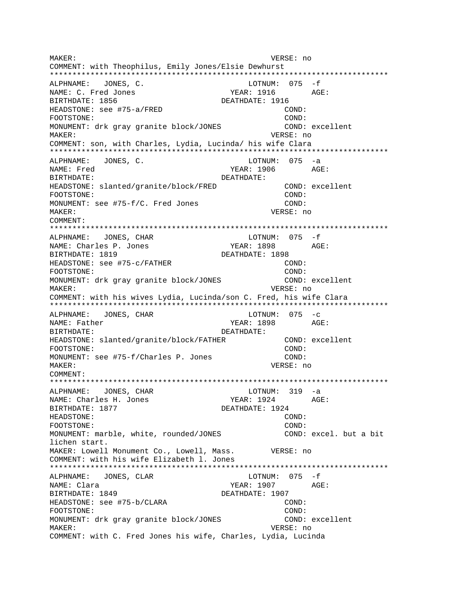VERSE: no MAKER: COMMENT: with Theophilus, Emily Jones/Elsie Dewhurst LOTNUM:  $075 - f$ ALPHNAME: JONES, C. NAME: C. Fred Jones BIRTHDATE: 1856 DEATHDATE: 1916 HEADSTONE: see #75-a/FRED COND: FOOTSTONE: COND: MONUMENT: drk qray qranite block/JONES COND: excellent MAKER: VERSE: no COMMENT: son, with Charles, Lydia, Lucinda/ his wife Clara ALPHNAME: JONES, C. LOTNUM: 075 -a NAME: Fred  $YEAR: 1906$   $AGE:$ BIRTHDATE: DEATHDATE: COND: excellent HEADSTONE: slanted/granite/block/FRED COND: FOOTSTONE: MONUMENT: see #75-f/C. Fred Jones COND: MAKER: VERSE: no COMMENT: ALPHNAME: JONES, CHAR  $LOTNUM: 075 - f$ NAME: Charles P. Jones YEAR: 1898  $AGE$ : BIRTHDATE: 1819 DEATHDATE: 1898  $COND:$ HEADSTONE: see #75-c/FATHER FOOTSTONE: COND: COND: excellent MONUMENT: drk qray qranite block/JONES MAKER: VERSE: no COMMENT: with his wives Lydia, Lucinda/son C. Fred, his wife Clara LOTNUM:  $075 -c$ ALPHNAME: JONES, CHAR YEAR: 1898 NAME: Father AGE: BIRTHDATE: DEATHDATE: HEADSTONE: slanted/granite/block/FATHER COND: excellent COND: FOOTSTONE: MONUMENT: see #75-f/Charles P. Jones COND: MAKER: VERSE: no COMMENT:  $LOTNUM: 319 -a$ ALPHNAME: JONES, CHAR NAME: Charles H. Jones YEAR: 1924 AGE: BIRTHDATE: 1877 DEATHDATE: 1924 HEADSTONE:  $COMD:$ FOOTSTONE: COND: MONUMENT: marble, white, rounded/JONES COND: excel. but a bit lichen start. MAKER: Lowell Monument Co., Lowell, Mass. VERSE: no COMMENT: with his wife Elizabeth 1. Jones LOTNUM:  $075 - f$ ALPHNAME: JONES, CLAR NAME: Clara YEAR: 1907 AGE: BIRTHDATE: 1849 DEATHDATE: 1907 COND: HEADSTONE: see #75-b/CLARA FOOTSTONE: COND: MONUMENT: drk gray granite block/JONES COND: excellent MAKER: VERSE: no COMMENT: with C. Fred Jones his wife, Charles, Lydia, Lucinda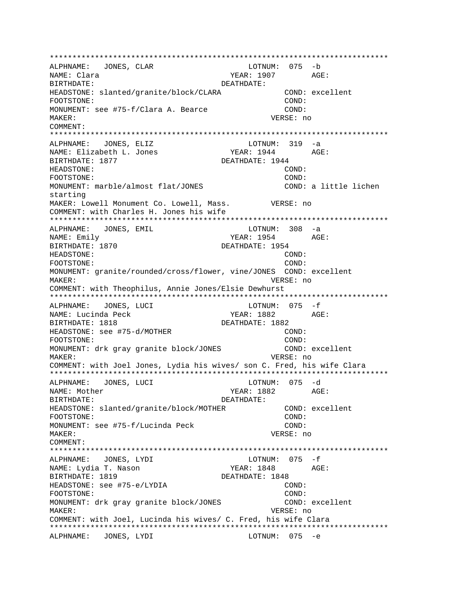\*\*\*\*\*\*\*\*\*\*\*\*\*\*\*\*\*\*\*\*\*\*\*\*\*\*\*\*\*\*\*\*\*\*\*\*\*\*\*\*\*\*\*\*\*\*\*\*\*\*\*\*\*\*\*\*\*\*\*\*\*\*\*\*\*\*\*\*\*\*\*\*\*\*\* ALPHNAME: JONES, CLAR NAME: Clara YEAR: 1907 AGE: BIRTHDATE: DEATHDATE: HEADSTONE: slanted/granite/block/CLARA COND: excellent FOOTSTONE: COND: MONUMENT: see #75-f/Clara A. Bearce COND: MAKER: VERSE: no COMMENT: \*\*\*\*\*\*\*\*\*\*\*\*\*\*\*\*\*\*\*\*\*\*\*\*\*\*\*\*\*\*\*\*\*\*\*\*\*\*\*\*\*\*\*\*\*\*\*\*\*\*\*\*\*\*\*\*\*\*\*\*\*\*\*\*\*\*\*\*\*\*\*\*\*\*\* ALPHNAME: JONES, ELIZ LOTNUM: 319 -a NAME: Elizabeth L. Jones YEAR: 1944 AGE: BIRTHDATE: 1877 DEATHDATE: 1944 HEADSTONE: COND: FOOTSTONE: COND: MONUMENT: marble/almost flat/JONES COND: a little lichen starting MAKER: Lowell Monument Co. Lowell, Mass. VERSE: no COMMENT: with Charles H. Jones his wife \*\*\*\*\*\*\*\*\*\*\*\*\*\*\*\*\*\*\*\*\*\*\*\*\*\*\*\*\*\*\*\*\*\*\*\*\*\*\*\*\*\*\*\*\*\*\*\*\*\*\*\*\*\*\*\*\*\*\*\*\*\*\*\*\*\*\*\*\*\*\*\*\*\*\* ALPHNAME: JONES, EMIL CHANNE LOTNUM: 308 -a NAME: Emily **NAME:** Emily **AGE:** 2954 AGE: BIRTHDATE: 1870 DEATHDATE: 1954 HEADSTONE: COND: FOOTSTONE: COND: MONUMENT: granite/rounded/cross/flower, vine/JONES COND: excellent MAKER: VERSE: no COMMENT: with Theophilus, Annie Jones/Elsie Dewhurst \*\*\*\*\*\*\*\*\*\*\*\*\*\*\*\*\*\*\*\*\*\*\*\*\*\*\*\*\*\*\*\*\*\*\*\*\*\*\*\*\*\*\*\*\*\*\*\*\*\*\*\*\*\*\*\*\*\*\*\*\*\*\*\*\*\*\*\*\*\*\*\*\*\*\* ALPHNAME: JONES, LUCI NAME: Lucinda Peck  $YEAR: 1882$  AGE: BIRTHDATE: 1818 DEATHDATE: 1882 HEADSTONE: see #75-d/MOTHER COND: FOOTSTONE: COND: MONUMENT: drk gray granite block/JONES COND: excellent MAKER: VERSE: no COMMENT: with Joel Jones, Lydia his wives/ son C. Fred, his wife Clara \*\*\*\*\*\*\*\*\*\*\*\*\*\*\*\*\*\*\*\*\*\*\*\*\*\*\*\*\*\*\*\*\*\*\*\*\*\*\*\*\*\*\*\*\*\*\*\*\*\*\*\*\*\*\*\*\*\*\*\*\*\*\*\*\*\*\*\*\*\*\*\*\*\*\* ALPHNAME: JONES, LUCI NAME: Mother  $YEAR: 1882$  AGE: BIRTHDATE: DEATHDATE: HEADSTONE: slanted/granite/block/MOTHER COND: excellent FOOTSTONE: COND: MONUMENT: see #75-f/Lucinda Peck COND: MAKER: VERSE: no COMMENT: \*\*\*\*\*\*\*\*\*\*\*\*\*\*\*\*\*\*\*\*\*\*\*\*\*\*\*\*\*\*\*\*\*\*\*\*\*\*\*\*\*\*\*\*\*\*\*\*\*\*\*\*\*\*\*\*\*\*\*\*\*\*\*\*\*\*\*\*\*\*\*\*\*\*\* ALPHNAME: JONES, LYDI NAME: Lydia T. Nason  $YEAR: 1848$  AGE: BIRTHDATE: 1819 DEATHDATE: 1848 HEADSTONE: see #75-e/LYDIA COND: FOOTSTONE: COND: MONUMENT: drk gray granite block/JONES COND: excellent MAKER: VERSE: no COMMENT: with Joel, Lucinda his wives/ C. Fred, his wife Clara \*\*\*\*\*\*\*\*\*\*\*\*\*\*\*\*\*\*\*\*\*\*\*\*\*\*\*\*\*\*\*\*\*\*\*\*\*\*\*\*\*\*\*\*\*\*\*\*\*\*\*\*\*\*\*\*\*\*\*\*\*\*\*\*\*\*\*\*\*\*\*\*\*\*\* ALPHNAME: JONES, LYDI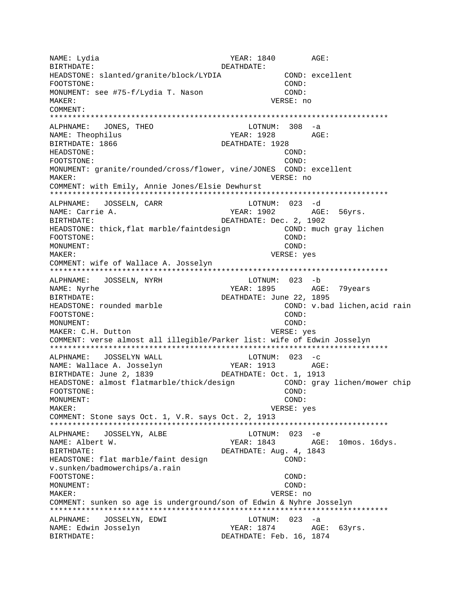NAME: Lydia YEAR: 1840 AGE: BIRTHDATE: DEATHDATE: HEADSTONE: slanted/granite/block/LYDIA COND: excellent FOOTSTONE: COND: MONUMENT: see #75-f/Lydia T. Nason COND: MAKER: VERSE: no COMMENT: LOTNUM:  $308 - a$ ALPHNAME: JONES, THEO NAME: Theophilus YEAR: 1928 AGE: BIRTHDATE: 1866 DEATHDATE: 1928 HEADSTONE: COND: FOOTSTONE: COND: MONUMENT: granite/rounded/cross/flower, vine/JONES COND: excellent MAKER: VERSE: no COMMENT: with Emily, Annie Jones/Elsie Dewhurst ALPHNAME: JOSSELN, CARR LOTNUM: 023 -d YEAR: 1902 AGE: 56yrs. NAME: Carrie A. DEATHDATE: Dec. 2, 1902 BIRTHDATE: HEADSTONE: thick, flat marble/faintdesign COND: much gray lichen COND: FOOTSTONE: MONUMENT: COND: MAKER: VERSE: yes COMMENT: wife of Wallace A. Josselyn LOTNUM: 023 -b ALPHNAME: JOSSELN, NYRH YEAR: 1895 AGE: 79years NAME: Nyrhe DEATHDATE: June 22, 1895 BIRTHDATE: HEADSTONE: rounded marble COND: v.bad lichen, acid rain COND: FOOTSTONE: MONUMENT: COND: MAKER: C.H. Dutton VERSE: yes COMMENT: verse almost all illegible/Parker list: wife of Edwin Josselyn LOTNUM:  $023 - c$ ALPHNAME: JOSSELYN WALL YEAR: 1913 AGE: NAME: Wallace A. Josselyn DEATHDATE: Oct. 1, 1913 BIRTHDATE: June 2, 1839 HEADSTONE: almost flatmarble/thick/design COND: gray lichen/mower chip FOOTSTONE: COND: MONUMENT: COND: MAKER: VERSE: yes COMMENT: Stone says Oct. 1, V.R. says Oct. 2, 1913 ALPHNAME: JOSSELYN, ALBE LOTNUM: 023 -e YEAR: 1843 NAME: Albert W. AGE: 10mos. 16dys. DEATHDATE: Aug. 4, 1843 BIRTHDATE: HEADSTONE: flat marble/faint design COND: v.sunken/badmowerchips/a.rain FOOTSTONE: COND: MONUMENT: COND: MAKER: VERSE: no COMMENT: sunken so age is underground/son of Edwin & Nyhre Josselyn ALPHNAME: JOSSELYN, EDWI LOTNUM: 023 -a YEAR: 1874 AGE: 63yrs. NAME: Edwin Josselyn DEATHDATE: Feb. 16, 1874 BIRTHDATE: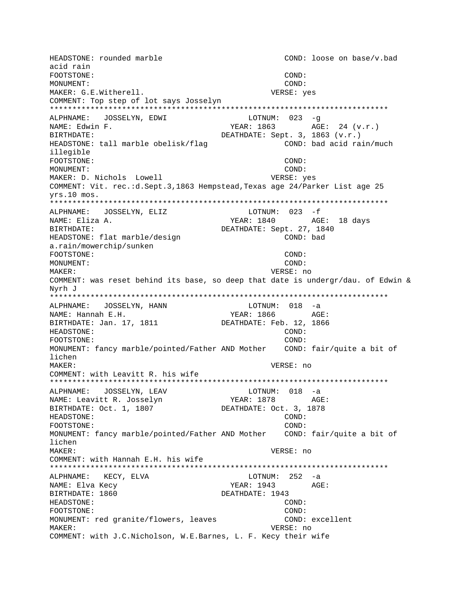HEADSTONE: rounded marble COND: loose on base/v.bad acid rain FOOTSTONE: COND: MONUMENT: COND: MAKER: G.E.Witherell. VERSE: yes COMMENT: Top step of lot says Josselyn \*\*\*\*\*\*\*\*\*\*\*\*\*\*\*\*\*\*\*\*\*\*\*\*\*\*\*\*\*\*\*\*\*\*\*\*\*\*\*\*\*\*\*\*\*\*\*\*\*\*\*\*\*\*\*\*\*\*\*\*\*\*\*\*\*\*\*\*\*\*\*\*\*\*\* ALPHNAME: JOSSELYN, EDWI LOTNUM: 023 -g NAME: Edwin F. The Communication of the YEAR: 1863 BIRTHDATE: DEATHDATE: Sept. 3, 1863 (v.r.) HEADSTONE: tall marble obelisk/flag COND: bad acid rain/much illegible FOOTSTONE: COND: MONUMENT: COND: MAKER: D. Nichols Lowell VERSE: yes COMMENT: Vit. rec.:d.Sept.3,1863 Hempstead,Texas age 24/Parker List age 25 yrs.10 mos. \*\*\*\*\*\*\*\*\*\*\*\*\*\*\*\*\*\*\*\*\*\*\*\*\*\*\*\*\*\*\*\*\*\*\*\*\*\*\*\*\*\*\*\*\*\*\*\*\*\*\*\*\*\*\*\*\*\*\*\*\*\*\*\*\*\*\*\*\*\*\*\*\*\*\* ALPHNAME: JOSSELYN, ELIZ NAME: Eliza A. YEAR: 1840 AGE: 18 days BIRTHDATE: DEATHDATE: Sept. 27, 1840 HEADSTONE: flat marble/design COND: bad a.rain/mowerchip/sunken FOOTSTONE: COND: MONUMENT: COND: MAKER: VERSE: no COMMENT: was reset behind its base, so deep that date is undergr/dau. of Edwin & Nyrh J \*\*\*\*\*\*\*\*\*\*\*\*\*\*\*\*\*\*\*\*\*\*\*\*\*\*\*\*\*\*\*\*\*\*\*\*\*\*\*\*\*\*\*\*\*\*\*\*\*\*\*\*\*\*\*\*\*\*\*\*\*\*\*\*\*\*\*\*\*\*\*\*\*\*\* ALPHNAME: JOSSELYN, HANN NAME: Hannah E.H. YEAR: 1866 AGE: BIRTHDATE: Jan. 17, 1811 DEATHDATE: Feb. 12, 1866 HEADSTONE: COND: FOOTSTONE: COND: MONUMENT: fancy marble/pointed/Father AND Mother COND: fair/quite a bit of lichen MAKER: VERSE: no COMMENT: with Leavitt R. his wife \*\*\*\*\*\*\*\*\*\*\*\*\*\*\*\*\*\*\*\*\*\*\*\*\*\*\*\*\*\*\*\*\*\*\*\*\*\*\*\*\*\*\*\*\*\*\*\*\*\*\*\*\*\*\*\*\*\*\*\*\*\*\*\*\*\*\*\*\*\*\*\*\*\*\* ALPHNAME: JOSSELYN, LEAV NAME: Leavitt R. Josselyn YEAR: 1878 AGE: BIRTHDATE: Oct. 1, 1807 DEATHDATE: Oct. 3, 1878 HEADSTONE: COND: FOOTSTONE: COND: MONUMENT: fancy marble/pointed/Father AND Mother COND: fair/quite a bit of lichen MAKER: VERSE: no COMMENT: with Hannah E.H. his wife \*\*\*\*\*\*\*\*\*\*\*\*\*\*\*\*\*\*\*\*\*\*\*\*\*\*\*\*\*\*\*\*\*\*\*\*\*\*\*\*\*\*\*\*\*\*\*\*\*\*\*\*\*\*\*\*\*\*\*\*\*\*\*\*\*\*\*\*\*\*\*\*\*\*\* ALPHNAME: KECY, ELVA NAME: Elva Kecy  $YEAR: 1943$  AGE: BIRTHDATE: 1860 DEATHDATE: 1943 HEADSTONE: COND: FOOTSTONE: COND: MONUMENT: red granite/flowers, leaves COND: excellent MAKER: VERSE: no COMMENT: with J.C.Nicholson, W.E.Barnes, L. F. Kecy their wife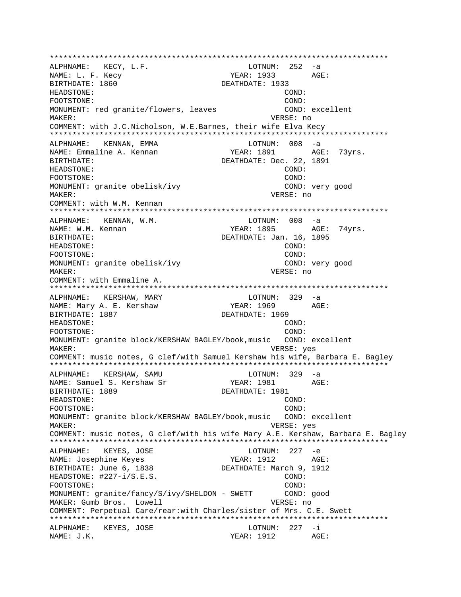\*\*\*\*\*\*\*\*\*\*\*\*\*\*\*\*\*\*\*\*\*\*\*\*\*\*\*\*\*\*\*\*\*\*\*\*\*\*\*\*\*\*\*\*\*\*\*\*\*\*\*\*\*\*\*\*\*\*\*\*\*\*\*\*\*\*\*\*\*\*\*\*\*\*\* ALPHNAME: KECY, L.F.<br>NAME: L. F. Kecy  $YEAR: 1933$   $AGE:$ BIRTHDATE: 1860 DEATHDATE: 1933 HEADSTONE: COND: FOOTSTONE: COND: MONUMENT: red granite/flowers, leaves COND: excellent MAKER: VERSE: no COMMENT: with J.C.Nicholson, W.E.Barnes, their wife Elva Kecy \*\*\*\*\*\*\*\*\*\*\*\*\*\*\*\*\*\*\*\*\*\*\*\*\*\*\*\*\*\*\*\*\*\*\*\*\*\*\*\*\*\*\*\*\*\*\*\*\*\*\*\*\*\*\*\*\*\*\*\*\*\*\*\*\*\*\*\*\*\*\*\*\*\*\* ALPHNAME: KENNAN, EMMA LOTNUM: 008 -a NAME: Emmaline A. Kennan YEAR: 1891 AGE: 73yrs. BIRTHDATE: Dec. 22, 1891 HEADSTONE: COND: FOOTSTONE: COND: MONUMENT: granite obelisk/ivy COND: very good MAKER: VERSE: no COMMENT: with W.M. Kennan \*\*\*\*\*\*\*\*\*\*\*\*\*\*\*\*\*\*\*\*\*\*\*\*\*\*\*\*\*\*\*\*\*\*\*\*\*\*\*\*\*\*\*\*\*\*\*\*\*\*\*\*\*\*\*\*\*\*\*\*\*\*\*\*\*\*\*\*\*\*\*\*\*\*\* ALPHNAME: KENNAN, W.M. NAME: W.M. Kennan Termin Ageleric Music Steak: 1895 AGE: 74yrs. BIRTHDATE: DEATHDATE: Jan. 16, 1895 HEADSTONE: COND: FOOTSTONE: COND: MONUMENT: granite obelisk/ivy COND: very good MAKER: VERSE: no COMMENT: with Emmaline A. \*\*\*\*\*\*\*\*\*\*\*\*\*\*\*\*\*\*\*\*\*\*\*\*\*\*\*\*\*\*\*\*\*\*\*\*\*\*\*\*\*\*\*\*\*\*\*\*\*\*\*\*\*\*\*\*\*\*\*\*\*\*\*\*\*\*\*\*\*\*\*\*\*\*\* ALPHNAME: KERSHAW, MARY LOTNUM: 329 -a NAME: Mary A. E. Kershaw YEAR: 1969 AGE: BIRTHDATE: 1887 DEATHDATE: 1969 HEADSTONE: COND: FOOTSTONE: COND: COND: MONUMENT: granite block/KERSHAW BAGLEY/book,music COND: excellent MAKER: VERSE: yes COMMENT: music notes, G clef/with Samuel Kershaw his wife, Barbara E. Bagley \*\*\*\*\*\*\*\*\*\*\*\*\*\*\*\*\*\*\*\*\*\*\*\*\*\*\*\*\*\*\*\*\*\*\*\*\*\*\*\*\*\*\*\*\*\*\*\*\*\*\*\*\*\*\*\*\*\*\*\*\*\*\*\*\*\*\*\*\*\*\*\*\*\*\* ALPHNAME: KERSHAW, SAMU LOTNUM: 329 -a NAME: Samuel S. Kershaw Sr YEAR: 1981 BIRTHDATE: 1889 DEATHDATE: 1981 HEADSTONE: COND: FOOTSTONE: COND: MONUMENT: granite block/KERSHAW BAGLEY/book,music COND: excellent MAKER: VERSE: yes COMMENT: music notes, G clef/with his wife Mary A.E. Kershaw, Barbara E. Bagley \*\*\*\*\*\*\*\*\*\*\*\*\*\*\*\*\*\*\*\*\*\*\*\*\*\*\*\*\*\*\*\*\*\*\*\*\*\*\*\*\*\*\*\*\*\*\*\*\*\*\*\*\*\*\*\*\*\*\*\*\*\*\*\*\*\*\*\*\*\*\*\*\*\*\* ALPHNAME: KEYES, JOSE LOTNUM: 227 -e NAME: Josephine Keyes YEAR: 1912 AGE: BIRTHDATE: June 6, 1838 DEATHDATE: March 9, 1912 HEADSTONE:  $\#227 - i/S.E.S.$  COND: FOOTSTONE: COND: MONUMENT: granite/fancy/S/ivy/SHELDON - SWETT COND: good MAKER: Gumb Bros. Lowell **VERSE:** no COMMENT: Perpetual Care/rear:with Charles/sister of Mrs. C.E. Swett \*\*\*\*\*\*\*\*\*\*\*\*\*\*\*\*\*\*\*\*\*\*\*\*\*\*\*\*\*\*\*\*\*\*\*\*\*\*\*\*\*\*\*\*\*\*\*\*\*\*\*\*\*\*\*\*\*\*\*\*\*\*\*\*\*\*\*\*\*\*\*\*\*\*\* ALPHNAME: KEYES, JOSE LOTNUM: 227 -i NAME: J.K. YEAR: 1912 AGE: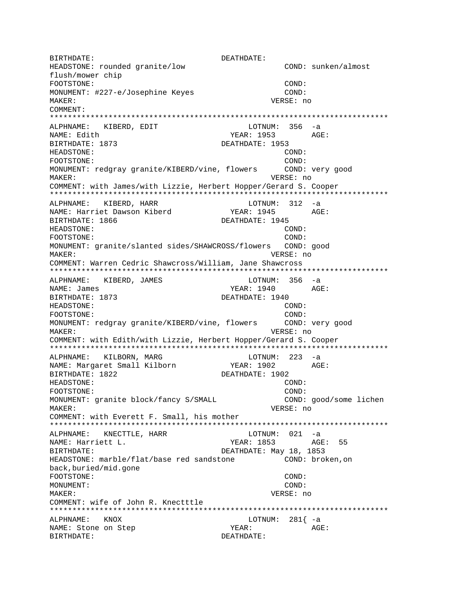BIRTHDATE: DEATHDATE: COND: sunken/almost HEADSTONE: rounded granite/low flush/mower chip FOOTSTONE: COND: MONUMENT: #227-e/Josephine Keyes COND: MAKER: VERSE: no COMMENT: ALPHNAME: KIBERD, EDIT LOTNUM: 356 -a NAME: Edith YEAR: 1953 AGE: BIRTHDATE: 1873 DEATHDATE: 1953 HEADSTONE: COND:  $COND:$ FOOTSTONE: MONUMENT: redgray granite/KIBERD/vine, flowers COND: very good VERSE: no MAKER: COMMENT: with James/with Lizzie, Herbert Hopper/Gerard S. Cooper ALPHNAME: KIBERD, HARR  $LOTNUM: 312 -a$ YEAR: 1945 AGE: NAME: Harriet Dawson Kiberd DEATHDATE: 1945 BIRTHDATE: 1866 HEADSTONE:  $COMD:$ FOOTSTONE:  $COMD:$ MONUMENT: granite/slanted sides/SHAWCROSS/flowers COND: good MAKER: VERSE: no COMMENT: Warren Cedric Shawcross/William, Jane Shawcross ALPHNAME: KIBERD, JAMES LOTNUM: 356 -a NAME: James YEAR: 1940 AGE: BIRTHDATE: 1873 DEATHDATE: 1940 HEADSTONE:  $COMD:$ FOOTSTONE:  $COMD$ : COND: very good MONUMENT: redgray granite/KIBERD/vine, flowers MAKER: VERSE: no COMMENT: with Edith/with Lizzie, Herbert Hopper/Gerard S. Cooper ALPHNAME: KILBORN, MARG  $LOTNUM: 223 -a$ YEAR: 1902 AGE: NAME: Margaret Small Kilborn DEATHDATE: 1902 BIRTHDATE: 1822 HEADSTONE: COND: FOOTSTONE: COND: MONUMENT: granite block/fancy S/SMALL COND: good/some lichen MAKER: VERSE: no COMMENT: with Everett F. Small, his mother ALPHNAME: KNECTTLE, HARR LOTNUM: 021 -a NAME: Harriett L. YEAR: 1853 AGE: 55 DEATHDATE: May 18, 1853 BIRTHDATE: HEADSTONE: marble/flat/base red sandstone COND: broken, on back, buried/mid.gone FOOTSTONE:  $COND:$ MONUMENT: COND: MAKER: VERSE: no COMMENT: wife of John R. Knectttle LOTNUM:  $281\begin{cases} -a \end{cases}$ ALPHNAME: KNOX YEAR: NAME: Stone on Step AGE: BIRTHDATE: DEATHDATE: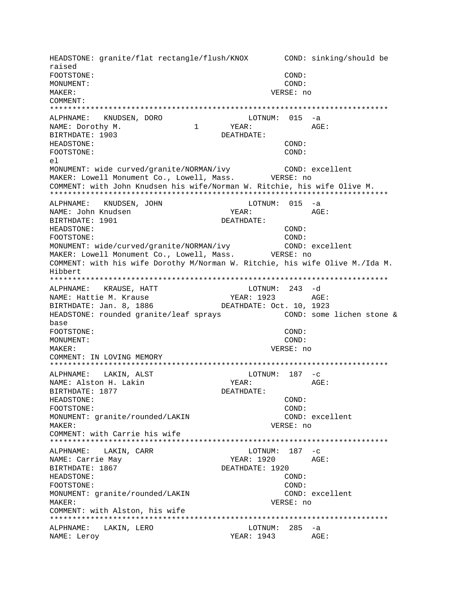HEADSTONE: granite/flat rectangle/flush/KNOX COND: sinking/should be raised FOOTSTONE: COND: MONUMENT: COND: MAKER: VERSE: no COMMENT: ALPHNAME: KNUDSEN, DORO LOTNUM: 015 -a  $\mathbf{1}$ YEAR: AGE: NAME: Dorothy M. DEATHDATE: BIRTHDATE: 1903 HEADSTONE: COND: FOOTSTONE: COND:  $e1$ MONUMENT: wide curved/granite/NORMAN/ivy COND: excellent MAKER: Lowell Monument Co., Lowell, Mass. WERSE: no COMMENT: with John Knudsen his wife/Norman W. Ritchie, his wife Olive M. ALPHNAME: KNUDSEN, JOHN  $LOTNUM: 015 -a$ YEAR: AGE: NAME: John Knudsen DEATHDATE: BIRTHDATE: 1901 HEADSTONE:  $COMD:$ FOOTSTONE: COND: MONUMENT: wide/curved/granite/NORMAN/ivy COND: excellent MAKER: Lowell Monument Co., Lowell, Mass. VERSE: no COMMENT: with his wife Dorothy M/Norman W. Ritchie, his wife Olive M./Ida M. Hibbert ALPHNAME: KRAUSE, HATT LOTNUM: 243 -d NAME: Hattie M. Krause YEAR: 1923 AGE: BIRTHDATE: Jan. 8, 1886 DEATHDATE: Oct. 10, 1923 HEADSTONE: rounded granite/leaf sprays COND: some lichen stone & base FOOTSTONE: COND: MONUMENT: COND: MAKER: VERSE: no COMMENT: IN LOVING MEMORY LOTNUM:  $187 - c$ ALPHNAME: LAKIN, ALST NAME: Alston H. Lakin YEAR: AGE: BIRTHDATE: 1877 DEATHDATE: HEADSTONE: COND: FOOTSTONE: COND: MONUMENT: granite/rounded/LAKIN COND: excellent MAKER: VERSE: no COMMENT: with Carrie his wife ALPHNAME: LAKIN, CARR LOTNUM:  $187 - c$ NAME: Carrie May YEAR: 1920 AGE: BIRTHDATE: 1867 DEATHDATE: 1920 HEADSTONE: COND: FOOTSTONE: COND: MONUMENT: granite/rounded/LAKIN COND: excellent VERSE: no MAKER: COMMENT: with Alston, his wife ALPHNAME: LAKIN, LERO LOTNUM: 285 -a NAME: Leroy YEAR: 1943 AGE: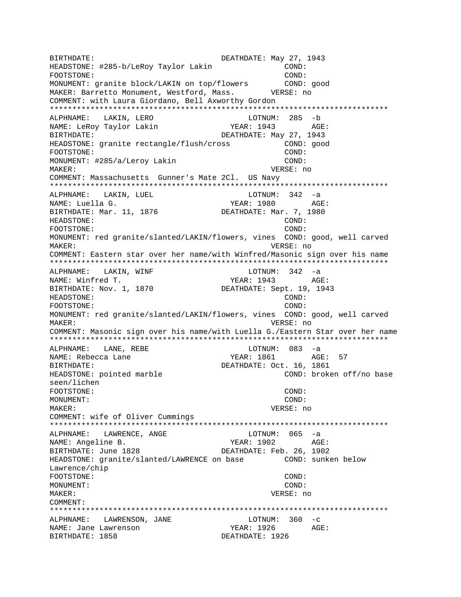BIRTHDATE: DEATHDATE: May 27, 1943 HEADSTONE: #285-b/LeRoy Taylor Lakin COND: FOOTSTONE: COND: MONUMENT: granite block/LAKIN on top/flowers COND: good MAKER: Barretto Monument, Westford, Mass. VERSE: no COMMENT: with Laura Giordano, Bell Axworthy Gordon \*\*\*\*\*\*\*\*\*\*\*\*\*\*\*\*\*\*\*\*\*\*\*\*\*\*\*\*\*\*\*\*\*\*\*\*\*\*\*\*\*\*\*\*\*\*\*\*\*\*\*\*\*\*\*\*\*\*\*\*\*\*\*\*\*\*\*\*\*\*\*\*\*\*\* ALPHNAME: LAKIN, LERO LOTNUM: 285 -b NAME: LeRoy Taylor Lakin YEAR: 1943 AGE: BIRTHDATE: DEATHDATE: May 27, 1943 HEADSTONE: granite rectangle/flush/cross COND: good FOOTSTONE: COND: MONUMENT: #285/a/Leroy Lakin COND: COND: MAKER: VERSE: no COMMENT: Massachusetts Gunner's Mate 2Cl. US Navy \*\*\*\*\*\*\*\*\*\*\*\*\*\*\*\*\*\*\*\*\*\*\*\*\*\*\*\*\*\*\*\*\*\*\*\*\*\*\*\*\*\*\*\*\*\*\*\*\*\*\*\*\*\*\*\*\*\*\*\*\*\*\*\*\*\*\*\*\*\*\*\*\*\*\* ALPHNAME: LAKIN, LUEL NAME: Luella G. The Mass of the Magnus of the Magnus of the Magnus of the Magnus of the Magnus of the Magnus of the Magnus of the Magnus of the Magnus of the Magnus of the Magnus of the Magnus of the Magnus of the Magnus o BIRTHDATE: Mar. 11, 1876 DEATHDATE: Mar. 7, 1980 HEADSTONE: COND: FOOTSTONE: COND: MONUMENT: red granite/slanted/LAKIN/flowers, vines COND: good, well carved MAKER: VERSE: no COMMENT: Eastern star over her name/with Winfred/Masonic sign over his name \*\*\*\*\*\*\*\*\*\*\*\*\*\*\*\*\*\*\*\*\*\*\*\*\*\*\*\*\*\*\*\*\*\*\*\*\*\*\*\*\*\*\*\*\*\*\*\*\*\*\*\*\*\*\*\*\*\*\*\*\*\*\*\*\*\*\*\*\*\*\*\*\*\*\* ALPHNAME: LAKIN, WINF **LOTNUM: 342** -a NAME: Winfred T. YEAR: 1943 AGE: BIRTHDATE: Nov. 1, 1870 DEATHDATE: Sept. 19, 1943 HEADSTONE: COND: FOOTSTONE: COND: MONUMENT: red granite/slanted/LAKIN/flowers, vines COND: good, well carved MAKER: VERSE: no COMMENT: Masonic sign over his name/with Luella G./Eastern Star over her name \*\*\*\*\*\*\*\*\*\*\*\*\*\*\*\*\*\*\*\*\*\*\*\*\*\*\*\*\*\*\*\*\*\*\*\*\*\*\*\*\*\*\*\*\*\*\*\*\*\*\*\*\*\*\*\*\*\*\*\*\*\*\*\*\*\*\*\*\*\*\*\*\*\*\* ALPHNAME: LANE, REBE LOTNUM: 083 -a NAME: Rebecca Lane YEAR: 1861 AGE: 57 BIRTHDATE: 0ct. 16, 1861 HEADSTONE: pointed marble  $\sim$  COND: broken off/no base seen/lichen FOOTSTONE: COND: MONUMENT: COND: MAKER: VERSE: no COMMENT: wife of Oliver Cummings \*\*\*\*\*\*\*\*\*\*\*\*\*\*\*\*\*\*\*\*\*\*\*\*\*\*\*\*\*\*\*\*\*\*\*\*\*\*\*\*\*\*\*\*\*\*\*\*\*\*\*\*\*\*\*\*\*\*\*\*\*\*\*\*\*\*\*\*\*\*\*\*\*\*\* ALPHNAME: LAWRENCE, ANGE LOTNUM: 065 -a NAME: Angeline B. The Mass of the MEAR: 1902 AGE: BIRTHDATE: June 1828 DEATHDATE: Feb. 26, 1902 HEADSTONE: granite/slanted/LAWRENCE on base COND: sunken below Lawrence/chip FOOTSTONE: COND: MONUMENT: COND: MAKER: VERSE: no COMMENT: \*\*\*\*\*\*\*\*\*\*\*\*\*\*\*\*\*\*\*\*\*\*\*\*\*\*\*\*\*\*\*\*\*\*\*\*\*\*\*\*\*\*\*\*\*\*\*\*\*\*\*\*\*\*\*\*\*\*\*\*\*\*\*\*\*\*\*\*\*\*\*\*\*\*\* ALPHNAME: LAWRENSON, JANE LOTNUM: 360 -c NAME: Jane Lawrenson YEAR: 1926 AGE: BIRTHDATE: 1858 CHATHORY BEATHDATE: 1926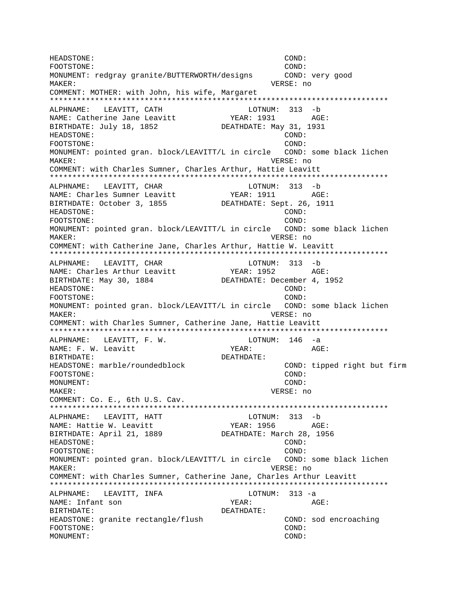HEADSTONE: COND: FOOTSTONE: COND: MONUMENT: redgray granite/BUTTERWORTH/designs COND: very good MAKER: VERSE: no COMMENT: MOTHER: with John, his wife, Margaret \*\*\*\*\*\*\*\*\*\*\*\*\*\*\*\*\*\*\*\*\*\*\*\*\*\*\*\*\*\*\*\*\*\*\*\*\*\*\*\*\*\*\*\*\*\*\*\*\*\*\*\*\*\*\*\*\*\*\*\*\*\*\*\*\*\*\*\*\*\*\*\*\*\*\* ALPHNAME: LEAVITT, CATH CATH LOTNUM: 313 -b NAME: Catherine Jane Leavitt (YEAR: 1931 AGE:<br>BIRTHDATE: July 18, 1852 (DEATHDATE: May 31, 1931 BIRTHDATE: July 18, 1852 HEADSTONE: COND: FOOTSTONE: COND: MONUMENT: pointed gran. block/LEAVITT/L in circle COND: some black lichen MAKER: VERSE: no COMMENT: with Charles Sumner, Charles Arthur, Hattie Leavitt \*\*\*\*\*\*\*\*\*\*\*\*\*\*\*\*\*\*\*\*\*\*\*\*\*\*\*\*\*\*\*\*\*\*\*\*\*\*\*\*\*\*\*\*\*\*\*\*\*\*\*\*\*\*\*\*\*\*\*\*\*\*\*\*\*\*\*\*\*\*\*\*\*\*\* ALPHNAME: LEAVITT, CHAR LOTNUM: 313 -b NAME: Charles Sumner Leavitt YEAR: 1911 AGE: BIRTHDATE: October 3, 1855 DEATHDATE: Sept. 26, 1911 HEADSTONE: COND: FOOTSTONE: COND: MONUMENT: pointed gran. block/LEAVITT/L in circle COND: some black lichen MAKER: VERSE: no COMMENT: with Catherine Jane, Charles Arthur, Hattie W. Leavitt \*\*\*\*\*\*\*\*\*\*\*\*\*\*\*\*\*\*\*\*\*\*\*\*\*\*\*\*\*\*\*\*\*\*\*\*\*\*\*\*\*\*\*\*\*\*\*\*\*\*\*\*\*\*\*\*\*\*\*\*\*\*\*\*\*\*\*\*\*\*\*\*\*\*\* ALPHNAME: LEAVITT, CHAR LOTNUM: 313 -b NAME: Charles Arthur Leavitt Text YEAR: 1952 AGE: BIRTHDATE: May 30, 1884 DEATHDATE: December 4, 1952 HEADSTONE: COND: FOOTSTONE: COND: MONUMENT: pointed gran. block/LEAVITT/L in circle COND: some black lichen MAKER: VERSE: no COMMENT: with Charles Sumner, Catherine Jane, Hattie Leavitt \*\*\*\*\*\*\*\*\*\*\*\*\*\*\*\*\*\*\*\*\*\*\*\*\*\*\*\*\*\*\*\*\*\*\*\*\*\*\*\*\*\*\*\*\*\*\*\*\*\*\*\*\*\*\*\*\*\*\*\*\*\*\*\*\*\*\*\*\*\*\*\*\*\*\* ALPHNAME: LEAVITT, F. W. LOTNUM: 146 -a NAME: F. W. Leavitt **YEAR:** YEAR: AGE: BIRTHDATE: DEATHDATE: HEADSTONE: marble/roundedblock COND: tipped right but firm FOOTSTONE: COND: MONUMENT: COND: MAKER: VERSE: no COMMENT: Co. E., 6th U.S. Cav. \*\*\*\*\*\*\*\*\*\*\*\*\*\*\*\*\*\*\*\*\*\*\*\*\*\*\*\*\*\*\*\*\*\*\*\*\*\*\*\*\*\*\*\*\*\*\*\*\*\*\*\*\*\*\*\*\*\*\*\*\*\*\*\*\*\*\*\*\*\*\*\*\*\*\* ALPHNAME: LEAVITT, HATT LOTNUM: 313 -b NAME: Hattie W. Leavitt YEAR: 1956 AGE: BIRTHDATE: April 21, 1889 DEATHDATE: March 28, 1956 HEADSTONE: COND: FOOTSTONE: COND: MONUMENT: pointed gran. block/LEAVITT/L in circle COND: some black lichen MAKER: VERSE: no COMMENT: with Charles Sumner, Catherine Jane, Charles Arthur Leavitt \*\*\*\*\*\*\*\*\*\*\*\*\*\*\*\*\*\*\*\*\*\*\*\*\*\*\*\*\*\*\*\*\*\*\*\*\*\*\*\*\*\*\*\*\*\*\*\*\*\*\*\*\*\*\*\*\*\*\*\*\*\*\*\*\*\*\*\*\*\*\*\*\*\*\* ALPHNAME: LEAVITT, INFA LOTNUM: 313 -a NAME: Infant son  $YEAR:$  AGE: BIRTHDATE: DEATHDATE: HEADSTONE: granite rectangle/flush COND: sod encroaching FOOTSTONE: COND: MONUMENT: COND: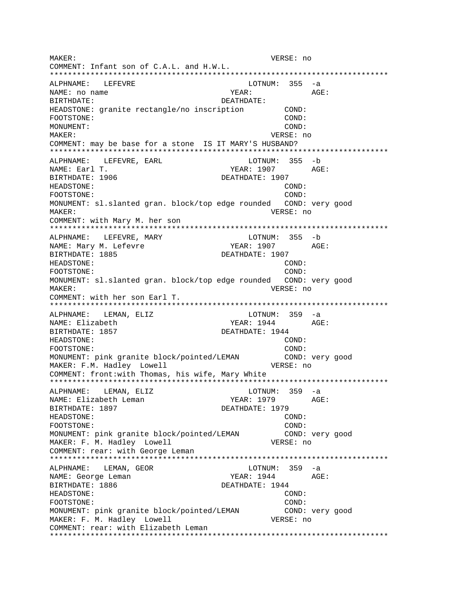MAKER: VERSE: no COMMENT: Infant son of C.A.L. and H.W.L. ALPHNAME: LEFEVRE LOTNUM: 355 -a YEAR: AGE: NAME: no name BIRTHDATE: DEATHDATE: HEADSTONE: granite rectangle/no inscription  $COMD:$ FOOTSTONE: COND: MONUMENT: COND: MAKER: VERSE: no COMMENT: may be base for a stone IS IT MARY'S HUSBAND? ALPHNAME: LEFEVRE, EARL LOTNUM: 355 -b NAME: Earl T. YEAR: 1907 AGE: BIRTHDATE: 1906 DEATHDATE: 1907 HEADSTONE:  $\texttt{COND}:$ FOOTSTONE: COND: MONUMENT: sl.slanted gran. block/top edge rounded COND: very good MAKER: VERSE: no COMMENT: with Mary M. her son ALPHNAME: LEFEVRE, MARY LOTNUM: 355 -b YEAR: 1907 AGE: NAME: Mary M. Lefevre BIRTHDATE: 1885 DEATHDATE: 1907 COND: HEADSTONE: FOOTSTONE: COND: MONUMENT: sl.slanted gran. block/top edge rounded COND: very good MAKER: VERSE: no COMMENT: with her son Earl T. ALPHNAME: LEMAN, ELIZ LOTNUM:  $359 - a$ YEAR: 1944 AGE: NAME: Elizabeth DEATHDATE: 1944 BIRTHDATE: 1857 HEADSTONE: COND: FOOTSTONE:  $COND:$ MONUMENT: pink granite block/pointed/LEMAN COND: very good MAKER: F.M. Hadley Lowell VERSE: no COMMENT: front: with Thomas, his wife, Mary White  $LOTNUM: 359 -a$ ALPHNAME: LEMAN, ELIZ NAME: Elizabeth Leman BIRTHDATE: 1897 DEATHDATE: 1979 HEADSTONE: COND: FOOTSTONE: COND: MONUMENT: pink granite block/pointed/LEMAN COND: very good VERSE: no MAKER: F. M. Hadley Lowell COMMENT: rear: with George Leman  $LOTNUM: 359 -a$ ALPHNAME: LEMAN, GEOR YEAR: 1944 AGE: NAME: George Leman BIRTHDATE: 1886 DEATHDATE: 1944 HEADSTONE: COND: FOOTSTONE: COND: MONUMENT: pink granite block/pointed/LEMAN COND: very good MAKER: F. M. Hadley Lowell VERSE: no COMMENT: rear: with Elizabeth Leman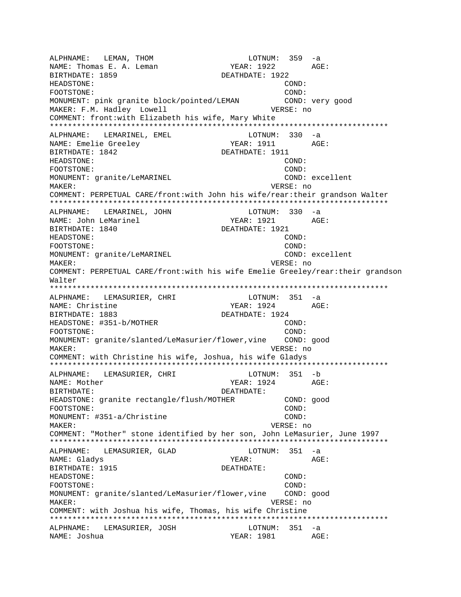ALPHNAME: LEMAN, THOM LOTNUM: 359 -a NAME: Thomas E. A. Leman BIRTHDATE: 1859 DEATHDATE: 1922 HEADSTONE: COND: FOOTSTONE: COND: MONUMENT: pink granite block/pointed/LEMAN COND: very good MAKER: F.M. Hadley Lowell **VERSE:** no COMMENT: front:with Elizabeth his wife, Mary White \*\*\*\*\*\*\*\*\*\*\*\*\*\*\*\*\*\*\*\*\*\*\*\*\*\*\*\*\*\*\*\*\*\*\*\*\*\*\*\*\*\*\*\*\*\*\*\*\*\*\*\*\*\*\*\*\*\*\*\*\*\*\*\*\*\*\*\*\*\*\*\*\*\*\* ALPHNAME: LEMARINEL, EMEL COTNUM: 330 -a NAME: Emelie Greeley YEAR: 1911 AGE: BIRTHDATE: 1842 DEATHDATE: 1911 HEADSTONE: COND: FOOTSTONE: COND: MONUMENT: granite/LeMARINEL excellent MAKER: VERSE: no COMMENT: PERPETUAL CARE/front:with John his wife/rear:their grandson Walter \*\*\*\*\*\*\*\*\*\*\*\*\*\*\*\*\*\*\*\*\*\*\*\*\*\*\*\*\*\*\*\*\*\*\*\*\*\*\*\*\*\*\*\*\*\*\*\*\*\*\*\*\*\*\*\*\*\*\*\*\*\*\*\*\*\*\*\*\*\*\*\*\*\*\* ALPHNAME: LEMARINEL, JOHN LOTNUM: 330 -a NAME: John LeMarinel BIRTHDATE: 1840 DEATHDATE: 1921 HEADSTONE: COND: FOOTSTONE: COND: MONUMENT: granite/LeMARINEL excellent MAKER: VERSE: no COMMENT: PERPETUAL CARE/front:with his wife Emelie Greeley/rear:their grandson Walter \*\*\*\*\*\*\*\*\*\*\*\*\*\*\*\*\*\*\*\*\*\*\*\*\*\*\*\*\*\*\*\*\*\*\*\*\*\*\*\*\*\*\*\*\*\*\*\*\*\*\*\*\*\*\*\*\*\*\*\*\*\*\*\*\*\*\*\*\*\*\*\*\*\*\* ALPHNAME: LEMASURIER, CHRI LOTNUM: 351 -a NAME: Christine Text Controller Magnus (2001) 2024 AGE: BIRTHDATE: 1883 DEATHDATE: 1924 HEADSTONE: #351-b/MOTHER COND: FOOTSTONE: COND: MONUMENT: granite/slanted/LeMasurier/flower,vine COND: good MAKER: VERSE: no COMMENT: with Christine his wife, Joshua, his wife Gladys \*\*\*\*\*\*\*\*\*\*\*\*\*\*\*\*\*\*\*\*\*\*\*\*\*\*\*\*\*\*\*\*\*\*\*\*\*\*\*\*\*\*\*\*\*\*\*\*\*\*\*\*\*\*\*\*\*\*\*\*\*\*\*\*\*\*\*\*\*\*\*\*\*\*\* ALPHNAME: LEMASURIER, CHRI NAME: Mother YEAR: 1924 AGE: BIRTHDATE: DEATHDATE: HEADSTONE: granite rectangle/flush/MOTHER COND: good FOOTSTONE: COND: MONUMENT: #351-a/Christine COND: MAKER: VERSE: no COMMENT: "Mother" stone identified by her son, John LeMasurier, June 1997 \*\*\*\*\*\*\*\*\*\*\*\*\*\*\*\*\*\*\*\*\*\*\*\*\*\*\*\*\*\*\*\*\*\*\*\*\*\*\*\*\*\*\*\*\*\*\*\*\*\*\*\*\*\*\*\*\*\*\*\*\*\*\*\*\*\*\*\*\*\*\*\*\*\*\* ALPHNAME: LEMASURIER, GLAD LOTNUM: 351 -a NAME: Gladys and the set of the set of the set of the set of the set of the set of the set of the set of the set of the set of the set of the set of the set of the set of the set of the set of the set of the set of the set BIRTHDATE: 1915 DEATHDATE: HEADSTONE: COND: FOOTSTONE: COND: MONUMENT: granite/slanted/LeMasurier/flower, vine COND: good MAKER: VERSE: no COMMENT: with Joshua his wife, Thomas, his wife Christine \*\*\*\*\*\*\*\*\*\*\*\*\*\*\*\*\*\*\*\*\*\*\*\*\*\*\*\*\*\*\*\*\*\*\*\*\*\*\*\*\*\*\*\*\*\*\*\*\*\*\*\*\*\*\*\*\*\*\*\*\*\*\*\*\*\*\*\*\*\*\*\*\*\*\* ALPHNAME: LEMASURIER, JOSH LOTNUM: 351 -a NAME: Joshua  $YEAR: 1981$  AGE: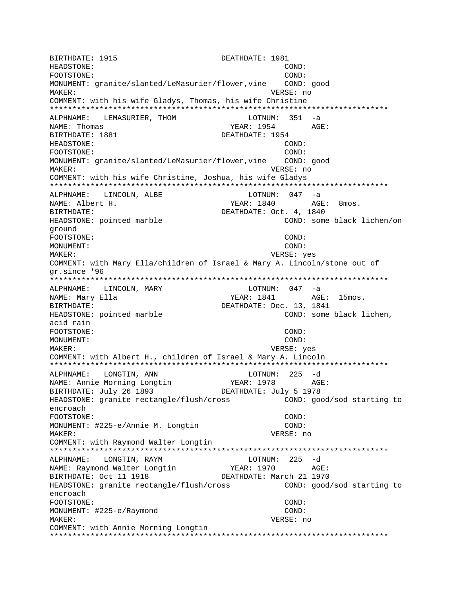BIRTHDATE: 1915 DEATHDATE: 1981 HEADSTONE:  $COMD:$ FOOTSTONE: COND: MONUMENT: granite/slanted/LeMasurier/flower, vine COND: good VERSE: no MAKER: COMMENT: with his wife Gladys, Thomas, his wife Christine ALPHNAME: LEMASURIER, THOM LOTNUM: 351 -a NAME: Thomas YEAR: 1954  $AGF$ : BIRTHDATE: 1881 DEATHDATE: 1954 HEADSTONE: COND: FOOTSTONE: COND: MONUMENT: granite/slanted/LeMasurier/flower, vine COND: good VERSE: no MAKER: COMMENT: with his wife Christine, Joshua, his wife Gladys ALPHNAME: LINCOLN, ALBE LOTNUM:  $047 -a$ NAME: Albert H. YEAR: 1840 AGE: 8mos. DEATHDATE: Oct. 4, 1840 BIRTHDATE: COND: some black lichen/on HEADSTONE: pointed marble ground FOOTSTONE: COND: MONUMENT: COND: MAKER: VERSE: yes COMMENT: with Mary Ella/children of Israel & Mary A. Lincoln/stone out of gr.since '96 ALPHNAME: LINCOLN, MARY LOTNUM: 047 -a NAME: Mary Ella YEAR: 1841 AGE: 15mos. DEATHDATE: Dec. 13, 1841 BIRTHDATE: HEADSTONE: pointed marble COND: some black lichen, acid rain FOOTSTONE: COND: MONUMENT: COND: VERSE: yes MAKER: COMMENT: with Albert H., children of Israel & Mary A. Lincoln LONGTIN, ANN LOTNUM: 225 -d ALPHNAME: YEAR: 1978 NAME: Annie Morning Longtin AGE: BIRTHDATE: July 26 1893 DEATHDATE: July 5 1978 HEADSTONE: granite rectangle/flush/cross COND: good/sod starting to encroach FOOTSTONE: COND: MONUMENT: #225-e/Annie M. Longtin COND: MAKER: VERSE: no COMMENT: with Raymond Walter Longtin  $LOTNUM: 225 -d$ ALPHNAME: LONGTIN, RAYM ALPHNAME: LUNGILI, ...<br>NAME: Raymond Walter Longtin YEAR: 1970 AGE: DEATHDATE: March 21 1970 BIRTHDATE: Oct 11 1918 HEADSTONE: granite rectangle/flush/cross COND: good/sod starting to encroach FOOTSTONE: COND: MONUMENT: #225-e/Raymond COND: MAKER: VERSE: no COMMENT: with Annie Morning Longtin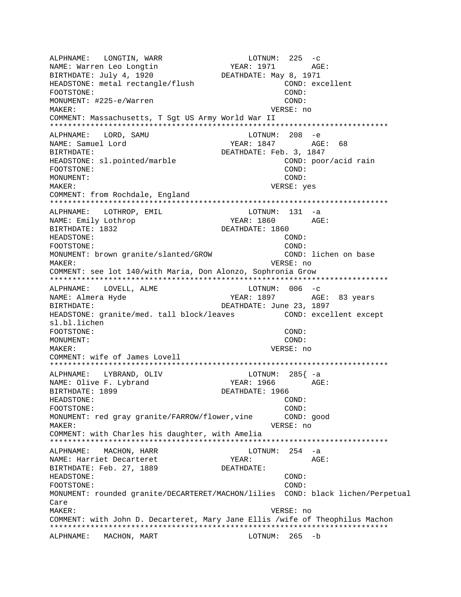ALPHNAME: LONGTIN, WARR LOTNUM: 225 -c NAME: Warren Leo Longtin YEAR: 1971 AGE: BIRTHDATE: July 4, 1920 DEATHDATE: May 8, 1971 HEADSTONE: metal rectangle/flush COND: excellent FOOTSTONE: COND: MONUMENT: #225-e/Warren COND: MAKER: VERSE: no COMMENT: Massachusetts, T Sgt US Army World War II \*\*\*\*\*\*\*\*\*\*\*\*\*\*\*\*\*\*\*\*\*\*\*\*\*\*\*\*\*\*\*\*\*\*\*\*\*\*\*\*\*\*\*\*\*\*\*\*\*\*\*\*\*\*\*\*\*\*\*\*\*\*\*\*\*\*\*\*\*\*\*\*\*\*\* ALPHNAME: LORD, SAMU NAME: Samuel Lord YEAR: 1847 AGE: 68 DEATHDATE: Feb. 3, 1847 HEADSTONE: sl.pointed/marble COND: poor/acid rain FOOTSTONE: COND: MONUMENT: COND: MAKER: VERSE: yes COMMENT: from Rochdale, England \*\*\*\*\*\*\*\*\*\*\*\*\*\*\*\*\*\*\*\*\*\*\*\*\*\*\*\*\*\*\*\*\*\*\*\*\*\*\*\*\*\*\*\*\*\*\*\*\*\*\*\*\*\*\*\*\*\*\*\*\*\*\*\*\*\*\*\*\*\*\*\*\*\*\* ALPHNAME: LOTHROP, EMIL NAME: Emily Lothrop TEAR: 1860 AGE: BIRTHDATE: 1832 DEATHDATE: 1860 HEADSTONE: COND: FOOTSTONE: COND: MONUMENT: brown granite/slanted/GROW COND: lichen on base MAKER: VERSE: no COMMENT: see lot 140/with Maria, Don Alonzo, Sophronia Grow \*\*\*\*\*\*\*\*\*\*\*\*\*\*\*\*\*\*\*\*\*\*\*\*\*\*\*\*\*\*\*\*\*\*\*\*\*\*\*\*\*\*\*\*\*\*\*\*\*\*\*\*\*\*\*\*\*\*\*\*\*\*\*\*\*\*\*\*\*\*\*\*\*\*\* ALPHNAME: LOVELL, ALME LOTNUM: 006 -c YEAR: 1897 AGE: 83 years BIRTHDATE: DEATHDATE: June 23, 1897 HEADSTONE: granite/med. tall block/leaves COND: excellent except sl.bl.lichen FOOTSTONE: COND: MONUMENT: COND: MAKER: VERSE: no COMMENT: wife of James Lovell \*\*\*\*\*\*\*\*\*\*\*\*\*\*\*\*\*\*\*\*\*\*\*\*\*\*\*\*\*\*\*\*\*\*\*\*\*\*\*\*\*\*\*\*\*\*\*\*\*\*\*\*\*\*\*\*\*\*\*\*\*\*\*\*\*\*\*\*\*\*\*\*\*\*\* ALPHNAME: LYBRAND, OLIV LOTNUM: 285{ -a NAME: Olive F. Lybrand YEAR: 1966 BIRTHDATE: 1899 **DEATHDATE: 1966** HEADSTONE: COND: FOOTSTONE: COND: MONUMENT: red gray granite/FARROW/flower, vine COND: good MAKER: VERSE: no COMMENT: with Charles his daughter, with Amelia \*\*\*\*\*\*\*\*\*\*\*\*\*\*\*\*\*\*\*\*\*\*\*\*\*\*\*\*\*\*\*\*\*\*\*\*\*\*\*\*\*\*\*\*\*\*\*\*\*\*\*\*\*\*\*\*\*\*\*\*\*\*\*\*\*\*\*\*\*\*\*\*\*\*\* ALPHNAME: MACHON, HARR LOTNUM: 254 -a<br>NAME: Harriet Decarteret Magnum (254 -a NAME: Harriet Decarteret The YEAR: THE MAGE: BIRTHDATE: Feb. 27, 1889 DEATHDATE: HEADSTONE: COND: FOOTSTONE: COND: MONUMENT: rounded granite/DECARTERET/MACHON/lilies COND: black lichen/Perpetual Care MAKER: VERSE: no COMMENT: with John D. Decarteret, Mary Jane Ellis /wife of Theophilus Machon \*\*\*\*\*\*\*\*\*\*\*\*\*\*\*\*\*\*\*\*\*\*\*\*\*\*\*\*\*\*\*\*\*\*\*\*\*\*\*\*\*\*\*\*\*\*\*\*\*\*\*\*\*\*\*\*\*\*\*\*\*\*\*\*\*\*\*\*\*\*\*\*\*\*\* ALPHNAME: MACHON, MART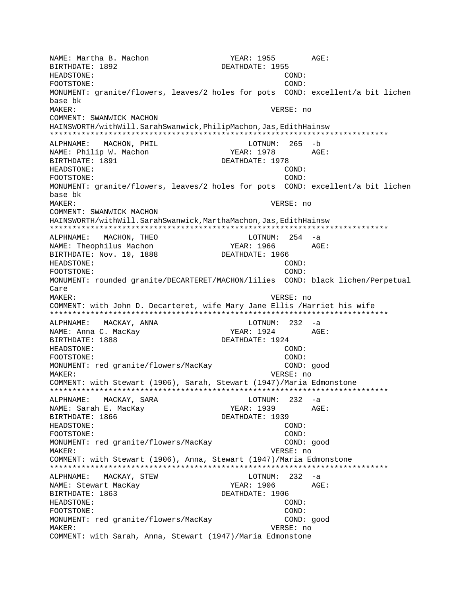NAME: Martha B. Machon YEAR: 1955 AGE: BIRTHDATE: 1892 DEATHDATE: 1955 HEADSTONE: COND: FOOTSTONE: COND: MONUMENT: granite/flowers, leaves/2 holes for pots COND: excellent/a bit lichen base bk MAKER: VERSE: no COMMENT: SWANWICK MACHON HAINSWORTH/withWill.SarahSwanwick,PhilipMachon,Jas,EdithHainsw \*\*\*\*\*\*\*\*\*\*\*\*\*\*\*\*\*\*\*\*\*\*\*\*\*\*\*\*\*\*\*\*\*\*\*\*\*\*\*\*\*\*\*\*\*\*\*\*\*\*\*\*\*\*\*\*\*\*\*\*\*\*\*\*\*\*\*\*\*\*\*\*\*\*\* ALPHNAME: MACHON, PHIL LOTNUM: 265 -b NAME: Philip W. Machon YEAR: 1978 BIRTHDATE: 1891 DEATHDATE: 1978 HEADSTONE: COND: FOOTSTONE: COND: MONUMENT: granite/flowers, leaves/2 holes for pots COND: excellent/a bit lichen base bk MAKER: VERSE: no COMMENT: SWANWICK MACHON HAINSWORTH/withWill.SarahSwanwick,MarthaMachon,Jas,EdithHainsw \*\*\*\*\*\*\*\*\*\*\*\*\*\*\*\*\*\*\*\*\*\*\*\*\*\*\*\*\*\*\*\*\*\*\*\*\*\*\*\*\*\*\*\*\*\*\*\*\*\*\*\*\*\*\*\*\*\*\*\*\*\*\*\*\*\*\*\*\*\*\*\*\*\*\* ALPHNAME: MACHON, THEO LOTNUM: 254 -a NAME: Theophilus Machon YEAR: 1966 AGE: BIRTHDATE: Nov. 10, 1888 DEATHDATE: 1966 HEADSTONE: COND: FOOTSTONE: COND: MONUMENT: rounded granite/DECARTERET/MACHON/lilies COND: black lichen/Perpetual Care MAKER: VERSE: no COMMENT: with John D. Decarteret, wife Mary Jane Ellis /Harriet his wife \*\*\*\*\*\*\*\*\*\*\*\*\*\*\*\*\*\*\*\*\*\*\*\*\*\*\*\*\*\*\*\*\*\*\*\*\*\*\*\*\*\*\*\*\*\*\*\*\*\*\*\*\*\*\*\*\*\*\*\*\*\*\*\*\*\*\*\*\*\*\*\*\*\*\* ALPHNAME: MACKAY, ANNA LOTNUM: 232 -a NAME: Anna C. MacKay  $YEAR: 1924$  AGE: BIRTHDATE: 1888 DEATHDATE: 1924 HEADSTONE: COND: FOOTSTONE: COND: MONUMENT: red granite/flowers/MacKay COND: good MAKER: VERSE: no COMMENT: with Stewart (1906), Sarah, Stewart (1947)/Maria Edmonstone \*\*\*\*\*\*\*\*\*\*\*\*\*\*\*\*\*\*\*\*\*\*\*\*\*\*\*\*\*\*\*\*\*\*\*\*\*\*\*\*\*\*\*\*\*\*\*\*\*\*\*\*\*\*\*\*\*\*\*\*\*\*\*\*\*\*\*\*\*\*\*\*\*\*\* ALPHNAME: MACKAY, SARA LOTNUM: 232 -a NAME: Sarah E. MacKay YEAR: 1939 AGE: BIRTHDATE: 1866 DEATHDATE: 1939 HEADSTONE: COND: FOOTSTONE: COND: MONUMENT: red granite/flowers/MacKay COND: good MAKER: VERSE: no COMMENT: with Stewart (1906), Anna, Stewart (1947)/Maria Edmonstone \*\*\*\*\*\*\*\*\*\*\*\*\*\*\*\*\*\*\*\*\*\*\*\*\*\*\*\*\*\*\*\*\*\*\*\*\*\*\*\*\*\*\*\*\*\*\*\*\*\*\*\*\*\*\*\*\*\*\*\*\*\*\*\*\*\*\*\*\*\*\*\*\*\*\* ALPHNAME: MACKAY, STEW LOTNUM: 232 -a NAME: Stewart MacKay  $YERR: 1906$  AGE: BIRTHDATE: 1863 DEATHDATE: 1906 HEADSTONE: COND: FOOTSTONE: COND: MONUMENT: red granite/flowers/MacKay COND: good MAKER: VERSE: no COMMENT: with Sarah, Anna, Stewart (1947)/Maria Edmonstone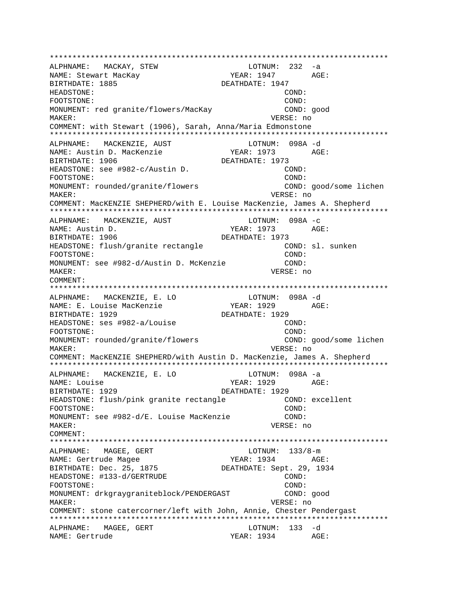\*\*\*\*\*\*\*\*\*\*\*\*\*\*\*\*\*\*\*\*\*\*\*\*\*\*\*\*\*\*\*\*\*\*\*\*\*\*\*\*\*\*\*\*\*\*\*\*\*\*\*\*\*\*\*\*\*\*\*\*\*\*\*\*\*\*\*\*\*\*\*\*\*\*\* ALPHNAME: MACKAY, STEW NAME: Stewart MacKay  $YER: 1947$  AGE: BIRTHDATE: 1885 DEATHDATE: 1947 HEADSTONE: COND: FOOTSTONE: COND: MONUMENT: red granite/flowers/MacKay COND: qood MAKER: VERSE: no COMMENT: with Stewart (1906), Sarah, Anna/Maria Edmonstone \*\*\*\*\*\*\*\*\*\*\*\*\*\*\*\*\*\*\*\*\*\*\*\*\*\*\*\*\*\*\*\*\*\*\*\*\*\*\*\*\*\*\*\*\*\*\*\*\*\*\*\*\*\*\*\*\*\*\*\*\*\*\*\*\*\*\*\*\*\*\*\*\*\*\* ALPHNAME: MACKENZIE, AUST CONNUM: 098A -d NAME: Austin D. MacKenzie 7EAR: 1973 AGE: BIRTHDATE: 1906 DEATHDATE: 1973 HEADSTONE: see #982-c/Austin D. COND: FOOTSTONE: COND: MONUMENT: rounded/granite/flowers COND: good/some lichen MAKER: VERSE: no COMMENT: MacKENZIE SHEPHERD/with E. Louise MacKenzie, James A. Shepherd \*\*\*\*\*\*\*\*\*\*\*\*\*\*\*\*\*\*\*\*\*\*\*\*\*\*\*\*\*\*\*\*\*\*\*\*\*\*\*\*\*\*\*\*\*\*\*\*\*\*\*\*\*\*\*\*\*\*\*\*\*\*\*\*\*\*\*\*\*\*\*\*\*\*\* ALPHNAME: MACKENZIE, AUST CONNUM: 098A -c NAME: Austin D. YEAR: 1973 AGE: BIRTHDATE: 1906 DEATHDATE: 1973 HEADSTONE: flush/granite rectangle COND: sl. sunken FOOTSTONE: COND: MONUMENT: see #982-d/Austin D. McKenzie COND: MAKER: VERSE: no COMMENT: \*\*\*\*\*\*\*\*\*\*\*\*\*\*\*\*\*\*\*\*\*\*\*\*\*\*\*\*\*\*\*\*\*\*\*\*\*\*\*\*\*\*\*\*\*\*\*\*\*\*\*\*\*\*\*\*\*\*\*\*\*\*\*\*\*\*\*\*\*\*\*\*\*\*\* ALPHNAME: MACKENZIE, E. LO LOTNUM: 098A -d NAME: E. Louise MacKenzie BIRTHDATE: 1929 DEATHDATE: 1929 HEADSTONE: ses #982-a/Louise COND: FOOTSTONE: COND: MONUMENT: rounded/granite/flowers COND: good/some lichen MAKER: VERSE: no COMMENT: MacKENZIE SHEPHERD/with Austin D. MacKenzie, James A. Shepherd \*\*\*\*\*\*\*\*\*\*\*\*\*\*\*\*\*\*\*\*\*\*\*\*\*\*\*\*\*\*\*\*\*\*\*\*\*\*\*\*\*\*\*\*\*\*\*\*\*\*\*\*\*\*\*\*\*\*\*\*\*\*\*\*\*\*\*\*\*\*\*\*\*\*\* ALPHNAME: MACKENZIE, E. LO LOTNUM: 098A -a NAME: Louise  $YEAR: 1929$ BIRTHDATE: 1929 DEATHDATE: 1929 HEADSTONE: flush/pink granite rectangle COND: excellent FOOTSTONE: COND: MONUMENT: see #982-d/E. Louise MacKenzie COND: MAKER: VERSE: no COMMENT: \*\*\*\*\*\*\*\*\*\*\*\*\*\*\*\*\*\*\*\*\*\*\*\*\*\*\*\*\*\*\*\*\*\*\*\*\*\*\*\*\*\*\*\*\*\*\*\*\*\*\*\*\*\*\*\*\*\*\*\*\*\*\*\*\*\*\*\*\*\*\*\*\*\*\* ALPHNAME: MAGEE, GERT LOTNUM: 133/8-m NAME: Gertrude Magee YEAR: 1934 AGE: BIRTHDATE: Dec. 25, 1875 DEATHDATE: Sept. 29, 1934 HEADSTONE: #133-d/GERTRUDE COND: COND: FOOTSTONE: COND: MONUMENT: drkgraygraniteblock/PENDERGAST COND: good MAKER: VERSE: no COMMENT: stone catercorner/left with John, Annie, Chester Pendergast \*\*\*\*\*\*\*\*\*\*\*\*\*\*\*\*\*\*\*\*\*\*\*\*\*\*\*\*\*\*\*\*\*\*\*\*\*\*\*\*\*\*\*\*\*\*\*\*\*\*\*\*\*\*\*\*\*\*\*\*\*\*\*\*\*\*\*\*\*\*\*\*\*\*\* ALPHNAME: MAGEE, GERT LOTNUM: 133 -d NAME: Gertrude TEAR: 1934 AGE: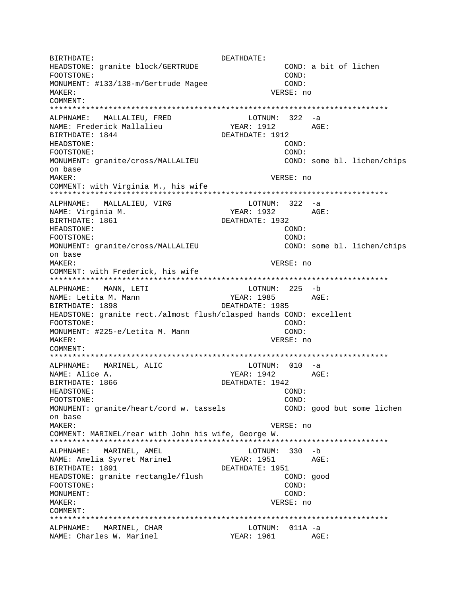BIRTHDATE: DEATHDATE: COND: a bit of lichen HEADSTONE: granite block/GERTRUDE FOOTSTONE: COND: MONUMENT: #133/138-m/Gertrude Magee COND: MAKER: VERSE: no COMMENT: ALPHNAME: MALLALIEU, FRED LOTNUM: 322 -a YEAR: 1912 NAME: Frederick Mallalieu AGE: BIRTHDATE: 1844 DEATHDATE: 1912 HEADSTONE: COND: FOOTSTONE: COND: MONUMENT: granite/cross/MALLALIEU COND: some bl. lichen/chips on base MAKER: VERSE: no COMMENT: with Virginia M., his wife ALPHNAME: MALLALIEU, VIRG LOTNUM:  $322 - a$ YEAR: 1932 AGE: NAME: Virginia M. DEATHDATE: 1932 BIRTHDATE: 1861 HEADSTONE: COND: FOOTSTONE: COND: COND: some bl. lichen/chips MONUMENT: granite/cross/MALLALIEU on base MAKER: VERSE: no COMMENT: with Frederick, his wife ALPHNAME: MANN, LETI LOTNUM: 225 -b NAME: Letita M. Mann YEAR: 1985 AGE: BIRTHDATE: 1898 DEATHDATE: 1985 HEADSTONE: granite rect./almost flush/clasped hands COND: excellent FOOTSTONE: COND: MONUMENT: #225-e/Letita M. Mann COND: VERSE: no MAKER: COMMENT:  $LOTNUM: 010 -a$ ALPHNAME: MARINEL, ALIC YEAR: 1942 NAME: Alice A.  $AGE:$ BIRTHDATE: 1866 DEATHDATE: 1942 COND: HEADSTONE: FOOTSTONE: COND: COND: good but some lichen MONUMENT: granite/heart/cord w. tassels on base MAKER: VERSE: no COMMENT: MARINEL/rear with John his wife, George W. LOTNUM: 330 -b ALPHNAME: MARINEL, AMEL YEAR: 1951 NAME: Amelia Syvret Marinel AGE: BIRTHDATE: 1891 DEATHDATE: 1951 HEADSTONE: granite rectangle/flush COND: good FOOTSTONE: COND: MONUMENT: COND: MAKER: VERSE: no COMMENT: ALPHNAME: MARINEL, CHAR LOTNUM: 011A -a YEAR: 1961 AGE: NAME: Charles W. Marinel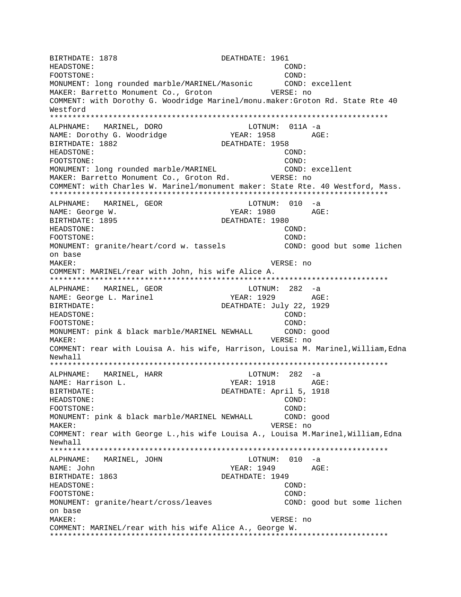BIRTHDATE: 1878 **DEATHDATE: 1961** HEADSTONE: COND: FOOTSTONE: COND: MONUMENT: long rounded marble/MARINEL/Masonic COND: excellent MAKER: Barretto Monument Co., Groton VERSE: no COMMENT: with Dorothy G. Woodridge Marinel/monu.maker:Groton Rd. State Rte 40 Westford \*\*\*\*\*\*\*\*\*\*\*\*\*\*\*\*\*\*\*\*\*\*\*\*\*\*\*\*\*\*\*\*\*\*\*\*\*\*\*\*\*\*\*\*\*\*\*\*\*\*\*\*\*\*\*\*\*\*\*\*\*\*\*\*\*\*\*\*\*\*\*\*\*\*\* ALPHNAME: MARINEL, DORO NAME: Dorothy G. Woodridge The YEAR: 1958 AGE: BIRTHDATE: 1882 DEATHDATE: 1958 HEADSTONE: COND: FOOTSTONE: COND: MONUMENT: long rounded marble/MARINEL COND: excellent MAKER: Barretto Monument Co., Groton Rd. VERSE: no COMMENT: with Charles W. Marinel/monument maker: State Rte. 40 Westford, Mass. \*\*\*\*\*\*\*\*\*\*\*\*\*\*\*\*\*\*\*\*\*\*\*\*\*\*\*\*\*\*\*\*\*\*\*\*\*\*\*\*\*\*\*\*\*\*\*\*\*\*\*\*\*\*\*\*\*\*\*\*\*\*\*\*\*\*\*\*\*\*\*\*\*\*\* ALPHNAME: MARINEL, GEOR LOTNUM: 010 -a NAME: George W. Same Communication of the MEAR: 1980 AGE: BIRTHDATE: 1895 **DEATHDATE: 1980** HEADSTONE: COND: FOOTSTONE: COND: MONUMENT: granite/heart/cord w. tassels COND: good but some lichen on base MAKER: VERSE: no COMMENT: MARINEL/rear with John, his wife Alice A. \*\*\*\*\*\*\*\*\*\*\*\*\*\*\*\*\*\*\*\*\*\*\*\*\*\*\*\*\*\*\*\*\*\*\*\*\*\*\*\*\*\*\*\*\*\*\*\*\*\*\*\*\*\*\*\*\*\*\*\*\*\*\*\*\*\*\*\*\*\*\*\*\*\*\* ALPHNAME: MARINEL, GEOR LOTNUM: 282 -a NAME: George L. Marinel YEAR: 1929 AGE: BIRTHDATE: DEATHDATE: July 22, 1929 HEADSTONE: COND: FOOTSTONE: COND: MONUMENT: pink & black marble/MARINEL NEWHALL COND: good MAKER: VERSE: no COMMENT: rear with Louisa A. his wife, Harrison, Louisa M. Marinel,William,Edna Newhall \*\*\*\*\*\*\*\*\*\*\*\*\*\*\*\*\*\*\*\*\*\*\*\*\*\*\*\*\*\*\*\*\*\*\*\*\*\*\*\*\*\*\*\*\*\*\*\*\*\*\*\*\*\*\*\*\*\*\*\*\*\*\*\*\*\*\*\*\*\*\*\*\*\*\* ALPHNAME: MARINEL, HARR LOTNUM: 282 -a NAME: Harrison L. YEAR: 1918 BIRTHDATE: DEATHDATE: April 5, 1918 HEADSTONE: COND: FOOTSTONE: COND: MONUMENT: pink & black marble/MARINEL NEWHALL COND: good MAKER: VERSE: no COMMENT: rear with George L.,his wife Louisa A., Louisa M.Marinel,William,Edna Newhall \*\*\*\*\*\*\*\*\*\*\*\*\*\*\*\*\*\*\*\*\*\*\*\*\*\*\*\*\*\*\*\*\*\*\*\*\*\*\*\*\*\*\*\*\*\*\*\*\*\*\*\*\*\*\*\*\*\*\*\*\*\*\*\*\*\*\*\*\*\*\*\*\*\*\* ALPHNAME: MARINEL, JOHN NAME: John YEAR: 1949 AGE: BIRTHDATE: 1863 DEATHDATE: 1949 HEADSTONE: COND: FOOTSTONE: COND: MONUMENT: granite/heart/cross/leaves COND: good but some lichen on base MAKER: VERSE: no COMMENT: MARINEL/rear with his wife Alice A., George W. \*\*\*\*\*\*\*\*\*\*\*\*\*\*\*\*\*\*\*\*\*\*\*\*\*\*\*\*\*\*\*\*\*\*\*\*\*\*\*\*\*\*\*\*\*\*\*\*\*\*\*\*\*\*\*\*\*\*\*\*\*\*\*\*\*\*\*\*\*\*\*\*\*\*\*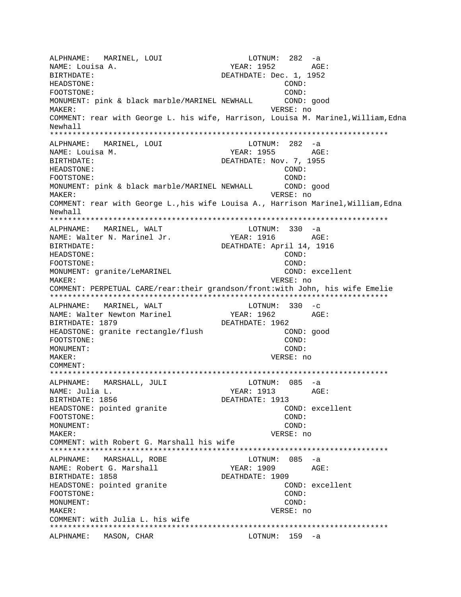ALPHNAME: MARINEL, LOUI LOTNUM: 282 -a NAME: Louisa A. YEAR: 1952 AGE: BIRTHDATE: Dec. 1, 1952 HEADSTONE: COND: FOOTSTONE: COND: MONUMENT: pink & black marble/MARINEL NEWHALL COND: good MAKER: VERSE: no COMMENT: rear with George L. his wife, Harrison, Louisa M. Marinel,William,Edna Newhall \*\*\*\*\*\*\*\*\*\*\*\*\*\*\*\*\*\*\*\*\*\*\*\*\*\*\*\*\*\*\*\*\*\*\*\*\*\*\*\*\*\*\*\*\*\*\*\*\*\*\*\*\*\*\*\*\*\*\*\*\*\*\*\*\*\*\*\*\*\*\*\*\*\*\* ALPHNAME: MARINEL, LOUI LOTNUM: 282 -a NAME: Louisa M. Santa Communications of the Magnus Magnus Magnus Age: BIRTHDATE: DEATHDATE: Nov. 7, 1955 HEADSTONE: COND: FOOTSTONE: COND: MONUMENT: pink & black marble/MARINEL NEWHALL COND: good MAKER: VERSE: no COMMENT: rear with George L.,his wife Louisa A., Harrison Marinel, William, Edna Newhall \*\*\*\*\*\*\*\*\*\*\*\*\*\*\*\*\*\*\*\*\*\*\*\*\*\*\*\*\*\*\*\*\*\*\*\*\*\*\*\*\*\*\*\*\*\*\*\*\*\*\*\*\*\*\*\*\*\*\*\*\*\*\*\*\*\*\*\*\*\*\*\*\*\*\* ALPHNAME: MARINEL, WALT COTNUM: 330 -a NAME: Walter N. Marinel Jr. YEAR: 1916 AGE: BIRTHDATE: DEATHDATE: April 14, 1916 HEADSTONE: COND: FOOTSTONE: COND: MONUMENT: granite/LeMARINEL COND: excellent MAKER: VERSE: no COMMENT: PERPETUAL CARE/rear:their grandson/front:with John, his wife Emelie \*\*\*\*\*\*\*\*\*\*\*\*\*\*\*\*\*\*\*\*\*\*\*\*\*\*\*\*\*\*\*\*\*\*\*\*\*\*\*\*\*\*\*\*\*\*\*\*\*\*\*\*\*\*\*\*\*\*\*\*\*\*\*\*\*\*\*\*\*\*\*\*\*\*\* ALPHNAME: MARINEL, WALT<br>NAME: Walter Newton Marinel (1962 - 1962 NAME: Walter Newton Marinel YEAR: 1962 AGE: BIRTHDATE: 1879 DEATHDATE: 1962 HEADSTONE: granite rectangle/flush COND: good FOOTSTONE: COND: MONUMENT: COND: MAKER: VERSE: no COMMENT: \*\*\*\*\*\*\*\*\*\*\*\*\*\*\*\*\*\*\*\*\*\*\*\*\*\*\*\*\*\*\*\*\*\*\*\*\*\*\*\*\*\*\*\*\*\*\*\*\*\*\*\*\*\*\*\*\*\*\*\*\*\*\*\*\*\*\*\*\*\*\*\*\*\*\* ALPHNAME: MARSHALL, JULI LOTNUM: 085 -a NAME: Julia L. YEAR: 1913 AGE: BIRTHDATE: 1856 DEATHDATE: 1913 HEADSTONE: pointed granite COND: excellent FOOTSTONE: COND: MONUMENT: COND: MAKER: VERSE: no COMMENT: with Robert G. Marshall his wife \*\*\*\*\*\*\*\*\*\*\*\*\*\*\*\*\*\*\*\*\*\*\*\*\*\*\*\*\*\*\*\*\*\*\*\*\*\*\*\*\*\*\*\*\*\*\*\*\*\*\*\*\*\*\*\*\*\*\*\*\*\*\*\*\*\*\*\*\*\*\*\*\*\*\* ALPHNAME: MARSHALL, ROBE NAME: Robert G. Marshall YEAR: 1909 AGE: BIRTHDATE: 1858 DEATHDATE: 1909 HEADSTONE: pointed granite COND: excellent FOOTSTONE: COND: MONUMENT: COND: MAKER: VERSE: no COMMENT: with Julia L. his wife \*\*\*\*\*\*\*\*\*\*\*\*\*\*\*\*\*\*\*\*\*\*\*\*\*\*\*\*\*\*\*\*\*\*\*\*\*\*\*\*\*\*\*\*\*\*\*\*\*\*\*\*\*\*\*\*\*\*\*\*\*\*\*\*\*\*\*\*\*\*\*\*\*\*\* ALPHNAME: MASON, CHAR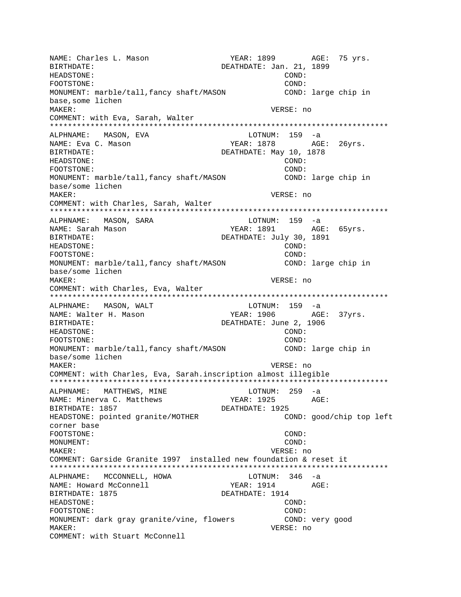NAME: Charles L. Mason YEAR: 1899 AGE: 75 yrs. BIRTHDATE: DEATHDATE: Jan. 21, 1899 HEADSTONE: COND: FOOTSTONE: COND: MONUMENT: marble/tall,fancy shaft/MASON COND: large chip in base,some lichen MAKER: VERSE: no COMMENT: with Eva, Sarah, Walter \*\*\*\*\*\*\*\*\*\*\*\*\*\*\*\*\*\*\*\*\*\*\*\*\*\*\*\*\*\*\*\*\*\*\*\*\*\*\*\*\*\*\*\*\*\*\*\*\*\*\*\*\*\*\*\*\*\*\*\*\*\*\*\*\*\*\*\*\*\*\*\*\*\*\* ALPHNAME: MASON, EVA NAME: Eva C. Mason The South Communication of the YEAR: 1878 AGE: 26yrs. BIRTHDATE: DEATHDATE: May 10, 1878 HEADSTONE: COND: FOOTSTONE: COND: MONUMENT: marble/tall,fancy shaft/MASON COND: large chip in base/some lichen MAKER: VERSE: no COMMENT: with Charles, Sarah, Walter \*\*\*\*\*\*\*\*\*\*\*\*\*\*\*\*\*\*\*\*\*\*\*\*\*\*\*\*\*\*\*\*\*\*\*\*\*\*\*\*\*\*\*\*\*\*\*\*\*\*\*\*\*\*\*\*\*\*\*\*\*\*\*\*\*\*\*\*\*\*\*\*\*\*\* ALPHNAME: MASON, SARA LOTNUM: 159 -a NAME: Sarah Mason Nassal Ageleric Chemister Sarah Magnus Ageleric Chemister Ageleric Chemister Ageleric Chemister BIRTHDATE: DEATHDATE: July 30, 1891 HEADSTONE: COND: FOOTSTONE: COND: MONUMENT: marble/tall,fancy shaft/MASON COND: large chip in base/some lichen MAKER: VERSE: no COMMENT: with Charles, Eva, Walter \*\*\*\*\*\*\*\*\*\*\*\*\*\*\*\*\*\*\*\*\*\*\*\*\*\*\*\*\*\*\*\*\*\*\*\*\*\*\*\*\*\*\*\*\*\*\*\*\*\*\*\*\*\*\*\*\*\*\*\*\*\*\*\*\*\*\*\*\*\*\*\*\*\*\* ALPHNAME: MASON, WALT NAME: Walter H. Mason YEAR: 1906 AGE: 37yrs. BIRTHDATE:  $DEATHDATE: June 2, 1906$ HEADSTONE: COND: FOOTSTONE: COND: MONUMENT: marble/tall,fancy shaft/MASON COND: large chip in base/some lichen MAKER: VERSE: no COMMENT: with Charles, Eva, Sarah.inscription almost illegible \*\*\*\*\*\*\*\*\*\*\*\*\*\*\*\*\*\*\*\*\*\*\*\*\*\*\*\*\*\*\*\*\*\*\*\*\*\*\*\*\*\*\*\*\*\*\*\*\*\*\*\*\*\*\*\*\*\*\*\*\*\*\*\*\*\*\*\*\*\*\*\*\*\*\* ALPHNAME: MATTHEWS, MINE  $\qquad \qquad$  LOTNUM: 259 -a NAME: Minerva C. Matthews YEAR: 1925 AGE: BIRTHDATE: 1857 DEATHDATE: 1925 HEADSTONE: pointed granite/MOTHER COND: good/chip top left corner base FOOTSTONE: COND: MONUMENT: COND: MAKER: VERSE: no COMMENT: Garside Granite 1997 installed new foundation & reset it \*\*\*\*\*\*\*\*\*\*\*\*\*\*\*\*\*\*\*\*\*\*\*\*\*\*\*\*\*\*\*\*\*\*\*\*\*\*\*\*\*\*\*\*\*\*\*\*\*\*\*\*\*\*\*\*\*\*\*\*\*\*\*\*\*\*\*\*\*\*\*\*\*\*\* ALPHNAME: MCCONNELL, HOWA LOTNUM: 346 -a NAME: Howard McConnell **YEAR: 1914** AGE: BIRTHDATE: 1875 **DEATHDATE: 1914** HEADSTONE: COND: FOOTSTONE: COND: MONUMENT: dark gray granite/vine, flowers COND: very good MAKER: VERSE: no COMMENT: with Stuart McConnell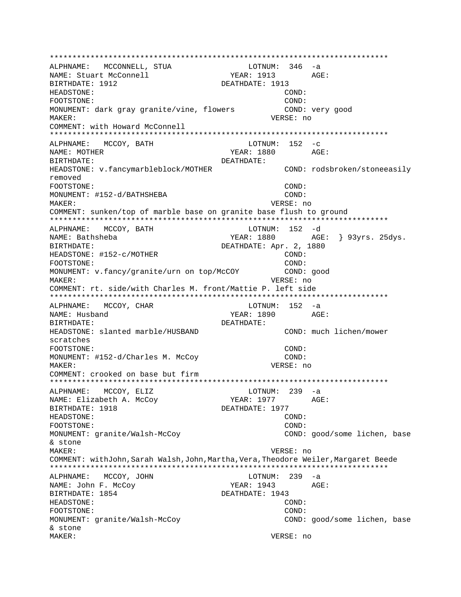ALPHNAME: MCCONNELL, STUA  $LOTNUM: 346 -a$ YEAR: 1913 AGE: NAME: Stuart McConnell BIRTHDATE: 1912 DEATHDATE: 1913 **HEADSTONE:** COND: FOOTSTONE: COND: MONUMENT: dark gray granite/vine, flowers COND: very good MAKER: VERSE: no COMMENT: with Howard McConnell ALPHNAME: MCCOY, BATH  $LOTNUM: 152 -c$ NAME: MOTHER YEAR: 1880 AGE: **DEATHDATE:** BIRTHDATE: HEADSTONE: v.fancymarbleblock/MOTHER COND: rodsbroken/stoneeasily removed COND: FOOTSTONE: MONUMENT: #152-d/BATHSHEBA COND: MAKER: VERSE: no COMMENT: sunken/top of marble base on granite base flush to ground ALPHNAME: MCCOY, BATH LOTNUM: 152 -d NAME: Bathsheba YEAR: 1880 AGE: } 93yrs. 25dys. DEATHDATE: Apr. 2, 1880 BIRTHDATE: HEADSTONE: #152-c/MOTHER COND:  $COMD:$ FOOTSTONE: MONUMENT: v.fancy/granite/urn on top/McCOY COND: good MAKER: VERSE: no COMMENT: rt. side/with Charles M. front/Mattie P. left side \*\*\*\*\*\*\*\*\*\*\* \*\*\*\*\*\*\*\*\*\*\*\*\*\*\*\*\*\*\*\* ALPHNAME: MCCOY, CHAR LOTNUM: 152 -a YEAR: 1890 AGE: NAME: Husband BIRTHDATE: DEATHDATE: COND: much lichen/mower HEADSTONE: slanted marble/HUSBAND scratches FOOTSTONE: COND: MONUMENT: #152-d/Charles M. McCoy COND: MAKER: VERSE: no COMMENT: crooked on base but firm  $LOTNUM: 239 -a$ ALPHNAME: MCCOY, ELIZ NAME: Elizabeth A. McCoy YEAR: 1977 AGE: DEATHDATE: 1977 BIRTHDATE: 1918 HEADSTONE: COND: FOOTSTONE: COND: MONUMENT: granite/Walsh-McCoy COND: good/some lichen, base & stone MAKER: VERSE: no COMMENT: withJohn, Sarah Walsh, John, Martha, Vera, Theodore Weiler, Margaret Beede LOTNUM: 239 -a ALPHNAME: MCCOY, JOHN NAME: John F. McCoy YEAR: 1943 AGE: BIRTHDATE: 1854 DEATHDATE: 1943 COND: HEADSTONE: FOOTSTONE: COND: MONUMENT: granite/Walsh-McCoy COND: good/some lichen, base & stone MAKER: VERSE: no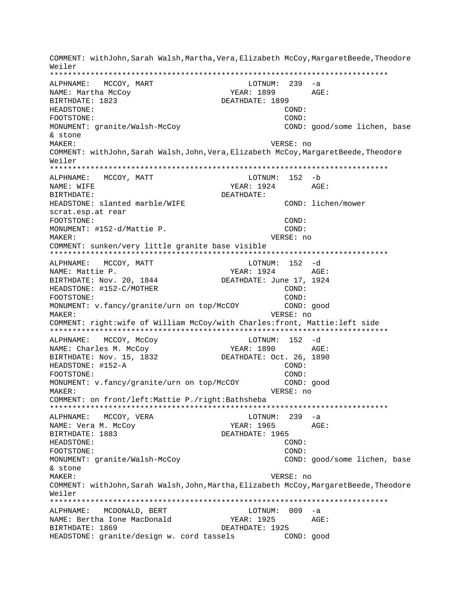COMMENT: withJohn,Sarah Walsh,Martha,Vera,Elizabeth McCoy,MargaretBeede,Theodore Weiler \*\*\*\*\*\*\*\*\*\*\*\*\*\*\*\*\*\*\*\*\*\*\*\*\*\*\*\*\*\*\*\*\*\*\*\*\*\*\*\*\*\*\*\*\*\*\*\*\*\*\*\*\*\*\*\*\*\*\*\*\*\*\*\*\*\*\*\*\*\*\*\*\*\*\* ALPHNAME: MCCOY, MART LOTNUM: 239 -a NAME: Martha McCoy TEAR: 1899 AGE: BIRTHDATE: 1823 DEATHDATE: 1899 HEADSTONE: COND: FOOTSTONE: COND: MONUMENT: granite/Walsh-McCoy COND: good/some lichen, base & stone MAKER: VERSE: no COMMENT: withJohn,Sarah Walsh,John,Vera,Elizabeth McCoy,MargaretBeede,Theodore Weiler \*\*\*\*\*\*\*\*\*\*\*\*\*\*\*\*\*\*\*\*\*\*\*\*\*\*\*\*\*\*\*\*\*\*\*\*\*\*\*\*\*\*\*\*\*\*\*\*\*\*\*\*\*\*\*\*\*\*\*\*\*\*\*\*\*\*\*\*\*\*\*\*\*\*\* ALPHNAME: MCCOY, MATT LOTNUM: 152 -b NAME: WIFE  $YEAR: 1924$  AGE: BIRTHDATE: DEATHDATE: HEADSTONE: slanted marble/WIFE COND: lichen/mower scrat.esp.at rear FOOTSTONE: COND: MONUMENT: #152-d/Mattie P. COND: MAKER: VERSE: no COMMENT: sunken/very little granite base visible \*\*\*\*\*\*\*\*\*\*\*\*\*\*\*\*\*\*\*\*\*\*\*\*\*\*\*\*\*\*\*\*\*\*\*\*\*\*\*\*\*\*\*\*\*\*\*\*\*\*\*\*\*\*\*\*\*\*\*\*\*\*\*\*\*\*\*\*\*\*\*\*\*\*\* ALPHNAME: MCCOY, MATT LOTNUM: 152 -d NAME: Mattie P. Same Communication of the Mattieus of the YEAR: 1924 AGE: BIRTHDATE: Nov. 20, 1844 DEATHDATE: June 17, 1924 HEADSTONE: #152-C/MOTHER COND: FOOTSTONE: COND: MONUMENT: v.fancy/granite/urn on top/McCOY COND: good MAKER: VERSE: no COMMENT: right:wife of William McCoy/with Charles:front, Mattie:left side \*\*\*\*\*\*\*\*\*\*\*\*\*\*\*\*\*\*\*\*\*\*\*\*\*\*\*\*\*\*\*\*\*\*\*\*\*\*\*\*\*\*\*\*\*\*\*\*\*\*\*\*\*\*\*\*\*\*\*\*\*\*\*\*\*\*\*\*\*\*\*\*\*\*\* ALPHNAME: MCCOY, McCoy CONSTRAINS LOTNUM: 152 -d NAME: Charles M. McCoy (2008) YEAR: 1890 AGE:<br>BIRTHDATE: Nov. 15, 1832 (2018) DEATHDATE: Oct. 26, 1890 BIRTHDATE: Nov. 15, 1832 HEADSTONE: #152-A COND: FOOTSTONE:<br>MONUMENT: v.fancy/granite/urn on top/McCOY COND: good MONUMENT: v.fancy/granite/urn on top/McCOY MAKER: VERSE: no COMMENT: on front/left:Mattie P./right:Bathsheba \*\*\*\*\*\*\*\*\*\*\*\*\*\*\*\*\*\*\*\*\*\*\*\*\*\*\*\*\*\*\*\*\*\*\*\*\*\*\*\*\*\*\*\*\*\*\*\*\*\*\*\*\*\*\*\*\*\*\*\*\*\*\*\*\*\*\*\*\*\*\*\*\*\*\* ALPHNAME: MCCOY, VERA LOTNUM: 239 -a NAME: Vera M. McCoy  $YEAR: 1965$  AGE: BIRTHDATE: 1883 DEATHDATE: 1965 HEADSTONE: COND: FOOTSTONE: COND: MONUMENT: granite/Walsh-McCoy COND: good/some lichen, base & stone MAKER: VERSE: no COMMENT: withJohn,Sarah Walsh,John,Martha,Elizabeth McCoy,MargaretBeede,Theodore Weiler \*\*\*\*\*\*\*\*\*\*\*\*\*\*\*\*\*\*\*\*\*\*\*\*\*\*\*\*\*\*\*\*\*\*\*\*\*\*\*\*\*\*\*\*\*\*\*\*\*\*\*\*\*\*\*\*\*\*\*\*\*\*\*\*\*\*\*\*\*\*\*\*\*\*\* ALPHNAME: MCDONALD, BERT LOTNUM: 009 -a NAME: Bertha Ione MacDonald YEAR: 1925 AGE: BIRTHDATE: 1869 DEATHDATE: 1925 HEADSTONE: granite/design w. cord tassels COND: good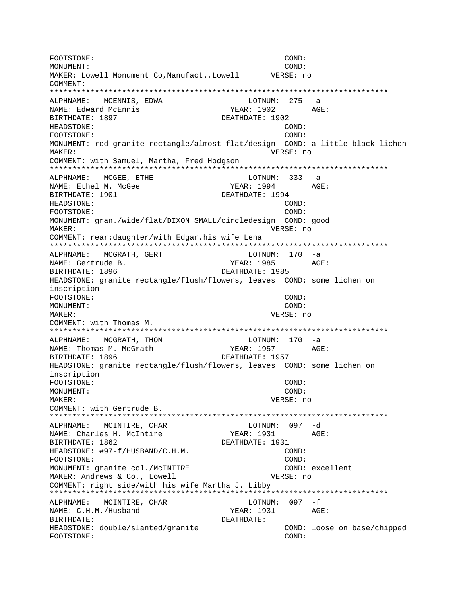FOOTSTONE: COND: MONUMENT: COND: MAKER: Lowell Monument Co,Manufact.,Lowell VERSE: no COMMENT: \*\*\*\*\*\*\*\*\*\*\*\*\*\*\*\*\*\*\*\*\*\*\*\*\*\*\*\*\*\*\*\*\*\*\*\*\*\*\*\*\*\*\*\*\*\*\*\*\*\*\*\*\*\*\*\*\*\*\*\*\*\*\*\*\*\*\*\*\*\*\*\*\*\*\* ALPHNAME: MCENNIS, EDWA LOTNUM: 275 -a NAME: Edward McEnnis YEAR: 1902 AGE: BIRTHDATE: 1897 DEATHDATE: 1902 HEADSTONE: COND: FOOTSTONE: COND: MONUMENT: red granite rectangle/almost flat/design COND: a little black lichen MAKER: VERSE: no COMMENT: with Samuel, Martha, Fred Hodgson \*\*\*\*\*\*\*\*\*\*\*\*\*\*\*\*\*\*\*\*\*\*\*\*\*\*\*\*\*\*\*\*\*\*\*\*\*\*\*\*\*\*\*\*\*\*\*\*\*\*\*\*\*\*\*\*\*\*\*\*\*\*\*\*\*\*\*\*\*\*\*\*\*\*\* ALPHNAME: MCGEE, ETHE LOTNUM: 333 -a NAME: Ethel M. McGee  $YERR: 1994$  AGE: BIRTHDATE: 1901 DEATHDATE: 1994 HEADSTONE: COND: FOOTSTONE: COND: MONUMENT: gran./wide/flat/DIXON SMALL/circledesign COND: good MAKER: VERSE: no COMMENT: rear:daughter/with Edgar,his wife Lena \*\*\*\*\*\*\*\*\*\*\*\*\*\*\*\*\*\*\*\*\*\*\*\*\*\*\*\*\*\*\*\*\*\*\*\*\*\*\*\*\*\*\*\*\*\*\*\*\*\*\*\*\*\*\*\*\*\*\*\*\*\*\*\*\*\*\*\*\*\*\*\*\*\*\* ALPHNAME: MCGRATH, GERT LOTNUM: 170 -a NAME: Gertrude B. The Mass of the YEAR: 1985 AGE: BIRTHDATE: 1896 DEATHDATE: 1985 HEADSTONE: granite rectangle/flush/flowers, leaves COND: some lichen on inscription FOOTSTONE: COND: MONUMENT: COND: MAKER: VERSE: no COMMENT: with Thomas M. \*\*\*\*\*\*\*\*\*\*\*\*\*\*\*\*\*\*\*\*\*\*\*\*\*\*\*\*\*\*\*\*\*\*\*\*\*\*\*\*\*\*\*\*\*\*\*\*\*\*\*\*\*\*\*\*\*\*\*\*\*\*\*\*\*\*\*\*\*\*\*\*\*\*\* ALPHNAME: MCGRATH, THOM LOTNUM: 170 -a NAME: Thomas M. McGrath YEAR: 1957 AGE: BIRTHDATE: 1896 DEATHDATE: 1957 HEADSTONE: granite rectangle/flush/flowers, leaves COND: some lichen on inscription FOOTSTONE: COND: MONUMENT: COND: MAKER: VERSE: no COMMENT: with Gertrude B. \*\*\*\*\*\*\*\*\*\*\*\*\*\*\*\*\*\*\*\*\*\*\*\*\*\*\*\*\*\*\*\*\*\*\*\*\*\*\*\*\*\*\*\*\*\*\*\*\*\*\*\*\*\*\*\*\*\*\*\*\*\*\*\*\*\*\*\*\*\*\*\*\*\*\* ALPHNAME: MCINTIRE, CHAR NAME: Charles H. McIntire  $YEAR: 1931$  AGE: BIRTHDATE: 1862 DEATHDATE: 1931 HEADSTONE:  $\#97-f/HUSBAND/C.H.M.$  (COND: FOOTSTONE: COND: MONUMENT: granite col./McINTIRE COND: excellent MAKER: Andrews & Co., Lowell **VERSE:** no COMMENT: right side/with his wife Martha J. Libby \*\*\*\*\*\*\*\*\*\*\*\*\*\*\*\*\*\*\*\*\*\*\*\*\*\*\*\*\*\*\*\*\*\*\*\*\*\*\*\*\*\*\*\*\*\*\*\*\*\*\*\*\*\*\*\*\*\*\*\*\*\*\*\*\*\*\*\*\*\*\*\*\*\*\* ALPHNAME: MCINTIRE, CHAR LOTNUM: 097 -f NAME: C.H.M./Husband YEAR: 1931 AGE: BIRTHDATE: DEATHDATE: HEADSTONE: double/slanted/granite COND: loose on base/chipped FOOTSTONE: COND: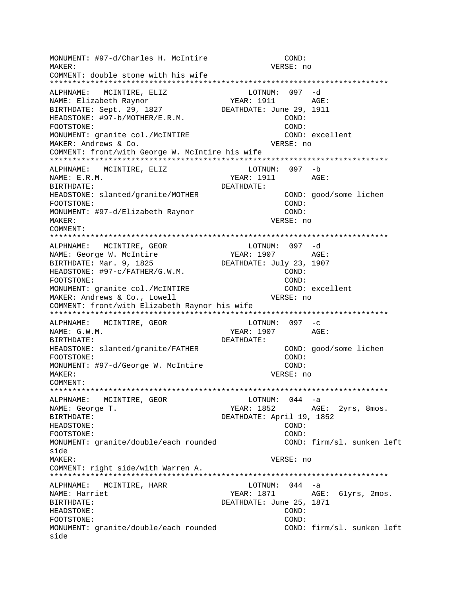MONUMENT: #97-d/Charles H. McIntire COND: MAKER: VERSE: no COMMENT: double stone with his wife \*\*\*\*\*\*\*\*\*\*\*\*\*\*\*\*\*\*\*\*\*\*\*\*\*\*\*\*\*\*\*\*\*\*\*\*\*\*\*\*\*\*\*\*\*\*\*\*\*\*\*\*\*\*\*\*\*\*\*\*\*\*\*\*\*\*\*\*\*\*\*\*\*\*\* ALPHNAME: MCINTIRE, ELIZ LOTNUM: 097 -d NAME: Elizabeth Raynor YEAR: 1911 AGE: BIRTHDATE: Sept. 29, 1827 DEATHDATE: June 29, 1911 HEADSTONE:  $\#97-b/MOTHER/E.R.M.$  COND: FOOTSTONE: COND: MONUMENT: granite col./McINTIRE COND: excellent MAKER: Andrews & Co. VERSE: no COMMENT: front/with George W. McIntire his wife \*\*\*\*\*\*\*\*\*\*\*\*\*\*\*\*\*\*\*\*\*\*\*\*\*\*\*\*\*\*\*\*\*\*\*\*\*\*\*\*\*\*\*\*\*\*\*\*\*\*\*\*\*\*\*\*\*\*\*\*\*\*\*\*\*\*\*\*\*\*\*\*\*\*\* ALPHNAME: MCINTIRE, ELIZ LOTNUM: 097 -b NAME: E.R.M. SALL AND MEAR: 1911 AGE: BIRTHDATE: DEATHDATE: HEADSTONE: slanted/granite/MOTHER COND: good/some lichen FOOTSTONE: COND: MONUMENT: #97-d/Elizabeth Raynor MAKER: VERSE: no COMMENT: \*\*\*\*\*\*\*\*\*\*\*\*\*\*\*\*\*\*\*\*\*\*\*\*\*\*\*\*\*\*\*\*\*\*\*\*\*\*\*\*\*\*\*\*\*\*\*\*\*\*\*\*\*\*\*\*\*\*\*\*\*\*\*\*\*\*\*\*\*\*\*\*\*\*\* ALPHNAME: MCINTIRE, GEOR LOTNUM: 097 -d NAME: George W. McIntire YEAR: 1907 BIRTHDATE: Mar. 9, 1825 DEATHDATE: July 23, 1907 HEADSTONE:  $\#97-c/FATHER/G.W.M.$  COND: FOOTSTONE: COND: MONUMENT: granite col./McINTIRE COND: excellent MAKER: Andrews & Co., Lowell VERSE: no COMMENT: front/with Elizabeth Raynor his wife \*\*\*\*\*\*\*\*\*\*\*\*\*\*\*\*\*\*\*\*\*\*\*\*\*\*\*\*\*\*\*\*\*\*\*\*\*\*\*\*\*\*\*\*\*\*\*\*\*\*\*\*\*\*\*\*\*\*\*\*\*\*\*\*\*\*\*\*\*\*\*\*\*\*\* ALPHNAME: MCINTIRE, GEOR LOTNUM: 097 -c NAME: G.W.M. 2007 AGE: BIRTHDATE: DEATHDATE: HEADSTONE: slanted/granite/FATHER COND: good/some lichen FOOTSTONE: COND: MONUMENT: #97-d/George W. McIntire COND: MAKER: VERSE: no COMMENT: \*\*\*\*\*\*\*\*\*\*\*\*\*\*\*\*\*\*\*\*\*\*\*\*\*\*\*\*\*\*\*\*\*\*\*\*\*\*\*\*\*\*\*\*\*\*\*\*\*\*\*\*\*\*\*\*\*\*\*\*\*\*\*\*\*\*\*\*\*\*\*\*\*\*\* ALPHNAME: MCINTIRE, GEOR LOTNUM: 044 -a NAME: George T. The South Communication of the YEAR: 1852 AGE: 2yrs, 8mos. BIRTHDATE: DEATHDATE: April 19, 1852 HEADSTONE: COND: FOOTSTONE: COND: MONUMENT: granite/double/each rounded <a>
COND: firm/sl. sunken left<br/>  $\,$ side MAKER: VERSE: no COMMENT: right side/with Warren A. \*\*\*\*\*\*\*\*\*\*\*\*\*\*\*\*\*\*\*\*\*\*\*\*\*\*\*\*\*\*\*\*\*\*\*\*\*\*\*\*\*\*\*\*\*\*\*\*\*\*\*\*\*\*\*\*\*\*\*\*\*\*\*\*\*\*\*\*\*\*\*\*\*\*\* ALPHNAME: MCINTIRE, HARR LOTNUM: 044 -a NAME: Harriet The YEAR: 1871 AGE: 61yrs, 2mos. BIRTHDATE: DEATHDATE: June 25, 1871 HEADSTONE: COND: FOOTSTONE: COND: MONUMENT: granite/double/each rounded COND: firm/sl. sunken left side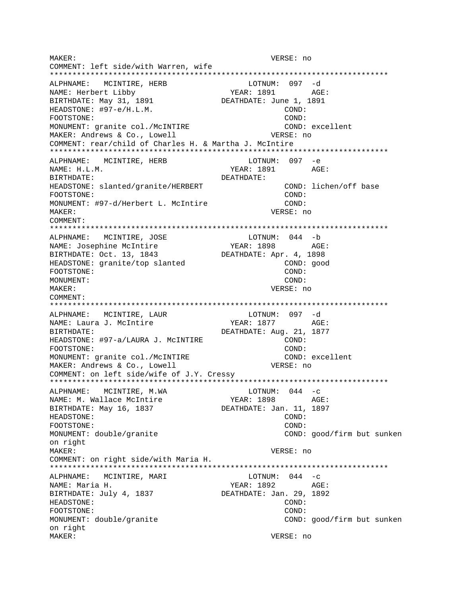MAKER: VERSE: no COMMENT: left side/with Warren, wife \*\*\*\*\*\*\*\*\*\*\*\*\*\*\*\*\*\*\*\*\*\*\*\*\*\*\*\*\*\*\*\*\*\*\*\*\*\*\*\*\*\*\*\*\*\*\*\*\*\*\*\*\*\*\*\*\*\*\*\*\*\*\*\*\*\*\*\*\*\*\*\*\*\*\* ALPHNAME: MCINTIRE, HERB LOTNUM: 097 -d NAME: Herbert Libby YEAR: 1891 AGE: BIRTHDATE: May 31, 1891 DEATHDATE: June 1, 1891 HEADSTONE: #97-e/H.L.M. COND: FOOTSTONE: COND: MONUMENT: granite col./McINTIRE MAKER: Andrews & Co., Lowell **VERSE:** no COMMENT: rear/child of Charles H. & Martha J. McIntire \*\*\*\*\*\*\*\*\*\*\*\*\*\*\*\*\*\*\*\*\*\*\*\*\*\*\*\*\*\*\*\*\*\*\*\*\*\*\*\*\*\*\*\*\*\*\*\*\*\*\*\*\*\*\*\*\*\*\*\*\*\*\*\*\*\*\*\*\*\*\*\*\*\*\* ALPHNAME: MCINTIRE, HERB LOTNUM: 097 -e NAME: H.L.M. YEAR: 1891 AGE: BIRTHDATE: DEATHDATE: HEADSTONE: slanted/granite/HERBERT COND: lichen/off base FOOTSTONE: COND: MONUMENT: #97-d/Herbert L. McIntire COND: MAKER: VERSE: no COMMENT: \*\*\*\*\*\*\*\*\*\*\*\*\*\*\*\*\*\*\*\*\*\*\*\*\*\*\*\*\*\*\*\*\*\*\*\*\*\*\*\*\*\*\*\*\*\*\*\*\*\*\*\*\*\*\*\*\*\*\*\*\*\*\*\*\*\*\*\*\*\*\*\*\*\*\* ALPHNAME: MCINTIRE, JOSE LOTNUM: 044 -b NAME: Josephine McIntire  $YEAR: 1898$  AGE: BIRTHDATE: Oct. 13, 1843 DEATHDATE: Apr. 4, 1898 HEADSTONE: granite/top slanted COND: good FOOTSTONE: COND: MONUMENT: COND: MAKER: VERSE: no COMMENT: \*\*\*\*\*\*\*\*\*\*\*\*\*\*\*\*\*\*\*\*\*\*\*\*\*\*\*\*\*\*\*\*\*\*\*\*\*\*\*\*\*\*\*\*\*\*\*\*\*\*\*\*\*\*\*\*\*\*\*\*\*\*\*\*\*\*\*\*\*\*\*\*\*\*\* ALPHNAME: MCINTIRE, LAUR NAME: Laura J. McIntire YEAR: 1877 AGE: BIRTHDATE: DEATHDATE: Aug. 21, 1877 HEADSTONE: #97-a/LAURA J. McINTIRE COND: FOOTSTONE: COND: MONUMENT: granite col./McINTIRE COND: excellent MAKER: Andrews & Co., Lowell **VERSE:** no COMMENT: on left side/wife of J.Y. Cressy \*\*\*\*\*\*\*\*\*\*\*\*\*\*\*\*\*\*\*\*\*\*\*\*\*\*\*\*\*\*\*\*\*\*\*\*\*\*\*\*\*\*\*\*\*\*\*\*\*\*\*\*\*\*\*\*\*\*\*\*\*\*\*\*\*\*\*\*\*\*\*\*\*\*\* ALPHNAME: MCINTIRE, M.WA NAME: M. Wallace McIntire  $YEAR: 1898$  AGE: BIRTHDATE: May 16, 1837 DEATHDATE: Jan. 11, 1897 HEADSTONE: COND: FOOTSTONE: COND: MONUMENT: double/granite COND: good/firm but sunken on right MAKER: VERSE: no COMMENT: on right side/with Maria H. \*\*\*\*\*\*\*\*\*\*\*\*\*\*\*\*\*\*\*\*\*\*\*\*\*\*\*\*\*\*\*\*\*\*\*\*\*\*\*\*\*\*\*\*\*\*\*\*\*\*\*\*\*\*\*\*\*\*\*\*\*\*\*\*\*\*\*\*\*\*\*\*\*\*\* ALPHNAME: MCINTIRE, MARI NAME: Maria H. Sand Communication of the Maria Hotel Maria Maria Maria Maria Maria Maria Maria Maria Maria Mari BIRTHDATE: July 4, 1837 DEATHDATE: Jan. 29, 1892 HEADSTONE: COND: FOOTSTONE: COND: MONUMENT: double/granite COND: good/firm but sunken on right MAKER: VERSE: no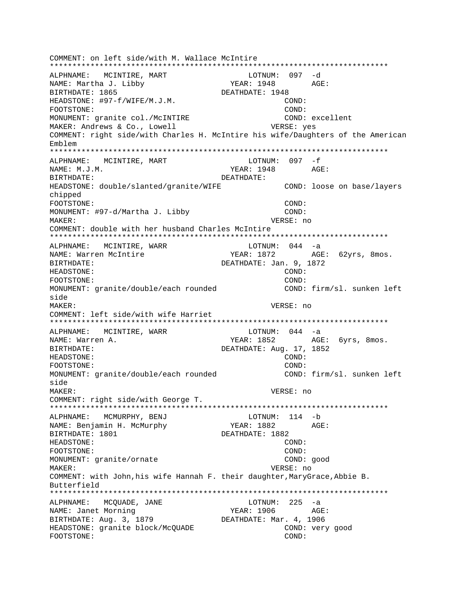COMMENT: on left side/with M. Wallace McIntire ALPHNAME: MCINTIRE, MART LOTNUM: 097 -d NAME: Martha J. Libby  $YEAR: 1948 AGE:$ BIRTHDATE: 1865 DEATHDATE: 1948 HEADSTONE: #97-f/WIFE/M.J.M. COND: FOOTSTONE: COND: MONUMENT: granite col./McINTIRE COND: excellent MAKER: Andrews & Co., Lowell VERSE: yes COMMENT: right side/with Charles H. McIntire his wife/Daughters of the American Emblem ALPHNAME: MCINTIRE, MART LOTNUM: 097 -f NAME: M.J.M. YEAR: 1948 AGE: DEATHDATE: BIRTHDATE: COND: loose on base/layers HEADSTONE: double/slanted/granite/WIFE chipped FOOTSTONE: COND: MONUMENT: #97-d/Martha J. Libby COND: MAKER: VERSE: no COMMENT: double with her husband Charles McIntire ALPHNAME: MCINTIRE, WARR  $LOTNUM: 044 -a$ NAME: Warren McIntire YEAR: 1872 AGE: 62yrs, 8mos. RIRTHDATE: DEATHDATE: Jan. 9, 1872 HEADSTONE: COND: FOOTSTONE: COND: COND: firm/sl. sunken left MONUMENT: granite/double/each rounded side MAKER: VERSE: no COMMENT: left side/with wife Harriet LOTNUM:  $044 - a$ ALPHNAME: MCINTIRE, WARR YEAR: 1852 AGE: 6yrs, 8mos. NAME: Warren A. BIRTHDATE: DEATHDATE: Aug. 17, 1852 HEADSTONE:  $COND:$ FOOTSTONE: COND: MONUMENT: granite/double/each rounded COND: firm/sl. sunken left side MAKER: VERSE: no COMMENT: right side/with George T. ALPHNAME: MCMURPHY, BENJ  $LOTNUM: 114 - b$ YEAR: 1882 NAME: Benjamin H. McMurphy AGE: BIRTHDATE: 1801 DEATHDATE: 1882 HEADSTONE:  $COND:$ COND: FOOTSTONE: MONUMENT: granite/ornate COND: good VERSE: no MAKER: COMMENT: with John, his wife Hannah F. their daughter, MaryGrace, Abbie B. Butterfield LOTNUM:  $225 - a$ ALPHNAME: MCQUADE, JANE NAME: Janet Morning YEAR: 1906 AGE: BIRTHDATE: Aug. 3, 1879 DEATHDATE: Mar. 4, 1906 COND: very good HEADSTONE: granite block/McQUADE FOOTSTONE: COND: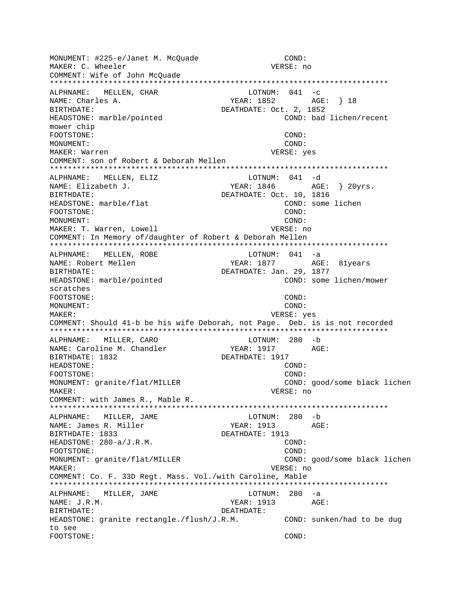MONUMENT: #225-e/Janet M. McOuade COND: MAKER: C. Wheeler VERSE: no COMMENT: Wife of John McQuade LOTNUM:  $041 - c$ ALPHNAME: MELLEN, CHAR NAME: Charles A. **BIRTHDATE:** DEATHDATE: Oct. 2, 1852 HEADSTONE: marble/pointed COND: bad lichen/recent mower chip FOOTSTONE:  $COND:$ MONUMENT:  $COND:$ MAKER: Warren VERSE: yes COMMENT: son of Robert & Deborah Mellen ALPHNAME: MELLEN, ELIZ LOTNUM: 041 -d NAME: Elizabeth J. DEATHDATE: Oct. 10, 1816 BIRTHDATE: HEADSTONE: marble/flat COND: some lichen FOOTSTONE:  $CONF:$ MONUMENT:  $COMD:$ MAKER: T. Warren, Lowell VERSE: no COMMENT: In Memory of/daughter of Robert & Deborah Mellen ALPHNAME: MELLEN, ROBE LOTNUM: 041 -a NAME: Robert Mellen BIRTHDATE: DEATHDATE: Jan. 29, 1877 HEADSTONE: marble/pointed COND: some lichen/mower scratches FOOTSTONE: COND: MONITMENT:  $COMD:$ MAKER: VERSE: yes COMMENT: Should 41-b be his wife Deborah, not Page. Deb. is is not recorded LOTNUM: 280 -b ALPHNAME: MILLER, CARO NAME: Caroline M. Chandler YEAR: 1917  $AGE:$ BIRTHDATE: 1832 DEATHDATE: 1917 HEADSTONE: COND: FOOTSTONE: COND: MONUMENT: granite/flat/MILLER COND: good/some black lichen VERSE: no MAKER: COMMENT: with James R., Mable R. ALPHNAME: MILLER, JAME LOTNUM: 280 -b NAME: James R. Miller YEAR: 1913  $AGE:$ BIRTHDATE: 1833 DEATHDATE: 1913 HEADSTONE: 280-a/J.R.M. COND: FOOTSTONE:  $COND:$ MONUMENT: granite/flat/MILLER COND: good/some black lichen MAKER: VERSE: no COMMENT: Co. F. 33D Regt. Mass. Vol./with Caroline, Mable LOTNUM: 280 -a ALPHNAME: MILLER, JAME NAME: J.R.M. YEAR: 1913 AGE: BIRTHDATE: DEATHDATE: HEADSTONE: granite rectangle./flush/J.R.M. COND: sunken/had to be dug to see FOOTSTONE: COND: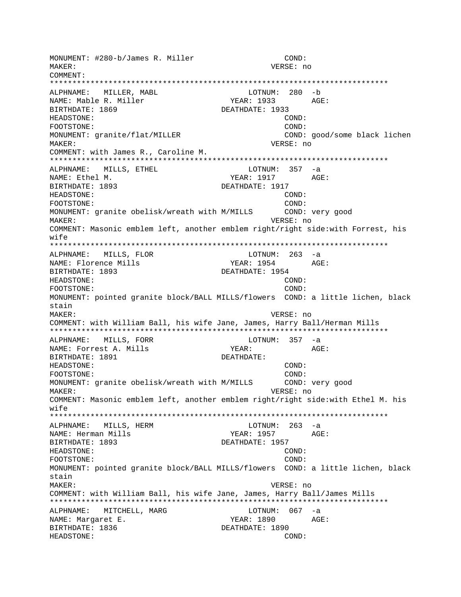MONUMENT: #280-b/James R. Miller COND: MAKER: VERSE: no COMMENT: LOTNUM: 280 -b ALPHNAME: MILLER, MABL NAME: Mable R. Miller YEAR: 1933 AGE: BIRTHDATE: 1869 DEATHDATE: 1933 HEADSTONE: COND: FOOTSTONE: COND: MONUMENT: granite/flat/MILLER COND: good/some black lichen MAKER: VERSE: no COMMENT: with James R., Caroline M. ALPHNAME: MILLS, ETHEL  $LOTNUM: 357 -a$ NAME: Ethel M. YEAR: 1917  $\triangle G$ F: DEATHDATE: 1917 BIRTHDATE: 1893 HEADSTONE: COND: FOOTSTONE: COND: MONUMENT: granite obelisk/wreath with M/MILLS COND: very good VERSE: no MAKER: COMMENT: Masonic emblem left, another emblem right/right side:with Forrest, his  $w$ ife LOTNUM: 263 -a ALPHNAME: MILLS, FLOR AGE: YEAR: 1954 NAME: Florence Mills BIRTHDATE: 1893 DEATHDATE: 1954 HEADSTONE: COND: FOOTSTONE: COND: MONUMENT: pointed granite block/BALL MILLS/flowers COND: a little lichen, black stain MAKER: VERSE: no COMMENT: with William Ball, his wife Jane, James, Harry Ball/Herman Mills ALPHNAME: MILLS, FORR  $LOTNUM: 357 -a$ NAME: Forrest A. Mills YEAR: AGE: BIRTHDATE: 1891 DEATHDATE: HEADSTONE: COND: FOOTSTONE: COND: MONUMENT: granite obelisk/wreath with M/MILLS COND: very good VERSE: no MAKER: COMMENT: Masonic emblem left, another emblem right/right side:with Ethel M. his wife ALPHNAME: MILLS, HERM  $LOTNUM: 263 -a$ NAME: Herman Mills YEAR: 1957 AGE: BIRTHDATE: 1893 DEATHDATE: 1957 HEADSTONE: COND: COND: FOOTSTONE: MONUMENT: pointed granite block/BALL MILLS/flowers COND: a little lichen, black stain MAKER: VERSE: no COMMENT: with William Ball, his wife Jane, James, Harry Ball/James Mills ALPHNAME: MITCHELL, MARG LOTNUM: 067 -a NAME: Margaret E. YEAR: 1890 AGE: BIRTHDATE: 1836 DEATHDATE: 1890 HEADSTONE: COND: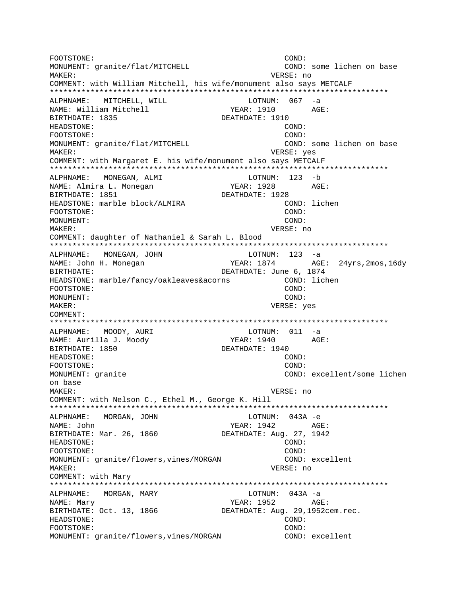FOOTSTONE: COND: MONUMENT: granite/flat/MITCHELL COND: some lichen on base MAKER: VERSE: no COMMENT: with William Mitchell, his wife/monument also says METCALF ALPHNAME: MITCHELL, WILL LOTNUM: 067 -a NAME: William Mitchell YEAR: 1910 AGE: BIRTHDATE: 1835 DEATHDATE: 1910 HEADSTONE: COND: FOOTSTONE:  $COND:$ MONUMENT: granite/flat/MITCHELL COND: some lichen on base MAKER: VERSE: yes COMMENT: with Margaret E. his wife/monument also says METCALF ALPHNAME: MONEGAN, ALMI LOTNUM: 123 -b YEAR: 1928 NAME: Almira L. Monegan  $AGE:$ BIRTHDATE: 1851 DEATHDATE: 1928 HEADSTONE: marble block/ALMIRA COND: lichen COND: FOOTSTONE: MONUMENT:  $COMD:$ MAKER: VERSE: no COMMENT: daughter of Nathaniel & Sarah L. Blood LOTNUM: 123 -a ALPHNAME: MONEGAN, JOHN YEAR: 1874 NAME: John H. Monegan AGE: 24yrs, 2mos, 16dy BIRTHDATE: DEATHDATE: June 6, 1874 HEADSTONE: marble/fancy/oakleaves&acorns COND: lichen COND: FOOTSTONE: MONUMENT:  $COMD:$ MAKER: VERSE: yes COMMENT:  $LOTNUM: 011 -a$ MOODY, AURI ALPHNAME: NAME: Aurilla J. Moody YEAR: 1940 AGE: BIRTHDATE: 1850 DEATHDATE: 1940 HEADSTONE: COND: FOOTSTONE:  $COMD:$ COND: excellent/some lichen MONUMENT: granite on base MAKER: VERSE: no COMMENT: with Nelson C., Ethel M., George K. Hill ALPHNAME: MORGAN, JOHN LOTNUM: 043A -e YEAR: 1942 AGE: NAME: John DEATHDATE: Aug. 27, 1942 BIRTHDATE: Mar. 26, 1860 HEADSTONE: COND: COND: FOOTSTONE: MONUMENT: granite/flowers, vines/MORGAN COND: excellent VERSE: no MAKER: COMMENT: with Mary ALPHNAME: MORGAN, MARY LOTNUM: 043A -a NAME: Mary YEAR: 1952 AGE: BIRTHDATE: Oct. 13, 1866 DEATHDATE: Aug. 29,1952cem.rec. HEADSTONE: COND: FOOTSTONE: COND: MONUMENT: granite/flowers, vines/MORGAN COND: excellent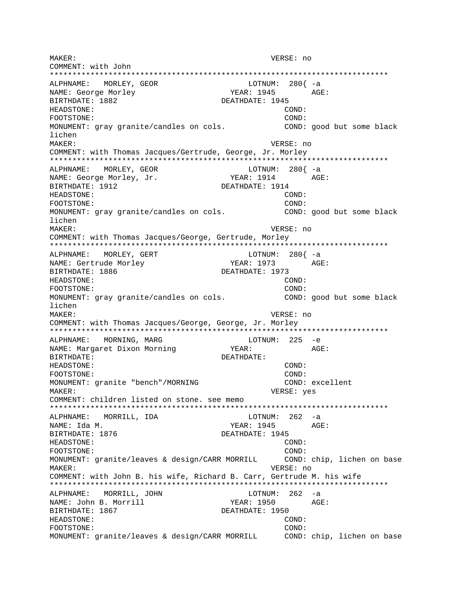MAKER: VERSE: no COMMENT: with John ALPHNAME: MORLEY, GEOR LOTNUM: 280{ -a NAME: George Morley YEAR: 1945 AGE: BIRTHDATE: 1882 DEATHDATE: 1945 HEADSTONE: COND: FOOTSTONE: COND: MONUMENT: gray granite/candles on cols. COND: good but some black lichen MAKER: VERSE: no COMMENT: with Thomas Jacques/Gertrude, George, Jr. Morley LOTNUM:  $280\begin{cases} -a \end{cases}$ ALPHNAME: MORLEY, GEOR NAME: George Morley, Jr. DEATHDATE: 1914 BIRTHDATE: 1912 HEADSTONE: COND: FOOTSTONE: COND: MONUMENT: gray granite/candles on cols. COND: good but some black lichen MAKER: VERSE: no COMMENT: with Thomas Jacques/George, Gertrude, Morley LOTNUM: 280{ -a ALPHNAME: MORLEY, GERT YEAR: 1973 AGE: NAME: Gertrude Morley BIRTHDATE: 1886 DEATHDATE: 1973 HEADSTONE: COND: FOOTSTONE: COND: MONUMENT: gray granite/candles on cols. COND: good but some black lichen MAKER: VERSE: no COMMENT: with Thomas Jacques/George, George, Jr. Morley  $LOTNUM: 225 -e$ ALPHNAME: MORNING, MARG YEAR: NAME: Margaret Dixon Morning AGE: DEATHDATE: BIRTHDATE: HEADSTONE: COND: FOOTSTONE: COND: COND: excellent MONUMENT: granite "bench"/MORNING MAKER: VERSE: yes COMMENT: children listed on stone. see memo \*\*\*\*\*\*\*\*\*\*\*\*\* ALPHNAME: MORRILL, IDA LOTNUM: 262 -a YEAR: 1945 AGE: NAME: Ida M. BIRTHDATE: 1876 DEATHDATE: 1945 HEADSTONE: COND: FOOTSTONE: COND: MONUMENT: granite/leaves & design/CARR MORRILL COND: chip, lichen on base VERSE: no MAKER: COMMENT: with John B. his wife, Richard B. Carr, Gertrude M. his wife ALPHNAME: MORRILL, JOHN LOTNUM: 262 -a AGE: NAME: John B. Morrill YEAR: 1950 BIRTHDATE: 1867 DEATHDATE: 1950 HEADSTONE: COND: FOOTSTONE: COND: MONUMENT: granite/leaves & design/CARR MORRILL COND: chip, lichen on base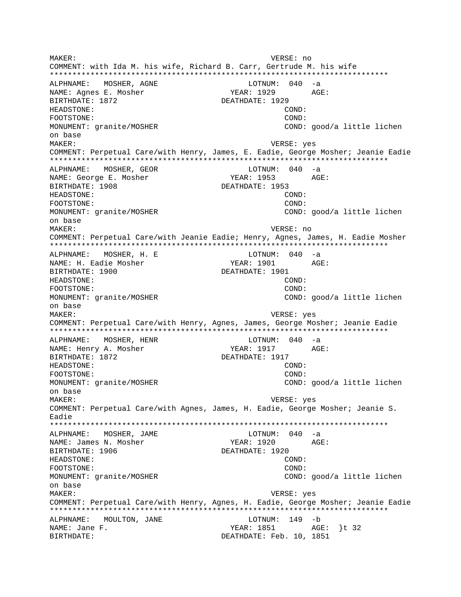MAKER: VERSE: no COMMENT: with Ida M. his wife, Richard B. Carr, Gertrude M. his wife ALPHNAME: MOSHER, AGNE LOTNUM:  $040 -a$ NAME: Agnes E. Mosher YEAR: 1929 AGE: BIRTHDATE: 1872 DEATHDATE: 1929 HEADSTONE: COND: FOOTSTONE:  $COMD:$ MONUMENT: granite/MOSHER COND: good/a little lichen on base MAKER: VERSE: yes COMMENT: Perpetual Care/with Henry, James, E. Eadie, George Mosher; Jeanie Eadie ALPHNAME: MOSHER, GEOR LOTNUM: 040 -a NAME: George E. Mosher YEAR: 1953  $\Delta G$ F: BIRTHDATE: 1908 DEATHDATE: 1953 HEADSTONE: COND: FOOTSTONE: COND: MONUMENT: granite/MOSHER COND: good/a little lichen on base MAKER: VERSE: no COMMENT: Perpetual Care/with Jeanie Eadie; Henry, Agnes, James, H. Eadie Mosher ALPHNAME: MOSHER, H. E  $LOTNUM: 040 -a$ AGE: NAME: H. Eadie Mosher YEAR: 1901 BIRTHDATE: 1900 DEATHDATE: 1901 HEADSTONE: COND: FOOTSTONE: COND: COND: good/a little lichen MONUMENT: granite/MOSHER on base MAKER: VERSE: yes COMMENT: Perpetual Care/with Henry, Agnes, James, George Mosher; Jeanie Eadie ALPHNAME: MOSHER, HENR  $LOTNUM: 040 -a$ NAME: Henry A. Mosher YEAR: 1917 AGE: BIRTHDATE: 1872 DEATHDATE: 1917 HEADSTONE: COND: FOOTSTONE:  $COMD:$ MONUMENT: granite/MOSHER COND: good/a little lichen on base MAKER: VERSE: yes COMMENT: Perpetual Care/with Agnes, James, H. Eadie, George Mosher; Jeanie S. Eadie ALPHNAME: MOSHER, JAME  $LOTNUM: 040 -a$ NAME: James N. Mosher YEAR: 1920 AGE: BIRTHDATE: 1906 DEATHDATE: 1920 HEADSTONE:  $COND:$ FOOTSTONE: COND: MONUMENT: granite/MOSHER COND: good/a little lichen on base MAKER: VERSE: yes COMMENT: Perpetual Care/with Henry, Agnes, H. Eadie, George Mosher; Jeanie Eadie ALPHNAME: MOULTON, JANE LOTNUM: 149 -b NAME: Jane F. YEAR: 1851 AGE: }t 32 DEATHDATE: Feb. 10, 1851 **BIRTHDATE:**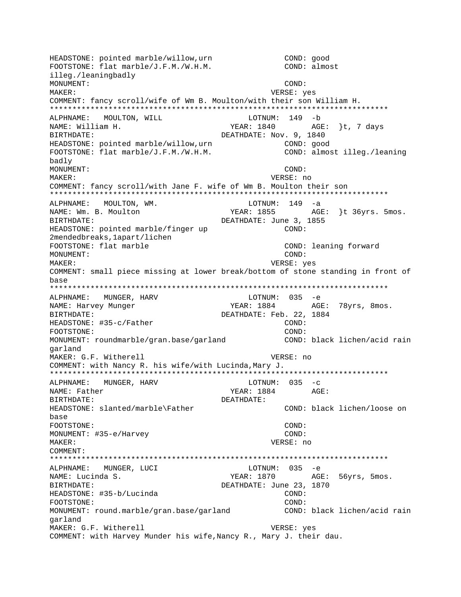HEADSTONE: pointed marble/willow, urn COND: good COND: almost FOOTSTONE: flat marble/J.F.M./W.H.M. illeg./leaningbadly MONUMENT: COND: MAKER: VERSE: yes COMMENT: fancy scroll/wife of Wm B. Moulton/with their son William H. ALPHNAME: MOULTON, WILL LOTNUM: 149 -b AGE: }t, 7 days NAME: William H. YEAR: 1840 BIRTHDATE: DEATHDATE: Nov. 9, 1840 HEADSTONE: pointed marble/willow, urn COND: good FOOTSTONE: flat marble/J.F.M./W.H.M. COND: almost illeg./leaning badly MONUMENT: COND:  $M\Delta KFR$ : VERSE: no COMMENT: fancy scroll/with Jane F. wife of Wm B. Moulton their son ALPHNAME: MOULTON, WM. LOTNUM: 149 -a YEAR: 1855 AGE: }t 36yrs. 5mos. NAME: Wm. B. Moulton BIRTHDATE: DEATHDATE: June 3, 1855 HEADSTONE: pointed marble/finger up  $COMD:$ 2mendedbreaks, 1apart/lichen FOOTSTONE: flat marble COND: leaning forward MONUMENT: COND: MAKER: VERSE: yes COMMENT: small piece missing at lower break/bottom of stone standing in front of base ALPHNAME: MUNGER, HARV LOTNUM: 035 -e YEAR: 1884 AGE: 78yrs, 8mos. NAME: Harvey Munger DEATHDATE: Feb. 22, 1884 BIRTHDATE: HEADSTONE: #35-c/Father  $COMD:$ FOOTSTONE: COND: MONUMENT: roundmarble/gran.base/garland COND: black lichen/acid rain qarland MAKER: G.F. Witherell VERSE: no COMMENT: with Nancy R. his wife/with Lucinda, Mary J. MUNGER, HARV  $LOTNUM: 035 -c$ ALPHNAME: AGE: NAME: Father YEAR: 1884 BIRTHDATE: DEATHDATE: COND: black lichen/loose on HEADSTONE: slanted/marble\Father base FOOTSTONE: COND: MONUMENT: #35-e/Harvey COND: VERSE: no MAKER: COMMENT: ALPHNAME: MUNGER, LUCI LOTNUM: 035 -e AGE: 56yrs, 5mos. NAME: Lucinda S. YEAR: 1870 DEATHDATE: June 23, 1870 BIRTHDATE: HEADSTONE: #35-b/Lucinda COND: COND: FOOTSTONE: MONUMENT: round.marble/gran.base/garland COND: black lichen/acid rain garland MAKER: G.F. Witherell VERSE: yes COMMENT: with Harvey Munder his wife, Nancy R., Mary J. their dau.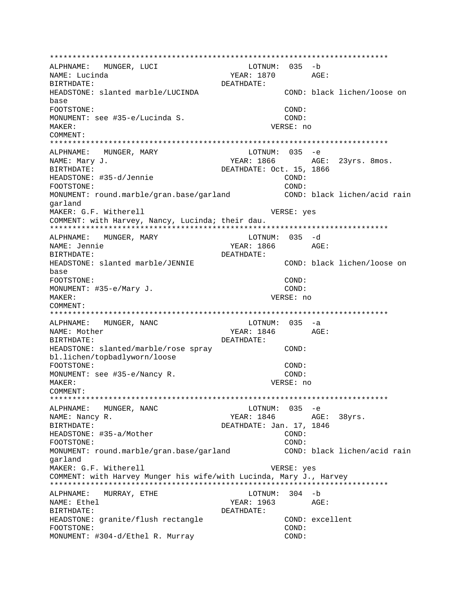ALPHNAME: MUNGER, LUCI LOTNUM: 035 -b YEAR: 1870 AGE: NAME: Lucinda BIRTHDATE: DEATHDATE: COND: black lichen/loose on HEADSTONE: slanted marble/LUCINDA base FOOTSTONE: COND: MONUMENT: see #35-e/Lucinda S.  $COMD:$ VERSE: no MAKER: COMMENT: ALPHNAME: MUNGER, MARY LOTNUM:  $035 - e$ NAME: Mary J. YEAR: 1866 AGE: 23yrs. 8mos. BIRTHDATE: DEATHDATE: Oct. 15, 1866 HEADSTONE: #35-d/Jennie  $COMD:$  $CONF:$ FOOTSTONE: MONUMENT: round.marble/gran.base/garland COND: black lichen/acid rain qarland MAKER: G.F. Witherell VERSE: yes COMMENT: with Harvey, Nancy, Lucinda; their dau. ALPHNAME: MUNGER, MARY LOTNUM: 035 -d YEAR: 1866 NAME: Jennie AGE: BIRTHDATE: DEATHDATE: HEADSTONE: slanted marble/JENNIE COND: black lichen/loose on base FOOTSTONE: COND: COND: MONUMENT: #35-e/Mary J. VERSE: no  $M\Delta KFR$ : COMMENT: ALPHNAME: MUNGER, NANC  $LOTNUM: 035 -a$ NAME: Mother DEATHDATE: BIRTHDATE: HEADSTONE: slanted/marble/rose spray COND: bl.lichen/topbadlyworn/loose FOOTSTONE: COND: MONUMENT: see #35-e/Nancy R. COND: MAKER: VERSE: no COMMENT: ALPHNAME: MUNGER, NANC LOTNUM: 035 -e YEAR: 1846 AGE: 38yrs. NAME: Nancy R. DEATHDATE: Jan. 17, 1846 **BIRTHDATE:** HEADSTONE: #35-a/Mother COND:  $COND:$ FOOTSTONE: COND: black lichen/acid rain MONUMENT: round.marble/gran.base/garland qarland MAKER: G.F. Witherell VERSE: yes COMMENT: with Harvey Munger his wife/with Lucinda, Mary J., Harvey LOTNUM: 304 -b ALPHNAME: MURRAY, ETHE AGE: NAME: Ethel YEAR: 1963 BIRTHDATE: DEATHDATE: HEADSTONE: granite/flush rectangle COND: excellent FOOTSTONE: COND: MONUMENT: #304-d/Ethel R. Murray COND: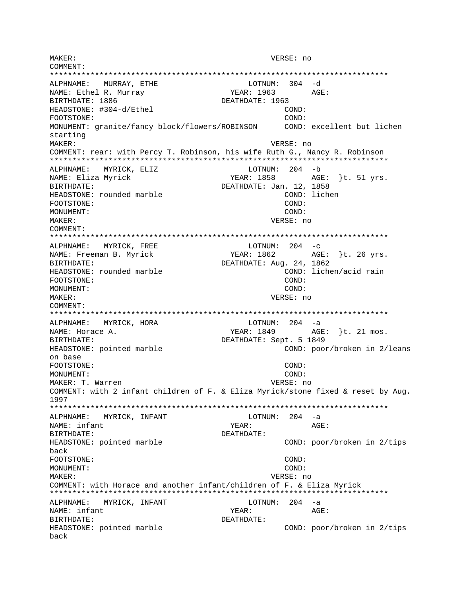MAKER: VERSE: no COMMENT: \*\*\*\*\*\*\*\*\*\*\*\*\*\*\*\*\*\*\*\*\*\*\*\*\*\*\*\*\*\*\*\*\*\*\*\*\*\*\*\*\*\*\*\*\*\*\*\*\*\*\*\*\*\*\*\*\*\*\*\*\*\*\*\*\*\*\*\*\*\*\*\*\*\*\* ALPHNAME: MURRAY, ETHE LOTNUM: 304 -d NAME: Ethel R. Murray  $YEAR: 1963$  AGE: BIRTHDATE: 1886 DEATHDATE: 1963 HEADSTONE: #304-d/Ethel COND: FOOTSTONE: COND: MONUMENT: granite/fancy block/flowers/ROBINSON COND: excellent but lichen starting MAKER: VERSE: no COMMENT: rear: with Percy T. Robinson, his wife Ruth G., Nancy R. Robinson \*\*\*\*\*\*\*\*\*\*\*\*\*\*\*\*\*\*\*\*\*\*\*\*\*\*\*\*\*\*\*\*\*\*\*\*\*\*\*\*\*\*\*\*\*\*\*\*\*\*\*\*\*\*\*\*\*\*\*\*\*\*\*\*\*\*\*\*\*\*\*\*\*\*\* ALPHNAME: MYRICK, ELIZ LOTNUM: 204 -b NAME: Eliza Myrick YEAR: 1858 AGE: }t. 51 yrs. BIRTHDATE: Jan. 12, 1858 HEADSTONE: rounded marble COND: lichen FOOTSTONE: COND: MONUMENT: MAKER: VERSE: no COMMENT: \*\*\*\*\*\*\*\*\*\*\*\*\*\*\*\*\*\*\*\*\*\*\*\*\*\*\*\*\*\*\*\*\*\*\*\*\*\*\*\*\*\*\*\*\*\*\*\*\*\*\*\*\*\*\*\*\*\*\*\*\*\*\*\*\*\*\*\*\*\*\*\*\*\*\* ALPHNAME: MYRICK, FREE LOTNUM: 204 -c<br>
NAME: Freeman B. Myrick Manus (1862 AGE: }t. 26 yrs. NAME: Freeman B. Myrick YEAR: 1862 BIRTHDATE: DEATHDATE: Aug. 24, 1862 HEADSTONE: rounded marble COND: lichen/acid rain FOOTSTONE: COND: MONUMENT: COND: MAKER: VERSE: no COMMENT: \*\*\*\*\*\*\*\*\*\*\*\*\*\*\*\*\*\*\*\*\*\*\*\*\*\*\*\*\*\*\*\*\*\*\*\*\*\*\*\*\*\*\*\*\*\*\*\*\*\*\*\*\*\*\*\*\*\*\*\*\*\*\*\*\*\*\*\*\*\*\*\*\*\*\* ALPHNAME: MYRICK, HORA LOTNUM: 204 -a NAME: Horace A. (2008) AGE: 31 mos. BIRTHDATE: DEATHDATE: Sept. 5 1849 HEADSTONE: pointed marble  $\sim$  COND: poor/broken in 2/leans on base FOOTSTONE: COND: MONUMENT: COND: MAKER: T. Warren VERSE: no COMMENT: with 2 infant children of F. & Eliza Myrick/stone fixed & reset by Aug. 1997 \*\*\*\*\*\*\*\*\*\*\*\*\*\*\*\*\*\*\*\*\*\*\*\*\*\*\*\*\*\*\*\*\*\*\*\*\*\*\*\*\*\*\*\*\*\*\*\*\*\*\*\*\*\*\*\*\*\*\*\*\*\*\*\*\*\*\*\*\*\*\*\*\*\*\* ALPHNAME: MYRICK, INFANT LOTNUM: 204 -a NAME: infant  $YEAR:$  AGE: BIRTHDATE: DEATHDATE: HEADSTONE: pointed marble  $\sim$  COND: poor/broken in 2/tips back FOOTSTONE: COND: MONUMENT: COND: MAKER: VERSE: no COMMENT: with Horace and another infant/children of F. & Eliza Myrick \*\*\*\*\*\*\*\*\*\*\*\*\*\*\*\*\*\*\*\*\*\*\*\*\*\*\*\*\*\*\*\*\*\*\*\*\*\*\*\*\*\*\*\*\*\*\*\*\*\*\*\*\*\*\*\*\*\*\*\*\*\*\*\*\*\*\*\*\*\*\*\*\*\*\* ALPHNAME: MYRICK, INFANT LOTNUM: 204 -a NAME: infant  $YEAR:$  AGE: BIRTHDATE: DEATHDATE: HEADSTONE: pointed marble COND: poor/broken in 2/tips back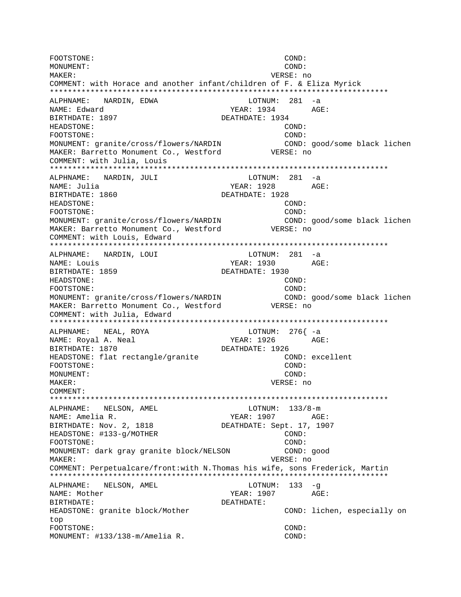FOOTSTONE:  $COND:$ MONUMENT:  $COND:$ MAKER: VERSE: no COMMENT: with Horace and another infant/children of F. & Eliza Myrick ALPHNAME: NARDIN, EDWA  $LOTNUM: 281 -a$ NAME: Edward YEAR: 1934 AGE: BIRTHDATE: 1897 DEATHDATE: 1934 HEADSTONE: COND: FOOTSTONE: COND: MONUMENT: granite/cross/flowers/NARDIN COND: good/some black lichen MAKER: Barretto Monument Co., Westford VERSE: no COMMENT: with Julia, Louis ALPHNAME: NARDIN, JULI LOTNUM: 281 -a YEAR: 1928 NAME: Julia AGE: BIRTHDATE: 1860 DEATHDATE: 1928 HEADSTONE: COND: COND: FOOTSTONE: MONUMENT: granite/cross/flowers/NARDIN COND: good/some black lichen MAKER: Barretto Monument Co., Westford VERSE: no COMMENT: with Louis, Edward ALPHNAME: LOTNUM: 281 -a NARDIN, LOUI AGE: YEAR: 1930 NAME: Louis BIRTHDATE: 1859 DEATHDATE: 1930 HEADSTONE: COND: FOOTSTONE: COND: MONUMENT: granite/cross/flowers/NARDIN COND: good/some black lichen MAKER: Barretto Monument Co., Westford VERSE: no COMMENT: with Julia, Edward LOTNUM:  $276(-a)$ NEAL, ROYA ALPHNAME: NAME: Royal A. Neal YEAR: 1926 AGE: BIRTHDATE: 1870 DEATHDATE: 1926 HEADSTONE: flat rectangle/granite COND: excellent FOOTSTONE: COND: MONUMENT: COND: MAKER: VERSE: no COMMENT: ALPHNAME: NELSON, AMEL  $LOTNUM: 133/8-m$ YEAR: 1907 AGE: NAME: Amelia R. BIRTHDATE: Nov. 2, 1818 DEATHDATE: Sept. 17, 1907 HEADSTONE: #133-q/MOTHER COND:  $COND:$ FOOTSTONE: MONUMENT: dark gray granite block/NELSON COND: good VERSE: no MAKER: COMMENT: Perpetualcare/front:with N.Thomas his wife, sons Frederick, Martin ALPHNAME: NELSON, AMEL LOTNUM:  $133 - g$ NAME: Mother YEAR: 1907 AGE: BIRTHDATE: DEATHDATE: HEADSTONE: granite block/Mother COND: lichen, especially on top FOOTSTONE: COND: MONUMENT: #133/138-m/Amelia R. COND: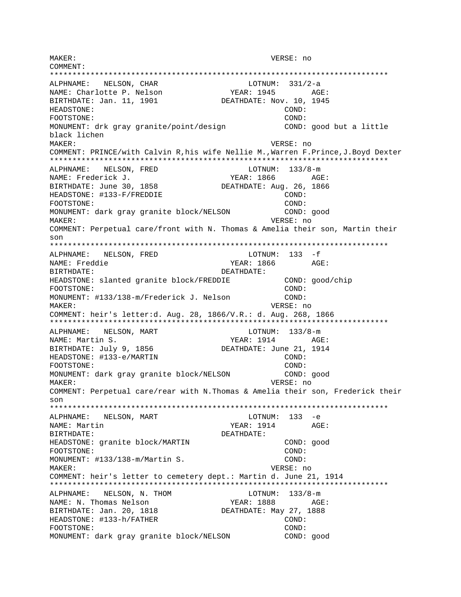MAKER: VERSE: no COMMENT: \*\*\*\*\*\*\*\*\*\*\*\*\*\*\*\*\*\*\*\*\*\*\*\*\*\*\*\*\*\*\*\*\*\*\*\*\*\*\*\*\*\*\*\*\*\*\*\*\*\*\*\*\*\*\*\*\*\*\*\*\*\*\*\*\*\*\*\*\*\*\*\*\*\*\* ALPHNAME: NELSON, CHAR LOTNUM: 331/2-a<br>NAME: Charlotte P. Nelson (Research Page 1945) NAME: Charlotte P. Nelson YEAR: 1945 AGE: BIRTHDATE: Jan. 11, 1901 DEATHDATE: Nov. 10, 1945 HEADSTONE: COND: FOOTSTONE: COND: MONUMENT: drk gray granite/point/design COND: good but a little black lichen MAKER: VERSE: no COMMENT: PRINCE/with Calvin R,his wife Nellie M.,Warren F.Prince,J.Boyd Dexter \*\*\*\*\*\*\*\*\*\*\*\*\*\*\*\*\*\*\*\*\*\*\*\*\*\*\*\*\*\*\*\*\*\*\*\*\*\*\*\*\*\*\*\*\*\*\*\*\*\*\*\*\*\*\*\*\*\*\*\*\*\*\*\*\*\*\*\*\*\*\*\*\*\*\* ALPHNAME: NELSON, FRED LOTNUM:  $133/8-m$ NAME: Frederick J. (Research Communist Page: 1866 AGE: 1866)<br>BIRTHDATE: June 30, 1858 (DEATHDATE: Aug. 26, 1866 DEATHDATE: Aug. 26, 1866 HEADSTONE: #133-F/FREDDIE COND: FOOTSTONE: COND: MONUMENT: dark gray granite block/NELSON COND: good MAKER: VERSE: no COMMENT: Perpetual care/front with N. Thomas & Amelia their son, Martin their son \*\*\*\*\*\*\*\*\*\*\*\*\*\*\*\*\*\*\*\*\*\*\*\*\*\*\*\*\*\*\*\*\*\*\*\*\*\*\*\*\*\*\*\*\*\*\*\*\*\*\*\*\*\*\*\*\*\*\*\*\*\*\*\*\*\*\*\*\*\*\*\*\*\*\* ALPHNAME: NELSON, FRED LOTNUM: 133 - f NAME: Freddie 1990 - NAME: Freddie 1990 - NEAR: 1866 AGE: BIRTHDATE: DEATHDATE: HEADSTONE: slanted granite block/FREDDIE COND: good/chip FOOTSTONE: COND: MONUMENT: #133/138-m/Frederick J. Nelson COND: MAKER: VERSE: no COMMENT: heir's letter:d. Aug. 28, 1866/V.R.: d. Aug. 268, 1866 \*\*\*\*\*\*\*\*\*\*\*\*\*\*\*\*\*\*\*\*\*\*\*\*\*\*\*\*\*\*\*\*\*\*\*\*\*\*\*\*\*\*\*\*\*\*\*\*\*\*\*\*\*\*\*\*\*\*\*\*\*\*\*\*\*\*\*\*\*\*\*\*\*\*\* ALPHNAME: NELSON, MART LOTNUM: 133/8-m NAME: Martin S. Same Communication of the Magnus Magnus Magnus Age: BIRTHDATE: July 9, 1856 DEATHDATE: June 21, 1914 HEADSTONE: #133-e/MARTIN COND: FOOTSTONE: COND: MONUMENT: dark gray granite block/NELSON COND: good MAKER: VERSE: no COMMENT: Perpetual care/rear with N.Thomas & Amelia their son, Frederick their son \*\*\*\*\*\*\*\*\*\*\*\*\*\*\*\*\*\*\*\*\*\*\*\*\*\*\*\*\*\*\*\*\*\*\*\*\*\*\*\*\*\*\*\*\*\*\*\*\*\*\*\*\*\*\*\*\*\*\*\*\*\*\*\*\*\*\*\*\*\*\*\*\*\*\* ALPHNAME: NELSON, MART LOTNUM: 133 -e NAME: Martin  $YEAR: 1914$  AGE: BIRTHDATE: DEATHDATE: HEADSTONE: granite block/MARTIN COND: good FOOTSTONE: COND: MONUMENT: #133/138-m/Martin S. COND: MAKER: VERSE: no COMMENT: heir's letter to cemetery dept.: Martin d. June 21, 1914 \*\*\*\*\*\*\*\*\*\*\*\*\*\*\*\*\*\*\*\*\*\*\*\*\*\*\*\*\*\*\*\*\*\*\*\*\*\*\*\*\*\*\*\*\*\*\*\*\*\*\*\*\*\*\*\*\*\*\*\*\*\*\*\*\*\*\*\*\*\*\*\*\*\*\* ALPHNAME: NELSON, N. THOM LOTNUM: 133/8-m NAME: N. Thomas Nelson Texas: 1888 AGE: BIRTHDATE: Jan. 20, 1818 DEATHDATE: May 27, 1888 HEADSTONE: #133-h/FATHER COND: FOOTSTONE: COND: MONUMENT: dark gray granite block/NELSON COND: good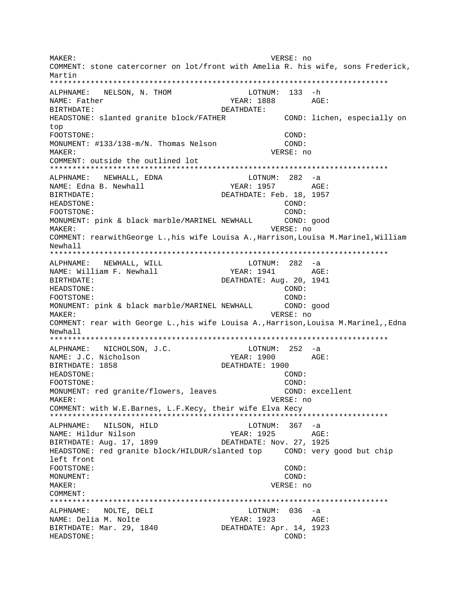MAKER: VERSE: no COMMENT: stone catercorner on lot/front with Amelia R. his wife, sons Frederick, Martin ALPHNAME: NELSON, N. THOM LOTNUM: 133 -h NAME: Father YEAR: 1888 AGE: BIRTHDATE: DEATHDATE: HEADSTONE: slanted granite block/FATHER COND: lichen, especially on top FOOTSTONE: COND: MONUMENT: #133/138-m/N. Thomas Nelson COND:  $M\Delta K$ <sub>F</sub>P: VERSE: no COMMENT: outside the outlined lot ALPHNAME: NEWHALL, EDNA LOTNUM: 282 -a NAME: Edna B. Newhall YEAR: 1957 AGE: BIRTHDATE: DEATHDATE: Feb. 18, 1957 HEADSTONE: COND: COND: FOOTSTONE: MONUMENT: pink & black marble/MARINEL NEWHALL COND: good MAKER: VERSE: no COMMENT: rearwithGeorge L., his wife Louisa A., Harrison, Louisa M. Marinel, William Newhall ALPHNAME: NEWHALL, WILL LOTNUM: 282 -a AGE: NAME: William F. Newhall YEAR: 1941 BIRTHDATE: DEATHDATE: Aug. 20, 1941 HEADSTONE: COND: FOOTSTONE: COND: MONUMENT: pink & black marble/MARINEL NEWHALL COND: good VERSE: no MAKER: COMMENT: rear with George L., his wife Louisa A., Harrison, Louisa M.Marinel, Edna Newhall  $LOTNUM: 252 -a$ ALPHNAME: NICHOLSON, J.C. NAME: J.C. Nicholson YEAR: 1900 AGE: DEATHDATE: 1900 BIRTHDATE: 1858 COND: HEADSTONE: FOOTSTONE:  $COMD:$ MONUMENT: red granite/flowers, leaves COND: excellent MAKER: VERSE: no COMMENT: with W.E.Barnes, L.F.Kecy, their wife Elva Kecy ALPHNAME: NILSON, HILD  $LOTNUM: 367 -a$ NAME: Hildur Nilson YEAR: 1925  $\triangle$  GF: DEATHDATE: Nov. 27, 1925 BIRTHDATE: Aug. 17, 1899 HEADSTONE: red granite block/HILDUR/slanted top COND: very good but chip left front FOOTSTONE: COND: MONUMENT: COND: MAKER: VERSE: no COMMENT: ALPHNAME: NOLTE, DELI LOTNUM: 036 -a NAME: Delia M. Nolte YEAR: 1923 AGE: BIRTHDATE: Mar. 29, 1840 DEATHDATE: Apr. 14, 1923 HEADSTONE: COND: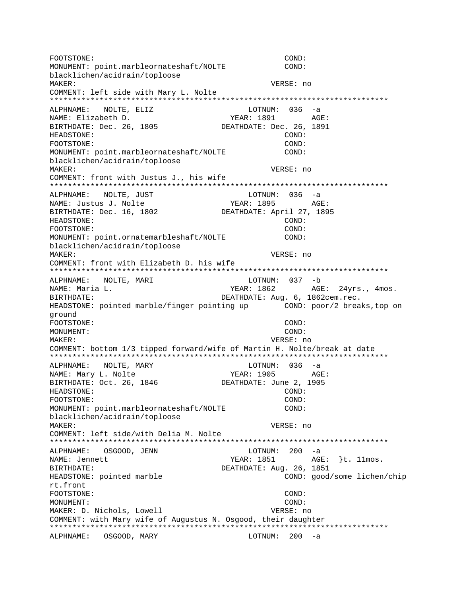FOOTSTONE: COND: MONUMENT: point.marbleornateshaft/NOLTE COND: blacklichen/acidrain/toploose MAKER: VERSE: no COMMENT: left side with Mary L. Nolte \*\*\*\*\*\*\*\*\*\*\*\*\*\*\*\*\*\*\*\*\*\*\*\*\*\*\*\*\*\*\*\*\*\*\*\*\*\*\*\*\*\*\*\*\*\*\*\*\*\*\*\*\*\*\*\*\*\*\*\*\*\*\*\*\*\*\*\*\*\*\*\*\*\*\* ALPHNAME: NOLTE, ELIZ LOTNUM: 036 -a NAME: Elizabeth D. YEAR: 1891 AGE: BIRTHDATE: Dec. 26, 1805 HEADSTONE: COND: FOOTSTONE: COND: MONUMENT: point.marbleornateshaft/NOLTE COND: blacklichen/acidrain/toploose MAKER: VERSE: no COMMENT: front with Justus J., his wife \*\*\*\*\*\*\*\*\*\*\*\*\*\*\*\*\*\*\*\*\*\*\*\*\*\*\*\*\*\*\*\*\*\*\*\*\*\*\*\*\*\*\*\*\*\*\*\*\*\*\*\*\*\*\*\*\*\*\*\*\*\*\*\*\*\*\*\*\*\*\*\*\*\*\* ALPHNAME: NOLTE, JUST NAME: Justus J. Nolte YEAR: 1895 AGE: BIRTHDATE: Dec. 16, 1802 DEATHDATE: April 27, 1895 HEADSTONE: COND: FOOTSTONE: COND: MONUMENT: point.ornatemarbleshaft/NOLTE COND: blacklichen/acidrain/toploose MAKER: VERSE: no COMMENT: front with Elizabeth D. his wife \*\*\*\*\*\*\*\*\*\*\*\*\*\*\*\*\*\*\*\*\*\*\*\*\*\*\*\*\*\*\*\*\*\*\*\*\*\*\*\*\*\*\*\*\*\*\*\*\*\*\*\*\*\*\*\*\*\*\*\*\*\*\*\*\*\*\*\*\*\*\*\*\*\*\* ALPHNAME: NOLTE, MARI LOTNUM: 037 -b NAME: Maria L. (24yrs., 4mos.) NAME: 24yrs., 4mos. BIRTHDATE: DEATHDATE: Aug. 6, 1862cem.rec. HEADSTONE: pointed marble/finger pointing up COND: poor/2 breaks,top on ground FOOTSTONE: COND: MONUMENT: COND: MAKER: VERSE: no COMMENT: bottom 1/3 tipped forward/wife of Martin H. Nolte/break at date \*\*\*\*\*\*\*\*\*\*\*\*\*\*\*\*\*\*\*\*\*\*\*\*\*\*\*\*\*\*\*\*\*\*\*\*\*\*\*\*\*\*\*\*\*\*\*\*\*\*\*\*\*\*\*\*\*\*\*\*\*\*\*\*\*\*\*\*\*\*\*\*\*\*\* ALPHNAME: NOLTE, MARY NAME: Mary L. Nolte  $YERR: 1905$  AGE: BIRTHDATE: Oct. 26, 1846 DEATHDATE: June 2, 1905 HEADSTONE: COND: FOOTSTONE: COND: MONUMENT: point.marbleornateshaft/NOLTE COND: blacklichen/acidrain/toploose MAKER: VERSE: no COMMENT: left side/with Delia M. Nolte \*\*\*\*\*\*\*\*\*\*\*\*\*\*\*\*\*\*\*\*\*\*\*\*\*\*\*\*\*\*\*\*\*\*\*\*\*\*\*\*\*\*\*\*\*\*\*\*\*\*\*\*\*\*\*\*\*\*\*\*\*\*\*\*\*\*\*\*\*\*\*\*\*\*\* ALPHNAME: OSGOOD, JENN CONNECTED BOTNUM: 200 -a NAME: Jennett YEAR: 1851 AGE: }t. 11mos. BIRTHDATE:  $DEATHDATE: Aug. 26, 1851$ HEADSTONE: pointed marble COND: good/some lichen/chip rt.front FOOTSTONE: COND: MONUMENT: COND: MAKER: D. Nichols, Lowell VERSE: no COMMENT: with Mary wife of Augustus N. Osgood, their daughter \*\*\*\*\*\*\*\*\*\*\*\*\*\*\*\*\*\*\*\*\*\*\*\*\*\*\*\*\*\*\*\*\*\*\*\*\*\*\*\*\*\*\*\*\*\*\*\*\*\*\*\*\*\*\*\*\*\*\*\*\*\*\*\*\*\*\*\*\*\*\*\*\*\*\* ALPHNAME: OSGOOD, MARY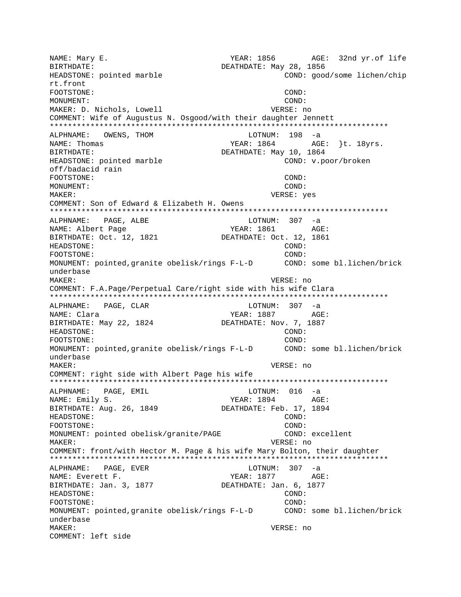NAME: Mary E. The South of the YEAR: 1856 AGE: 32nd yr.of life BIRTHDATE: DEATHDATE: May 28, 1856 HEADSTONE: pointed marble COND: good/some lichen/chip rt.front FOOTSTONE: COND: MONUMENT: COND: MAKER: D. Nichols, Lowell **VERSE:** no COMMENT: Wife of Augustus N. Osgood/with their daughter Jennett \*\*\*\*\*\*\*\*\*\*\*\*\*\*\*\*\*\*\*\*\*\*\*\*\*\*\*\*\*\*\*\*\*\*\*\*\*\*\*\*\*\*\*\*\*\*\*\*\*\*\*\*\*\*\*\*\*\*\*\*\*\*\*\*\*\*\*\*\*\*\*\*\*\*\* ALPHNAME: OWENS, THOM **EXECUTE:** LOTNUM: 198 -a NAME: Thomas TEAR: 1864 AGE: }t. 18yrs. BIRTHDATE:  $DEATHDATE: May 10, 1864$ HEADSTONE: pointed marble COND: v.poor/broken off/badacid rain FOOTSTONE: COND: MONUMENT: COND: MAKER: VERSE: yes COMMENT: Son of Edward & Elizabeth H. Owens \*\*\*\*\*\*\*\*\*\*\*\*\*\*\*\*\*\*\*\*\*\*\*\*\*\*\*\*\*\*\*\*\*\*\*\*\*\*\*\*\*\*\*\*\*\*\*\*\*\*\*\*\*\*\*\*\*\*\*\*\*\*\*\*\*\*\*\*\*\*\*\*\*\*\* ALPHNAME: PAGE, ALBE LOTNUM: 307 -a NAME: Albert Page 7EAR: 1861 AGE: BIRTHDATE: Oct. 12, 1821 DEATHDATE: Oct. 12, 1861 HEADSTONE: COND: FOOTSTONE: COND: MONUMENT: pointed,granite obelisk/rings F-L-D COND: some bl.lichen/brick underbase MAKER: VERSE: no COMMENT: F.A.Page/Perpetual Care/right side with his wife Clara \*\*\*\*\*\*\*\*\*\*\*\*\*\*\*\*\*\*\*\*\*\*\*\*\*\*\*\*\*\*\*\*\*\*\*\*\*\*\*\*\*\*\*\*\*\*\*\*\*\*\*\*\*\*\*\*\*\*\*\*\*\*\*\*\*\*\*\*\*\*\*\*\*\*\* ALPHNAME: PAGE, CLAR LOTNUM: 307 -a NAME: Clara XEAR: 1887 AGE: BIRTHDATE: May 22, 1824 DEATHDATE: Nov. 7, 1887 HEADSTONE: COND: FOOTSTONE: COND: MONUMENT: pointed,granite obelisk/rings F-L-D COND: some bl.lichen/brick underbase MAKER: VERSE: no COMMENT: right side with Albert Page his wife \*\*\*\*\*\*\*\*\*\*\*\*\*\*\*\*\*\*\*\*\*\*\*\*\*\*\*\*\*\*\*\*\*\*\*\*\*\*\*\*\*\*\*\*\*\*\*\*\*\*\*\*\*\*\*\*\*\*\*\*\*\*\*\*\*\*\*\*\*\*\*\*\*\*\* ALPHNAME: PAGE, EMIL CHARAGE ROTNUM: 016 -a NAME: Emily S. Superson of the MEAR: 1894 AGE: BIRTHDATE: Aug. 26, 1849 DEATHDATE: Feb. 17, 1894 HEADSTONE: COND: FOOTSTONE: COND: MONUMENT: pointed obelisk/granite/PAGE COND: excellent MAKER: VERSE: no COMMENT: front/with Hector M. Page & his wife Mary Bolton, their daughter \*\*\*\*\*\*\*\*\*\*\*\*\*\*\*\*\*\*\*\*\*\*\*\*\*\*\*\*\*\*\*\*\*\*\*\*\*\*\*\*\*\*\*\*\*\*\*\*\*\*\*\*\*\*\*\*\*\*\*\*\*\*\*\*\*\*\*\*\*\*\*\*\*\*\* ALPHNAME: PAGE, EVER NAME: Everett F. The Magnus of the MEAR: 1877 AGE: BIRTHDATE: Jan. 3, 1877 DEATHDATE: Jan. 6, 1877 HEADSTONE: COND: FOOTSTONE: COND: MONUMENT: pointed,granite obelisk/rings F-L-D COND: some bl.lichen/brick underbase MAKER: VERSE: no COMMENT: left side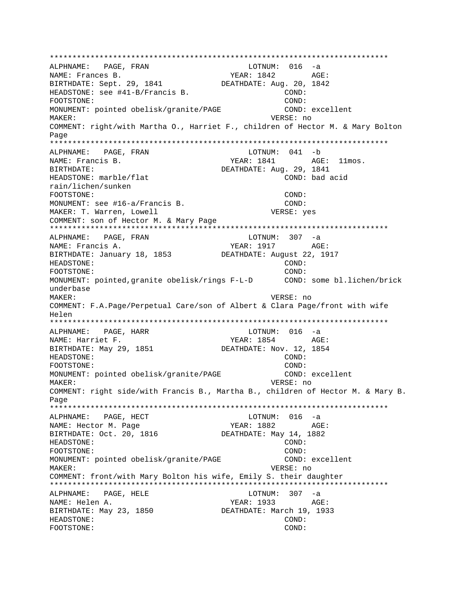\*\*\*\*\*\*\*\*\*\*\*\*\*\*\*\*\*\*\*\*\*\*\*\*\*\*\*\*\*\*\*\*\*\*\*\*\*\*\*\*\*\*\*\*\*\*\*\*\*\*\*\*\*\*\*\*\*\*\*\*\*\*\*\*\*\*\*\*\*\*\*\*\*\*\* ALPHNAME: PAGE, FRAN NAME: Frances B. The Mathematic Section of the Mathematic Section Age and Mathematic Age of Age of the Mathematic Age of Age of Age of the Mathematic Age of the Mathematic Age of the Mathematic Age of the Mathematic Age of BIRTHDATE: Sept. 29, 1841 DEATHDATE: Aug. 20, 1842 HEADSTONE: see #41-B/Francis B. COND: FOOTSTONE: COND: MONUMENT: pointed obelisk/granite/PAGE COND: excellent MAKER: VERSE: no COMMENT: right/with Martha O., Harriet F., children of Hector M. & Mary Bolton Page \*\*\*\*\*\*\*\*\*\*\*\*\*\*\*\*\*\*\*\*\*\*\*\*\*\*\*\*\*\*\*\*\*\*\*\*\*\*\*\*\*\*\*\*\*\*\*\*\*\*\*\*\*\*\*\*\*\*\*\*\*\*\*\*\*\*\*\*\*\*\*\*\*\*\* ALPHNAME: PAGE, FRAN LOTNUM: 041 -b NAME: Francis B. (2008) AGE: 1841 AGE: 11mos. BIRTHDATE: DEATHDATE: Aug. 29, 1841 HEADSTONE: marble/flat COND: bad acid rain/lichen/sunken FOOTSTONE: COND: MONUMENT: see #16-a/Francis B. COND: MAKER: T. Warren, Lowell VERSE: yes COMMENT: son of Hector M. & Mary Page \*\*\*\*\*\*\*\*\*\*\*\*\*\*\*\*\*\*\*\*\*\*\*\*\*\*\*\*\*\*\*\*\*\*\*\*\*\*\*\*\*\*\*\*\*\*\*\*\*\*\*\*\*\*\*\*\*\*\*\*\*\*\*\*\*\*\*\*\*\*\*\*\*\*\* ALPHNAME: PAGE, FRAN NAME: Francis A. YEAR: 1917 AGE: BIRTHDATE: January 18, 1853 DEATHDATE: August 22, 1917 HEADSTONE: COND: FOOTSTONE: COND: MONUMENT: pointed,granite obelisk/rings F-L-D COND: some bl.lichen/brick underbase MAKER: VERSE: no COMMENT: F.A.Page/Perpetual Care/son of Albert & Clara Page/front with wife Helen \*\*\*\*\*\*\*\*\*\*\*\*\*\*\*\*\*\*\*\*\*\*\*\*\*\*\*\*\*\*\*\*\*\*\*\*\*\*\*\*\*\*\*\*\*\*\*\*\*\*\*\*\*\*\*\*\*\*\*\*\*\*\*\*\*\*\*\*\*\*\*\*\*\*\* ALPHNAME: PAGE, HARR LOTNUM: 016 -a NAME: Harriet F. The Magnus of the Magnus of the YEAR: 1854 AGE: BIRTHDATE: May 29, 1851 DEATHDATE: Nov. 12, 1854 HEADSTONE: COND: FOOTSTONE: COND: MONUMENT: pointed obelisk/granite/PAGE COND: excellent MAKER: VERSE: no COMMENT: right side/with Francis B., Martha B., children of Hector M. & Mary B. Page \*\*\*\*\*\*\*\*\*\*\*\*\*\*\*\*\*\*\*\*\*\*\*\*\*\*\*\*\*\*\*\*\*\*\*\*\*\*\*\*\*\*\*\*\*\*\*\*\*\*\*\*\*\*\*\*\*\*\*\*\*\*\*\*\*\*\*\*\*\*\*\*\*\*\* ALPHNAME: PAGE, HECT LOTNUM: 016 -a NAME: Hector M. Page  $YEAR: 1882$  AGE: BIRTHDATE: Oct. 20, 1816 DEATHDATE: May 14, 1882 HEADSTONE: COND: FOOTSTONE: COND: MONUMENT: pointed obelisk/granite/PAGE COND: excellent MAKER: VERSE: no COMMENT: front/with Mary Bolton his wife, Emily S. their daughter \*\*\*\*\*\*\*\*\*\*\*\*\*\*\*\*\*\*\*\*\*\*\*\*\*\*\*\*\*\*\*\*\*\*\*\*\*\*\*\*\*\*\*\*\*\*\*\*\*\*\*\*\*\*\*\*\*\*\*\*\*\*\*\*\*\*\*\*\*\*\*\*\*\*\* ALPHNAME: PAGE, HELE LOTNUM: 307 -a NAME: Helen A. YEAR: 1933 AGE: BIRTHDATE: May 23, 1850 DEATHDATE: March 19, 1933 HEADSTONE: COND: FOOTSTONE: COND: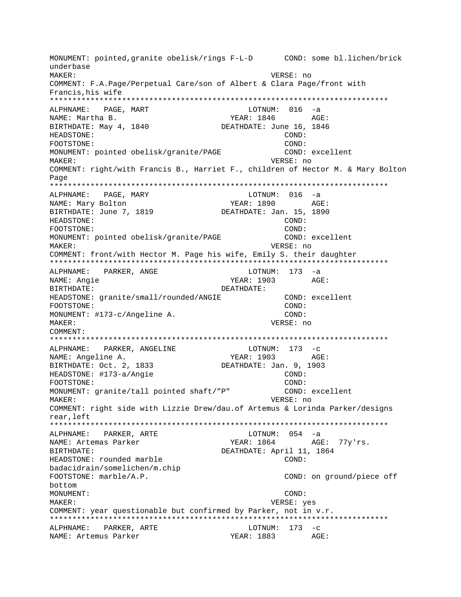MONUMENT: pointed,granite obelisk/rings F-L-D COND: some bl.lichen/brick underbase MAKER: VERSE: no COMMENT: F.A.Page/Perpetual Care/son of Albert & Clara Page/front with Francis,his wife \*\*\*\*\*\*\*\*\*\*\*\*\*\*\*\*\*\*\*\*\*\*\*\*\*\*\*\*\*\*\*\*\*\*\*\*\*\*\*\*\*\*\*\*\*\*\*\*\*\*\*\*\*\*\*\*\*\*\*\*\*\*\*\*\*\*\*\*\*\*\*\*\*\*\* ALPHNAME: PAGE, MART LOTNUM: 016 -a NAME: Martha B. (a) Age and Manuscript Manuscript Manuscript Manuscript Manuscript Manuscript Manuscript Manuscript Age and Manuscript Manuscript Manuscript Manuscript Manuscript Manuscript Manuscript Manuscript Manuscript BIRTHDATE: May 4, 1840 DEATHDATE: June 16, 1846 HEADSTONE: COND: FOOTSTONE: COND: MONUMENT: pointed obelisk/granite/PAGE COND: excellent MAKER: VERSE: no COMMENT: right/with Francis B., Harriet F., children of Hector M. & Mary Bolton Page \*\*\*\*\*\*\*\*\*\*\*\*\*\*\*\*\*\*\*\*\*\*\*\*\*\*\*\*\*\*\*\*\*\*\*\*\*\*\*\*\*\*\*\*\*\*\*\*\*\*\*\*\*\*\*\*\*\*\*\*\*\*\*\*\*\*\*\*\*\*\*\*\*\*\* ALPHNAME: PAGE, MARY LOTNUM: 016 -a NAME: Mary Bolton YEAR: 1890 BIRTHDATE: June 7, 1819 DEATHDATE: Jan. 15, 1890 HEADSTONE: COND: FOOTSTONE: COND: MONUMENT: pointed obelisk/granite/PAGE COND: excellent MAKER: VERSE: no COMMENT: front/with Hector M. Page his wife, Emily S. their daughter \*\*\*\*\*\*\*\*\*\*\*\*\*\*\*\*\*\*\*\*\*\*\*\*\*\*\*\*\*\*\*\*\*\*\*\*\*\*\*\*\*\*\*\*\*\*\*\*\*\*\*\*\*\*\*\*\*\*\*\*\*\*\*\*\*\*\*\*\*\*\*\*\*\*\* ALPHNAME: PARKER, ANGE LOTNUM: 173 -a NAME: Angie YEAR: 1903 AGE: BIRTHDATE: DEATHDATE: HEADSTONE: granite/small/rounded/ANGIE COND: excellent FOOTSTONE: COND: MONUMENT: #173-c/Angeline A. COND: MAKER: VERSE: no COMMENT: \*\*\*\*\*\*\*\*\*\*\*\*\*\*\*\*\*\*\*\*\*\*\*\*\*\*\*\*\*\*\*\*\*\*\*\*\*\*\*\*\*\*\*\*\*\*\*\*\*\*\*\*\*\*\*\*\*\*\*\*\*\*\*\*\*\*\*\*\*\*\*\*\*\*\* ALPHNAME: PARKER, ANGELINE LOTNUM: 173 -c NAME: Angeline A. (2) YEAR: 1903 AGE:<br>BIRTHDATE: Oct. 2, 1833 (2) DEATHDATE: Jan. 9, 1903 DEATHDATE: Jan. 9, 1903 HEADSTONE: #173-a/Angie COND: FOOTSTONE: COND: MONUMENT: granite/tall pointed shaft/"P" COND: excellent MAKER: VERSE: no COMMENT: right side with Lizzie Drew/dau.of Artemus & Lorinda Parker/designs rear,left \*\*\*\*\*\*\*\*\*\*\*\*\*\*\*\*\*\*\*\*\*\*\*\*\*\*\*\*\*\*\*\*\*\*\*\*\*\*\*\*\*\*\*\*\*\*\*\*\*\*\*\*\*\*\*\*\*\*\*\*\*\*\*\*\*\*\*\*\*\*\*\*\*\*\* ALPHNAME: PARKER, ARTE LOTNUM: 054 -a NAME: Artemas Parker YEAR: 1864 AGE: 77y'rs. BIRTHDATE: DEATHDATE: April 11, 1864 HEADSTONE: rounded marble COND: badacidrain/somelichen/m.chip FOOTSTONE: marble/A.P.  $\sim$  COND: on ground/piece off bottom MONUMENT: COND: MAKER: VERSE: yes COMMENT: year questionable but confirmed by Parker, not in v.r. \*\*\*\*\*\*\*\*\*\*\*\*\*\*\*\*\*\*\*\*\*\*\*\*\*\*\*\*\*\*\*\*\*\*\*\*\*\*\*\*\*\*\*\*\*\*\*\*\*\*\*\*\*\*\*\*\*\*\*\*\*\*\*\*\*\*\*\*\*\*\*\*\*\*\* ALPHNAME: PARKER, ARTE LOTNUM: 173 -c NAME: Artemus Parker YEAR: 1883 AGE: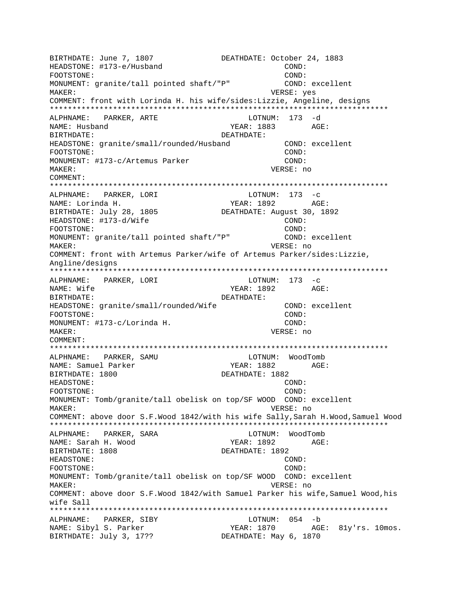BIRTHDATE: June 7, 1807 DEATHDATE: October 24, 1883 HEADSTONE: #173-e/Husband COND: FOOTSTONE: COND: MONUMENT: granite/tall pointed shaft/"P" COND: excellent MAKER: VERSE: yes COMMENT: front with Lorinda H. his wife/sides:Lizzie, Angeline, designs \*\*\*\*\*\*\*\*\*\*\*\*\*\*\*\*\*\*\*\*\*\*\*\*\*\*\*\*\*\*\*\*\*\*\*\*\*\*\*\*\*\*\*\*\*\*\*\*\*\*\*\*\*\*\*\*\*\*\*\*\*\*\*\*\*\*\*\*\*\*\*\*\*\*\* ALPHNAME: PARKER, ARTE LOTNUM: 173 -d NAME: Husband AGE: BIRTHDATE: DEATHDATE: HEADSTONE: granite/small/rounded/Husband COND: excellent FOOTSTONE: COND: MONUMENT: #173-c/Artemus Parker COND: MAKER: VERSE: no COMMENT: \*\*\*\*\*\*\*\*\*\*\*\*\*\*\*\*\*\*\*\*\*\*\*\*\*\*\*\*\*\*\*\*\*\*\*\*\*\*\*\*\*\*\*\*\*\*\*\*\*\*\*\*\*\*\*\*\*\*\*\*\*\*\*\*\*\*\*\*\*\*\*\*\*\*\* ALPHNAME: PARKER, LORI NAME: Lorinda H. YEAR: 1892 AGE: BIRTHDATE: July 28, 1805 DEATHDATE: August 30, 1892 HEADSTONE: #173-d/Wife COND: FOOTSTONE: COND: MONUMENT: granite/tall pointed shaft/"P" COND: excellent MAKER: VERSE: no COMMENT: front with Artemus Parker/wife of Artemus Parker/sides:Lizzie, Angline/designs \*\*\*\*\*\*\*\*\*\*\*\*\*\*\*\*\*\*\*\*\*\*\*\*\*\*\*\*\*\*\*\*\*\*\*\*\*\*\*\*\*\*\*\*\*\*\*\*\*\*\*\*\*\*\*\*\*\*\*\*\*\*\*\*\*\*\*\*\*\*\*\*\*\*\* ALPHNAME: PARKER, LORI LOTNUM: 173 -c NAME: Wife  $YERR: 1892$  AGE: BIRTHDATE: DEATHDATE: HEADSTONE: granite/small/rounded/Wife COND: excellent FOOTSTONE: COND: MONUMENT: #173-c/Lorinda H. COND: MAKER: VERSE: no COMMENT: \*\*\*\*\*\*\*\*\*\*\*\*\*\*\*\*\*\*\*\*\*\*\*\*\*\*\*\*\*\*\*\*\*\*\*\*\*\*\*\*\*\*\*\*\*\*\*\*\*\*\*\*\*\*\*\*\*\*\*\*\*\*\*\*\*\*\*\*\*\*\*\*\*\*\* ALPHNAME: PARKER, SAMU NAME: Samuel Parker The South States of the YEAR: 1882 AGE: BIRTHDATE: 1800 DEATHDATE: 1882 HEADSTONE: COND: FOOTSTONE: COND: MONUMENT: Tomb/granite/tall obelisk on top/SF WOOD COND: excellent MAKER: VERSE: no COMMENT: above door S.F.Wood 1842/with his wife Sally,Sarah H.Wood,Samuel Wood \*\*\*\*\*\*\*\*\*\*\*\*\*\*\*\*\*\*\*\*\*\*\*\*\*\*\*\*\*\*\*\*\*\*\*\*\*\*\*\*\*\*\*\*\*\*\*\*\*\*\*\*\*\*\*\*\*\*\*\*\*\*\*\*\*\*\*\*\*\*\*\*\*\*\* ALPHNAME: PARKER, SARA LOTNUM: WoodTomb NAME: Sarah H. Wood YEAR: 1892 AGE: BIRTHDATE: 1808 DEATHDATE: 1892 HEADSTONE: COND: FOOTSTONE: COND: MONUMENT: Tomb/granite/tall obelisk on top/SF WOOD COND: excellent MAKER: VERSE: no COMMENT: above door S.F.Wood 1842/with Samuel Parker his wife,Samuel Wood,his wife Sall \*\*\*\*\*\*\*\*\*\*\*\*\*\*\*\*\*\*\*\*\*\*\*\*\*\*\*\*\*\*\*\*\*\*\*\*\*\*\*\*\*\*\*\*\*\*\*\*\*\*\*\*\*\*\*\*\*\*\*\*\*\*\*\*\*\*\*\*\*\*\*\*\*\*\* ALPHNAME: PARKER, SIBY LOTNUM: 054 -b NAME: Sibyl S. Parker YEAR: 1870 AGE: 81y'rs. 10mos. BIRTHDATE: July 3, 17?? DEATHDATE: May 6, 1870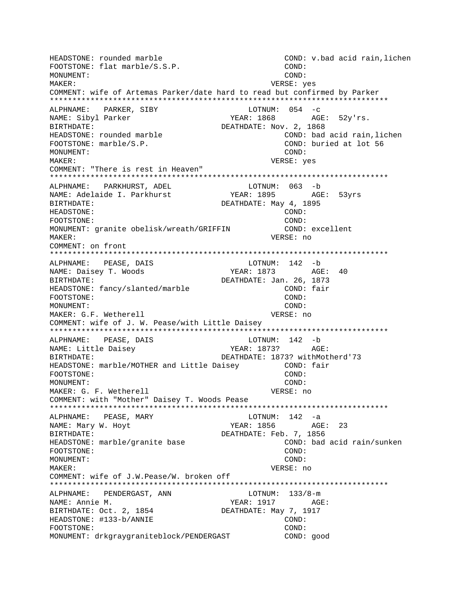HEADSTONE: rounded marble COND: v.bad acid rain,lichen FOOTSTONE: flat marble/S.S.P. COND: MONUMENT: COND: MAKER: VERSE: yes COMMENT: wife of Artemas Parker/date hard to read but confirmed by Parker \*\*\*\*\*\*\*\*\*\*\*\*\*\*\*\*\*\*\*\*\*\*\*\*\*\*\*\*\*\*\*\*\*\*\*\*\*\*\*\*\*\*\*\*\*\*\*\*\*\*\*\*\*\*\*\*\*\*\*\*\*\*\*\*\*\*\*\*\*\*\*\*\*\*\* ALPHNAME: PARKER, SIBY COTNUM: 054 -c NAME: Sibyl Parker YEAR: 1868 AGE: 52y'rs. BIRTHDATE: DEATHDATE: Nov. 2, 1868 HEADSTONE: rounded marble COND: bad acid rain,lichen FOOTSTONE: marble/S.P. COND: buried at lot 56 MONUMENT: COND: MAKER: VERSE: yes COMMENT: "There is rest in Heaven" \*\*\*\*\*\*\*\*\*\*\*\*\*\*\*\*\*\*\*\*\*\*\*\*\*\*\*\*\*\*\*\*\*\*\*\*\*\*\*\*\*\*\*\*\*\*\*\*\*\*\*\*\*\*\*\*\*\*\*\*\*\*\*\*\*\*\*\*\*\*\*\*\*\*\* ALPHNAME: PARKHURST, ADEL NAME: Adelaide I. Parkhurst YEAR: 1895 AGE: 53yrs BIRTHDATE: DEATHDATE: May 4, 1895 HEADSTONE: COND: FOOTSTONE: COND: MONUMENT: granite obelisk/wreath/GRIFFIN COND: excellent MAKER: VERSE: no COMMENT: on front \*\*\*\*\*\*\*\*\*\*\*\*\*\*\*\*\*\*\*\*\*\*\*\*\*\*\*\*\*\*\*\*\*\*\*\*\*\*\*\*\*\*\*\*\*\*\*\*\*\*\*\*\*\*\*\*\*\*\*\*\*\*\*\*\*\*\*\*\*\*\*\*\*\*\* ALPHNAME: PEASE, DAIS COTNUM: 142 -b NAME: Daisey T. Woods YEAR: 1873 AGE: 40 BIRTHDATE: DEATHDATE: Jan. 26, 1873 HEADSTONE: fancy/slanted/marble COND: fair FOOTSTONE: COND: MONUMENT: COND: MAKER: G.F. Wetherell **VERSE:** no COMMENT: wife of J. W. Pease/with Little Daisey \*\*\*\*\*\*\*\*\*\*\*\*\*\*\*\*\*\*\*\*\*\*\*\*\*\*\*\*\*\*\*\*\*\*\*\*\*\*\*\*\*\*\*\*\*\*\*\*\*\*\*\*\*\*\*\*\*\*\*\*\*\*\*\*\*\*\*\*\*\*\*\*\*\*\* ALPHNAME: PEASE, DAIS LOTNUM: 142 -b NAME: Little Daisey  $YEAR: 1873?$  AGE: BIRTHDATE: DEATHDATE: 1873? withMotherd'73 HEADSTONE: marble/MOTHER and Little Daisey COND: fair FOOTSTONE: COND: MONUMENT: COND: MAKER: G. F. Wetherell **VERSE:** no COMMENT: with "Mother" Daisey T. Woods Pease \*\*\*\*\*\*\*\*\*\*\*\*\*\*\*\*\*\*\*\*\*\*\*\*\*\*\*\*\*\*\*\*\*\*\*\*\*\*\*\*\*\*\*\*\*\*\*\*\*\*\*\*\*\*\*\*\*\*\*\*\*\*\*\*\*\*\*\*\*\*\*\*\*\*\* ALPHNAME: PEASE, MARY LOTNUM: 142 -a NAME: Mary W. Hoyt **YEAR: 1856** AGE: 23 BIRTHDATE: DEATHDATE: Feb. 7, 1856 HEADSTONE: marble/granite base COND: bad acid rain/sunken FOOTSTONE: COND: MONUMENT: COND: MAKER: VERSE: no COMMENT: wife of J.W.Pease/W. broken off \*\*\*\*\*\*\*\*\*\*\*\*\*\*\*\*\*\*\*\*\*\*\*\*\*\*\*\*\*\*\*\*\*\*\*\*\*\*\*\*\*\*\*\*\*\*\*\*\*\*\*\*\*\*\*\*\*\*\*\*\*\*\*\*\*\*\*\*\*\*\*\*\*\*\* ALPHNAME: PENDERGAST, ANN LOTNUM: 133/8-m NAME: Annie M. YEAR: 1917 AGE: BIRTHDATE: Oct. 2, 1854 DEATHDATE: May 7, 1917 HEADSTONE: #133-b/ANNIE COND: FOOTSTONE: COND: MONUMENT: drkgraygraniteblock/PENDERGAST COND: good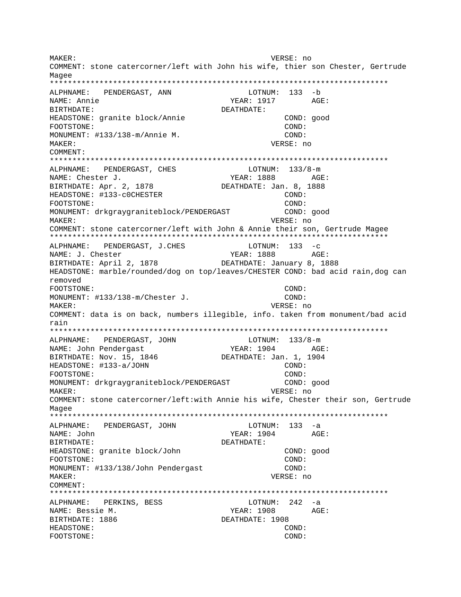MAKER: VERSE: no COMMENT: stone catercorner/left with John his wife, thier son Chester, Gertrude Magee ALPHNAME: PENDERGAST, ANN LOTNUM: 133 -b NAME: Annie YEAR: 1917 AGE: BIRTHDATE: DEATHDATE: HEADSTONE: granite block/Annie COND: good COND: FOOTSTONE: MONUMENT: #133/138-m/Annie M. COND: MAKER: VERSE: no COMMENT: ALPHNAME: PENDERGAST, CHES LOTNUM:  $133/8-m$ YEAR: 1888 AGE: NAME: Chester J. BIRTHDATE: Apr. 2, 1878 DEATHDATE: Jan. 8, 1888 HEADSTONE: #133-COCHESTER COND: FOOTSTONE: COND: MONUMENT: drkgraygraniteblock/PENDERGAST COND: good VERSE: no MAKER: COMMENT: stone catercorner/left with John & Annie their son, Gertrude Magee ALPHNAME: PENDERGAST, J.CHES LOTNUM:  $133 - c$ NAME: J. Chester YEAR: 1888 AGE: BIRTHDATE: April 2, 1878 DEATHDATE: January 8, 1888 HEADSTONE: marble/rounded/dog on top/leaves/CHESTER COND: bad acid rain,dog can removed FOOTSTONE: COND: MONUMENT: #133/138-m/Chester J.  $COMD:$ MAKER: VERSE: no COMMENT: data is on back, numbers illegible, info. taken from monument/bad acid rain ALPHNAME: PENDERGAST, JOHN LOTNUM:  $133/8-m$ NAME: John Pendergast YEAR: 1904 AGE: DEATHDATE: Jan. 1, 1904 BIRTHDATE: Nov. 15, 1846 HEADSTONE: #133-a/JOHN  $\texttt{COND}:$ FOOTSTONE: COND: MONUMENT: drkgraygraniteblock/PENDERGAST COND: good VERSE: no MAKER: COMMENT: stone catercorner/left:with Annie his wife, Chester their son, Gertrude Magee ALPHNAME: PENDERGAST, JOHN  $LOTNUM: 133 -a$ YEAR: 1904 NAME: John AGE: BIRTHDATE: DEATHDATE: COND: good HEADSTONE: granite block/John COND: FOOTSTONE: MONUMENT: #133/138/John Pendergast COND: MAKER: VERSE: no COMMENT: LOTNUM:  $242 - a$ ALPHNAME: PERKINS, BESS NAME: Bessie M. YEAR: 1908 AGE: BIRTHDATE: 1886 DEATHDATE: 1908 HEADSTONE: COND: FOOTSTONE: COND: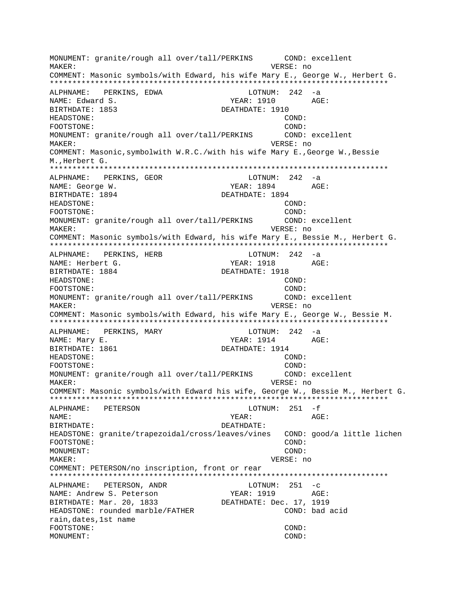MONUMENT: granite/rough all over/tall/PERKINS COND: excellent MAKER: VERSE: no COMMENT: Masonic symbols/with Edward, his wife Mary E., George W., Herbert G. \*\*\*\*\*\*\*\*\*\*\*\*\*\*\*\*\*\*\*\*\*\*\*\*\*\*\*\*\*\*\*\*\*\*\*\*\*\*\*\*\*\*\*\*\*\*\*\*\*\*\*\*\*\*\*\*\*\*\*\*\*\*\*\*\*\*\*\*\*\*\*\*\*\*\* ALPHNAME: PERKINS, EDWA LOTNUM: 242 -a NAME: Edward S. YEAR: 1910 AGE: BIRTHDATE: 1853 DEATHDATE: 1910 HEADSTONE: COND: FOOTSTONE: COND: MONUMENT: granite/rough all over/tall/PERKINS COND: excellent MAKER: VERSE: no COMMENT: Masonic,symbolwith W.R.C./with his wife Mary E.,George W.,Bessie M.,Herbert G. \*\*\*\*\*\*\*\*\*\*\*\*\*\*\*\*\*\*\*\*\*\*\*\*\*\*\*\*\*\*\*\*\*\*\*\*\*\*\*\*\*\*\*\*\*\*\*\*\*\*\*\*\*\*\*\*\*\*\*\*\*\*\*\*\*\*\*\*\*\*\*\*\*\*\* ALPHNAME: PERKINS, GEOR LOTNUM: 242 -a NAME: George W. Same Communications of the Magnus of the YEAR: 1894 AGE: BIRTHDATE: 1894 DEATHDATE: 1894 HEADSTONE: COND: FOOTSTONE: COND: MONUMENT: granite/rough all over/tall/PERKINS COND: excellent MAKER: VERSE: no COMMENT: Masonic symbols/with Edward, his wife Mary E., Bessie M., Herbert G. \*\*\*\*\*\*\*\*\*\*\*\*\*\*\*\*\*\*\*\*\*\*\*\*\*\*\*\*\*\*\*\*\*\*\*\*\*\*\*\*\*\*\*\*\*\*\*\*\*\*\*\*\*\*\*\*\*\*\*\*\*\*\*\*\*\*\*\*\*\*\*\*\*\*\* ALPHNAME: PERKINS, HERB LOTNUM: 242 -a NAME: Herbert G. The Mass of the YEAR: 1918 AGE: BIRTHDATE: 1884 DEATHDATE: 1918 HEADSTONE: COND: FOOTSTONE: COND: MONUMENT: granite/rough all over/tall/PERKINS COND: excellent MAKER: VERSE: no COMMENT: Masonic symbols/with Edward, his wife Mary E., George W., Bessie M. \*\*\*\*\*\*\*\*\*\*\*\*\*\*\*\*\*\*\*\*\*\*\*\*\*\*\*\*\*\*\*\*\*\*\*\*\*\*\*\*\*\*\*\*\*\*\*\*\*\*\*\*\*\*\*\*\*\*\*\*\*\*\*\*\*\*\*\*\*\*\*\*\*\*\* ALPHNAME: PERKINS, MARY LOTNUM: 242 -a NAME: Mary E. The Communication of the Magnus of the Magnus of the Magnus of the Magnus of the Magnus of the Magnus of the Magnus of the Magnus of the Magnus of the Magnus of the Magnus of the Magnus of the Magnus of the M BIRTHDATE: 1861 **DEATHDATE: 1914** HEADSTONE: COND: FOOTSTONE: COND: MONUMENT: granite/rough all over/tall/PERKINS COND: excellent MAKER: VERSE: no COMMENT: Masonic symbols/with Edward his wife, George W., Bessie M., Herbert G. \*\*\*\*\*\*\*\*\*\*\*\*\*\*\*\*\*\*\*\*\*\*\*\*\*\*\*\*\*\*\*\*\*\*\*\*\*\*\*\*\*\*\*\*\*\*\*\*\*\*\*\*\*\*\*\*\*\*\*\*\*\*\*\*\*\*\*\*\*\*\*\*\*\*\* ALPHNAME: PETERSON LOTNUM: 251 -f NAME: YEAR: AGE: BIRTHDATE: DEATHDATE: HEADSTONE: granite/trapezoidal/cross/leaves/vines COND: good/a little lichen FOOTSTONE: COND: MONUMENT: COND: MAKER: VERSE: no COMMENT: PETERSON/no inscription, front or rear \*\*\*\*\*\*\*\*\*\*\*\*\*\*\*\*\*\*\*\*\*\*\*\*\*\*\*\*\*\*\*\*\*\*\*\*\*\*\*\*\*\*\*\*\*\*\*\*\*\*\*\*\*\*\*\*\*\*\*\*\*\*\*\*\*\*\*\*\*\*\*\*\*\*\* ALPHNAME: PETERSON, ANDR LOTNUM: 251 -c NAME: Andrew S. Peterson YEAR: 1919 BIRTHDATE: Mar. 20, 1833 DEATHDATE: Dec. 17, 1919 HEADSTONE: rounded marble/FATHER COND: bad acid rain,dates,1st name FOOTSTONE: COND: MONUMENT: COND: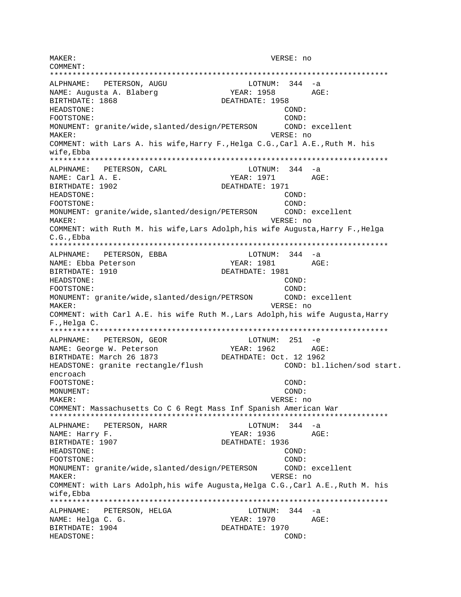MAKER: VERSE: no COMMENT: \*\*\*\*\*\*\*\*\*\*\*\*\*\*\*\*\*\*\*\*\*\*\*\*\*\*\*\*\*\*\*\*\*\*\*\*\*\*\*\*\*\*\*\*\*\*\*\*\*\*\*\*\*\*\*\*\*\*\*\*\*\*\*\*\*\*\*\*\*\*\*\*\*\*\* ALPHNAME: PETERSON, AUGU LOTNUM: 344 -a NAME: Augusta A. Blaberg YEAR: 1958 AGE: BIRTHDATE: 1868 DEATHDATE: 1958 HEADSTONE: COND: FOOTSTONE: COND: MONUMENT: granite/wide,slanted/design/PETERSON COND: excellent MAKER: VERSE: no COMMENT: with Lars A. his wife,Harry F.,Helga C.G.,Carl A.E.,Ruth M. his wife,Ebba \*\*\*\*\*\*\*\*\*\*\*\*\*\*\*\*\*\*\*\*\*\*\*\*\*\*\*\*\*\*\*\*\*\*\*\*\*\*\*\*\*\*\*\*\*\*\*\*\*\*\*\*\*\*\*\*\*\*\*\*\*\*\*\*\*\*\*\*\*\*\*\*\*\*\* ALPHNAME: PETERSON, CARL COTNUM: 344 -a NAME: Carl A. E. Same Carl A. E. Same Carl AGE: AGE: AGE: 2010 BIRTHDATE: 1902 DEATHDATE: 1971 HEADSTONE: COND: FOOTSTONE: COND: MONUMENT: granite/wide,slanted/design/PETERSON COND: excellent MAKER: VERSE: no COMMENT: with Ruth M. his wife,Lars Adolph,his wife Augusta,Harry F.,Helga C.G.,Ebba \*\*\*\*\*\*\*\*\*\*\*\*\*\*\*\*\*\*\*\*\*\*\*\*\*\*\*\*\*\*\*\*\*\*\*\*\*\*\*\*\*\*\*\*\*\*\*\*\*\*\*\*\*\*\*\*\*\*\*\*\*\*\*\*\*\*\*\*\*\*\*\*\*\*\* ALPHNAME: PETERSON, EBBA LOTNUM: 344 -a NAME: Ebba Peterson YEAR: 1981 AGE: BIRTHDATE: 1910 DEATHDATE: 1981 HEADSTONE: COND: FOOTSTONE: COND: MONUMENT: granite/wide,slanted/design/PETRSON COND: excellent MAKER: VERSE: no COMMENT: with Carl A.E. his wife Ruth M.,Lars Adolph,his wife Augusta,Harry F.,Helga C. \*\*\*\*\*\*\*\*\*\*\*\*\*\*\*\*\*\*\*\*\*\*\*\*\*\*\*\*\*\*\*\*\*\*\*\*\*\*\*\*\*\*\*\*\*\*\*\*\*\*\*\*\*\*\*\*\*\*\*\*\*\*\*\*\*\*\*\*\*\*\*\*\*\*\* ALPHNAME: PETERSON, GEOR LOTNUM: 251 -e NAME: George W. Peterson YEAR: 1962 AGE:<br>BIRTHDATE: March 26 1873 DEATHDATE: Oct. 12 1962 BIRTHDATE: March 26 1873 HEADSTONE: granite rectangle/flush COND: bl.lichen/sod start. encroach FOOTSTONE: COND: MONUMENT: COND: MAKER: VERSE: no COMMENT: Massachusetts Co C 6 Regt Mass Inf Spanish American War \*\*\*\*\*\*\*\*\*\*\*\*\*\*\*\*\*\*\*\*\*\*\*\*\*\*\*\*\*\*\*\*\*\*\*\*\*\*\*\*\*\*\*\*\*\*\*\*\*\*\*\*\*\*\*\*\*\*\*\*\*\*\*\*\*\*\*\*\*\*\*\*\*\*\* ALPHNAME: PETERSON, HARR NAME: Harry F. Same Communication of the Magnus of the YEAR: 1936 AGE: BIRTHDATE: 1907 DEATHDATE: 1936 HEADSTONE: COND: FOOTSTONE: COND: MONUMENT: granite/wide,slanted/design/PETERSON COND: excellent MAKER: VERSE: no COMMENT: with Lars Adolph,his wife Augusta,Helga C.G.,Carl A.E.,Ruth M. his wife,Ebba \*\*\*\*\*\*\*\*\*\*\*\*\*\*\*\*\*\*\*\*\*\*\*\*\*\*\*\*\*\*\*\*\*\*\*\*\*\*\*\*\*\*\*\*\*\*\*\*\*\*\*\*\*\*\*\*\*\*\*\*\*\*\*\*\*\*\*\*\*\*\*\*\*\*\* ALPHNAME: PETERSON, HELGA LOTNUM: 344 -a NAME: Helga C. G. YEAR: 1970 AGE: BIRTHDATE: 1904 DEATHDATE: 1970 HEADSTONE: COND: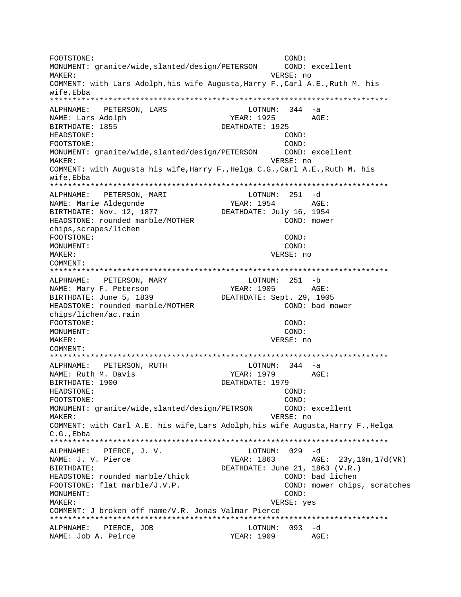FOOTSTONE: COND: MONUMENT: granite/wide, slanted/design/PETERSON COND: excellent VERSE: no MAKER: COMMENT: with Lars Adolph, his wife Augusta, Harry F., Carl A.E., Ruth M. his wife.Ebba ALPHNAME: PETERSON, LARS LOTNUM: 344 -a NAME: Lars Adolph YEAR: 1925 AGE: BIRTHDATE: 1855 DEATHDATE: 1925 HEADSTONE: COND: FOOTSTONE: COND: MONUMENT: granite/wide, slanted/design/PETERSON COND: excellent VERSE: no **MAKER:** COMMENT: with Augusta his wife, Harry F., Helga C.G., Carl A.E., Ruth M. his wife,Ebba ALPHNAME: PETERSON, MARI  $LOTNUM: 251 -d$ **YEAR: 1954** NAME: Marie Aldegonde AGE:  $\begin{array}{cccc}\n & - & - & - & - & - & - \\
\text{BIRTHDATE: Nov. 12, 1877}\n\end{array}$ DEATHDATE: July 16, 1954 HEADSTONE: rounded marble/MOTHER COND: mower chips, scrapes/lichen FOOTSTONE: COND: MONUMENT: COND: MAKER: VERSE: no COMMENT: LOTNUM: 251 -b ALPHNAME: PETERSON, MARY NAME: Mary F. Peterson  $YEAR: 1905$   $AGE:$ BIRTHDATE: June 5, 1839 DEATHDATE: Sept. 29, 1905 HEADSTONE: rounded marble/MOTHER COND: bad mower chips/lichen/ac.rain FOOTSTONE: COND: MONUMENT: COND: MAKER: VERSE: no COMMENT: LOTNUM:  $344 - a$ ALPHNAME: PETERSON, RUTH NAME: Ruth M. Davis YEAR: 1979 AGE: BIRTHDATE: 1900 DEATHDATE: 1979 HEADSTONE: COND: FOOTSTONE: COND: MONUMENT: granite/wide, slanted/design/PETRSON COND: excellent VERSE: no MAKER: COMMENT: with Carl A.E. his wife, Lars Adolph, his wife Augusta, Harry F., Helga  $C.G.$ . Ebba LOTNUM: 029 -d ALPHNAME: PIERCE, J. V. NAME: J. V. Pierce YEAR: 1863 AGE: 23y, 10m, 17d (VR) BIRTHDATE: DEATHDATE: June 21, 1863 (V.R.) HEADSTONE: rounded marble/thick COND: bad lichen FOOTSTONE: flat marble/J.V.P. COND: mower chips, scratches MONUMENT: COND: VERSE: yes MAKER: COMMENT: J broken off name/V.R. Jonas Valmar Pierce ALPHNAME: PIERCE, JOB LOTNUM: 093 -d NAME: Job A. Peirce YEAR: 1909 AGE: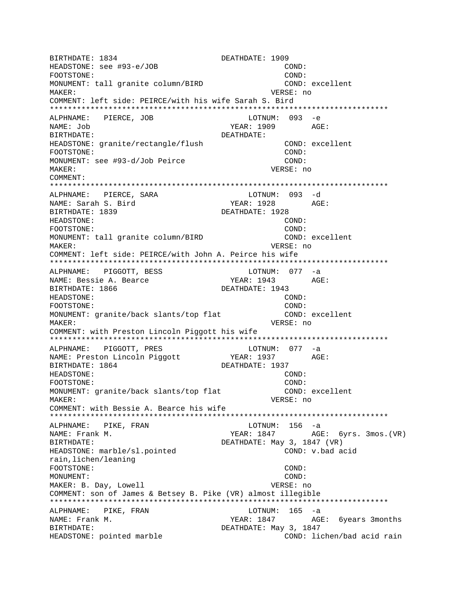BIRTHDATE: 1834 DEATHDATE: 1909 HEADSTONE: see #93-e/JOB COND: FOOTSTONE: COND: MONUMENT: tall granite column/BIRD COND: excellent MAKER: VERSE: no COMMENT: left side: PEIRCE/with his wife Sarah S. Bird \*\*\*\*\*\*\*\*\*\*\*\*\*\*\*\*\*\*\*\*\*\*\*\*\*\*\*\*\*\*\*\*\*\*\*\*\*\*\*\*\*\*\*\*\*\*\*\*\*\*\*\*\*\*\*\*\*\*\*\*\*\*\*\*\*\*\*\*\*\*\*\*\*\*\* ALPHNAME: PIERCE, JOB LOTNUM: 093 -e NAME: Job YEAR: 1909 AGE: BIRTHDATE: DEATHDATE: HEADSTONE: granite/rectangle/flush COND: excellent FOOTSTONE: COND: MONUMENT: see #93-d/Job Peirce COND: MAKER: VERSE: no COMMENT: \*\*\*\*\*\*\*\*\*\*\*\*\*\*\*\*\*\*\*\*\*\*\*\*\*\*\*\*\*\*\*\*\*\*\*\*\*\*\*\*\*\*\*\*\*\*\*\*\*\*\*\*\*\*\*\*\*\*\*\*\*\*\*\*\*\*\*\*\*\*\*\*\*\*\* ALPHNAME: PIERCE, SARA<br>NAME: Sarah S. Bird  $YEAR: 1928$   $AGE:$ BIRTHDATE: 1839 DEATHDATE: 1928 HEADSTONE: COND: FOOTSTONE:  $\qquad \qquad \qquad \qquad \qquad \qquad \qquad \qquad \qquad \qquad \qquad \text{COND:}$ MONUMENT: tall granite column/BIRD COND: excellent MAKER: VERSE: no COMMENT: left side: PEIRCE/with John A. Peirce his wife \*\*\*\*\*\*\*\*\*\*\*\*\*\*\*\*\*\*\*\*\*\*\*\*\*\*\*\*\*\*\*\*\*\*\*\*\*\*\*\*\*\*\*\*\*\*\*\*\*\*\*\*\*\*\*\*\*\*\*\*\*\*\*\*\*\*\*\*\*\*\*\*\*\*\* ALPHNAME: PIGGOTT, BESS LOTNUM: 077 -a NAME: Bessie A. Bearce Team YEAR: 1943 AGE: BIRTHDATE: 1866 DEATHDATE: 1943<br>HEADSTONE: (COND: HEADSTONE: FOOTSTONE: COND: MONUMENT: granite/back slants/top flat COND: excellent MAKER: VERSE: no COMMENT: with Preston Lincoln Piggott his wife \*\*\*\*\*\*\*\*\*\*\*\*\*\*\*\*\*\*\*\*\*\*\*\*\*\*\*\*\*\*\*\*\*\*\*\*\*\*\*\*\*\*\*\*\*\*\*\*\*\*\*\*\*\*\*\*\*\*\*\*\*\*\*\*\*\*\*\*\*\*\*\*\*\*\* ALPHNAME: PIGGOTT, PRES<br>NAME: Preston Lincoln Piqqott (PEAR: 1937 AG) NAME: Preston Lincoln Piggott YEAR: 1937 AGE: BIRTHDATE: 1864 DEATHDATE: 1937<br>HEADSTONE: COND: HEADSTONE: FOOTSTONE: COND: MONUMENT: granite/back slants/top flat COND: excellent MAKER: VERSE: no COMMENT: with Bessie A. Bearce his wife \*\*\*\*\*\*\*\*\*\*\*\*\*\*\*\*\*\*\*\*\*\*\*\*\*\*\*\*\*\*\*\*\*\*\*\*\*\*\*\*\*\*\*\*\*\*\*\*\*\*\*\*\*\*\*\*\*\*\*\*\*\*\*\*\*\*\*\*\*\*\*\*\*\*\* ALPHNAME: PIKE, FRAN LOTNUM: 156 -a NAME: Frank M. Sample M. The Music of the MEAR: 1847 AGE: 6yrs. 3mos.(VR) BIRTHDATE:  $DEATHDATE: May 3, 1847 (VR)$ HEADSTONE: marble/sl.pointed COND: v.bad acid rain,lichen/leaning FOOTSTONE: COND: MONUMENT: COND: MAKER: B. Day, Lowell **VERSE:** no COMMENT: son of James & Betsey B. Pike (VR) almost illegible \*\*\*\*\*\*\*\*\*\*\*\*\*\*\*\*\*\*\*\*\*\*\*\*\*\*\*\*\*\*\*\*\*\*\*\*\*\*\*\*\*\*\*\*\*\*\*\*\*\*\*\*\*\*\*\*\*\*\*\*\*\*\*\*\*\*\*\*\*\*\*\*\*\*\* ALPHNAME: PIKE, FRAN LOTNUM: 165 -a NAME: Frank M. The South Manus of the YEAR: 1847 AGE: 6 years 3 months BIRTHDATE:  $DEATHDATE:$  May 3, 1847 HEADSTONE: pointed marble  $\sim$  COND: lichen/bad acid rain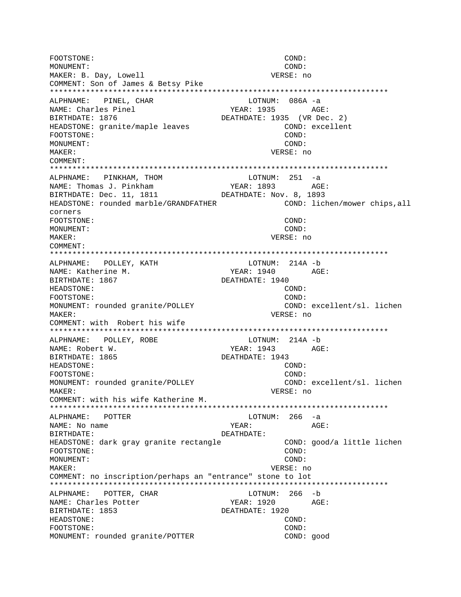FOOTSTONE: COND: MONUMENT: COND: MAKER: B. Day, Lowell **VERSE:** no COMMENT: Son of James & Betsy Pike \*\*\*\*\*\*\*\*\*\*\*\*\*\*\*\*\*\*\*\*\*\*\*\*\*\*\*\*\*\*\*\*\*\*\*\*\*\*\*\*\*\*\*\*\*\*\*\*\*\*\*\*\*\*\*\*\*\*\*\*\*\*\*\*\*\*\*\*\*\*\*\*\*\*\* ALPHNAME: PINEL, CHAR LOTNUM: 086A -a NAME: Charles Pinel YEAR: 1935 AGE: BIRTHDATE: 1876 DEATHDATE: 1935 (VR Dec. 2) HEADSTONE: granite/maple leaves COND: excellent FOOTSTONE: COND: MONUMENT: COND: MAKER: VERSE: no COMMENT: \*\*\*\*\*\*\*\*\*\*\*\*\*\*\*\*\*\*\*\*\*\*\*\*\*\*\*\*\*\*\*\*\*\*\*\*\*\*\*\*\*\*\*\*\*\*\*\*\*\*\*\*\*\*\*\*\*\*\*\*\*\*\*\*\*\*\*\*\*\*\*\*\*\*\* ALPHNAME: PINKHAM, THOM LOTNUM: 251 -a NAME: Thomas J. Pinkham YEAR: 1893 AGE: BIRTHDATE: Dec. 11, 1811 DEATHDATE: Nov. 8, 1893 HEADSTONE: rounded marble/GRANDFATHER COND: lichen/mower chips,all corners FOOTSTONE: COND: MONUMENT: COND: MAKER: VERSE: no COMMENT: \*\*\*\*\*\*\*\*\*\*\*\*\*\*\*\*\*\*\*\*\*\*\*\*\*\*\*\*\*\*\*\*\*\*\*\*\*\*\*\*\*\*\*\*\*\*\*\*\*\*\*\*\*\*\*\*\*\*\*\*\*\*\*\*\*\*\*\*\*\*\*\*\*\*\* ALPHNAME: POLLEY, KATH LOTNUM: 214A -b NAME: Katherine M. Same Manuscript Communication of MEAR: 1940 AGE: BIRTHDATE: 1867 DEATHDATE: 1940 HEADSTONE: COND: FOOTSTONE: COND: MONUMENT: rounded granite/POLLEY COND: excellent/sl. lichen MAKER: VERSE: no COMMENT: with Robert his wife \*\*\*\*\*\*\*\*\*\*\*\*\*\*\*\*\*\*\*\*\*\*\*\*\*\*\*\*\*\*\*\*\*\*\*\*\*\*\*\*\*\*\*\*\*\*\*\*\*\*\*\*\*\*\*\*\*\*\*\*\*\*\*\*\*\*\*\*\*\*\*\*\*\*\* ALPHNAME: POLLEY, ROBE **LOTNUM:** 214A -b NAME: Robert W. YEAR: 1943 AGE: BIRTHDATE: 1865 DEATHDATE: 1943 HEADSTONE: COND: FOOTSTONE: COND: MONUMENT: rounded granite/POLLEY COND: excellent/sl. lichen MAKER: VERSE: no COMMENT: with his wife Katherine M. \*\*\*\*\*\*\*\*\*\*\*\*\*\*\*\*\*\*\*\*\*\*\*\*\*\*\*\*\*\*\*\*\*\*\*\*\*\*\*\*\*\*\*\*\*\*\*\*\*\*\*\*\*\*\*\*\*\*\*\*\*\*\*\*\*\*\*\*\*\*\*\*\*\*\* LOTNUM: 266 -a NAME: No name  $YEAR:$  AGE: BIRTHDATE: DEATHDATE: HEADSTONE: dark gray granite rectangle COND: good/a little lichen FOOTSTONE: COND: MONUMENT: COND: MAKER: VERSE: no COMMENT: no inscription/perhaps an "entrance" stone to lot \*\*\*\*\*\*\*\*\*\*\*\*\*\*\*\*\*\*\*\*\*\*\*\*\*\*\*\*\*\*\*\*\*\*\*\*\*\*\*\*\*\*\*\*\*\*\*\*\*\*\*\*\*\*\*\*\*\*\*\*\*\*\*\*\*\*\*\*\*\*\*\*\*\*\* ALPHNAME: POTTER, CHAR LOTNUM: 266 -b NAME: Charles Potter The Media of YEAR: 1920 AGE: BIRTHDATE: 1853 DEATHDATE: 1920 HEADSTONE: COND: FOOTSTONE: COND: MONUMENT: rounded granite/POTTER COND: good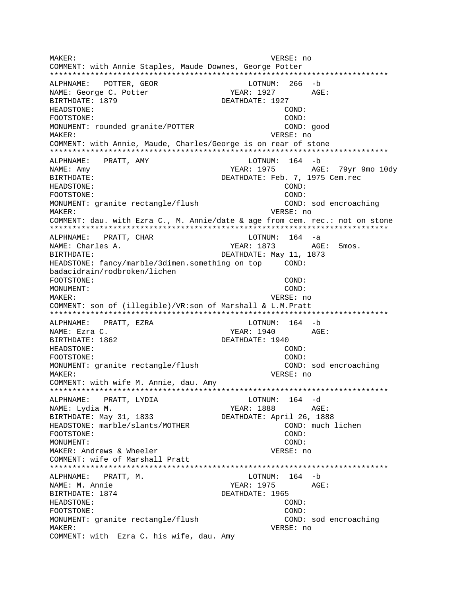MAKER: VERSE: no COMMENT: with Annie Staples, Maude Downes, George Potter ALPHNAME: POTTER, GEOR LOTNUM: 266 -b NAME: George C. Potter YEAR: 1927 AGE: BIRTHDATE: 1879 DEATHDATE: 1927 **HEADSTONE:** COND: FOOTSTONE: COND: MONUMENT: rounded granite/POTTER COND: good MAKER: VERSE: no COMMENT: with Annie, Maude, Charles/George is on rear of stone ALPHNAME: PRATT, AMY LOTNUM: 164 -b NAME: Amy YEAR: 1975 AGE: 79yr 9mo 10dy DEATHDATE: Feb. 7, 1975 Cem.rec **BIRTHDATE:** HEADSTONE: COND: COND: FOOTSTONE: MONUMENT: granite rectangle/flush COND: sod encroaching MAKER: VERSE: no COMMENT: dau. with Ezra C., M. Annie/date & age from cem. rec.: not on stone ALPHNAME: PRATT, CHAR  $LOTNUM: 164 -a$ YEAR: 1873 AGE: 5mos. NAME: Charles A. DEATHDATE: May 11, 1873 BIRTHDATE: HEADSTONE: fancy/marble/3dimen.something on top COND: badacidrain/rodbroken/lichen FOOTSTONE: COND: MONUMENT: COND:  $M\Delta KFR$ : VERSE: no COMMENT: son of (illegible)/VR:son of Marshall & L.M.Pratt LOTNUM:  $164 - b$ ALPHNAME: PRATT, EZRA NAME: Ezra C. YEAR: 1940 AGE: BIRTHDATE: 1862 DEATHDATE: 1940 HEADSTONE: COND: FOOTSTONE: COND: MONUMENT: granite rectangle/flush COND: sod encroaching MAKER: VERSE: no COMMENT: with wife M. Annie, dau. Amy LOTNUM: 164 -d ALPHNAME: PRATT, LYDIA NAME: Lydia M. YEAR: 1888 AGE: BIRTHDATE: May 31, 1833 DEATHDATE: April 26, 1888 HEADSTONE: marble/slants/MOTHER COND: much lichen FOOTSTONE: COND: MONITMENT:  $COMD:$ MAKER: Andrews & Wheeler VERSE: no COMMENT: wife of Marshall Pratt LOTNUM: 164 -b ALPHNAME: PRATT, M. NAME: M. Annie YEAR: 1975 AGE: BIRTHDATE: 1874 DEATHDATE: 1965 HEADSTONE:  $COND:$ FOOTSTONE: COND: MONUMENT: granite rectangle/flush COND: sod encroaching MAKER: VERSE: no COMMENT: with Ezra C. his wife, dau. Amy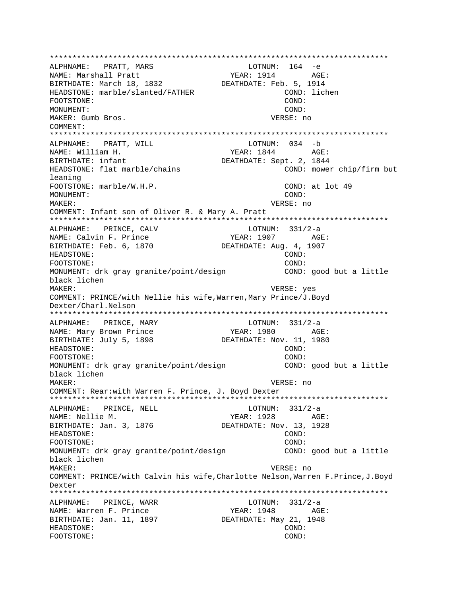\*\*\*\*\*\*\*\*\*\*\*\*\*\*\*\*\*\*\*\*\*\*\*\*\*\*\*\*\*\*\*\*\*\*\*\*\*\*\*\*\*\*\*\*\*\*\*\*\*\*\*\*\*\*\*\*\*\*\*\*\*\*\*\*\*\*\*\*\*\*\*\*\*\*\* ALPHNAME: PRATT, MARS NAME: Marshall Pratt YEAR: 1914 AGE: BIRTHDATE: March 18, 1832<br>DEATHDATE: Feb. 5, 1914 HEADSTONE: marble/slanted/FATHER COND: lichen FOOTSTONE: COND: MONUMENT: COND: COND: COND: COND: COND: MAKER: Gumb Bros. COMMENT: \*\*\*\*\*\*\*\*\*\*\*\*\*\*\*\*\*\*\*\*\*\*\*\*\*\*\*\*\*\*\*\*\*\*\*\*\*\*\*\*\*\*\*\*\*\*\*\*\*\*\*\*\*\*\*\*\*\*\*\*\*\*\*\*\*\*\*\*\*\*\*\*\*\*\* ALPHNAME: PRATT, WILL CONNECTRITION: 034 -b NAME: William H. Same Communications of the Magnus of the Magnus Magnus AGE: BIRTHDATE: infant DEATHDATE: Sept. 2, 1844 HEADSTONE: flat marble/chains COND: mower chip/firm but leaning FOOTSTONE: marble/W.H.P. COND: at lot 49 MONUMENT: COND: MAKER: VERSE: no COMMENT: Infant son of Oliver R. & Mary A. Pratt \*\*\*\*\*\*\*\*\*\*\*\*\*\*\*\*\*\*\*\*\*\*\*\*\*\*\*\*\*\*\*\*\*\*\*\*\*\*\*\*\*\*\*\*\*\*\*\*\*\*\*\*\*\*\*\*\*\*\*\*\*\*\*\*\*\*\*\*\*\*\*\*\*\*\* ALPHNAME: PRINCE, CALV LOTNUM: 331/2-a NAME: Calvin F. Prince  $YEAR: 1907$  AGE: BIRTHDATE: Feb. 6, 1870 DEATHDATE: Aug. 4, 1907 HEADSTONE: COND: FOOTSTONE: COND: MONUMENT: drk gray granite/point/design COND: good but a little black lichen MAKER: VERSE: yes COMMENT: PRINCE/with Nellie his wife,Warren,Mary Prince/J.Boyd Dexter/Charl.Nelson \*\*\*\*\*\*\*\*\*\*\*\*\*\*\*\*\*\*\*\*\*\*\*\*\*\*\*\*\*\*\*\*\*\*\*\*\*\*\*\*\*\*\*\*\*\*\*\*\*\*\*\*\*\*\*\*\*\*\*\*\*\*\*\*\*\*\*\*\*\*\*\*\*\*\* ALPHNAME: PRINCE, MARY LOTNUM: 331/2-a NAME: Mary Brown Prince The Mass of PEAR: 1980 AGE: BIRTHDATE: July 5, 1898 DEATHDATE: Nov. 11, 1980 HEADSTONE: COND: FOOTSTONE: COND: MONUMENT: drk gray granite/point/design COND: good but a little black lichen MAKER: VERSE: no COMMENT: Rear:with Warren F. Prince, J. Boyd Dexter \*\*\*\*\*\*\*\*\*\*\*\*\*\*\*\*\*\*\*\*\*\*\*\*\*\*\*\*\*\*\*\*\*\*\*\*\*\*\*\*\*\*\*\*\*\*\*\*\*\*\*\*\*\*\*\*\*\*\*\*\*\*\*\*\*\*\*\*\*\*\*\*\*\*\* ALPHNAME: PRINCE, NELL LOTNUM: 331/2-a NAME: Nellie M. Sand Communications of the Music Separation of the Music Separation of the Music Separation of the Music Separation of the Music Separation of the Music Separation of the Music Separation of the Music Separ BIRTHDATE: Jan. 3, 1876 DEATHDATE: Nov. 13, 1928 HEADSTONE: COND: FOOTSTONE: COND: MONUMENT: drk gray granite/point/design <a>
COND: good but a little black lichen MAKER: VERSE: no COMMENT: PRINCE/with Calvin his wife,Charlotte Nelson,Warren F.Prince,J.Boyd Dexter \*\*\*\*\*\*\*\*\*\*\*\*\*\*\*\*\*\*\*\*\*\*\*\*\*\*\*\*\*\*\*\*\*\*\*\*\*\*\*\*\*\*\*\*\*\*\*\*\*\*\*\*\*\*\*\*\*\*\*\*\*\*\*\*\*\*\*\*\*\*\*\*\*\*\* ALPHNAME: PRINCE, WARR LOTNUM: 331/2-a NAME: Warren F. Prince  $YERR: 1948$  AGE: BIRTHDATE: Jan. 11, 1897 DEATHDATE: May 21, 1948 HEADSTONE: COND: FOOTSTONE: COND: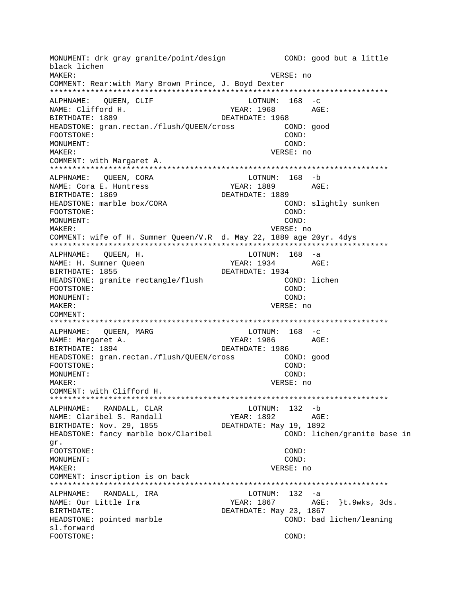MONUMENT: drk gray granite/point/design COND: good but a little black lichen MAKER: VERSE: no COMMENT: Rear:with Mary Brown Prince, J. Boyd Dexter ALPHNAME: QUEEN, CLIF  $LOTNUM: 168 -c$ NAME: Clifford H. YEAR: 1968 AGE: BIRTHDATE: 1889 DEATHDATE: 1968 HEADSTONE: gran.rectan./flush/QUEEN/cross COND: good FOOTSTONE: COND: MONUMENT: COND: MAKER: VERSE: no COMMENT: with Margaret A. ALPHNAME: QUEEN, CORA LOTNUM: 168 -b NAME: Cora E. Huntress YEAR: 1889 AGE: BIRTHDATE: 1869 DEATHDATE: 1889 HEADSTONE: marble box/CORA COND: slightly sunken COND: FOOTSTONE: COND: MONUMENT: MAKER: VERSE: no COMMENT: wife of H. Sumner Oueen/V.R d. May 22, 1889 age 20yr. 4dys LOTNUM: 168 -a ALPHNAME: QUEEN, H. NAME: H. Sumner Queen AGE: YEAR: 1934 BIRTHDATE: 1855 DEATHDATE: 1934 HEADSTONE: granite rectangle/flush COND: lichen FOOTSTONE: COND: MONUMENT:  $COMD:$ VERSE: no MAKER: COMMENT: LOTNUM:  $168 - c$ ALPHNAME: QUEEN, MARG YEAR: 1986 NAME: Margaret A. AGE: BIRTHDATE: 1894 DEATHDATE: 1986 HEADSTONE: gran.rectan./flush/QUEEN/cross COND: good FOOTSTONE: COND: MONUMENT: COND: MAKER: VERSE: no COMMENT: with Clifford H. ALPHNAME: RANDALL, CLAR LOTNUM: 132 -b YEAR: 1892 AGE: NAME: Claribel S. Randall BIRTHDATE: Nov. 29, 1855 DEATHDATE: May 19, 1892 HEADSTONE: fancy marble box/Claribel COND: lichen/granite base in gr. FOOTSTONE:  $COMD:$ MONUMENT:  $COND:$ MAKER: VERSE: no COMMENT: inscription is on back ALPHNAME: RANDALL, IRA LOTNUM: 132 -a NAME: Our Little Ira YEAR: 1867 AGE: }t.9wks, 3ds. **BIRTHDATE:** DEATHDATE: May 23, 1867 HEADSTONE: pointed marble COND: bad lichen/leaning sl.forward FOOTSTONE: COND: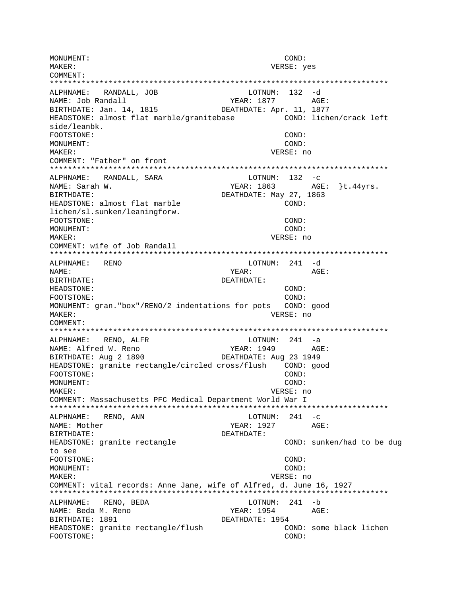MONUMENT: COND: MAKER: VERSE: yes COMMENT: LOTNUM: 132 -d ALPHNAME: RANDALL, JOB NAME: Job Randall YEAR: 1877 AGE: DEATHDATE: Apr. 11, 1877 BIRTHDATE: Jan. 14, 1815 HEADSTONE: almost flat marble/granitebase COND: lichen/crack left side/leanbk. FOOTSTONE: COND: MONUMENT: COND:  $M\Delta K$ <sub>F</sub>P: VERSE: no COMMENT: "Father" on front ALPHNAME: RANDALL, SARA  $LOTNUM: 132 -c$ YEAR: 1863 AGE: }t.44yrs. NAME: Sarah W. BIRTHDATE: DEATHDATE: May 27, 1863 HEADSTONE: almost flat marble  $COND:$ lichen/sl.sunken/leaningforw. FOOTSTONE: COND: MONUMENT: COND: MAKER: VERSE: no COMMENT: wife of Job Randall LOTNUM: 241 -d ALPHNAME: RENO  $YEAR: AGE:$ NAME: BIRTHDATE: DEATHDATE: HEADSTONE: COND: FOOTSTONE:  $COMD:$ MONUMENT: gran. "box"/RENO/2 indentations for pots COND: qood VERSE: no MAKER: COMMENT: ALPHNAME: RENO, ALFR  $LOTNUM: 241 -a$ NAME: Alfred W. Reno YEAR: 1949 AGE: BIRTHDATE: Aug 2 1890 DEATHDATE: Aug 23 1949 HEADSTONE: granite rectangle/circled cross/flush COND: good COND: FOOTSTONE: MONUMENT: COND: MAKER: VERSE: no COMMENT: Massachusetts PFC Medical Department World War I \*\*\*\*\*\*\*\*\*\*\*\*\*\*\*\*\*\* ALPHNAME: RENO, ANN  $LOTNUM: 241 -c$ YEAR: 1927 AGE: NAME: Mother BIRTHDATE: DEATHDATE: COND: sunken/had to be dug HEADSTONE: granite rectangle to see FOOTSTONE: COND: MONUMENT: COND: **MAKER:** VERSE: no COMMENT: vital records: Anne Jane, wife of Alfred, d. June 16, 1927 ALPHNAME: RENO, BEDA LOTNUM: 241 -b NAME: Beda M. Reno YEAR: 1954  $AGE$ : BIRTHDATE: 1891 DEATHDATE: 1954 HEADSTONE: granite rectangle/flush COND: some black lichen FOOTSTONE: COND: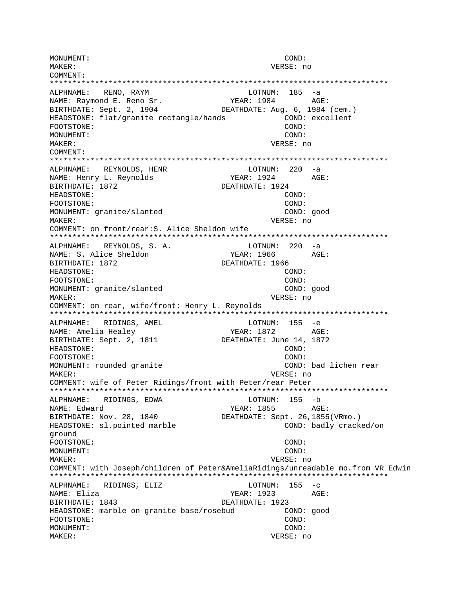MONUMENT: COND: MAKER: VERSE: no COMMENT: \*\*\*\*\*\*\*\*\*\*\*\*\*\*\*\*\*\*\*\*\*\*\*\*\*\*\*\*\*\*\*\*\*\*\*\*\*\*\*\*\*\*\*\*\*\*\*\*\*\*\*\*\*\*\*\*\*\*\*\*\*\*\*\*\*\*\*\*\*\*\*\*\*\*\* ALPHNAME: RENO, RAYM LOTNUM: 185 -a NAME: Raymond E. Reno Sr. YEAR: 1984 AGE: BIRTHDATE: Sept. 2, 1904 DEATHDATE: Aug. 6, 1984 (cem.) HEADSTONE: flat/granite rectangle/hands COND: excellent FOOTSTONE: COND: MONUMENT: COND: MAKER: VERSE: no COMMENT: \*\*\*\*\*\*\*\*\*\*\*\*\*\*\*\*\*\*\*\*\*\*\*\*\*\*\*\*\*\*\*\*\*\*\*\*\*\*\*\*\*\*\*\*\*\*\*\*\*\*\*\*\*\*\*\*\*\*\*\*\*\*\*\*\*\*\*\*\*\*\*\*\*\*\* ALPHNAME: REYNOLDS, HENR LOTNUM: 220 -a NAME: Henry L. Reynolds YEAR: 1924 AGE: BIRTHDATE: 1872 DEATHDATE: 1924 HEADSTONE: COND: FOOTSTONE: COND: MONUMENT: granite/slanted COND: good MAKER: VERSE: no COMMENT: on front/rear:S. Alice Sheldon wife \*\*\*\*\*\*\*\*\*\*\*\*\*\*\*\*\*\*\*\*\*\*\*\*\*\*\*\*\*\*\*\*\*\*\*\*\*\*\*\*\*\*\*\*\*\*\*\*\*\*\*\*\*\*\*\*\*\*\*\*\*\*\*\*\*\*\*\*\*\*\*\*\*\*\* ALPHNAME: REYNOLDS, S. A. LOTNUM: 220 -a NAME: S. Alice Sheldon Tear: 1966 AGE: BIRTHDATE: 1872 DEATHDATE: 1966 HEADSTONE: COND: FOOTSTONE: COND: MONUMENT: granite/slanted COND: good MAKER: VERSE: no COMMENT: on rear, wife/front: Henry L. Reynolds \*\*\*\*\*\*\*\*\*\*\*\*\*\*\*\*\*\*\*\*\*\*\*\*\*\*\*\*\*\*\*\*\*\*\*\*\*\*\*\*\*\*\*\*\*\*\*\*\*\*\*\*\*\*\*\*\*\*\*\*\*\*\*\*\*\*\*\*\*\*\*\*\*\*\* ALPHNAME: RIDINGS, AMEL LOTNUM: 155 -e NAME: Amelia Healey YEAR: 1872 AGE: BIRTHDATE: Sept. 2, 1811 DEATHDATE: June 14, 1872 HEADSTONE: COND: FOOTSTONE: COND: MONUMENT: rounded granite COND: bad lichen rear MAKER: VERSE: no COMMENT: wife of Peter Ridings/front with Peter/rear Peter \*\*\*\*\*\*\*\*\*\*\*\*\*\*\*\*\*\*\*\*\*\*\*\*\*\*\*\*\*\*\*\*\*\*\*\*\*\*\*\*\*\*\*\*\*\*\*\*\*\*\*\*\*\*\*\*\*\*\*\*\*\*\*\*\*\*\*\*\*\*\*\*\*\*\* ALPHNAME: RIDINGS, EDWA LOTNUM: 155 -b NAME: Edward YEAR: 1855 AGE: BIRTHDATE: Nov. 28, 1840 DEATHDATE: Sept. 26, 1855(VRmo.) HEADSTONE: sl.pointed marble  $\sim$  COND: badly cracked/on ground FOOTSTONE: COND: MONUMENT: COND: MAKER: VERSE: no COMMENT: with Joseph/children of Peter&AmeliaRidings/unreadable mo.from VR Edwin \*\*\*\*\*\*\*\*\*\*\*\*\*\*\*\*\*\*\*\*\*\*\*\*\*\*\*\*\*\*\*\*\*\*\*\*\*\*\*\*\*\*\*\*\*\*\*\*\*\*\*\*\*\*\*\*\*\*\*\*\*\*\*\*\*\*\*\*\*\*\*\*\*\*\* ALPHNAME: RIDINGS, ELIZ LOTNUM: 155 -c NAME: Eliza YEAR: 1923 AGE: BIRTHDATE: 1843 DEATHDATE: 1923 HEADSTONE: marble on granite base/rosebud COND: good FOOTSTONE: COND: MONUMENT: COND: MAKER: VERSE: no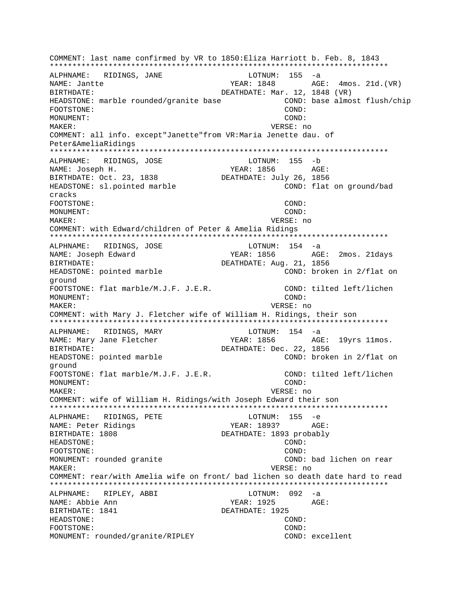COMMENT: last name confirmed by VR to 1850: Eliza Harriott b. Feb. 8, 1843 ALPHNAME: RIDINGS, JANE LOTNUM:  $155 - a$ NAME: Jantte YEAR: 1848 AGE: 4mos. 21d. (VR) BIRTHDATE: DEATHDATE: Mar. 12, 1848 (VR) HEADSTONE: marble rounded/granite base COND: base almost flush/chip FOOTSTONE: COND: MONIJMENT:  $COMD:$ MAKER: VERSE: no COMMENT: all info. except"Janette"from VR: Maria Jenette dau. of Peter&AmeliaRidings ALPHNAME: RIDINGS, JOSE LOTNUM: 155 -b NAME: Joseph H. YEAR: 1856 AGE: BIRTHDATE: Oct. 23, 1838 DEATHDATE: July 26, 1856 HEADSTONE: sl.pointed marble COND: flat on ground/bad cracks FOOTSTONE: COND: COND: MONIJMENT: MAKER: VERSE: no COMMENT: with Edward/children of Peter & Amelia Ridings ALPHNAME: RIDINGS, JOSE  $LOTNUM: 154 -a$ YEAR: 1856 AGE: 2mos. 21days NAME: Joseph Edward BIRTHDATE: DEATHDATE: Aug. 21, 1856 HEADSTONE: pointed marble COND: broken in 2/flat on around FOOTSTONE: flat marble/M.J.F. J.E.R. COND: tilted left/lichen  $COMD:$ MONIJMENT: MAKER: VERSE: no COMMENT: with Mary J. Fletcher wife of William H. Ridings, their son RIDINGS, MARY  $LOTNUM: 154 -a$ ALPHNAME: NAME: Mary Jane Fletcher YEAR: 1856 AGE: 19yrs 11mos. DEATHDATE: Dec. 22, 1856 BIRTHDATE: HEADSTONE: pointed marble COND: broken in 2/flat on ground COND: tilted left/lichen FOOTSTONE: flat marble/M.J.F. J.E.R. MONUMENT: COND: MAKER: VERSE: no COMMENT: wife of William H. Ridings/with Joseph Edward their son ALPHNAME: RIDINGS, PETE LOTNUM: 155 -e NAME: Peter Ridings YEAR: 1893? AGE: DEATHDATE: 1893 probably BIRTHDATE: 1808 HEADSTONE: COND: FOOTSTONE:  $COMD:$ MONUMENT: rounded granite COND: bad lichen on rear VERSE: no MAKER: COMMENT: rear/with Amelia wife on front/ bad lichen so death date hard to read LOTNUM: 092 -a ALPHNAME: RIPLEY, ABBI AGE: NAME: Abbie Ann YEAR: 1925 BIRTHDATE: 1841 DEATHDATE: 1925 HEADSTONE: COND: FOOTSTONE: COND: MONUMENT: rounded/granite/RIPLEY COND: excellent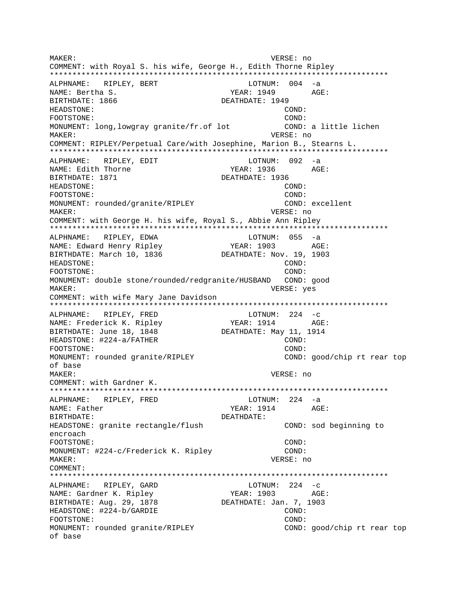MAKER: VERSE: no COMMENT: with Royal S. his wife, George H., Edith Thorne Ripley \*\*\*\*\*\*\*\*\*\*\*\*\*\*\*\*\*\*\*\*\*\*\*\*\*\*\*\*\*\*\*\*\*\*\*\*\*\*\*\*\*\*\*\*\*\*\*\*\*\*\*\*\*\*\*\*\*\*\*\*\*\*\*\*\*\*\*\*\*\*\*\*\*\*\* ALPHNAME: RIPLEY, BERT LOTNUM: 004 -a NAME: Bertha S. YEAR: 1949 AGE: BIRTHDATE: 1866 DEATHDATE: 1949 HEADSTONE: COND: FOOTSTONE: COND: MONUMENT: long, lowgray granite/fr.of lot COND: a little lichen MAKER: VERSE: no COMMENT: RIPLEY/Perpetual Care/with Josephine, Marion B., Stearns L. \*\*\*\*\*\*\*\*\*\*\*\*\*\*\*\*\*\*\*\*\*\*\*\*\*\*\*\*\*\*\*\*\*\*\*\*\*\*\*\*\*\*\*\*\*\*\*\*\*\*\*\*\*\*\*\*\*\*\*\*\*\*\*\*\*\*\*\*\*\*\*\*\*\*\* ALPHNAME: RIPLEY, EDIT COTNUM: 092 -a NAME: Edith Thorne The South of The YEAR: 1936 AGE: BIRTHDATE: 1871 DEATHDATE: 1936 HEADSTONE: COND: FOOTSTONE: COND: MONUMENT: rounded/granite/RIPLEY COND: excellent MAKER: VERSE: no COMMENT: with George H. his wife, Royal S., Abbie Ann Ripley \*\*\*\*\*\*\*\*\*\*\*\*\*\*\*\*\*\*\*\*\*\*\*\*\*\*\*\*\*\*\*\*\*\*\*\*\*\*\*\*\*\*\*\*\*\*\*\*\*\*\*\*\*\*\*\*\*\*\*\*\*\*\*\*\*\*\*\*\*\*\*\*\*\*\* ALPHNAME: RIPLEY, EDWA **LOTNUM:** 055 -a NAME: Edward Henry Ripley 7EAR: 1903 AGE: BIRTHDATE: March 10, 1836 DEATHDATE: Nov. 19, 1903 HEADSTONE: COND: FOOTSTONE: COND: MONUMENT: double stone/rounded/redgranite/HUSBAND COND: good MAKER: VERSE: yes COMMENT: with wife Mary Jane Davidson \*\*\*\*\*\*\*\*\*\*\*\*\*\*\*\*\*\*\*\*\*\*\*\*\*\*\*\*\*\*\*\*\*\*\*\*\*\*\*\*\*\*\*\*\*\*\*\*\*\*\*\*\*\*\*\*\*\*\*\*\*\*\*\*\*\*\*\*\*\*\*\*\*\*\* ALPHNAME: RIPLEY, FRED NAME: Frederick K. Ripley YEAR: 1914 AGE: BIRTHDATE: June 18, 1848 DEATHDATE: May 11, 1914 HEADSTONE: #224-a/FATHER COND: FOOTSTONE: COND: MONUMENT: rounded granite/RIPLEY COND: good/chip rt rear top of base MAKER: VERSE: no COMMENT: with Gardner K. \*\*\*\*\*\*\*\*\*\*\*\*\*\*\*\*\*\*\*\*\*\*\*\*\*\*\*\*\*\*\*\*\*\*\*\*\*\*\*\*\*\*\*\*\*\*\*\*\*\*\*\*\*\*\*\*\*\*\*\*\*\*\*\*\*\*\*\*\*\*\*\*\*\*\* ALPHNAME: RIPLEY, FRED LOTNUM: 224 -a NAME: Father The South Contract of the South Search State of the AGE: BIRTHDATE: DEATHDATE: HEADSTONE: granite rectangle/flush COND: sod beginning to encroach FOOTSTONE: COND: MONUMENT: #224-c/Frederick K. Ripley COND: MAKER: VERSE: no COMMENT: \*\*\*\*\*\*\*\*\*\*\*\*\*\*\*\*\*\*\*\*\*\*\*\*\*\*\*\*\*\*\*\*\*\*\*\*\*\*\*\*\*\*\*\*\*\*\*\*\*\*\*\*\*\*\*\*\*\*\*\*\*\*\*\*\*\*\*\*\*\*\*\*\*\*\* ALPHNAME: RIPLEY, GARD LOTNUM: 224 -c NAME: Gardner K. Ripley YEAR: 1903 AGE: BIRTHDATE: Aug. 29, 1878 DEATHDATE: Jan. 7, 1903 HEADSTONE:  $\#224-b/GARDIE$  COND: FOOTSTONE: COND: MONUMENT: rounded granite/RIPLEY COND: good/chip rt rear top of base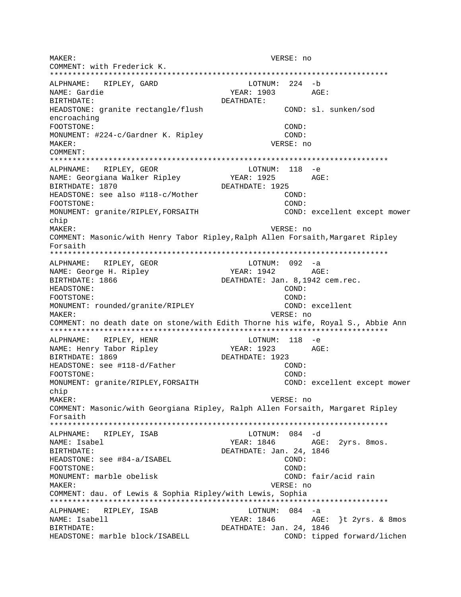MAKER: VERSE: no COMMENT: with Frederick K. LOTNUM: 224 -b ALPHNAME: RIPLEY, GARD NAME: Gardie YEAR: 1903 AGE: BIRTHDATE: DEATHDATE: HEADSTONE: granite rectangle/flush COND: sl. sunken/sod encroaching COND: FOOTSTONE: MONUMENT: #224-c/Gardner K. Ripley COND: MAKER: VERSE: no COMMENT: ALPHNAME: RIPLEY, GEOR  $LOTNUM: 118 - e$ NAME: Georgiana Walker Ripley **YEAR: 1925**  $\triangle G$ F: DEATHDATE: 1925 BIRTHDATE: 1870 HEADSTONE: see also #118-c/Mother COND: FOOTSTONE: COND: MONUMENT: granite/RIPLEY, FORSAITH COND: excellent except mower chip MAKER: VERSE: no COMMENT: Masonic/with Henry Tabor Ripley, Ralph Allen Forsaith, Margaret Ripley Forsaith ALPHNAME: RIPLEY, GEOR  $LOTNUM: 092 -a$ NAME: George H. Ripley YEAR: 1942 AGE: BIRTHDATE: 1866 DEATHDATE: Jan. 8,1942 cem.rec. COND: HEADSTONE: FOOTSTONE:  $COMD:$ COND: excellent MONUMENT: rounded/granite/RIPLEY MAKER: VERSE: no COMMENT: no death date on stone/with Edith Thorne his wife, Royal S., Abbie Ann LOTNUM: 118 -e ALPHNAME: RIPLEY, HENR NAME: Henry Tabor Ripley YEAR: 1923 AGE: BIRTHDATE: 1869 DEATHDATE: 1923 HEADSTONE: see #118-d/Father COND: FOOTSTONE: COND: MONUMENT: granite/RIPLEY, FORSAITH COND: excellent except mower chip MAKER: VERSE: no COMMENT: Masonic/with Georgiana Ripley, Ralph Allen Forsaith, Margaret Ripley Forsaith ALPHNAME: RIPLEY, ISAB LOTNUM: 084 -d NAME: Isabel YEAR: 1846 AGE: 2yrs. 8mos. DEATHDATE: Jan. 24, 1846 BIRTHDATE: HEADSTONE: see #84-a/ISABEL COND: FOOTSTONE: COND: MONUMENT: marble obelisk COND: fair/acid rain MAKER: VERSE: no COMMENT: dau. of Lewis & Sophia Ripley/with Lewis, Sophia ALPHNAME: RIPLEY, ISAB LOTNUM: 084 -a NAME: Isabell YEAR: 1846 AGE: }t 2yrs. & 8mos DEATHDATE: Jan. 24, 1846 BIRTHDATE: HEADSTONE: marble block/ISABELL COND: tipped forward/lichen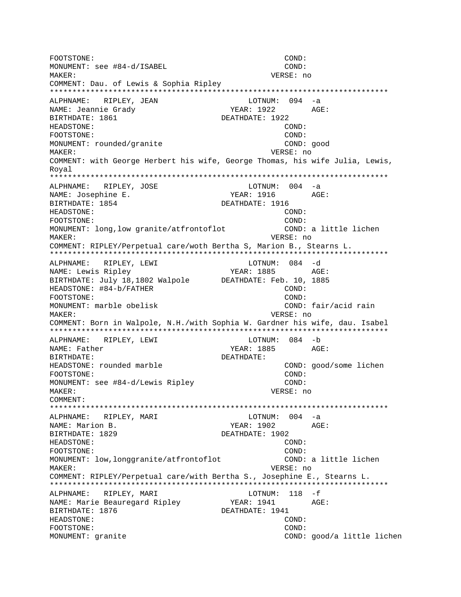FOOTSTONE: COND: MONUMENT: see #84-d/ISABEL COND: MAKER: VERSE: no COMMENT: Dau. of Lewis & Sophia Ripley ALPHNAME: RIPLEY, JEAN LOTNUM: 094 -a NAME: Jeannie Grady YEAR: 1922 AGE: BIRTHDATE: 1861 DEATHDATE: 1922 HEADSTONE: COND: FOOTSTONE: COND: MONUMENT: rounded/granite COND: good MAKER: VERSE: no COMMENT: with George Herbert his wife, George Thomas, his wife Julia, Lewis, Roval ALPHNAME: RIPLEY, JOSE  $LOTNUM: 004 -a$ NAME: Josephine E. BIRTHDATE: 1854 DEATHDATE: 1916 HEADSTONE: COND: FOOTSTONE: COND: MONUMENT: long, low granite/atfrontoflot COND: a little lichen MAKER: VERSE: no COMMENT: RIPLEY/Perpetual care/woth Bertha S, Marion B., Stearns L. ALPHNAME: RIPLEY, LEWI LOTNUM: 084 -d NAME: Lewis Ripley YEAR: 1885 AGE: BIRTHDATE: July 18,1802 Walpole DEATHDATE: Feb. 10, 1885 HEADSTONE: #84-b/FATHER COND: FOOTSTONE:  $COMD:$ MONUMENT: marble obelisk COND: fair/acid rain VERSE: no MAKER: COMMENT: Born in Walpole, N.H./with Sophia W. Gardner his wife, dau. Isabel LOTNUM: 084 -b ALPHNAME: RIPLEY, LEWI NAME: Father YEAR: 1885 AGE: BIRTHDATE: DEATHDATE: HEADSTONE: rounded marble COND: good/some lichen COND: FOOTSTONE: MONUMENT: see #84-d/Lewis Ripley COND: MAKER: VERSE: no COMMENT: LOTNUM:  $004 -a$ ALPHNAME: RIPLEY, MARI NAME: Marion B. YEAR: 1902  $AGE:$ BIRTHDATE: 1829 DEATHDATE: 1902 HEADSTONE: COND: COND: FOOTSTONE: MONUMENT: low, longgranite/atfrontoflot COND: a little lichen VERSE: no MAKER: COMMENT: RIPLEY/Perpetual care/with Bertha S., Josephine E., Stearns L. ALPHNAME: RIPLEY, MARI LOTNUM: 118 -f AGE: NAME: Marie Beauregard Ripley YEAR: 1941 BIRTHDATE: 1876 DEATHDATE: 1941  $COND:$ HEADSTONE: FOOTSTONE:  $COMD:$ MONUMENT: granite COND: good/a little lichen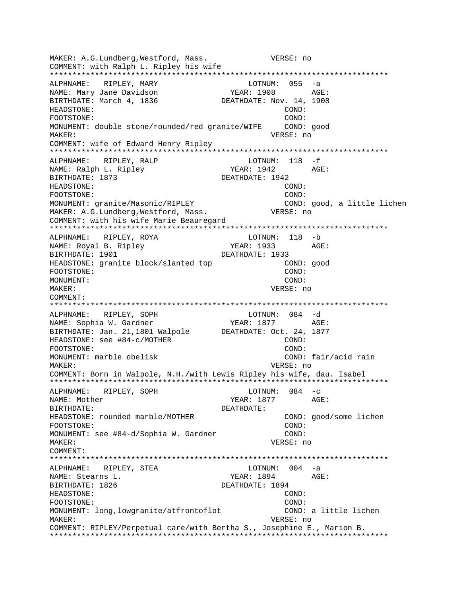MAKER: A.G.Lundberg,Westford, Mass. VERSE: no COMMENT: with Ralph L. Ripley his wife \*\*\*\*\*\*\*\*\*\*\*\*\*\*\*\*\*\*\*\*\*\*\*\*\*\*\*\*\*\*\*\*\*\*\*\*\*\*\*\*\*\*\*\*\*\*\*\*\*\*\*\*\*\*\*\*\*\*\*\*\*\*\*\*\*\*\*\*\*\*\*\*\*\*\* ALPHNAME: RIPLEY, MARY LOTNUM: 055 -a NAME: Mary Jane Davidson The YEAR: 1908 AGE: BIRTHDATE: March 4, 1836 DEATHDATE: Nov. 14, 1908 HEADSTONE: COND: FOOTSTONE: COND: MONUMENT: double stone/rounded/red granite/WIFE COND: good MAKER: VERSE: no COMMENT: wife of Edward Henry Ripley \*\*\*\*\*\*\*\*\*\*\*\*\*\*\*\*\*\*\*\*\*\*\*\*\*\*\*\*\*\*\*\*\*\*\*\*\*\*\*\*\*\*\*\*\*\*\*\*\*\*\*\*\*\*\*\*\*\*\*\*\*\*\*\*\*\*\*\*\*\*\*\*\*\*\* ALPHNAME: RIPLEY, RALP LOTNUM: 118 -f NAME: Ralph L. Ripley YEAR: 1942 AGE: BIRTHDATE: 1873 DEATHDATE: 1942 HEADSTONE: COND: FOOTSTONE: COND: MONUMENT: granite/Masonic/RIPLEY COND: good, a little lichen MAKER: A.G.Lundberg, Westford, Mass.  $VERSE: no$ COMMENT: with his wife Marie Beauregard \*\*\*\*\*\*\*\*\*\*\*\*\*\*\*\*\*\*\*\*\*\*\*\*\*\*\*\*\*\*\*\*\*\*\*\*\*\*\*\*\*\*\*\*\*\*\*\*\*\*\*\*\*\*\*\*\*\*\*\*\*\*\*\*\*\*\*\*\*\*\*\*\*\*\* ALPHNAME: RIPLEY, ROYA LOTNUM: 118 -b NAME: Royal B. Ripley YEAR: 1933 AGE: BIRTHDATE: 1901 DEATHDATE: 1933 HEADSTONE: granite block/slanted top COND: good FOOTSTONE: COND: MONUMENT: COND: MAKER: VERSE: no COMMENT: \*\*\*\*\*\*\*\*\*\*\*\*\*\*\*\*\*\*\*\*\*\*\*\*\*\*\*\*\*\*\*\*\*\*\*\*\*\*\*\*\*\*\*\*\*\*\*\*\*\*\*\*\*\*\*\*\*\*\*\*\*\*\*\*\*\*\*\*\*\*\*\*\*\*\* ALPHNAME: RIPLEY, SOPH LOTNUM: 084 -d NAME: Sophia W. Gardner YEAR: 1877 AGE: BIRTHDATE: Jan. 21,1801 Walpole DEATHDATE: Oct. 24, 1877 HEADSTONE: see #84-c/MOTHER COND: COND: FOOTSTONE: COND: MONUMENT: marble obelisk COND: fair/acid rain MAKER: VERSE: no COMMENT: Born in Walpole, N.H./with Lewis Ripley his wife, dau. Isabel \*\*\*\*\*\*\*\*\*\*\*\*\*\*\*\*\*\*\*\*\*\*\*\*\*\*\*\*\*\*\*\*\*\*\*\*\*\*\*\*\*\*\*\*\*\*\*\*\*\*\*\*\*\*\*\*\*\*\*\*\*\*\*\*\*\*\*\*\*\*\*\*\*\*\* ALPHNAME: RIPLEY, SOPH LOTNUM: 084 -c NAME: Mother Name: 2012. Name: 2014 Magnus 2014 Magnus 2014 Magnus 2014 Magnus 2016. Name: 2014 Magnus 2016. N BIRTHDATE: DEATHDATE: HEADSTONE: rounded marble/MOTHER COND: good/some lichen FOOTSTONE: COND: MONUMENT: see #84-d/Sophia W. Gardner COND: MAKER: VERSE: no COMMENT: \*\*\*\*\*\*\*\*\*\*\*\*\*\*\*\*\*\*\*\*\*\*\*\*\*\*\*\*\*\*\*\*\*\*\*\*\*\*\*\*\*\*\*\*\*\*\*\*\*\*\*\*\*\*\*\*\*\*\*\*\*\*\*\*\*\*\*\*\*\*\*\*\*\*\* ALPHNAME: RIPLEY, STEA LOTNUM: 004 -a NAME: Stearns L. Sand Controller and MEAR: 1894 AGE: BIRTHDATE: 1826 DEATHDATE: 1894 HEADSTONE: COND: FOOTSTONE: COND: MONUMENT: long,lowgranite/atfrontoflot COND: a little lichen MAKER: VERSE: no COMMENT: RIPLEY/Perpetual care/with Bertha S., Josephine E., Marion B. \*\*\*\*\*\*\*\*\*\*\*\*\*\*\*\*\*\*\*\*\*\*\*\*\*\*\*\*\*\*\*\*\*\*\*\*\*\*\*\*\*\*\*\*\*\*\*\*\*\*\*\*\*\*\*\*\*\*\*\*\*\*\*\*\*\*\*\*\*\*\*\*\*\*\*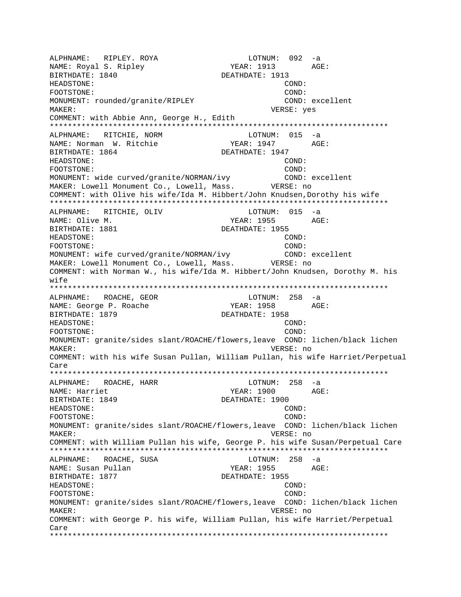ALPHNAME: RIPLEY. ROYA LOTNUM: 092 -a YEAR: 1913 AGE: BIRTHDATE: 1840 DEATHDATE: 1913 HEADSTONE: COND: FOOTSTONE: COND: MONUMENT: rounded/granite/RIPLEY COND: excellent MAKER: VERSE: yes COMMENT: with Abbie Ann, George H., Edith \*\*\*\*\*\*\*\*\*\*\*\*\*\*\*\*\*\*\*\*\*\*\*\*\*\*\*\*\*\*\*\*\*\*\*\*\*\*\*\*\*\*\*\*\*\*\*\*\*\*\*\*\*\*\*\*\*\*\*\*\*\*\*\*\*\*\*\*\*\*\*\*\*\*\* ALPHNAME: RITCHIE, NORM LOTNUM: 015 -a NAME: Norman W. Ritchie YEAR: 1947 AGE: BIRTHDATE: 1864 DEATHDATE: 1947 HEADSTONE: COND: FOOTSTONE: COND: MONUMENT: wide curved/granite/NORMAN/ivy COND: excellent MAKER: Lowell Monument Co., Lowell, Mass. VERSE: no COMMENT: with Olive his wife/Ida M. Hibbert/John Knudsen,Dorothy his wife \*\*\*\*\*\*\*\*\*\*\*\*\*\*\*\*\*\*\*\*\*\*\*\*\*\*\*\*\*\*\*\*\*\*\*\*\*\*\*\*\*\*\*\*\*\*\*\*\*\*\*\*\*\*\*\*\*\*\*\*\*\*\*\*\*\*\*\*\*\*\*\*\*\*\* ALPHNAME: RITCHIE, OLIV LOTNUM: 015 -a NAME: Olive M. Same Manuscript (1955 AGE: 1955 AGE: 1955 AGE: 1955 AGE: 1955 AGE: 1955 AGE: 1959 AGE: 1969 AGE BIRTHDATE: 1881 DEATHDATE: 1955 HEADSTONE: COND: FOOTSTONE: COND: MONUMENT: wife curved/granite/NORMAN/ivy COND: excellent MAKER: Lowell Monument Co., Lowell, Mass. VERSE: no COMMENT: with Norman W., his wife/Ida M. Hibbert/John Knudsen, Dorothy M. his wife \*\*\*\*\*\*\*\*\*\*\*\*\*\*\*\*\*\*\*\*\*\*\*\*\*\*\*\*\*\*\*\*\*\*\*\*\*\*\*\*\*\*\*\*\*\*\*\*\*\*\*\*\*\*\*\*\*\*\*\*\*\*\*\*\*\*\*\*\*\*\*\*\*\*\* ALPHNAME: ROACHE, GEOR LOTNUM: 258 -a NAME: George P. Roache YEAR: 1958 AGE: BIRTHDATE: 1879 DEATHDATE: 1958 HEADSTONE: COND: FOOTSTONE: COND: MONUMENT: granite/sides slant/ROACHE/flowers,leave COND: lichen/black lichen MAKER: VERSE: no COMMENT: with his wife Susan Pullan, William Pullan, his wife Harriet/Perpetual Care \*\*\*\*\*\*\*\*\*\*\*\*\*\*\*\*\*\*\*\*\*\*\*\*\*\*\*\*\*\*\*\*\*\*\*\*\*\*\*\*\*\*\*\*\*\*\*\*\*\*\*\*\*\*\*\*\*\*\*\*\*\*\*\*\*\*\*\*\*\*\*\*\*\*\* ALPHNAME: ROACHE, HARR LOTNUM: 258 -a NAME: Harriet YEAR: 1900 AGE: BIRTHDATE: 1849 DEATHDATE: 1900 HEADSTONE: COND: FOOTSTONE: COND: MONUMENT: granite/sides slant/ROACHE/flowers,leave COND: lichen/black lichen MAKER: VERSE: no COMMENT: with William Pullan his wife, George P. his wife Susan/Perpetual Care \*\*\*\*\*\*\*\*\*\*\*\*\*\*\*\*\*\*\*\*\*\*\*\*\*\*\*\*\*\*\*\*\*\*\*\*\*\*\*\*\*\*\*\*\*\*\*\*\*\*\*\*\*\*\*\*\*\*\*\*\*\*\*\*\*\*\*\*\*\*\*\*\*\*\* ALPHNAME: ROACHE, SUSA CONTROLL BOTNUM: 258 -a NAME: Susan Pullan NAME: 1955 AGE: BIRTHDATE: 1877 DEATHDATE: 1955 HEADSTONE: COND: FOOTSTONE: COND: MONUMENT: granite/sides slant/ROACHE/flowers,leave COND: lichen/black lichen MAKER: VERSE: no COMMENT: with George P. his wife, William Pullan, his wife Harriet/Perpetual Care \*\*\*\*\*\*\*\*\*\*\*\*\*\*\*\*\*\*\*\*\*\*\*\*\*\*\*\*\*\*\*\*\*\*\*\*\*\*\*\*\*\*\*\*\*\*\*\*\*\*\*\*\*\*\*\*\*\*\*\*\*\*\*\*\*\*\*\*\*\*\*\*\*\*\*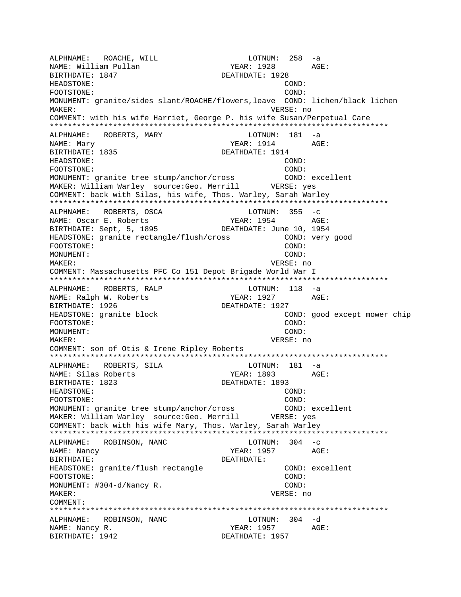ALPHNAME: ROACHE, WILL CONNERT LOTNUM: 258 -a NAME: William Pullan XEAR: 1928 AGE: BIRTHDATE: 1847 DEATHDATE: 1928 HEADSTONE: COND: FOOTSTONE: COND: MONUMENT: granite/sides slant/ROACHE/flowers,leave COND: lichen/black lichen MAKER: VERSE: no COMMENT: with his wife Harriet, George P. his wife Susan/Perpetual Care \*\*\*\*\*\*\*\*\*\*\*\*\*\*\*\*\*\*\*\*\*\*\*\*\*\*\*\*\*\*\*\*\*\*\*\*\*\*\*\*\*\*\*\*\*\*\*\*\*\*\*\*\*\*\*\*\*\*\*\*\*\*\*\*\*\*\*\*\*\*\*\*\*\*\* ALPHNAME: ROBERTS, MARY NAME: Mary YEAR: 1914 AGE: BIRTHDATE: 1835 DEATHDATE: 1914 HEADSTONE: COND: FOOTSTONE: COND: MONUMENT: granite tree stump/anchor/cross COND: excellent MAKER: William Warley source:Geo. Merrill VERSE: yes COMMENT: back with Silas, his wife, Thos. Warley, Sarah Warley \*\*\*\*\*\*\*\*\*\*\*\*\*\*\*\*\*\*\*\*\*\*\*\*\*\*\*\*\*\*\*\*\*\*\*\*\*\*\*\*\*\*\*\*\*\*\*\*\*\*\*\*\*\*\*\*\*\*\*\*\*\*\*\*\*\*\*\*\*\*\*\*\*\*\* ALPHNAME: ROBERTS, OSCA LOTNUM: 355 -c NAME: Oscar E. Roberts Team YEAR: 1954 AGE: BIRTHDATE: Sept, 5, 1895 DEATHDATE: June 10, 1954 HEADSTONE: granite rectangle/flush/cross COND: very good FOOTSTONE: COND: MONUMENT: COND: MAKER: VERSE: no COMMENT: Massachusetts PFC Co 151 Depot Brigade World War I \*\*\*\*\*\*\*\*\*\*\*\*\*\*\*\*\*\*\*\*\*\*\*\*\*\*\*\*\*\*\*\*\*\*\*\*\*\*\*\*\*\*\*\*\*\*\*\*\*\*\*\*\*\*\*\*\*\*\*\*\*\*\*\*\*\*\*\*\*\*\*\*\*\*\* ALPHNAME: ROBERTS, RALP LOTNUM: 118 -a NAME: Ralph W. Roberts YEAR: 1927 AGE: BIRTHDATE: 1926 DEATHDATE: 1927 HEADSTONE: granite block COND: good except mower chip FOOTSTONE: COND: MONUMENT: COND: MAKER: VERSE: no COMMENT: son of Otis & Irene Ripley Roberts \*\*\*\*\*\*\*\*\*\*\*\*\*\*\*\*\*\*\*\*\*\*\*\*\*\*\*\*\*\*\*\*\*\*\*\*\*\*\*\*\*\*\*\*\*\*\*\*\*\*\*\*\*\*\*\*\*\*\*\*\*\*\*\*\*\*\*\*\*\*\*\*\*\*\* ALPHNAME: ROBERTS, SILA NAME: Silas Roberts TEAR: 1893 AGE: BIRTHDATE: 1823 DEATHDATE: 1893 HEADSTONE: COND: FOOTSTONE: COND: MONUMENT: granite tree stump/anchor/cross COND: excellent MAKER: William Warley source:Geo. Merrill VERSE: yes COMMENT: back with his wife Mary, Thos. Warley, Sarah Warley \*\*\*\*\*\*\*\*\*\*\*\*\*\*\*\*\*\*\*\*\*\*\*\*\*\*\*\*\*\*\*\*\*\*\*\*\*\*\*\*\*\*\*\*\*\*\*\*\*\*\*\*\*\*\*\*\*\*\*\*\*\*\*\*\*\*\*\*\*\*\*\*\*\*\* ALPHNAME: ROBINSON, NANC LOTNUM: 304 -c NAME: Nancy 3. The Magnus of the Magnus of the Magnus of the YEAR: 1957 AGE: BIRTHDATE: DEATHDATE: HEADSTONE: granite/flush rectangle COND: excellent FOOTSTONE: COND: MONUMENT: #304-d/Nancy R. COND: MAKER: VERSE: no COMMENT: \*\*\*\*\*\*\*\*\*\*\*\*\*\*\*\*\*\*\*\*\*\*\*\*\*\*\*\*\*\*\*\*\*\*\*\*\*\*\*\*\*\*\*\*\*\*\*\*\*\*\*\*\*\*\*\*\*\*\*\*\*\*\*\*\*\*\*\*\*\*\*\*\*\*\* ALPHNAME: ROBINSON, NANC LOTNUM: 304 -d NAME: Nancy R. YEAR: 1957 AGE: BIRTHDATE: 1942 DEATHDATE: 1957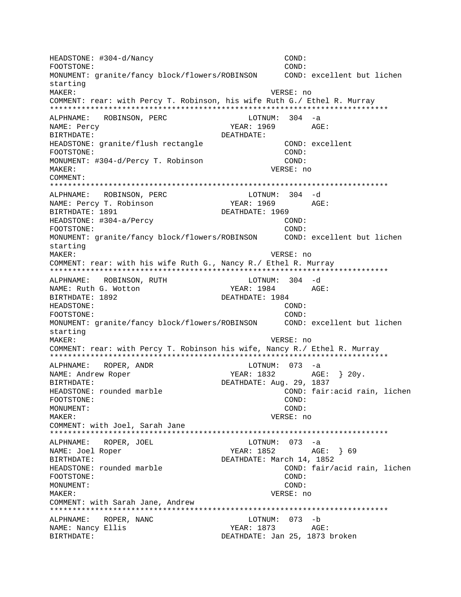HEADSTONE: #304-d/Nancy COND: COND: FOOTSTONE: COND: MONUMENT: granite/fancy block/flowers/ROBINSON COND: excellent but lichen starting MAKER: VERSE: no COMMENT: rear: with Percy T. Robinson, his wife Ruth G./ Ethel R. Murray \*\*\*\*\*\*\*\*\*\*\*\*\*\*\*\*\*\*\*\*\*\*\*\*\*\*\*\*\*\*\*\*\*\*\*\*\*\*\*\*\*\*\*\*\*\*\*\*\*\*\*\*\*\*\*\*\*\*\*\*\*\*\*\*\*\*\*\*\*\*\*\*\*\*\* ALPHNAME: ROBINSON, PERC LOTNUM: 304 -a NAME: Percy YEAR: 1969 BIRTHDATE: DEATHDATE: HEADSTONE: granite/flush rectangle COND: excellent FOOTSTONE: COND: MONUMENT: #304-d/Percy T. Robinson COND: MAKER: VERSE: no COMMENT: \*\*\*\*\*\*\*\*\*\*\*\*\*\*\*\*\*\*\*\*\*\*\*\*\*\*\*\*\*\*\*\*\*\*\*\*\*\*\*\*\*\*\*\*\*\*\*\*\*\*\*\*\*\*\*\*\*\*\*\*\*\*\*\*\*\*\*\*\*\*\*\*\*\*\* ALPHNAME: ROBINSON, PERC NAME: Percy T. Robinson YEAR: 1969 AGE: BIRTHDATE: 1891 DEATHDATE: 1969 HEADSTONE: #304-a/Percy COND: FOOTSTONE: COND: MONUMENT: granite/fancy block/flowers/ROBINSON COND: excellent but lichen starting MAKER: VERSE: no COMMENT: rear: with his wife Ruth G., Nancy R./ Ethel R. Murray \*\*\*\*\*\*\*\*\*\*\*\*\*\*\*\*\*\*\*\*\*\*\*\*\*\*\*\*\*\*\*\*\*\*\*\*\*\*\*\*\*\*\*\*\*\*\*\*\*\*\*\*\*\*\*\*\*\*\*\*\*\*\*\*\*\*\*\*\*\*\*\*\*\*\* ALPHNAME: ROBINSON, RUTH LOTNUM: 304 -d NAME: Ruth G. Wotton YEAR: 1984 AGE: BIRTHDATE: 1892 DEATHDATE: 1984 HEADSTONE: COND: FOOTSTONE: COND: MONUMENT: granite/fancy block/flowers/ROBINSON COND: excellent but lichen starting MAKER: VERSE: no COMMENT: rear: with Percy T. Robinson his wife, Nancy R./ Ethel R. Murray \*\*\*\*\*\*\*\*\*\*\*\*\*\*\*\*\*\*\*\*\*\*\*\*\*\*\*\*\*\*\*\*\*\*\*\*\*\*\*\*\*\*\*\*\*\*\*\*\*\*\*\*\*\*\*\*\*\*\*\*\*\*\*\*\*\*\*\*\*\*\*\*\*\*\* ALPHNAME: ROPER, ANDR LOTNUM: 073 -a NAME: Andrew Roper YEAR: 1832 BIRTHDATE: DEATHDATE: Aug. 29, 1837 HEADSTONE: rounded marble **EXADSTONE:** rounded marble FOOTSTONE: COND: MONUMENT: COND: MAKER: VERSE: no COMMENT: with Joel, Sarah Jane \*\*\*\*\*\*\*\*\*\*\*\*\*\*\*\*\*\*\*\*\*\*\*\*\*\*\*\*\*\*\*\*\*\*\*\*\*\*\*\*\*\*\*\*\*\*\*\*\*\*\*\*\*\*\*\*\*\*\*\*\*\*\*\*\*\*\*\*\*\*\*\*\*\*\* ALPHNAME: ROPER, JOEL LOTNUM: 073 -a NAME: Joel Roper YEAR: 1852 AGE: } 69 BIRTHDATE: DEATHDATE: March 14, 1852 HEADSTONE: rounded marble COND: fair/acid rain, lichen FOOTSTONE: COND: MONUMENT: COND: MAKER: VERSE: no COMMENT: with Sarah Jane, Andrew \*\*\*\*\*\*\*\*\*\*\*\*\*\*\*\*\*\*\*\*\*\*\*\*\*\*\*\*\*\*\*\*\*\*\*\*\*\*\*\*\*\*\*\*\*\*\*\*\*\*\*\*\*\*\*\*\*\*\*\*\*\*\*\*\*\*\*\*\*\*\*\*\*\*\* ALPHNAME: ROPER, NANC LOTNUM: 073 -b NAME: Nancy Ellis YEAR: 1873 AGE: BIRTHDATE: DEATHDATE: Jan 25, 1873 broken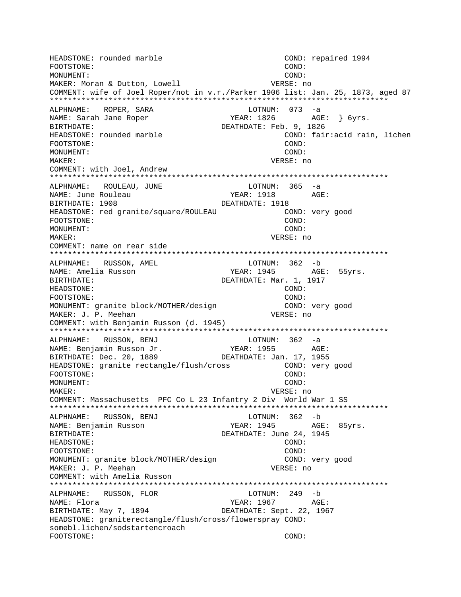HEADSTONE: rounded marble COND: repaired 1994 FOOTSTONE: COND: MONUMENT: COND: MAKER: Moran & Dutton, Lowell VERSE: no COMMENT: wife of Joel Roper/not in v.r./Parker 1906 list: Jan. 25, 1873, aged 87 \*\*\*\*\*\*\*\*\*\*\*\*\*\*\*\*\*\*\*\*\*\*\*\*\*\*\*\*\*\*\*\*\*\*\*\*\*\*\*\*\*\*\*\*\*\*\*\*\*\*\*\*\*\*\*\*\*\*\*\*\*\*\*\*\*\*\*\*\*\*\*\*\*\*\* ALPHNAME: ROPER, SARA LOTNUM: 073 -a YEAR: 1826 AGE: } 6yrs. BIRTHDATE: DEATHDATE: Feb. 9, 1826 HEADSTONE: rounded marble COND: fair:acid rain, lichen FOOTSTONE: COND: MONUMENT: COND: MAKER: VERSE: no COMMENT: with Joel, Andrew \*\*\*\*\*\*\*\*\*\*\*\*\*\*\*\*\*\*\*\*\*\*\*\*\*\*\*\*\*\*\*\*\*\*\*\*\*\*\*\*\*\*\*\*\*\*\*\*\*\*\*\*\*\*\*\*\*\*\*\*\*\*\*\*\*\*\*\*\*\*\*\*\*\*\* ALPHNAME: ROULEAU, JUNE NAME: June Rouleau 1918 MAME: June Rouleau BIRTHDATE: 1908 DEATHDATE: 1918 HEADSTONE: red granite/square/ROULEAU COND: very good FOOTSTONE: COND: MONUMENT: COND: MAKER: VERSE: no COMMENT: name on rear side \*\*\*\*\*\*\*\*\*\*\*\*\*\*\*\*\*\*\*\*\*\*\*\*\*\*\*\*\*\*\*\*\*\*\*\*\*\*\*\*\*\*\*\*\*\*\*\*\*\*\*\*\*\*\*\*\*\*\*\*\*\*\*\*\*\*\*\*\*\*\*\*\*\*\* ALPHNAME: RUSSON, AMEL LOTNUM: 362 -b NAME: Amelia Russon The YEAR: 1945 AGE: 55yrs. BIRTHDATE: Mar. 1, 1917 HEADSTONE: COND: FOOTSTONE: COND: MONUMENT: granite block/MOTHER/design COND: very good MAKER: J. P. Meehan VERSE: no COMMENT: with Benjamin Russon (d. 1945) \*\*\*\*\*\*\*\*\*\*\*\*\*\*\*\*\*\*\*\*\*\*\*\*\*\*\*\*\*\*\*\*\*\*\*\*\*\*\*\*\*\*\*\*\*\*\*\*\*\*\*\*\*\*\*\*\*\*\*\*\*\*\*\*\*\*\*\*\*\*\*\*\*\*\* ALPHNAME: RUSSON, BENJ LOTNUM: 362 -a NAME: Benjamin Russon Jr.<br>BIRTHDATE: Dec. 20, 1889 DEATHDATE: Jan. 17, 1955 BIRTHDATE: Dec. 20, 1889 HEADSTONE: granite rectangle/flush/cross COND: very good FOOTSTONE: COND: MONUMENT: COND: MAKER: VERSE: no COMMENT: Massachusetts PFC Co L 23 Infantry 2 Div World War 1 SS \*\*\*\*\*\*\*\*\*\*\*\*\*\*\*\*\*\*\*\*\*\*\*\*\*\*\*\*\*\*\*\*\*\*\*\*\*\*\*\*\*\*\*\*\*\*\*\*\*\*\*\*\*\*\*\*\*\*\*\*\*\*\*\*\*\*\*\*\*\*\*\*\*\*\* ALPHNAME: RUSSON, BENJ LOTNUM: 362 -b NAME: Benjamin Russon TEAR: 1945 AGE: 85yrs. BIRTHDATE: DEATHDATE: June 24, 1945 HEADSTONE: COND: FOOTSTONE: COND: MONUMENT: granite block/MOTHER/design COND: very good MAKER: J. P. Meehan VERSE: no COMMENT: with Amelia Russon \*\*\*\*\*\*\*\*\*\*\*\*\*\*\*\*\*\*\*\*\*\*\*\*\*\*\*\*\*\*\*\*\*\*\*\*\*\*\*\*\*\*\*\*\*\*\*\*\*\*\*\*\*\*\*\*\*\*\*\*\*\*\*\*\*\*\*\*\*\*\*\*\*\*\* ALPHNAME: RUSSON, FLOR LOTNUM: 249 -b NAME: Flora YEAR: 1967 AGE: BIRTHDATE: May 7, 1894 DEATHDATE: Sept. 22, 1967 HEADSTONE: graniterectangle/flush/cross/flowerspray COND: somebl.lichen/sodstartencroach FOOTSTONE: COND: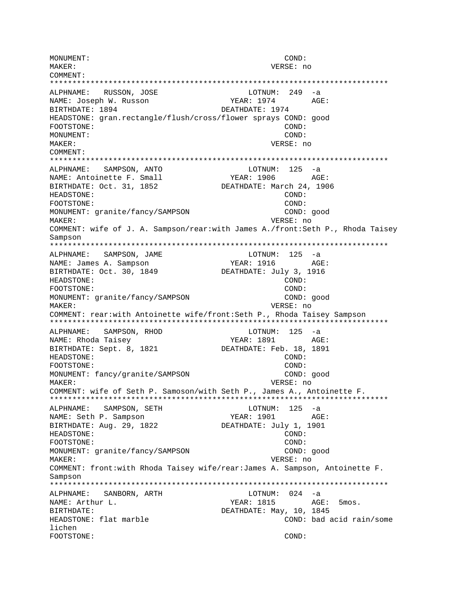MONUMENT: COND: MAKER: VERSE: no COMMENT: \*\*\*\*\*\*\*\*\*\*\*\*\*\*\*\*\*\*\*\*\*\*\*\*\*\*\*\*\*\*\*\*\*\*\*\*\*\*\*\*\*\*\*\*\*\*\*\*\*\*\*\*\*\*\*\*\*\*\*\*\*\*\*\*\*\*\*\*\*\*\*\*\*\*\* ALPHNAME: RUSSON, JOSE LOTNUM: 249 -a NAME: Joseph W. Russon YEAR: 1974 AGE: BIRTHDATE: 1894 DEATHDATE: 1974 HEADSTONE: gran.rectangle/flush/cross/flower sprays COND: good FOOTSTONE: COND: MONUMENT: COND: MAKER: VERSE: no COMMENT: \*\*\*\*\*\*\*\*\*\*\*\*\*\*\*\*\*\*\*\*\*\*\*\*\*\*\*\*\*\*\*\*\*\*\*\*\*\*\*\*\*\*\*\*\*\*\*\*\*\*\*\*\*\*\*\*\*\*\*\*\*\*\*\*\*\*\*\*\*\*\*\*\*\*\* ALPHNAME: SAMPSON, ANTO LOTNUM: 125 -a NAME: Antoinette F. Small YEAR: 1906 AGE: BIRTHDATE: Oct. 31, 1852 DEATHDATE: March 24, 1906 HEADSTONE: COND: FOOTSTONE: COND: MONUMENT: granite/fancy/SAMPSON MAKER: VERSE: no COMMENT: wife of J. A. Sampson/rear:with James A./front:Seth P., Rhoda Taisey Sampson \*\*\*\*\*\*\*\*\*\*\*\*\*\*\*\*\*\*\*\*\*\*\*\*\*\*\*\*\*\*\*\*\*\*\*\*\*\*\*\*\*\*\*\*\*\*\*\*\*\*\*\*\*\*\*\*\*\*\*\*\*\*\*\*\*\*\*\*\*\*\*\*\*\*\* ALPHNAME: SAMPSON, JAME LOTNUM: 125 -a NAME: James A. Sampson YEAR: 1916 AGE: BIRTHDATE: Oct. 30, 1849 DEATHDATE: July 3, 1916 HEADSTONE: COND: FOOTSTONE: COND: MONUMENT: granite/fancy/SAMPSON COND: good MAKER: VERSE: no COMMENT: rear:with Antoinette wife/front:Seth P., Rhoda Taisey Sampson \*\*\*\*\*\*\*\*\*\*\*\*\*\*\*\*\*\*\*\*\*\*\*\*\*\*\*\*\*\*\*\*\*\*\*\*\*\*\*\*\*\*\*\*\*\*\*\*\*\*\*\*\*\*\*\*\*\*\*\*\*\*\*\*\*\*\*\*\*\*\*\*\*\*\* ALPHNAME: SAMPSON, RHOD LOTNUM: 125 -a NAME: Rhoda Taisey NAME: 2891 AGE: BIRTHDATE: Sept. 8, 1821 DEATHDATE: Feb. 18, 1891 HEADSTONE: COND: FOOTSTONE: COND: MONUMENT: fancy/granite/SAMPSON COND: good MAKER: VERSE: no COMMENT: wife of Seth P. Samoson/with Seth P., James A., Antoinette F. \*\*\*\*\*\*\*\*\*\*\*\*\*\*\*\*\*\*\*\*\*\*\*\*\*\*\*\*\*\*\*\*\*\*\*\*\*\*\*\*\*\*\*\*\*\*\*\*\*\*\*\*\*\*\*\*\*\*\*\*\*\*\*\*\*\*\*\*\*\*\*\*\*\*\* ALPHNAME: SAMPSON, SETH LOTNUM: 125 -a NAME: Seth P. Sampson YEAR: 1901 AGE: BIRTHDATE: Aug. 29, 1822 DEATHDATE: July 1, 1901 HEADSTONE: COND: COND: COND: COND: COND: COND: COND: COND: COND: COND: COND: COND: COND: COND: COND: COND: COND: COND: COND: COND: COND: COND: COND: COND: COND: COND: COND: COND: COND: COND: COND: COND: COND: COND: COND: C FOOTSTONE: MONUMENT: granite/fancy/SAMPSON COND: good MAKER: VERSE: no COMMENT: front:with Rhoda Taisey wife/rear:James A. Sampson, Antoinette F. Sampson \*\*\*\*\*\*\*\*\*\*\*\*\*\*\*\*\*\*\*\*\*\*\*\*\*\*\*\*\*\*\*\*\*\*\*\*\*\*\*\*\*\*\*\*\*\*\*\*\*\*\*\*\*\*\*\*\*\*\*\*\*\*\*\*\*\*\*\*\*\*\*\*\*\*\* ALPHNAME: SANBORN, ARTH LOTNUM: 024 -a NAME: Arthur L. Sample 2014 and MEAR: 1815 AGE: 5mos. BIRTHDATE: 10, 1845 HEADSTONE: flat marble COND: bad acid rain/some lichen FOOTSTONE: COND: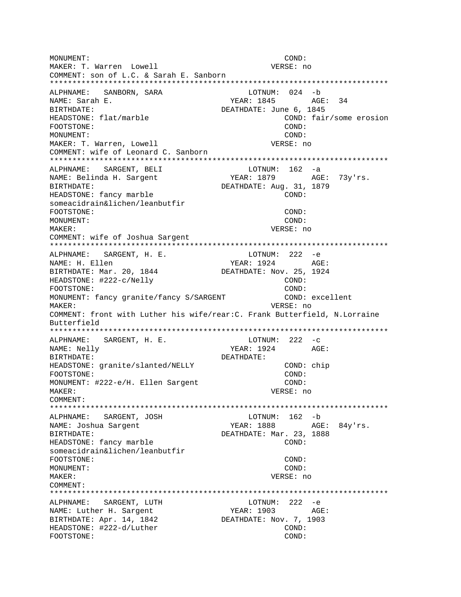MONUMENT: COND: VERSE: no MAKER: T. Warren Lowell COMMENT: son of L.C. & Sarah E. Sanborn  $LOTNUM: 024 - b$ ALPHNAME: SANBORN, SARA NAME: Sarah E. BIRTHDATE: DEATHDATE: June 6, 1845 HEADSTONE: flat/marble COND: fair/some erosion FOOTSTONE: COND: MONUMENT: COND: MAKER: T. Warren, Lowell VERSE: no COMMENT: wife of Leonard C. Sanborn ALPHNAME: SARGENT, BELI LOTNUM: 162 -a NAME: Belinda H. Sargent YEAR: 1879 AGE: 73y'rs. DEATHDATE: Aug. 31, 1879 BIRTHDATE: HEADSTONE: fancy marble COND: someacidrain&lichen/leanbutfir FOOTSTONE: COND: MONITMENT:  $COMD:$ MAKER: VERSE: no COMMENT: wife of Joshua Sargent ALPHNAME: SARGENT, H. E. LOTNUM: 222 -e **YEAR: 1924** NAME: H. Ellen AGE: BIRTHDATE: Mar. 20, 1844 DEATHDATE: Nov. 25, 1924 HEADSTONE: #222-c/Nelly COND: FOOTSTONE: COND: MONUMENT: fancy granite/fancy S/SARGENT COND: excellent VERSE: no MAKER: COMMENT: front with Luther his wife/rear: C. Frank Butterfield, N.Lorraine Butterfield ALPHNAME: SARGENT, H. E. LOTNUM:  $222 - c$ NAME: Nelly YEAR: 1924 AGE: BIRTHDATE: DEATHDATE: HEADSTONE: granite/slanted/NELLY COND: chip COND: FOOTSTONE: MONUMENT: #222-e/H. Ellen Sargent COND: VERSE: no MAKER: COMMENT:  $LOTNUM: 162 - b$ ALPHNAME: SARGENT, JOSH YEAR: 1888 AGE: 84y'rs. NAME: Joshua Sargent BIRTHDATE: DEATHDATE: Mar. 23, 1888 HEADSTONE: fancy marble  $COND:$ someacidrain&lichen/leanbutfir FOOTSTONE: COND: MONUMENT: COND: MAKER: VERSE: no COMMENT: ALPHNAME: SARGENT, LUTH LOTNUM:  $222 - e$ NAME: Luther H. Sargent YEAR: 1903 AGE: BIRTHDATE: Apr. 14, 1842 DEATHDATE: Nov. 7, 1903 HEADSTONE: #222-d/Luther COND: FOOTSTONE: COND: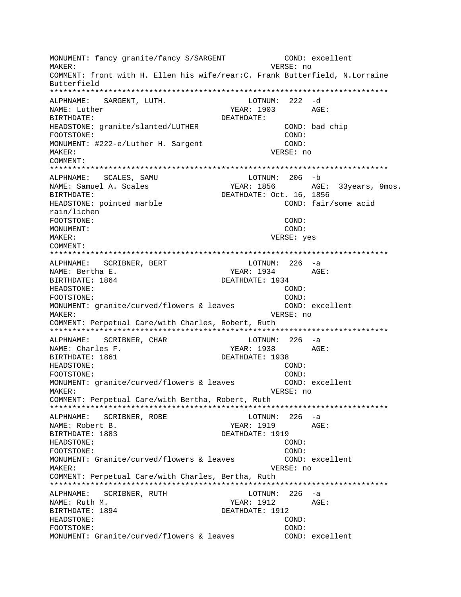MONUMENT: fancy granite/fancy S/SARGENT COND: excellent MAKER: VERSE: no COMMENT: front with H. Ellen his wife/rear: C. Frank Butterfield, N.Lorraine Butterfield ALPHNAME: SARGENT, LUTH. LOTNUM: 222 -d NAME: Luther YEAR: 1903 AGE: **BIRTHDATE:** DEATHDATE: HEADSTONE: granite/slanted/LUTHER COND: bad chip FOOTSTONE: COND: MONUMENT: #222-e/Luther H. Sargent  $CONF:$ MAKER: VERSE: no COMMENT: ALPHNAME: SCALES, SAMU  $LOTNUM: 206 - b$ YEAR: 1856 AGE: 33years, 9mos. NAME: Samuel A. Scales DEATHDATE: Oct. 16, 1856 BIRTHDATE: HEADSTONE: pointed marble COND: fair/some acid rain/lichen FOOTSTONE: COND: MONUMENT: COND: MAKER: VERSE: yes COMMENT: ALPHNAME: SCRIBNER, BERT LOTNUM: 226 -a YEAR: 1934 AGE: NAME: Bertha E. BIRTHDATE: 1864 DEATHDATE: 1934 HEADSTONE: COND: FOOTSTONE:  $COMD:$ MONUMENT: granite/curved/flowers & leaves COND: excellent VERSE: no MAKER: COMMENT: Perpetual Care/with Charles, Robert, Ruth ALPHNAME: SCRIBNER, CHAR  $LOTNUM: 226 -a$ NAME: Charles F. YEAR: 1938 AGE: BIRTHDATE: 1861 DEATHDATE: 1938 HEADSTONE: COND: FOOTSTONE: COND: MONUMENT: granite/curved/flowers & leaves COND: excellent MAKER: VERSE: no COMMENT: Perpetual Care/with Bertha, Robert, Ruth \*\*\*\*\*\*\*\*\*\* \*\*\*\*\*\*\*\*\*\*\*\*\*\*\*\*\*\*\*\*\* ALPHNAME: SCRIBNER, ROBE  $LOTNUM: 226 -a$ NAME: Robert B. YEAR: 1919  $AGE:$ BIRTHDATE: 1883 DEATHDATE: 1919 HEADSTONE: COND: FOOTSTONE:  $COMD:$ MONUMENT: Granite/curved/flowers & leaves COND: excellent MAKER: VERSE: no COMMENT: Perpetual Care/with Charles, Bertha, Ruth ALPHNAME: SCRIBNER, RUTH LOTNUM: 226 -a NAME: Ruth M. YEAR: 1912 AGE: BIRTHDATE: 1894 DEATHDATE: 1912  $COND:$ HEADSTONE: FOOTSTONE: COND: MONUMENT: Granite/curved/flowers & leaves COND: excellent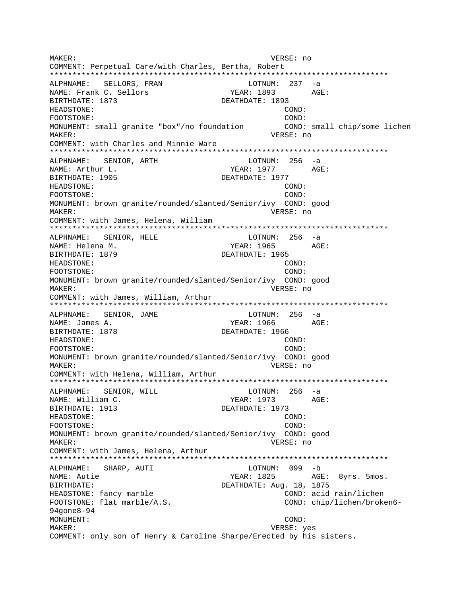MAKER: VERSE: no COMMENT: Perpetual Care/with Charles, Bertha, Robert \*\*\*\*\*\*\*\*\*\*\*\*\*\*\*\*\*\*\*\*\*\*\*\*\*\*\*\*\*\*\*\*\*\*\*\*\*\*\*\*\*\*\*\*\*\*\*\*\*\*\*\*\*\*\*\*\*\*\*\*\*\*\*\*\*\*\*\*\*\*\*\*\*\*\* ALPHNAME: SELLORS, FRAN LOTNUM: 237 -a NAME: Frank C. Sellors YEAR: 1893 AGE: BIRTHDATE: 1873 DEATHDATE: 1893 HEADSTONE: COND: FOOTSTONE: COND: MONUMENT: small granite "box"/no foundation COND: small chip/some lichen MAKER: VERSE: no COMMENT: with Charles and Minnie Ware \*\*\*\*\*\*\*\*\*\*\*\*\*\*\*\*\*\*\*\*\*\*\*\*\*\*\*\*\*\*\*\*\*\*\*\*\*\*\*\*\*\*\*\*\*\*\*\*\*\*\*\*\*\*\*\*\*\*\*\*\*\*\*\*\*\*\*\*\*\*\*\*\*\*\* ALPHNAME: SENIOR, ARTH LOTNUM: 256 -a NAME: Arthur L. Same Communications of the MEAR: 1977 AGE: BIRTHDATE: 1905 DEATHDATE: 1977 HEADSTONE: COND: FOOTSTONE: COND: MONUMENT: brown granite/rounded/slanted/Senior/ivy COND: good MAKER: VERSE: no COMMENT: with James, Helena, William \*\*\*\*\*\*\*\*\*\*\*\*\*\*\*\*\*\*\*\*\*\*\*\*\*\*\*\*\*\*\*\*\*\*\*\*\*\*\*\*\*\*\*\*\*\*\*\*\*\*\*\*\*\*\*\*\*\*\*\*\*\*\*\*\*\*\*\*\*\*\*\*\*\*\* ALPHNAME: SENIOR, HELE LOTNUM: 256 -a NAME: Helena M. YEAR: 1965 AGE: BIRTHDATE: 1879 DEATHDATE: 1965 HEADSTONE: COND: FOOTSTONE: COND: MONUMENT: brown granite/rounded/slanted/Senior/ivy COND: good MAKER: VERSE: no COMMENT: with James, William, Arthur \*\*\*\*\*\*\*\*\*\*\*\*\*\*\*\*\*\*\*\*\*\*\*\*\*\*\*\*\*\*\*\*\*\*\*\*\*\*\*\*\*\*\*\*\*\*\*\*\*\*\*\*\*\*\*\*\*\*\*\*\*\*\*\*\*\*\*\*\*\*\*\*\*\*\* ALPHNAME: SENIOR, JAME LOTNUM: 256 -a NAME: James A. (2008) 2022 1966 AGE: BIRTHDATE: 1878 DEATHDATE: 1966 HEADSTONE: COND: FOOTSTONE: COND: MONUMENT: brown granite/rounded/slanted/Senior/ivy COND: good MAKER: VERSE: no COMMENT: with Helena, William, Arthur \*\*\*\*\*\*\*\*\*\*\*\*\*\*\*\*\*\*\*\*\*\*\*\*\*\*\*\*\*\*\*\*\*\*\*\*\*\*\*\*\*\*\*\*\*\*\*\*\*\*\*\*\*\*\*\*\*\*\*\*\*\*\*\*\*\*\*\*\*\*\*\*\*\*\* ALPHNAME: SENIOR, WILL NAME: William C. YEAR: 1973 AGE: BIRTHDATE: 1913 DEATHDATE: 1973 HEADSTONE: COND: FOOTSTONE: COND: MONUMENT: brown granite/rounded/slanted/Senior/ivy COND: good MAKER: VERSE: no COMMENT: with James, Helena, Arthur \*\*\*\*\*\*\*\*\*\*\*\*\*\*\*\*\*\*\*\*\*\*\*\*\*\*\*\*\*\*\*\*\*\*\*\*\*\*\*\*\*\*\*\*\*\*\*\*\*\*\*\*\*\*\*\*\*\*\*\*\*\*\*\*\*\*\*\*\*\*\*\*\*\*\* ALPHNAME: SHARP, AUTI NAME: Autie Charles Agency Charles Agency YEAR: 1825 Agency Agency Smos. BIRTHDATE:  $DEATHDATE: Aug. 18, 1875$ HEADSTONE: fancy marble COND: acid rain/lichen FOOTSTONE: flat marble/A.S. COND: chip/lichen/broken6-94gone8-94 MONUMENT: COND: MAKER: VERSE: yes COMMENT: only son of Henry & Caroline Sharpe/Erected by his sisters.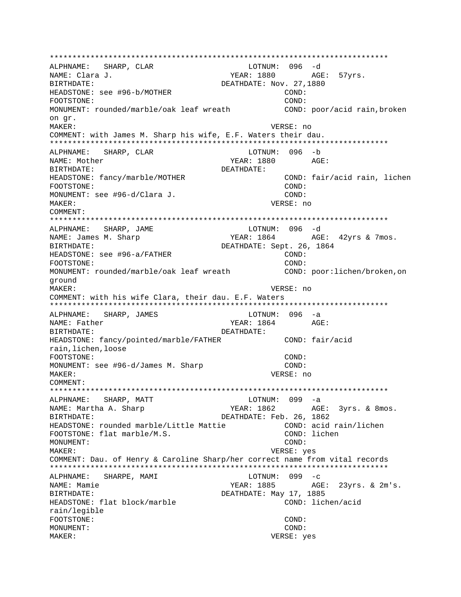\*\*\*\*\*\*\*\*\*\*\*\*\*\*\*\*\*\*\*\*\*\*\*\*\*\*\*\*\*\*\*\*\*\*\*\*\*\*\*\*\*\*\*\*\*\*\*\*\*\*\*\*\*\*\*\*\*\*\*\*\*\*\*\*\*\*\*\*\*\*\*\*\*\*\* ALPHNAME: SHARP, CLAR NAME: Clara J.  $YEAR: 1880$  AGE: 57yrs. BIRTHDATE:  $DEATHDATE:$  Nov. 27,1880 HEADSTONE: see #96-b/MOTHER COND: COND: FOOTSTONE: COND: MONUMENT: rounded/marble/oak leaf wreath COND: poor/acid rain,broken on gr. MAKER: VERSE: no COMMENT: with James M. Sharp his wife, E.F. Waters their dau. \*\*\*\*\*\*\*\*\*\*\*\*\*\*\*\*\*\*\*\*\*\*\*\*\*\*\*\*\*\*\*\*\*\*\*\*\*\*\*\*\*\*\*\*\*\*\*\*\*\*\*\*\*\*\*\*\*\*\*\*\*\*\*\*\*\*\*\*\*\*\*\*\*\*\* ALPHNAME: SHARP, CLAR LOTNUM: 096 -b NAME: Mother The Magnus of the Magnus of the Magnus of the YEAR: 1880 AGE: BIRTHDATE: DEATHDATE: HEADSTONE: fancy/marble/MOTHER COND: fair/acid rain, lichen FOOTSTONE: COND: MONUMENT: see #96-d/Clara J. COND: MAKER: VERSE: no COMMENT: \*\*\*\*\*\*\*\*\*\*\*\*\*\*\*\*\*\*\*\*\*\*\*\*\*\*\*\*\*\*\*\*\*\*\*\*\*\*\*\*\*\*\*\*\*\*\*\*\*\*\*\*\*\*\*\*\*\*\*\*\*\*\*\*\*\*\*\*\*\*\*\*\*\*\* ALPHNAME: SHARP, JAME LOTNUM: 096 -d NAME: James M. Sharp YEAR: 1864 AGE: 42yrs & 7mos. BIRTHDATE: DEATHDATE: Sept. 26, 1864 HEADSTONE: see #96-a/FATHER COND: FOOTSTONE: COND: MONUMENT: rounded/marble/oak leaf wreath COND: poor:lichen/broken,on ground MAKER: VERSE: no COMMENT: with his wife Clara, their dau. E.F. Waters \*\*\*\*\*\*\*\*\*\*\*\*\*\*\*\*\*\*\*\*\*\*\*\*\*\*\*\*\*\*\*\*\*\*\*\*\*\*\*\*\*\*\*\*\*\*\*\*\*\*\*\*\*\*\*\*\*\*\*\*\*\*\*\*\*\*\*\*\*\*\*\*\*\*\* ALPHNAME: SHARP, JAMES LOTNUM: 096 -a NAME: Father YEAR: 1864 AGE: BIRTHDATE: DEATHDATE: HEADSTONE: fancy/pointed/marble/FATHER COND: fair/acid rain,lichen,loose FOOTSTONE: COND: MONUMENT: see #96-d/James M. Sharp COND: MAKER: VERSE: no COMMENT: \*\*\*\*\*\*\*\*\*\*\*\*\*\*\*\*\*\*\*\*\*\*\*\*\*\*\*\*\*\*\*\*\*\*\*\*\*\*\*\*\*\*\*\*\*\*\*\*\*\*\*\*\*\*\*\*\*\*\*\*\*\*\*\*\*\*\*\*\*\*\*\*\*\*\* ALPHNAME: SHARP, MATT CHARP LOTNUM: 099 -a NAME: Martha A. Sharp YEAR: 1862 AGE: 3yrs. & 8mos. BIRTHDATE:  $DEATHDATE: Feb. 26, 1862$ HEADSTONE: rounded marble/Little Mattie COND: acid rain/lichen FOOTSTONE: flat marble/M.S. COND: lichen MONUMENT: COND: MAKER: VERSE: yes COMMENT: Dau. of Henry & Caroline Sharp/her correct name from vital records \*\*\*\*\*\*\*\*\*\*\*\*\*\*\*\*\*\*\*\*\*\*\*\*\*\*\*\*\*\*\*\*\*\*\*\*\*\*\*\*\*\*\*\*\*\*\*\*\*\*\*\*\*\*\*\*\*\*\*\*\*\*\*\*\*\*\*\*\*\*\*\*\*\*\* ALPHNAME: SHARPE, MAMI CHARPE, MAMI LOTNUM: 099 -c NAME: Mamie YEAR: 1885 AGE: 23yrs. & 2m's. BIRTHDATE: Nay 17, 1885 HEADSTONE: flat block/marble COND: lichen/acid rain/legible FOOTSTONE: COND: MONUMENT: COND: MAKER: VERSE: yes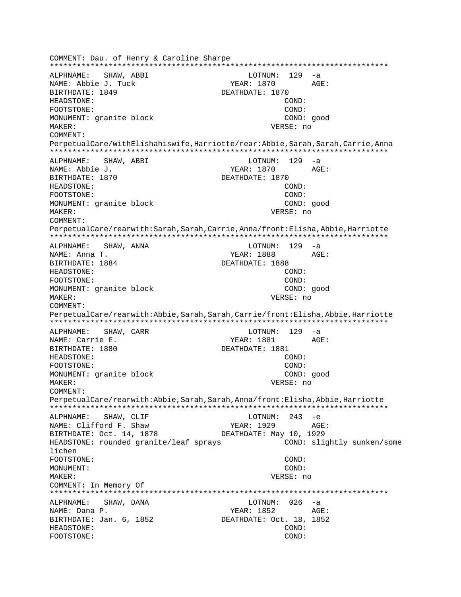COMMENT: Dau. of Henry & Caroline Sharpe \*\*\*\*\*\*\*\*\*\*\*\*\*\*\*\*\*\*\*\*\*\*\*\*\*\*\*\*\*\*\*\*\*\*\*\*\*\*\*\*\*\*\*\*\*\*\*\*\*\*\*\*\*\*\*\*\*\*\*\*\*\*\*\*\*\*\*\*\*\*\*\*\*\*\* ALPHNAME: SHAW, ABBI NAME: Abbie J. Tuck YEAR: 1870 AGE: BIRTHDATE: 1849 DEATHDATE: 1870 HEADSTONE: COND: FOOTSTONE: COND: MONUMENT: granite block COND: good MAKER: VERSE: no COMMENT: PerpetualCare/withElishahiswife,Harriotte/rear:Abbie,Sarah,Sarah,Carrie,Anna \*\*\*\*\*\*\*\*\*\*\*\*\*\*\*\*\*\*\*\*\*\*\*\*\*\*\*\*\*\*\*\*\*\*\*\*\*\*\*\*\*\*\*\*\*\*\*\*\*\*\*\*\*\*\*\*\*\*\*\*\*\*\*\*\*\*\*\*\*\*\*\*\*\*\* ALPHNAME: SHAW, ABBI LOTNUM: 129 -a NAME: Abbie J. YEAR: 1870 AGE: BIRTHDATE: 1870 DEATHDATE: 1870 HEADSTONE: COND: FOOTSTONE: COND: MONUMENT: granite block COND: good MAKER: VERSE: no COMMENT: PerpetualCare/rearwith:Sarah,Sarah,Carrie,Anna/front:Elisha,Abbie,Harriotte \*\*\*\*\*\*\*\*\*\*\*\*\*\*\*\*\*\*\*\*\*\*\*\*\*\*\*\*\*\*\*\*\*\*\*\*\*\*\*\*\*\*\*\*\*\*\*\*\*\*\*\*\*\*\*\*\*\*\*\*\*\*\*\*\*\*\*\*\*\*\*\*\*\*\* ALPHNAME: SHAW, ANNA 10TNUM: 129 -a NAME: Anna T. YEAR: 1888 AGE: BIRTHDATE: 1884 DEATHDATE: 1888 HEADSTONE: COND: FOOTSTONE: COND: MONUMENT: granite block COND: good MAKER: VERSE: no COMMENT: PerpetualCare/rearwith:Abbie,Sarah,Sarah,Carrie/front:Elisha,Abbie,Harriotte \*\*\*\*\*\*\*\*\*\*\*\*\*\*\*\*\*\*\*\*\*\*\*\*\*\*\*\*\*\*\*\*\*\*\*\*\*\*\*\*\*\*\*\*\*\*\*\*\*\*\*\*\*\*\*\*\*\*\*\*\*\*\*\*\*\*\*\*\*\*\*\*\*\*\* ALPHNAME: SHAW, CARR LOTNUM: 129 -a NAME: Carrie E. The South of the Second Media of the YEAR: 1881 AGE: BIRTHDATE: 1880 DEATHDATE: 1881 HEADSTONE: COND: FOOTSTONE: COND: MONUMENT: granite block COND: good MAKER: VERSE: no COMMENT: PerpetualCare/rearwith:Abbie,Sarah,Sarah,Anna/front:Elisha,Abbie,Harriotte \*\*\*\*\*\*\*\*\*\*\*\*\*\*\*\*\*\*\*\*\*\*\*\*\*\*\*\*\*\*\*\*\*\*\*\*\*\*\*\*\*\*\*\*\*\*\*\*\*\*\*\*\*\*\*\*\*\*\*\*\*\*\*\*\*\*\*\*\*\*\*\*\*\*\* ALPHNAME: SHAW, CLIF LOTNUM: 243 -e NAME: Clifford F. Shaw YEAR: 1929 AGE: BIRTHDATE: Oct. 14, 1878 DEATHDATE: May 10, 1929 HEADSTONE: rounded granite/leaf sprays COND: slightly sunken/some lichen FOOTSTONE: COND: MONUMENT: COND: MAKER: VERSE: no COMMENT: In Memory Of \*\*\*\*\*\*\*\*\*\*\*\*\*\*\*\*\*\*\*\*\*\*\*\*\*\*\*\*\*\*\*\*\*\*\*\*\*\*\*\*\*\*\*\*\*\*\*\*\*\*\*\*\*\*\*\*\*\*\*\*\*\*\*\*\*\*\*\*\*\*\*\*\*\*\* ALPHNAME: SHAW, DANA LOTNUM: 026 -a NAME: Dana P. YEAR: 1852 AGE: BIRTHDATE: Jan. 6, 1852 DEATHDATE: Oct. 18, 1852 HEADSTONE: COND: FOOTSTONE: COND: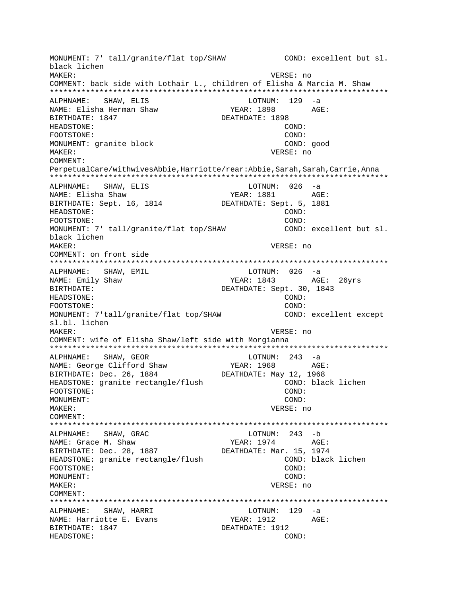MONUMENT: 7' tall/granite/flat top/SHAW COND: excellent but sl. black lichen MAKER: VERSE: no COMMENT: back side with Lothair L., children of Elisha & Marcia M. Shaw \*\*\*\*\*\*\*\*\*\*\*\*\*\*\*\*\*\*\*\*\*\*\*\*\*\*\*\*\*\*\*\*\*\*\*\*\*\*\*\*\*\*\*\*\*\*\*\*\*\*\*\*\*\*\*\*\*\*\*\*\*\*\*\*\*\*\*\*\*\*\*\*\*\*\* ALPHNAME: SHAW, ELIS LOTNUM: 129 -a NAME: Elisha Herman Shaw YEAR: 1898 AGE: BIRTHDATE: 1847 DEATHDATE: 1898 HEADSTONE: COND: FOOTSTONE: COND: MONUMENT: granite block COND: good MAKER: VERSE: no COMMENT: PerpetualCare/withwivesAbbie,Harriotte/rear:Abbie,Sarah,Sarah,Carrie,Anna \*\*\*\*\*\*\*\*\*\*\*\*\*\*\*\*\*\*\*\*\*\*\*\*\*\*\*\*\*\*\*\*\*\*\*\*\*\*\*\*\*\*\*\*\*\*\*\*\*\*\*\*\*\*\*\*\*\*\*\*\*\*\*\*\*\*\*\*\*\*\*\*\*\*\* ALPHNAME: SHAW, ELIS NAME: Elisha Shaw YEAR: 1881 AGE: BIRTHDATE: Sept. 16, 1814 DEATHDATE: Sept. 5, 1881 HEADSTONE: COND: FOOTSTONE: COND: MONUMENT: 7' tall/granite/flat top/SHAW COND: excellent but sl. black lichen MAKER: VERSE: no COMMENT: on front side \*\*\*\*\*\*\*\*\*\*\*\*\*\*\*\*\*\*\*\*\*\*\*\*\*\*\*\*\*\*\*\*\*\*\*\*\*\*\*\*\*\*\*\*\*\*\*\*\*\*\*\*\*\*\*\*\*\*\*\*\*\*\*\*\*\*\*\*\*\*\*\*\*\*\* ALPHNAME: SHAW, EMIL NAME: Emily Shaw YEAR: 1843 AGE: 26yrs BIRTHDATE: DEATHDATE: Sept. 30, 1843 HEADSTONE: COND: FOOTSTONE: COND: MONUMENT: 7'tall/granite/flat top/SHAW COND: excellent except sl.bl. lichen MAKER: VERSE: no COMMENT: wife of Elisha Shaw/left side with Morgianna \*\*\*\*\*\*\*\*\*\*\*\*\*\*\*\*\*\*\*\*\*\*\*\*\*\*\*\*\*\*\*\*\*\*\*\*\*\*\*\*\*\*\*\*\*\*\*\*\*\*\*\*\*\*\*\*\*\*\*\*\*\*\*\*\*\*\*\*\*\*\*\*\*\*\* ALPHNAME: SHAW, GEOR LOTNUM: 243<br>NAME: George Clifford Shaw YEAR: 1968 NAME: George Clifford Shaw YEAR: 1968 AGE: BIRTHDATE: Dec. 26, 1884 DEATHDATE: May 12, 1968 HEADSTONE: granite rectangle/flush COND: black lichen<br>FOOTSTONE: COND: FOOTSTONE: MONUMENT: COND: MAKER: VERSE: no COMMENT: \*\*\*\*\*\*\*\*\*\*\*\*\*\*\*\*\*\*\*\*\*\*\*\*\*\*\*\*\*\*\*\*\*\*\*\*\*\*\*\*\*\*\*\*\*\*\*\*\*\*\*\*\*\*\*\*\*\*\*\*\*\*\*\*\*\*\*\*\*\*\*\*\*\*\* ALPHNAME: SHAW, GRAC LOTNUM: 243 -b NAME: Grace M. Shaw YEAR: 1974 AGE: BIRTHDATE: Dec. 28, 1887<br>DEATHDATE: Mar. 15, 1974 HEADSTONE: granite rectangle/flush COND: black lichen FOOTSTONE: COND: MONUMENT: COND: MAKER: VERSE: no COMMENT: \*\*\*\*\*\*\*\*\*\*\*\*\*\*\*\*\*\*\*\*\*\*\*\*\*\*\*\*\*\*\*\*\*\*\*\*\*\*\*\*\*\*\*\*\*\*\*\*\*\*\*\*\*\*\*\*\*\*\*\*\*\*\*\*\*\*\*\*\*\*\*\*\*\*\* ALPHNAME: SHAW, HARRI LOTNUM: 129 -a NAME: Harriotte E. Evans YEAR: 1912 AGE: BIRTHDATE: 1847 DEATHDATE: 1912 HEADSTONE: COND: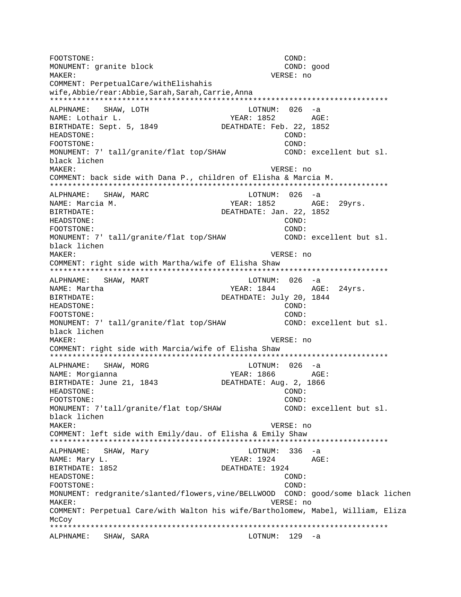FOOTSTONE: COND: MONUMENT: granite block COND: good MAKER: VERSE: no COMMENT: PerpetualCare/withElishahis wife,Abbie/rear:Abbie,Sarah,Sarah,Carrie,Anna \*\*\*\*\*\*\*\*\*\*\*\*\*\*\*\*\*\*\*\*\*\*\*\*\*\*\*\*\*\*\*\*\*\*\*\*\*\*\*\*\*\*\*\*\*\*\*\*\*\*\*\*\*\*\*\*\*\*\*\*\*\*\*\*\*\*\*\*\*\*\*\*\*\*\* ALPHNAME: SHAW, LOTH CONTROL CONTROL 26 -a NAME: Lothair L. YEAR: 1852 AGE: BIRTHDATE: Sept. 5, 1849 HEADSTONE: COND: FOOTSTONE: COND: MONUMENT: 7' tall/granite/flat top/SHAW COND: excellent but sl. black lichen MAKER: VERSE: no COMMENT: back side with Dana P., children of Elisha & Marcia M. \*\*\*\*\*\*\*\*\*\*\*\*\*\*\*\*\*\*\*\*\*\*\*\*\*\*\*\*\*\*\*\*\*\*\*\*\*\*\*\*\*\*\*\*\*\*\*\*\*\*\*\*\*\*\*\*\*\*\*\*\*\*\*\*\*\*\*\*\*\*\*\*\*\*\* ALPHNAME: SHAW, MARC LOTNUM: 026 -a NAME: Marcia M. Same Communications of the MEAR: 1852 AGE: 29yrs. BIRTHDATE: DEATHDATE: Jan. 22, 1852 HEADSTONE: COND: FOOTSTONE:  $\qquad \qquad \qquad \qquad \qquad \qquad \qquad \qquad \qquad \qquad \qquad \text{COND:}$ MONUMENT: 7' tall/granite/flat top/SHAW COND: excellent but sl. black lichen MAKER: VERSE: no COMMENT: right side with Martha/wife of Elisha Shaw \*\*\*\*\*\*\*\*\*\*\*\*\*\*\*\*\*\*\*\*\*\*\*\*\*\*\*\*\*\*\*\*\*\*\*\*\*\*\*\*\*\*\*\*\*\*\*\*\*\*\*\*\*\*\*\*\*\*\*\*\*\*\*\*\*\*\*\*\*\*\*\*\*\*\* ALPHNAME: SHAW, MART LOTNUM: 026 -a NAME: Martha 1994 MAME: Martha 1994 MAME: 24yrs. BIRTHDATE: DEATHDATE: July 20, 1844 HEADSTONE: COND: FOOTSTONE: COND: MONUMENT: 7' tall/granite/flat top/SHAW COND: excellent but sl. black lichen MAKER: VERSE: no COMMENT: right side with Marcia/wife of Elisha Shaw \*\*\*\*\*\*\*\*\*\*\*\*\*\*\*\*\*\*\*\*\*\*\*\*\*\*\*\*\*\*\*\*\*\*\*\*\*\*\*\*\*\*\*\*\*\*\*\*\*\*\*\*\*\*\*\*\*\*\*\*\*\*\*\*\*\*\*\*\*\*\*\*\*\*\* ALPHNAME: SHAW, MORG LOTNUM: 026 -a NAME: Morgianna YEAR: 1866 AGE: BIRTHDATE: June 21, 1843 DEATHDATE: Aug. 2, 1866 HEADSTONE: COND: FOOTSTONE: COND: MONUMENT: 7'tall/granite/flat top/SHAW COND: excellent but sl. black lichen MAKER: VERSE: no COMMENT: left side with Emily/dau. of Elisha & Emily Shaw \*\*\*\*\*\*\*\*\*\*\*\*\*\*\*\*\*\*\*\*\*\*\*\*\*\*\*\*\*\*\*\*\*\*\*\*\*\*\*\*\*\*\*\*\*\*\*\*\*\*\*\*\*\*\*\*\*\*\*\*\*\*\*\*\*\*\*\*\*\*\*\*\*\*\* ALPHNAME: SHAW, Mary Changes (2008) 236 -a NAME: Mary L. Same Communications of the Magnus of the YEAR: 1924 AGE: BIRTHDATE: 1852 DEATHDATE: 1924 HEADSTONE: COND: FOOTSTONE: COND: MONUMENT: redgranite/slanted/flowers,vine/BELLWOOD COND: good/some black lichen MAKER: VERSE: no COMMENT: Perpetual Care/with Walton his wife/Bartholomew, Mabel, William, Eliza McCoy \*\*\*\*\*\*\*\*\*\*\*\*\*\*\*\*\*\*\*\*\*\*\*\*\*\*\*\*\*\*\*\*\*\*\*\*\*\*\*\*\*\*\*\*\*\*\*\*\*\*\*\*\*\*\*\*\*\*\*\*\*\*\*\*\*\*\*\*\*\*\*\*\*\*\* ALPHNAME: SHAW, SARA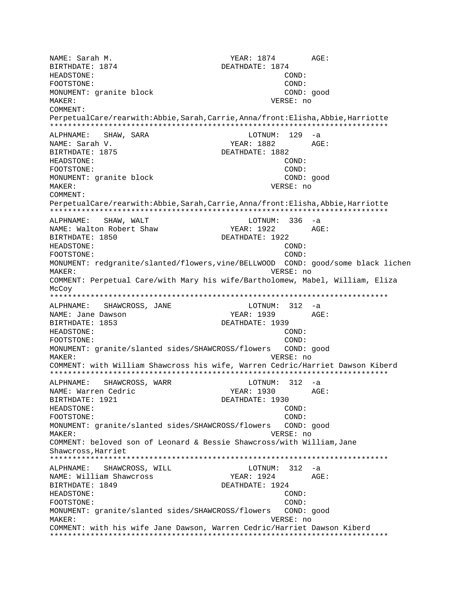NAME: Sarah M. YEAR: 1874 AGE: BIRTHDATE: 1874 DEATHDATE: 1874 HEADSTONE: COND: FOOTSTONE: COND: MONUMENT: granite block COND: good MAKER: VERSE: no COMMENT: PerpetualCare/rearwith:Abbie,Sarah,Carrie,Anna/front:Elisha,Abbie,Harriotte \*\*\*\*\*\*\*\*\*\*\*\*\*\*\*\*\*\*\*\*\*\*\*\*\*\*\*\*\*\*\*\*\*\*\*\*\*\*\*\*\*\*\*\*\*\*\*\*\*\*\*\*\*\*\*\*\*\*\*\*\*\*\*\*\*\*\*\*\*\*\*\*\*\*\* ALPHNAME: SHAW, SARA NAME: Sarah V. YEAR: 1882 AGE: DEATHDATE: 1882 HEADSTONE: COND: FOOTSTONE: COND: MONUMENT: granite block COND: good MAKER: VERSE: no COMMENT: PerpetualCare/rearwith:Abbie,Sarah,Carrie,Anna/front:Elisha,Abbie,Harriotte \*\*\*\*\*\*\*\*\*\*\*\*\*\*\*\*\*\*\*\*\*\*\*\*\*\*\*\*\*\*\*\*\*\*\*\*\*\*\*\*\*\*\*\*\*\*\*\*\*\*\*\*\*\*\*\*\*\*\*\*\*\*\*\*\*\*\*\*\*\*\*\*\*\*\* ALPHNAME: SHAW, WALT CHAME LOTNUM: 336 -a NAME: Walton Robert Shaw YEAR: 1922 AGE: BIRTHDATE: 1850 DEATHDATE: 1922 HEADSTONE: COND: FOOTSTONE: COND: MONUMENT: redgranite/slanted/flowers,vine/BELLWOOD COND: good/some black lichen MAKER: VERSE: no COMMENT: Perpetual Care/with Mary his wife/Bartholomew, Mabel, William, Eliza McCoy \*\*\*\*\*\*\*\*\*\*\*\*\*\*\*\*\*\*\*\*\*\*\*\*\*\*\*\*\*\*\*\*\*\*\*\*\*\*\*\*\*\*\*\*\*\*\*\*\*\*\*\*\*\*\*\*\*\*\*\*\*\*\*\*\*\*\*\*\*\*\*\*\*\*\* ALPHNAME: SHAWCROSS, JANE NAME: Jane Dawson The South Communist Communist Party of the YEAR: 1939 AGE: BIRTHDATE: 1853 DEATHDATE: 1939 HEADSTONE: COND: FOOTSTONE: COND: MONUMENT: granite/slanted sides/SHAWCROSS/flowers COND: good MAKER: VERSE: no COMMENT: with William Shawcross his wife, Warren Cedric/Harriet Dawson Kiberd \*\*\*\*\*\*\*\*\*\*\*\*\*\*\*\*\*\*\*\*\*\*\*\*\*\*\*\*\*\*\*\*\*\*\*\*\*\*\*\*\*\*\*\*\*\*\*\*\*\*\*\*\*\*\*\*\*\*\*\*\*\*\*\*\*\*\*\*\*\*\*\*\*\*\* ALPHNAME: SHAWCROSS, WARR NAME: Warren Cedric YEAR: 1930 AGE: BIRTHDATE: 1921 DEATHDATE: 1930 HEADSTONE: COND: FOOTSTONE: COND: MONUMENT: granite/slanted sides/SHAWCROSS/flowers COND: good MAKER: VERSE: no COMMENT: beloved son of Leonard & Bessie Shawcross/with William,Jane Shawcross,Harriet \*\*\*\*\*\*\*\*\*\*\*\*\*\*\*\*\*\*\*\*\*\*\*\*\*\*\*\*\*\*\*\*\*\*\*\*\*\*\*\*\*\*\*\*\*\*\*\*\*\*\*\*\*\*\*\*\*\*\*\*\*\*\*\*\*\*\*\*\*\*\*\*\*\*\* ALPHNAME: SHAWCROSS, WILL COTNUM: 312 -a NAME: William Shawcross YEAR: 1924 AGE: BIRTHDATE: 1849 DEATHDATE: 1924 HEADSTONE: COND: FOOTSTONE: COND: MONUMENT: granite/slanted sides/SHAWCROSS/flowers COND: good MAKER: VERSE: no COMMENT: with his wife Jane Dawson, Warren Cedric/Harriet Dawson Kiberd \*\*\*\*\*\*\*\*\*\*\*\*\*\*\*\*\*\*\*\*\*\*\*\*\*\*\*\*\*\*\*\*\*\*\*\*\*\*\*\*\*\*\*\*\*\*\*\*\*\*\*\*\*\*\*\*\*\*\*\*\*\*\*\*\*\*\*\*\*\*\*\*\*\*\*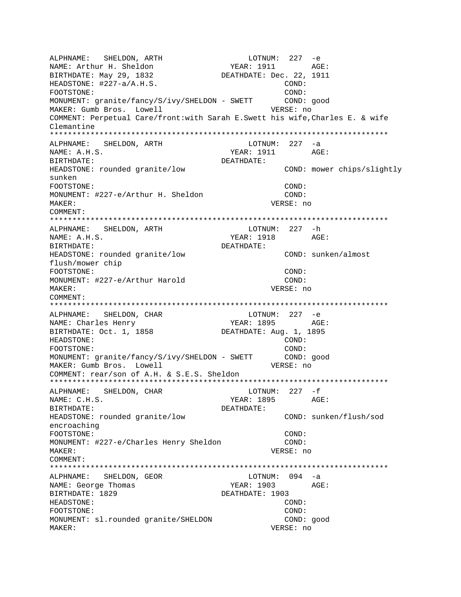ALPHNAME: SHELDON, ARTH LOTNUM: 227 -e NAME: Arthur H. Sheldon YEAR: 1911 AGE: BIRTHDATE: May 29, 1832 DEATHDATE: Dec. 22, 1911 HEADSTONE:  $\#227-a/A.H.S.$  COND: FOOTSTONE: COND: MONUMENT: granite/fancy/S/ivy/SHELDON - SWETT COND: good MAKER: Gumb Bros. Lowell VERSE: no COMMENT: Perpetual Care/front:with Sarah E.Swett his wife,Charles E. & wife Clemantine \*\*\*\*\*\*\*\*\*\*\*\*\*\*\*\*\*\*\*\*\*\*\*\*\*\*\*\*\*\*\*\*\*\*\*\*\*\*\*\*\*\*\*\*\*\*\*\*\*\*\*\*\*\*\*\*\*\*\*\*\*\*\*\*\*\*\*\*\*\*\*\*\*\*\* ALPHNAME: SHELDON, ARTH NAME: A.H.S. AGE: YEAR: 1911 AGE: BIRTHDATE: DEATHDATE: HEADSTONE: rounded granite/low COND: mower chips/slightly sunken FOOTSTONE: COND: MONUMENT: #227-e/Arthur H. Sheldon COND: MAKER: VERSE: no COMMENT: \*\*\*\*\*\*\*\*\*\*\*\*\*\*\*\*\*\*\*\*\*\*\*\*\*\*\*\*\*\*\*\*\*\*\*\*\*\*\*\*\*\*\*\*\*\*\*\*\*\*\*\*\*\*\*\*\*\*\*\*\*\*\*\*\*\*\*\*\*\*\*\*\*\*\* ALPHNAME: SHELDON, ARTH LOTNUM: 227 -h NAME: A.H.S. Sandbook and the set of the set of the set of the set of the set of the set of the set of the set of the set of the set of the set of the set of the set of the set of the set of the set of the set of the set o BIRTHDATE: DEATHDATE: HEADSTONE: rounded granite/low COND: sunken/almost flush/mower chip FOOTSTONE: COND: MONUMENT: #227-e/Arthur Harold COND: MAKER: VERSE: no COMMENT: \*\*\*\*\*\*\*\*\*\*\*\*\*\*\*\*\*\*\*\*\*\*\*\*\*\*\*\*\*\*\*\*\*\*\*\*\*\*\*\*\*\*\*\*\*\*\*\*\*\*\*\*\*\*\*\*\*\*\*\*\*\*\*\*\*\*\*\*\*\*\*\*\*\*\* ALPHNAME: SHELDON, CHAR NAME: Charles Henry YEAR: 1895 AGE: BIRTHDATE: Oct. 1, 1858 DEATHDATE: Aug. 1, 1895 HEADSTONE: COND: FOOTSTONE: (2001)<br>MONUMENT: qranite/fancy/S/ivy/SHELDON - SWETT (2001): good MONUMENT: granite/fancy/S/ivy/SHELDON - SWETT MAKER: Gumb Bros. Lowell VERSE: no COMMENT: rear/son of A.H. & S.E.S. Sheldon \*\*\*\*\*\*\*\*\*\*\*\*\*\*\*\*\*\*\*\*\*\*\*\*\*\*\*\*\*\*\*\*\*\*\*\*\*\*\*\*\*\*\*\*\*\*\*\*\*\*\*\*\*\*\*\*\*\*\*\*\*\*\*\*\*\*\*\*\*\*\*\*\*\*\* ALPHNAME: SHELDON, CHAR NAME: C.H.S. YEAR: 1895 AGE: BIRTHDATE: DEATHDATE: HEADSTONE: rounded granite/low COND: sunken/flush/sod encroaching FOOTSTONE: COND: MONUMENT: #227-e/Charles Henry Sheldon COND: MAKER: VERSE: no COMMENT: \*\*\*\*\*\*\*\*\*\*\*\*\*\*\*\*\*\*\*\*\*\*\*\*\*\*\*\*\*\*\*\*\*\*\*\*\*\*\*\*\*\*\*\*\*\*\*\*\*\*\*\*\*\*\*\*\*\*\*\*\*\*\*\*\*\*\*\*\*\*\*\*\*\*\* ALPHNAME: SHELDON, GEOR NAME: George Thomas TEAR: 1903 AGE: BIRTHDATE: 1829 DEATHDATE: 1903 HEADSTONE: COND: FOOTSTONE: COND: MONUMENT: sl.rounded granite/SHELDON COND: good MAKER: VERSE: no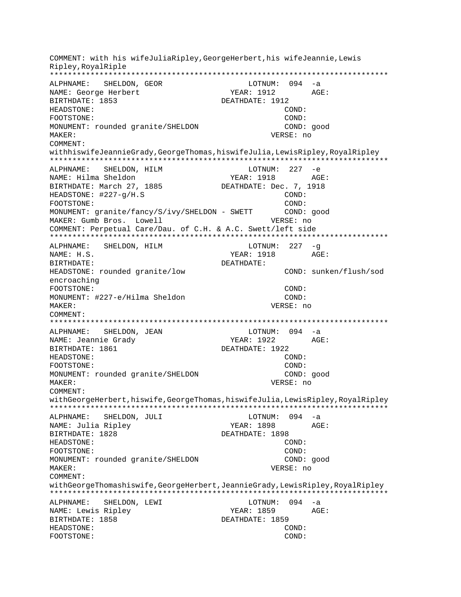COMMENT: with his wifeJuliaRipley, GeorgeHerbert, his wifeJeannie, Lewis Ripley, RoyalRiple ALPHNAME: SHELDON, GEOR LOTNUM: 094 -a NAME: George Herbert BIRTHDATE: 1853 DEATHDATE: 1912 HEADSTONE: COND: FOOTSTONE: COND: MONUMENT: rounded granite/SHELDON COND: good MAKER: VERSE: no COMMENT: withhiswifeJeannieGrady, GeorgeThomas, hiswifeJulia, LewisRipley, RoyalRipley ALPHNAME: SHELDON, HILM  $LOTNUM: 227 -e$ NAME: Hilma Sheldon **YEAR: 1918**  $\triangle G$ F: DEATHDATE: Dec. 7, 1918 BIRTHDATE: March 27, 1885 HEADSTONE: #227-q/H.S COND: FOOTSTONE: COND: MONUMENT: granite/fancy/S/ivy/SHELDON - SWETT COND: good MAKER: Gumb Bros. Lowell VERSE: no COMMENT: Perpetual Care/Dau. of C.H. & A.C. Swett/left side ALPHNAME: SHELDON, HILM LOTNUM:  $227 - g$ YEAR: 1918 AGE: NAME: H.S. BIRTHDATE: DEATHDATE: COND: sunken/flush/sod HEADSTONE: rounded granite/low encroaching FOOTSTONE: COND: MONUMENT: #227-e/Hilma Sheldon  $COMD:$ VERSE: no MAKER: COMMENT: LOTNUM:  $094 -a$ SHELDON, JEAN ALPHNAME: YEAR: 1922 AGE: NAME: Jeannie Grady BIRTHDATE: 1861 DEATHDATE: 1922 HEADSTONE: COND: FOOTSTONE: COND: MONUMENT: rounded granite/SHELDON COND: good MAKER: VERSE: no COMMENT: withGeorgeHerbert, hiswife, GeorgeThomas, hiswifeJulia, LewisRipley, RoyalRipley \*\*\*\*\*\*\*\*\*\*\*\*\* ALPHNAME: SHELDON, JULI LOTNUM: 094 -a YEAR: 1898 NAME: Julia Ripley  $AGE:$ BIRTHDATE: 1828 DEATHDATE: 1898 HEADSTONE:  $COMD:$ FOOTSTONE:  $COMD:$ MONUMENT: rounded granite/SHELDON COND: good MAKER: VERSE: no COMMENT: withGeorgeThomashiswife,GeorgeHerbert,JeannieGrady,LewisRipley,RoyalRipley ALPHNAME: SHELDON, LEWI LOTNUM: 094 -a NAME: Lewis Ripley YEAR: 1859 AGE: BIRTHDATE: 1858 DEATHDATE: 1859 HEADSTONE: COND: FOOTSTONE: COND: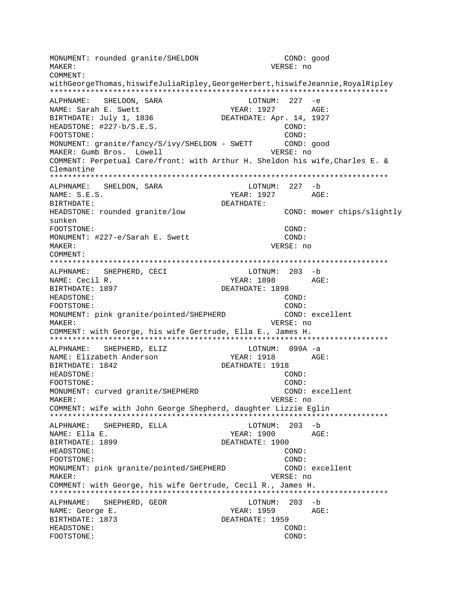MONUMENT: rounded granite/SHELDON COND: good MAKER: VERSE: no COMMENT: withGeorgeThomas,hiswifeJuliaRipley,GeorgeHerbert,hiswifeJeannie,RoyalRipley \*\*\*\*\*\*\*\*\*\*\*\*\*\*\*\*\*\*\*\*\*\*\*\*\*\*\*\*\*\*\*\*\*\*\*\*\*\*\*\*\*\*\*\*\*\*\*\*\*\*\*\*\*\*\*\*\*\*\*\*\*\*\*\*\*\*\*\*\*\*\*\*\*\*\* ALPHNAME: SHELDON, SARA LOTNUM: 227 -e NAME: Sarah E. Swett YEAR: 1927 AGE: BIRTHDATE: July 1, 1836 DEATHDATE: Apr. 14, 1927 HEADSTONE:  $\#227-b/S.E.S.$  COND: FOOTSTONE: COND: MONUMENT: granite/fancy/S/ivy/SHELDON - SWETT COND: good MAKER: Gumb Bros. Lowell VERSE: no COMMENT: Perpetual Care/front: with Arthur H. Sheldon his wife,Charles E. & Clemantine \*\*\*\*\*\*\*\*\*\*\*\*\*\*\*\*\*\*\*\*\*\*\*\*\*\*\*\*\*\*\*\*\*\*\*\*\*\*\*\*\*\*\*\*\*\*\*\*\*\*\*\*\*\*\*\*\*\*\*\*\*\*\*\*\*\*\*\*\*\*\*\*\*\*\* ALPHNAME: SHELDON, SARA NAME: S.E.S. YEAR: 1927 AGE: BIRTHDATE: DEATHDATE: HEADSTONE: rounded granite/low COND: mower chips/slightly sunken FOOTSTONE: COND: MONUMENT: #227-e/Sarah E. Swett COND: MAKER: VERSE: no COMMENT: \*\*\*\*\*\*\*\*\*\*\*\*\*\*\*\*\*\*\*\*\*\*\*\*\*\*\*\*\*\*\*\*\*\*\*\*\*\*\*\*\*\*\*\*\*\*\*\*\*\*\*\*\*\*\*\*\*\*\*\*\*\*\*\*\*\*\*\*\*\*\*\*\*\*\* ALPHNAME: SHEPHERD, CECI LOTNUM: 203 -b NAME: Cecil R. YEAR: 1898 AGE: BIRTHDATE: 1897 DEATHDATE: 1898 HEADSTONE: COND: FOOTSTONE: COND: MONUMENT: pink granite/pointed/SHEPHERD COND: excellent MAKER: VERSE: no COMMENT: with George, his wife Gertrude, Ella E., James H. \*\*\*\*\*\*\*\*\*\*\*\*\*\*\*\*\*\*\*\*\*\*\*\*\*\*\*\*\*\*\*\*\*\*\*\*\*\*\*\*\*\*\*\*\*\*\*\*\*\*\*\*\*\*\*\*\*\*\*\*\*\*\*\*\*\*\*\*\*\*\*\*\*\*\* ALPHNAME: SHEPHERD, ELIZ LOTNUM: 099A -a NAME: Elizabeth Anderson YEAR: 1918 AGE: BIRTHDATE: 1842 DEATHDATE: 1918 HEADSTONE: COND: FOOTSTONE: COND: MONUMENT: curved granite/SHEPHERD COND: excellent MAKER: VERSE: no COMMENT: wife with John George Shepherd, daughter Lizzie Eglin \*\*\*\*\*\*\*\*\*\*\*\*\*\*\*\*\*\*\*\*\*\*\*\*\*\*\*\*\*\*\*\*\*\*\*\*\*\*\*\*\*\*\*\*\*\*\*\*\*\*\*\*\*\*\*\*\*\*\*\*\*\*\*\*\*\*\*\*\*\*\*\*\*\*\* ALPHNAME: SHEPHERD, ELLA NAME: Ella E. YEAR: 1900 AGE: BIRTHDATE: 1899 DEATHDATE: 1900 HEADSTONE: COND: FOOTSTONE: COND: MONUMENT: pink granite/pointed/SHEPHERD COND: excellent MAKER: VERSE: no COMMENT: with George, his wife Gertrude, Cecil R., James H. \*\*\*\*\*\*\*\*\*\*\*\*\*\*\*\*\*\*\*\*\*\*\*\*\*\*\*\*\*\*\*\*\*\*\*\*\*\*\*\*\*\*\*\*\*\*\*\*\*\*\*\*\*\*\*\*\*\*\*\*\*\*\*\*\*\*\*\*\*\*\*\*\*\*\* ALPHNAME: SHEPHERD, GEOR LOTNUM: 203 -b NAME: George E. The South of the South States of the YEAR: 1959 AGE: BIRTHDATE: 1873 DEATHDATE: 1959 HEADSTONE: COND: FOOTSTONE: COND: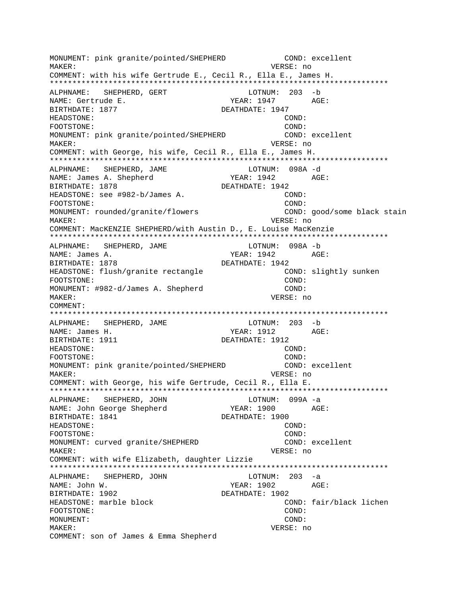MONUMENT: pink granite/pointed/SHEPHERD COND: excellent MAKER: VERSE: no COMMENT: with his wife Gertrude E., Cecil R., Ella E., James H. \*\*\*\*\*\*\*\*\*\*\*\*\*\*\*\*\*\*\*\*\*\*\*\*\*\*\*\*\*\*\*\*\*\*\*\*\*\*\*\*\*\*\*\*\*\*\*\*\*\*\*\*\*\*\*\*\*\*\*\*\*\*\*\*\*\*\*\*\*\*\*\*\*\*\* ALPHNAME: SHEPHERD, GERT LOTNUM: 203 -b NAME: Gertrude E. YEAR: 1947 AGE: BIRTHDATE: 1877 DEATHDATE: 1947 HEADSTONE: COND: FOOTSTONE: COND: MONUMENT: pink granite/pointed/SHEPHERD COND: excellent MAKER: VERSE: no COMMENT: with George, his wife, Cecil R., Ella E., James H. \*\*\*\*\*\*\*\*\*\*\*\*\*\*\*\*\*\*\*\*\*\*\*\*\*\*\*\*\*\*\*\*\*\*\*\*\*\*\*\*\*\*\*\*\*\*\*\*\*\*\*\*\*\*\*\*\*\*\*\*\*\*\*\*\*\*\*\*\*\*\*\*\*\*\* ALPHNAME: SHEPHERD, JAME LOTNUM: 098A -d NAME: James A. Shepherd YEAR: 1942 AGE: BIRTHDATE: 1878 DEATHDATE: 1942 HEADSTONE: see #982-b/James A. COND: FOOTSTONE: COND: MONUMENT: rounded/granite/flowers COND: good/some black stain MAKER: VERSE: no COMMENT: MacKENZIE SHEPHERD/with Austin D., E. Louise MacKenzie \*\*\*\*\*\*\*\*\*\*\*\*\*\*\*\*\*\*\*\*\*\*\*\*\*\*\*\*\*\*\*\*\*\*\*\*\*\*\*\*\*\*\*\*\*\*\*\*\*\*\*\*\*\*\*\*\*\*\*\*\*\*\*\*\*\*\*\*\*\*\*\*\*\*\* ALPHNAME: SHEPHERD, JAME LOTNUM: 098A -b NAME: James A. YEAR: 1942 AGE: BIRTHDATE: 1878 DEATHDATE: 1942 HEADSTONE: flush/qranite rectangle COND: slightly sunken FOOTSTONE: COND: MONUMENT: #982-d/James A. Shepherd COND: MAKER: VERSE: no COMMENT: \*\*\*\*\*\*\*\*\*\*\*\*\*\*\*\*\*\*\*\*\*\*\*\*\*\*\*\*\*\*\*\*\*\*\*\*\*\*\*\*\*\*\*\*\*\*\*\*\*\*\*\*\*\*\*\*\*\*\*\*\*\*\*\*\*\*\*\*\*\*\*\*\*\*\* ALPHNAME: SHEPHERD, JAME LOTNUM: 203 -b NAME: James H. Samer H. Samer H. Samer H. Samer H. Samer H. Samer H. S. Month M. YEAR: 1912 BIRTHDATE: 1911 DEATHDATE: 1912 HEADSTONE: COND: FOOTSTONE: COND: MONUMENT: pink granite/pointed/SHEPHERD COND: excellent MAKER: VERSE: no COMMENT: with George, his wife Gertrude, Cecil R., Ella E. \*\*\*\*\*\*\*\*\*\*\*\*\*\*\*\*\*\*\*\*\*\*\*\*\*\*\*\*\*\*\*\*\*\*\*\*\*\*\*\*\*\*\*\*\*\*\*\*\*\*\*\*\*\*\*\*\*\*\*\*\*\*\*\*\*\*\*\*\*\*\*\*\*\*\* ALPHNAME: SHEPHERD, JOHN LOTNUM: 099A -a NAME: John George Shepherd YEAR: 1900 AGE: BIRTHDATE: 1841 DEATHDATE: 1900 HEADSTONE: COND: FOOTSTONE: COND: MONUMENT: curved granite/SHEPHERD COND: excellent MAKER: VERSE: no COMMENT: with wife Elizabeth, daughter Lizzie \*\*\*\*\*\*\*\*\*\*\*\*\*\*\*\*\*\*\*\*\*\*\*\*\*\*\*\*\*\*\*\*\*\*\*\*\*\*\*\*\*\*\*\*\*\*\*\*\*\*\*\*\*\*\*\*\*\*\*\*\*\*\*\*\*\*\*\*\*\*\*\*\*\*\* ALPHNAME: SHEPHERD, JOHN LOTNUM: 203 -a NAME: John W. 2002 AGE: BIRTHDATE: 1902 DEATHDATE: 1902 HEADSTONE: marble block COND: fair/black lichen FOOTSTONE: COND: MONUMENT: COND: MAKER: VERSE: no COMMENT: son of James & Emma Shepherd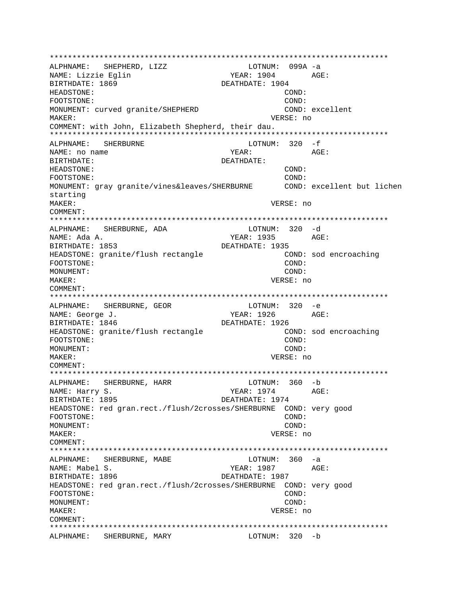ALPHNAME: SHEPHERD, LIZZ LOTNUM: 099A -a NAME: Lizzie Eglin YEAR: 1904 AGE: BIRTHDATE: 1869 DEATHDATE: 1904 HEADSTONE: COND: FOOTSTONE: COND: MONUMENT: curved granite/SHEPHERD COND: excellent MAKER: VERSE: no COMMENT: with John, Elizabeth Shepherd, their dau. ALPHNAME: SHERBURNE LOTNUM:  $320 - f$ NAME: no name VFAR: AGF: BIRTHDATE: DEATHDATE: HEADSTONE:  $COND:$  $COMD$ : FOOTSTONE: MONUMENT: gray granite/vines&leaves/SHERBURNE COND: excellent but lichen starting MAKER: VERSE: no COMMENT: ALPHNAME: SHERBURNE, ADA LOTNUM: 320 -d NAME: Ada A. YEAR: 1935 AGE: BIRTHDATE: 1853 DEATHDATE: 1935 HEADSTONE: granite/flush rectangle COND: sod encroaching COND: FOOTSTONE: MONUMENT: COND: MAKER: VERSE: no COMMENT: ALPHNAME: SHERBURNE, GEOR  $LOTNUM: 320 -e$ NAME: George J. YEAR: 1926  $AGE$ : DEATHDATE: 1926 BIRTHDATE: 1846 HEADSTONE: granite/flush rectangle COND: sod encroaching COND: FOOTSTONE: MONUMENT: COND: MAKER: VERSE: no COMMENT: ALPHNAME: SHERBURNE, HARR LOTNUM: 360 -b YEAR: 1974 AGE: NAME: Harry S. BIRTHDATE: 1895 DEATHDATE: 1974 HEADSTONE: red gran.rect./flush/2crosses/SHERBURNE COND: very good FOOTSTONE: COND: MONUMENT: COND: MAKER: VERSE: no COMMENT:  $LOTNUM: 360 -a$ ALPHNAME: SHERBURNE, MABE NAME: Mabel S. YEAR: 1987 AGE: BIRTHDATE: 1896 DEATHDATE: 1987 HEADSTONE: red gran.rect./flush/2crosses/SHERBURNE COND: very good FOOTSTONE:  $COND:$ MONUMENT: COND: MAKER: VERSE: no COMMENT: ALPHNAME: SHERBURNE, MARY LOTNUM: 320 -b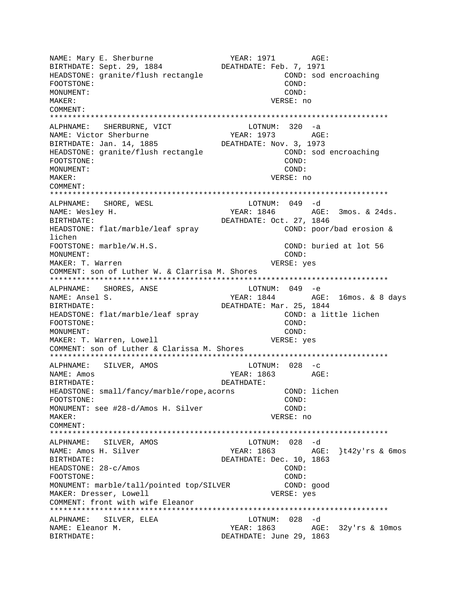NAME: Mary E. Sherburne YEAR: 1971 AGE: BIRTHDATE: Sept. 29, 1884 DEATHDATE: Feb. 7, 1971 HEADSTONE: granite/flush rectangle COND: sod encroaching FOOTSTONE: COND: MONUMENT: COND: MAKER: VERSE: no COMMENT: \*\*\*\*\*\*\*\*\*\*\*\*\*\*\*\*\*\*\*\*\*\*\*\*\*\*\*\*\*\*\*\*\*\*\*\*\*\*\*\*\*\*\*\*\*\*\*\*\*\*\*\*\*\*\*\*\*\*\*\*\*\*\*\*\*\*\*\*\*\*\*\*\*\*\* ALPHNAME: SHERBURNE, VICT NAME: Victor Sherburne YEAR: 1973 AGE: BIRTHDATE: Jan. 14, 1885 DEATHDATE: Nov. 3, 1973 HEADSTONE: granite/flush rectangle COND: sod encroaching FOOTSTONE: COND: MONUMENT: COND: MAKER: VERSE: no COMMENT: \*\*\*\*\*\*\*\*\*\*\*\*\*\*\*\*\*\*\*\*\*\*\*\*\*\*\*\*\*\*\*\*\*\*\*\*\*\*\*\*\*\*\*\*\*\*\*\*\*\*\*\*\*\*\*\*\*\*\*\*\*\*\*\*\*\*\*\*\*\*\*\*\*\*\* ALPHNAME: SHORE, WESL NAME: Wesley H. The Mathematic State of the YEAR: 1846 AGE: 3mos. & 24ds. BIRTHDATE: DEATHDATE: Oct. 27, 1846 HEADSTONE: flat/marble/leaf spray COND: poor/bad erosion & lichen FOOTSTONE: marble/W.H.S. COND: buried at lot 56 MONUMENT: COND: MAKER: T. Warren  $VERSE: yes$ COMMENT: son of Luther W. & Clarrisa M. Shores \*\*\*\*\*\*\*\*\*\*\*\*\*\*\*\*\*\*\*\*\*\*\*\*\*\*\*\*\*\*\*\*\*\*\*\*\*\*\*\*\*\*\*\*\*\*\*\*\*\*\*\*\*\*\*\*\*\*\*\*\*\*\*\*\*\*\*\*\*\*\*\*\*\*\* ALPHNAME: SHORES, ANSE LOTNUM: 049 -e NAME: Ansel S. The Matter of the MEAR: 1844 AGE: 16mos. & 8 days BIRTHDATE: DEATHDATE: Mar. 25, 1844 HEADSTONE: flat/marble/leaf spray COND: a little lichen FOOTSTONE: COND: MONUMENT: COND: MAKER: T. Warren, Lowell VERSE: yes COMMENT: son of Luther & Clarissa M. Shores \*\*\*\*\*\*\*\*\*\*\*\*\*\*\*\*\*\*\*\*\*\*\*\*\*\*\*\*\*\*\*\*\*\*\*\*\*\*\*\*\*\*\*\*\*\*\*\*\*\*\*\*\*\*\*\*\*\*\*\*\*\*\*\*\*\*\*\*\*\*\*\*\*\*\* ALPHNAME: SILVER, AMOS NAME: Amos YEAR: 1863 AGE: BIRTHDATE: DEATHDATE: HEADSTONE: small/fancy/marble/rope,acorns COND: lichen FOOTSTONE: COND: MONUMENT: see #28-d/Amos H. Silver COND: MAKER: VERSE: no COMMENT: \*\*\*\*\*\*\*\*\*\*\*\*\*\*\*\*\*\*\*\*\*\*\*\*\*\*\*\*\*\*\*\*\*\*\*\*\*\*\*\*\*\*\*\*\*\*\*\*\*\*\*\*\*\*\*\*\*\*\*\*\*\*\*\*\*\*\*\*\*\*\*\*\*\*\* ALPHNAME: SILVER, AMOS LOTNUM: 028 -d NAME: Amos H. Silver The YEAR: 1863 AGE: }t42y'rs & 6mos BIRTHDATE: DEATHDATE: Dec. 10, 1863 HEADSTONE: 28-c/Amos COND: FOOTSTONE: COND: MONUMENT: marble/tall/pointed top/SILVER COND: good MAKER: Dresser, Lowell **VERSE:** yes COMMENT: front with wife Eleanor \*\*\*\*\*\*\*\*\*\*\*\*\*\*\*\*\*\*\*\*\*\*\*\*\*\*\*\*\*\*\*\*\*\*\*\*\*\*\*\*\*\*\*\*\*\*\*\*\*\*\*\*\*\*\*\*\*\*\*\*\*\*\*\*\*\*\*\*\*\*\*\*\*\*\* ALPHNAME: SILVER, ELEA LOTNUM: 028 -d NAME: Eleanor M. YEAR: 1863 AGE: 32y'rs & 10mos BIRTHDATE: DEATHDATE: June 29, 1863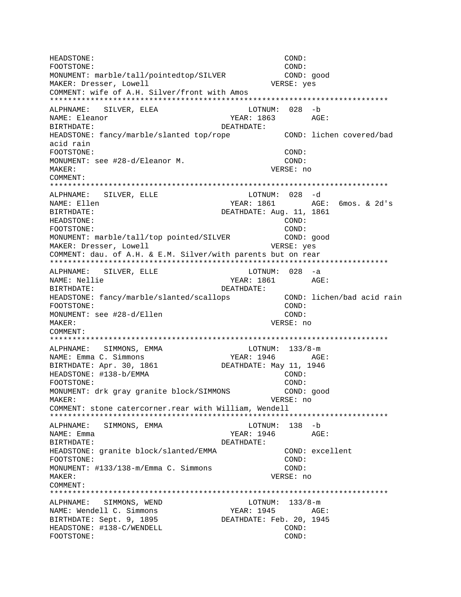HEADSTONE: COND: FOOTSTONE: COND: MONUMENT: marble/tall/pointedtop/SILVER COND: good MAKER: Dresser, Lowell **VERSE:** yes COMMENT: wife of A.H. Silver/front with Amos \*\*\*\*\*\*\*\*\*\*\*\*\*\*\*\*\*\*\*\*\*\*\*\*\*\*\*\*\*\*\*\*\*\*\*\*\*\*\*\*\*\*\*\*\*\*\*\*\*\*\*\*\*\*\*\*\*\*\*\*\*\*\*\*\*\*\*\*\*\*\*\*\*\*\* ALPHNAME: SILVER, ELEA LOTNUM: 028 -b NAME: Eleanor YEAR: 1863 AGE: BIRTHDATE: DEATHDATE: HEADSTONE: fancy/marble/slanted top/rope COND: lichen covered/bad acid rain FOOTSTONE: COND: MONUMENT: see #28-d/Eleanor M. COND: MAKER: VERSE: no COMMENT: \*\*\*\*\*\*\*\*\*\*\*\*\*\*\*\*\*\*\*\*\*\*\*\*\*\*\*\*\*\*\*\*\*\*\*\*\*\*\*\*\*\*\*\*\*\*\*\*\*\*\*\*\*\*\*\*\*\*\*\*\*\*\*\*\*\*\*\*\*\*\*\*\*\*\* ALPHNAME: SILVER, ELLE NAME: Ellen YEAR: 1861 AGE: 6mos. & 2d's BIRTHDATE: DEATHDATE: Aug. 11, 1861 HEADSTONE: COND: FOOTSTONE:  $\qquad \qquad \qquad \qquad \qquad \qquad \qquad \qquad \qquad \qquad \qquad \text{COND:}$ MONUMENT: marble/tall/top pointed/SILVER COND: good MAKER: Dresser, Lowell **VERSE:** yes COMMENT: dau. of A.H. & E.M. Silver/with parents but on rear \*\*\*\*\*\*\*\*\*\*\*\*\*\*\*\*\*\*\*\*\*\*\*\*\*\*\*\*\*\*\*\*\*\*\*\*\*\*\*\*\*\*\*\*\*\*\*\*\*\*\*\*\*\*\*\*\*\*\*\*\*\*\*\*\*\*\*\*\*\*\*\*\*\*\* ALPHNAME: SILVER, ELLE LOTNUM: 028 -a NAME: Nellie  $YEAR: 1861$  AGE: BIRTHDATE: DEATHDATE: HEADSTONE: fancy/marble/slanted/scallops COND: lichen/bad acid rain FOOTSTONE: COND: MONUMENT: see #28-d/Ellen COND: MAKER: VERSE: no COMMENT: \*\*\*\*\*\*\*\*\*\*\*\*\*\*\*\*\*\*\*\*\*\*\*\*\*\*\*\*\*\*\*\*\*\*\*\*\*\*\*\*\*\*\*\*\*\*\*\*\*\*\*\*\*\*\*\*\*\*\*\*\*\*\*\*\*\*\*\*\*\*\*\*\*\*\* ALPHNAME: SIMMONS, EMMA LOTNUM: 133/8-m NAME: Emma C. Simmons YEAR: 1946 AGE: BIRTHDATE: Apr. 30, 1861 HEADSTONE: #138-b/EMMA COND: FOOTSTONE: COND: MONUMENT: drk gray granite block/SIMMONS COND: good MAKER: VERSE: no COMMENT: stone catercorner.rear with William, Wendell \*\*\*\*\*\*\*\*\*\*\*\*\*\*\*\*\*\*\*\*\*\*\*\*\*\*\*\*\*\*\*\*\*\*\*\*\*\*\*\*\*\*\*\*\*\*\*\*\*\*\*\*\*\*\*\*\*\*\*\*\*\*\*\*\*\*\*\*\*\*\*\*\*\*\* ALPHNAME: SIMMONS, EMMA LOTNUM: 138 -b NAME: Emma YEAR: 1946 AGE: BIRTHDATE: DEATHDATE: HEADSTONE: granite block/slanted/EMMA COND: excellent FOOTSTONE: COND: MONUMENT: #133/138-m/Emma C. Simmons COND: MAKER: VERSE: no COMMENT: \*\*\*\*\*\*\*\*\*\*\*\*\*\*\*\*\*\*\*\*\*\*\*\*\*\*\*\*\*\*\*\*\*\*\*\*\*\*\*\*\*\*\*\*\*\*\*\*\*\*\*\*\*\*\*\*\*\*\*\*\*\*\*\*\*\*\*\*\*\*\*\*\*\*\* ALPHNAME: SIMMONS, WEND LOTNUM:  $133/8$ -m NAME: Wendell C. Simmons TEAR: 1945 AGE: BIRTHDATE: Sept. 9, 1895 DEATHDATE: Feb. 20, 1945 HEADSTONE: #138-C/WENDELL COND: COND: FOOTSTONE: COND: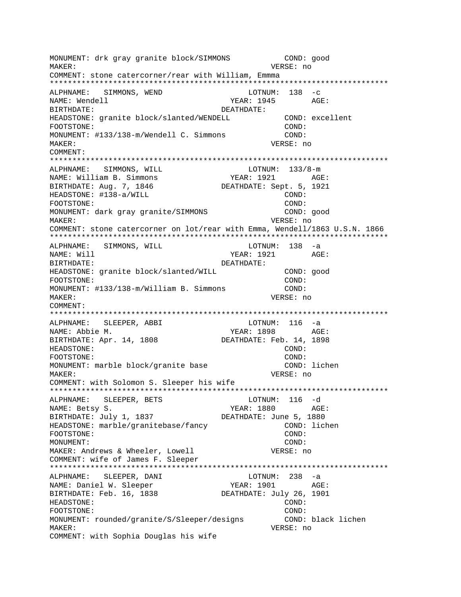MONUMENT: drk gray granite block/SIMMONS COND: good VERSE: no MAKER: COMMENT: stone catercorner/rear with William, Emmma ALPHNAME: SIMMONS, WEND  $LOTNUM: 138 -c$ NAME: Wendell YEAR: 1945 AGE: BIRTHDATE: DEATHDATE: HEADSTONE: granite block/slanted/WENDELL COND: excellent COND: FOOTSTONE: MONUMENT: #133/138-m/Wendell C. Simmons COND: MAKER: VERSE: no COMMENT: ALPHNAME: SIMMONS, WILL  $LOTNUM: 133/8-m$ YEAR: 1921 AGE: NAME: William B. Simmons BIRTHDATE: Aug. 7, 1846 DEATHDATE: Sept. 5, 1921 HEADSTONE: #138-a/WILL COND: FOOTSTONE: COND: MONUMENT: dark gray granite/SIMMONS COND: good VERSE: no MAKER: COMMENT: stone catercorner on lot/rear with Emma, Wendell/1863 U.S.N. 1866 ALPHNAME: SIMMONS, WILL  $LOTNUM: 138 -a$ YEAR: 1921 NAME: Will AGE: BIRTHDATE: DEATHDATE: HEADSTONE: granite block/slanted/WILL COND: good FOOTSTONE: COND: MONUMENT: #133/138-m/William B. Simmons COND: VERSE: no  $M\Delta KFR$ : COMMENT: ALPHNAME: SLEEPER, ABBI LOTNUM: 116 -a YEAR: 1898 AGE: NAME: Abbie M. BIRTHDATE: Apr. 14, 1808 DEATHDATE: Feb. 14, 1898 HEADSTONE: COND: FOOTSTONE: COND: COND: lichen MONUMENT: marble block/granite base MAKER: VERSE: no COMMENT: with Solomon S. Sleeper his wife ALPHNAME: SLEEPER, BETS LOTNUM: 116 -d YEAR: 1880 NAME: Betsy S. AGE: BIRTHDATE: July 1, 1837 DEATHDATE: June 5, 1880 HEADSTONE: marble/granitebase/fancy COND: lichen FOOTSTONE: COND:  $COMD:$ MONIJMENT: MAKER: Andrews & Wheeler, Lowell VERSE: no COMMENT: wife of James F. Sleeper LOTNUM:  $238 - a$ ALPHNAME: SLEEPER, DANI NAME: Daniel W. Sleeper YEAR: 1901 AGE: BIRTHDATE: Feb. 16, 1838 DEATHDATE: July 26, 1901 HEADSTONE:  $\texttt{COND}:$ FOOTSTONE: COND: MONUMENT: rounded/granite/S/Sleeper/designs COND: black lichen VERSE: no MAKER: COMMENT: with Sophia Douglas his wife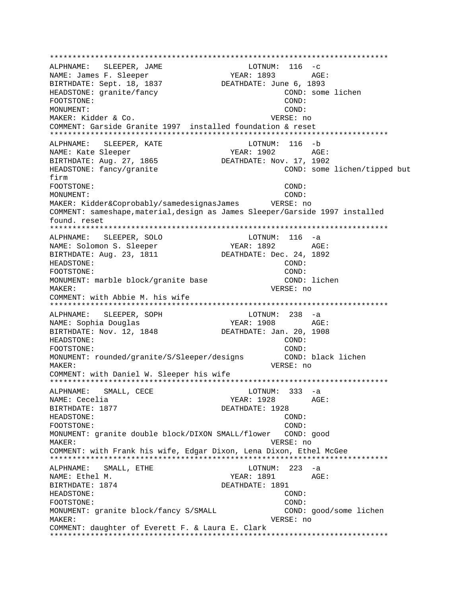ALPHNAME: SLEEPER, JAME  $LOTNUM: 116 -c$ YEAR: 1893 AGE: NAME: James F. Sleeper BIRTHDATE: Sept. 18, 1837 DEATHDATE: June 6, 1893 HEADSTONE: granite/fancy COND: some lichen FOOTSTONE: COND: MONUMENT: COND: MAKER: Kidder & Co. VERSE: no COMMENT: Garside Granite 1997 installed foundation & reset ALPHNAME: SLEEPER, KATE LOTNUM: 116 -b NAME: Kate Sleeper YEAR: 1902 AGE: BIRTHDATE: Aug. 27, 1865 DEATHDATE: Nov. 17, 1902 HEADSTONE: fancy/granite COND: some lichen/tipped but firm FOOTSTONE: COND: COND: MONIJMENT: MAKER: Kidder&Coprobably/samedesignasJames VERSE: no COMMENT: sameshape, material, design as James Sleeper/Garside 1997 installed found. reset ALPHNAME: SLEEPER, SOLO LOTNUM: 116 -a YEAR: 1892 NAME: Solomon S. Sleeper  $AGE:$ BIRTHDATE: Aug. 23, 1811 DEATHDATE: Dec. 24, 1892 HEADSTONE: COND: FOOTSTONE: COND: MONUMENT: marble block/granite base COND: lichen MAKER: VERSE: no COMMENT: with Abbie M. his wife SLEEPER, SOPH  $LOTNUM: 238 -a$ ALPHNAME: YEAR: 1908 AGE: NAME: Sophia Douglas BIRTHDATE: Nov. 12, 1848 DEATHDATE: Jan. 20, 1908 HEADSTONE: COND: FOOTSTONE: COND: MONUMENT: rounded/granite/S/Sleeper/designs COND: black lichen MAKER: VERSE: no COMMENT: with Daniel W. Sleeper his wife ALPHNAME: SMALL, CECE  $LOTNUM: 333 -a$ NAME: Cecelia YEAR: 1928 AGE: BIRTHDATE: 1877 DEATHDATE: 1928 HEADSTONE: COND: FOOTSTONE: COND: MONUMENT: granite double block/DIXON SMALL/flower COND: good MAKER: VERSE: no COMMENT: with Frank his wife, Edgar Dixon, Lena Dixon, Ethel McGee ALPHNAME: SMALL, ETHE  $LOTNUM: 223 -a$ AGE: NAME: Ethel M. YEAR: 1891 BIRTHDATE: 1874 DEATHDATE: 1891 HEADSTONE: COND: FOOTSTONE: COND: MONUMENT: granite block/fancy S/SMALL COND: good/some lichen MAKER: VERSE: no COMMENT: daughter of Everett F. & Laura E. Clark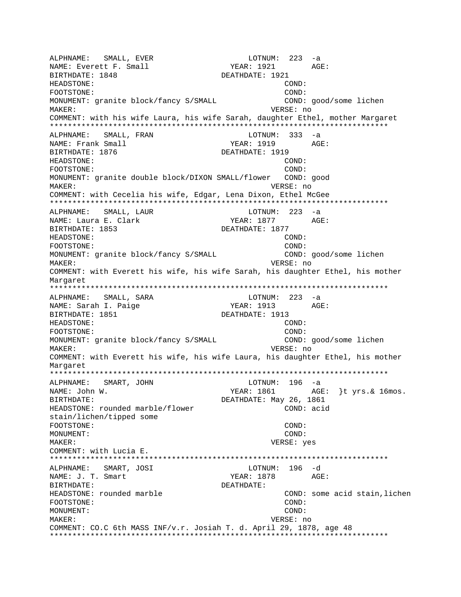ALPHNAME: SMALL, EVER LOTNUM: 223 -a NAME: Everett F. Small BIRTHDATE: 1848 DEATHDATE: 1921 HEADSTONE: COND: FOOTSTONE: COND: MONUMENT: granite block/fancy S/SMALL COND: good/some lichen MAKER: VERSE: no COMMENT: with his wife Laura, his wife Sarah, daughter Ethel, mother Margaret \*\*\*\*\*\*\*\*\*\*\*\*\*\*\*\*\*\*\*\*\*\*\*\*\*\*\*\*\*\*\*\*\*\*\*\*\*\*\*\*\*\*\*\*\*\*\*\*\*\*\*\*\*\*\*\*\*\*\*\*\*\*\*\*\*\*\*\*\*\*\*\*\*\*\* ALPHNAME: SMALL, FRAN LOTNUM: 333 -a NAME: Frank Small Solution of the MEAR: 1919 AGE: BIRTHDATE: 1876 DEATHDATE: 1919 HEADSTONE: COND: FOOTSTONE: COND: MONUMENT: granite double block/DIXON SMALL/flower COND: good MAKER: VERSE: no COMMENT: with Cecelia his wife, Edgar, Lena Dixon, Ethel McGee \*\*\*\*\*\*\*\*\*\*\*\*\*\*\*\*\*\*\*\*\*\*\*\*\*\*\*\*\*\*\*\*\*\*\*\*\*\*\*\*\*\*\*\*\*\*\*\*\*\*\*\*\*\*\*\*\*\*\*\*\*\*\*\*\*\*\*\*\*\*\*\*\*\*\* ALPHNAME: SMALL, LAUR NAME: Laura E. Clark YEAR: 1877 AGE: BIRTHDATE: 1853 DEATHDATE: 1877 HEADSTONE: COND: FOOTSTONE: COND: MONUMENT: granite block/fancy S/SMALL COND: good/some lichen MAKER: VERSE: no COMMENT: with Everett his wife, his wife Sarah, his daughter Ethel, his mother Margaret \*\*\*\*\*\*\*\*\*\*\*\*\*\*\*\*\*\*\*\*\*\*\*\*\*\*\*\*\*\*\*\*\*\*\*\*\*\*\*\*\*\*\*\*\*\*\*\*\*\*\*\*\*\*\*\*\*\*\*\*\*\*\*\*\*\*\*\*\*\*\*\*\*\*\* ALPHNAME: SMALL, SARA LOTNUM: 223 -a NAME: Sarah I. Paige YEAR: 1913 AGE: BIRTHDATE: 1851 DEATHDATE: 1913 HEADSTONE: COND: FOOTSTONE: COND: MONUMENT: granite block/fancy S/SMALL COND: good/some lichen MAKER: VERSE: no COMMENT: with Everett his wife, his wife Laura, his daughter Ethel, his mother Margaret \*\*\*\*\*\*\*\*\*\*\*\*\*\*\*\*\*\*\*\*\*\*\*\*\*\*\*\*\*\*\*\*\*\*\*\*\*\*\*\*\*\*\*\*\*\*\*\*\*\*\*\*\*\*\*\*\*\*\*\*\*\*\*\*\*\*\*\*\*\*\*\*\*\*\* ALPHNAME: SMART, JOHN LOTNUM: 196 -a NAME: John W. Same Communication of the MEAR: 1861 AGE: {t yrs. & 16mos. BIRTHDATE: DEATHDATE: May 26, 1861 HEADSTONE: rounded marble/flower COND: acid stain/lichen/tipped some FOOTSTONE: COND: MONUMENT: COND: MAKER: VERSE: yes COMMENT: with Lucia E. \*\*\*\*\*\*\*\*\*\*\*\*\*\*\*\*\*\*\*\*\*\*\*\*\*\*\*\*\*\*\*\*\*\*\*\*\*\*\*\*\*\*\*\*\*\*\*\*\*\*\*\*\*\*\*\*\*\*\*\*\*\*\*\*\*\*\*\*\*\*\*\*\*\*\* ALPHNAME: SMART, JOSI NAME: J. T. Smart YEAR: 1878 AGE: BIRTHDATE: DEATHDATE: HEADSTONE: rounded marble COND: some acid stain,lichen FOOTSTONE: COND: MONUMENT: COND: MAKER: VERSE: no COMMENT: CO.C 6th MASS INF/v.r. Josiah T. d. April 29, 1878, age 48 \*\*\*\*\*\*\*\*\*\*\*\*\*\*\*\*\*\*\*\*\*\*\*\*\*\*\*\*\*\*\*\*\*\*\*\*\*\*\*\*\*\*\*\*\*\*\*\*\*\*\*\*\*\*\*\*\*\*\*\*\*\*\*\*\*\*\*\*\*\*\*\*\*\*\*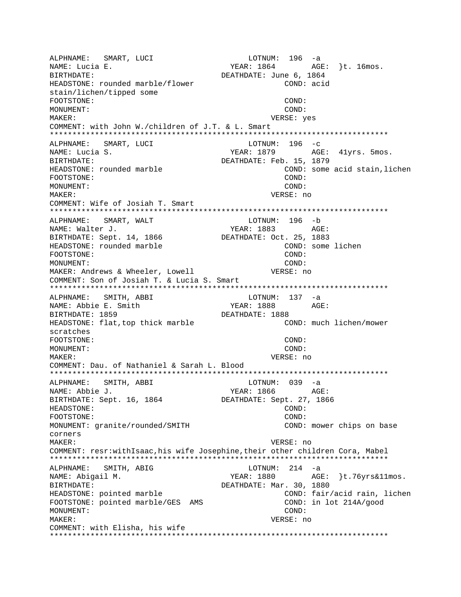ALPHNAME: SMART, LUCI LOTNUM: 196 -a NAME: Lucia E. (2008) 252 MEAR: 1864 AGE: }t. 16mos. BIRTHDATE: DEATHDATE: June 6, 1864 HEADSTONE: rounded marble/flower COND: acid stain/lichen/tipped some FOOTSTONE: COND: MONUMENT: COND: MAKER: VERSE: yes COMMENT: with John W./children of J.T. & L. Smart \*\*\*\*\*\*\*\*\*\*\*\*\*\*\*\*\*\*\*\*\*\*\*\*\*\*\*\*\*\*\*\*\*\*\*\*\*\*\*\*\*\*\*\*\*\*\*\*\*\*\*\*\*\*\*\*\*\*\*\*\*\*\*\*\*\*\*\*\*\*\*\*\*\*\* ALPHNAME: SMART, LUCI LOTNUM: 196 -c NAME: Lucia S. The South Communication of the YEAR: 1879 AGE: 41yrs. 5mos. BIRTHDATE:  $DEATHDATE: Feb. 15, 1879$ HEADSTONE: rounded marble COND: some acid stain,lichen FOOTSTONE: COND: MONUMENT: COND: MAKER: VERSE: no COMMENT: Wife of Josiah T. Smart \*\*\*\*\*\*\*\*\*\*\*\*\*\*\*\*\*\*\*\*\*\*\*\*\*\*\*\*\*\*\*\*\*\*\*\*\*\*\*\*\*\*\*\*\*\*\*\*\*\*\*\*\*\*\*\*\*\*\*\*\*\*\*\*\*\*\*\*\*\*\*\*\*\*\* ALPHNAME: SMART, WALT LOTNUM: 196 -b NAME: Walter J. The Mass of the Mass of the Mass of the Mass of the Mass of the Mass of the Mass of the Mass o BIRTHDATE: Sept. 14, 1866 DEATHDATE: Oct. 25, 1883 HEADSTONE: rounded marble COND: some lichen FOOTSTONE: COND: MONUMENT: COND: MAKER: Andrews & Wheeler, Lowell VERSE: no COMMENT: Son of Josiah T. & Lucia S. Smart \*\*\*\*\*\*\*\*\*\*\*\*\*\*\*\*\*\*\*\*\*\*\*\*\*\*\*\*\*\*\*\*\*\*\*\*\*\*\*\*\*\*\*\*\*\*\*\*\*\*\*\*\*\*\*\*\*\*\*\*\*\*\*\*\*\*\*\*\*\*\*\*\*\*\* ALPHNAME: SMITH, ABBI LOTNUM: 137 -a NAME: Abbie E. Smith YEAR: 1888 AGE: BIRTHDATE: 1859 DEATHDATE: 1888 HEADSTONE: flat,top thick marble COND: much lichen/mower scratches FOOTSTONE: COND: MONUMENT: COND: MAKER: VERSE: no COMMENT: Dau. of Nathaniel & Sarah L. Blood \*\*\*\*\*\*\*\*\*\*\*\*\*\*\*\*\*\*\*\*\*\*\*\*\*\*\*\*\*\*\*\*\*\*\*\*\*\*\*\*\*\*\*\*\*\*\*\*\*\*\*\*\*\*\*\*\*\*\*\*\*\*\*\*\*\*\*\*\*\*\*\*\*\*\* ALPHNAME: SMITH, ABBI LOTNUM: 039 -a NAME: Abbie J. YEAR: 1866 AGE: BIRTHDATE: Sept. 16, 1864 DEATHDATE: Sept. 27, 1866 HEADSTONE: COND: FOOTSTONE: COND: MONUMENT: granite/rounded/SMITH COND: mower chips on base corners MAKER: VERSE: no COMMENT: resr:withIsaac,his wife Josephine,their other children Cora, Mabel \*\*\*\*\*\*\*\*\*\*\*\*\*\*\*\*\*\*\*\*\*\*\*\*\*\*\*\*\*\*\*\*\*\*\*\*\*\*\*\*\*\*\*\*\*\*\*\*\*\*\*\*\*\*\*\*\*\*\*\*\*\*\*\*\*\*\*\*\*\*\*\*\*\*\* ALPHNAME: SMITH, ABIG CONDUCTED BOTHUM: 214 -a NAME: Abigail M. YEAR: 1880 AGE: }t.76yrs&11mos. BIRTHDATE: DEATHDATE: Mar. 30, 1880 HEADSTONE: pointed marble **EXADSTONE:** pointed marble FOOTSTONE: pointed marble/GES AMS COND: in lot 214A/qood MONUMENT: COND: MAKER: VERSE: no COMMENT: with Elisha, his wife \*\*\*\*\*\*\*\*\*\*\*\*\*\*\*\*\*\*\*\*\*\*\*\*\*\*\*\*\*\*\*\*\*\*\*\*\*\*\*\*\*\*\*\*\*\*\*\*\*\*\*\*\*\*\*\*\*\*\*\*\*\*\*\*\*\*\*\*\*\*\*\*\*\*\*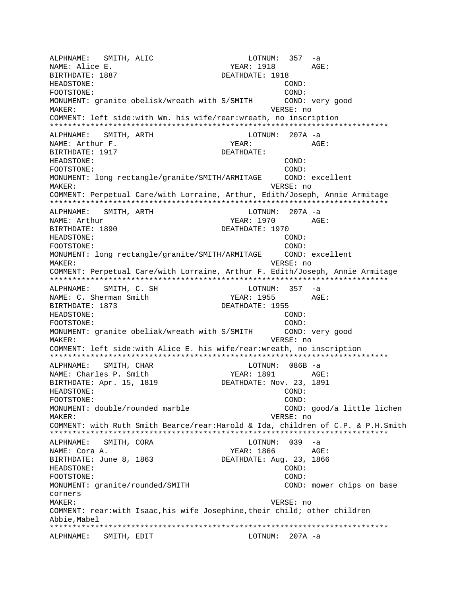ALPHNAME: SMITH, ALIC LOTNUM: 357 -a NAME: Alice E. The Magnus of the MEAR: 1918 AGE: BIRTHDATE: 1887 DEATHDATE: 1918 HEADSTONE: COND: FOOTSTONE: COND: MONUMENT: granite obelisk/wreath with S/SMITH COND: very good MAKER: VERSE: no COMMENT: left side:with Wm. his wife/rear:wreath, no inscription \*\*\*\*\*\*\*\*\*\*\*\*\*\*\*\*\*\*\*\*\*\*\*\*\*\*\*\*\*\*\*\*\*\*\*\*\*\*\*\*\*\*\*\*\*\*\*\*\*\*\*\*\*\*\*\*\*\*\*\*\*\*\*\*\*\*\*\*\*\*\*\*\*\*\* ALPHNAME: SMITH, ARTH CHANNE LOTNUM: 207A -a NAME: Arthur F. Same Communications of the Magnus Media of the Magnus AGE: BIRTHDATE: 1917 DEATHDATE: HEADSTONE: COND: FOOTSTONE: COND: MONUMENT: long rectangle/granite/SMITH/ARMITAGE COND: excellent MAKER: VERSE: no COMMENT: Perpetual Care/with Lorraine, Arthur, Edith/Joseph, Annie Armitage \*\*\*\*\*\*\*\*\*\*\*\*\*\*\*\*\*\*\*\*\*\*\*\*\*\*\*\*\*\*\*\*\*\*\*\*\*\*\*\*\*\*\*\*\*\*\*\*\*\*\*\*\*\*\*\*\*\*\*\*\*\*\*\*\*\*\*\*\*\*\*\*\*\*\* ALPHNAME: SMITH, ARTH LOTNUM: 207A -a NAME: Arthur 1970 AGE: BIRTHDATE: 1890 DEATHDATE: 1970 HEADSTONE: COND: FOOTSTONE: COND: MONUMENT: long rectangle/granite/SMITH/ARMITAGE COND: excellent MAKER: VERSE: no COMMENT: Perpetual Care/with Lorraine, Arthur F. Edith/Joseph, Annie Armitage \*\*\*\*\*\*\*\*\*\*\*\*\*\*\*\*\*\*\*\*\*\*\*\*\*\*\*\*\*\*\*\*\*\*\*\*\*\*\*\*\*\*\*\*\*\*\*\*\*\*\*\*\*\*\*\*\*\*\*\*\*\*\*\*\*\*\*\*\*\*\*\*\*\*\* ALPHNAME: SMITH, C. SH LOTNUM: 357 -a NAME: C. Sherman Smith YEAR: 1955 AGE: BIRTHDATE: 1873 DEATHDATE: 1955 HEADSTONE: COND: FOOTSTONE: COND: MONUMENT: granite obeliak/wreath with S/SMITH COND: very good MAKER: VERSE: no COMMENT: left side:with Alice E. his wife/rear:wreath, no inscription \*\*\*\*\*\*\*\*\*\*\*\*\*\*\*\*\*\*\*\*\*\*\*\*\*\*\*\*\*\*\*\*\*\*\*\*\*\*\*\*\*\*\*\*\*\*\*\*\*\*\*\*\*\*\*\*\*\*\*\*\*\*\*\*\*\*\*\*\*\*\*\*\*\*\* ALPHNAME: SMITH, CHAR LOTNUM: 086B -a NAME: Charles P. Smith YEAR: 1891 AGE: BIRTHDATE: Apr. 15, 1819 DEATHDATE: Nov. 23, 1891 HEADSTONE: COND: FOOTSTONE: COND: MONUMENT: double/rounded marble  $\sim$  COND: good/a little lichen MAKER: VERSE: no COMMENT: with Ruth Smith Bearce/rear:Harold & Ida, children of C.P. & P.H.Smith \*\*\*\*\*\*\*\*\*\*\*\*\*\*\*\*\*\*\*\*\*\*\*\*\*\*\*\*\*\*\*\*\*\*\*\*\*\*\*\*\*\*\*\*\*\*\*\*\*\*\*\*\*\*\*\*\*\*\*\*\*\*\*\*\*\*\*\*\*\*\*\*\*\*\* SMITH, CORA LOTNUM: 039 -a NAME: Cora A. (2008) 2012 12: NAME: Cora A. (2008) 2014 2021 2022 2030 2042 2051 2052 2052 2053 2052 2053 2053 2054 2052 2053 2053 2054 2055 2056 2057 2058 2058 2059 2058 2058 2059 2058 2059 2058 2059 2058 2059 2058 2059 2 BIRTHDATE: June 8, 1863 DEATHDATE: Aug. 23, 1866 HEADSTONE: COND: FOOTSTONE: COND: MONUMENT: granite/rounded/SMITH COND: mower chips on base corners MAKER: VERSE: no COMMENT: rear:with Isaac,his wife Josephine,their child; other children Abbie,Mabel \*\*\*\*\*\*\*\*\*\*\*\*\*\*\*\*\*\*\*\*\*\*\*\*\*\*\*\*\*\*\*\*\*\*\*\*\*\*\*\*\*\*\*\*\*\*\*\*\*\*\*\*\*\*\*\*\*\*\*\*\*\*\*\*\*\*\*\*\*\*\*\*\*\*\* ALPHNAME: SMITH, EDIT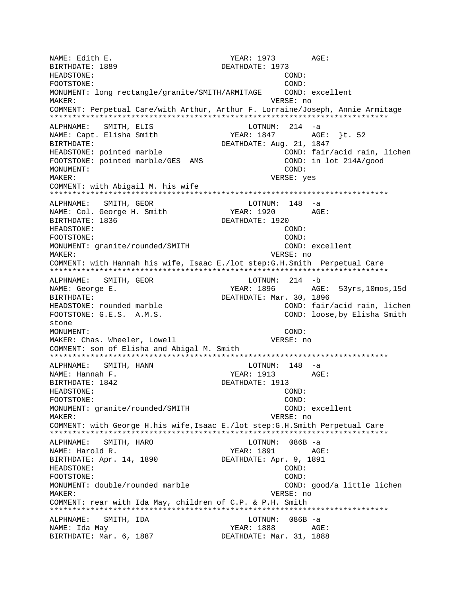NAME: Edith E. The South of the South States of the YEAR: 1973 AGE: BIRTHDATE: 1889 DEATHDATE: 1973 HEADSTONE: COND: FOOTSTONE: COND: MONUMENT: long rectangle/granite/SMITH/ARMITAGE COND: excellent MAKER: VERSE: no COMMENT: Perpetual Care/with Arthur, Arthur F. Lorraine/Joseph, Annie Armitage \*\*\*\*\*\*\*\*\*\*\*\*\*\*\*\*\*\*\*\*\*\*\*\*\*\*\*\*\*\*\*\*\*\*\*\*\*\*\*\*\*\*\*\*\*\*\*\*\*\*\*\*\*\*\*\*\*\*\*\*\*\*\*\*\*\*\*\*\*\*\*\*\*\*\* ALPHNAME: SMITH, ELIS<br>NAME: Capt. Elisha Smith YEAR: 1847 AGE: }t. 52 BIRTHDATE: DEATHDATE: Aug. 21, 1847 HEADSTONE: pointed marble **EXADSTONE:** pointed marble FOOTSTONE: pointed marble/GES AMS COND: in lot 214A/good MONUMENT: COND: MAKER: VERSE: yes COMMENT: with Abigail M. his wife \*\*\*\*\*\*\*\*\*\*\*\*\*\*\*\*\*\*\*\*\*\*\*\*\*\*\*\*\*\*\*\*\*\*\*\*\*\*\*\*\*\*\*\*\*\*\*\*\*\*\*\*\*\*\*\*\*\*\*\*\*\*\*\*\*\*\*\*\*\*\*\*\*\*\* ALPHNAME: SMITH, GEOR LOTNUM: 148 -a NAME: Col. George H. Smith YEAR: 1920 AGE: BIRTHDATE: 1836 DEATHDATE: 1920 HEADSTONE: COND: FOOTSTONE: COND: MONUMENT: granite/rounded/SMITH COND: excellent MAKER: VERSE: no COMMENT: with Hannah his wife, Isaac E./lot step:G.H.Smith Perpetual Care \*\*\*\*\*\*\*\*\*\*\*\*\*\*\*\*\*\*\*\*\*\*\*\*\*\*\*\*\*\*\*\*\*\*\*\*\*\*\*\*\*\*\*\*\*\*\*\*\*\*\*\*\*\*\*\*\*\*\*\*\*\*\*\*\*\*\*\*\*\*\*\*\*\*\* ALPHNAME: SMITH, GEOR LOTNUM: 214 -b NAME: George E. The South of the MEAR: 1896 AGE: 53yrs,10mos,15d BIRTHDATE: DEATHDATE: Mar. 30, 1896 HEADSTONE: rounded marble COND: fair/acid rain, lichen FOOTSTONE: G.E.S. A.M.S. COND: loose,by Elisha Smith stone MONUMENT: COND: MAKER: Chas. Wheeler, Lowell VERSE: no COMMENT: son of Elisha and Abigal M. Smith \*\*\*\*\*\*\*\*\*\*\*\*\*\*\*\*\*\*\*\*\*\*\*\*\*\*\*\*\*\*\*\*\*\*\*\*\*\*\*\*\*\*\*\*\*\*\*\*\*\*\*\*\*\*\*\*\*\*\*\*\*\*\*\*\*\*\*\*\*\*\*\*\*\*\* ALPHNAME: SMITH, HANN LOTNUM: 148 -a NAME: Hannah F. YEAR: 1913 AGE: BIRTHDATE: 1842 DEATHDATE: 1913 HEADSTONE: COND: FOOTSTONE: COND: MONUMENT: granite/rounded/SMITH COND: excellent MAKER: VERSE: no COMMENT: with George H.his wife,Isaac E./lot step:G.H.Smith Perpetual Care \*\*\*\*\*\*\*\*\*\*\*\*\*\*\*\*\*\*\*\*\*\*\*\*\*\*\*\*\*\*\*\*\*\*\*\*\*\*\*\*\*\*\*\*\*\*\*\*\*\*\*\*\*\*\*\*\*\*\*\*\*\*\*\*\*\*\*\*\*\*\*\*\*\*\* SMITH, HARO LOTNUM: 086B -a NAME: Harold R. Sand Research Month of the Magnus Media and AGE: BIRTHDATE: Apr. 14, 1890 DEATHDATE: Apr. 9, 1891 HEADSTONE: COND: FOOTSTONE: COND: MONUMENT: double/rounded marble COND: good/a little lichen MAKER: VERSE: no COMMENT: rear with Ida May, children of C.P. & P.H. Smith \*\*\*\*\*\*\*\*\*\*\*\*\*\*\*\*\*\*\*\*\*\*\*\*\*\*\*\*\*\*\*\*\*\*\*\*\*\*\*\*\*\*\*\*\*\*\*\*\*\*\*\*\*\*\*\*\*\*\*\*\*\*\*\*\*\*\*\*\*\*\*\*\*\*\* ALPHNAME: SMITH, IDA LOTNUM: 086B -a NAME: Ida May  $YEAR:$  1888  $AGE:$ BIRTHDATE: Mar. 6, 1887 DEATHDATE: Mar. 31, 1888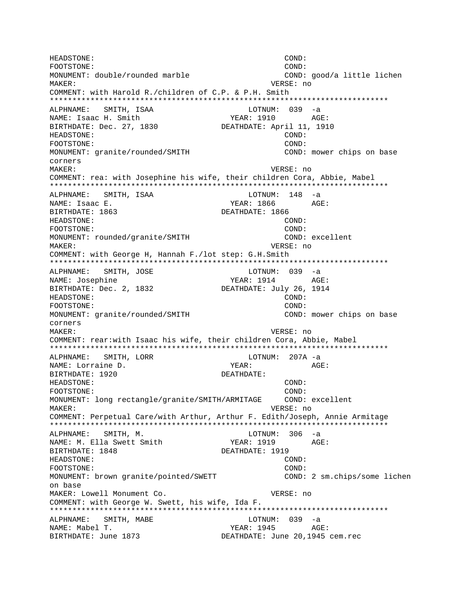HEADSTONE: COND: FOOTSTONE:  $COMD:$ MONUMENT: double/rounded marble COND: good/a little lichen MAKER: VERSE: no COMMENT: with Harold R./children of C.P. & P.H. Smith ALPHNAME: SMITH, ISAA LOTNUM: 039 -a YEAR: 1910 AGE: NAME: Isaac H. Smith DEATHDATE: April 11, 1910 BIRTHDATE: Dec. 27, 1830 HEADSTONE: COND: FOOTSTONE: COND: MONUMENT: granite/rounded/SMITH COND: mower chips on base corners MAKER: VERSE: no COMMENT: rea: with Josephine his wife, their children Cora, Abbie, Mabel ALPHNAME: SMITH, ISAA LOTNUM: 148 -a NAME: Isaac E. YEAR: 1866 AGE: BIRTHDATE: 1863 DEATHDATE: 1866 HEADSTONE:  $COND:$ COND: FOOTSTONE: MONUMENT: rounded/granite/SMITH COND: excellent VERSE: no MAKER: COMMENT: with George H, Hannah F./lot step: G.H.Smith ALPHNAME: SMITH, JOSE LOTNUM: 039 -a NAME: Josephine YEAR: 1914 AGE: BIRTHDATE: Dec. 2, 1832 DEATHDATE: July 26, 1914 HEADSTONE:  $COMD:$ FOOTSTONE:  $COMD:$ MONUMENT: granite/rounded/SMITH COND: mower chips on base corners MAKER: VERSE: no COMMENT: rear:with Isaac his wife, their children Cora, Abbie, Mabel ALPHNAME: SMITH, LORR LOTNUM: 207A -a NAME: Lorraine D. YEAR:  $AGE:$ BIRTHDATE: 1920 DEATHDATE: HEADSTONE: COND: FOOTSTONE: COND: MONUMENT: long rectangle/granite/SMITH/ARMITAGE COND: excellent MAKER: VERSE: no COMMENT: Perpetual Care/with Arthur, Arthur F. Edith/Joseph, Annie Armitage ALPHNAME: SMITH, M. LOTNUM: 306 -a NAME: M. Ella Swett Smith YEAR: 1919 AGE: DEATHDATE: 1919 BIRTHDATE: 1848 COND: HEADSTONE: FOOTSTONE: COND: MONUMENT: brown granite/pointed/SWETT COND: 2 sm.chips/some lichen on base MAKER: Lowell Monument Co. VERSE: no COMMENT: with George W. Swett, his wife, Ida F. ALPHNAME: SMITH, MABE LOTNUM: 039 -a YEAR: 1945 AGE: NAME: Mabel T. BIRTHDATE: June 1873 DEATHDATE: June 20,1945 cem.rec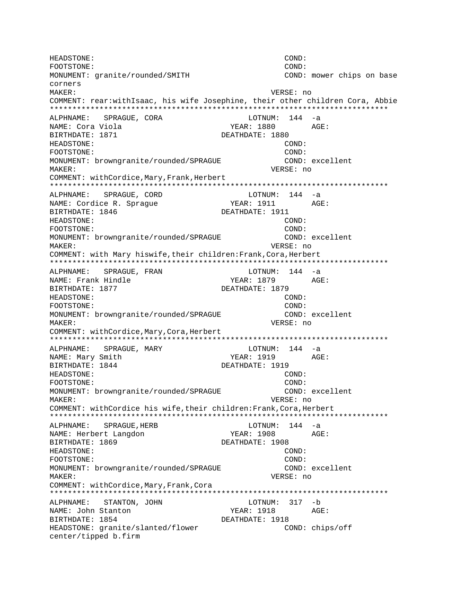HEADSTONE: COND: FOOTSTONE:  $COMD:$ MONUMENT: granite/rounded/SMITH COND: mower chips on base corners MAKER: VERSE: no COMMENT: rear:withIsaac, his wife Josephine, their other children Cora, Abbie ALPHNAME: SPRAGUE, CORA LOTNUM: 144 -a AGE: NAME: Cora Viola YEAR: 1880 BIRTHDATE: 1871 DEATHDATE: 1880 HEADSTONE: COND: FOOTSTONE: COND: MONUMENT: browngranite/rounded/SPRAGUE COND: excellent VERSE: no MAKER: COMMENT: withCordice, Mary, Frank, Herbert ALPHNAME: SPRAGUE, CORD  $LOTNUM: 144 -a$ NAME: Cordice R. Sprague YEAR: 1911 AGE: BIRTHDATE: 1846 DEATHDATE: 1911 HEADSTONE:  $COND:$ COND: FOOTSTONE: MONUMENT: browngranite/rounded/SPRAGUE COND: excellent VERSE: no MAKER: COMMENT: with Mary hiswife, their children: Frank, Cora, Herbert ALPHNAME: SPRAGUE, FRAN LOTNUM: 144 -a NAME: Frank Hindle YEAR: 1879 AGE: BIRTHDATE: 1877 DEATHDATE: 1879 HEADSTONE:  $COND:$ FOOTSTONE:  $COMD:$ MONUMENT: browngranite/rounded/SPRAGUE COND: excellent VERSE: no MAKER: COMMENT: withCordice, Mary, Cora, Herbert ALPHNAME: SPRAGUE, MARY LOTNUM: 144 -a NAME: Mary Smith YEAR: 1919 AGE: BIRTHDATE: 1844 DEATHDATE: 1919 HEADSTONE: COND: COND: FOOTSTONE: MONUMENT: browngranite/rounded/SPRAGUE COND: excellent MAKER: VERSE: no COMMENT: withCordice his wife, their children: Frank, Cora, Herbert LOTNUM:  $144 - a$ ALPHNAME: SPRAGUE, HERB NAME: Herbert Langdon YEAR: 1908 AGE: BIRTHDATE: 1869 DEATHDATE: 1908 HEADSTONE: COND: COND: FOOTSTONE: MONUMENT: browngranite/rounded/SPRAGUE COND: excellent MAKER: VERSE: no COMMENT: withCordice, Mary, Frank, Cora LOTNUM: 317 -b ALPHNAME: STANTON, JOHN NAME: John Stanton YEAR: 1918 AGE: BIRTHDATE: 1854 DEATHDATE: 1918 HEADSTONE: granite/slanted/flower COND: chips/off center/tipped b.firm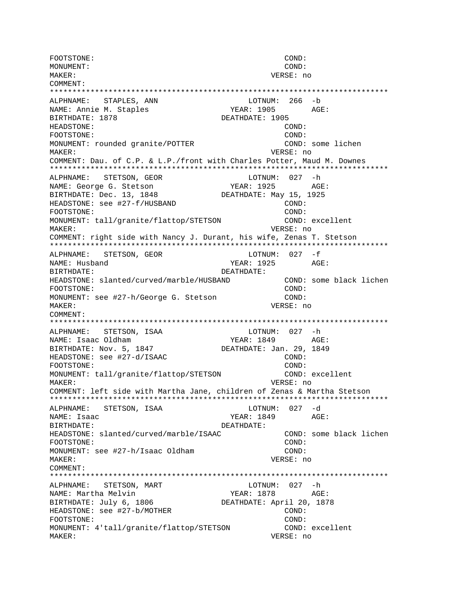FOOTSTONE: COND: MONUMENT: COND: MAKER: VERSE: no COMMENT: \*\*\*\*\*\*\*\*\*\*\*\*\*\*\*\*\*\*\*\*\*\*\*\*\*\*\*\*\*\*\*\*\*\*\*\*\*\*\*\*\*\*\*\*\*\*\*\*\*\*\*\*\*\*\*\*\*\*\*\*\*\*\*\*\*\*\*\*\*\*\*\*\*\*\* ALPHNAME: STAPLES, ANN LOTNUM: 266 -b NAME: Annie M. Staples YEAR: 1905 AGE: BIRTHDATE: 1878 DEATHDATE: 1905 HEADSTONE: COND: FOOTSTONE: COND: MONUMENT: rounded granite/POTTER COND: some lichen MAKER: VERSE: no COMMENT: Dau. of C.P. & L.P./front with Charles Potter, Maud M. Downes \*\*\*\*\*\*\*\*\*\*\*\*\*\*\*\*\*\*\*\*\*\*\*\*\*\*\*\*\*\*\*\*\*\*\*\*\*\*\*\*\*\*\*\*\*\*\*\*\*\*\*\*\*\*\*\*\*\*\*\*\*\*\*\*\*\*\*\*\*\*\*\*\*\*\* ALPHNAME: STETSON, GEOR LOTNUM: 027 -h NAME: George G. Stetson YEAR: 1925 AGE: BIRTHDATE: Dec. 13, 1848 DEATHDATE: May 15, 1925 HEADSTONE: see #27-f/HUSBAND COND:<br>FOOTSTONE: (COND: FOOTSTONE: MONUMENT: tall/granite/flattop/STETSON COND: excellent MAKER: VERSE: no COMMENT: right side with Nancy J. Durant, his wife, Zenas T. Stetson \*\*\*\*\*\*\*\*\*\*\*\*\*\*\*\*\*\*\*\*\*\*\*\*\*\*\*\*\*\*\*\*\*\*\*\*\*\*\*\*\*\*\*\*\*\*\*\*\*\*\*\*\*\*\*\*\*\*\*\*\*\*\*\*\*\*\*\*\*\*\*\*\*\*\* ALPHNAME: STETSON, GEOR LOTNUM: 027 -f NAME: Husband AGE: BIRTHDATE: DEATHDATE: HEADSTONE: slanted/curved/marble/HUSBAND COND: some black lichen FOOTSTONE: COND: MONUMENT: see #27-h/George G. Stetson COND: MAKER: VERSE: no COMMENT: \*\*\*\*\*\*\*\*\*\*\*\*\*\*\*\*\*\*\*\*\*\*\*\*\*\*\*\*\*\*\*\*\*\*\*\*\*\*\*\*\*\*\*\*\*\*\*\*\*\*\*\*\*\*\*\*\*\*\*\*\*\*\*\*\*\*\*\*\*\*\*\*\*\*\* ALPHNAME: STETSON, ISAA 1999 LOTNUM: 027 -h NAME: Isaac Oldham YEAR: 1849 AGE: BIRTHDATE: Nov. 5, 1847 DEATHDATE: Jan. 29, 1849 HEADSTONE: see #27-d/ISAAC COND: FOOTSTONE: COND: MONUMENT: tall/granite/flattop/STETSON COND: excellent MAKER: VERSE: no COMMENT: left side with Martha Jane, children of Zenas & Martha Stetson \*\*\*\*\*\*\*\*\*\*\*\*\*\*\*\*\*\*\*\*\*\*\*\*\*\*\*\*\*\*\*\*\*\*\*\*\*\*\*\*\*\*\*\*\*\*\*\*\*\*\*\*\*\*\*\*\*\*\*\*\*\*\*\*\*\*\*\*\*\*\*\*\*\*\* ALPHNAME: STETSON, ISAA LOTNUM: 027 -d NAME: Isaac YEAR: 1849 AGE: BIRTHDATE: DEATHDATE: HEADSTONE: slanted/curved/marble/ISAAC COND: some black lichen FOOTSTONE: COND: MONUMENT: see #27-h/Isaac Oldham COND: MAKER: VERSE: no COMMENT: \*\*\*\*\*\*\*\*\*\*\*\*\*\*\*\*\*\*\*\*\*\*\*\*\*\*\*\*\*\*\*\*\*\*\*\*\*\*\*\*\*\*\*\*\*\*\*\*\*\*\*\*\*\*\*\*\*\*\*\*\*\*\*\*\*\*\*\*\*\*\*\*\*\*\* ALPHNAME: STETSON, MART LOTNUM: 027 -h NAME: Martha Melvin The Mass of the YEAR: 1878 AGE: BIRTHDATE: July 6, 1806 DEATHDATE: April 20, 1878 HEADSTONE: see #27-b/MOTHER COND: COND: FOOTSTONE: COND: MONUMENT: 4'tall/granite/flattop/STETSON COND: excellent MAKER: VERSE: no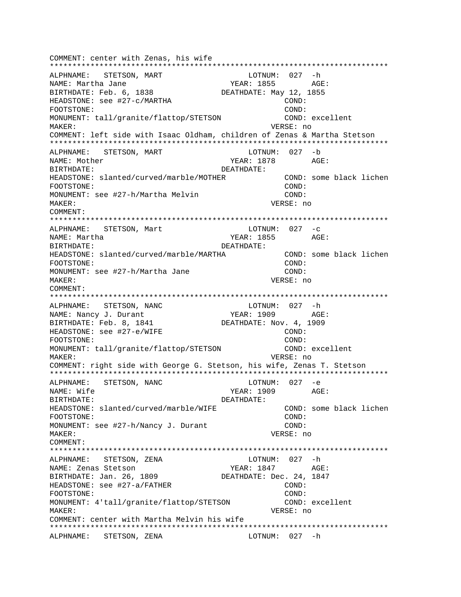COMMENT: center with Zenas, his wife \*\*\*\*\*\*\*\*\*\*\*\*\*\*\*\*\*\*\*\*\*\*\*\*\*\*\*\*\*\*\*\*\*\*\*\*\*\*\*\*\*\*\*\*\*\*\*\*\*\*\*\*\*\*\*\*\*\*\*\*\*\*\*\*\*\*\*\*\*\*\*\*\*\*\* ALPHNAME: STETSON, MART NAME: Martha Jane  $YEAR: 1855$  AGE: BIRTHDATE: Feb. 6, 1838 DEATHDATE: May 12, 1855 HEADSTONE: see #27-c/MARTHA COND: FOOTSTONE: COND: MONUMENT: tall/granite/flattop/STETSON MAKER: VERSE: no COMMENT: left side with Isaac Oldham, children of Zenas & Martha Stetson \*\*\*\*\*\*\*\*\*\*\*\*\*\*\*\*\*\*\*\*\*\*\*\*\*\*\*\*\*\*\*\*\*\*\*\*\*\*\*\*\*\*\*\*\*\*\*\*\*\*\*\*\*\*\*\*\*\*\*\*\*\*\*\*\*\*\*\*\*\*\*\*\*\*\* ALPHNAME: STETSON, MART LOTNUM: 027 -b NAME: Mother The Magnus of the Magnus of the YEAR: 1878 AGE: BIRTHDATE: DEATHDATE: HEADSTONE: slanted/curved/marble/MOTHER COND: some black lichen FOOTSTONE: COND: MONUMENT: see #27-h/Martha Melvin COND: MAKER: VERSE: no COMMENT: \*\*\*\*\*\*\*\*\*\*\*\*\*\*\*\*\*\*\*\*\*\*\*\*\*\*\*\*\*\*\*\*\*\*\*\*\*\*\*\*\*\*\*\*\*\*\*\*\*\*\*\*\*\*\*\*\*\*\*\*\*\*\*\*\*\*\*\*\*\*\*\*\*\*\* ALPHNAME: STETSON, Mart  $LOTNUM: 027 -c$ NAME: Martha 1955 AGE: BIRTHDATE: DEATHDATE: HEADSTONE: slanted/curved/marble/MARTHA COND: some black lichen FOOTSTONE: COND: MONUMENT: see #27-h/Martha Jane COND: MAKER: VERSE: no COMMENT: \*\*\*\*\*\*\*\*\*\*\*\*\*\*\*\*\*\*\*\*\*\*\*\*\*\*\*\*\*\*\*\*\*\*\*\*\*\*\*\*\*\*\*\*\*\*\*\*\*\*\*\*\*\*\*\*\*\*\*\*\*\*\*\*\*\*\*\*\*\*\*\*\*\*\* ALPHNAME: STETSON, NANC LOTNUM: 027 -h NAME: Nancy J. Durant YEAR: 1909 AGE: BIRTHDATE: Feb. 8, 1841 DEATHDATE: Nov. 4, 1909 HEADSTONE: see #27-e/WIFE COND: FOOTSTONE: COND: MONUMENT: tall/granite/flattop/STETSON COND: excellent MAKER: VERSE: no COMMENT: right side with George G. Stetson, his wife, Zenas T. Stetson \*\*\*\*\*\*\*\*\*\*\*\*\*\*\*\*\*\*\*\*\*\*\*\*\*\*\*\*\*\*\*\*\*\*\*\*\*\*\*\*\*\*\*\*\*\*\*\*\*\*\*\*\*\*\*\*\*\*\*\*\*\*\*\*\*\*\*\*\*\*\*\*\*\*\* ALPHNAME: STETSON, NANC NAME: Wife  $YER: 1909$  AGE: BIRTHDATE: DEATHDATE: HEADSTONE: slanted/curved/marble/WIFE COND: some black lichen FOOTSTONE: COND: MONUMENT: see #27-h/Nancy J. Durant COND: MAKER: VERSE: no COMMENT: \*\*\*\*\*\*\*\*\*\*\*\*\*\*\*\*\*\*\*\*\*\*\*\*\*\*\*\*\*\*\*\*\*\*\*\*\*\*\*\*\*\*\*\*\*\*\*\*\*\*\*\*\*\*\*\*\*\*\*\*\*\*\*\*\*\*\*\*\*\*\*\*\*\*\* ALPHNAME: STETSON, ZENA NAME: Zenas Stetson <a>
YEAR: 1847 <a>
AGE: BIRTHDATE: Jan. 26, 1809 DEATHDATE: Dec. 24, 1847 HEADSTONE: see #27-a/FATHER COND: COND: FOOTSTONE: COND: MONUMENT: 4'tall/granite/flattop/STETSON COND: excellent MAKER: VERSE: no COMMENT: center with Martha Melvin his wife \*\*\*\*\*\*\*\*\*\*\*\*\*\*\*\*\*\*\*\*\*\*\*\*\*\*\*\*\*\*\*\*\*\*\*\*\*\*\*\*\*\*\*\*\*\*\*\*\*\*\*\*\*\*\*\*\*\*\*\*\*\*\*\*\*\*\*\*\*\*\*\*\*\*\* ALPHNAME: STETSON, ZENA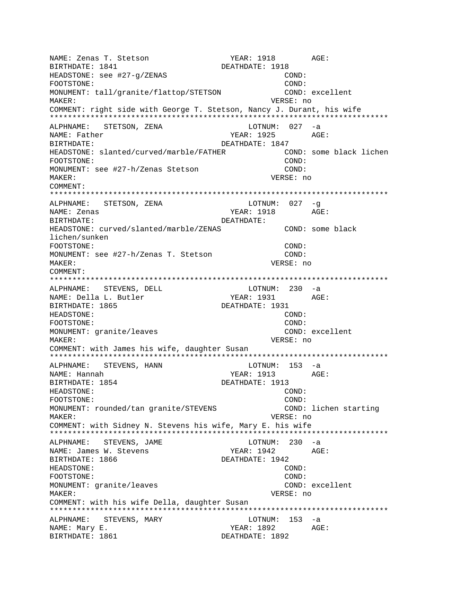NAME: Zenas T. Stetson YEAR: 1918 AGE: BIRTHDATE: 1841 DEATHDATE: 1918 HEADSTONE: see #27-g/ZENAS COND: FOOTSTONE: COND: MONUMENT: tall/granite/flattop/STETSON COND: excellent MAKER: VERSE: no COMMENT: right side with George T. Stetson, Nancy J. Durant, his wife \*\*\*\*\*\*\*\*\*\*\*\*\*\*\*\*\*\*\*\*\*\*\*\*\*\*\*\*\*\*\*\*\*\*\*\*\*\*\*\*\*\*\*\*\*\*\*\*\*\*\*\*\*\*\*\*\*\*\*\*\*\*\*\*\*\*\*\*\*\*\*\*\*\*\* ALPHNAME: STETSON, ZENA LOTNUM: 027 -a NAME: Father The Communication of the VEAR: 1925 BIRTHDATE: DEATHDATE: 1847 HEADSTONE: slanted/curved/marble/FATHER COND: some black lichen FOOTSTONE: COND: MONUMENT: see #27-h/Zenas Stetson COND: MAKER: VERSE: no COMMENT: \*\*\*\*\*\*\*\*\*\*\*\*\*\*\*\*\*\*\*\*\*\*\*\*\*\*\*\*\*\*\*\*\*\*\*\*\*\*\*\*\*\*\*\*\*\*\*\*\*\*\*\*\*\*\*\*\*\*\*\*\*\*\*\*\*\*\*\*\*\*\*\*\*\*\* ALPHNAME: STETSON, ZENA LOTNUM: 027 -g NAME: Zenas YEAR: 1918 AGE: BIRTHDATE: DEATHDATE: HEADSTONE: curved/slanted/marble/ZENAS COND: some black lichen/sunken FOOTSTONE: COND: MONUMENT: see #27-h/Zenas T. Stetson COND: MAKER: VERSE: no COMMENT: \*\*\*\*\*\*\*\*\*\*\*\*\*\*\*\*\*\*\*\*\*\*\*\*\*\*\*\*\*\*\*\*\*\*\*\*\*\*\*\*\*\*\*\*\*\*\*\*\*\*\*\*\*\*\*\*\*\*\*\*\*\*\*\*\*\*\*\*\*\*\*\*\*\*\* ALPHNAME: STEVENS, DELL LOTNUM: 230 -a NAME: Della L. Butler YEAR: 1931 AGE: BIRTHDATE: 1865 DEATHDATE: 1931 HEADSTONE: COND: FOOTSTONE: COND: MONUMENT: granite/leaves excellent comp: excellent MAKER: VERSE: no COMMENT: with James his wife, daughter Susan \*\*\*\*\*\*\*\*\*\*\*\*\*\*\*\*\*\*\*\*\*\*\*\*\*\*\*\*\*\*\*\*\*\*\*\*\*\*\*\*\*\*\*\*\*\*\*\*\*\*\*\*\*\*\*\*\*\*\*\*\*\*\*\*\*\*\*\*\*\*\*\*\*\*\* ALPHNAME: STEVENS, HANN NAME: Hannah YEAR: 1913 AGE: BIRTHDATE: 1854 DEATHDATE: 1913 HEADSTONE: COND: FOOTSTONE: COND: MONUMENT: rounded/tan granite/STEVENS COND: lichen starting MAKER: VERSE: no COMMENT: with Sidney N. Stevens his wife, Mary E. his wife \*\*\*\*\*\*\*\*\*\*\*\*\*\*\*\*\*\*\*\*\*\*\*\*\*\*\*\*\*\*\*\*\*\*\*\*\*\*\*\*\*\*\*\*\*\*\*\*\*\*\*\*\*\*\*\*\*\*\*\*\*\*\*\*\*\*\*\*\*\*\*\*\*\*\* ALPHNAME: STEVENS, JAME LOTNUM: 230 -a NAME: James W. Stevens YEAR: 1942 AGE: BIRTHDATE: 1866 DEATHDATE: 1942 HEADSTONE: COND: FOOTSTONE: COND: MONUMENT: granite/leaves excellent conditions of the conditions of the conditions of the conditions of the conditions of the conditions of the conditions of the conditions of the conditions of the conditions of the conditi MAKER: VERSE: no COMMENT: with his wife Della, daughter Susan \*\*\*\*\*\*\*\*\*\*\*\*\*\*\*\*\*\*\*\*\*\*\*\*\*\*\*\*\*\*\*\*\*\*\*\*\*\*\*\*\*\*\*\*\*\*\*\*\*\*\*\*\*\*\*\*\*\*\*\*\*\*\*\*\*\*\*\*\*\*\*\*\*\*\* ALPHNAME: STEVENS, MARY LOTNUM: 153 -a NAME: Mary E. The Contract of the MEAR: 1892 AGE: BIRTHDATE: 1861 **DEATHDATE: 1892**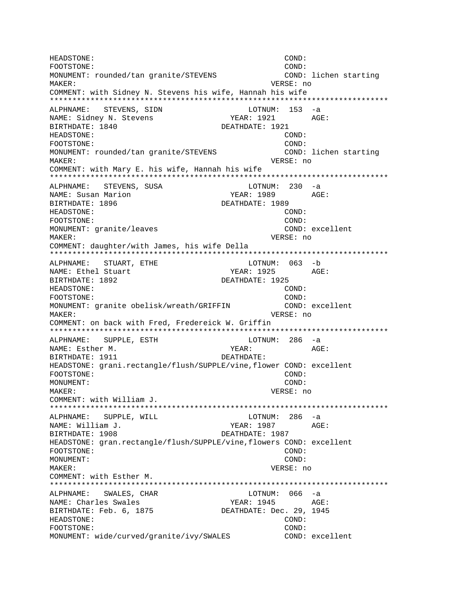HEADSTONE: COND: FOOTSTONE:  $COMD:$ MONUMENT: rounded/tan granite/STEVENS COND: lichen starting MAKER: VERSE: no COMMENT: with Sidney N. Stevens his wife, Hannah his wife ALPHNAME: STEVENS, SIDN LOTNUM: 153 -a NAME: Sidney N. Stevens YEAR: 1921 AGE: BIRTHDATE: 1840 DEATHDATE: 1921 HEADSTONE: COND: FOOTSTONE: COND: MONUMENT: rounded/tan granite/STEVENS COND: lichen starting **MAKER:** VERSE: no COMMENT: with Mary E. his wife, Hannah his wife ALPHNAME: STEVENS, SUSA  $LOTNUM: 230 -a$ NAME: Susan Marion YEAR: 1989  $AGE:$ BIRTHDATE: 1896 DEATHDATE: 1989 HEADSTONE: COND: FOOTSTONE: COND: MONUMENT: granite/leaves COND: excellent MAKER: VERSE: no COMMENT: daughter/with James, his wife Della LOTNUM: 063 -b ALPHNAME: STUART, ETHE YEAR: 1925 AGE: NAME: Ethel Stuart BIRTHDATE: 1892 DEATHDATE: 1925 HEADSTONE: COND:  $COMD:$ FOOTSTONE: MONUMENT: granite obelisk/wreath/GRIFFIN COND: excellent VERSE: no MAKER: COMMENT: on back with Fred, Fredereick W. Griffin ALPHNAME: SUPPLE, ESTH LOTNUM: 286 -a NAME: Esther M. YEAR: AGE: BIRTHDATE: 1911 DEATHDATE: HEADSTONE: grani.rectangle/flush/SUPPLE/vine, flower COND: excellent FOOTSTONE: COND: MONUMENT: COND: VERSE: no MAKER: COMMENT: with William J. ALPHNAME: SUPPLE, WILL LOTNUM: 286 -a NAME: William J. YEAR: 1987 AGE: BIRTHDATE: 1908 DEATHDATE: 1987 HEADSTONE: gran.rectangle/flush/SUPPLE/vine,flowers COND: excellent FOOTSTONE: COND: MONUMENT: COND: MAKER: VERSE: no COMMENT: with Esther M. ALPHNAME: SWALES, CHAR LOTNUM: 066 -a NAME: Charles Swales YEAR: 1945 AGE: BIRTHDATE: Feb. 6, 1875 DEATHDATE: Dec. 29, 1945 HEADSTONE:  $\texttt{COND}:$ FOOTSTONE: COND: MONUMENT: wide/curved/granite/ivy/SWALES COND: excellent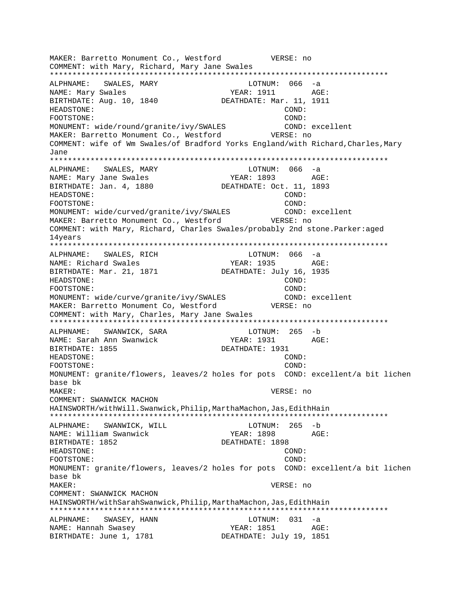MAKER: Barretto Monument Co., Westford VERSE: no COMMENT: with Mary, Richard, Mary Jane Swales \*\*\*\*\*\*\*\*\*\*\*\*\*\*\*\*\*\*\*\*\*\*\*\*\*\*\*\*\*\*\*\*\*\*\*\*\*\*\*\*\*\*\*\*\*\*\*\*\*\*\*\*\*\*\*\*\*\*\*\*\*\*\*\*\*\*\*\*\*\*\*\*\*\*\* ALPHNAME: SWALES, MARY LOTNUM: 066 -a NAME: Mary Swales The Magnus of the YEAR: 1911 AGE: BIRTHDATE: Aug. 10, 1840 DEATHDATE: Mar. 11, 1911 HEADSTONE: COND: FOOTSTONE: COND: MONUMENT: wide/round/granite/ivy/SWALES COND: excellent MAKER: Barretto Monument Co., Westford VERSE: no COMMENT: wife of Wm Swales/of Bradford Yorks England/with Richard, Charles, Mary Jane \*\*\*\*\*\*\*\*\*\*\*\*\*\*\*\*\*\*\*\*\*\*\*\*\*\*\*\*\*\*\*\*\*\*\*\*\*\*\*\*\*\*\*\*\*\*\*\*\*\*\*\*\*\*\*\*\*\*\*\*\*\*\*\*\*\*\*\*\*\*\*\*\*\*\* ALPHNAME: SWALES, MARY LOTNUM: 066 -a NAME: Mary Jane Swales The YEAR: 1893 AGE:<br>BIRTHDATE: Jan. 4, 1880 DEATHDATE: Oct. 11, 1893 BIRTHDATE: Jan. 4, 1880 HEADSTONE: COND: FOOTSTONE: COND: MONUMENT: wide/curved/granite/ivy/SWALES COND: excellent MAKER: Barretto Monument Co., Westford VERSE: no COMMENT: with Mary, Richard, Charles Swales/probably 2nd stone.Parker:aged 14years \*\*\*\*\*\*\*\*\*\*\*\*\*\*\*\*\*\*\*\*\*\*\*\*\*\*\*\*\*\*\*\*\*\*\*\*\*\*\*\*\*\*\*\*\*\*\*\*\*\*\*\*\*\*\*\*\*\*\*\*\*\*\*\*\*\*\*\*\*\*\*\*\*\*\* ALPHNAME: SWALES, RICH COTNUM: 066 -a NAME: Richard Swales The Magnus YEAR: 1935 AGE: BIRTHDATE: Mar. 21, 1871 DEATHDATE: July 16, 1935 HEADSTONE: COND: FOOTSTONE: COND: MONUMENT: wide/curve/granite/ivy/SWALES COND: excellent MAKER: Barretto Monument Co, Westford VERSE: no COMMENT: with Mary, Charles, Mary Jane Swales \*\*\*\*\*\*\*\*\*\*\*\*\*\*\*\*\*\*\*\*\*\*\*\*\*\*\*\*\*\*\*\*\*\*\*\*\*\*\*\*\*\*\*\*\*\*\*\*\*\*\*\*\*\*\*\*\*\*\*\*\*\*\*\*\*\*\*\*\*\*\*\*\*\*\* ALPHNAME: SWANWICK, SARA LOTNUM: 265 -b NAME: Sarah Ann Swanwick YEAR: 1931 AGE: BIRTHDATE: 1855 DEATHDATE: 1931 HEADSTONE: COND: FOOTSTONE: COND: MONUMENT: granite/flowers, leaves/2 holes for pots COND: excellent/a bit lichen base bk MAKER: VERSE: no COMMENT: SWANWICK MACHON HAINSWORTH/withWill.Swanwick,Philip,MarthaMachon,Jas,EdithHain \*\*\*\*\*\*\*\*\*\*\*\*\*\*\*\*\*\*\*\*\*\*\*\*\*\*\*\*\*\*\*\*\*\*\*\*\*\*\*\*\*\*\*\*\*\*\*\*\*\*\*\*\*\*\*\*\*\*\*\*\*\*\*\*\*\*\*\*\*\*\*\*\*\*\* ALPHNAME: SWANWICK, WILL LOTNUM: 265 -b NAME: William Swanwick YEAR: 1898 AGE: BIRTHDATE: 1852 DEATHDATE: 1898 HEADSTONE: COND: FOOTSTONE: COND: MONUMENT: granite/flowers, leaves/2 holes for pots COND: excellent/a bit lichen base bk MAKER: VERSE: no COMMENT: SWANWICK MACHON HAINSWORTH/withSarahSwanwick,Philip,MarthaMachon,Jas,EdithHain \*\*\*\*\*\*\*\*\*\*\*\*\*\*\*\*\*\*\*\*\*\*\*\*\*\*\*\*\*\*\*\*\*\*\*\*\*\*\*\*\*\*\*\*\*\*\*\*\*\*\*\*\*\*\*\*\*\*\*\*\*\*\*\*\*\*\*\*\*\*\*\*\*\*\* ALPHNAME: SWASEY, HANN LOTNUM: 031 -a NAME: Hannah Swasey  $YEAR: 1851$  AGE: BIRTHDATE: June 1, 1781 DEATHDATE: July 19, 1851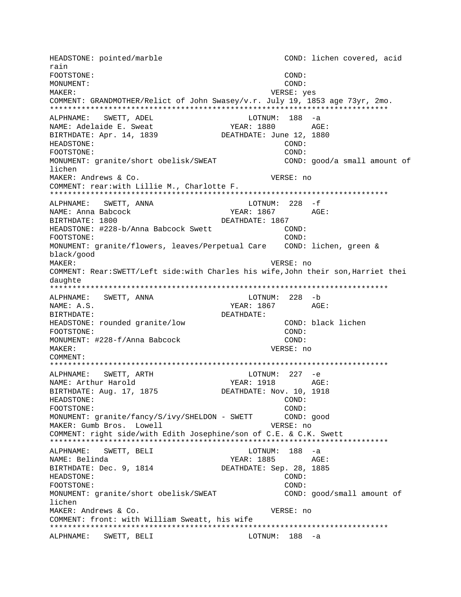HEADSTONE: pointed/marble COND: lichen covered, acid rain FOOTSTONE: COND: MONUMENT: COND: VERSE: yes MAKER: COMMENT: GRANDMOTHER/Relict of John Swasey/v.r. July 19, 1853 age 73yr, 2mo. ALPHNAME: SWETT, ADEL LOTNUM: 188 -a YEAR: 1880 AGE: NAME: Adelaide E. Sweat BIRTHDATE: Apr. 14, 1839 DEATHDATE: June 12, 1880 HEADSTONE: COND: FOOTSTONE: COND: MONUMENT: granite/short obelisk/SWEAT COND: good/a small amount of lichen MAKER: Andrews & Co. VERSE: no COMMENT: rear: with Lillie M., Charlotte F. ALPHNAME: SWETT, ANNA LOTNUM:  $228 - f$ YEAR: 1867 AGE: NAME: Anna Babcock BIRTHDATE: 1800 DEATHDATE: 1867 HEADSTONE: #228-b/Anna Babcock Swett  $COMD:$ FOOTSTONE:  $COMD$ : MONUMENT: granite/flowers, leaves/Perpetual Care COND: lichen, green & black/good MAKER: VERSE: no COMMENT: Rear: SWETT/Left side: with Charles his wife, John their son, Harriet thei daughte ALPHNAME: SWETT, ANNA LOTNUM: 228 -b YEAR: 1867 AGE: NAME: A.S. DEATHDATE: BIRTHDATE: COND: black lichen HEADSTONE: rounded granite/low FOOTSTONE: COND: MONUMENT: #228-f/Anna Babcock COND: VERSE: no MAKER: COMMENT: ALPHNAME: SWETT, ARTH  $LOTNUM: 227 -e$ YEAR: 1918 AGE: NAME: Arthur Harold BIRTHDATE: Aug. 17, 1875 DEATHDATE: Nov. 10, 1918 HEADSTONE: COND: FOOTSTONE: COND: COND: good MONUMENT: granite/fancy/S/ivy/SHELDON - SWETT MAKER: Gumb Bros. Lowell VERSE: no COMMENT: right side/with Edith Josephine/son of C.E. & C.K. Swett ALPHNAME: SWETT, BELI LOTNUM: 188 -a YEAR: 1885 AGE: NAME: Belinda BIRTHDATE: Dec. 9, 1814 DEATHDATE: Sep. 28, 1885 HEADSTONE: COND: FOOTSTONE: COND: MONUMENT: granite/short obelisk/SWEAT COND: good/small amount of lichen MAKER: Andrews & Co. VERSE: no COMMENT: front: with William Sweatt, his wife ALPHNAME: SWETT, BELI LOTNUM: 188 -a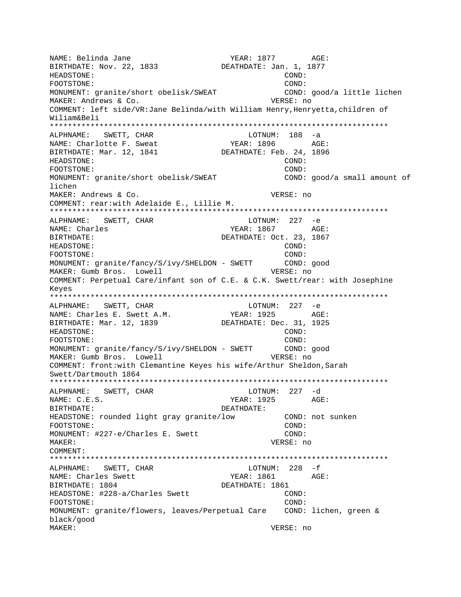NAME: Belinda Jane YEAR: 1877 AGE: BIRTHDATE: Nov. 22, 1833 DEATHDATE: Jan. 1, 1877 HEADSTONE: COND: FOOTSTONE: COND: MONUMENT: granite/short obelisk/SWEAT COND: good/a little lichen MAKER: Andrews & Co. VERSE: no COMMENT: left side/VR:Jane Belinda/with William Henry,Henryetta,children of Wiliam&Beli \*\*\*\*\*\*\*\*\*\*\*\*\*\*\*\*\*\*\*\*\*\*\*\*\*\*\*\*\*\*\*\*\*\*\*\*\*\*\*\*\*\*\*\*\*\*\*\*\*\*\*\*\*\*\*\*\*\*\*\*\*\*\*\*\*\*\*\*\*\*\*\*\*\*\* ALPHNAME: SWETT, CHAR NAME: Charlotte F. Sweat YEAR: 1896 AGE: BIRTHDATE: Mar. 12, 1841 DEATHDATE: Feb. 24, 1896 HEADSTONE: COND: FOOTSTONE: COND: MONUMENT: granite/short obelisk/SWEAT COND: good/a small amount of lichen MAKER: Andrews & Co. VERSE: no COMMENT: rear:with Adelaide E., Lillie M. \*\*\*\*\*\*\*\*\*\*\*\*\*\*\*\*\*\*\*\*\*\*\*\*\*\*\*\*\*\*\*\*\*\*\*\*\*\*\*\*\*\*\*\*\*\*\*\*\*\*\*\*\*\*\*\*\*\*\*\*\*\*\*\*\*\*\*\*\*\*\*\*\*\*\* ALPHNAME: SWETT, CHAR LOTNUM: 227 -e NAME: Charles Text Charles TEAR: 1867 AGE: BIRTHDATE: DEATHDATE: Oct. 23, 1867 HEADSTONE: COND: FOOTSTONE: COND: MONUMENT: granite/fancy/S/ivy/SHELDON - SWETT COND: good MAKER: Gumb Bros. Lowell MAKER: Gumb Bros. Lowell COMMENT: Perpetual Care/infant son of C.E. & C.K. Swett/rear: with Josephine Keyes \*\*\*\*\*\*\*\*\*\*\*\*\*\*\*\*\*\*\*\*\*\*\*\*\*\*\*\*\*\*\*\*\*\*\*\*\*\*\*\*\*\*\*\*\*\*\*\*\*\*\*\*\*\*\*\*\*\*\*\*\*\*\*\*\*\*\*\*\*\*\*\*\*\*\* ALPHNAME: SWETT, CHAR LOTNUM: 227 -e NAME: Charles E. Swett A.M. YEAR: 1925 AGE: BIRTHDATE: Mar. 12, 1839 DEATHDATE: Dec. 31, 1925 HEADSTONE: COND: FOOTSTONE: COND: MONUMENT: granite/fancy/S/ivy/SHELDON - SWETT COND: good MAKER: Gumb Bros. Lowell MAKER: Gumb Bros. Lowell COMMENT: front:with Clemantine Keyes his wife/Arthur Sheldon,Sarah Swett/Dartmouth 1864 \*\*\*\*\*\*\*\*\*\*\*\*\*\*\*\*\*\*\*\*\*\*\*\*\*\*\*\*\*\*\*\*\*\*\*\*\*\*\*\*\*\*\*\*\*\*\*\*\*\*\*\*\*\*\*\*\*\*\*\*\*\*\*\*\*\*\*\*\*\*\*\*\*\*\* ALPHNAME: SWETT, CHAR NAME: C.E.S. YEAR: 1925 AGE: BIRTHDATE: DEATHDATE: HEADSTONE: rounded light gray granite/low COND: not sunken FOOTSTONE: COND: MONUMENT: #227-e/Charles E. Swett COND: MAKER: VERSE: no COMMENT: \*\*\*\*\*\*\*\*\*\*\*\*\*\*\*\*\*\*\*\*\*\*\*\*\*\*\*\*\*\*\*\*\*\*\*\*\*\*\*\*\*\*\*\*\*\*\*\*\*\*\*\*\*\*\*\*\*\*\*\*\*\*\*\*\*\*\*\*\*\*\*\*\*\*\* ALPHNAME: SWETT, CHAR NAME: Charles Swett YEAR: 1861 AGE: BIRTHDATE: 1804 DEATHDATE: 1861 HEADSTONE: #228-a/Charles Swett COND: FOOTSTONE: COND: MONUMENT: granite/flowers, leaves/Perpetual Care COND: lichen, green & black/good MAKER: VERSE: no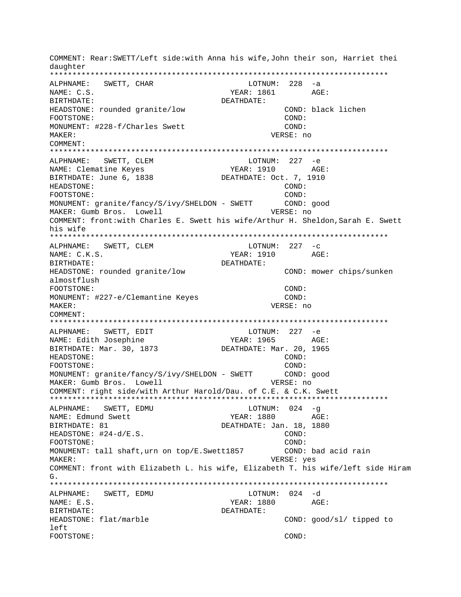COMMENT: Rear: SWETT/Left side: with Anna his wife, John their son, Harriet thei daughter LOTNUM: 228 -a ALPHNAME: SWETT, CHAR YEAR: 1861 AGE: NAME: C.S. BIRTHDATE: DEATHDATE: HEADSTONE: rounded granite/low COND: black lichen FOOTSTONE: COND: MONUMENT: #228-f/Charles Swett COND: MAKER: VERSE: no  $COMM$  $\Gamma$ n $T$ : ALPHNAME: SWETT, CLEM LOTNUM: 227 -e **YEAR: 1910** NAME: Clematine Keyes AGE: BIRTHDATE: June 6, 1838 DEATHDATE: Oct. 7, 1910 HEADSTONE:  $\texttt{COND}:$ COND: FOOTSTONE: MONUMENT: granite/fancy/S/ivy/SHELDON - SWETT COND: good MAKER: Gumb Bros. Lowell VERSE: no COMMENT: front:with Charles E. Swett his wife/Arthur H. Sheldon, Sarah E. Swett his wife ALPHNAME: SWETT, CLEM LOTNUM:  $227 - c$ YEAR: 1910 AGE: NAME: C.K.S. BIRTHDATE: DEATHDATE: HEADSTONE: rounded granite/low COND: mower chips/sunken almostflush COND: FOOTSTONE: MONUMENT: #227-e/Clemantine Keyes  $COMD:$ VERSE: no MAKER: COMMENT: SWETT, EDIT LOTNUM:  $227 - e$ ALPHNAME: NAME: Edith Josephine YEAR: 1965 AGE: BIRTHDATE: Mar. 30, 1873 DEATHDATE: Mar. 20, 1965 HEADSTONE: COND: FOOTSTONE: COND: MONUMENT: qranite/fancy/S/ivy/SHELDON - SWETT COND: good MAKER: Gumb Bros. Lowell VERSE: no COMMENT: right side/with Arthur Harold/Dau. of C.E. & C.K. Swett ALPHNAME: SWETT, EDMU LOTNUM: 024 -g YEAR: 1880 AGE: NAME: Edmund Swett DEATHDATE: Jan. 18, 1880 BIRTHDATE: 81 HEADSTONE:  $#24-d/E.S.$ COND: COND: FOOTSTONE: MONUMENT: tall shaft, urn on top/E.Swett1857 COND: bad acid rain VERSE: yes MAKER: COMMENT: front with Elizabeth L. his wife, Elizabeth T. his wife/left side Hiram ALPHNAME: SWETT, EDMU LOTNUM: 024 -d NAME: E.S. YEAR: 1880 AGE: BIRTHDATE: DEATHDATE: HEADSTONE: flat/marble COND: good/sl/ tipped to left FOOTSTONE: COND: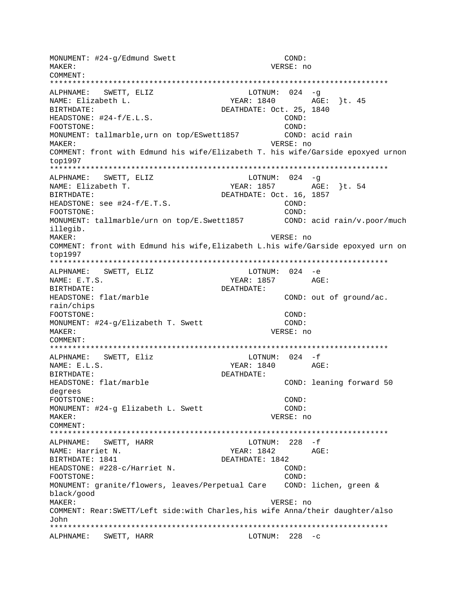MONUMENT: #24-q/Edmund Swett COND: VERSE: no MAKER: COMMENT: LOTNUM:  $024 - q$ ALPHNAME: SWETT, ELIZ NAME: Elizabeth L. YEAR: 1840 AGE: }t. 45 BIRTHDATE: DEATHDATE: Oct. 25, 1840 HEADSTONE:  $#24-f/E.L.S.$ COND: COND: FOOTSTONE: MONUMENT: tallmarble, urn on top/ESwett1857 COND: acid rain MAKER: VERSE: no COMMENT: front with Edmund his wife/Elizabeth T. his wife/Garside epoxyed urnon top1997 ALPHNAME: SWETT, ELIZ LOTNUM:  $024 - q$ YEAR: 1857 AGE: }t. 54 NAME: Elizabeth T. BIRTHDATE: DEATHDATE: Oct. 16, 1857 HEADSTONE: see #24-f/E.T.S. COND: COND: FOOTSTONE: MONUMENT: tallmarble/urn on top/E.Swett1857 COND: acid rain/v.poor/much illegib. VERSE: no MAKER: COMMENT: front with Edmund his wife, Elizabeth L.his wife/Garside epoxyed urn on top1997 ALPHNAME: SWETT, ELIZ LOTNUM: 024 -e  $NAME: E.T.S.$ YEAR: 1857 AGE: BIRTHDATE: DEATHDATE: HEADSTONE: flat/marble COND: out of ground/ac. rain/chips COND: FOOTSTONE: COND: MONUMENT: #24-g/Elizabeth T. Swett MAKER: VERSE: no COMMENT: ALPHNAME: SWETT, Eliz  $LOTNUM: 024 - f$ YEAR: 1840 AGE:  $NAME: E.L.S.$ BIRTHDATE: DEATHDATE: HEADSTONE: flat/marble COND: leaning forward 50 degrees COND: FOOTSTONE: MONUMENT: #24-g Elizabeth L. Swett COND: MAKER: VERSE: no COMMENT: LOTNUM:  $228 - f$ ALPHNAME: SWETT, HARR YEAR: 1842 AGE: NAME: Harriet N. BIRTHDATE: 1841 DEATHDATE: 1842 HEADSTONE: #228-c/Harriet N. COND: FOOTSTONE: COND: MONUMENT: granite/flowers, leaves/Perpetual Care COND: lichen, green & black/good MAKER: VERSE: no COMMENT: Rear: SWETT/Left side: with Charles, his wife Anna/their daughter/also ٦ohn ALPHNAME: SWETT, HARR  $LOTNUM: 228 -c$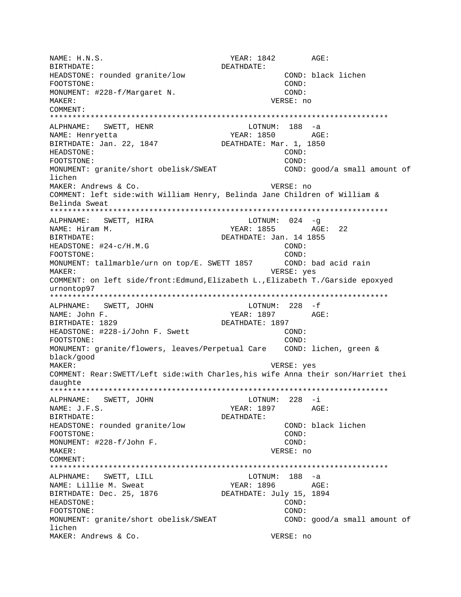NAME: H.N.S. YEAR: 1842 AGE: BIRTHDATE: DEATHDATE: HEADSTONE: rounded granite/low COND: black lichen FOOTSTONE: COND: MONUMENT: #228-f/Margaret N. COND: MAKER: VERSE: no COMMENT: \*\*\*\*\*\*\*\*\*\*\*\*\*\*\*\*\*\*\*\*\*\*\*\*\*\*\*\*\*\*\*\*\*\*\*\*\*\*\*\*\*\*\*\*\*\*\*\*\*\*\*\*\*\*\*\*\*\*\*\*\*\*\*\*\*\*\*\*\*\*\*\*\*\*\* ALPHNAME: SWETT, HENR NAME: Henryetta (AGE: 1850)<br>BIRTHDATE: Jan. 22, 1847 (DEATHDATE: Mar. 1, 1850) BIRTHDATE: Jan. 22, 1847 HEADSTONE: COND: FOOTSTONE: COND: MONUMENT: granite/short obelisk/SWEAT COND: good/a small amount of lichen MAKER: Andrews & Co. The Contract of the Contract of the VERSE: no COMMENT: left side:with William Henry, Belinda Jane Children of William & Belinda Sweat \*\*\*\*\*\*\*\*\*\*\*\*\*\*\*\*\*\*\*\*\*\*\*\*\*\*\*\*\*\*\*\*\*\*\*\*\*\*\*\*\*\*\*\*\*\*\*\*\*\*\*\*\*\*\*\*\*\*\*\*\*\*\*\*\*\*\*\*\*\*\*\*\*\*\* ALPHNAME: SWETT, HIRA LOTNUM: 024 -q NAME: Hiram M. Same Communication of the MEAR: 1855 AGE: 22 BIRTHDATE: DEATHDATE: Jan. 14 1855 HEADSTONE:  $\#24-c/H.M.G$  COND: FOOTSTONE: COND: MONUMENT: tallmarble/urn on top/E. SWETT 1857 COND: bad acid rain MAKER: VERSE: yes COMMENT: on left side/front:Edmund,Elizabeth L.,Elizabeth T./Garside epoxyed urnontop97 \*\*\*\*\*\*\*\*\*\*\*\*\*\*\*\*\*\*\*\*\*\*\*\*\*\*\*\*\*\*\*\*\*\*\*\*\*\*\*\*\*\*\*\*\*\*\*\*\*\*\*\*\*\*\*\*\*\*\*\*\*\*\*\*\*\*\*\*\*\*\*\*\*\*\* ALPHNAME: SWETT, JOHN NAME: John F. YEAR: 1897 AGE: BIRTHDATE: 1829 DEATHDATE: 1897 HEADSTONE: #228-i/John F. Swett COND: FOOTSTONE: COND: MONUMENT: granite/flowers, leaves/Perpetual Care COND: lichen, green & black/good MAKER: VERSE: yes COMMENT: Rear:SWETT/Left side:with Charles,his wife Anna their son/Harriet thei daughte \*\*\*\*\*\*\*\*\*\*\*\*\*\*\*\*\*\*\*\*\*\*\*\*\*\*\*\*\*\*\*\*\*\*\*\*\*\*\*\*\*\*\*\*\*\*\*\*\*\*\*\*\*\*\*\*\*\*\*\*\*\*\*\*\*\*\*\*\*\*\*\*\*\*\* ALPHNAME: SWETT, JOHN LOTNUM: 228 -i NAME: J.F.S. AGE: YEAR: 1897 AGE: BIRTHDATE: DEATHDATE: HEADSTONE: rounded granite/low COND: black lichen FOOTSTONE: COND: MONUMENT:  $\#228-f/\text{John F}$ . COND: MAKER: VERSE: no COMMENT: \*\*\*\*\*\*\*\*\*\*\*\*\*\*\*\*\*\*\*\*\*\*\*\*\*\*\*\*\*\*\*\*\*\*\*\*\*\*\*\*\*\*\*\*\*\*\*\*\*\*\*\*\*\*\*\*\*\*\*\*\*\*\*\*\*\*\*\*\*\*\*\*\*\*\* ALPHNAME: SWETT, LILL NAME: Lillie M. Sweat YEAR: 1896 AGE: BIRTHDATE: Dec. 25, 1876 DEATHDATE: July 15, 1894 HEADSTONE: COND: FOOTSTONE: COND: MONUMENT: granite/short obelisk/SWEAT COND: good/a small amount of lichen MAKER: Andrews & Co. The Contract of the Contract of the VERSE: no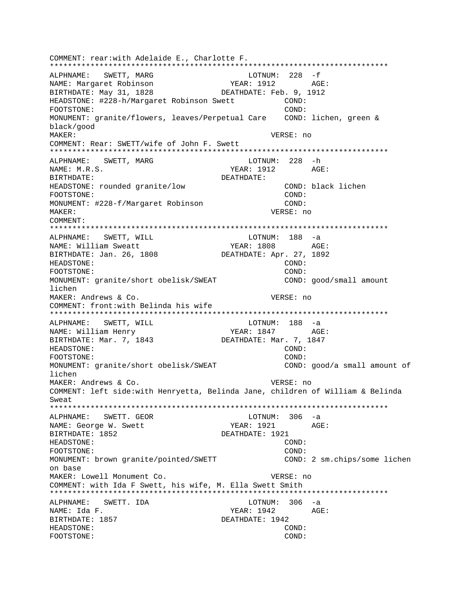COMMENT: rear:with Adelaide E., Charlotte F. \*\*\*\*\*\*\*\*\*\*\*\*\*\*\*\*\*\*\*\*\*\*\*\*\*\*\*\*\*\*\*\*\*\*\*\*\*\*\*\*\*\*\*\*\*\*\*\*\*\*\*\*\*\*\*\*\*\*\*\*\*\*\*\*\*\*\*\*\*\*\*\*\*\*\* LOTNUM: 228 -f NAME: Margaret Robinson YEAR: 1912 AGE: BIRTHDATE: May 31, 1828 DEATHDATE: Feb. 9, 1912 HEADSTONE: #228-h/Margaret Robinson Swett COND: FOOTSTONE: COND: MONUMENT: granite/flowers, leaves/Perpetual Care COND: lichen, green & black/good MAKER: VERSE: no COMMENT: Rear: SWETT/wife of John F. Swett \*\*\*\*\*\*\*\*\*\*\*\*\*\*\*\*\*\*\*\*\*\*\*\*\*\*\*\*\*\*\*\*\*\*\*\*\*\*\*\*\*\*\*\*\*\*\*\*\*\*\*\*\*\*\*\*\*\*\*\*\*\*\*\*\*\*\*\*\*\*\*\*\*\*\* ALPHNAME: SWETT, MARG LOTNUM: 228 -h NAME: M.R.S. YEAR: 1912 AGE: BIRTHDATE: DEATHDATE: HEADSTONE: rounded granite/low COND: black lichen FOOTSTONE: COND: MONUMENT: #228-f/Margaret Robinson COND: MAKER: VERSE: no COMMENT: \*\*\*\*\*\*\*\*\*\*\*\*\*\*\*\*\*\*\*\*\*\*\*\*\*\*\*\*\*\*\*\*\*\*\*\*\*\*\*\*\*\*\*\*\*\*\*\*\*\*\*\*\*\*\*\*\*\*\*\*\*\*\*\*\*\*\*\*\*\*\*\*\*\*\* ALPHNAME: SWETT, WILL CONNECTRITION ALPHNAME: SWETT, WILL NAME: William Sweatt  $YERR: 1808$  AGE: BIRTHDATE: Jan. 26, 1808 DEATHDATE: Apr. 27, 1892 HEADSTONE: COND: FOOTSTONE: COND: MONUMENT: granite/short obelisk/SWEAT COND: good/small amount lichen MAKER: Andrews & Co. VERSE: no COMMENT: front:with Belinda his wife \*\*\*\*\*\*\*\*\*\*\*\*\*\*\*\*\*\*\*\*\*\*\*\*\*\*\*\*\*\*\*\*\*\*\*\*\*\*\*\*\*\*\*\*\*\*\*\*\*\*\*\*\*\*\*\*\*\*\*\*\*\*\*\*\*\*\*\*\*\*\*\*\*\*\* ALPHNAME: SWETT, WILL CONNECTRITION: 188 -a NAME: William Henry TEAR: 1847 AGE: BIRTHDATE: Mar. 7, 1843 DEATHDATE: Mar. 7, 1847 HEADSTONE: COND: FOOTSTONE: COND: MONUMENT: granite/short obelisk/SWEAT COND: good/a small amount of lichen MAKER: Andrews & Co. The Contract of the Contract of the VERSE: no COMMENT: left side:with Henryetta, Belinda Jane, children of William & Belinda Sweat \*\*\*\*\*\*\*\*\*\*\*\*\*\*\*\*\*\*\*\*\*\*\*\*\*\*\*\*\*\*\*\*\*\*\*\*\*\*\*\*\*\*\*\*\*\*\*\*\*\*\*\*\*\*\*\*\*\*\*\*\*\*\*\*\*\*\*\*\*\*\*\*\*\*\* ALPHNAME: SWETT. GEOR CONTROLL BOTNUM: 306 -a NAME: George W. Swett YEAR: 1921 AGE: BIRTHDATE: 1852 DEATHDATE: 1921 HEADSTONE: COND: FOOTSTONE: COND: MONUMENT: brown granite/pointed/SWETT COND: 2 sm.chips/some lichen on base MAKER: Lowell Monument Co. The Communist Communist Communist Communist Communist Communist Communist Communist Communist Communist Communist Communist Communist Communist Communist Communist Communist Communist Communist C COMMENT: with Ida F Swett, his wife, M. Ella Swett Smith \*\*\*\*\*\*\*\*\*\*\*\*\*\*\*\*\*\*\*\*\*\*\*\*\*\*\*\*\*\*\*\*\*\*\*\*\*\*\*\*\*\*\*\*\*\*\*\*\*\*\*\*\*\*\*\*\*\*\*\*\*\*\*\*\*\*\*\*\*\*\*\*\*\*\* ALPHNAME: SWETT. IDA LOTNUM: 306 -a NAME: Ida F. YEAR: 1942 AGE: BIRTHDATE: 1857 DEATHDATE: 1942 HEADSTONE: COND: FOOTSTONE: COND: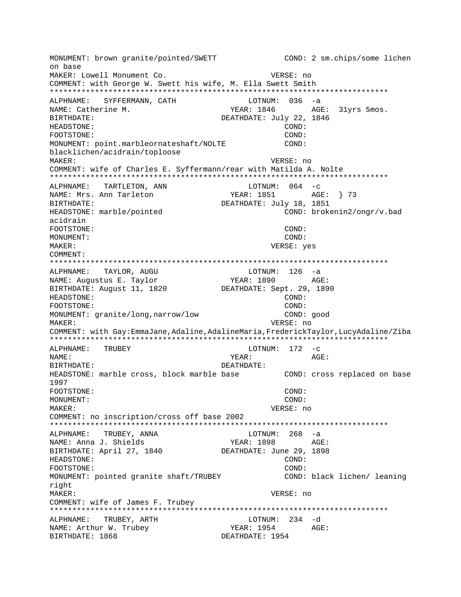MONUMENT: brown granite/pointed/SWETT COND: 2 sm.chips/some lichen on base MAKER: Lowell Monument Co. VERSE: no COMMENT: with George W. Swett his wife, M. Ella Swett Smith ALPHNAME: SYFFERMANN, CATH  $LOTNUM: 036 -a$ NAME: Catherine M. YEAR: 1846 AGE: 31vrs 5mos. DEATHDATE: July 22, 1846 **RIRTHDATE: HEADSTONE:** COND: FOOTSTONE:  $COND:$ MONUMENT: point.marbleornateshaft/NOLTE  $CONF:$ blacklichen/acidrain/toploose **MAKER:** VERSE: no COMMENT: wife of Charles E. Syffermann/rear with Matilda A. Nolte ALPHNAME: TARTLETON, ANN LOTNUM:  $064 - c$ NAME: Mrs. Ann Tarleton BIRTHDATE: DEATHDATE: July 18, 1851 COND: brokenin2/ongr/v.bad HEADSTONE: marble/pointed acidrain FOOTSTONE: COND: MONUMENT: COND: MAKER: VERSE: yes COMMENT: TAYLOR, AUGU LOTNUM: 126 -a ALPHNAME: YEAR: 1890 AGE: NAME: Augustus E. Taylor BIRTHDATE: August 11, 1820 DEATHDATE: Sept. 29, 1890 HEADSTONE:  $COMD$ : FOOTSTONE:  $COMD:$ MONUMENT: granite/long, narrow/low COND: good MAKER: VERSE: no COMMENT: with Gay:EmmaJane,Adaline,AdalineMaria,FrederickTaylor,LucyAdaline/Ziba ALPHNAME: TRUBEY LOTNUM:  $172 - c$ NAME: YEAR: AGE: BIRTHDATE: DEATHDATE: HEADSTONE: marble cross, block marble base COND: cross replaced on base 1997 COND: FOOTSTONE: MONUMENT: COND: MAKER: VERSE: no COMMENT: no inscription/cross off base 2002 ALPHNAME: TRUBEY, ANNA  $LOTNUM: 268 -a$ YEAR: 1898 AGE: NAME: Anna J. Shields BIRTHDATE: April 27, 1840 DEATHDATE: June 29, 1898 HEADSTONE: COND: FOOTSTONE: COND: MONUMENT: pointed granite shaft/TRUBEY COND: black lichen/ leaning right MAKER: VERSE: no COMMENT: wife of James F. Trubey ALPHNAME: TRUBEY, ARTH LOTNUM: 234 -d YEAR: 1954 NAME: Arthur W. Trubey AGE: BIRTHDATE: 1868 DEATHDATE: 1954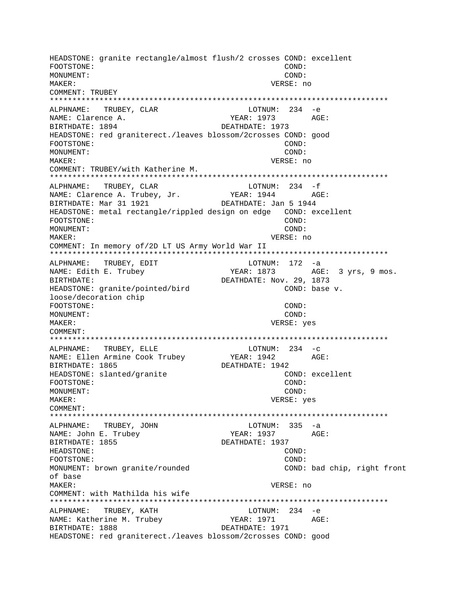HEADSTONE: granite rectangle/almost flush/2 crosses COND: excellent FOOTSTONE: COND: MONUMENT: COND: MAKER: VERSE: no COMMENT: TRUBEY \*\*\*\*\*\*\*\*\*\*\*\*\*\*\*\*\*\*\*\*\*\*\*\*\*\*\*\*\*\*\*\*\*\*\*\*\*\*\*\*\*\*\*\*\*\*\*\*\*\*\*\*\*\*\*\*\*\*\*\*\*\*\*\*\*\*\*\*\*\*\*\*\*\*\* ALPHNAME: TRUBEY, CLAR LOTNUM: 234 -e NAME: Clarence A. YEAR: 1973 AGE: BIRTHDATE: 1894 DEATHDATE: 1973 HEADSTONE: red graniterect./leaves blossom/2crosses COND: good FOOTSTONE: COND: MONUMENT: COND: MAKER: VERSE: no COMMENT: TRUBEY/with Katherine M. \*\*\*\*\*\*\*\*\*\*\*\*\*\*\*\*\*\*\*\*\*\*\*\*\*\*\*\*\*\*\*\*\*\*\*\*\*\*\*\*\*\*\*\*\*\*\*\*\*\*\*\*\*\*\*\*\*\*\*\*\*\*\*\*\*\*\*\*\*\*\*\*\*\*\* ALPHNAME: TRUBEY, CLAR NAME: Clarence A. Trubey, Jr. YEAR: 1944 AGE: BIRTHDATE: Mar 31 1921 DEATHDATE: Jan 5 1944 HEADSTONE: metal rectangle/rippled design on edge COND: excellent FOOTSTONE: COND: MONUMENT: COND: MAKER: VERSE: no COMMENT: In memory of/2D LT US Army World War II \*\*\*\*\*\*\*\*\*\*\*\*\*\*\*\*\*\*\*\*\*\*\*\*\*\*\*\*\*\*\*\*\*\*\*\*\*\*\*\*\*\*\*\*\*\*\*\*\*\*\*\*\*\*\*\*\*\*\*\*\*\*\*\*\*\*\*\*\*\*\*\*\*\*\* ALPHNAME: TRUBEY, EDIT COTNUM: 172 -a NAME: Edith E. Trubey TEAR: 1873 AGE: 3 yrs, 9 mos. BIRTHDATE: DEATHDATE: Nov. 29, 1873 HEADSTONE: granite/pointed/bird COND: base v. loose/decoration chip FOOTSTONE: COND: MONUMENT: COND: MAKER: VERSE: yes COMMENT: \*\*\*\*\*\*\*\*\*\*\*\*\*\*\*\*\*\*\*\*\*\*\*\*\*\*\*\*\*\*\*\*\*\*\*\*\*\*\*\*\*\*\*\*\*\*\*\*\*\*\*\*\*\*\*\*\*\*\*\*\*\*\*\*\*\*\*\*\*\*\*\*\*\*\* ALPHNAME: TRUBEY, ELLE LOTNUM: 234 -c NAME: Ellen Armine Cook Trubey YEAR: 1942 AGE: BIRTHDATE: 1865 DEATHDATE: 1942 HEADSTONE: slanted/granite COND: excellent FOOTSTONE: COND: MONUMENT: COND: MAKER: VERSE: yes COMMENT: \*\*\*\*\*\*\*\*\*\*\*\*\*\*\*\*\*\*\*\*\*\*\*\*\*\*\*\*\*\*\*\*\*\*\*\*\*\*\*\*\*\*\*\*\*\*\*\*\*\*\*\*\*\*\*\*\*\*\*\*\*\*\*\*\*\*\*\*\*\*\*\*\*\*\* ALPHNAME: TRUBEY, JOHN CONNECTED BOTNUM: 335 -a NAME: John E. Trubey  $YEAR: 1937$  AGE: BIRTHDATE: 1855 DEATHDATE: 1937 HEADSTONE: COND: FOOTSTONE: COND: MONUMENT: brown granite/rounded COND: bad chip, right front of base MAKER: VERSE: no COMMENT: with Mathilda his wife \*\*\*\*\*\*\*\*\*\*\*\*\*\*\*\*\*\*\*\*\*\*\*\*\*\*\*\*\*\*\*\*\*\*\*\*\*\*\*\*\*\*\*\*\*\*\*\*\*\*\*\*\*\*\*\*\*\*\*\*\*\*\*\*\*\*\*\*\*\*\*\*\*\*\* ALPHNAME: TRUBEY, KATH LOTNUM: 234 -e NAME: Katherine M. Trubey YEAR: 1971 AGE: BIRTHDATE: 1888 DEATHDATE: 1971 HEADSTONE: red graniterect./leaves blossom/2crosses COND: good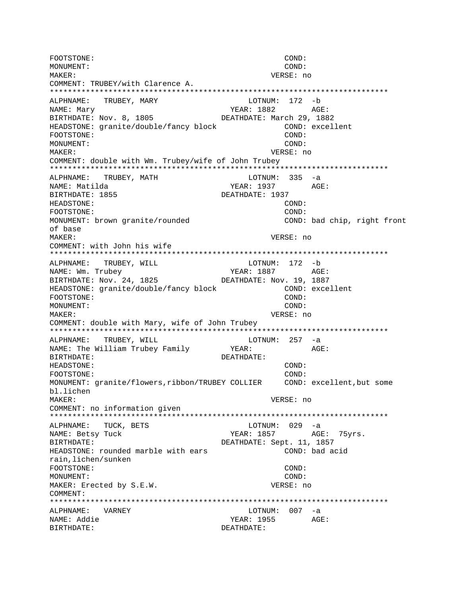FOOTSTONE: COND: MONUMENT: COND: MAKER: VERSE: no COMMENT: TRUBEY/with Clarence A. \*\*\*\*\*\*\*\*\*\*\*\*\*\*\*\*\*\*\*\*\*\*\*\*\*\*\*\*\*\*\*\*\*\*\*\*\*\*\*\*\*\*\*\*\*\*\*\*\*\*\*\*\*\*\*\*\*\*\*\*\*\*\*\*\*\*\*\*\*\*\*\*\*\*\* ALPHNAME: TRUBEY, MARY LOTNUM: 172 -b NAME: Mary YEAR: 1882 AGE: BIRTHDATE: Nov. 8, 1805 DEATHDATE: March 29, 1882 HEADSTONE: granite/double/fancy block COND: excellent FOOTSTONE: COND: MONUMENT: COND: MAKER: VERSE: no COMMENT: double with Wm. Trubey/wife of John Trubey \*\*\*\*\*\*\*\*\*\*\*\*\*\*\*\*\*\*\*\*\*\*\*\*\*\*\*\*\*\*\*\*\*\*\*\*\*\*\*\*\*\*\*\*\*\*\*\*\*\*\*\*\*\*\*\*\*\*\*\*\*\*\*\*\*\*\*\*\*\*\*\*\*\*\* ALPHNAME: TRUBEY, MATH LOTNUM: 335 -a NAME: Matilda YEAR: 1937 AGE: BIRTHDATE: 1855 DEATHDATE: 1937 HEADSTONE: COND: FOOTSTONE: COND: MONUMENT: brown granite/rounded COND: bad chip, right front of base MAKER: VERSE: no COMMENT: with John his wife \*\*\*\*\*\*\*\*\*\*\*\*\*\*\*\*\*\*\*\*\*\*\*\*\*\*\*\*\*\*\*\*\*\*\*\*\*\*\*\*\*\*\*\*\*\*\*\*\*\*\*\*\*\*\*\*\*\*\*\*\*\*\*\*\*\*\*\*\*\*\*\*\*\*\* ALPHNAME: TRUBEY, WILL CONNUM: 172 -b NAME: Wm. Trubey The Mass of the MEAR: 1887 AGE: BIRTHDATE: Nov. 24, 1825 DEATHDATE: Nov. 19, 1887 HEADSTONE: granite/double/fancy block COND: excellent FOOTSTONE: COND: MONUMENT: COND: MAKER: VERSE: no COMMENT: double with Mary, wife of John Trubey \*\*\*\*\*\*\*\*\*\*\*\*\*\*\*\*\*\*\*\*\*\*\*\*\*\*\*\*\*\*\*\*\*\*\*\*\*\*\*\*\*\*\*\*\*\*\*\*\*\*\*\*\*\*\*\*\*\*\*\*\*\*\*\*\*\*\*\*\*\*\*\*\*\*\* ALPHNAME: TRUBEY, WILL LOTNUM: 257 -a NAME: The William Trubey Family YEAR: AGE: BIRTHDATE: DEATHDATE: HEADSTONE: COND: FOOTSTONE: COND: MONUMENT: granite/flowers,ribbon/TRUBEY COLLIER COND: excellent,but some bl.lichen MAKER: VERSE: no COMMENT: no information given \*\*\*\*\*\*\*\*\*\*\*\*\*\*\*\*\*\*\*\*\*\*\*\*\*\*\*\*\*\*\*\*\*\*\*\*\*\*\*\*\*\*\*\*\*\*\*\*\*\*\*\*\*\*\*\*\*\*\*\*\*\*\*\*\*\*\*\*\*\*\*\*\*\*\* ALPHNAME: TUCK, BETS NAME: Betsy Tuck Tuck YEAR: 1857 AGE: 75yrs. BIRTHDATE: Sept. 11, 1857 HEADSTONE: rounded marble with ears COND: bad acid rain,lichen/sunken FOOTSTONE: COND: MONUMENT: COND: MAKER: Erected by S.E.W. VERSE: no COMMENT: \*\*\*\*\*\*\*\*\*\*\*\*\*\*\*\*\*\*\*\*\*\*\*\*\*\*\*\*\*\*\*\*\*\*\*\*\*\*\*\*\*\*\*\*\*\*\*\*\*\*\*\*\*\*\*\*\*\*\*\*\*\*\*\*\*\*\*\*\*\*\*\*\*\*\* ALPHNAME: VARNEY LOTNUM: 007 -a NAME: Addie YEAR: 1955 AGE: BIRTHDATE: DEATHDATE: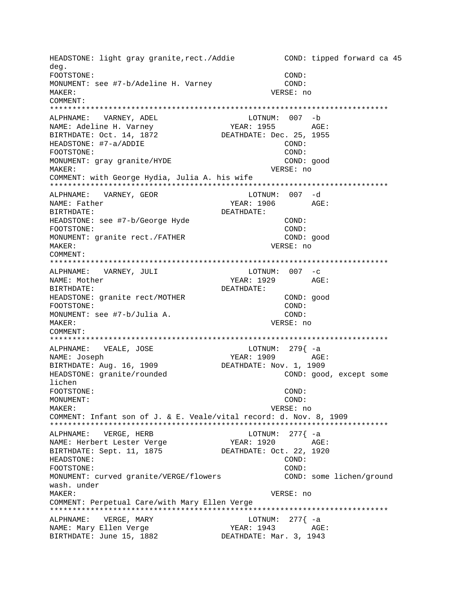HEADSTONE: light gray granite, rect./Addie COND: tipped forward ca 45 deg. FOOTSTONE: COND: MONUMENT: see #7-b/Adeline H. Varney COND: MAKER: VERSE: no COMMENT: \*\*\*\*\*\*\*\*\*\*\*\*\*\*\*\*\*\*\*\*\*\*\*\*\*\*\*\*\*\*\*\*\*\*\*\*\*\*\*\*\*\*\*\*\*\*\*\*\*\*\*\*\*\*\*\*\*\*\*\*\*\*\*\*\*\*\*\*\*\*\*\*\*\*\* ALPHNAME: VARNEY, ADEL LOTNUM: 007 -b NAME: Adeline H. Varney The YEAR: 1955 AGE: BIRTHDATE: Oct. 14, 1872 DEATHDATE: Dec. 25, 1955 HEADSTONE: #7-a/ADDIE COND: FOOTSTONE: COND: MONUMENT: gray granite/HYDE COND: good MAKER: VERSE: no COMMENT: with George Hydia, Julia A. his wife \*\*\*\*\*\*\*\*\*\*\*\*\*\*\*\*\*\*\*\*\*\*\*\*\*\*\*\*\*\*\*\*\*\*\*\*\*\*\*\*\*\*\*\*\*\*\*\*\*\*\*\*\*\*\*\*\*\*\*\*\*\*\*\*\*\*\*\*\*\*\*\*\*\*\* ALPHNAME: VARNEY, GEOR NAME: Father YEAR: 1906 AGE: BIRTHDATE: DEATHDATE: HEADSTONE: see #7-b/George Hyde COND: FOOTSTONE: COND: MONUMENT: granite rect./FATHER MAKER: VERSE: no COMMENT: \*\*\*\*\*\*\*\*\*\*\*\*\*\*\*\*\*\*\*\*\*\*\*\*\*\*\*\*\*\*\*\*\*\*\*\*\*\*\*\*\*\*\*\*\*\*\*\*\*\*\*\*\*\*\*\*\*\*\*\*\*\*\*\*\*\*\*\*\*\*\*\*\*\*\* ALPHNAME: VARNEY, JULI NAME: Mother The Magnus of the YEAR: 1929 AGE: BIRTHDATE: DEATHDATE: HEADSTONE: granite rect/MOTHER COND: good FOOTSTONE: COND: MONUMENT: see #7-b/Julia A. COND: MAKER: VERSE: no COMMENT: \*\*\*\*\*\*\*\*\*\*\*\*\*\*\*\*\*\*\*\*\*\*\*\*\*\*\*\*\*\*\*\*\*\*\*\*\*\*\*\*\*\*\*\*\*\*\*\*\*\*\*\*\*\*\*\*\*\*\*\*\*\*\*\*\*\*\*\*\*\*\*\*\*\*\* ALPHNAME: VEALE, JOSE LOTNUM: 279 -a NAME: Joseph (NAME: Joseph AGE: 1909)<br>BIRTHDATE: Aug. 16, 1909 (DEATHDATE: Nov. 1, 1909) BIRTHDATE: Aug. 16, 1909 HEADSTONE: granite/rounded COND: good, except some lichen FOOTSTONE: COND: MONUMENT: COND: MAKER: VERSE: no COMMENT: Infant son of J. & E. Veale/vital record: d. Nov. 8, 1909 \*\*\*\*\*\*\*\*\*\*\*\*\*\*\*\*\*\*\*\*\*\*\*\*\*\*\*\*\*\*\*\*\*\*\*\*\*\*\*\*\*\*\*\*\*\*\*\*\*\*\*\*\*\*\*\*\*\*\*\*\*\*\*\*\*\*\*\*\*\*\*\*\*\*\* ALPHNAME: VERGE, HERB LOTNUM: 277{ -a NAME: Herbert Lester Verge YEAR: 1920 AGE: BIRTHDATE: Sept. 11, 1875 DEATHDATE: Oct. 22, 1920 HEADSTONE: COND: FOOTSTONE: COND: MONUMENT: curved granite/VERGE/flowers COND: some lichen/ground wash. under MAKER: VERSE: no COMMENT: Perpetual Care/with Mary Ellen Verge \*\*\*\*\*\*\*\*\*\*\*\*\*\*\*\*\*\*\*\*\*\*\*\*\*\*\*\*\*\*\*\*\*\*\*\*\*\*\*\*\*\*\*\*\*\*\*\*\*\*\*\*\*\*\*\*\*\*\*\*\*\*\*\*\*\*\*\*\*\*\*\*\*\*\* ALPHNAME: VERGE, MARY LOTNUM: 277{ -a NAME: Mary Ellen Verge The YEAR: 1943 AGE: BIRTHDATE: June 15, 1882 DEATHDATE: Mar. 3, 1943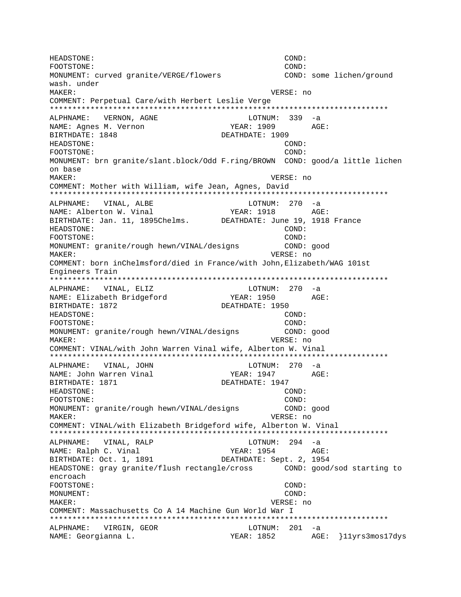HEADSTONE: COND: FOOTSTONE: COND: MONUMENT: curved granite/VERGE/flowers COND: some lichen/ground wash. under MAKER: VERSE: no COMMENT: Perpetual Care/with Herbert Leslie Verge \*\*\*\*\*\*\*\*\*\*\*\*\*\*\*\*\*\*\*\*\*\*\*\*\*\*\*\*\*\*\*\*\*\*\*\*\*\*\*\*\*\*\*\*\*\*\*\*\*\*\*\*\*\*\*\*\*\*\*\*\*\*\*\*\*\*\*\*\*\*\*\*\*\*\* ALPHNAME: VERNON, AGNE LOTNUM: 339 -a NAME: Agnes M. Vernon TEAR: 1909 AGE: BIRTHDATE: 1848 DEATHDATE: 1909 HEADSTONE: COND: FOOTSTONE: COND: MONUMENT: brn granite/slant.block/Odd F.ring/BROWN COND: good/a little lichen on base MAKER: VERSE: no COMMENT: Mother with William, wife Jean, Agnes, David \*\*\*\*\*\*\*\*\*\*\*\*\*\*\*\*\*\*\*\*\*\*\*\*\*\*\*\*\*\*\*\*\*\*\*\*\*\*\*\*\*\*\*\*\*\*\*\*\*\*\*\*\*\*\*\*\*\*\*\*\*\*\*\*\*\*\*\*\*\*\*\*\*\*\* ALPHNAME: VINAL, ALBE LOTNUM: 270 -a NAME: Alberton W. Vinal YEAR: 1918 AGE: BIRTHDATE: Jan. 11, 1895Chelms. DEATHDATE: June 19, 1918 France HEADSTONE: COND: FOOTSTONE: COND: MONUMENT: granite/rough hewn/VINAL/designs COND: good MAKER: VERSE: no COMMENT: born inChelmsford/died in France/with John,Elizabeth/WAG 101st Engineers Train \*\*\*\*\*\*\*\*\*\*\*\*\*\*\*\*\*\*\*\*\*\*\*\*\*\*\*\*\*\*\*\*\*\*\*\*\*\*\*\*\*\*\*\*\*\*\*\*\*\*\*\*\*\*\*\*\*\*\*\*\*\*\*\*\*\*\*\*\*\*\*\*\*\*\* ALPHNAME: VINAL, ELIZ LOTNUM: 270 -a NAME: Elizabeth Bridgeford YEAR: 1950 AGE: BIRTHDATE: 1872 DEATHDATE: 1950 HEADSTONE: COND: FOOTSTONE: COND: MONUMENT: granite/rough hewn/VINAL/designs COND: good MAKER: VERSE: no COMMENT: VINAL/with John Warren Vinal wife, Alberton W. Vinal \*\*\*\*\*\*\*\*\*\*\*\*\*\*\*\*\*\*\*\*\*\*\*\*\*\*\*\*\*\*\*\*\*\*\*\*\*\*\*\*\*\*\*\*\*\*\*\*\*\*\*\*\*\*\*\*\*\*\*\*\*\*\*\*\*\*\*\*\*\*\*\*\*\*\* ALPHNAME: VINAL, JOHN LOTNUM: 270 -a NAME: John Warren Vinal YEAR: 1947 AGE: BIRTHDATE: 1871 DEATHDATE: 1947 HEADSTONE: COND: FOOTSTONE: COND: MONUMENT: granite/rough hewn/VINAL/designs COND: good MAKER: VERSE: no COMMENT: VINAL/with Elizabeth Bridgeford wife, Alberton W. Vinal \*\*\*\*\*\*\*\*\*\*\*\*\*\*\*\*\*\*\*\*\*\*\*\*\*\*\*\*\*\*\*\*\*\*\*\*\*\*\*\*\*\*\*\*\*\*\*\*\*\*\*\*\*\*\*\*\*\*\*\*\*\*\*\*\*\*\*\*\*\*\*\*\*\*\* ALPHNAME: VINAL, RALP LOTNUM: 294 -a NAME: Ralph C. Vinal YEAR: 1954 AGE: BIRTHDATE: Oct. 1, 1891 DEATHDATE: Sept. 2, 1954 HEADSTONE: gray granite/flush rectangle/cross COND: good/sod starting to encroach FOOTSTONE: COND: MONUMENT: COND: MAKER: VERSE: no COMMENT: Massachusetts Co A 14 Machine Gun World War I \*\*\*\*\*\*\*\*\*\*\*\*\*\*\*\*\*\*\*\*\*\*\*\*\*\*\*\*\*\*\*\*\*\*\*\*\*\*\*\*\*\*\*\*\*\*\*\*\*\*\*\*\*\*\*\*\*\*\*\*\*\*\*\*\*\*\*\*\*\*\*\*\*\*\* ALPHNAME: VIRGIN, GEOR LOTNUM: 201 -a NAME: Georgianna L. (2008) AGE: {11yrs3mos17dys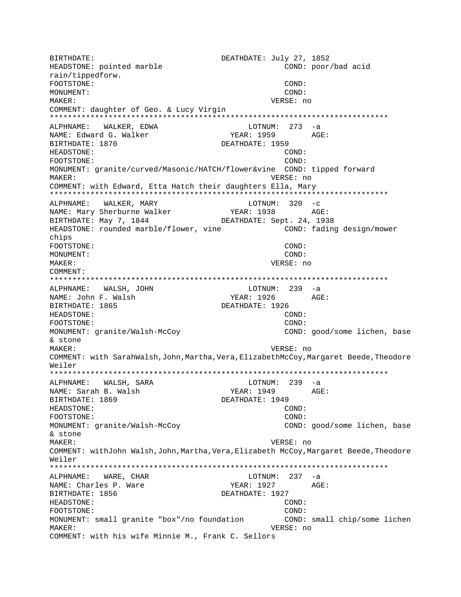BIRTHDATE: DEATHDATE: July 27, 1852 HEADSTONE: pointed marble COND: poor/bad acid rain/tippedforw. FOOTSTONE: COND: MONUMENT: COND: MAKER: VERSE: no COMMENT: daughter of Geo. & Lucy Virgin  $LOTNUM: 273 -a$ ALPHNAME: WALKER, EDWA NAME: Edward G. Walker YEAR: 1959 AGE: BIRTHDATE: 1870 DEATHDATE: 1959 HEADSTONE: COND: COND: FOOTSTONE: MONUMENT: granite/curved/Masonic/HATCH/flower&vine COND: tipped forward MAKER: VERSE: no COMMENT: with Edward, Etta Hatch their daughters Ella, Mary ALPHNAME: WALKER, MARY LOTNUM:  $320 -c$ YEAR: 1938 AGE: BIRTHDATE: May 7, 1844 DEATHDATE: Sept. 24, 1938 HEADSTONE: rounded marble/flower, vine COND: fading design/mower chips FOOTSTONE: COND: MONUMENT: COND: VERSE: no MAKER: COMMENT: LOTNUM: 239 -a ALPHNAME: WALSH, JOHN NAME: John F. Walsh  $YEAR: 1926$   $AGE:$ BIRTHDATE: 1865 DEATHDATE: 1926 HEADSTONE:  $COND:$ COND: FOOTSTONE: MONUMENT: granite/Walsh-McCoy COND: good/some lichen, base & stone MAKER: VERSE: no COMMENT: with SarahWalsh, John, Martha, Vera, ElizabethMcCoy, Margaret Beede, Theodore Weiler LOTNUM: 239 -a ALPHNAME: WALSH, SARA YEAR: 1949 AGE: NAME: Sarah B. Walsh DEATHDATE: 1949 BIRTHDATE: 1869 HEADSTONE: COND: FOOTSTONE:  $COMD:$ MONUMENT: granite/Walsh-McCoy COND: good/some lichen, base & stone MAKER: VERSE: no COMMENT: withJohn Walsh,John,Martha,Vera,Elizabeth McCoy,Margaret Beede,Theodore Weiler LOTNUM: 237 -a ALPHNAME: WARE, CHAR NAME: Charles P. Ware YEAR: 1927 AGE: BIRTHDATE: 1856 DEATHDATE: 1927 COND: HEADSTONE: FOOTSTONE: COND: MONUMENT: small granite "box"/no foundation COND: small chip/some lichen VERSE: no MAKER: COMMENT: with his wife Minnie M., Frank C. Sellors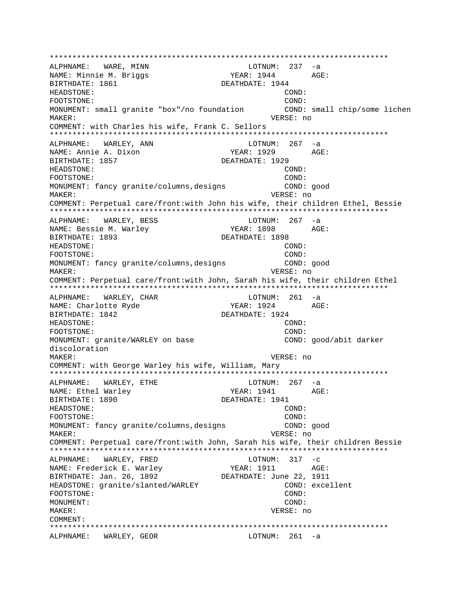\*\*\*\*\*\*\*\*\*\*\*\*\*\*\*\*\*\*\*\*\*\*\*\*\*\*\*\*\*\*\*\*\*\*\*\*\*\*\*\*\*\*\*\*\*\*\*\*\*\*\*\*\*\*\*\*\*\*\*\*\*\*\*\*\*\*\*\*\*\*\*\*\*\*\* ALPHNAME: WARE, MINN NAME: Minnie M. Briggs YEAR: 1944 AGE: BIRTHDATE: 1861 DEATHDATE: 1944 HEADSTONE: COND: FOOTSTONE: COND: MONUMENT: small granite "box"/no foundation COND: small chip/some lichen MAKER: VERSE: no COMMENT: with Charles his wife, Frank C. Sellors \*\*\*\*\*\*\*\*\*\*\*\*\*\*\*\*\*\*\*\*\*\*\*\*\*\*\*\*\*\*\*\*\*\*\*\*\*\*\*\*\*\*\*\*\*\*\*\*\*\*\*\*\*\*\*\*\*\*\*\*\*\*\*\*\*\*\*\*\*\*\*\*\*\*\* ALPHNAME: WARLEY, ANN Market LOTNUM: 267 -a NAME: Annie A. Dixon YEAR: 1929 AGE: BIRTHDATE: 1857 DEATHDATE: 1929 HEADSTONE: COND: FOOTSTONE: COND: MONUMENT: fancy granite/columns,designs COND: good MAKER: VERSE: no COMMENT: Perpetual care/front:with John his wife, their children Ethel, Bessie \*\*\*\*\*\*\*\*\*\*\*\*\*\*\*\*\*\*\*\*\*\*\*\*\*\*\*\*\*\*\*\*\*\*\*\*\*\*\*\*\*\*\*\*\*\*\*\*\*\*\*\*\*\*\*\*\*\*\*\*\*\*\*\*\*\*\*\*\*\*\*\*\*\*\* ALPHNAME: WARLEY, BESS LOTNUM: 267 -a NAME: Bessie M. Warley The State of YEAR: 1898 AGE: BIRTHDATE: 1893 DEATHDATE: 1898 HEADSTONE: COND: FOOTSTONE: COND: MONUMENT: fancy granite/columns,designs COND: good MAKER: VERSE: no COMMENT: Perpetual care/front:with John, Sarah his wife, their children Ethel \*\*\*\*\*\*\*\*\*\*\*\*\*\*\*\*\*\*\*\*\*\*\*\*\*\*\*\*\*\*\*\*\*\*\*\*\*\*\*\*\*\*\*\*\*\*\*\*\*\*\*\*\*\*\*\*\*\*\*\*\*\*\*\*\*\*\*\*\*\*\*\*\*\*\* ALPHNAME: WARLEY, CHAR LOTNUM: 261 -a NAME: Charlotte Ryde YEAR: 1924 AGE: BIRTHDATE: 1842 DEATHDATE: 1924 HEADSTONE: COND: FOOTSTONE: COND: MONUMENT: granite/WARLEY on base COND: good/abit darker discoloration MAKER: VERSE: no COMMENT: with George Warley his wife, William, Mary \*\*\*\*\*\*\*\*\*\*\*\*\*\*\*\*\*\*\*\*\*\*\*\*\*\*\*\*\*\*\*\*\*\*\*\*\*\*\*\*\*\*\*\*\*\*\*\*\*\*\*\*\*\*\*\*\*\*\*\*\*\*\*\*\*\*\*\*\*\*\*\*\*\*\* ALPHNAME: WARLEY, ETHE  $LOTNUM: 267 -a$ NAME: Ethel Warley The Manuscriptum of the YEAR: 1941 AGE: BIRTHDATE: 1890 DEATHDATE: 1941 HEADSTONE: COND: FOOTSTONE: COND: MONUMENT: fancy granite/columns,designs COND: good MAKER: VERSE: no COMMENT: Perpetual care/front:with John, Sarah his wife, their children Bessie \*\*\*\*\*\*\*\*\*\*\*\*\*\*\*\*\*\*\*\*\*\*\*\*\*\*\*\*\*\*\*\*\*\*\*\*\*\*\*\*\*\*\*\*\*\*\*\*\*\*\*\*\*\*\*\*\*\*\*\*\*\*\*\*\*\*\*\*\*\*\*\*\*\*\* ALPHNAME: WARLEY, FRED NAME: Frederick E. Warley Tear: 1911 AGE: BIRTHDATE: Jan. 26, 1892 DEATHDATE: June 22, 1911 HEADSTONE: granite/slanted/WARLEY COND: excellent FOOTSTONE: COND: MONUMENT: COND: MAKER: VERSE: no COMMENT: \*\*\*\*\*\*\*\*\*\*\*\*\*\*\*\*\*\*\*\*\*\*\*\*\*\*\*\*\*\*\*\*\*\*\*\*\*\*\*\*\*\*\*\*\*\*\*\*\*\*\*\*\*\*\*\*\*\*\*\*\*\*\*\*\*\*\*\*\*\*\*\*\*\*\* ALPHNAME: WARLEY, GEOR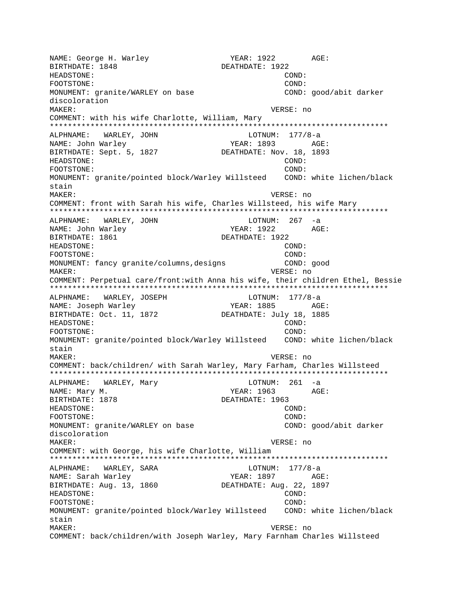NAME: George H. Warley YEAR: 1922 AGE: BIRTHDATE: 1848 DEATHDATE: 1922 HEADSTONE: COND: FOOTSTONE: COND: MONUMENT: granite/WARLEY on base COND: good/abit darker discoloration MAKER: VERSE: no COMMENT: with his wife Charlotte, William, Mary \*\*\*\*\*\*\*\*\*\*\*\*\*\*\*\*\*\*\*\*\*\*\*\*\*\*\*\*\*\*\*\*\*\*\*\*\*\*\*\*\*\*\*\*\*\*\*\*\*\*\*\*\*\*\*\*\*\*\*\*\*\*\*\*\*\*\*\*\*\*\*\*\*\*\* ALPHNAME: WARLEY, JOHN LOTNUM: 177/8-a<br>NAME: John Warley Magnety (1893 AG) NAME: John Warley YEAR: 1893 AGE: BIRTHDATE: Sept. 5, 1827 HEADSTONE: COND: FOOTSTONE: COND: MONUMENT: granite/pointed block/Warley Willsteed COND: white lichen/black stain MAKER: VERSE: no COMMENT: front with Sarah his wife, Charles Willsteed, his wife Mary \*\*\*\*\*\*\*\*\*\*\*\*\*\*\*\*\*\*\*\*\*\*\*\*\*\*\*\*\*\*\*\*\*\*\*\*\*\*\*\*\*\*\*\*\*\*\*\*\*\*\*\*\*\*\*\*\*\*\*\*\*\*\*\*\*\*\*\*\*\*\*\*\*\*\* ALPHNAME: WARLEY, JOHN CONNECTED BLOTNUM: 267 -a NAME: John Warley Names (1922 AGE: BIRTHDATE: 1861 **DEATHDATE: 1922** HEADSTONE: COND: FOOTSTONE: COND: MONUMENT: fancy granite/columns,designs COND: good MAKER: VERSE: no COMMENT: Perpetual care/front:with Anna his wife, their children Ethel, Bessie \*\*\*\*\*\*\*\*\*\*\*\*\*\*\*\*\*\*\*\*\*\*\*\*\*\*\*\*\*\*\*\*\*\*\*\*\*\*\*\*\*\*\*\*\*\*\*\*\*\*\*\*\*\*\*\*\*\*\*\*\*\*\*\*\*\*\*\*\*\*\*\*\*\*\* ALPHNAME: WARLEY, JOSEPH LOTNUM: 177/8-a NAME: Joseph Warley The Manus YEAR: 1885 AGE: BIRTHDATE: Oct. 11, 1872 DEATHDATE: July 18, 1885 HEADSTONE: COND: FOOTSTONE: COND: MONUMENT: granite/pointed block/Warley Willsteed COND: white lichen/black stain MAKER: VERSE: no COMMENT: back/children/ with Sarah Warley, Mary Farham, Charles Willsteed \*\*\*\*\*\*\*\*\*\*\*\*\*\*\*\*\*\*\*\*\*\*\*\*\*\*\*\*\*\*\*\*\*\*\*\*\*\*\*\*\*\*\*\*\*\*\*\*\*\*\*\*\*\*\*\*\*\*\*\*\*\*\*\*\*\*\*\*\*\*\*\*\*\*\* ALPHNAME: WARLEY, Mary LOTNUM: 261 -a NAME: Mary M.  $YEAR: 1963$ BIRTHDATE: 1878 DEATHDATE: 1963 HEADSTONE: COND: FOOTSTONE: COND: MONUMENT: granite/WARLEY on base COND: good/abit darker discoloration MAKER: VERSE: no COMMENT: with George, his wife Charlotte, William \*\*\*\*\*\*\*\*\*\*\*\*\*\*\*\*\*\*\*\*\*\*\*\*\*\*\*\*\*\*\*\*\*\*\*\*\*\*\*\*\*\*\*\*\*\*\*\*\*\*\*\*\*\*\*\*\*\*\*\*\*\*\*\*\*\*\*\*\*\*\*\*\*\*\* ALPHNAME: WARLEY, SARA LOTNUM: 177/8-a NAME: Sarah Warley **AGE:** YEAR: 1897 AGE: BIRTHDATE: Aug. 13, 1860 DEATHDATE: Aug. 22, 1897 HEADSTONE: COND: FOOTSTONE: COND: MONUMENT: granite/pointed block/Warley Willsteed COND: white lichen/black stain MAKER: VERSE: no COMMENT: back/children/with Joseph Warley, Mary Farnham Charles Willsteed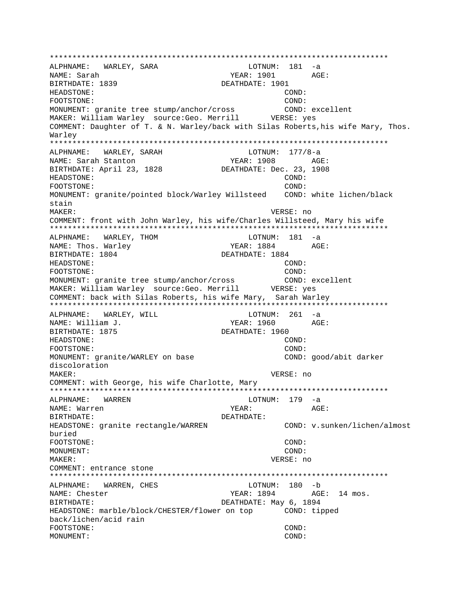ALPHNAME: WARLEY, SARA  $LOTNUM: 181 -a$ NAME: Sarah YEAR: 1901 AGE: BIRTHDATE: 1839 DEATHDATE: 1901 HEADSTONE: COND: FOOTSTONE: COND: MONUMENT: granite tree stump/anchor/cross COND: excellent MAKER: William Warley source: Geo. Merrill WERSE: yes COMMENT: Daughter of T. & N. Warley/back with Silas Roberts, his wife Mary, Thos. Warley ALPHNAME: WARLEY, SARAH  $LOTNUM: 177/8-a$ NAME: Sarah Stanton YEAR: 1908 AGE: BIRTHDATE: April 23, 1828 DEATHDATE: Dec. 23, 1908 HEADSTONE:  $COND:$ FOOTSTONE:  $COMD:$ MONUMENT: granite/pointed block/Warley Willsteed COND: white lichen/black stain MAKER: VERSE: no COMMENT: front with John Warley, his wife/Charles Willsteed, Mary his wife ALPHNAME: WARLEY, THOM  $LOTNUM: 181 -a$ NAME: Thos. Warley AGE: YEAR: 1884 BIRTHDATE: 1804 DEATHDATE: 1884 HEADSTONE: COND: FOOTSTONE: COND: MONUMENT: granite tree stump/anchor/cross COND: excellent MAKER: William Warley source: Geo. Merrill VERSE: ves COMMENT: back with Silas Roberts, his wife Mary, Sarah Warley ALPHNAME: WARLEY, WILL LOTNUM:  $261 - a$ AGE: NAME: William J. YEAR: 1960 DEATHDATE: 1960 BIRTHDATE: 1875 HEADSTONE: COND: FOOTSTONE: COND: COND: good/abit darker MONUMENT: granite/WARLEY on base discoloration MAKER: VERSE: no COMMENT: with George, his wife Charlotte, Mary LOTNUM: 179 -a ALPHNAME: WARREN NAME: Warren YEAR: AGE: BIRTHDATE: DEATHDATE: HEADSTONE: granite rectangle/WARREN COND: v.sunken/lichen/almost buried FOOTSTONE: COND: COND: MONIJMENT: VERSE: no MAKER: COMMENT: entrance stone LOTNUM: 180 -b ALPHNAME: WARREN, CHES NAME: Chester YEAR: 1894 AGE: 14 mos. BIRTHDATE: DEATHDATE: May 6, 1894 HEADSTONE: marble/block/CHESTER/flower on top COND: tipped back/lichen/acid rain FOOTSTONE: COND: MONUMENT: COND: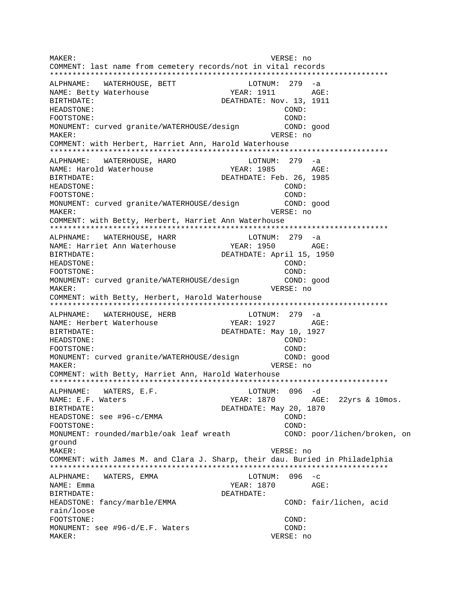MAKER: VERSE: no COMMENT: last name from cemetery records/not in vital records \*\*\*\*\*\*\*\*\*\*\*\*\*\*\*\*\*\*\*\*\*\*\*\*\*\*\*\*\*\*\*\*\*\*\*\*\*\*\*\*\*\*\*\*\*\*\*\*\*\*\*\*\*\*\*\*\*\*\*\*\*\*\*\*\*\*\*\*\*\*\*\*\*\*\* ALPHNAME: WATERHOUSE, BETT LOTNUM: 279 -a NAME: Betty Waterhouse Tear: 1911 AGE: BIRTHDATE: DEATHDATE: Nov. 13, 1911 HEADSTONE: COND: FOOTSTONE: COND: MONUMENT: curved granite/WATERHOUSE/design COND: good MAKER: VERSE: no COMMENT: with Herbert, Harriet Ann, Harold Waterhouse \*\*\*\*\*\*\*\*\*\*\*\*\*\*\*\*\*\*\*\*\*\*\*\*\*\*\*\*\*\*\*\*\*\*\*\*\*\*\*\*\*\*\*\*\*\*\*\*\*\*\*\*\*\*\*\*\*\*\*\*\*\*\*\*\*\*\*\*\*\*\*\*\*\*\* ALPHNAME: WATERHOUSE, HARO LOTNUM: 279 -a NAME: Harold Waterhouse The YEAR: 1985 AGE: BIRTHDATE: DEATHDATE: Feb. 26, 1985 HEADSTONE: COND: FOOTSTONE: COND: MONUMENT: curved granite/WATERHOUSE/design COND: good MAKER: VERSE: no COMMENT: with Betty, Herbert, Harriet Ann Waterhouse \*\*\*\*\*\*\*\*\*\*\*\*\*\*\*\*\*\*\*\*\*\*\*\*\*\*\*\*\*\*\*\*\*\*\*\*\*\*\*\*\*\*\*\*\*\*\*\*\*\*\*\*\*\*\*\*\*\*\*\*\*\*\*\*\*\*\*\*\*\*\*\*\*\*\* ALPHNAME: WATERHOUSE, HARR LOTNUM: 279 -a NAME: Harriet Ann Waterhouse YEAR: 1950 AGE: BIRTHDATE: DEATHDATE: April 15, 1950 HEADSTONE: COND: FOOTSTONE: COND: MONUMENT: curved granite/WATERHOUSE/design COND: good MAKER: VERSE: no COMMENT: with Betty, Herbert, Harold Waterhouse \*\*\*\*\*\*\*\*\*\*\*\*\*\*\*\*\*\*\*\*\*\*\*\*\*\*\*\*\*\*\*\*\*\*\*\*\*\*\*\*\*\*\*\*\*\*\*\*\*\*\*\*\*\*\*\*\*\*\*\*\*\*\*\*\*\*\*\*\*\*\*\*\*\*\* ALPHNAME: WATERHOUSE, HERB LOTNUM: 279 -a NAME: Herbert Waterhouse YEAR: 1927 AGE: BIRTHDATE:  $DEATHDATE:$  DEATHDATE: May 10, 1927 HEADSTONE: COND: FOOTSTONE: COND: MONUMENT: curved granite/WATERHOUSE/design COND: good MAKER: VERSE: no COMMENT: with Betty, Harriet Ann, Harold Waterhouse \*\*\*\*\*\*\*\*\*\*\*\*\*\*\*\*\*\*\*\*\*\*\*\*\*\*\*\*\*\*\*\*\*\*\*\*\*\*\*\*\*\*\*\*\*\*\*\*\*\*\*\*\*\*\*\*\*\*\*\*\*\*\*\*\*\*\*\*\*\*\*\*\*\*\* ALPHNAME: WATERS, E.F.  $\blacksquare$  LOTNUM: 096 -d NAME: E.F. Waters The Maters Team of the YEAR: 1870 AGE: 22yrs & 10mos. BIRTHDATE: DEATHDATE: May 20, 1870 HEADSTONE: see #96-c/EMMA COND: FOOTSTONE: COND: MONUMENT: rounded/marble/oak leaf wreath COND: poor/lichen/broken, on ground MAKER: VERSE: no COMMENT: with James M. and Clara J. Sharp, their dau. Buried in Philadelphia \*\*\*\*\*\*\*\*\*\*\*\*\*\*\*\*\*\*\*\*\*\*\*\*\*\*\*\*\*\*\*\*\*\*\*\*\*\*\*\*\*\*\*\*\*\*\*\*\*\*\*\*\*\*\*\*\*\*\*\*\*\*\*\*\*\*\*\*\*\*\*\*\*\*\* ALPHNAME: WATERS, EMMA  $L$ PHNAME: WATERS, EMMA NAME: Emma  $YEAR: 1870$  AGE: BIRTHDATE: DEATHDATE: HEADSTONE: fancy/marble/EMMA COND: fair/lichen, acid rain/loose FOOTSTONE: COND: MONUMENT: see #96-d/E.F. Waters COND: MAKER: VERSE: no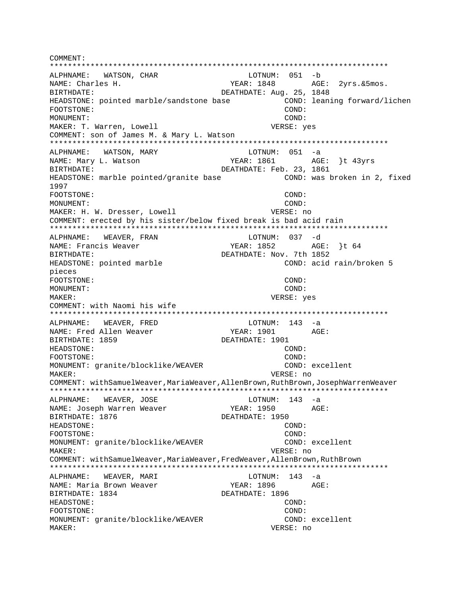COMMENT: ALPHNAME: WATSON, CHAR LOTNUM: 051 -b NAME: Charles H. YEAR: 1848 AGE: 2yrs. & 5mos. BIRTHDATE: DEATHDATE: Aug. 25, 1848 HEADSTONE: pointed marble/sandstone base COND: leaning forward/lichen FOOTSTONE: COND: MONIJMENT:  $COND:$ MAKER: T. Warren, Lowell VERSE: yes COMMENT: son of James M. & Mary L. Watson ALPHNAME: WATSON, MARY  $LOTNUM: 051 -a$ NAME: Mary L. Watson YEAR: 1861 AGE: }t 43yrs BIRTHDATE: DEATHDATE: Feb. 23, 1861 COND: was broken in 2, fixed HEADSTONE: marble pointed/granite base 1997 FOOTSTONE: COND: MONUMENT: COND: MAKER: H. W. Dresser, Lowell VERSE: no COMMENT: erected by his sister/below fixed break is bad acid rain WEAVER, FRAN LOTNUM: 037 -d ALPHNAME: YEAR: 1852 AGE: }t 64 NAME: Francis Weaver DEATHDATE: Nov. 7th 1852 BIRTHDATE: COND: acid rain/broken 5 HEADSTONE: pointed marble pieces FOOTSTONE: COND: MONUMENT: COND:  $M\Delta KFR$ : VERSE: yes COMMENT: with Naomi his wife ALPHNAME: WEAVER, FRED LOTNUM:  $143 - a$ NAME: Fred Allen Weaver YEAR: 1901 AGE: DEATHDATE: 1901 BIRTHDATE: 1859 HEADSTONE: COND: FOOTSTONE:  $COMD:$ MONUMENT: granite/blocklike/WEAVER COND: excellent MAKER: VERSE: no COMMENT: withSamuelWeaver, MariaWeaver, AllenBrown, RuthBrown, JosephWarrenWeaver ALPHNAME: WEAVER, JOSE LOTNUM: 143 -a YEAR: 1950 NAME: Joseph Warren Weaver AGE: BIRTHDATE: 1876 DEATHDATE: 1950 **HEADSTONE:** COND: FOOTSTONE: COND: MONUMENT: granite/blocklike/WEAVER COND: excellent MAKER: VERSE: no COMMENT: withSamuelWeaver, MariaWeaver, FredWeaver, AllenBrown, RuthBrown ALPHNAME: WEAVER, MARI  $LOTNUM: 143 -a$ NAME: Maria Brown Weaver YEAR: 1896 AGE: BIRTHDATE: 1834 DEATHDATE: 1896  $COND:$ HEADSTONE: FOOTSTONE: COND: MONUMENT: granite/blocklike/WEAVER COND: excellent MAKER: VERSE: no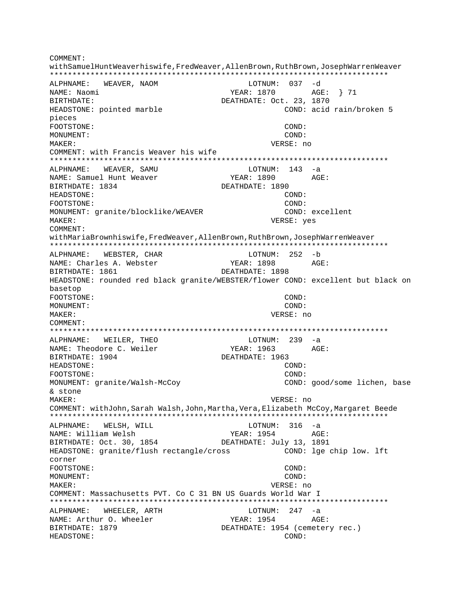COMMENT: withSamuelHuntWeaverhiswife, FredWeaver, AllenBrown, RuthBrown, JosephWarrenWeaver ALPHNAME: WEAVER, NAOM LOTNUM: 037 -d NAME: Naomi BIRTHDATE: DEATHDATE: Oct. 23, 1870 HEADSTONE: pointed marble COND: acid rain/broken 5 pieces FOOTSTONE: COND: MONUMENT:  $COND:$  $M\Delta KFR$ : VERSE: no COMMENT: with Francis Weaver his wife ALPHNAME: WEAVER, SAMU LOTNUM: 143 -a NAME: Samuel Hunt Weaver YEAR: 1890  $\triangle G$ F: BIRTHDATE: 1834 DEATHDATE: 1890 HEADSTONE: COND: FOOTSTONE: COND: MONUMENT: granite/blocklike/WEAVER COND: excellent MAKER: VERSE: yes COMMENT: withMariaBrownhiswife, FredWeaver, AllenBrown, RuthBrown, JosephWarrenWeaver ALPHNAME: WEBSTER, CHAR LOTNUM: 252 -b AGE: NAME: Charles A. Webster YEAR: 1898 BIRTHDATE: 1861 DEATHDATE: 1898 HEADSTONE: rounded red black granite/WEBSTER/flower COND: excellent but black on basetop FOOTSTONE:  $COMD:$ MONUMENT:  $COND:$ MAKER: VERSE: no COMMENT: ALPHNAME: WEILER, THEO LOTNUM: 239 -a NAME: Theodore C. Weiler YEAR: 1963 AGE: BIRTHDATE: 1904 DEATHDATE: 1963 HEADSTONE: COND: FOOTSTONE: COND: MONUMENT: granite/Walsh-McCoy COND: good/some lichen, base & stone MAKER: VERSE: no COMMENT: withJohn, Sarah Walsh, John, Martha, Vera, Elizabeth McCoy, Margaret Beede LOTNUM:  $316 - a$ WELSH, WILL ALPHNAME: NAME: William Welsh YEAR: 1954  $\triangle$  GF: BIRTHDATE: Oct. 30, 1854 DEATHDATE: July 13, 1891 COND: lge chip low. lft HEADSTONE: granite/flush rectangle/cross corner FOOTSTONE: COND: MONUMENT: COND: MAKER: VERSE: no COMMENT: Massachusetts PVT. Co C 31 BN US Guards World War I ALPHNAME: WHEELER, ARTH  $LOTNUM: 247 -a$ NAME: Arthur O. Wheeler YEAR: 1954 AGE: BIRTHDATE: 1879 DEATHDATE: 1954 (cemetery rec.) HEADSTONE: COND: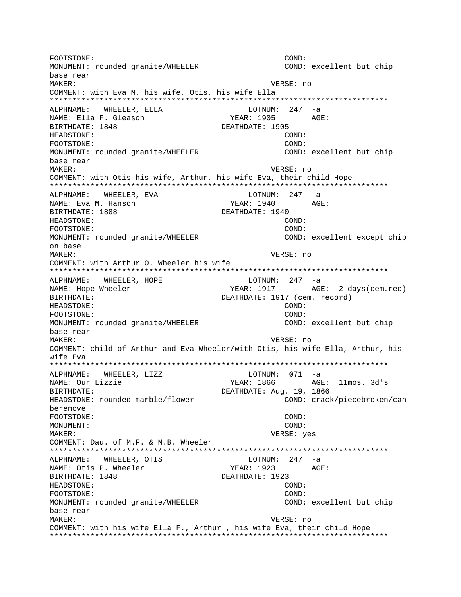FOOTSTONE: COND: MONUMENT: rounded granite/WHEELER COND: excellent but chip base rear MAKER: VERSE: no COMMENT: with Eva M. his wife, Otis, his wife Ella ALPHNAME: WHEELER, ELLA LOTNUM: 247 -a NAME: Ella F. Gleason YEAR: 1905 AGE: BIRTHDATE: 1848 DEATHDATE: 1905 HEADSTONE: COND: FOOTSTONE: COND: MONUMENT: rounded granite/WHEELER COND: excellent but chip base rear VERSE: no MAKER: COMMENT: with Otis his wife, Arthur, his wife Eva, their child Hope ALPHNAME: WHEELER, EVA LOTNUM: 247 -a NAME: Eva M. Hanson YEAR: 1940 AGE: BIRTHDATE: 1888 DEATHDATE: 1940 HEADSTONE:  $COND:$ COND: FOOTSTONE: MONUMENT: rounded granite/WHEELER COND: excellent except chip on base MAKER: VERSE: no COMMENT: with Arthur O. Wheeler his wife ALPHNAME: WHEELER, HOPE LOTNUM: 247 -a YEAR: 1917 AGE: 2 days (cem.rec) NAME: Hope Wheeler BIRTHDATE: DEATHDATE: 1917 (cem. record)  $CONID:$ HEADSTONE: COND: FOOTSTONE: MONUMENT: rounded granite/WHEELER COND: excellent but chip base rear VERSE: no MAKER: COMMENT: child of Arthur and Eva Wheeler/with Otis, his wife Ella, Arthur, his wife Eva ALPHNAME: WHEELER, LIZZ  $LOTNUM: 071 -a$ YEAR: 1866 AGE: 11mos. 3d's NAME: Our Lizzie DEATHDATE: Aug. 19, 1866 BIRTHDATE: HEADSTONE: rounded marble/flower COND: crack/piecebroken/can beremove FOOTSTONE: COND: MONUMENT: COND: MAKER: VERSE: yes COMMENT: Dau. of M.F. & M.B. Wheeler LOTNUM:  $247 -a$ ALPHNAME: WHEELER, OTIS NAME: Otis P. Wheeler YEAR: 1923 AGE: BIRTHDATE: 1848 DEATHDATE: 1923 HEADSTONE: COND: FOOTSTONE: COND: MONUMENT: rounded granite/WHEELER COND: excellent but chip base rear MAKER: VERSE: no COMMENT: with his wife Ella F., Arthur, his wife Eva, their child Hope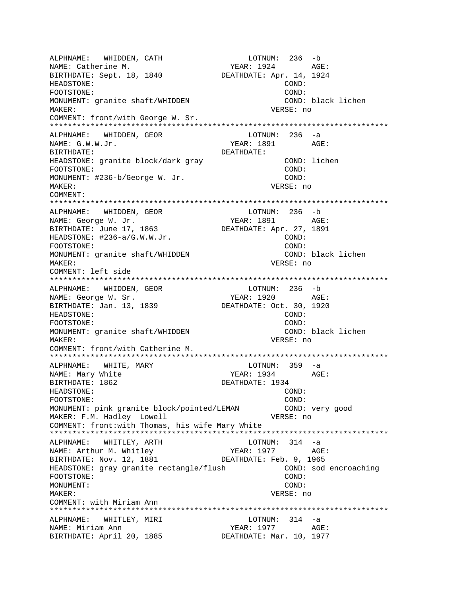ALPHNAME: WHIDDEN, CATH LOTNUM: 236 -b NAME: Catherine M. (2008) 252-752 MAME: Catherine M. BIRTHDATE: Sept. 18, 1840 DEATHDATE: Apr. 14, 1924 HEADSTONE: COND: FOOTSTONE: COND: MONUMENT: granite shaft/WHIDDEN COND: black lichen MAKER: VERSE: no COMMENT: front/with George W. Sr. \*\*\*\*\*\*\*\*\*\*\*\*\*\*\*\*\*\*\*\*\*\*\*\*\*\*\*\*\*\*\*\*\*\*\*\*\*\*\*\*\*\*\*\*\*\*\*\*\*\*\*\*\*\*\*\*\*\*\*\*\*\*\*\*\*\*\*\*\*\*\*\*\*\*\* ALPHNAME: WHIDDEN, GEOR LOTNUM: 236 -a  $NAME: G.W.W.Jr.$ BIRTHDATE: DEATHDATE: HEADSTONE: granite block/dark gray COND: lichen FOOTSTONE: COND: MONUMENT: #236-b/George W. Jr. COND: MAKER: VERSE: no COMMENT: \*\*\*\*\*\*\*\*\*\*\*\*\*\*\*\*\*\*\*\*\*\*\*\*\*\*\*\*\*\*\*\*\*\*\*\*\*\*\*\*\*\*\*\*\*\*\*\*\*\*\*\*\*\*\*\*\*\*\*\*\*\*\*\*\*\*\*\*\*\*\*\*\*\*\* ALPHNAME: WHIDDEN, GEOR NAME: George W. Jr. YEAR: 1891 AGE: BIRTHDATE: June 17, 1863 DEATHDATE: Apr. 27, 1891 HEADSTONE: #236-a/G.W.W.Jr. COND: COND: FOOTSTONE: COND: MONUMENT: granite shaft/WHIDDEN COND: black lichen MAKER: VERSE: no COMMENT: left side \*\*\*\*\*\*\*\*\*\*\*\*\*\*\*\*\*\*\*\*\*\*\*\*\*\*\*\*\*\*\*\*\*\*\*\*\*\*\*\*\*\*\*\*\*\*\*\*\*\*\*\*\*\*\*\*\*\*\*\*\*\*\*\*\*\*\*\*\*\*\*\*\*\*\* ALPHNAME: WHIDDEN, GEOR LOTNUM: 236 -b NAME: George W. Sr. YEAR: 1920 AGE: BIRTHDATE: Jan. 13, 1839 DEATHDATE: Oct. 30, 1920 HEADSTONE: COND: FOOTSTONE: COND: MONUMENT: granite shaft/WHIDDEN COND: black lichen MAKER: VERSE: no COMMENT: front/with Catherine M. \*\*\*\*\*\*\*\*\*\*\*\*\*\*\*\*\*\*\*\*\*\*\*\*\*\*\*\*\*\*\*\*\*\*\*\*\*\*\*\*\*\*\*\*\*\*\*\*\*\*\*\*\*\*\*\*\*\*\*\*\*\*\*\*\*\*\*\*\*\*\*\*\*\*\* ALPHNAME: WHITE, MARY NAME: Mary White  $YEAR: 1934$  AGE: BIRTHDATE: 1862 DEATHDATE: 1934 HEADSTONE: COND: FOOTSTONE: COND: MONUMENT: pink granite block/pointed/LEMAN COND: very good MAKER: F.M. Hadley Lowell **VERSE:** no COMMENT: front:with Thomas, his wife Mary White \*\*\*\*\*\*\*\*\*\*\*\*\*\*\*\*\*\*\*\*\*\*\*\*\*\*\*\*\*\*\*\*\*\*\*\*\*\*\*\*\*\*\*\*\*\*\*\*\*\*\*\*\*\*\*\*\*\*\*\*\*\*\*\*\*\*\*\*\*\*\*\*\*\*\* ALPHNAME: WHITLEY, ARTH LOTNUM: 314 -a NAME: Arthur M. Whitley **YEAR: 1977** AGE: BIRTHDATE: Nov. 12, 1881 DEATHDATE: Feb. 9, 1965 HEADSTONE: gray granite rectangle/flush COND: sod encroaching FOOTSTONE: COND: MONUMENT: COND: MAKER: VERSE: no COMMENT: with Miriam Ann \*\*\*\*\*\*\*\*\*\*\*\*\*\*\*\*\*\*\*\*\*\*\*\*\*\*\*\*\*\*\*\*\*\*\*\*\*\*\*\*\*\*\*\*\*\*\*\*\*\*\*\*\*\*\*\*\*\*\*\*\*\*\*\*\*\*\*\*\*\*\*\*\*\*\* ALPHNAME: WHITLEY, MIRI CONNUM: 314 -a NAME: Miriam Ann YEAR: 1977 AGE: BIRTHDATE: April 20, 1885 DEATHDATE: Mar. 10, 1977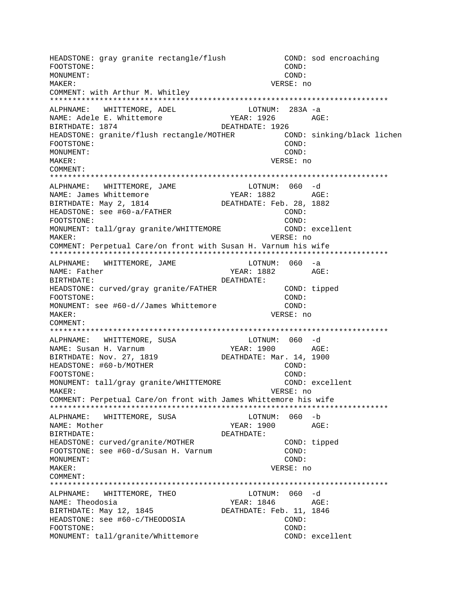HEADSTONE: gray granite rectangle/flush COND: sod encroaching FOOTSTONE: COND: MONUMENT: COND: MAKER: VERSE: no COMMENT: with Arthur M. Whitley \*\*\*\*\*\*\*\*\*\*\*\*\*\*\*\*\*\*\*\*\*\*\*\*\*\*\*\*\*\*\*\*\*\*\*\*\*\*\*\*\*\*\*\*\*\*\*\*\*\*\*\*\*\*\*\*\*\*\*\*\*\*\*\*\*\*\*\*\*\*\*\*\*\*\* ALPHNAME: WHITTEMORE, ADEL LOTNUM: 283A -a NAME: Adele E. Whittemore TEAR: 1926 AGE: BIRTHDATE: 1874 DEATHDATE: 1926 HEADSTONE: granite/flush rectangle/MOTHER COND: sinking/black lichen FOOTSTONE: COND: MONUMENT: COND: MAKER: VERSE: no COMMENT: \*\*\*\*\*\*\*\*\*\*\*\*\*\*\*\*\*\*\*\*\*\*\*\*\*\*\*\*\*\*\*\*\*\*\*\*\*\*\*\*\*\*\*\*\*\*\*\*\*\*\*\*\*\*\*\*\*\*\*\*\*\*\*\*\*\*\*\*\*\*\*\*\*\*\* ALPHNAME: WHITTEMORE, JAME LOTNUM: 060 -d NAME: James Whittemore YEAR: 1882 AGE:<br>
DEATURATE: Feb. 28, 1992 BIRTHDATE: May 2, 1814 DEATHDATE: Feb. 28, 1882 HEADSTONE: see #60-a/FATHER COND: FOOTSTONE: COND: MONUMENT: tall/gray granite/WHITTEMORE COND: excellent MAKER: VERSE: no COMMENT: Perpetual Care/on front with Susan H. Varnum his wife \*\*\*\*\*\*\*\*\*\*\*\*\*\*\*\*\*\*\*\*\*\*\*\*\*\*\*\*\*\*\*\*\*\*\*\*\*\*\*\*\*\*\*\*\*\*\*\*\*\*\*\*\*\*\*\*\*\*\*\*\*\*\*\*\*\*\*\*\*\*\*\*\*\*\* ALPHNAME: WHITTEMORE, JAME LOTNUM: 060 -a NAME: Father The Communication of the MEAR: 1882 AGE: BIRTHDATE: DEATHDATE: HEADSTONE: curved/gray granite/FATHER COND: tipped FOOTSTONE: COND: MONUMENT: see #60-d//James Whittemore COND: MAKER: VERSE: no COMMENT: \*\*\*\*\*\*\*\*\*\*\*\*\*\*\*\*\*\*\*\*\*\*\*\*\*\*\*\*\*\*\*\*\*\*\*\*\*\*\*\*\*\*\*\*\*\*\*\*\*\*\*\*\*\*\*\*\*\*\*\*\*\*\*\*\*\*\*\*\*\*\*\*\*\*\* ALPHNAME: WHITTEMORE, SUSA COTNUM: 060 -d NAME: Susan H. Varnum YEAR: 1900 AGE: BIRTHDATE: Nov. 27, 1819 DEATHDATE: Mar. 14, 1900 HEADSTONE: #60-b/MOTHER COND: FOOTSTONE: COND: MONUMENT: tall/gray granite/WHITTEMORE COND: excellent MAKER: VERSE: no COMMENT: Perpetual Care/on front with James Whittemore his wife \*\*\*\*\*\*\*\*\*\*\*\*\*\*\*\*\*\*\*\*\*\*\*\*\*\*\*\*\*\*\*\*\*\*\*\*\*\*\*\*\*\*\*\*\*\*\*\*\*\*\*\*\*\*\*\*\*\*\*\*\*\*\*\*\*\*\*\*\*\*\*\*\*\*\* ALPHNAME: WHITTEMORE, SUSA LOTNUM: 060 -b NAME: Mother YEAR: 1900 AGE: BIRTHDATE: DEATHDATE: HEADSTONE: curved/granite/MOTHER COND: tipped FOOTSTONE: see #60-d/Susan H. Varnum COND: MONUMENT: COND: MAKER: VERSE: no COMMENT: \*\*\*\*\*\*\*\*\*\*\*\*\*\*\*\*\*\*\*\*\*\*\*\*\*\*\*\*\*\*\*\*\*\*\*\*\*\*\*\*\*\*\*\*\*\*\*\*\*\*\*\*\*\*\*\*\*\*\*\*\*\*\*\*\*\*\*\*\*\*\*\*\*\*\* ALPHNAME: WHITTEMORE, THEO LOTNUM: 060 -d NAME: Theodosia  $YEAR: 1846$  AGE: BIRTHDATE: May 12, 1845 DEATHDATE: Feb. 11, 1846 HEADSTONE: see #60-c/THEODOSIA COND: FOOTSTONE: COND: MONUMENT: tall/granite/Whittemore COND: excellent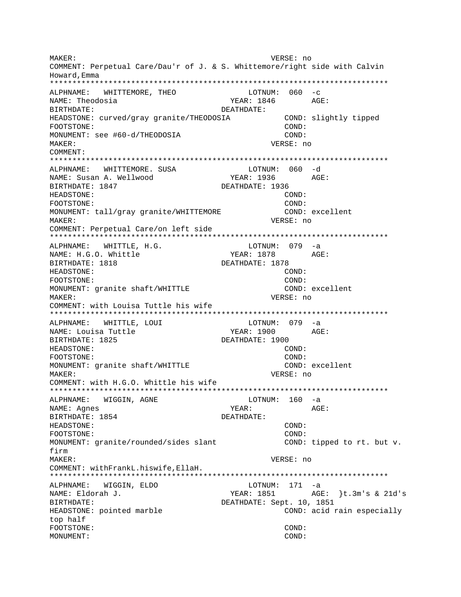MAKER: VERSE: no COMMENT: Perpetual Care/Dau'r of J. & S. Whittemore/right side with Calvin Howard, Emma ALPHNAME: WHITTEMORE, THEO  $LOTNUM: 060 -c$ NAME: Theodosia  $YEAR: 1846$   $AGE:$ BIRTHDATE: DEATHDATE: HEADSTONE: curved/gray granite/THEODOSIA COND: slightly tipped COND: FOOTSTONE: MONUMENT: see #60-d/THEODOSIA COND: MAKER: VERSE: no COMMENT: ALPHNAME: WHITTEMORE. SUSA LOTNUM: 060 -d NAME: Susan A. Wellwood YEAR: 1936 AGE: BIRTHDATE: 1847 DEATHDATE: 1936 HEADSTONE: COND: FOOTSTONE:  $COND:$ MONUMENT: tall/gray granite/WHITTEMORE COND: excellent VERSE: no MAKER: COMMENT: Perpetual Care/on left side ALPHNAME: WHITTLE, H.G. LOTNUM: 079 -a NAME: H.G.O. Whittle YEAR: 1878 AGE: BIRTHDATE: 1818 DEATHDATE: 1878 HEADSTONE: COND: FOOTSTONE: COND: MONUMENT: granite shaft/WHITTLE COND: excellent VERSE: no  $M\Delta KFR$ : COMMENT: with Louisa Tuttle his wife ALPHNAME: WHITTLE, LOUI LOTNUM: 079 -a YEAR: 1900 AGE: NAME: Louisa Tuttle BIRTHDATE: 1825 DEATHDATE: 1900 HEADSTONE: COND: FOOTSTONE: COND: COND: excellent MONUMENT: granite shaft/WHITTLE VERSE: no MAKER: COMMENT: with H.G.O. Whittle his wife LOTNUM: 160 -a ALPHNAME: WIGGIN, AGNE NAME: Agnes YEAR: AGE: BIRTHDATE: 1854 DEATHDATE: HEADSTONE: COND: FOOTSTONE: COND: MONUMENT: granite/rounded/sides slant COND: tipped to rt. but v. firm VERSE: no MAKER: COMMENT: withFrankL.hiswife, EllaH. LOTNUM: 171 -a ALPHNAME: WIGGIN, ELDO NAME: Eldorah J. DEATHDATE: Sept. 10, 1851 BIRTHDATE: HEADSTONE: pointed marble COND: acid rain especially top half FOOTSTONE: COND: MONIJMENT: COND: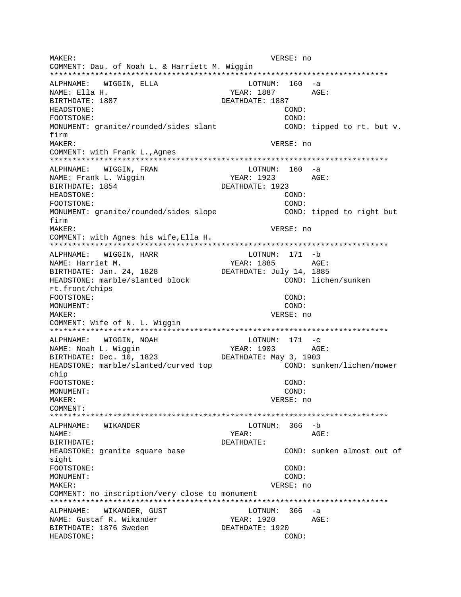MAKER: VERSE: no COMMENT: Dau. of Noah L. & Harriett M. Wiggin ALPHNAME: WIGGIN, ELLA LOTNUM: 160 -a NAME: Ella H. YEAR: 1887 AGE: BIRTHDATE: 1887 DEATHDATE: 1887 HEADSTONE: COND: FOOTSTONE: COND: MONUMENT: granite/rounded/sides slant COND: tipped to rt. but v. firm MAKER: VERSE: no COMMENT: with Frank L., Agnes ALPHNAME: WIGGIN, FRAN  $LOTNUM: 160 -a$ NAME: Frank L. Wiggin YEAR: 1923 AGE: DEATHDATE: 1923 BIRTHDATE: 1854 HEADSTONE: COND: FOOTSTONE: COND: MONUMENT: granite/rounded/sides slope COND: tipped to right but firm MAKER: VERSE: no COMMENT: with Agnes his wife, Ella H. ALPHNAME: WIGGIN, HARR LOTNUM: 171 -b AGE: NAME: Harriet M. YEAR: 1885 BIRTHDATE: Jan. 24, 1828 DEATHDATE: July 14, 1885 HEADSTONE: marble/slanted block COND: lichen/sunken rt.front/chips FOOTSTONE: COND: MONUMENT: COND: MAKER: VERSE: no COMMENT: Wife of N. L. Wiggin ALPHNAME: WIGGIN, NOAH  $LOTNUM: 171 -c$ NAME: Noah L. Wiggin YEAR: 1903 AGE: BIRTHDATE: Dec. 10, 1823 DEATHDATE: May 3, 1903 COND: sunken/lichen/mower HEADSTONE: marble/slanted/curved top chip FOOTSTONE: COND: MONUMENT:  $COND:$ MAKER: VERSE: no COMMENT: ALPHNAME: WIKANDER LOTNUM: 366 -b NAME: YEAR: AGE: BIRTHDATE: DEATHDATE: COND: sunken almost out of HEADSTONE: granite square base sight FOOTSTONE: COND: MONUMENT: COND: MAKER: VERSE: no COMMENT: no inscription/very close to monument ALPHNAME: WIKANDER, GUST  $LOTNUM: 366 -a$ NAME: Gustaf R. Wikander YEAR: 1920 AGE: DEATHDATE: 1920 BIRTHDATE: 1876 Sweden HEADSTONE: COND: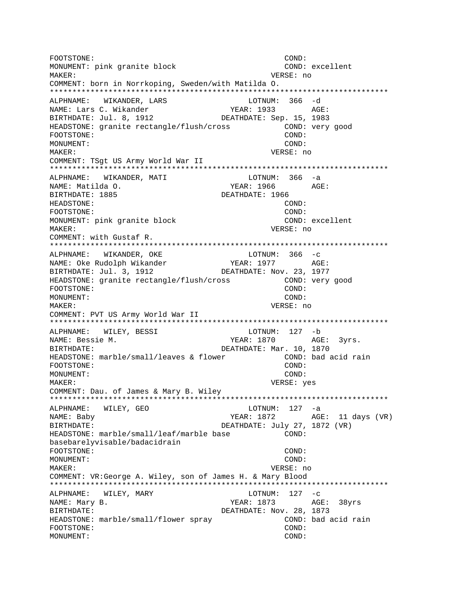FOOTSTONE: COND: MONUMENT: pink granite block COND: excellent MAKER: VERSE: no COMMENT: born in Norrkoping, Sweden/with Matilda O. \*\*\*\*\*\*\*\*\*\*\*\*\*\*\*\*\*\*\*\*\*\*\*\*\*\*\*\*\*\*\*\*\*\*\*\*\*\*\*\*\*\*\*\*\*\*\*\*\*\*\*\*\*\*\*\*\*\*\*\*\*\*\*\*\*\*\*\*\*\*\*\*\*\*\* ALPHNAME: WIKANDER, LARS LOTNUM: 366 -d NAME: Lars C. Wikander YEAR: 1933 AGE: BIRTHDATE: Jul. 8, 1912 DEATHDATE: Sep. 15, 1983 HEADSTONE: granite rectangle/flush/cross COND: very good FOOTSTONE: COND: MONUMENT: COND: MAKER: VERSE: no COMMENT: TSgt US Army World War II \*\*\*\*\*\*\*\*\*\*\*\*\*\*\*\*\*\*\*\*\*\*\*\*\*\*\*\*\*\*\*\*\*\*\*\*\*\*\*\*\*\*\*\*\*\*\*\*\*\*\*\*\*\*\*\*\*\*\*\*\*\*\*\*\*\*\*\*\*\*\*\*\*\*\* ALPHNAME: WIKANDER, MATI CHARA LOTNUM: 366 -a NAME: Matilda O. YEAR: 1966 AGE: BIRTHDATE: 1885 DEATHDATE: 1966 HEADSTONE: COND: FOOTSTONE: COND: MONUMENT: pink granite block COND: excellent MAKER: VERSE: no COMMENT: with Gustaf R. \*\*\*\*\*\*\*\*\*\*\*\*\*\*\*\*\*\*\*\*\*\*\*\*\*\*\*\*\*\*\*\*\*\*\*\*\*\*\*\*\*\*\*\*\*\*\*\*\*\*\*\*\*\*\*\*\*\*\*\*\*\*\*\*\*\*\*\*\*\*\*\*\*\*\* ALPHNAME: WIKANDER, OKE LOTNUM: 366 -c NAME: Oke Rudolph Wikander YEAR: 1977 AGE: BIRTHDATE: Jul. 3, 1912 DEATHDATE: Nov. 23, 1977 HEADSTONE: granite rectangle/flush/cross COND: very good FOOTSTONE: COND: MONUMENT: COND: MAKER: VERSE: no COMMENT: PVT US Army World War II \*\*\*\*\*\*\*\*\*\*\*\*\*\*\*\*\*\*\*\*\*\*\*\*\*\*\*\*\*\*\*\*\*\*\*\*\*\*\*\*\*\*\*\*\*\*\*\*\*\*\*\*\*\*\*\*\*\*\*\*\*\*\*\*\*\*\*\*\*\*\*\*\*\*\* ALPHNAME: WILEY, BESSI LOTNUM: 127 -b NAME: Bessie M. The South Communication of the South Syris. BIRTHDATE: Mar. 10, 1870<br>HEADSTONE: marble/small/leaves & flower (COND: bad acid rain HEADSTONE: marble/small/leaves & flower FOOTSTONE: COND: MONUMENT: COND: MAKER: VERSE: yes COMMENT: Dau. of James & Mary B. Wiley \*\*\*\*\*\*\*\*\*\*\*\*\*\*\*\*\*\*\*\*\*\*\*\*\*\*\*\*\*\*\*\*\*\*\*\*\*\*\*\*\*\*\*\*\*\*\*\*\*\*\*\*\*\*\*\*\*\*\*\*\*\*\*\*\*\*\*\*\*\*\*\*\*\*\* ALPHNAME: WILEY, GEO LOTNUM: 127 -a NAME: Baby TEAR: 1872 AGE: 11 days (VR) BIRTHDATE: DEATHDATE: July 27, 1872 (VR) HEADSTONE: marble/small/leaf/marble base COND: basebarelyvisable/badacidrain FOOTSTONE: COND: MONUMENT: COND: MAKER: VERSE: no COMMENT: VR:George A. Wiley, son of James H. & Mary Blood \*\*\*\*\*\*\*\*\*\*\*\*\*\*\*\*\*\*\*\*\*\*\*\*\*\*\*\*\*\*\*\*\*\*\*\*\*\*\*\*\*\*\*\*\*\*\*\*\*\*\*\*\*\*\*\*\*\*\*\*\*\*\*\*\*\*\*\*\*\*\*\*\*\*\* ALPHNAME: WILEY, MARY LOTNUM: 127 -c NAME: Mary B. The Mathematic Section of the MEAR: 1873 AGE: 38yrs BIRTHDATE: DEATHDATE: Nov. 28, 1873 HEADSTONE: marble/small/flower spray COND: bad acid rain FOOTSTONE: COND: MONUMENT: COND: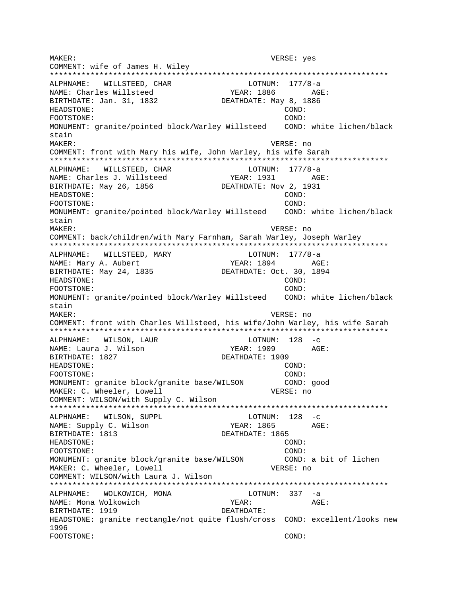MAKER: VERSE: yes COMMENT: wife of James H. Wiley ALPHNAME: WILLSTEED, CHAR LOTNUM: 177/8-a YEAR: 1886 NAME: Charles Willsteed AGE: BIRTHDATE: Jan. 31, 1832 DEATHDATE: May 8, 1886 HEADSTONE: COND: FOOTSTONE: COND: MONUMENT: granite/pointed block/Warley Willsteed COND: white lichen/black stain MAKER: VERSE: no COMMENT: front with Mary his wife, John Warley, his wife Sarah ALPHNAME: WILLSTEED, CHAR LOTNUM: 177/8-a NAME: Charles J. Willsteed YEAR: 1931 AGE: DEATHDATE: Nov 2, 1931 BIRTHDATE: May 26, 1856 HEADSTONE: COND: FOOTSTONE: COND: MONUMENT: granite/pointed block/Warley Willsteed COND: white lichen/black stain MAKER: VERSE: no COMMENT: back/children/with Mary Farnham, Sarah Warley, Joseph Warley LOTNUM: 177/8-a ALPHNAME: WILLSTEED, MARY AGE: NAME: Mary A. Aubert YEAR: 1894 BIRTHDATE: May 24, 1835 DEATHDATE: Oct. 30, 1894 HEADSTONE: COND: COND: FOOTSTONE: MONUMENT: granite/pointed block/Warley Willsteed COND: white lichen/black stain MAKER: VERSE: no COMMENT: front with Charles Willsteed, his wife/John Warley, his wife Sarah ALPHNAME: WILSON, LAUR  $LOTNUM: 128 -c$ NAME: Laura J. Wilson YEAR: 1909 AGE: BIRTHDATE: 1827 DEATHDATE: 1909 HEADSTONE: COND: FOOTSTONE: COND: MONUMENT: granite block/granite base/WILSON COND: good MAKER: C. Wheeler, Lowell VERSE: no COMMENT: WILSON/with Supply C. Wilson ALPHNAME: WILSON, SUPPL  $LOTNUM: 128 -c$ NAME: Supply C. Wilson YEAR: 1865  $AGE:$ BIRTHDATE: 1813 DEATHDATE: 1865 HEADSTONE: COND: COND: FOOTSTONE: MONUMENT: granite block/granite base/WILSON COND: a bit of lichen MAKER: C. Wheeler, Lowell VERSE: no COMMENT: WILSON/with Laura J. Wilson ALPHNAME: WOLKOWICH, MONA LOTNUM: 337 -a NAME: Mona Wolkowich YEAR: AGE: BIRTHDATE: 1919 DEATHDATE: HEADSTONE: granite rectangle/not quite flush/cross COND: excellent/looks new 1996 FOOTSTONE: COND: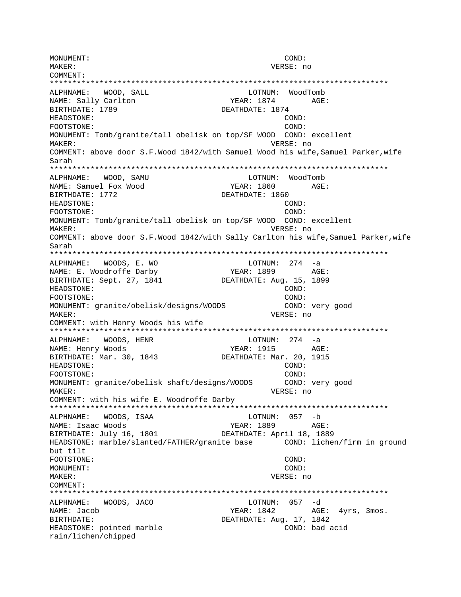MONUMENT: COND: MAKER: VERSE: no COMMENT: \*\*\*\*\*\*\*\*\*\*\*\*\*\*\*\*\*\*\*\*\*\*\*\*\*\*\*\*\*\*\*\*\*\*\*\*\*\*\*\*\*\*\*\*\*\*\*\*\*\*\*\*\*\*\*\*\*\*\*\*\*\*\*\*\*\*\*\*\*\*\*\*\*\*\* ALPHNAME: WOOD, SALL LOTNUM: WoodTomb NAME: Sally Carlton Text VEAR: 1874 AGE: BIRTHDATE: 1789 DEATHDATE: 1874 HEADSTONE: COND: FOOTSTONE: COND: MONUMENT: Tomb/granite/tall obelisk on top/SF WOOD COND: excellent MAKER: VERSE: no COMMENT: above door S.F.Wood 1842/with Samuel Wood his wife,Samuel Parker,wife Sarah \*\*\*\*\*\*\*\*\*\*\*\*\*\*\*\*\*\*\*\*\*\*\*\*\*\*\*\*\*\*\*\*\*\*\*\*\*\*\*\*\*\*\*\*\*\*\*\*\*\*\*\*\*\*\*\*\*\*\*\*\*\*\*\*\*\*\*\*\*\*\*\*\*\*\* ALPHNAME: WOOD, SAMU LOTNUM: WoodTomb NAME: Samuel Fox Wood YEAR: 1860 AGE: BIRTHDATE: 1772 DEATHDATE: 1860 HEADSTONE: COND: COND: COND: COND: COND: COND: COND: COND: COND: COND: COND: COND: COND: COND: COND: COND: COND: COND: COND: COND: COND: COND: COND: COND: COND: COND: COND: COND: COND: COND: COND: COND: COND: COND: COND: C FOOTSTONE: MONUMENT: Tomb/granite/tall obelisk on top/SF WOOD COND: excellent MAKER: VERSE: no COMMENT: above door S.F.Wood 1842/with Sally Carlton his wife,Samuel Parker,wife Sarah \*\*\*\*\*\*\*\*\*\*\*\*\*\*\*\*\*\*\*\*\*\*\*\*\*\*\*\*\*\*\*\*\*\*\*\*\*\*\*\*\*\*\*\*\*\*\*\*\*\*\*\*\*\*\*\*\*\*\*\*\*\*\*\*\*\*\*\*\*\*\*\*\*\*\* ALPHNAME: WOODS, E. WO LOTNUM: 274 -a NAME: E. Woodroffe Darby YEAR: 1899 AGE: BIRTHDATE: Sept. 27, 1841 DEATHDATE: Aug. 15, 1899 HEADSTONE: COND: FOOTSTONE: COND: MONUMENT: granite/obelisk/designs/WOODS COND: very good MAKER: VERSE: no COMMENT: with Henry Woods his wife \*\*\*\*\*\*\*\*\*\*\*\*\*\*\*\*\*\*\*\*\*\*\*\*\*\*\*\*\*\*\*\*\*\*\*\*\*\*\*\*\*\*\*\*\*\*\*\*\*\*\*\*\*\*\*\*\*\*\*\*\*\*\*\*\*\*\*\*\*\*\*\*\*\*\* ALPHNAME: WOODS, HENR LOTNUM: 274 -a NAME: Henry Woods YEAR: 1915 AGE: BIRTHDATE: Mar. 30, 1843 HEADSTONE: COND: FOOTSTONE: COND: MONUMENT: granite/obelisk shaft/designs/WOODS COND: very good MAKER: VERSE: no COMMENT: with his wife E. Woodroffe Darby \*\*\*\*\*\*\*\*\*\*\*\*\*\*\*\*\*\*\*\*\*\*\*\*\*\*\*\*\*\*\*\*\*\*\*\*\*\*\*\*\*\*\*\*\*\*\*\*\*\*\*\*\*\*\*\*\*\*\*\*\*\*\*\*\*\*\*\*\*\*\*\*\*\*\* ALPHNAME: WOODS, ISAA LOTNUM: 057 -b NAME: Isaac Woods YEAR: 1889 AGE: BIRTHDATE: July 16, 1801 DEATHDATE: April 18, 1889 HEADSTONE: marble/slanted/FATHER/granite base COND: lichen/firm in ground but tilt FOOTSTONE: COND: MONUMENT: COND: MAKER: VERSE: no COMMENT: \*\*\*\*\*\*\*\*\*\*\*\*\*\*\*\*\*\*\*\*\*\*\*\*\*\*\*\*\*\*\*\*\*\*\*\*\*\*\*\*\*\*\*\*\*\*\*\*\*\*\*\*\*\*\*\*\*\*\*\*\*\*\*\*\*\*\*\*\*\*\*\*\*\*\* ALPHNAME: WOODS, JACO LOTNUM: 057 -d NAME: Jacob YEAR: 1842 AGE: 4yrs, 3mos. BIRTHDATE: DEATHDATE: Aug. 17, 1842 HEADSTONE: pointed marble COND: bad acid rain/lichen/chipped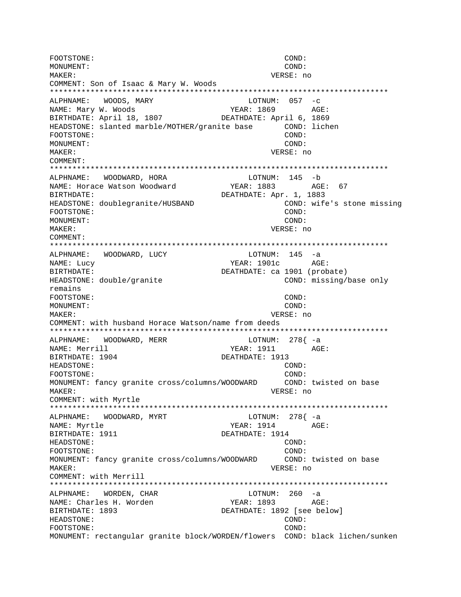FOOTSTONE: COND: MONUMENT:  $COND:$ MAKER: VERSE: no COMMENT: Son of Isaac & Mary W. Woods ALPHNAME: WOODS, MARY  $LOTNUM: 057 -c$ NAME: Mary W. Woods YEAR: 1869 AGE: BIRTHDATE: April 18, 1807 DEATHDATE: April 6, 1869 HEADSTONE: slanted marble/MOTHER/granite base COND: lichen FOOTSTONE: COND: MONUMENT: COND:  $M\Delta K$ <sub>F</sub>P: VERSE: no COMMENT: ALPHNAME: WOODWARD, HORA LOTNUM: 145 -b YEAR: 1883 AGE: 67 NAME: Horace Watson Woodward DEATHDATE: Apr. 1, 1883 BIRTHDATE: HEADSTONE: doublegranite/HUSBAND COND: wife's stone missing COND: FOOTSTONE: COND: MONUMENT: MAKER: VERSE: no COMMENT: WOODWARD, LUCY  $LOTNUM: 145 -a$ ALPHNAME: YEAR: 1901c NAME: Lucy AGE: BIRTHDATE: DEATHDATE: ca 1901 (probate) HEADSTONE: double/granite COND: missing/base only remains FOOTSTONE: COND: MONUMENT: COND: VERSE: no MAKER: COMMENT: with husband Horace Watson/name from deeds ALPHNAME: WOODWARD, MERR LOTNUM: 278{ -a NAME: Merrill YEAR: 1911 AGE: BIRTHDATE: 1904 DEATHDATE: 1913 HEADSTONE:  $COND:$ FOOTSTONE: COND: MONUMENT: fancy granite cross/columns/WOODWARD COND: twisted on base VERSE: no MAKER: COMMENT: with Myrtle ALPHNAME: WOODWARD, MYRT LOTNUM: 278{ -a NAME: Myrtle  $YEAR: 1914$   $AGE:$ BIRTHDATE: 1911 DEATHDATE: 1914 HEADSTONE:  $COND:$ FOOTSTONE: COND: MONUMENT: fancy granite cross/columns/WOODWARD COND: twisted on base VERSE: no MAKER: COMMENT: with Merrill LOTNUM: 260 -a ALPHNAME: WORDEN, CHAR NAME: Charles H. Worden YEAR: 1893 AGE: DEATHDATE: 1892 [see below] BIRTHDATE: 1893 HEADSTONE: COND: FOOTSTONE: COND: MONUMENT: rectangular granite block/WORDEN/flowers COND: black lichen/sunken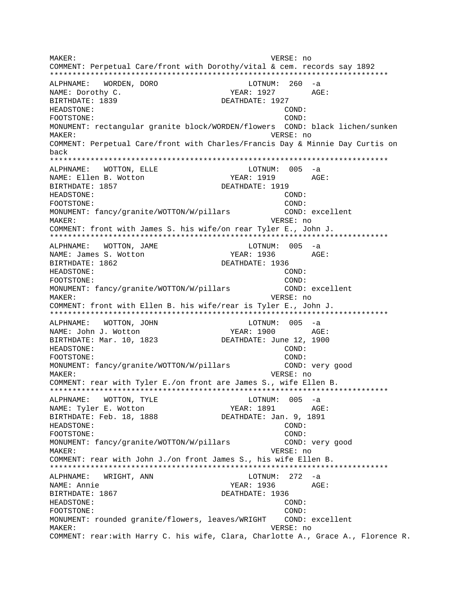MAKER: VERSE: no COMMENT: Perpetual Care/front with Dorothy/vital & cem. records say 1892 \*\*\*\*\*\*\*\*\*\*\*\*\*\*\*\*\*\*\*\*\*\*\*\*\*\*\*\*\*\*\*\*\*\*\*\*\*\*\*\*\*\*\*\*\*\*\*\*\*\*\*\*\*\*\*\*\*\*\*\*\*\*\*\*\*\*\*\*\*\*\*\*\*\*\* ALPHNAME: WORDEN, DORO CONTROL CONTROLL LOTNUM: 260 -a NAME: Dorothy C. The Mass of the MEAR: 1927 AGE: BIRTHDATE: 1839 DEATHDATE: 1927 HEADSTONE: COND: FOOTSTONE: COND: MONUMENT: rectangular granite block/WORDEN/flowers COND: black lichen/sunken MAKER: VERSE: no COMMENT: Perpetual Care/front with Charles/Francis Day & Minnie Day Curtis on back \*\*\*\*\*\*\*\*\*\*\*\*\*\*\*\*\*\*\*\*\*\*\*\*\*\*\*\*\*\*\*\*\*\*\*\*\*\*\*\*\*\*\*\*\*\*\*\*\*\*\*\*\*\*\*\*\*\*\*\*\*\*\*\*\*\*\*\*\*\*\*\*\*\*\* ALPHNAME: WOTTON, ELLE LOTNUM: 005 -a NAME: Ellen B. Wotton TEAR: 1919 AGE: BIRTHDATE: 1857 **DEATHDATE: 1919** HEADSTONE: COND: FOOTSTONE: COND: MONUMENT: fancy/granite/WOTTON/W/pillars COND: excellent MAKER: VERSE: no COMMENT: front with James S. his wife/on rear Tyler E., John J. \*\*\*\*\*\*\*\*\*\*\*\*\*\*\*\*\*\*\*\*\*\*\*\*\*\*\*\*\*\*\*\*\*\*\*\*\*\*\*\*\*\*\*\*\*\*\*\*\*\*\*\*\*\*\*\*\*\*\*\*\*\*\*\*\*\*\*\*\*\*\*\*\*\*\* ALPHNAME: WOTTON, JAME NAME: James S. Wotton YEAR: 1936 AGE: BIRTHDATE: 1862 DEATHDATE: 1936 HEADSTONE: COND: FOOTSTONE: COND: MONUMENT: fancy/granite/WOTTON/W/pillars COND: excellent MAKER: VERSE: no COMMENT: front with Ellen B. his wife/rear is Tyler E., John J. \*\*\*\*\*\*\*\*\*\*\*\*\*\*\*\*\*\*\*\*\*\*\*\*\*\*\*\*\*\*\*\*\*\*\*\*\*\*\*\*\*\*\*\*\*\*\*\*\*\*\*\*\*\*\*\*\*\*\*\*\*\*\*\*\*\*\*\*\*\*\*\*\*\*\* ALPHNAME: WOTTON, JOHN CONNECTRITION: 005 -a NAME: John J. Wotton YEAR: 1900 AGE: BIRTHDATE: Mar. 10, 1823 DEATHDATE: June 12, 1900 HEADSTONE: COND: FOOTSTONE: COND: MONUMENT: fancy/granite/WOTTON/W/pillars COND: very good MAKER: VERSE: no COMMENT: rear with Tyler E./on front are James S., wife Ellen B. \*\*\*\*\*\*\*\*\*\*\*\*\*\*\*\*\*\*\*\*\*\*\*\*\*\*\*\*\*\*\*\*\*\*\*\*\*\*\*\*\*\*\*\*\*\*\*\*\*\*\*\*\*\*\*\*\*\*\*\*\*\*\*\*\*\*\*\*\*\*\*\*\*\*\* ALPHNAME: WOTTON, TYLE **ALLACTION**: 005 -a NAME: Tyler E. Wotton YEAR: 1891 AGE: BIRTHDATE: Feb. 18, 1888 DEATHDATE: Jan. 9, 1891 HEADSTONE: COND: FOOTSTONE: COND: MONUMENT: fancy/granite/WOTTON/W/pillars COND: very good MAKER: VERSE: no COMMENT: rear with John J./on front James S., his wife Ellen B. \*\*\*\*\*\*\*\*\*\*\*\*\*\*\*\*\*\*\*\*\*\*\*\*\*\*\*\*\*\*\*\*\*\*\*\*\*\*\*\*\*\*\*\*\*\*\*\*\*\*\*\*\*\*\*\*\*\*\*\*\*\*\*\*\*\*\*\*\*\*\*\*\*\*\* ALPHNAME: WRIGHT, ANN LOTNUM: 272 -a NAME: Annie YEAR: 1936 AGE: BIRTHDATE: 1867 DEATHDATE: 1936 HEADSTONE: COND: FOOTSTONE: COND: MONUMENT: rounded granite/flowers, leaves/WRIGHT COND: excellent MAKER: VERSE: no COMMENT: rear:with Harry C. his wife, Clara, Charlotte A., Grace A., Florence R.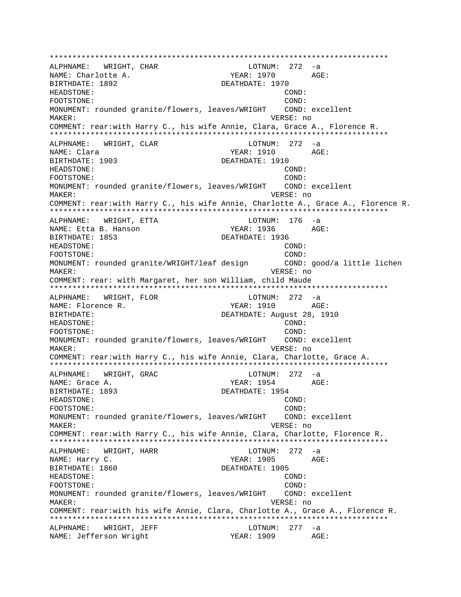\*\*\*\*\*\*\*\*\*\*\*\*\*\*\*\*\*\*\*\*\*\*\*\*\*\*\*\*\*\*\*\*\*\*\*\*\*\*\*\*\*\*\*\*\*\*\*\*\*\*\*\*\*\*\*\*\*\*\*\*\*\*\*\*\*\*\*\*\*\*\*\*\*\*\* ALPHNAME: WRIGHT, CHAR NAME: Charlotte A. YEAR: 1970 AGE: BIRTHDATE: 1892 DEATHDATE: 1970 HEADSTONE: COND: FOOTSTONE: COND: MONUMENT: rounded granite/flowers, leaves/WRIGHT COND: excellent MAKER: VERSE: no COMMENT: rear:with Harry C., his wife Annie, Clara, Grace A., Florence R. \*\*\*\*\*\*\*\*\*\*\*\*\*\*\*\*\*\*\*\*\*\*\*\*\*\*\*\*\*\*\*\*\*\*\*\*\*\*\*\*\*\*\*\*\*\*\*\*\*\*\*\*\*\*\*\*\*\*\*\*\*\*\*\*\*\*\*\*\*\*\*\*\*\*\* ALPHNAME: WRIGHT, CLAR LOTNUM: 272 -a NAME: Clara YEAR: 1910 AGE: BIRTHDATE: 1903 DEATHDATE: 1910 HEADSTONE: COND: FOOTSTONE: COND: MONUMENT: rounded granite/flowers, leaves/WRIGHT COND: excellent MAKER: VERSE: no COMMENT: rear:with Harry C., his wife Annie, Charlotte A., Grace A., Florence R. \*\*\*\*\*\*\*\*\*\*\*\*\*\*\*\*\*\*\*\*\*\*\*\*\*\*\*\*\*\*\*\*\*\*\*\*\*\*\*\*\*\*\*\*\*\*\*\*\*\*\*\*\*\*\*\*\*\*\*\*\*\*\*\*\*\*\*\*\*\*\*\*\*\*\* ALPHNAME: WRIGHT, ETTA LOTNUM: 176 -a NAME: Etta B. Hanson The South MEAR: 1936 AGE: BIRTHDATE: 1853 DEATHDATE: 1936 HEADSTONE: COND: FOOTSTONE: COND: MONUMENT: rounded granite/WRIGHT/leaf design COND: good/a little lichen MAKER: VERSE: no COMMENT: rear: with Margaret, her son William, child Maude \*\*\*\*\*\*\*\*\*\*\*\*\*\*\*\*\*\*\*\*\*\*\*\*\*\*\*\*\*\*\*\*\*\*\*\*\*\*\*\*\*\*\*\*\*\*\*\*\*\*\*\*\*\*\*\*\*\*\*\*\*\*\*\*\*\*\*\*\*\*\*\*\*\*\* ALPHNAME: WRIGHT, FLOR LOTNUM: 272 -a NAME: Florence R. The South of the Magnus of the YEAR: 1910 AGE: BIRTHDATE: DEATHDATE: August 28, 1910 HEADSTONE: COND: FOOTSTONE: COND: MONUMENT: rounded granite/flowers, leaves/WRIGHT COND: excellent MAKER: VERSE: no COMMENT: rear:with Harry C., his wife Annie, Clara, Charlotte, Grace A. \*\*\*\*\*\*\*\*\*\*\*\*\*\*\*\*\*\*\*\*\*\*\*\*\*\*\*\*\*\*\*\*\*\*\*\*\*\*\*\*\*\*\*\*\*\*\*\*\*\*\*\*\*\*\*\*\*\*\*\*\*\*\*\*\*\*\*\*\*\*\*\*\*\*\* ALPHNAME: WRIGHT, GRAC LOTNUM: 272 -a NAME: Grace A. YEAR: 1954 BIRTHDATE: 1893 DEATHDATE: 1954 HEADSTONE: COND: FOOTSTONE: COND: MONUMENT: rounded granite/flowers, leaves/WRIGHT COND: excellent MAKER: VERSE: no COMMENT: rear:with Harry C., his wife Annie, Clara, Charlotte, Florence R. \*\*\*\*\*\*\*\*\*\*\*\*\*\*\*\*\*\*\*\*\*\*\*\*\*\*\*\*\*\*\*\*\*\*\*\*\*\*\*\*\*\*\*\*\*\*\*\*\*\*\*\*\*\*\*\*\*\*\*\*\*\*\*\*\*\*\*\*\*\*\*\*\*\*\* ALPHNAME: WRIGHT, HARR LOTNUM: 272 -a NAME: Harry C. The Communication of the MEAR: 1905 AGE: BIRTHDATE: 1860 DEATHDATE: 1905 HEADSTONE: COND: FOOTSTONE: COND: MONUMENT: rounded granite/flowers, leaves/WRIGHT COND: excellent MAKER: VERSE: no COMMENT: rear:with his wife Annie, Clara, Charlotte A., Grace A., Florence R. \*\*\*\*\*\*\*\*\*\*\*\*\*\*\*\*\*\*\*\*\*\*\*\*\*\*\*\*\*\*\*\*\*\*\*\*\*\*\*\*\*\*\*\*\*\*\*\*\*\*\*\*\*\*\*\*\*\*\*\*\*\*\*\*\*\*\*\*\*\*\*\*\*\*\* ALPHNAME: WRIGHT, JEFF LOTNUM: 277 -a NAME: Jefferson Wright YEAR: 1909 AGE: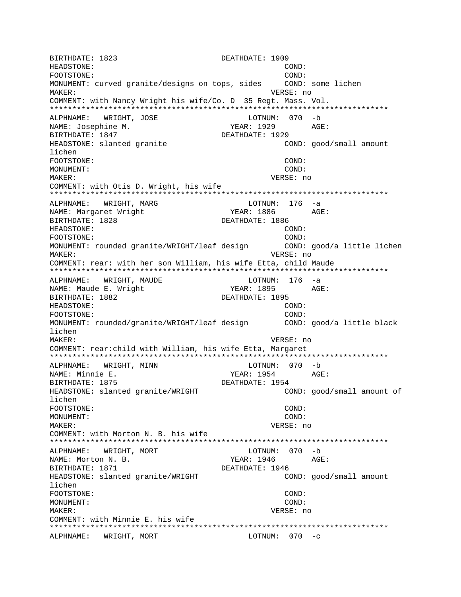BIRTHDATE: 1823 DEATHDATE: 1909 HEADSTONE: COND: FOOTSTONE: COND: MONUMENT: curved granite/designs on tops, sides COND: some lichen MAKER: VERSE: no COMMENT: with Nancy Wright his wife/Co. D 35 Regt. Mass. Vol. \*\*\*\*\*\*\*\*\*\*\*\*\*\*\*\*\*\*\*\*\*\*\*\*\*\*\*\*\*\*\*\*\*\*\*\*\*\*\*\*\*\*\*\*\*\*\*\*\*\*\*\*\*\*\*\*\*\*\*\*\*\*\*\*\*\*\*\*\*\*\*\*\*\*\* ALPHNAME: WRIGHT, JOSE NAME: Josephine M. YEAR: 1929 AGE: BIRTHDATE: 1847 DEATHDATE: 1929 HEADSTONE: slanted granite COND: good/small amount lichen FOOTSTONE: COND: MONUMENT: COND: MAKER: VERSE: no COMMENT: with Otis D. Wright, his wife \*\*\*\*\*\*\*\*\*\*\*\*\*\*\*\*\*\*\*\*\*\*\*\*\*\*\*\*\*\*\*\*\*\*\*\*\*\*\*\*\*\*\*\*\*\*\*\*\*\*\*\*\*\*\*\*\*\*\*\*\*\*\*\*\*\*\*\*\*\*\*\*\*\*\* ALPHNAME: WRIGHT, MARG LOTNUM: 176 -a NAME: Margaret Wright The Mass of the YEAR: 1886 AGE: BIRTHDATE: 1828 DEATHDATE: 1886 HEADSTONE: COND: FOOTSTONE: COND: MONUMENT: rounded granite/WRIGHT/leaf design COND: good/a little lichen MAKER: VERSE: no COMMENT: rear: with her son William, his wife Etta, child Maude \*\*\*\*\*\*\*\*\*\*\*\*\*\*\*\*\*\*\*\*\*\*\*\*\*\*\*\*\*\*\*\*\*\*\*\*\*\*\*\*\*\*\*\*\*\*\*\*\*\*\*\*\*\*\*\*\*\*\*\*\*\*\*\*\*\*\*\*\*\*\*\*\*\*\* ALPHNAME: WRIGHT, MAUDE LOTNUM: 176 -a NAME: Maude E. Wright The Manusculine of the YEAR: 1895 AGE: BIRTHDATE: 1882 DEATHDATE: 1895 HEADSTONE: COND: FOOTSTONE: COND: MONUMENT: rounded/granite/WRIGHT/leaf design COND: good/a little black lichen MAKER: VERSE: no COMMENT: rear:child with William, his wife Etta, Margaret \*\*\*\*\*\*\*\*\*\*\*\*\*\*\*\*\*\*\*\*\*\*\*\*\*\*\*\*\*\*\*\*\*\*\*\*\*\*\*\*\*\*\*\*\*\*\*\*\*\*\*\*\*\*\*\*\*\*\*\*\*\*\*\*\*\*\*\*\*\*\*\*\*\*\* ALPHNAME: WRIGHT, MINN NAME: Minnie E. YEAR: 1954 AGE: BIRTHDATE: 1875 **DEATHDATE: 1954** HEADSTONE: slanted granite/WRIGHT COND: good/small amount of lichen FOOTSTONE: COND: MONUMENT: COND: MAKER: VERSE: no COMMENT: with Morton N. B. his wife \*\*\*\*\*\*\*\*\*\*\*\*\*\*\*\*\*\*\*\*\*\*\*\*\*\*\*\*\*\*\*\*\*\*\*\*\*\*\*\*\*\*\*\*\*\*\*\*\*\*\*\*\*\*\*\*\*\*\*\*\*\*\*\*\*\*\*\*\*\*\*\*\*\*\* ALPHNAME: WRIGHT, MORT NAME: Morton N. B. Same Control of the Magnus of the Magnus Media and AGE: BIRTHDATE: 1871 DEATHDATE: 1946 HEADSTONE: slanted granite/WRIGHT COND: good/small amount lichen FOOTSTONE: COND: MONUMENT: COND: MAKER: VERSE: no COMMENT: with Minnie E. his wife \*\*\*\*\*\*\*\*\*\*\*\*\*\*\*\*\*\*\*\*\*\*\*\*\*\*\*\*\*\*\*\*\*\*\*\*\*\*\*\*\*\*\*\*\*\*\*\*\*\*\*\*\*\*\*\*\*\*\*\*\*\*\*\*\*\*\*\*\*\*\*\*\*\*\* ALPHNAME: WRIGHT, MORT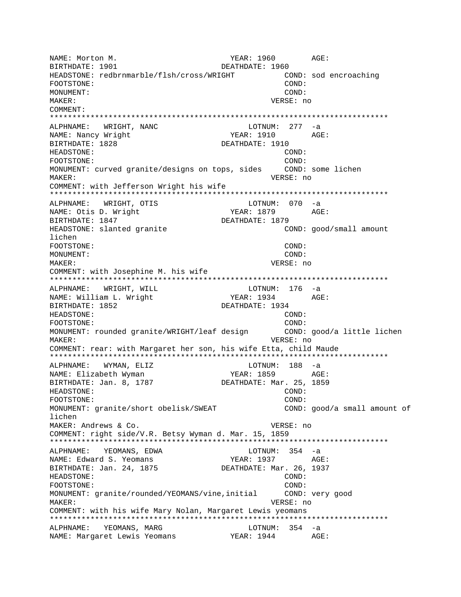NAME: Morton M. YEAR: 1960 AGE: DEATHDATE: 1960 BIRTHDATE: 1901 HEADSTONE: redbrnmarble/flsh/cross/WRIGHT COND: sod encroaching FOOTSTONE: COND: MONIJMENT: COND: MAKER: VERSE: no COMMENT: ALPHNAME: WRIGHT, NANC  $LOTNUM: 277 -a$ NAME: Nancy Wright YEAR: 1910 AGE: BIRTHDATE: 1828 DEATHDATE: 1910 HEADSTONE: COND: FOOTSTONE: COND: MONUMENT: curved granite/designs on tops, sides COND: some lichen VERSE: no MAKER: COMMENT: with Jefferson Wright his wife ALPHNAME: WRIGHT, OTIS LOTNUM: 070 -a NAME: Otis D. Wright YEAR: 1879 AGE: BIRTHDATE: 1847 DEATHDATE: 1879 HEADSTONE: slanted granite COND: good/small amount lichen FOOTSTONE: COND: MONUMENT: COND: MAKER: VERSE: no COMMENT: with Josephine M. his wife ALPHNAME: WRIGHT, WILL LOTNUM: 176 -a NAME: William L. Wright YEAR: 1934 AGE: BIRTHDATE: 1852 DEATHDATE: 1934 HEADSTONE: COND: FOOTSTONE: COND: MONUMENT: rounded granite/WRIGHT/leaf design COND: good/a little lichen MAKER: VERSE: no COMMENT: rear: with Margaret her son, his wife Etta, child Maude  $LOTNUM: 188 -a$ ALPHNAME: WYMAN, ELIZ AGE: YEAR: 1859 NAME: Elizabeth Wyman BIRTHDATE: Jan. 8, 1787 DEATHDATE: Mar. 25, 1859 HEADSTONE: COND: FOOTSTONE: COND: MONUMENT: granite/short obelisk/SWEAT COND: good/a small amount of lichen MAKER: Andrews & Co. VERSE: no COMMENT: right side/V.R. Betsy Wyman d. Mar. 15, 1859 ALPHNAME: YEOMANS, EDWA LOTNUM:  $354 - a$ YEAR: 1937 AGE: NAME: Edward S. Yeomans BIRTHDATE: Jan. 24, 1875 DEATHDATE: Mar. 26, 1937 HEADSTONE: COND: FOOTSTONE: COND: MONUMENT: granite/rounded/YEOMANS/vine,initial COND: very good MAKER: VERSE: no COMMENT: with his wife Mary Nolan, Margaret Lewis yeomans ALPHNAME: YEOMANS, MARG LOTNUM: 354 -a NAME: Margaret Lewis Yeomans (1944 AGE: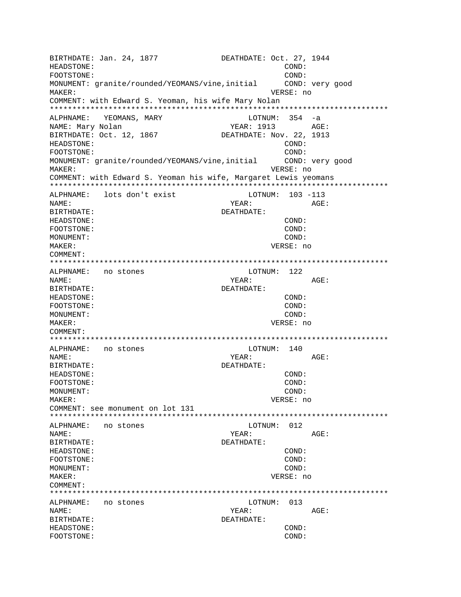BIRTHDATE: Jan. 24, 1877 DEATHDATE: Oct. 27, 1944 HEADSTONE:  $COMD:$ FOOTSTONE:  $\texttt{COND}:$ MONUMENT: granite/rounded/YEOMANS/vine, initial COND: very good VERSE: no MAKER: COMMENT: with Edward S. Yeoman, his wife Mary Nolan ALPHNAME: YEOMANS, MARY  $LOTNUM: 354 -a$ NAME: Mary Nolan YEAR: 1913 AGE: DEATHDATE: Nov. 22, 1913 BIRTHDATE: Oct. 12, 1867 HEADSTONE: COND: FOOTSTONE: COND: MONUMENT: granite/rounded/YEOMANS/vine, initial COND: very good VERSE: no **MAKER:** COMMENT: with Edward S. Yeoman his wife, Margaret Lewis yeomans ALPHNAME: lots don't exist LOTNUM: 103 -113 NAME: YEAR: AGE: BIRTHDATE: DEATHDATE: HEADSTONE:  $COND:$ FOOTSTONE: COND: MONUMENT: COND: MAKER: VERSE: no COMMENT: ALPHNAME: no stones LOTNUM: 122 YEAR: NAME: AGE: DEATHDATE: BIRTHDATE: HEADSTONE: COND: COND: FOOTSTONE: MONUMENT:  $COND:$ MAKER: VERSE: no COMMENT: ALPHNAME: no stones LOTNUM: 140 NAME: YEAR: AGE: BIRTHDATE: DEATHDATE: HEADSTONE:  $COND:$ FOOTSTONE: COND: MONUMENT:  $COMD:$ MAKER: VERSE: no COMMENT: see monument on lot 131 no stones LOTNUM: 012 ALPHNAME: NAME: YEAR:  $AGE:$ BIRTHDATE: DEATHDATE: HEADSTONE: COND: FOOTSTONE: COND: MONUMENT: COND: MAKER: VERSE: no COMMENT: ALPHNAME: no stones LOTNUM: 013 NAME: YEAR: AGE: BIRTHDATE: DEATHDATE: HEADSTONE: COND: FOOTSTONE: COND: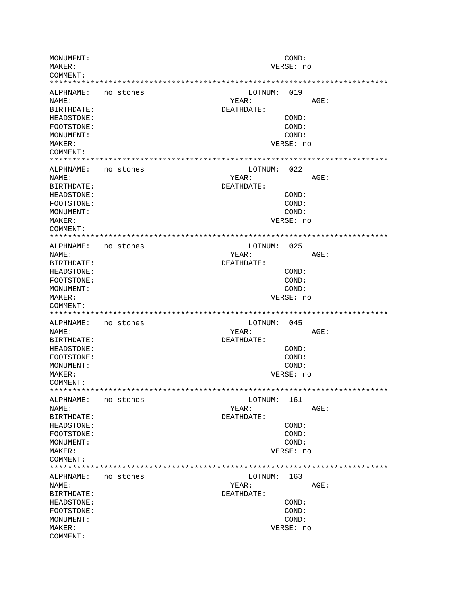MONUMENT: COND: MAKER: VERSE: no COMMENT: LOTNUM: 019 ALPHNAME: no stones YEAR: NAME: AGE: BIRTHDATE: DEATHDATE: HEADSTONE: COND: FOOTSTONE: COND: MONUMENT: COND: MAKER: VERSE: no COMMENT: ALPHNAME: no stones LOTNUM: 022 NAME: YEAR: AGE: BIRTHDATE: DEATHDATE: HEADSTONE:  $COND:$ FOOTSTONE: COND: MONUMENT: COND: VERSE: no MAKER: COMMENT: ALPHNAME: no stones LOTNUM: 025 YEAR: AGE: NAME: BIRTHDATE: DEATHDATE: COND: HEADSTONE: FOOTSTONE: COND: COND: MONUMENT: VERSE: no MAKER: COMMENT: LOTNUM: 045 ALPHNAME: no stones YEAR: NAME: AGE: BIRTHDATE: DEATHDATE: HEADSTONE: COND:  $COMD:$ FOOTSTONE: COND: MONUMENT: MAKER: VERSE: no COMMENT: ALPHNAME: no stones LOTNUM: 161 NAME: YEAR: AGE: BIRTHDATE: DEATHDATE: **HEADSTONE:** COND: FOOTSTONE: COND: MONITMENT:  $COND:$ VERSE: no MAKER: COMMENT: LOTNUM: 163 ALPHNAME: no stones YEAR: NAME:  $AGE:$ BIRTHDATE: DEATHDATE: COND: HEADSTONE: FOOTSTONE: COND: MONUMENT: COND: MAKER: VERSE: no COMMENT: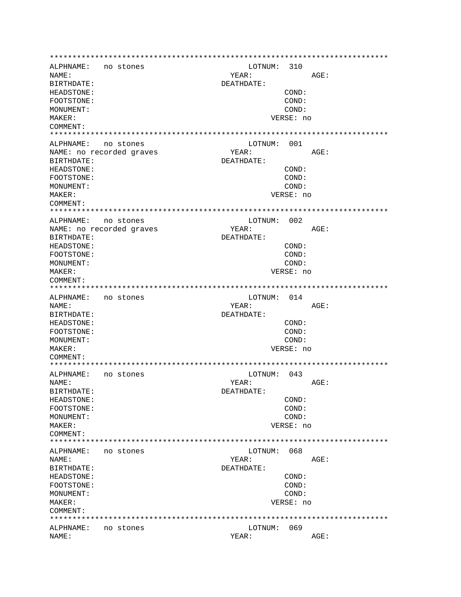ALPHNAME: no stones LOTNUM: 310 AGE: NAME: YEAR: BIRTHDATE: DEATHDATE: HEADSTONE:  $COND:$ FOOTSTONE: COND: MONUMENT: COND: MAKER: VERSE: no COMMENT: ALPHNAME: no stones LOTNUM: 001 YEAR:  $AGF$ : NAME: no recorded graves BIRTHDATE: DEATHDATE: HEADSTONE:  $COND:$ FOOTSTONE: COND: COND: MONUMENT: MAKER: VERSE: no COMMENT: LOTNUM: 002 ALPHNAME: no stones NAME: no recorded graves YEAR: AGE: BIRTHDATE: DEATHDATE: HEADSTONE: COND: FOOTSTONE: COND: MONIJMENT: COND: VERSE: no MAKER: COMMENT: ALPHNAME: no stones LOTNUM: 014 AGE: NAME: YEAR: BIRTHDATE: DEATHDATE: HEADSTONE:  $COND:$ COND: FOOTSTONE: MONUMENT: COND: MAKER: VERSE: no COMMENT: LOTNUM: 043 ALPHNAME: no stones AGE: NAME: YEAR: BIRTHDATE: DEATHDATE: COND: HEADSTONE: FOOTSTONE: COND: COND: MONUMENT: MAKER: VERSE: no COMMENT: ALPHNAME: no stones LOTNUM: 068 NAME: YEAR: AGE: BIRTHDATE: DEATHDATE: HEADSTONE: COND: FOOTSTONE: COND: MONUMENT: COND: MAKER: VERSE: no COMMENT: ALPHNAME: no stones LOTNUM: 069 NAME: YEAR: AGE: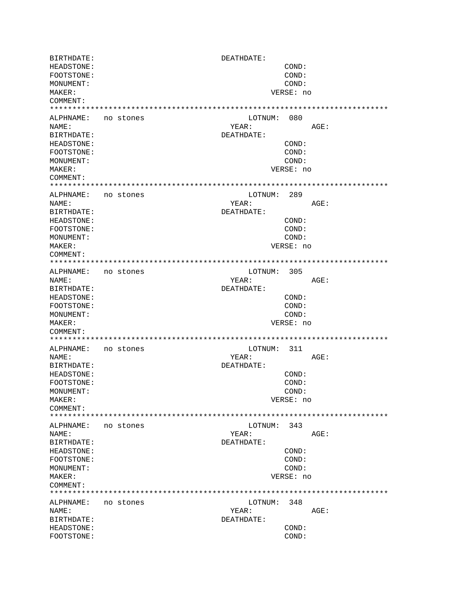BIRTHDATE: DEATHDATE: HEADSTONE: COND: FOOTSTONE: COND: MONUMENT: COND: MAKER: VERSE: no COMMENT: ALPHNAME: no stones LOTNUM: 080 NAME: YEAR: AGE: BIRTHDATE: DEATHDATE: HEADSTONE: COND: FOOTSTONE: COND: MONUMENT: COND: MAKER: VERSE: no COMMENT: ALPHNAME: no stones LOTNUM: 289 NAME: YEAR: AGE: BIRTHDATE: DEATHDATE: HEADSTONE:  $COND:$ FOOTSTONE: COND: MONUMENT: COND: MAKER: VERSE: no COMMENT: LOTNUM: 305 ALPHNAME: no stones YEAR: NAME: AGE: BIRTHDATE: DEATHDATE: HEADSTONE: COND: FOOTSTONE: COND: MONUMENT: COND: MAKER: VERSE: no COMMENT: ALPHNAME: no stones LOTNUM: 311 NAME: YEAR: AGE: BIRTHDATE: DEATHDATE: HEADSTONE:  $COND:$ FOOTSTONE: COND: COND: MONUMENT: MAKER: VERSE: no COMMENT: LOTNUM: 343 ALPHNAME: no stones NAME: YEAR: AGE: BIRTHDATE: DEATHDATE: HEADSTONE: COND: FOOTSTONE: COND: MONUMENT: COND: MAKER: VERSE: no COMMENT: LOTNUM: 348 ALPHNAME: no stones NAME: YEAR: AGE: BIRTHDATE: DEATHDATE: HEADSTONE:  $COND:$ FOOTSTONE: COND: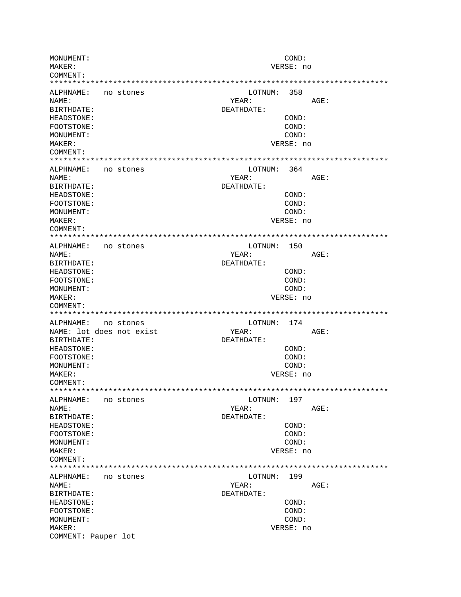MONUMENT: COND: MAKER: VERSE: no COMMENT: LOTNUM: 358 ALPHNAME: no stones YEAR: NAME: AGE: BIRTHDATE: DEATHDATE: HEADSTONE: COND: FOOTSTONE: COND: MONUMENT: COND: MAKER: VERSE: no COMMENT: ALPHNAME: no stones LOTNUM: 364 NAME: YEAR: AGE: BIRTHDATE: DEATHDATE: HEADSTONE:  $COND:$ FOOTSTONE: COND: MONUMENT: COND: MAKER: VERSE: no COMMENT: ALPHNAME: no stones LOTNUM: 150 YEAR: NAME: AGE: BIRTHDATE: DEATHDATE: COND: HEADSTONE: FOOTSTONE: COND: MONUMENT: COND: VERSE: no MAKER: COMMENT: ALPHNAME: no stones LOTNUM: 174 YEAR: NAME: lot does not exist AGE: BIRTHDATE: DEATHDATE: HEADSTONE: COND:  $COMD:$ FOOTSTONE: COND: MONUMENT: MAKER: VERSE: no COMMENT: ALPHNAME: no stones LOTNUM: 197 AGE: NAME: YEAR: BIRTHDATE: DEATHDATE: **HEADSTONE:** COND: FOOTSTONE: COND: MONITMENT:  $COND:$ VERSE: no MAKER: COMMENT: LOTNUM: 199 ALPHNAME: no stones YEAR: NAME: AGE: BIRTHDATE: DEATHDATE: COND: HEADSTONE: FOOTSTONE: COND: MONUMENT: COND: MAKER: VERSE: no COMMENT: Pauper lot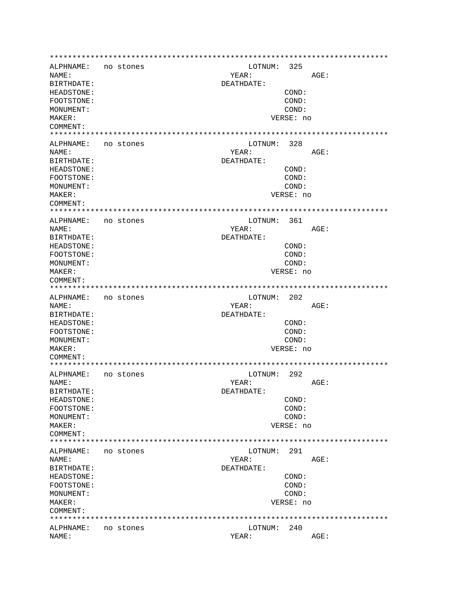ALPHNAME: no stones LOTNUM: 325 AGE: NAME: YEAR: BIRTHDATE: DEATHDATE: HEADSTONE:  $COND:$ FOOTSTONE: COND: MONUMENT: COND: MAKER: VERSE: no COMMENT: ALPHNAME: no stones LOTNUM: 328 YEAR: AGE: NAMF: BIRTHDATE: DEATHDATE: HEADSTONE: COND: FOOTSTONE: COND: COND: MONUMENT: MAKER: VERSE: no COMMENT: LOTNUM: 361 ALPHNAME: no stones NAME: YEAR: AGE: BIRTHDATE: DEATHDATE: HEADSTONE: COND: FOOTSTONE: COND: MONIJMENT: COND: MAKER: VERSE: no COMMENT: ALPHNAME: no stones LOTNUM: 202 AGE: NAME: YEAR: BIRTHDATE: DEATHDATE: HEADSTONE:  $COND:$ COND: FOOTSTONE: MONUMENT: COND: MAKER: VERSE: no COMMENT: LOTNUM: 292 ALPHNAME: no stones AGE: NAME: YEAR: BIRTHDATE: DEATHDATE: COND: HEADSTONE: FOOTSTONE: COND: COND: MONUMENT: MAKER: VERSE: no COMMENT: ALPHNAME: no stones LOTNUM: 291 NAME: YEAR: AGE: BIRTHDATE: DEATHDATE: HEADSTONE: COND: FOOTSTONE: COND: MONUMENT: COND: MAKER: VERSE: no COMMENT: ALPHNAME: no stones LOTNUM: 240 NAME: YEAR: AGE: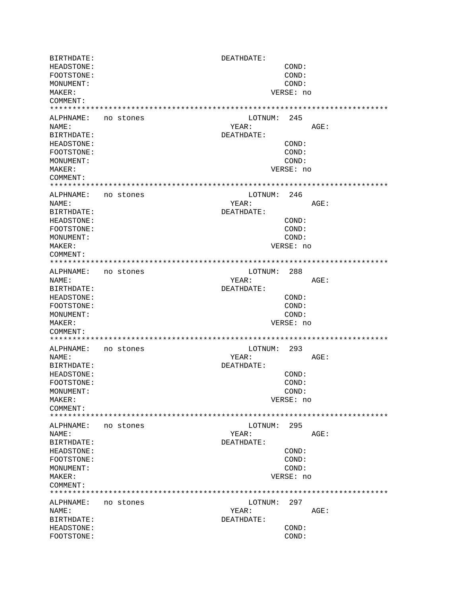BIRTHDATE: DEATHDATE: HEADSTONE: COND: FOOTSTONE: COND: MONUMENT: COND: MAKER: VERSE: no COMMENT: ALPHNAME: no stones LOTNUM: 245 NAME: YEAR: AGE: BIRTHDATE: DEATHDATE: HEADSTONE: COND: FOOTSTONE: COND: MONUMENT: COND: MAKER: VERSE: no COMMENT: ALPHNAME: no stones LOTNUM: 246 NAME: YEAR: AGE: BIRTHDATE: DEATHDATE: HEADSTONE:  $COND:$ FOOTSTONE: COND: MONUMENT: COND: MAKER: VERSE: no COMMENT: LOTNUM: 288 ALPHNAME: no stones YEAR: NAME: AGE: DEATHDATE: BIRTHDATE: HEADSTONE: COND: FOOTSTONE: COND: MONUMENT: COND: MAKER: VERSE: no COMMENT: ALPHNAME: no stones LOTNUM: 293 NAME: YEAR: AGE: BIRTHDATE: DEATHDATE: HEADSTONE:  $COND:$ FOOTSTONE: COND: COND: MONUMENT: MAKER: VERSE: no COMMENT: LOTNUM: 295 ALPHNAME: no stones NAME: YEAR: AGE: BIRTHDATE: DEATHDATE: HEADSTONE: COND: FOOTSTONE: COND: MONUMENT: COND: MAKER: VERSE: no COMMENT: LOTNUM: 297 ALPHNAME: no stones NAME: YEAR: AGE: BIRTHDATE: DEATHDATE: HEADSTONE:  $COND:$ FOOTSTONE: COND: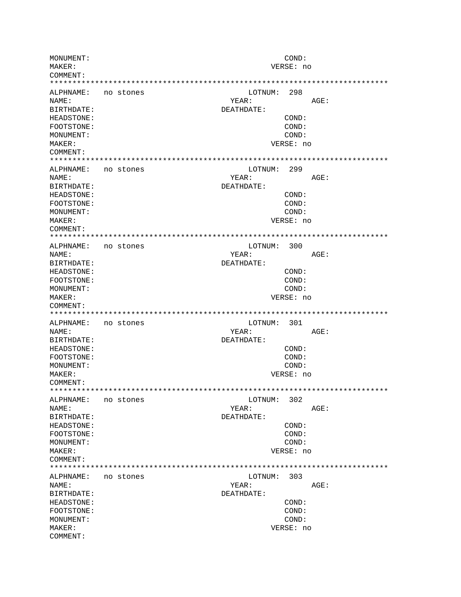MONUMENT: COND: MAKER: VERSE: no COMMENT: LOTNUM: 298 ALPHNAME: no stones YEAR: NAME: AGE: BIRTHDATE: DEATHDATE: HEADSTONE: COND: FOOTSTONE: COND: MONUMENT: COND: MAKER: VERSE: no COMMENT: ALPHNAME: no stones LOTNUM: 299 NAME: YEAR: AGE: BIRTHDATE: DEATHDATE: HEADSTONE:  $COND:$ FOOTSTONE: COND: MONUMENT: COND: MAKER: VERSE: no COMMENT: ALPHNAME: no stones LOTNUM: 300 YEAR: AGE: NAME: BIRTHDATE: DEATHDATE: COND: HEADSTONE: FOOTSTONE: COND: COND: MONUMENT: VERSE: no MAKER: COMMENT: ALPHNAME: no stones LOTNUM: 301 YEAR: NAME: AGE: BIRTHDATE: DEATHDATE: HEADSTONE: COND:  $COMD:$ FOOTSTONE: COND: MONUMENT: MAKER: VERSE: no COMMENT: ALPHNAME: no stones LOTNUM: 302 NAME: YEAR: AGE: BIRTHDATE: DEATHDATE: **HEADSTONE:** COND: FOOTSTONE: COND: MONITMENT:  $COND:$ VERSE: no MAKER: COMMENT: LOTNUM: 303 ALPHNAME: no stones YEAR: NAME:  $AGE:$ BIRTHDATE: DEATHDATE: COND: HEADSTONE: FOOTSTONE: COND: MONUMENT: COND: MAKER: VERSE: no COMMENT: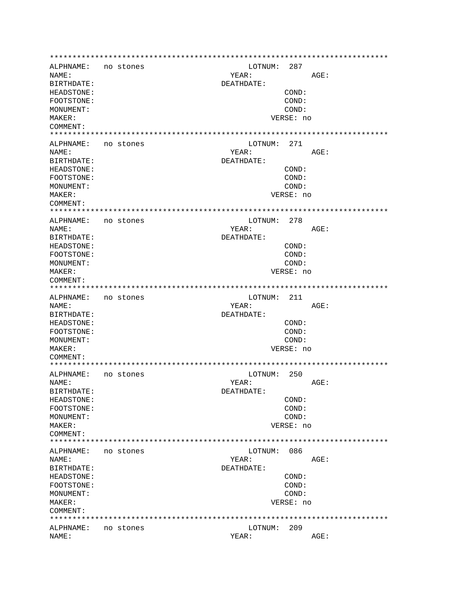ALPHNAME: no stones LOTNUM: 287 AGE: NAME: YEAR: BIRTHDATE: DEATHDATE: HEADSTONE:  $COND:$ FOOTSTONE: COND: MONUMENT: COND: MAKER: VERSE: no COMMENT: ALPHNAME: no stones LOTNUM: 271 YEAR:  $AGF$ : NAMF: BIRTHDATE: DEATHDATE: HEADSTONE:  $COND:$ FOOTSTONE: COND: COND: MONUMENT: MAKER: VERSE: no COMMENT: LOTNUM: 278 ALPHNAME: no stones NAME: YEAR:  $AGE:$ BIRTHDATE: DEATHDATE: HEADSTONE: COND: FOOTSTONE: COND: MONIJMENT: COND: MAKER: VERSE: no COMMENT: ALPHNAME: no stones LOTNUM: 211 AGE: NAME: YEAR: BIRTHDATE: DEATHDATE: HEADSTONE:  $COND:$ COND: FOOTSTONE: MONUMENT: COND: MAKER: VERSE: no COMMENT: LOTNUM: 250 ALPHNAME: no stones AGE: NAME: YEAR: BIRTHDATE: DEATHDATE: COND: HEADSTONE: FOOTSTONE: COND: COND: MONUMENT: MAKER: VERSE: no COMMENT: ALPHNAME: no stones LOTNUM: 086 NAME: YEAR: AGE: BIRTHDATE: DEATHDATE: HEADSTONE: COND: FOOTSTONE: COND: MONUMENT: COND: MAKER: VERSE: no COMMENT: ALPHNAME: no stones LOTNUM: 209 NAME: YEAR:  $AGE:$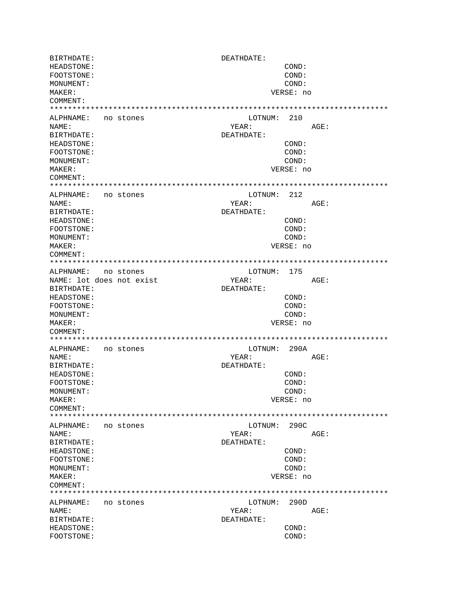BIRTHDATE: DEATHDATE: HEADSTONE: COND: FOOTSTONE: COND: MONUMENT: COND: MAKER: VERSE: no COMMENT: ALPHNAME: no stones LOTNUM: 210 NAME: YEAR: AGE: BIRTHDATE: DEATHDATE: HEADSTONE: COND: FOOTSTONE: COND: MONUMENT: COND: MAKER: VERSE: no COMMENT: ALPHNAME: no stones LOTNUM: 212 NAME: YEAR: AGE: BIRTHDATE: DEATHDATE: HEADSTONE: COND: FOOTSTONE: COND: MONUMENT: COND: MAKER: VERSE: no COMMENT: ALPHNAME: no stones LOTNUM: 175 YEAR: NAME: lot does not exist AGE: BIRTHDATE: DEATHDATE: HEADSTONE: COND: FOOTSTONE: COND: MONUMENT: COND: MAKER: VERSE: no COMMENT: ALPHNAME: no stones LOTNUM: 290A NAME: YEAR: AGE: BIRTHDATE: DEATHDATE: HEADSTONE:  $COND:$ FOOTSTONE: COND: COND: MONUMENT: MAKER: VERSE: no COMMENT: LOTNUM: 290C ALPHNAME: no stones NAME: YEAR: AGE: BIRTHDATE: DEATHDATE: HEADSTONE: COND: FOOTSTONE: COND: MONUMENT: COND: MAKER: VERSE: no COMMENT: LOTNUM: 290D ALPHNAME: no stones NAME: YEAR: AGE: BIRTHDATE: DEATHDATE: HEADSTONE:  $COND:$ FOOTSTONE: COND: